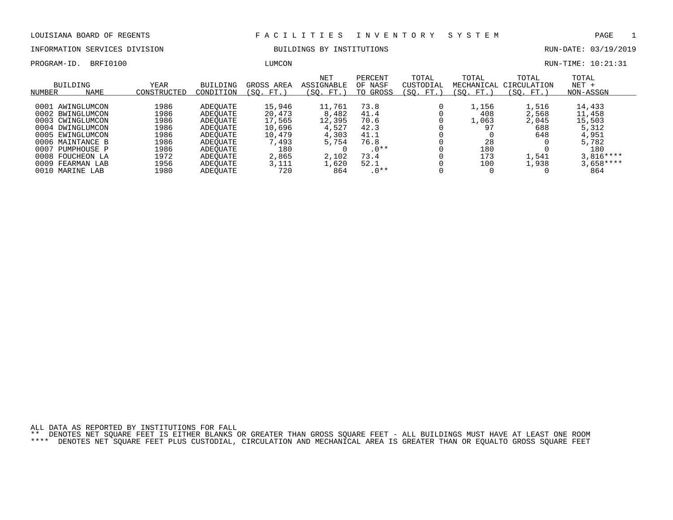INFORMATION SERVICES DIVISION BUILDINGS BY INSTITUTIONS RUN-DATE: 03/19/2019

PROGRAM-ID. BRFI0100 CONSULTERE LOTE DESCRIPTION BETWEEN ASSESSED. THE RUN-TIME: 10:21:31

| NUMBER | BUILDING<br><b>NAME</b> | YEAR<br>CONSTRUCTED | <b>BUILDING</b><br>CONDITION | GROSS AREA<br>(SO. FT.) | <b>NET</b><br><b>ASSIGNABLE</b><br>(SO.<br>FT.) | PERCENT<br>OF NASF<br>TO GROSS | TOTAL<br>CUSTODIAL<br>(SO. FT.) | TOTAL<br>MECHANICAL<br>'SO. FT.) | TOTAL<br>CIRCULATION<br>(SO. FT.) | TOTAL<br>$NET +$<br>NON-ASSGN |
|--------|-------------------------|---------------------|------------------------------|-------------------------|-------------------------------------------------|--------------------------------|---------------------------------|----------------------------------|-----------------------------------|-------------------------------|
|        |                         |                     |                              |                         |                                                 |                                |                                 |                                  |                                   |                               |
|        | 0001 AWINGLUMCON        | 1986                | ADEOUATE                     | 15,946                  | 11,761                                          | 73.8                           |                                 | 1,156                            | 1,516                             | 14,433                        |
|        | 0002 BWINGLUMCON        | L986                | ADEOUATE                     | 20,473                  | 8,482                                           | 41.4                           |                                 | 408                              | 2,568                             | 11,458                        |
|        | 0003 CWINGLUMCON        | L986                | ADEOUATE                     | 17,565                  | 12,395                                          | 70.6                           |                                 | 1,063                            | 2,045                             | 15,503                        |
|        | 0004 DWINGLUMCON        | 1986                | ADEOUATE                     | 10,696                  | 4,527                                           | 42.3                           |                                 | 97                               | 688                               | 5,312                         |
|        | 0005 EWINGLUMCON        | 1986                | ADEOUATE                     | 10,479                  | 4,303                                           | 41.1                           |                                 |                                  | 648                               | 4,951                         |
|        | 0006 MAINTANCE B        | 1986                | ADEOUATE                     | 7,493                   | 5,754                                           | 76.8                           |                                 | 28                               |                                   | 5,782                         |
| 0007   | PUMPHOUSE P             | 1986                | ADEOUATE                     | 180                     |                                                 | $.0**$                         |                                 | 180                              |                                   | 180                           |
|        | 0008 FOUCHEON LA        | 1972                | ADEOUATE                     | 2,865                   | 2,102                                           | 73.4                           |                                 | 173                              | 1,541                             | $3.816***$                    |
| 0009   | FEARMAN LAB             | 1956                | ADEOUATE                     | 3,111                   | 1,620                                           | 52.1                           |                                 | 100                              | 1,938                             | $3,658***$                    |
|        | 0010 MARINE LAB         | 1980                | ADEOUATE                     | 720                     | 864                                             | $.0**$                         |                                 |                                  |                                   | 864                           |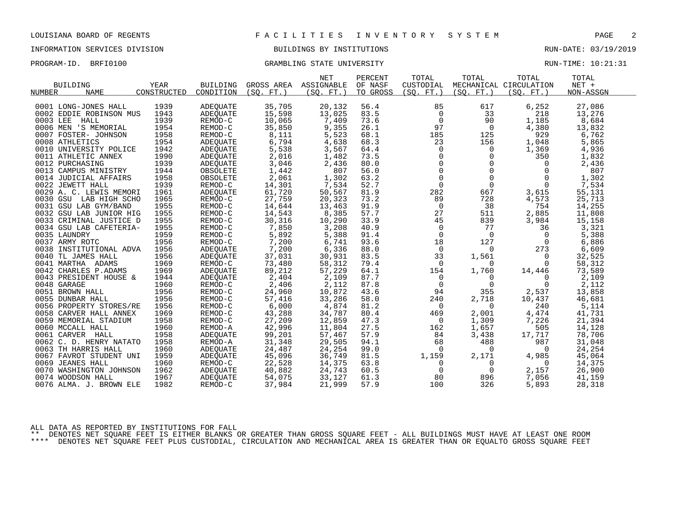# INFORMATION SERVICES DIVISION BUILDINGS BY INSTITUTIONS RUN-DATE: 03/19/2019

### PROGRAM-ID. BRFI0100 CRAMBLING STATE UNIVERSITY STATE UNIVERSITY RUN-TIME: 10:21:31

| <b>BUILDING</b>         | <b>YEAR</b> | <b>BUILDING</b> |           | <b>NET</b><br>GROSS AREA ASSIGNABLE | PERCENT<br>OF NASF | TOTAL<br>CUSTODIAL | TOTAL                                                        | TOTAL<br>MECHANICAL CIRCULATION | TOTAL<br>$NET +$ |  |
|-------------------------|-------------|-----------------|-----------|-------------------------------------|--------------------|--------------------|--------------------------------------------------------------|---------------------------------|------------------|--|
| NUMBER<br><b>NAME</b>   | CONSTRUCTED | CONDITION       | (SO. FT.) | (SO. FT. )                          | TO GROSS           | (SO. FT. )         | (SO. FT. )                                                   | (SO. FT.)                       | NON-ASSGN        |  |
| 0001 LONG-JONES HALL    | 1939        | ADEQUATE        | 35,705    | 20,132                              | 56.4               | 85                 | 617                                                          | 6,252                           | 27,086           |  |
| 0002 EDDIE ROBINSON MUS | 1943        | ADEOUATE        | 15,598    | 13,025                              | 83.5               | 0                  | 33                                                           | 218                             | 13,276           |  |
| 0003 LEE<br>HALL        | 1939        | REMOD-C         | 10,065    | 7,409                               | 73.6               | $\mathbf 0$        | 90                                                           | 1,185                           | 8,684            |  |
| 0006 MEN 'S MEMORIAL    | 1954        | REMOD-C         | 35,850    | 9,355                               | 26.1               | 97                 | $\overline{0}$                                               | 4,380                           | 13,832           |  |
| 0007 FOSTER- JOHNSON    | 1958        | REMOD-C         | 8,111     | 5,523                               | 68.1               | 185                | 125                                                          | 929                             | 6,762            |  |
| 0008 ATHLETICS          | 1954        | ADEQUATE        | 6,794     | 4,638                               | 68.3               | 23                 | 156                                                          | 1,048                           | 5,865            |  |
| 0010 UNIVERSITY POLICE  | 1942        | ADEQUATE        | 5,538     | 3,567                               | 64.4               |                    | $\overline{0}$                                               | 1,369                           | 4,936            |  |
| 0011 ATHLETIC ANNEX     | 1990        | ADEQUATE        | 2,016     | 1,482                               | 73.5               |                    | $\mathbf 0$                                                  | 350                             | 1,832            |  |
| 0012 PURCHASING         | 1939        | ADEQUATE        | 3,046     | 2,436                               | 80.0               |                    | $\Omega$                                                     | $\overline{0}$                  | 2,436            |  |
| 0013 CAMPUS MINISTRY    | 1944        | OBSOLETE        | 1,442     | 807                                 | 56.0               |                    | $\mathbf 0$                                                  | 0                               | 807              |  |
| 0014 JUDICIAL AFFAIRS   | 1958        | OBSOLETE        | 2,061     | 1,302                               | 63.2               |                    | $\begin{bmatrix} 0 \\ 0 \\ 0 \\ 0 \end{bmatrix}$<br>$\Omega$ | $\mathbf 0$                     | 1,302            |  |
| 0022 JEWETT HALL        | 1939        | REMOD-C         | 14,301    | 7,534                               | 52.7               | $\mathbf 0$        | $\Omega$                                                     | 0                               | 7,534            |  |
| 0029 A. C. LEWIS MEMORI | 1961        | ADEOUATE        | 61,720    | 50,567                              | 81.9               | 282                | 667                                                          | 3,615                           | 55,131           |  |
| 0030 GSU LAB HIGH SCHO  | 1965        | REMOD-C         | 27,759    | 20,323                              | 73.2               | 89                 | 728                                                          | 4,573                           | 25,713           |  |
| 0031 GSU LAB GYM/BAND   | 1955        | REMOD-C         | 14,644    | 13,463                              | 91.9               | $\overline{0}$     | 38                                                           | 754                             | 14,255           |  |
| 0032 GSU LAB JUNIOR HIG | 1955        | REMOD-C         | 14,543    | 8,385                               | 57.7               | 27                 | 511                                                          | 2,885                           | 11,808           |  |
| 0033 CRIMINAL JUSTICE D | 1955        | REMOD-C         | 30,316    | 10,290                              | 33.9               | 45                 | 839                                                          | 3,984                           | 15,158           |  |
| 0034 GSU LAB CAFETERIA- | 1955        | REMOD-C         | 7,850     | 3,208                               | 40.9               | $\overline{0}$     | 77                                                           | 36                              | 3,321            |  |
| 0035 LAUNDRY            | 1959        | REMOD-C         | 5,892     | 5,388                               | 91.4               | $\mathbf 0$        | $\overline{0}$                                               | 0                               | 5,388            |  |
| 0037 ARMY ROTC          | 1956        | REMOD-C         | 7,200     | 6,741                               | 93.6               | 18                 | 127                                                          | $\Omega$                        | 6,886            |  |
| 0038 INSTITUTIONAL ADVA | 1956        | ADEQUATE        | 7,200     | 6,336                               | 88.0               | $\overline{0}$     | $\mathbf{0}$                                                 | 273                             | 6,609            |  |
| 0040 TL JAMES HALL      | 1956        | ADEOUATE        | 37,031    | 30,931                              | 83.5               | 33                 | 1,561                                                        | $\overline{0}$                  | 32,525           |  |
| 0041 MARTHA ADAMS       | 1969        | REMOD-C         | 73,480    | 58,312                              | 79.4               | $\overline{0}$     | $\Omega$                                                     | $\overline{0}$                  | 58,312           |  |
| 0042 CHARLES P.ADAMS    | 1969        | ADEOUATE        | 89,212    | 57,229                              | 64.1               | 154                | 1,760                                                        | 14,446                          | 73,589           |  |
| 0043 PRESIDENT HOUSE &  | 1944        | ADEQUATE        | 2,404     | 2,109                               | 87.7               | $\mathbf 0$        | $\Omega$                                                     | $\Omega$                        | 2,109            |  |
| 0048 GARAGE             | 1960        | REMOD-C         | 2,406     | 2,112                               | 87.8               | $\mathbf 0$        | 0                                                            | $\overline{0}$                  | 2,112            |  |
| 0051 BROWN HALL         | 1956        | REMOD-C         | 24,960    | 10,872                              | 43.6               | 94                 | 355                                                          | 2,537                           | 13,858           |  |
| 0055 DUNBAR HALL        | 1956        | REMOD-C         | 57,416    | 33,286                              | 58.0               | 240                | 2,718                                                        | 10,437                          | 46,681           |  |
| 0056 PROPERTY STORES/RE | 1956        | REMOD-C         | 6,000     | 4,874                               | 81.2               | $\mathbf 0$        | $\Omega$                                                     | 240                             | 5,114            |  |
| 0058 CARVER HALL ANNEX  | 1969        | REMOD-C         | 43,288    | 34,787                              | 80.4               | 469                | 2,001                                                        | 4,474                           | 41,731           |  |
| 0059 MEMORIAL STADIUM   | 1958        | REMOD-C         | 27,209    | 12,859                              | 47.3               | 0                  | 1,309                                                        | 7,226                           | 21,394           |  |
| 0060 MCCALL HALL        | 1960        | REMOD-A         | 42,996    | 11,804                              | 27.5               | 162                | 1,657                                                        | 505                             | 14,128           |  |
| 0061 CARVER HALL        | 1958        | ADEQUATE        | 99,201    | 57,467                              | 57.9               | 84                 | 3,438                                                        | 17,717                          | 78,706           |  |
| 0062 C. D. HENRY NATATO | 1958        | REMOD-A         | 31,348    | 29,505                              | 94.1               | 68                 | 488                                                          | 987                             | 31,048           |  |
| 0063 TH HARRIS HALL     | 1960        | ADEQUATE        | 24,487    | 24,254                              | 99.0               | $\Omega$           | $\Omega$                                                     | $\Omega$                        | 24,254           |  |
| 0067 FAVROT STUDENT UNI | 1959        | ADEQUATE        | 45,096    | 36,749                              | 81.5               | 1,159              | 2,171                                                        | 4,985                           | 45,064           |  |
| 0069 JEANES HALL        | 1960        | REMOD-C         | 22,528    | 14,375                              | 63.8               | $\mathbf 0$        | $\overline{0}$                                               | $\overline{0}$                  | 14,375           |  |
| 0070 WASHINGTON JOHNSON | 1962        | ADEQUATE        | 40,882    | 24,743                              | 60.5               | $\overline{0}$     | 0                                                            | 2,157                           | 26,900           |  |
| 0074 WOODSON HALL       | 1967        | ADEOUATE        | 54,075    | 33,127                              | 61.3               | 80                 | 896                                                          | 7,056                           | 41,159           |  |
| 0076 ALMA. J. BROWN ELE | 1982        | REMOD-C         | 37,984    | 21,999                              | 57.9               | 100                | 326                                                          | 5,893                           | 28,318           |  |
|                         |             |                 |           |                                     |                    |                    |                                                              |                                 |                  |  |

ALL DATA AS REPORTED BY INSTITUTIONS FOR FALL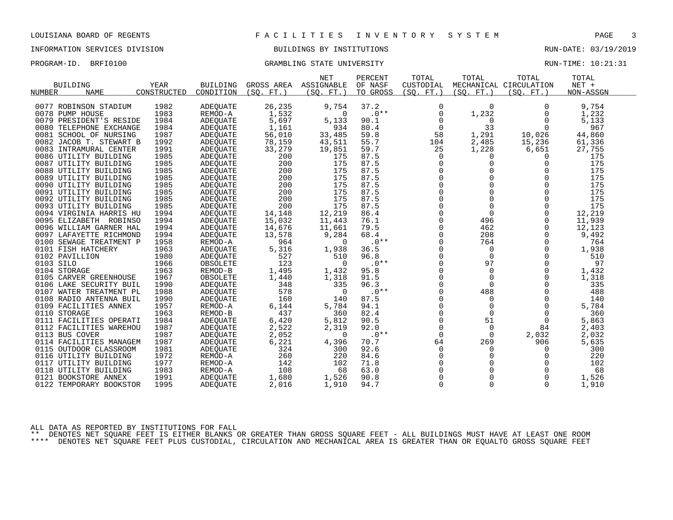# INFORMATION SERVICES DIVISION BUILDINGS BY INSTITUTIONS RUN-DATE: 03/19/2019

# PROGRAM-ID. BRFI0100 CRAMBLING STATE UNIVERSITY STATE UNIVERSITY RUN-TIME: 10:21:31

| NUMBER         | <b>BUILDING</b><br><b>NAME</b> | YEAR<br>CONSTRUCTED | <b>BUILDING</b><br>CONDITION | GROSS AREA ASSIGNABLE<br>(SO. FT. ) | <b>NET</b><br>(SO. FT. ) | PERCENT<br>OF NASF<br>TO GROSS | TOTAL<br>CUSTODIAL<br>(SO. FT.) | TOTAL<br>(SO. FT. ) | TOTAL<br>MECHANICAL CIRCULATION<br>(SO. FT. ) | TOTAL<br>$NET +$<br>NON-ASSGN |  |
|----------------|--------------------------------|---------------------|------------------------------|-------------------------------------|--------------------------|--------------------------------|---------------------------------|---------------------|-----------------------------------------------|-------------------------------|--|
|                | 0077 ROBINSON STADIUM          | 1982                | <b>ADEQUATE</b>              | 26,235                              | 9,754                    | 37.2                           | 0                               | $\Omega$            | 0                                             | 9,754                         |  |
|                | 0078 PUMP HOUSE                | 1983                | REMOD-A                      | 1,532                               | $\Omega$                 | $.0**$                         | $\mathbf 0$                     | 1,232               | 0                                             | 1,232                         |  |
|                | 0079 PRESIDENT'S RESIDE        | 1984                | <b>ADEOUATE</b>              | 5,697                               | 5,133                    | 90.1                           | 0                               | 0                   | 0                                             | 5,133                         |  |
|                | 0080 TELEPHONE EXCHANGE        | 1984                | <b>ADEOUATE</b>              | 1,161                               | 934                      | 80.4                           | 0                               | 33                  | 0                                             | 967                           |  |
|                | 0081 SCHOOL OF NURSING         | 1987                | <b>ADEQUATE</b>              | 56,010                              | 33,485                   | 59.8                           | 58                              | 1,291               | 10,026                                        | 44,860                        |  |
|                | 0082 JACOB T. STEWART B        | 1992                | <b>ADEOUATE</b>              | 78,159                              | 43,511                   | 55.7                           | 104                             | 2,485               | 15,236                                        | 61,336                        |  |
|                | 0083 INTRAMURAL CENTER         | 1991                | <b>ADEOUATE</b>              | 33,279                              | 19,851                   | 59.7                           | 25                              | 1,228               | 6,651                                         | 27,755                        |  |
|                | 0086 UTILITY BUILDING          | 1985                | <b>ADEQUATE</b>              | 200                                 | 175                      | 87.5                           | $\mathbf 0$                     | 0                   | $\Omega$                                      | 175                           |  |
|                | 0087 UTILITY BUILDING          | 1985                | ADEOUATE                     | 200                                 | 175                      | 87.5                           | 0                               | 0                   | 0                                             | 175                           |  |
|                | 0088 UTILITY BUILDING          | 1985                | ADEQUATE                     | 200                                 | 175                      | 87.5                           | $\Omega$                        | $\Omega$            | $\Omega$                                      | 175                           |  |
|                | 0089 UTILITY BUILDING          | 1985                | ADEQUATE                     | 200                                 | 175                      | 87.5                           | 0                               |                     | $\Omega$                                      | 175                           |  |
|                | 0090 UTILITY BUILDING          | 1985                | ADEOUATE                     | 200                                 | 175                      | 87.5                           | 0                               |                     | $\mathbf 0$                                   | 175                           |  |
|                | 0091 UTILITY BUILDING          | 1985                | ADEQUATE                     | 200                                 | 175                      | 87.5                           | $\Omega$                        | $\Omega$            | $\Omega$                                      | 175                           |  |
|                | 0092 UTILITY BUILDING          | 1985                | <b>ADEOUATE</b>              | 200                                 | 175                      | 87.5                           | 0                               | $\Omega$            | $\Omega$                                      | 175                           |  |
|                | 0093 UTILITY BUILDING          | 1985                | ADEOUATE                     | 200                                 | 175                      | 87.5                           | 0                               | $\mathbf 0$         | 0                                             | 175                           |  |
|                | 0094 VIRGINIA HARRIS HU        | 1994                | <b>ADEQUATE</b>              | 14,148                              | 12,219                   | 86.4                           | $\Omega$                        | $\Omega$            | $\Omega$                                      | 12,219                        |  |
|                | 0095 ELIZABETH ROBINSO         | 1994                | ADEOUATE                     | 15,032                              | 11,443                   | 76.1                           | 0                               | 496                 | 0                                             | 11,939                        |  |
|                | 0096 WILLIAM GARNER HAL        | 1994                | <b>ADEQUATE</b>              | 14,676                              | 11,661                   | 79.5                           | 0                               | 462                 | $\Omega$                                      | 12,123                        |  |
|                | 0097 LAFAYETTE RICHMOND        | 1994                | <b>ADEQUATE</b>              | 13,578                              | 9,284                    | 68.4                           | $\Omega$                        | 208                 | $\Omega$                                      | 9,492                         |  |
|                | 0100 SEWAGE TREATMENT P        | 1958                | REMOD-A                      | 964                                 | 0                        | $.0**$                         | $\mathbf 0$                     | 764                 | 0                                             | 764                           |  |
|                | 0101 FISH HATCHERY             | 1963                | <b>ADEQUATE</b>              | 5,316                               | 1,938                    | 36.5                           | 0                               | $\Omega$            | $\Omega$                                      | 1,938                         |  |
| 0102 PAVILLION |                                | 1980                | <b>ADEQUATE</b>              | 527                                 | 510                      | 96.8                           | $\Omega$                        | $\Omega$            | $\Omega$                                      | 510                           |  |
| 0103 SILO      |                                | 1966                | OBSOLETE                     | 123                                 | $\overline{0}$           | $.0**$                         | $\mathbf 0$                     | 97                  | 0                                             | 97                            |  |
| 0104 STORAGE   |                                | 1963                | REMOD-B                      | 1,495                               | 1,432                    | 95.8                           | 0                               | $\mathbf 0$         | 0                                             | 1,432                         |  |
|                | 0105 CARVER GREENHOUSE         | 1967                | OBSOLETE                     | 1,440                               | 1,318                    | 91.5                           | $\Omega$                        | $\Omega$            | $\Omega$                                      | 1,318                         |  |
|                | 0106 LAKE SECURITY BUIL        | 1990                | ADEQUATE                     | 348                                 | 335                      | 96.3                           | $\Omega$                        | $\Omega$            | $\Omega$                                      | 335                           |  |
|                | 0107 WATER TREATMENT PL        | 1988                | ADEQUATE                     | 578                                 | $\Omega$                 | $.0**$                         | 0                               | 488                 | 0                                             | 488                           |  |
|                | 0108 RADIO ANTENNA BUIL        | 1990                | ADEQUATE                     | 160                                 | 140                      | 87.5                           | 0                               | 0                   | $\Omega$                                      | 140                           |  |
|                | 0109 FACILITIES ANNEX          | 1957                | REMOD-A                      | 6,144                               | 5,784                    | 94.1                           | $\Omega$                        | $\Omega$            | $\Omega$                                      | 5,784                         |  |
| 0110 STORAGE   |                                | 1963                | REMOD-B                      | 437                                 | 360                      | 82.4                           | 0                               | $\Omega$            | $\Omega$                                      | 360                           |  |
|                | 0111 FACILITIES OPERATI        | 1984                | ADEQUATE                     | 6,420                               | 5,812                    | 90.5                           | $\mathbf 0$                     | 51                  | 0                                             | 5,863                         |  |
|                | 0112 FACILITIES WAREHOU        | 1987                | <b>ADEOUATE</b>              | 2,522                               | 2,319                    | 92.0                           | $\mathbf 0$                     | 0                   | 84                                            | 2,403                         |  |
| 0113 BUS COVER |                                | 1987                | <b>ADEQUATE</b>              | 2,052                               | $\Omega$                 | $.0**$                         | $\Omega$                        | $\Omega$            | 2,032                                         | 2,032                         |  |
|                | 0114 FACILITIES MANAGEM        | 1987                | ADEOUATE                     | 6,221                               | 4,396                    | 70.7                           | 64                              | 269                 | 906                                           | 5,635                         |  |
|                | 0115 OUTDOOR CLASSROOM         | 1981                | <b>ADEQUATE</b>              | 324                                 | 300                      | 92.6                           | 0                               | 0                   | 0                                             | 300                           |  |
|                | 0116 UTILITY BUILDING          | 1972                | REMOD-A                      | 260                                 | 220                      | 84.6                           | 0                               | 0                   | 0                                             | 220                           |  |
|                | 0117 UTILITY BUILDING          | 1977                | REMOD-A                      | 142                                 | 102                      | 71.8                           |                                 |                     | 0                                             | 102                           |  |
|                | 0118 UTILITY BUILDING          | 1983                | REMOD-A                      | 108                                 | 68                       | 63.0                           | $\Omega$                        |                     | $\Omega$                                      | 68                            |  |
|                | 0121 BOOKSTORE ANNEX           | 1991                | <b>ADEQUATE</b>              | 1,680                               | 1,526                    | 90.8                           | $\Omega$                        | $\Omega$            | $\Omega$                                      | 1,526                         |  |
| 0122           | TEMPORARY BOOKSTOR             | 1995                | <b>ADEOUATE</b>              | 2,016                               | 1,910                    | 94.7                           | $\mathbf 0$                     | $\Omega$            | $\Omega$                                      | 1,910                         |  |
|                |                                |                     |                              |                                     |                          |                                |                                 |                     |                                               |                               |  |

ALL DATA AS REPORTED BY INSTITUTIONS FOR FALL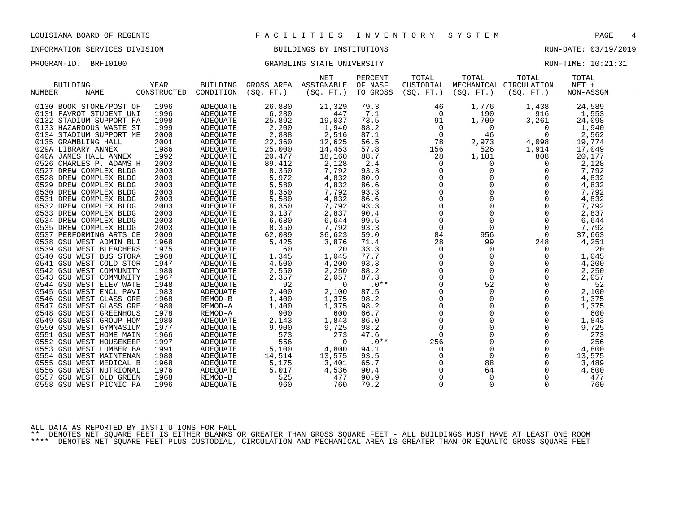# INFORMATION SERVICES DIVISION **EXECUTAS BUILDINGS BY INSTITUTIONS RUN-DATE: 03/19/2019**

PROGRAM-ID. BRFI0100 CRAMBLING STATE UNIVERSITY STATE UNIVERSITY RUN-TIME: 10:21:31

|                         |             |                 |            | <b>NET</b> | PERCENT  | TOTAL       | TOTAL       | TOTAL                  | TOTAL     |  |
|-------------------------|-------------|-----------------|------------|------------|----------|-------------|-------------|------------------------|-----------|--|
| <b>BUILDING</b>         | YEAR        | <b>BUILDING</b> | GROSS AREA | ASSIGNABLE | OF NASF  | CUSTODIAL   |             | MECHANICAL CIRCULATION | $NET +$   |  |
| <b>NAME</b><br>NUMBER   | CONSTRUCTED | CONDITION       | (SO. FT. ) | (SO. FT.   | TO GROSS | (SO. FT. )  | (SO. FT. )  | (SO. FT. )             | NON-ASSGN |  |
|                         |             |                 |            |            |          |             |             |                        |           |  |
| 0130 BOOK STORE/POST OF | 1996        | ADEQUATE        | 26,880     | 21,329     | 79.3     | 46          | 1,776       | 1,438                  | 24,589    |  |
| 0131 FAVROT STUDENT UNI | 1996        | <b>ADEQUATE</b> | 6,280      | 447        | 7.1      | $\Omega$    | 190         | 916                    | 1,553     |  |
| 0132 STADIUM SUPPORT FA | 1998        | ADEQUATE        | 25,892     | 19,037     | 73.5     | 91          | 1,709       | 3,261                  | 24,098    |  |
| 0133 HAZARDOUS WASTE ST | 1999        | ADEQUATE        | 2,200      | 1,940      | 88.2     | $\Omega$    | 0           | $\Omega$               | 1,940     |  |
| 0134 STADIUM SUPPORT ME | 2000        | ADEQUATE        | 2,888      | 2,516      | 87.1     | $\Omega$    | 46          | $\Omega$               | 2,562     |  |
| 0135 GRAMBLING HALL     | 2001        | ADEQUATE        | 22,360     | 12,625     | 56.5     | 78          | 2,973       | 4,098                  | 19,774    |  |
| 029A LIBRARY ANNEX      | 1986        | ADEQUATE        | 25,000     | 14,453     | 57.8     | 156         | 526         | 1,914                  | 17,049    |  |
| 040A JAMES HALL ANNEX   | 1992        | <b>ADEOUATE</b> | 20,477     | 18,160     | 88.7     | 28          | 1,181       | 808                    | 20,177    |  |
| 0526 CHARLES P. ADAMS H | 2003        | ADEQUATE        | 89,412     | 2,128      | 2.4      | 0           | 0           | 0                      | 2,128     |  |
| 0527 DREW COMPLEX BLDG  | 2003        | ADEOUATE        | 8,350      | 7,792      | 93.3     | $\Omega$    | $\Omega$    | $\Omega$               | 7,792     |  |
| 0528 DREW COMPLEX BLDG  | 2003        | <b>ADEQUATE</b> | 5,972      | 4,832      | 80.9     | $\Omega$    | 0           | $\Omega$               | 4,832     |  |
| 0529 DREW COMPLEX BLDG  | 2003        | <b>ADEQUATE</b> | 5,580      | 4,832      | 86.6     | $\Omega$    | $\Omega$    | $\Omega$               | 4,832     |  |
| 0530 DREW COMPLEX BLDG  | 2003        | <b>ADEQUATE</b> | 8,350      | 7,792      | 93.3     | 0           | 0           | $\Omega$               | 7,792     |  |
| 0531 DREW COMPLEX BLDG  | 2003        | <b>ADEQUATE</b> | 5,580      | 4,832      | 86.6     | $\Omega$    | $\Omega$    | $\Omega$               | 4,832     |  |
| 0532 DREW COMPLEX BLDG  | 2003        | ADEOUATE        | 8,350      | 7,792      | 93.3     | $\Omega$    | $\Omega$    | $\Omega$               | 7,792     |  |
| 0533 DREW COMPLEX BLDG  | 2003        | ADEQUATE        | 3,137      | 2,837      | 90.4     | $\Omega$    | $\Omega$    | $\Omega$               | 2,837     |  |
| 0534 DREW COMPLEX BLDG  | 2003        | ADEQUATE        | 6,680      | 6,644      | 99.5     | $\Omega$    | $\Omega$    | $\Omega$               | 6,644     |  |
| 0535 DREW COMPLEX BLDG  | 2003        | ADEQUATE        | 8,350      | 7,792      | 93.3     | $\mathbf 0$ | $\mathbf 0$ | $\Omega$               | 7,792     |  |
| 0537 PERFORMING ARTS CE | 2009        | ADEOUATE        | 62,089     | 36,623     | 59.0     | 84          | 956         | $\Omega$               | 37,663    |  |
| 0538 GSU WEST ADMIN BUI | 1968        | ADEOUATE        | 5,425      | 3,876      | 71.4     | 28          | 99          | 248                    | 4,251     |  |
| 0539 GSU WEST BLEACHERS | 1975        | ADEQUATE        | 60         | 20         | 33.3     | $\Omega$    | 0           | $\Omega$               | 20        |  |
| 0540 GSU WEST BUS STORA | 1968        | <b>ADEOUATE</b> | 1,345      | 1,045      | 77.7     | $\Omega$    | $\Omega$    | $\Omega$               | 1,045     |  |
| 0541 GSU WEST COLD STOR | 1947        | ADEQUATE        | 4,500      | 4,200      | 93.3     | 0           | 0           | 0                      | 4,200     |  |
| 0542 GSU WEST COMMUNITY | 1980        | ADEQUATE        | 2,550      | 2,250      | 88.2     | $\Omega$    | $\Omega$    | $\Omega$               | 2,250     |  |
| 0543 GSU WEST COMMUNITY | 1967        | ADEQUATE        | 2,357      | 2,057      | 87.3     | $\Omega$    | $\Omega$    | $\Omega$               | 2,057     |  |
| 0544 GSU WEST ELEV WATE | 1948        | ADEQUATE        | 92         | $\Omega$   | $.0**$   | $\Omega$    | 52          | $\Omega$               | 52        |  |
| 0545 GSU WEST ENCL PAVI | 1983        | ADEQUATE        | 2,400      | 2,100      | 87.5     | 0           | $\mathbf 0$ |                        | 2,100     |  |
| 0546 GSU WEST GLASS GRE | 1968        | REMOD-B         | 1,400      | 1,375      | 98.2     | $\Omega$    | 0           | 0                      | 1,375     |  |
| 0547 GSU WEST GLASS GRE | 1980        | REMOD-A         | 1,400      | 1,375      | 98.2     | $\Omega$    | $\Omega$    | $\Omega$               | 1,375     |  |
| 0548 GSU WEST GREENHOUS | 1978        | REMOD-A         | 900        | 600        | 66.7     | 0           | $\mathbf 0$ | 0                      | 600       |  |
| 0549 GSU WEST GROUP HOM | 1980        | <b>ADEQUATE</b> | 2,143      | 1,843      | 86.0     | 0           | 0           | 0                      | 1,843     |  |
| 0550 GSU WEST GYMNASIUM | 1977        | <b>ADEOUATE</b> | 9,900      | 9,725      | 98.2     | $\mathbf 0$ | $\Omega$    | $\Omega$               | 9,725     |  |
| 0551 GSU WEST HOME MAIN | 1966        | ADEOUATE        | 573        | 273        | 47.6     | $\Omega$    | $\mathbf 0$ | 0                      | 273       |  |
| 0552 GSU WEST HOUSEKEEP | 1997        | <b>ADEOUATE</b> | 556        | $\cap$     | $.0**$   | 256         | $\mathbf 0$ | $\Omega$               | 256       |  |
| 0553 GSU WEST LUMBER BA | 1991        | ADEQUATE        | 5,100      | 4,800      | 94.1     | $\Omega$    | $\Omega$    | $\Omega$               | 4,800     |  |
| 0554 GSU WEST MAINTENAN | 1980        | ADEQUATE        | 14,514     | 13,575     | 93.5     | $\Omega$    | $\Omega$    | $\Omega$               | 13,575    |  |
| 0555 GSU WEST MEDICAL B | 1968        | <b>ADEQUATE</b> | 5,175      | 3,401      | 65.7     | $\Omega$    | 88          | 0                      | 3,489     |  |
| 0556 GSU WEST NUTRIONAL | 1976        | ADEQUATE        | 5,017      | 4,536      | 90.4     | $\Omega$    | 64          | $\Omega$               | 4,600     |  |
| 0557 GSU WEST OLD GREEN | 1968        | REMOD-B         | 525        | 477        | 90.9     | $\Omega$    | $\Omega$    | $\Omega$               | 477       |  |
|                         | 1996        |                 | 960        | 760        | 79.2     | $\Omega$    | $\Omega$    | $\Omega$               | 760       |  |
| 0558 GSU WEST PICNIC PA |             | <b>ADEQUATE</b> |            |            |          |             |             |                        |           |  |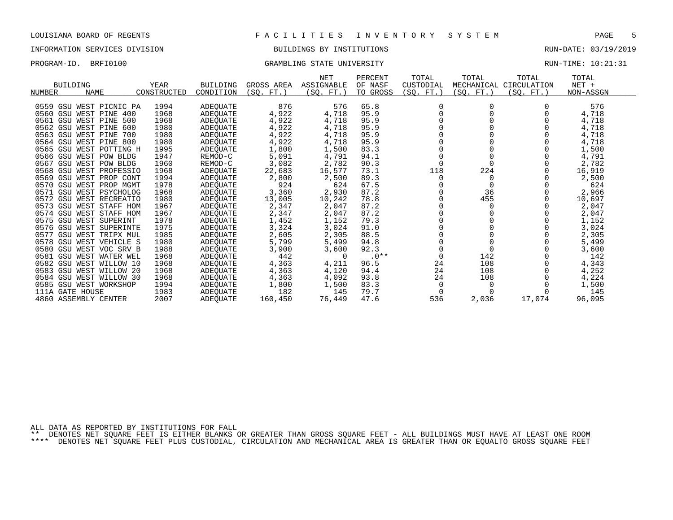### INFORMATION SERVICES DIVISION BUILDINGS BY INSTITUTIONS RUN-DATE: 03/19/2019

### PROGRAM-ID. BRFI0100 CRAMBLING STATE UNIVERSITY STATE UNIVERSITY RUN-TIME: 10:21:31

|                            |             |                 |            | NET        | PERCENT  | TOTAL     | TOTAL     | TOTAL                  | TOTAL     |  |
|----------------------------|-------------|-----------------|------------|------------|----------|-----------|-----------|------------------------|-----------|--|
| <b>BUILDING</b>            | YEAR        | <b>BUILDING</b> | GROSS AREA | ASSIGNABLE | OF NASF  | CUSTODIAL |           | MECHANICAL CIRCULATION | $NET +$   |  |
| NUMBER<br><b>NAME</b>      | CONSTRUCTED | CONDITION       | (SQ. FT.)  | (SQ. FT.)  | TO GROSS | (SQ. FT.) | (SQ. FT.) | (SQ. FT.)              | NON-ASSGN |  |
|                            |             |                 |            |            |          |           |           |                        |           |  |
| 0559 GSU WEST PICNIC PA    | 1994        | ADEQUATE        | 876        | 576        | 65.8     |           |           |                        | 576       |  |
| 0560<br>GSU WEST PINE 400  | 1968        | ADEQUATE        | 4,922      | 4,718      | 95.9     |           |           |                        | 4,718     |  |
| 0561 GSU WEST PINE 500     | 1968        | ADEQUATE        | 4,922      | 4,718      | 95.9     |           |           |                        | 4,718     |  |
| 0562 GSU WEST PINE<br>600  | 1980        | ADEOUATE        | 4,922      | 4,718      | 95.9     |           |           |                        | 4,718     |  |
| 0563 GSU WEST PINE<br>700  | 1980        | ADEOUATE        | 4,922      | 4,718      | 95.9     |           |           |                        | 4,718     |  |
| 0564 GSU WEST PINE 800     | 1980        | ADEQUATE        | 4,922      | 4,718      | 95.9     |           |           |                        | 4,718     |  |
| 0565<br>GSU WEST POTTING H | 1995        | ADEOUATE        | 1,800      | 1,500      | 83.3     |           |           |                        | 1,500     |  |
| 0566 GSU WEST POW BLDG     | 1947        | REMOD-C         | 5,091      | 4,791      | 94.1     |           |           |                        | 4,791     |  |
| 0567<br>GSU WEST POW BLDG  | 1960        | REMOD-C         | 3,082      | 2,782      | 90.3     | $\Omega$  |           |                        | 2,782     |  |
| 0568 GSU WEST PROFESSIO    | 1968        | ADEOUATE        | 22,683     | 16,577     | 73.1     | 118       | 224       |                        | 16,919    |  |
| 0569<br>GSU WEST PROP CONT | 1994        | ADEQUATE        | 2,800      | 2,500      | 89.3     | $\Omega$  | $\Omega$  |                        | 2,500     |  |
| 0570<br>GSU WEST PROP MGMT | 1978        | ADEOUATE        | 924        | 624        | 67.5     |           |           |                        | 624       |  |
| 0571<br>GSU WEST PSYCHOLOG | 1968        | ADEOUATE        | 3,360      | 2,930      | 87.2     |           | 36        |                        | 2,966     |  |
| 0572 GSU WEST RECREATIO    | 1980        | ADEQUATE        | 13,005     | 10,242     | 78.8     |           | 455       |                        | 10,697    |  |
| 0573 GSU WEST STAFF HOM    | 1967        | ADEOUATE        | 2,347      | 2,047      | 87.2     |           |           |                        | 2,047     |  |
| 0574 GSU WEST STAFF HOM    | 1967        | ADEQUATE        | 2,347      | 2,047      | 87.2     |           |           |                        | 2,047     |  |
| 0575 GSU WEST SUPERINT     | 1978        | ADEQUATE        | 1,452      | 1,152      | 79.3     |           |           |                        | 1,152     |  |
| 0576 GSU WEST SUPERINTE    | 1975        | ADEOUATE        | 3,324      | 3,024      | 91.0     |           |           |                        | 3,024     |  |
| GSU WEST TRIPX MUL<br>0577 | 1985        | ADEOUATE        | 2,605      | 2,305      | 88.5     |           |           |                        | 2,305     |  |
| 0578 GSU WEST VEHICLE S    | 1980        | ADEQUATE        | 5,799      | 5,499      | 94.8     |           |           |                        | 5,499     |  |
| GSU WEST VOC SRV B<br>0580 | 1988        | ADEQUATE        | 3,900      | 3,600      | 92.3     |           |           |                        | 3,600     |  |
| 0581<br>GSU WEST WATER WEL | 1968        | ADEOUATE        | 442        | $\Omega$   | $.0**$   |           | 142       |                        | 142       |  |
| 0582 GSU WEST WILLOW 10    | 1968        | ADEQUATE        | 4,363      | 4,211      | 96.5     | 24        | 108       |                        | 4,343     |  |
| 0583 GSU WEST WILLOW 20    | 1968        | ADEOUATE        | 4,363      | 4,120      | 94.4     | 24        | 108       |                        | 4,252     |  |
| 0584 GSU WEST WILLOW 30    | 1968        | ADEQUATE        | 4,363      | 4,092      | 93.8     | 24        | 108       |                        | 4,224     |  |
| 0585<br>GSU WEST WORKSHOP  | 1994        | ADEQUATE        | 1,800      | 1,500      | 83.3     | 0         |           |                        | 1,500     |  |
| 111A GATE HOUSE            | 1983        | ADEQUATE        | 182        | 145        | 79.7     |           |           |                        | 145       |  |
| 4860 ASSEMBLY CENTER       | 2007        | ADEOUATE        | 160,450    | 76,449     | 47.6     | 536       | 2,036     | 17,074                 | 96,095    |  |

ALL DATA AS REPORTED BY INSTITUTIONS FOR FALL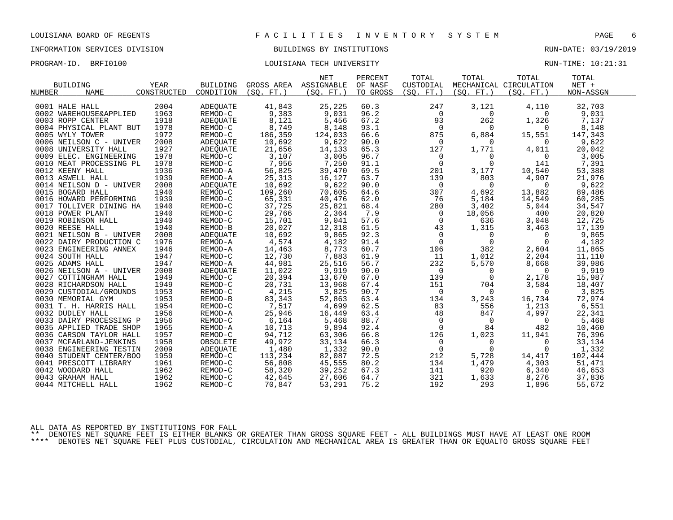# INFORMATION SERVICES DIVISION BUILDINGS BY INSTITUTIONS AND RUN-DATE: 03/19/2019

# PROGRAM-ID. BRFI0100 COULSIANA TECH UNIVERSITY COULSIANA TECH UNIVERSITY

| <b>BUILDING</b><br><b>NAME</b><br>NUMBER | <b>YEAR</b><br>CONSTRUCTED | <b>BUILDING</b><br>CONDITION | (SO, FT.)                                                | <b>NET</b><br>GROSS AREA ASSIGNABLE<br>(SO. FT. ) | PERCENT<br>OF NASF<br>TO GROSS | TOTAL<br>CUSTODIAL<br>(SO. FT. ) | TOTAL<br>(SO. FT. )                        | TOTAL<br>MECHANICAL CIRCULATION<br>(SO. FT. ) | TOTAL<br>$NET +$<br>NON-ASSGN |
|------------------------------------------|----------------------------|------------------------------|----------------------------------------------------------|---------------------------------------------------|--------------------------------|----------------------------------|--------------------------------------------|-----------------------------------------------|-------------------------------|
| 0001 HALE HALL<br>0002 WAREHOUSE&APPLIED | 2004<br>1963               | ADEQUATE<br>REMOD-C          | 41,843<br>9,383                                          | 25,225<br>9,031                                   | 60.3<br>96.2                   | 247<br>$\mathbf 0$               | 3,121<br>$\Omega$                          | 4,110<br>$\Omega$                             | 32,703<br>9,031               |
| 0003 ROPP CENTER                         | 1918                       | ADEQUATE                     | 8,121                                                    | 5,456                                             | 67.2                           | 93                               | 262                                        | 1,326                                         | 7,137                         |
| 0004 PHYSICAL PLANT BUT                  | 1978                       | REMOD-C                      | 8,749                                                    | 8,148                                             | 93.1                           | $\overline{0}$                   | $\mathbf 0$                                | $\Omega$                                      | 8,148                         |
| 0005 WYLY TOWER                          | 1972                       | REMOD-C                      | 186,359                                                  | 124,033                                           | 66.6                           | 875                              | 6,884                                      | 15,551                                        | 147,343                       |
| 0006 NEILSON C - UNIVER                  | 2008                       | ADEQUATE                     | 10,692                                                   | 9,622                                             | 90.0                           | $\overline{0}$                   | $\Omega$                                   | $\Omega$                                      | 9,622                         |
| 0008 UNIVERSITY HALL                     | 1927                       | ADEQUATE                     | 21,656                                                   | 14,133                                            | 65.3                           | 127                              | 1,771                                      | 4,011                                         | 20,042                        |
| 0009 ELEC. ENGINEERING                   | 1978                       | REMOD-C                      | 3,107                                                    | 3,005                                             | 96.7                           | $\overline{0}$                   | 0                                          | 0                                             | 3,005                         |
| 0010 MEAT PROCESSING PL                  | 1978                       | REMOD-C                      | 7,956                                                    | 7,250                                             | 91.1                           | $\mathsf{O}$                     | $\Omega$                                   | 141                                           | 7,391                         |
| 0012 KEENY HALL                          | 1936                       | REMOD-A                      | 56,825                                                   | 39,470                                            | 69.5                           | 201                              | 3,177                                      | 10,540                                        | 53,388                        |
| 0013 ASWELL HALL                         | 1939                       | REMOD-A                      | 25,313                                                   | 16,127                                            | 63.7                           | 139                              | 803                                        | 4,907                                         | 21,976                        |
| 0014 NEILSON D - UNIVER                  | 2008                       | ADEQUATE                     | 10,692                                                   | 9,622                                             | 90.0                           | $\overline{0}$                   | $\overline{0}$                             | $\overline{\phantom{0}}$                      | 9,622                         |
| 0015 BOGARD HALL                         | 1940                       | REMOD-C                      | 109,260                                                  | 70,605                                            | 64.6                           | 307                              | 4,692                                      | 13,882                                        | 89,486                        |
| 0016 HOWARD PERFORMING                   | 1939                       | REMOD-C                      | 65,331                                                   | 40,476                                            | 62.0                           | 76                               | 5,184                                      | 14,549                                        | 60,285                        |
| 0017 TOLLIVER DINING HA                  | 1940                       | REMOD-C                      | 37,725                                                   | 25,821                                            | 68.4                           | 280                              | 3,402                                      | 5,044                                         | 34,547                        |
| 0018 POWER PLANT                         | 1940                       | REMOD-C                      | 29,766                                                   | 2,364                                             | 7.9                            | $\overline{0}$                   | 18,056                                     | 400                                           | 20,820                        |
| 0019 ROBINSON HALL                       | 1940                       | REMOD-C                      | 15,701                                                   | 9,041                                             | 57.6                           | $\mathsf{O}$                     | 636                                        | 3,048                                         | 12,725                        |
| 0020 REESE HALL                          | 1940                       | REMOD-B                      | 20,027                                                   | 12,318                                            | 61.5                           | 43                               | 1,315                                      | 3,463                                         | 17,139                        |
| 0021 NEILSON B - UNIVER                  | 2008                       | ADEQUATE                     | 10,692                                                   | 9,865                                             | 92.3                           |                                  | $\overline{0}$<br>$\overline{\phantom{0}}$ | $\Omega$                                      | 9,865                         |
| 0022 DAIRY PRODUCTION C                  | 1976                       | REMOD-A                      | 4,574                                                    | 4,182                                             | 91.4                           | $\mathbb O$                      | $\overline{0}$                             | $\mathbf 0$                                   | 4,182                         |
| 0023 ENGINEERING ANNEX                   | 1946                       | REMOD-A                      | 14,463                                                   | 8,773                                             | 60.7                           | 106                              | 382                                        | 2,604                                         | 11,865                        |
| 0024 SOUTH HALL                          | 1947                       | REMOD-C                      | 12,730                                                   | 7,883                                             | 61.9                           | 11                               | 1,012                                      | 2,204                                         | 11,110                        |
| 0025 ADAMS HALL                          | 1947                       | REMOD-A                      | 44,981                                                   | 25,516                                            | 56.7                           | 232                              | 5,570                                      | 8,668                                         | 39,986                        |
| 0026 NEILSON A - UNIVER                  | 2008                       | ADEQUATE                     | 11,022                                                   | 9,919                                             | 90.0                           | $\overline{0}$                   | $\overline{0}$                             | $\overline{0}$                                | 9,919                         |
| 0027 COTTINGHAM HALL                     | 1949                       | REMOD-C                      | 20,394                                                   | 13,670                                            | 67.0                           | 139                              | $\Omega$                                   | 2,178                                         | 15,987                        |
| 0028 RICHARDSON HALL                     | 1949                       | REMOD-C                      |                                                          | 13,968                                            | 67.4                           | 151                              | 704                                        | 3,584                                         | 18,407                        |
| 0029 CUSTODIAL/GROUNDS                   | 1953                       | REMOD-C                      | 20,394<br>20,731<br>4,215                                | 3,825                                             | 90.7                           | $\overline{0}$                   | $\overline{0}$                             | $\overline{0}$                                | 3,825                         |
| 0030 MEMORIAL GYM                        | 1953                       | REMOD-B                      | 83,343                                                   | 52,863                                            | 63.4                           | 134                              | 3,243                                      | 16,734                                        | 72,974                        |
| 0031 T. H. HARRIS HALL                   | 1954                       | REMOD-C                      | 7,517                                                    | 4,699                                             | 62.5                           | 83                               | 556                                        | 1,213                                         | 6,551                         |
| 0032 DUDLEY HALL                         | 1956                       | REMOD-A                      | 25,946                                                   | 16,449                                            | 63.4                           | 48                               | 847                                        | 4,997                                         | 22,341                        |
| 0033 DAIRY PROCESSING P                  | 1956                       | REMOD-C                      | $\begin{array}{r} 6,164 \\ 10,713 \\ 94,712 \end{array}$ | 5,468                                             | 88.7                           | $\overline{0}$                   | $\overline{0}$                             | $\overline{0}$                                | 5,468                         |
| 0035 APPLIED TRADE SHOP                  | 1965                       | REMOD-A                      |                                                          | 9,894                                             | 92.4                           | 0                                | 84                                         | 482                                           | 10,460                        |
| 0036 CARSON TAYLOR HALL                  | 1957                       | REMOD-C                      | 94,712                                                   | 63,306                                            | 66.8                           | 126                              | 1,023                                      | 11,941                                        | 76,396                        |
| 0037 MCFARLAND-JENKINS                   | 1958                       | OBSOLETE                     | 49,972                                                   | 33,134                                            | 66.3                           | $\overline{0}$                   | $\Omega$                                   | $\Omega$                                      | 33,134                        |
| 0038 ENGINEERING TESTIN                  | 2009                       | ADEQUATE                     | 1,480                                                    | 1,332                                             | 90.0                           | $\mathbf 0$                      | $\mathbf 0$                                | $\overline{0}$                                | 1,332                         |
| 0040 STUDENT CENTER/BOO                  | 1959                       | REMOD-C                      | 113,234                                                  | 82,087                                            | 72.5                           | 212                              | 5,728                                      | 14,417                                        | 102,444                       |
| 0041 PRESCOTT LIBRARY                    | 1961                       | REMOD-C                      | 56,808                                                   | 45,555                                            | 80.2                           | 134                              | 1,479                                      | 4,303                                         | 51,471                        |
| 0042 WOODARD HALL                        | 1962                       | REMOD-C                      | 58,320                                                   | 39,252                                            | 67.3                           | 141                              | 920                                        | 6,340                                         | 46,653                        |
| 0043 GRAHAM HALL                         | 1962                       | REMOD-C                      | 42,645                                                   | 27,606                                            | 64.7                           | 321                              | 1,633                                      | 8,276                                         | 37,836                        |
| 0044 MITCHELL HALL                       | 1962                       | REMOD-C                      | 70,847                                                   | 53,291                                            | 75.2                           | 192                              | 293                                        | 1,896                                         | 55,672                        |

ALL DATA AS REPORTED BY INSTITUTIONS FOR FALL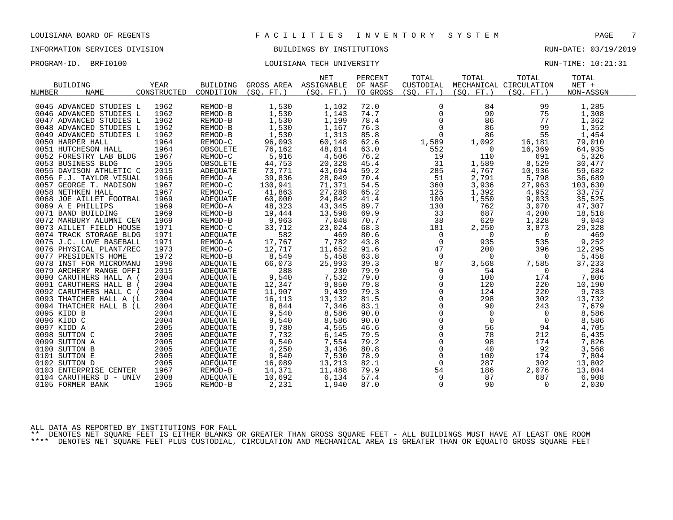# INFORMATION SERVICES DIVISION BUILDINGS BY INSTITUTIONS AND RUN-DATE: 03/19/2019

PROGRAM-ID. BRFI0100 LOUISIANA TECH UNIVERSITY RUN-TIME: 10:21:31

| <b>BUILDING</b><br>NUMBER<br><b>NAME</b> | <b>YEAR</b><br>CONSTRUCTED | <b>BUILDING</b><br>CONDITION | (SO. FT.) | <b>NET</b><br>GROSS AREA ASSIGNABLE<br>(SO. FT.) | PERCENT<br>OF NASF<br>TO GROSS | TOTAL<br>CUSTODIAL<br>(SO. FT. ) | TOTAL<br>(SO. FT. ) | TOTAL<br>MECHANICAL CIRCULATION<br>(SO. FT. ) | TOTAL<br>$NET +$<br>NON-ASSGN |  |
|------------------------------------------|----------------------------|------------------------------|-----------|--------------------------------------------------|--------------------------------|----------------------------------|---------------------|-----------------------------------------------|-------------------------------|--|
|                                          |                            |                              |           |                                                  |                                |                                  |                     |                                               |                               |  |
| 0045 ADVANCED STUDIES L                  | 1962                       | REMOD-B                      | 1,530     | 1,102                                            | 72.0                           | 0                                | 84                  | 99                                            | 1,285                         |  |
| 0046 ADVANCED STUDIES L                  | 1962                       | REMOD-B                      | 1,530     | 1,143                                            | 74.7                           | 0                                | 90                  | 75                                            | 1,308                         |  |
| 0047 ADVANCED STUDIES L                  | 1962                       | REMOD-B                      | 1,530     | 1,199                                            | 78.4                           | 0                                | 86                  | 77                                            | 1,362                         |  |
| 0048 ADVANCED STUDIES L                  | 1962                       | REMOD-B                      | 1,530     | 1,167                                            | 76.3                           | $\overline{0}$                   | 86                  | 99                                            | 1,352                         |  |
| 0049 ADVANCED STUDIES L                  | 1962                       | REMOD-B                      | 1,530     | 1,313                                            | 85.8                           | $\mathbf 0$                      | 86                  | 55                                            | 1,454                         |  |
| 0050 HARPER HALL                         | 1964                       | REMOD-C                      | 96,093    | 60,148                                           | 62.6                           | 1,589                            | 1,092               | 16,181                                        | 79,010                        |  |
| 0051 HUTCHESON HALL                      | 1964                       | OBSOLETE                     | 76,162    | 48,014                                           | 63.0                           | 552                              | $\Omega$            | 16,369                                        | 64,935                        |  |
| 0052 FORESTRY LAB BLDG                   | 1967                       | REMOD-C                      | 5,916     | 4,506                                            | 76.2                           | 19                               | 110                 | 691                                           | 5,326                         |  |
| 0053 BUSINESS BLDG                       | 1965                       | OBSOLETE                     | 44,753    | 20,328                                           | 45.4                           | 31                               | 1,589               | 8,529                                         | 30,477                        |  |
| 0055 DAVISON ATHLETIC C                  | 2015                       | ADEQUATE                     | 73,771    | 43,694                                           | 59.2                           | 285                              | 4,767               | 10,936                                        | 59,682                        |  |
| 0056 F.J. TAYLOR VISUAL                  | 1966                       | REMOD-A                      | 39,836    | 28,049                                           | 70.4                           | 51                               | 2,791               | 5,798                                         | 36,689                        |  |
| 0057 GEORGE T. MADISON                   | 1967                       | REMOD-C                      | 130,941   | 71,371                                           | 54.5                           | 360                              | 3,936               | 27,963                                        | 103,630                       |  |
| 0058 NETHKEN HALL                        | 1967                       | REMOD-C                      | 41,863    | 27,288                                           | 65.2                           | 125                              | 1,392               | 4,952                                         | 33,757                        |  |
| 0068 JOE AILLET FOOTBAL                  | 1969                       | ADEQUATE                     | 60,000    | 24,842                                           | 41.4                           | 100                              | 1,550               | 9,033                                         | 35,525                        |  |
| 0069 A E PHILLIPS                        | 1969                       | REMOD-A                      | 48,323    | 43,345                                           | 89.7                           | 130                              | 762                 | 3,070                                         | 47,307                        |  |
| 0071 BAND BUILDING                       | 1969                       | REMOD-B                      | 19,444    | 13,598                                           | 69.9                           | 33                               | 687                 | 4,200                                         | 18,518                        |  |
| 0072 MARBURY ALUMNI CEN                  | 1969                       | REMOD-B                      | 9,963     | 7,048                                            | 70.7                           | 38                               | 629                 | 1,328                                         | 9,043                         |  |
| 0073 AILLET FIELD HOUSE                  | 1971                       | REMOD-C                      | 33,712    | 23,024                                           | 68.3                           | 181                              | 2,250               | 3,873                                         | 29,328                        |  |
| 0074 TRACK STORAGE BLDG                  | 1971                       | ADEOUATE                     | 582       | 469                                              | 80.6                           | $\mathbf 0$                      | $\Omega$            | $\overline{0}$                                | 469                           |  |
| 0075 J.C. LOVE BASEBALL                  | 1971                       | REMOD-A                      | 17,767    | 7,782                                            | 43.8                           | $\Omega$                         | 935                 | 535                                           | 9,252                         |  |
| 0076 PHYSICAL PLANT/REC                  | 1973                       | REMOD-C                      | 12,717    | 11,652                                           | 91.6                           | 47                               | 200                 | 396                                           | 12,295                        |  |
| 0077 PRESIDENTS HOME                     | 1972                       | REMOD-B                      | 8,549     | 5,458                                            | 63.8                           | $\overline{0}$                   | $\mathbf{0}$        | 0                                             | 5,458                         |  |
| 0078 INST FOR MICROMANU                  | 1996                       | ADEQUATE                     | 66,073    | 25,993                                           | 39.3                           | 87                               | 3,568               | 7,585                                         | 37,233                        |  |
| 0079 ARCHERY RANGE OFFI                  | 2015                       | ADEQUATE                     | 288       | 230                                              | 79.9                           | 0                                | 54                  | $\Omega$                                      | 284                           |  |
| 0090 CARUTHERS HALL A (                  | 2004                       | ADEQUATE                     | 9,540     | 7,532                                            | 79.0                           | 0                                | 100                 | 174                                           | 7,806                         |  |
| 0091 CARUTHERS HALL B                    | 2004                       | ADEQUATE                     | 12,347    | 9,850                                            | 79.8                           | $\Omega$                         | 120                 | 220                                           | 10,190                        |  |
| 0092 CARUTHERS HALL C                    | 2004                       | ADEQUATE                     | 11,907    | 9,439                                            | 79.3                           | 0                                | 124                 | 220                                           | 9,783                         |  |
| 0093 THATCHER HALL A (L                  | 2004                       | ADEQUATE                     | 16,113    | 13,132                                           | 81.5                           | $\mathbf 0$                      | 298                 | 302                                           | 13,732                        |  |
| 0094 THATCHER HALL B (L                  | 2004                       | ADEQUATE                     | 8,844     | 7,346                                            | 83.1                           | $\mathbf 0$                      | 90                  | 243                                           | 7,679                         |  |
| 0095 KIDD B                              | 2004                       | ADEQUATE                     | 9,540     | 8,586                                            | 90.0                           | 0                                | $\overline{0}$      | $\mathbf{0}$                                  | 8,586                         |  |
| 0096 KIDD C                              | 2004                       | ADEQUATE                     | 9,540     | 8,586                                            | 90.0                           | $\mathsf{O}\xspace$              | $\mathbf 0$         | 0                                             | 8,586                         |  |
| 0097 KIDD A                              | 2005                       | ADEOUATE                     | 9,780     | 4,555                                            | 46.6                           | 0                                | 56                  | 94                                            | 4,705                         |  |
| 0098 SUTTON C                            | 2005                       | ADEQUATE                     | 7,732     | 6,145                                            | 79.5                           | $\mathbf 0$                      | 78                  | 212                                           | 6,435                         |  |
| 0099 SUTTON A                            | 2005                       | ADEOUATE                     | 9,540     | 7,554                                            | 79.2                           | $\mathsf{O}\xspace$              | 98                  | 174                                           | 7,826                         |  |
| 0100 SUTTON B                            | 2005                       | ADEOUATE                     | 4,250     | 3,436                                            | 80.8                           | 0                                | 40                  | 92                                            | 3,568                         |  |
| 0101 SUTTON E                            | 2005                       | ADEQUATE                     | 9,540     | 7,530                                            | 78.9                           | $\mathbf 0$                      | 100                 | 174                                           | 7,804                         |  |
| 0102 SUTTON D                            | 2005                       | ADEQUATE                     | 16,089    | 13,213                                           | 82.1                           | $\Omega$                         | 287                 | 302                                           | 13,802                        |  |
| 0103 ENTERPRISE CENTER                   | 1967                       | REMOD-B                      | 14,371    | 11,488                                           | 79.9                           | 54                               | 186                 | 2,076                                         | 13,804                        |  |
| 0104 CARUTHERS D - UNIV                  | 2008                       | ADEQUATE                     | 10,692    | 6,134                                            | 57.4                           | $\mathbf 0$                      | 87                  | 687                                           | 6,908                         |  |
| 0105 FORMER BANK                         | 1965                       | REMOD-B                      | 2,231     | 1,940                                            | 87.0                           | $\Omega$                         | 90                  | $\Omega$                                      | 2,030                         |  |

ALL DATA AS REPORTED BY INSTITUTIONS FOR FALL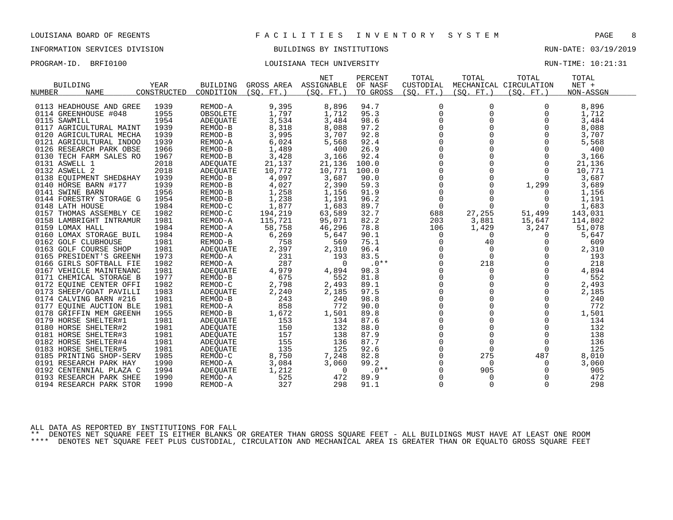# INFORMATION SERVICES DIVISION **EXECUTAS EXAMPLE SUILDINGS BY INSTITUTIONS EXECUTAS** RUN-DATE: 03/19/2019

## PROGRAM-ID. BRFI0100 COULSIANA TECH UNIVERSITY COULSIAN TECH UNIVERSITY RUN-TIME: 10:21:31

| <b>BUILDING</b>              | <b>YEAR</b> | <b>BUILDING</b> | GROSS AREA | <b>NET</b><br>ASSIGNABLE | PERCENT<br>OF NASF | TOTAL<br>CUSTODIAL | TOTAL       | TOTAL<br>MECHANICAL CIRCULATION | TOTAL<br>NET + |
|------------------------------|-------------|-----------------|------------|--------------------------|--------------------|--------------------|-------------|---------------------------------|----------------|
| <b>NUMBER</b><br><b>NAME</b> | CONSTRUCTED | CONDITION       | (SO, FT.)  | (SO. FT.)                | TO GROSS           | (SO. FT.)          | (SO, FT.)   | (SO. FT.)                       | NON-ASSGN      |
|                              |             |                 |            |                          |                    |                    |             |                                 |                |
| 0113 HEADHOUSE AND GREE      | 1939        | REMOD-A         | 9,395      | 8,896                    | 94.7               | $\Omega$           | 0           | $\Omega$                        | 8,896          |
| 0114 GREENHOUSE #048         | 1955        | OBSOLETE        | 1,797      | 1,712                    | 95.3               | 0                  | 0           | 0                               | 1,712          |
| 0115 SAWMILL                 | 1954        | ADEQUATE        | 3,534      | 3,484                    | 98.6               | $\Omega$           | $\Omega$    | $\Omega$                        | 3,484          |
| 0117 AGRICULTURAL MAINT      | 1939        | REMOD-B         | 8,318      | 8,088                    | 97.2               | $\Omega$           | $\Omega$    | $\Omega$                        | 8,088          |
| 0120 AGRICULTURAL MECHA      | 1939        | REMOD-B         | 3,995      | 3,707                    | 92.8               | $\Omega$           | $\Omega$    | $\Omega$                        | 3,707          |
| 0121 AGRICULTURAL INDOO      | 1939        | REMOD-A         | 6,024      | 5,568                    | 92.4               | $\Omega$           | $\Omega$    | $\Omega$                        | 5,568          |
| 0126 RESEARCH PARK OBSE      | 1966        | REMOD-B         | 1,489      | 400                      | 26.9               | 0                  | $\Omega$    | 0                               | 400            |
| 0130 TECH FARM SALES RO      | 1967        | REMOD-B         | 3,428      | 3,166                    | 92.4               | $\Omega$           | $\Omega$    | $\Omega$                        | 3,166          |
| 0131 ASWELL 1                | 2018        | <b>ADEOUATE</b> | 21,137     | 21,136                   | 100.0              | $\Omega$           | $\Omega$    | $\Omega$                        | 21,136         |
| 0132 ASWELL 2                | 2018        | <b>ADEQUATE</b> | 10,772     | 10,771                   | 100.0              | 0                  | 0           | $\Omega$                        | 10,771         |
| 0138 EQUIPMENT SHED&HAY      | 1939        | REMOD-B         | 4,097      | 3,687                    | 90.0               | $\Omega$           | $\Omega$    | $\Omega$                        | 3,687          |
| 0140 HORSE BARN #177         | 1939        | REMOD-B         | 4,027      | 2,390                    | 59.3               | $\Omega$           | $\Omega$    | 1,299                           | 3,689          |
| 0141 SWINE BARN              | 1956        | REMOD-B         | 1,258      | 1,156                    | 91.9               | $\mathbf 0$        | $\Omega$    | $\Omega$                        | 1,156          |
| 0144 FORESTRY STORAGE G      | 1954        | REMOD-B         | 1,238      | 1,191                    | 96.2               | $\mathbf 0$        | $\mathbf 0$ | 0                               | 1,191          |
| 0148 LATH HOUSE              | 1984        | REMOD-C         | 1,877      | 1,683                    | 89.7               | $\Omega$           | $\Omega$    | $\Omega$                        | 1,683          |
| 0157 THOMAS ASSEMBLY CE      | 1982        | REMOD-C         | 194,219    | 63,589                   | 32.7               | 688                | 27,255      | 51,499                          | 143,031        |
| 0158 LAMBRIGHT INTRAMUR      | 1981        | REMOD-A         | 115,721    | 95,071                   | 82.2               | 203                | 3,881       | 15,647                          | 114,802        |
| 0159 LOMAX HALL              | 1984        | REMOD-A         | 58,758     | 46,296                   | 78.8               | 106                | 1,429       | 3,247                           | 51,078         |
| 0160 LOMAX STORAGE BUIL      | 1984        | REMOD-A         | 6,269      | 5,647                    | 90.1               | $\Omega$           | $\Omega$    | $\Omega$                        | 5,647          |
| 0162 GOLF CLUBHOUSE          | 1981        | REMOD-B         | 758        | 569                      | 75.1               | 0                  | 40          | 0                               | 609            |
| 0163 GOLF COURSE SHOP        | 1981        | ADEQUATE        | 2,397      | 2,310                    | 96.4               | 0                  | $\mathbf 0$ | 0                               | 2,310          |
| 0165 PRESIDENT'S GREENH      | 1973        | REMOD-A         | 231        | 193                      | 83.5               | $\Omega$           | $\Omega$    | $\Omega$                        | 193            |
| 0166 GIRLS SOFTBALL FIE      | 1982        | REMOD-A         | 287        | $\Omega$                 | $.0**$             | $\Omega$           | 218         | $\Omega$                        | 218            |
| 0167 VEHICLE MAINTENANC      | 1981        | ADEQUATE        | 4,979      | 4,894                    | 98.3               | $\Omega$           | $\mathbf 0$ | $\Omega$                        | 4,894          |
| 0171 CHEMICAL STORAGE B      | 1977        | REMOD-B         | 675        | 552                      | 81.8               | $\Omega$           | $\Omega$    | $\Omega$                        | 552            |
| 0172 EQUINE CENTER OFFI      | 1982        | REMOD-C         | 2,798      | 2,493                    | 89.1               | 0                  | $\mathbf 0$ | 0                               | 2,493          |
| 0173 SHEEP/GOAT PAVILLI      | 1983        | <b>ADEQUATE</b> | 2,240      | 2,185                    | 97.5               | $\Omega$           | $\Omega$    | $\Omega$                        | 2,185          |
| 0174 CALVING BARN #216       | 1981        | REMOD-B         | 243        | 240                      | 98.8               | $\Omega$           | $\Omega$    | $\Omega$                        | 240            |
| 0177 EQUINE AUCTION BLE      | 1981        | REMOD-A         | 858        | 772                      | 90.0               | $\mathbf 0$        | 0           | 0                               | 772            |
| 0178 GRIFFIN MEM GREENH      | 1955        | REMOD-B         | 1,672      | 1,501                    | 89.8               | $\Omega$           | $\Omega$    | $\Omega$                        | 1,501          |
| 0179 HORSE SHELTER#1         | 1981        | ADEQUATE        | 153        | 134                      | 87.6               | $\Omega$           | $\Omega$    | $\Omega$                        | 134            |
| 0180 HORSE SHELTER#2         | 1981        | <b>ADEQUATE</b> | 150        | 132                      | 88.0               | $\Omega$           | $\Omega$    | $\Omega$                        | 132            |
| 0181 HORSE SHELTER#3         | 1981        | ADEOUATE        | 157        | 138                      | 87.9               | 0                  | $\mathbf 0$ | 0                               | 138            |
| 0182 HORSE SHELTER#4         | 1981        | <b>ADEOUATE</b> | 155        | 136                      | 87.7               | $\Omega$           | $\mathbf 0$ | 0                               | 136            |
| 0183 HORSE SHELTER#5         | 1981        | <b>ADEQUATE</b> | 135        | 125                      | 92.6               | $\Omega$           | $\Omega$    | $\Omega$                        | 125            |
| 0185 PRINTING SHOP-SERV      | 1985        | REMOD-C         | 8,750      | 7,248                    | 82.8               | 0                  | 275         | 487                             | 8,010          |
| 0191 RESEARCH PARK HAY       | 1990        | REMOD-A         | 3,084      | 3,060                    | 99.2               | $\Omega$           | 0           | 0                               | 3,060          |
| 0192 CENTENNIAL PLAZA C      | 1994        | ADEQUATE        | 1,212      | $\Omega$                 | $.0**$             | $\Omega$           | 905         | $\Omega$                        | 905            |
| 0193 RESEARCH PARK SHEE      | 1990        | REMOD-A         | 525        | 472                      | 89.9               | 0                  | $\mathbf 0$ | $\mathbf 0$                     | 472            |
| 0194 RESEARCH PARK STOR      | 1990        | REMOD-A         | 327        | 298                      | 91.1               | $\Omega$           | $\Omega$    | $\Omega$                        | 298            |
|                              |             |                 |            |                          |                    |                    |             |                                 |                |

ALL DATA AS REPORTED BY INSTITUTIONS FOR FALL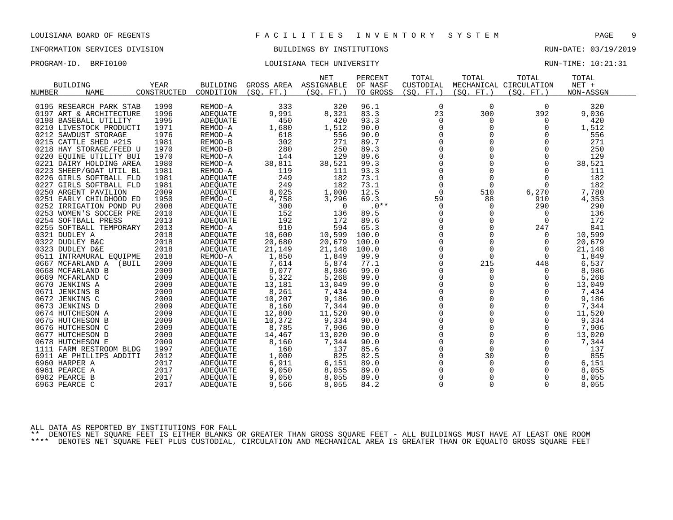# INFORMATION SERVICES DIVISION **EXECUTAS BUILDINGS BY INSTITUTIONS EXECUTAS** RUN-DATE: 03/19/2019

### PROGRAM-ID. BRFI0100 COULSIANA TECH UNIVERSITY COULSIAN TECH UNIVERSITY RUN-TIME: 10:21:31

|                           |             |                 |            | <b>NET</b> | PERCENT  | TOTAL          | TOTAL       | TOTAL                  | TOTAL     |  |
|---------------------------|-------------|-----------------|------------|------------|----------|----------------|-------------|------------------------|-----------|--|
| <b>BUILDING</b>           | <b>YEAR</b> | <b>BUILDING</b> | GROSS AREA | ASSIGNABLE | OF NASF  | CUSTODIAL      |             | MECHANICAL CIRCULATION | $NET +$   |  |
| NUMBER<br><b>NAME</b>     | CONSTRUCTED | CONDITION       | (SO. FT. ) | (SO. FT.)  | TO GROSS | (SO. FT. )     | (SO. FT. )  | (SO. FT.)              | NON-ASSGN |  |
|                           |             |                 |            |            |          |                |             |                        |           |  |
| 0195 RESEARCH PARK STAB   | 1990        | REMOD-A         | 333        | 320        | 96.1     | 0              | $\mathbf 0$ | 0                      | 320       |  |
| 0197 ART & ARCHITECTURE   | 1996        | <b>ADEQUATE</b> | 9,991      | 8,321      | 83.3     | 23             | 300         | 392                    | 9,036     |  |
| 0198 BASEBALL UTILITY     | 1995        | <b>ADEQUATE</b> | 450        | 420        | 93.3     | 0              | 0           | 0                      | 420       |  |
| 0210 LIVESTOCK PRODUCTI   | 1971        | REMOD-A         | 1,680      | 1,512      | 90.0     | 0              | $\Omega$    | $\Omega$               | 1,512     |  |
| 0212 SAWDUST STORAGE      | 1976        | REMOD-A         | 618        | 556        | 90.0     | $\Omega$       | $\Omega$    | $\Omega$               | 556       |  |
| 0215 CATTLE SHED #215     | 1981        | REMOD-B         | 302        | 271        | 89.7     | 0              | 0           | $\Omega$               | 271       |  |
| 0218 HAY STORAGE/FEED U   | 1970        | REMOD-B         | 280        | 250        | 89.3     | $\mathbf 0$    | $\Omega$    | $\mathbf 0$            | 250       |  |
| 0220 EQUINE UTILITY BUI   | 1970        | REMOD-A         | 144        | 129        | 89.6     | $\Omega$       | $\Omega$    | $\Omega$               | 129       |  |
| 0221 DAIRY HOLDING AREA   | 1980        | REMOD-A         | 38,811     | 38,521     | 99.3     | $\mathbf 0$    | 0           | $\Omega$               | 38,521    |  |
| 0223 SHEEP/GOAT UTIL BL   | 1981        | REMOD-A         | 119        | 111        | 93.3     | $\overline{0}$ | $\Omega$    | $\Omega$               | 111       |  |
| 0226 GIRLS SOFTBALL FLD   | 1981        | ADEQUATE        | 249        | 182        | 73.1     | $\Omega$       | $\Omega$    | $\Omega$               | 182       |  |
| 0227 GIRLS SOFTBALL FLD   | 1981        | <b>ADEOUATE</b> | 249        | 182        | 73.1     | $\mathbf 0$    | $\mathbf 0$ | $\Omega$               | 182       |  |
| 0250 ARGENT PAVILION      | 2009        | ADEQUATE        | 8,025      | 1,000      | 12.5     | $\mathbf 0$    | 510         | 6,270                  | 7,780     |  |
| 0251 EARLY CHILDHOOD ED   | 1950        | REMOD-C         | 4,758      | 3,296      | 69.3     | 59             | 88          | 910                    | 4,353     |  |
| 0252 IRRIGATION POND PU   | 2008        | <b>ADEQUATE</b> | 300        | 0          | $.0**$   | $\mathbf 0$    | 0           | 290                    | 290       |  |
| 0253 WOMEN'S SOCCER PRE   | 2010        | ADEQUATE        | 152        | 136        | 89.5     | 0              | 0           | 0                      | 136       |  |
| 0254 SOFTBALL PRESS       | 2013        | <b>ADEOUATE</b> | 192        | 172        | 89.6     | 0              | 0           | 0                      | 172       |  |
| 0255 SOFTBALL TEMPORARY   | 2013        | REMOD-A         | 910        | 594        | 65.3     | $\Omega$       | $\Omega$    | 247                    | 841       |  |
| 0321 DUDLEY A             | 2018        | <b>ADEOUATE</b> | 10,600     | 10,599     | 100.0    | 0              | $\mathbf 0$ | 0                      | 10,599    |  |
| 0322 DUDLEY B&C           | 2018        | ADEQUATE        | 20,680     | 20,679     | 100.0    | 0              | 0           | 0                      | 20,679    |  |
| 0323 DUDLEY D&E           | 2018        | <b>ADEQUATE</b> | 21,149     | 21,148     | 100.0    | $\Omega$       | $\Omega$    | $\Omega$               | 21,148    |  |
| 0511 INTRAMURAL EQUIPME   | 2018        | REMOD-A         | 1,850      | 1,849      | 99.9     | 0              | $\mathbf 0$ | 0                      | 1,849     |  |
| 0667 MCFARLAND A<br>(BUIL | 2009        | ADEQUATE        | 7,614      | 5,874      | 77.1     | 0              | 215         | 448                    | 6,537     |  |
| 0668 MCFARLAND B          | 2009        | <b>ADEOUATE</b> | 9,077      | 8,986      | 99.0     | $\Omega$       | $\Omega$    | $\Omega$               | 8,986     |  |
| 0669 MCFARLAND C          | 2009        | ADEQUATE        | 5,322      | 5,268      | 99.0     | $\mathbf 0$    | $\mathbf 0$ | 0                      | 5,268     |  |
| 0670 JENKINS A            | 2009        | ADEQUATE        | 13,181     | 13,049     | 99.0     | $\Omega$       | $\Omega$    | $\Omega$               | 13,049    |  |
| 0671 JENKINS B            | 2009        | <b>ADEOUATE</b> | 8,261      | 7,434      | 90.0     | $\mathbf 0$    | $\Omega$    | $\Omega$               | 7,434     |  |
| 0672 JENKINS C            | 2009        | <b>ADEQUATE</b> | 10,207     | 9,186      | 90.0     | $\mathbf 0$    | 0           | $\Omega$               | 9,186     |  |
| 0673 JENKINS D            | 2009        | <b>ADEOUATE</b> | 8,160      | 7,344      | 90.0     | $\mathsf 0$    | $\mathbf 0$ | 0                      | 7,344     |  |
| 0674 HUTCHESON A          | 2009        | ADEQUATE        | 12,800     | 11,520     | 90.0     | $\mathbf 0$    | $\Omega$    | $\Omega$               | 11,520    |  |
| 0675 HUTCHESON B          | 2009        | ADEQUATE        | 10,372     | 9,334      | 90.0     | $\mathbf 0$    | 0           | 0                      | 9,334     |  |
| 0676 HUTCHESON C          | 2009        | <b>ADEOUATE</b> | 8,785      | 7,906      | 90.0     | $\mathsf 0$    | $\mathbf 0$ | $\mathbf 0$            | 7,906     |  |
| 0677 HUTCHESON D          | 2009        | ADEQUATE        | 14,467     | 13,020     | 90.0     | $\mathbf 0$    | $\Omega$    | $\Omega$               | 13,020    |  |
| 0678 HUTCHESON E          | 2009        | <b>ADEOUATE</b> | 8,160      | 7,344      | 90.0     | $\Omega$       | $\Omega$    | $\Omega$               | 7,344     |  |
| 1111 FARM RESTROOM BLDG   | 1997        | ADEQUATE        | 160        | 137        | 85.6     | $\overline{0}$ | $\mathbf 0$ | $\Omega$               | 137       |  |
| 6911 AE PHILLIPS ADDITI   | 2012        | ADEQUATE        | 1,000      | 825        | 82.5     | 0              | 30          | 0                      | 855       |  |
| 6960 HARPER A             | 2017        | <b>ADEOUATE</b> | 6,911      | 6,151      | 89.0     | $\Omega$       | $\Omega$    | $\Omega$               | 6,151     |  |
| 6961 PEARCE A             | 2017        | ADEQUATE        | 9,050      | 8,055      | 89.0     | 0              | 0           | 0                      | 8,055     |  |
| 6962 PEARCE B             | 2017        | ADEQUATE        | 9,050      | 8,055      | 89.0     | $\mathbf 0$    | 0           | 0                      | 8,055     |  |
| 6963 PEARCE C             | 2017        | <b>ADEQUATE</b> | 9,566      | 8,055      | 84.2     | $\Omega$       | $\Omega$    | $\Omega$               | 8,055     |  |
|                           |             |                 |            |            |          |                |             |                        |           |  |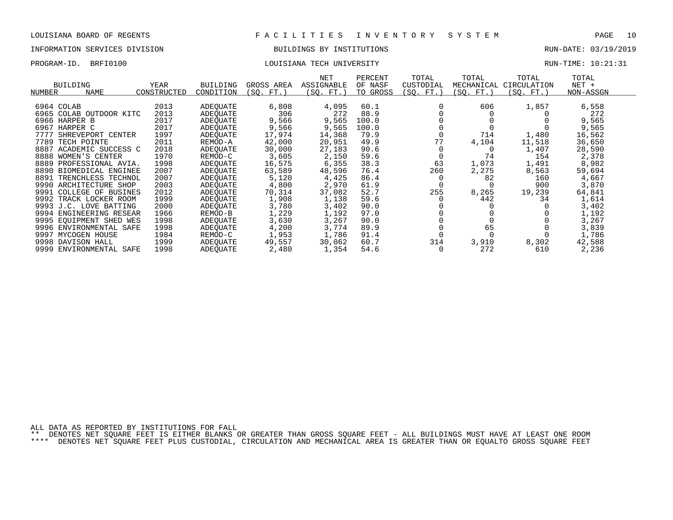### INFORMATION SERVICES DIVISION BUILDINGS BY INSTITUTIONS RUN-DATE: 03/19/2019

PROGRAM-ID. BRFI0100 LOUISIANA TECH UNIVERSITY RUN-TIME: 10:21:31

| BUILDING<br>NAME<br>NUMBER | YEAR<br>CONSTRUCTED | <b>BUILDING</b><br>CONDITION | GROSS AREA<br>(SQ. FT.) | NET<br>ASSIGNABLE<br>(SQ. FT.) | PERCENT<br>OF NASF<br>TO GROSS | TOTAL<br>CUSTODIAL<br>(SQ. FT.) | TOTAL<br>MECHANICAL<br>SO. FT. | TOTAL<br>CIRCULATION<br>(SQ. FT.) | TOTAL<br>$NET +$<br>NON-ASSGN |  |
|----------------------------|---------------------|------------------------------|-------------------------|--------------------------------|--------------------------------|---------------------------------|--------------------------------|-----------------------------------|-------------------------------|--|
| 6964 COLAB                 | 2013                | ADEOUATE                     | 6,808                   | 4,095                          | 60.1                           |                                 | 606                            | 1,857                             | 6,558                         |  |
| 6965 COLAB OUTDOOR KITC    | 2013                | ADEOUATE                     | 306                     | 272                            | 88.9                           |                                 |                                |                                   | 272                           |  |
| 6966 HARPER B              | 2017                | ADEOUATE                     | 9,566                   | 9,565                          | 100.0                          |                                 |                                |                                   | 9,565                         |  |
| 6967 HARPER C              | 2017                | ADEOUATE                     | 9,566                   | 9,565                          | 100.0                          |                                 |                                |                                   | 9,565                         |  |
| 7777<br>SHREVEPORT CENTER  | 1997                | ADEOUATE                     | 17,974                  | 14,368                         | 79.9                           |                                 | 714                            | 1,480                             | 16,562                        |  |
| 7789<br>TECH POINTE        | 2011                | REMOD-A                      | 42,000                  | 20,951                         | 49.9                           | 77                              | 4,104                          | 11,518                            | 36,650                        |  |
| 8887 ACADEMIC SUCCESS C    | 2018                | ADEOUATE                     | 30,000                  | 27,183                         | 90.6                           |                                 |                                | 1,407                             | 28,590                        |  |
| 8888<br>WOMEN'S CENTER     | 1970                | REMOD-C                      | 3,605                   | 2,150                          | 59.6                           |                                 | 74                             | 154                               | 2,378                         |  |
| 8889 PROFESSIONAL AVIA.    | 1998                | ADEOUATE                     | 16,575                  | 6,355                          | 38.3                           | 63                              | 1,073                          | 1,491                             | 8,982                         |  |
| 8890 BIOMEDICAL ENGINEE    | 2007                | ADEOUATE                     | 63,589                  | 48,596                         | 76.4                           | 260                             | 2,275                          | 8,563                             | 59,694                        |  |
| 8891 TRENCHLESS TECHNOL    | 2007                | ADEOUATE                     | 5,120                   | 4,425                          | 86.4                           |                                 | 82                             | 160                               | 4,667                         |  |
| 9990 ARCHITECTURE SHOP     | 2003                | ADEOUATE                     | 4,800                   | 2,970                          | 61.9                           |                                 |                                | 900                               | 3,870                         |  |
| 9991 COLLEGE OF BUSINES    | 2012                | ADEOUATE                     | 70,314                  | 37,082                         | 52.7                           | 255                             | 8,265                          | 19,239                            | 64,841                        |  |
| 9992 TRACK LOCKER ROOM     | 1999                | ADEOUATE                     | 1,908                   | 1,138                          | 59.6                           |                                 | 442                            | 34                                | 1,614                         |  |
| 9993 J.C. LOVE BATTING     | 2000                | ADEOUATE                     | 3,780                   | 3,402                          | 90.0                           |                                 |                                |                                   | 3,402                         |  |
| 9994 ENGINEERING RESEAR    | 1966                | REMOD-B                      | 1,229                   | 1,192                          | 97.0                           |                                 |                                |                                   | 1,192                         |  |
| 9995 EOUIPMENT SHED WES    | 1998                | ADEOUATE                     | 3,630                   | 3,267                          | 90.0                           |                                 |                                |                                   | 3,267                         |  |
| 9996 ENVIRONMENTAL SAFE    | 1998                | ADEOUATE                     | 4,200                   | 3,774                          | 89.9                           |                                 | 65                             |                                   | 3,839                         |  |
| 9997<br>MYCOGEN HOUSE      | 1984                | REMOD-C                      | 1,953                   | 1,786                          | 91.4                           |                                 |                                |                                   | 1,786                         |  |
| 9998 DAVISON HALL          | 1999                | ADEOUATE                     | 49,557                  | 30,062                         | 60.7                           | 314                             | 3,910                          | 8,302                             | 42,588                        |  |

ENVIRONMENTAL SAFE 1998 ADEQUATE 2,480 1,354 54.6 0 272 610 2,236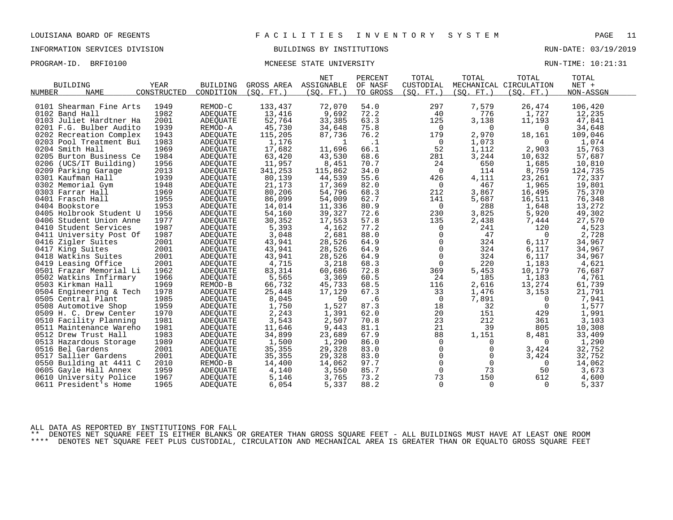# INFORMATION SERVICES DIVISION BUILDINGS BY INSTITUTIONS RUN-DATE: 03/19/2019

PROGRAM-ID. BRFI0100 **MONEESE STATE UNIVERSITY RUN-TIME: 10:21:31** 

|                         |             |                      |            | <b>NET</b> | PERCENT   | TOTAL          | TOTAL          | TOTAL                  | TOTAL     |  |
|-------------------------|-------------|----------------------|------------|------------|-----------|----------------|----------------|------------------------|-----------|--|
| <b>BUILDING</b>         | <b>YEAR</b> | <b>BUILDING</b>      | GROSS AREA | ASSIGNABLE | OF NASF   | CUSTODIAL      |                | MECHANICAL CIRCULATION | $NET +$   |  |
| NUMBER<br><b>NAME</b>   | CONSTRUCTED | CONDITION            | (SO. FT. ) | (SO. FT. ) | TO GROSS  | (SO. FT. )     | (SO. FT. )     | (SO. FT. )             | NON-ASSGN |  |
|                         |             |                      |            |            |           |                |                |                        |           |  |
| 0101 Shearman Fine Arts | 1949        | REMOD-C              | 133,437    | 72,070     | 54.0      | 297            | 7,579          | 26,474                 | 106,420   |  |
| 0102 Band Hall          | 1982        | ADEQUATE             | 13,416     | 9,692      | 72.2      | 40             | 776            | 1,727                  | 12,235    |  |
| 0103 Juliet Hardtner Ha | 2001        | ADEQUATE             | 52,764     | 33,385     | 63.3      | 125            | 3,138          | 11,193                 | 47,841    |  |
| 0201 F.G. Bulber Audito | 1939        | REMOD-A              | 45,730     | 34,648     | 75.8      | 0              | $\overline{0}$ | 0                      | 34,648    |  |
| 0202 Recreation Complex | 1943        | ADEOUATE             | 115,205    | 87,736     | 76.2      | 179            | 2,970          | 18,161                 | 109,046   |  |
| 0203 Pool Treatment Bui | 1983        | ADEQUATE             | 1,176      | -1         | $\cdot$ 1 | 0              | 1,073          | $\Omega$               | 1,074     |  |
| 0204 Smith Hall         | 1969        | ADEQUATE             | 17,682     | 11,696     | 66.1      | 52             | 1,112          | 2,903                  | 15,763    |  |
| 0205 Burton Business Ce | 1984        | ADEQUATE             | 63,420     | 43,530     | 68.6      | 281            | 3,244          | 10,632                 | 57,687    |  |
| 0206 (UCS/IT Building)  | 1956        | ADEQUATE             | 11,957     | 8,451      | 70.7      | 24             | 650            | 1,685                  | 10,810    |  |
| 0209 Parking Garage     | 2013        | ADEQUATE             | 341,253    | 115,862    | 34.0      | 0              | 114            | 8,759                  | 124,735   |  |
| 0301 Kaufman Hall       | 1939        | ADEQUATE             | 80,139     | 44,539     | 55.6      | 426            | 4,111          | 23,261                 | 72,337    |  |
| 0302 Memorial Gym       | 1948        | ADEOUATE             | 21,173     | 17,369     | 82.0      | 0              | 467            | 1,965                  | 19,801    |  |
| 0303 Farrar Hall        | 1969        | ADEQUATE             | 80,206     | 54,796     | 68.3      | 212            | 3,867          | 16,495                 | 75,370    |  |
| 0401 Frasch Hall        | 1955        | ADEQUATE             | 86,099     | 54,009     | 62.7      | 141            | 5,687          | 16,511                 | 76,348    |  |
| 0404 Bookstore          | 1953        | ADEOUATE             | 14,014     | 11,336     | 80.9      | 0              | 288            | 1,648                  | 13,272    |  |
| 0405 Holbrook Student U | 1956        | ADEQUATE             | 54,160     | 39,327     | 72.6      | 230            | 3,825          | 5,920                  | 49,302    |  |
| 0406 Student Union Anne | 1977        | ADEOUATE             | 30,352     | 17,553     | 57.8      | 135            | 2,438          | 7,444                  | 27,570    |  |
| 0410 Student Services   | 1987        | ADEQUATE             | 5,393      | 4,162      | 77.2      | $\mathbf 0$    | 241            | 120                    | 4,523     |  |
| 0411 University Post Of | 1987        | ADEQUATE             | 3,048      | 2,681      | 88.0      | $\mathbf 0$    | 47             | $\Omega$               | 2,728     |  |
| 0416 Zigler Suites      | 2001        | ADEQUATE             | 43,941     | 28,526     | 64.9      | 0              | 324            | 6,117                  | 34,967    |  |
| 0417 King Suites        | 2001        | ADEQUATE             | 43,941     | 28,526     | 64.9      | 0              | 324            | 6,117                  | 34,967    |  |
| 0418 Watkins Suites     | 2001        | ADEOUATE             | 43,941     | 28,526     | 64.9      | $\mathbf 0$    | 324            | 6,117                  | 34,967    |  |
| 0419 Leasing Office     | 2001        | ADEQUATE             | 4,715      | 3,218      | 68.3      | $\mathbf 0$    | 220            | 1,183                  | 4,621     |  |
| 0501 Frazar Memorial Li | 1962        | <b>ADEOUATE</b>      | 83,314     | 60,686     | 72.8      | 369            | 5,453          | 10,179                 | 76,687    |  |
| 0502 Watkins Infirmary  | 1966        | ADEQUATE             | 5,565      | 3,369      | 60.5      | 24             | 185            | 1,183                  | 4,761     |  |
| 0503 Kirkman Hall       | 1969        | REMOD-B              | 66,732     | 45,733     | 68.5      | 116            | 2,616          | 13,274                 | 61,739    |  |
| 0504 Engineering & Tech | 1978        | ADEOUATE             | 25,448     | 17,129     | 67.3      | 33             | 1,476          | 3,153                  | 21,791    |  |
| 0505 Central Plant      | 1985        | ADEQUATE             | 8,045      | 50         | .6        | $\overline{0}$ | 7,891          | $\overline{0}$         | 7,941     |  |
| 0508 Automotive Shop    | 1959        |                      | 1,750      | 1,527      | 87.3      | 18             | 32             | $\Omega$               | 1,577     |  |
| 0509 H. C. Drew Center  | 1970        | ADEOUATE<br>ADEOUATE |            | 1,391      | 62.0      | 20             | 151            | 429                    | 1,991     |  |
|                         | 1981        |                      | 2,243      |            | 70.8      | 23             | 212            |                        |           |  |
| 0510 Facility Planning  |             | ADEQUATE             | 3,543      | 2,507      |           |                |                | 361                    | 3,103     |  |
| 0511 Maintenance Wareho | 1981        | ADEOUATE             | 11,646     | 9,443      | 81.1      | 21             | 39             | 805                    | 10,308    |  |
| 0512 Drew Trust Hall    | 1983        | ADEQUATE             | 34,899     | 23,689     | 67.9      | 88             | 1,151          | 8,481                  | 33,409    |  |
| 0513 Hazardous Storage  | 1989        | ADEQUATE             | 1,500      | 1,290      | 86.0      | 0              | $\Omega$       | $\Omega$               | 1,290     |  |
| 0516 Bel Gardens        | 2001        | ADEOUATE             | 35,355     | 29,328     | 83.0      | $\mathbf 0$    | $\mathbf 0$    | 3,424                  | 32,752    |  |
| 0517 Sallier Gardens    | 2001        | ADEQUATE             | 35,355     | 29,328     | 83.0      | 0              | $\mathbf 0$    | 3,424                  | 32,752    |  |
| 0550 Building at 4411 C | 2010        | REMOD-B              | 14,400     | 14,062     | 97.7      | $\mathbf 0$    | $\mathbf 0$    | $\mathbf{0}$           | 14,062    |  |
| 0605 Gayle Hall Annex   | 1959        | ADEQUATE             | 4,140      | 3,550      | 85.7      | $\mathbf 0$    | 73             | 50                     | 3,673     |  |
| 0610 University Police  | 1967        | ADEOUATE             | 5,146      | 3,765      | 73.2      | 73             | 150            | 612                    | 4,600     |  |
| 0611 President's Home   | 1965        | ADEOUATE             | 6,054      | 5,337      | 88.2      | $\mathbf 0$    | $\Omega$       | 0                      | 5,337     |  |

ALL DATA AS REPORTED BY INSTITUTIONS FOR FALL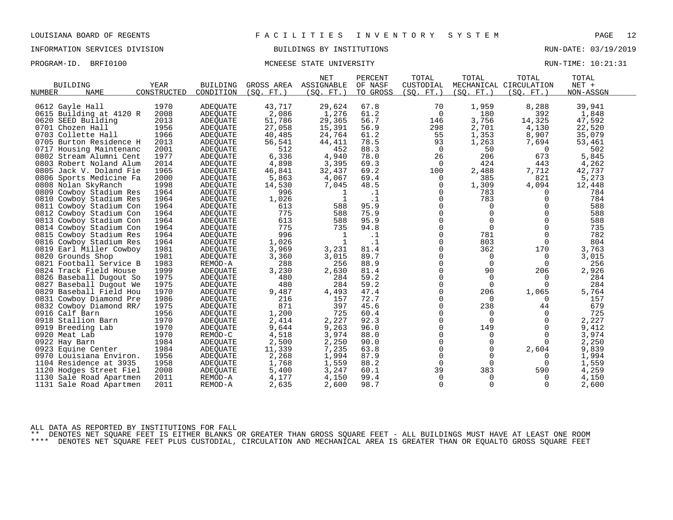# INFORMATION SERVICES DIVISION BUILDINGS BY INSTITUTIONS RUN-DATE: 03/19/2019

### PROGRAM-ID. BRFI0100 **MONEESE STATE UNIVERSITY RUN-TIME:** 10:21:31

| <b>BUILDING</b><br><b>YEAR</b><br><b>BUILDING</b><br>GROSS AREA<br>OF NASF<br>CUSTODIAL<br>MECHANICAL CIRCULATION<br>TO GROSS<br><b>NAME</b><br>CONSTRUCTED<br>CONDITION<br>(SQ. FT. )<br>(SQ. FT.)<br>(SQ. FT. )<br>(SQ. FT. )<br>(SQ. FT. )<br>NON-ASSGN<br>1970<br>43,717<br>1,959<br>29,624<br>67.8<br>70<br>8,288<br>39,941<br>0612 Gayle Hall<br>ADEQUATE<br>2008<br>2,086<br>1,276<br>61.2<br>180<br>392<br>1,848<br>0615 Building at 4120 R<br>ADEQUATE<br>$\Omega$<br>56.7<br>3,756<br>14,325<br>0620 SEED Building<br>2013<br>51,786<br>29,365<br>146<br>47,592<br>ADEQUATE<br>2,701<br>27,058<br>15,391<br>56.9<br>298<br>4,130<br>22,520<br>0701 Chozen Hall<br>1956<br><b>ADEOUATE</b><br>61.2<br>1,353<br>1966<br>40,485<br>24,764<br>55<br>8,907<br>35,079<br>0703 Collette Hall<br>ADEQUATE<br>56,541<br>78.5<br>93<br>1,263<br>7,694<br>0705 Burton Residence H<br>2013<br>44,411<br>53,461<br>ADEQUATE<br>2001<br>512<br>452<br>88.3<br>50<br>502<br>0717 Housing Maintenanc<br>0<br>ADEQUATE<br>0<br>6,336<br>78.0<br>26<br>673<br>5,845<br>0802 Stream Alumni Cent<br>1977<br>ADEQUATE<br>4,940<br>206<br>2014<br>4,898<br>3,395<br>424<br>443<br>4,262<br>0803 Robert Noland Alum<br>69.3<br>$\Omega$<br>ADEQUATE<br>69.2<br>1965<br>46,841<br>32,437<br>100<br>2,488<br>7,712<br>42,737<br>0805 Jack V. Doland Fie<br>ADEQUATE<br>2000<br>5,863<br>4,067<br>69.4<br>385<br>821<br>5,273<br>0806 Sports Medicine Fa<br>ADEQUATE<br>0<br>7,045<br>0808 Nolan SkyRanch<br>1998<br>14,530<br>48.5<br>1,309<br>4,094<br>12,448<br>ADEQUATE<br>$\mathbf 0$<br>784<br>0809 Cowboy Stadium Res<br>1964<br>996<br>.1<br>0<br>783<br>ADEQUATE<br>1<br>$\Omega$<br>1,026<br>$\cdot$ 1<br>$\Omega$<br>783<br>784<br>0810 Cowboy Stadium Res<br>1964<br>-1<br>$\Omega$<br>ADEOUATE<br>95.9<br>588<br>1964<br>613<br>588<br>$\Omega$<br>0811<br>Cowboy Stadium Con<br>$\Omega$<br>$\Omega$<br>ADEQUATE<br>588<br>775<br>588<br>75.9<br>$\mathbf 0$<br>$\mathbf 0$<br>$\Omega$<br>1964<br>0812 Cowboy Stadium Con<br>ADEQUATE<br>588<br>588<br>0813 Cowboy Stadium Con<br>613<br>95.9<br>0<br>$\mathbf 0$<br>$\Omega$<br>1964<br>ADEOUATE<br>775<br>735<br>94.8<br>$\Omega$<br>$\Omega$<br>735<br>1964<br>$\Omega$<br>0814 Cowboy Stadium Con<br>ADEQUATE<br>782<br>1964<br>996<br>$\Omega$<br>781<br>$\Omega$<br>0815 Cowboy Stadium Res<br>-1<br>$\cdot$ 1<br>ADEQUATE<br>1,026<br>$\cdot$ 1<br>0<br>803<br>804<br>0816 Cowboy Stadium Res<br>1964<br>-1<br>0<br>ADEQUATE<br>$\Omega$<br>170<br>3,231<br>81.4<br>362<br>3,763<br>0819 Earl Miller Cowboy<br>1981<br>3,969<br>ADEQUATE<br>1981<br>3,015<br>89.7<br>0<br>0820 Grounds Shop<br>3,360<br>0<br>3,015<br>ADEQUATE<br>$\Omega$<br>1983<br>288<br>256<br>88.9<br>$\Omega$<br>$\mathbf 0$<br>256<br>0821 Football Service B<br>0<br>REMOD-A<br>0824 Track Field House<br>1999<br>3,230<br>2,630<br>81.4<br>$\Omega$<br>90<br>206<br>2,926<br>ADEQUATE<br>1975<br>480<br>284<br>59.2<br>0<br>$\mathbf 0$<br>284<br>0826 Baseball Dugout So<br>0<br>ADEQUATE<br>480<br>59.2<br>$\mathbf 0$<br>284<br>1975<br>284<br>0<br>$\Omega$<br>0827<br>Baseball Dugout We<br>ADEQUATE<br>1970<br>9,487<br>47.4<br>0<br>206<br>1,065<br>5,764<br>0829 Baseball Field Hou<br>4,493<br>ADEQUATE<br>1986<br>216<br>157<br>72.7<br>$\Omega$<br>157<br>0831<br>Cowboy Diamond Pre<br>$\Omega$<br>ADEQUATE<br>$\Omega$<br>1975<br>871<br>45.6<br>$\Omega$<br>679<br>0832 Cowboy Diamond RR/<br>397<br>238<br>44<br>ADEQUATE<br>725<br>0916 Calf Barn<br>725<br>1956<br>ADEQUATE<br>1,200<br>60.4<br>$\Omega$<br>0<br>$\Omega$<br>1970<br>2,227<br>92.3<br>$\Omega$<br>2,227<br>2,414<br>$\Omega$<br>$\Omega$<br>0918 Stallion Barn<br>ADEQUATE<br>1970<br>9,263<br>96.0<br>$\Omega$<br>9,412<br>0919 Breeding Lab<br>9,644<br>149<br>$\Omega$<br>ADEQUATE<br>1970<br>4,518<br>0<br>3,974<br>0920 Meat Lab<br>REMOD-C<br>3,974<br>88.0<br>0<br>$\Omega$<br>2,250<br>90.0<br>$\Omega$<br>$\Omega$<br>2,250<br>0922 Hay Barn<br>1984<br><b>ADEOUATE</b><br>2,500<br>$\Omega$<br>0<br>9,839<br>1984<br>11,339<br>7,235<br>63.8<br>$\mathbf 0$<br>2,604<br>0923 Equine Center<br>ADEQUATE<br>2,268<br>1,994<br>87.9<br>0<br>1,994<br>1956<br>0<br>0970 Louisiana Environ.<br>ADEQUATE<br>$\Omega$<br>1958<br>1,768<br>1,559<br>88.2<br>$\Omega$<br>$\Omega$<br>1,559<br>1104 Residence at 3935<br>ADEQUATE<br>$\Omega$<br>39<br>383<br>2008<br>5,400<br>3,247<br>60.1<br>590<br>4,259<br>1120 Hodges Street Fiel<br>ADEQUATE<br>2011<br>4,177<br>4,150<br>99.4<br>$\mathbf 0$<br>4,150<br>1130 Sale Road Apartmen<br>REMOD-A<br>0<br>0<br>2,635<br>2011<br>2,600<br>98.7<br>$\mathbf 0$<br>0<br>$\Omega$<br>2,600<br>1131 Sale Road Apartmen<br>REMOD-A |               |  | <b>NET</b> | PERCENT | TOTAL | TOTAL | TOTAL | TOTAL   |  |
|-------------------------------------------------------------------------------------------------------------------------------------------------------------------------------------------------------------------------------------------------------------------------------------------------------------------------------------------------------------------------------------------------------------------------------------------------------------------------------------------------------------------------------------------------------------------------------------------------------------------------------------------------------------------------------------------------------------------------------------------------------------------------------------------------------------------------------------------------------------------------------------------------------------------------------------------------------------------------------------------------------------------------------------------------------------------------------------------------------------------------------------------------------------------------------------------------------------------------------------------------------------------------------------------------------------------------------------------------------------------------------------------------------------------------------------------------------------------------------------------------------------------------------------------------------------------------------------------------------------------------------------------------------------------------------------------------------------------------------------------------------------------------------------------------------------------------------------------------------------------------------------------------------------------------------------------------------------------------------------------------------------------------------------------------------------------------------------------------------------------------------------------------------------------------------------------------------------------------------------------------------------------------------------------------------------------------------------------------------------------------------------------------------------------------------------------------------------------------------------------------------------------------------------------------------------------------------------------------------------------------------------------------------------------------------------------------------------------------------------------------------------------------------------------------------------------------------------------------------------------------------------------------------------------------------------------------------------------------------------------------------------------------------------------------------------------------------------------------------------------------------------------------------------------------------------------------------------------------------------------------------------------------------------------------------------------------------------------------------------------------------------------------------------------------------------------------------------------------------------------------------------------------------------------------------------------------------------------------------------------------------------------------------------------------------------------------------------------------------------------------------------------------------------------------------------------------------------------------------------------------------------------------------------------------------------------------------------------------------------------------------------------------------------------------------------------------------------------------------------------------------------------------------------------------------------------------------------------------------------------------------------------------------------------------------------------------------------------------------------------------------------------------------------------------------------------------------------------------------------------------------------------------------------------------------------------------------------------------------------------------------------------------------------------------------------------------|---------------|--|------------|---------|-------|-------|-------|---------|--|
|                                                                                                                                                                                                                                                                                                                                                                                                                                                                                                                                                                                                                                                                                                                                                                                                                                                                                                                                                                                                                                                                                                                                                                                                                                                                                                                                                                                                                                                                                                                                                                                                                                                                                                                                                                                                                                                                                                                                                                                                                                                                                                                                                                                                                                                                                                                                                                                                                                                                                                                                                                                                                                                                                                                                                                                                                                                                                                                                                                                                                                                                                                                                                                                                                                                                                                                                                                                                                                                                                                                                                                                                                                                                                                                                                                                                                                                                                                                                                                                                                                                                                                                                                                                                                                                                                                                                                                                                                                                                                                                                                                                                                                                                                                 |               |  | ASSIGNABLE |         |       |       |       | $NET +$ |  |
|                                                                                                                                                                                                                                                                                                                                                                                                                                                                                                                                                                                                                                                                                                                                                                                                                                                                                                                                                                                                                                                                                                                                                                                                                                                                                                                                                                                                                                                                                                                                                                                                                                                                                                                                                                                                                                                                                                                                                                                                                                                                                                                                                                                                                                                                                                                                                                                                                                                                                                                                                                                                                                                                                                                                                                                                                                                                                                                                                                                                                                                                                                                                                                                                                                                                                                                                                                                                                                                                                                                                                                                                                                                                                                                                                                                                                                                                                                                                                                                                                                                                                                                                                                                                                                                                                                                                                                                                                                                                                                                                                                                                                                                                                                 | <b>NUMBER</b> |  |            |         |       |       |       |         |  |
|                                                                                                                                                                                                                                                                                                                                                                                                                                                                                                                                                                                                                                                                                                                                                                                                                                                                                                                                                                                                                                                                                                                                                                                                                                                                                                                                                                                                                                                                                                                                                                                                                                                                                                                                                                                                                                                                                                                                                                                                                                                                                                                                                                                                                                                                                                                                                                                                                                                                                                                                                                                                                                                                                                                                                                                                                                                                                                                                                                                                                                                                                                                                                                                                                                                                                                                                                                                                                                                                                                                                                                                                                                                                                                                                                                                                                                                                                                                                                                                                                                                                                                                                                                                                                                                                                                                                                                                                                                                                                                                                                                                                                                                                                                 |               |  |            |         |       |       |       |         |  |
|                                                                                                                                                                                                                                                                                                                                                                                                                                                                                                                                                                                                                                                                                                                                                                                                                                                                                                                                                                                                                                                                                                                                                                                                                                                                                                                                                                                                                                                                                                                                                                                                                                                                                                                                                                                                                                                                                                                                                                                                                                                                                                                                                                                                                                                                                                                                                                                                                                                                                                                                                                                                                                                                                                                                                                                                                                                                                                                                                                                                                                                                                                                                                                                                                                                                                                                                                                                                                                                                                                                                                                                                                                                                                                                                                                                                                                                                                                                                                                                                                                                                                                                                                                                                                                                                                                                                                                                                                                                                                                                                                                                                                                                                                                 |               |  |            |         |       |       |       |         |  |
|                                                                                                                                                                                                                                                                                                                                                                                                                                                                                                                                                                                                                                                                                                                                                                                                                                                                                                                                                                                                                                                                                                                                                                                                                                                                                                                                                                                                                                                                                                                                                                                                                                                                                                                                                                                                                                                                                                                                                                                                                                                                                                                                                                                                                                                                                                                                                                                                                                                                                                                                                                                                                                                                                                                                                                                                                                                                                                                                                                                                                                                                                                                                                                                                                                                                                                                                                                                                                                                                                                                                                                                                                                                                                                                                                                                                                                                                                                                                                                                                                                                                                                                                                                                                                                                                                                                                                                                                                                                                                                                                                                                                                                                                                                 |               |  |            |         |       |       |       |         |  |
|                                                                                                                                                                                                                                                                                                                                                                                                                                                                                                                                                                                                                                                                                                                                                                                                                                                                                                                                                                                                                                                                                                                                                                                                                                                                                                                                                                                                                                                                                                                                                                                                                                                                                                                                                                                                                                                                                                                                                                                                                                                                                                                                                                                                                                                                                                                                                                                                                                                                                                                                                                                                                                                                                                                                                                                                                                                                                                                                                                                                                                                                                                                                                                                                                                                                                                                                                                                                                                                                                                                                                                                                                                                                                                                                                                                                                                                                                                                                                                                                                                                                                                                                                                                                                                                                                                                                                                                                                                                                                                                                                                                                                                                                                                 |               |  |            |         |       |       |       |         |  |
|                                                                                                                                                                                                                                                                                                                                                                                                                                                                                                                                                                                                                                                                                                                                                                                                                                                                                                                                                                                                                                                                                                                                                                                                                                                                                                                                                                                                                                                                                                                                                                                                                                                                                                                                                                                                                                                                                                                                                                                                                                                                                                                                                                                                                                                                                                                                                                                                                                                                                                                                                                                                                                                                                                                                                                                                                                                                                                                                                                                                                                                                                                                                                                                                                                                                                                                                                                                                                                                                                                                                                                                                                                                                                                                                                                                                                                                                                                                                                                                                                                                                                                                                                                                                                                                                                                                                                                                                                                                                                                                                                                                                                                                                                                 |               |  |            |         |       |       |       |         |  |
|                                                                                                                                                                                                                                                                                                                                                                                                                                                                                                                                                                                                                                                                                                                                                                                                                                                                                                                                                                                                                                                                                                                                                                                                                                                                                                                                                                                                                                                                                                                                                                                                                                                                                                                                                                                                                                                                                                                                                                                                                                                                                                                                                                                                                                                                                                                                                                                                                                                                                                                                                                                                                                                                                                                                                                                                                                                                                                                                                                                                                                                                                                                                                                                                                                                                                                                                                                                                                                                                                                                                                                                                                                                                                                                                                                                                                                                                                                                                                                                                                                                                                                                                                                                                                                                                                                                                                                                                                                                                                                                                                                                                                                                                                                 |               |  |            |         |       |       |       |         |  |
|                                                                                                                                                                                                                                                                                                                                                                                                                                                                                                                                                                                                                                                                                                                                                                                                                                                                                                                                                                                                                                                                                                                                                                                                                                                                                                                                                                                                                                                                                                                                                                                                                                                                                                                                                                                                                                                                                                                                                                                                                                                                                                                                                                                                                                                                                                                                                                                                                                                                                                                                                                                                                                                                                                                                                                                                                                                                                                                                                                                                                                                                                                                                                                                                                                                                                                                                                                                                                                                                                                                                                                                                                                                                                                                                                                                                                                                                                                                                                                                                                                                                                                                                                                                                                                                                                                                                                                                                                                                                                                                                                                                                                                                                                                 |               |  |            |         |       |       |       |         |  |
|                                                                                                                                                                                                                                                                                                                                                                                                                                                                                                                                                                                                                                                                                                                                                                                                                                                                                                                                                                                                                                                                                                                                                                                                                                                                                                                                                                                                                                                                                                                                                                                                                                                                                                                                                                                                                                                                                                                                                                                                                                                                                                                                                                                                                                                                                                                                                                                                                                                                                                                                                                                                                                                                                                                                                                                                                                                                                                                                                                                                                                                                                                                                                                                                                                                                                                                                                                                                                                                                                                                                                                                                                                                                                                                                                                                                                                                                                                                                                                                                                                                                                                                                                                                                                                                                                                                                                                                                                                                                                                                                                                                                                                                                                                 |               |  |            |         |       |       |       |         |  |
|                                                                                                                                                                                                                                                                                                                                                                                                                                                                                                                                                                                                                                                                                                                                                                                                                                                                                                                                                                                                                                                                                                                                                                                                                                                                                                                                                                                                                                                                                                                                                                                                                                                                                                                                                                                                                                                                                                                                                                                                                                                                                                                                                                                                                                                                                                                                                                                                                                                                                                                                                                                                                                                                                                                                                                                                                                                                                                                                                                                                                                                                                                                                                                                                                                                                                                                                                                                                                                                                                                                                                                                                                                                                                                                                                                                                                                                                                                                                                                                                                                                                                                                                                                                                                                                                                                                                                                                                                                                                                                                                                                                                                                                                                                 |               |  |            |         |       |       |       |         |  |
|                                                                                                                                                                                                                                                                                                                                                                                                                                                                                                                                                                                                                                                                                                                                                                                                                                                                                                                                                                                                                                                                                                                                                                                                                                                                                                                                                                                                                                                                                                                                                                                                                                                                                                                                                                                                                                                                                                                                                                                                                                                                                                                                                                                                                                                                                                                                                                                                                                                                                                                                                                                                                                                                                                                                                                                                                                                                                                                                                                                                                                                                                                                                                                                                                                                                                                                                                                                                                                                                                                                                                                                                                                                                                                                                                                                                                                                                                                                                                                                                                                                                                                                                                                                                                                                                                                                                                                                                                                                                                                                                                                                                                                                                                                 |               |  |            |         |       |       |       |         |  |
|                                                                                                                                                                                                                                                                                                                                                                                                                                                                                                                                                                                                                                                                                                                                                                                                                                                                                                                                                                                                                                                                                                                                                                                                                                                                                                                                                                                                                                                                                                                                                                                                                                                                                                                                                                                                                                                                                                                                                                                                                                                                                                                                                                                                                                                                                                                                                                                                                                                                                                                                                                                                                                                                                                                                                                                                                                                                                                                                                                                                                                                                                                                                                                                                                                                                                                                                                                                                                                                                                                                                                                                                                                                                                                                                                                                                                                                                                                                                                                                                                                                                                                                                                                                                                                                                                                                                                                                                                                                                                                                                                                                                                                                                                                 |               |  |            |         |       |       |       |         |  |
|                                                                                                                                                                                                                                                                                                                                                                                                                                                                                                                                                                                                                                                                                                                                                                                                                                                                                                                                                                                                                                                                                                                                                                                                                                                                                                                                                                                                                                                                                                                                                                                                                                                                                                                                                                                                                                                                                                                                                                                                                                                                                                                                                                                                                                                                                                                                                                                                                                                                                                                                                                                                                                                                                                                                                                                                                                                                                                                                                                                                                                                                                                                                                                                                                                                                                                                                                                                                                                                                                                                                                                                                                                                                                                                                                                                                                                                                                                                                                                                                                                                                                                                                                                                                                                                                                                                                                                                                                                                                                                                                                                                                                                                                                                 |               |  |            |         |       |       |       |         |  |
|                                                                                                                                                                                                                                                                                                                                                                                                                                                                                                                                                                                                                                                                                                                                                                                                                                                                                                                                                                                                                                                                                                                                                                                                                                                                                                                                                                                                                                                                                                                                                                                                                                                                                                                                                                                                                                                                                                                                                                                                                                                                                                                                                                                                                                                                                                                                                                                                                                                                                                                                                                                                                                                                                                                                                                                                                                                                                                                                                                                                                                                                                                                                                                                                                                                                                                                                                                                                                                                                                                                                                                                                                                                                                                                                                                                                                                                                                                                                                                                                                                                                                                                                                                                                                                                                                                                                                                                                                                                                                                                                                                                                                                                                                                 |               |  |            |         |       |       |       |         |  |
|                                                                                                                                                                                                                                                                                                                                                                                                                                                                                                                                                                                                                                                                                                                                                                                                                                                                                                                                                                                                                                                                                                                                                                                                                                                                                                                                                                                                                                                                                                                                                                                                                                                                                                                                                                                                                                                                                                                                                                                                                                                                                                                                                                                                                                                                                                                                                                                                                                                                                                                                                                                                                                                                                                                                                                                                                                                                                                                                                                                                                                                                                                                                                                                                                                                                                                                                                                                                                                                                                                                                                                                                                                                                                                                                                                                                                                                                                                                                                                                                                                                                                                                                                                                                                                                                                                                                                                                                                                                                                                                                                                                                                                                                                                 |               |  |            |         |       |       |       |         |  |
|                                                                                                                                                                                                                                                                                                                                                                                                                                                                                                                                                                                                                                                                                                                                                                                                                                                                                                                                                                                                                                                                                                                                                                                                                                                                                                                                                                                                                                                                                                                                                                                                                                                                                                                                                                                                                                                                                                                                                                                                                                                                                                                                                                                                                                                                                                                                                                                                                                                                                                                                                                                                                                                                                                                                                                                                                                                                                                                                                                                                                                                                                                                                                                                                                                                                                                                                                                                                                                                                                                                                                                                                                                                                                                                                                                                                                                                                                                                                                                                                                                                                                                                                                                                                                                                                                                                                                                                                                                                                                                                                                                                                                                                                                                 |               |  |            |         |       |       |       |         |  |
|                                                                                                                                                                                                                                                                                                                                                                                                                                                                                                                                                                                                                                                                                                                                                                                                                                                                                                                                                                                                                                                                                                                                                                                                                                                                                                                                                                                                                                                                                                                                                                                                                                                                                                                                                                                                                                                                                                                                                                                                                                                                                                                                                                                                                                                                                                                                                                                                                                                                                                                                                                                                                                                                                                                                                                                                                                                                                                                                                                                                                                                                                                                                                                                                                                                                                                                                                                                                                                                                                                                                                                                                                                                                                                                                                                                                                                                                                                                                                                                                                                                                                                                                                                                                                                                                                                                                                                                                                                                                                                                                                                                                                                                                                                 |               |  |            |         |       |       |       |         |  |
|                                                                                                                                                                                                                                                                                                                                                                                                                                                                                                                                                                                                                                                                                                                                                                                                                                                                                                                                                                                                                                                                                                                                                                                                                                                                                                                                                                                                                                                                                                                                                                                                                                                                                                                                                                                                                                                                                                                                                                                                                                                                                                                                                                                                                                                                                                                                                                                                                                                                                                                                                                                                                                                                                                                                                                                                                                                                                                                                                                                                                                                                                                                                                                                                                                                                                                                                                                                                                                                                                                                                                                                                                                                                                                                                                                                                                                                                                                                                                                                                                                                                                                                                                                                                                                                                                                                                                                                                                                                                                                                                                                                                                                                                                                 |               |  |            |         |       |       |       |         |  |
|                                                                                                                                                                                                                                                                                                                                                                                                                                                                                                                                                                                                                                                                                                                                                                                                                                                                                                                                                                                                                                                                                                                                                                                                                                                                                                                                                                                                                                                                                                                                                                                                                                                                                                                                                                                                                                                                                                                                                                                                                                                                                                                                                                                                                                                                                                                                                                                                                                                                                                                                                                                                                                                                                                                                                                                                                                                                                                                                                                                                                                                                                                                                                                                                                                                                                                                                                                                                                                                                                                                                                                                                                                                                                                                                                                                                                                                                                                                                                                                                                                                                                                                                                                                                                                                                                                                                                                                                                                                                                                                                                                                                                                                                                                 |               |  |            |         |       |       |       |         |  |
|                                                                                                                                                                                                                                                                                                                                                                                                                                                                                                                                                                                                                                                                                                                                                                                                                                                                                                                                                                                                                                                                                                                                                                                                                                                                                                                                                                                                                                                                                                                                                                                                                                                                                                                                                                                                                                                                                                                                                                                                                                                                                                                                                                                                                                                                                                                                                                                                                                                                                                                                                                                                                                                                                                                                                                                                                                                                                                                                                                                                                                                                                                                                                                                                                                                                                                                                                                                                                                                                                                                                                                                                                                                                                                                                                                                                                                                                                                                                                                                                                                                                                                                                                                                                                                                                                                                                                                                                                                                                                                                                                                                                                                                                                                 |               |  |            |         |       |       |       |         |  |
|                                                                                                                                                                                                                                                                                                                                                                                                                                                                                                                                                                                                                                                                                                                                                                                                                                                                                                                                                                                                                                                                                                                                                                                                                                                                                                                                                                                                                                                                                                                                                                                                                                                                                                                                                                                                                                                                                                                                                                                                                                                                                                                                                                                                                                                                                                                                                                                                                                                                                                                                                                                                                                                                                                                                                                                                                                                                                                                                                                                                                                                                                                                                                                                                                                                                                                                                                                                                                                                                                                                                                                                                                                                                                                                                                                                                                                                                                                                                                                                                                                                                                                                                                                                                                                                                                                                                                                                                                                                                                                                                                                                                                                                                                                 |               |  |            |         |       |       |       |         |  |
|                                                                                                                                                                                                                                                                                                                                                                                                                                                                                                                                                                                                                                                                                                                                                                                                                                                                                                                                                                                                                                                                                                                                                                                                                                                                                                                                                                                                                                                                                                                                                                                                                                                                                                                                                                                                                                                                                                                                                                                                                                                                                                                                                                                                                                                                                                                                                                                                                                                                                                                                                                                                                                                                                                                                                                                                                                                                                                                                                                                                                                                                                                                                                                                                                                                                                                                                                                                                                                                                                                                                                                                                                                                                                                                                                                                                                                                                                                                                                                                                                                                                                                                                                                                                                                                                                                                                                                                                                                                                                                                                                                                                                                                                                                 |               |  |            |         |       |       |       |         |  |
|                                                                                                                                                                                                                                                                                                                                                                                                                                                                                                                                                                                                                                                                                                                                                                                                                                                                                                                                                                                                                                                                                                                                                                                                                                                                                                                                                                                                                                                                                                                                                                                                                                                                                                                                                                                                                                                                                                                                                                                                                                                                                                                                                                                                                                                                                                                                                                                                                                                                                                                                                                                                                                                                                                                                                                                                                                                                                                                                                                                                                                                                                                                                                                                                                                                                                                                                                                                                                                                                                                                                                                                                                                                                                                                                                                                                                                                                                                                                                                                                                                                                                                                                                                                                                                                                                                                                                                                                                                                                                                                                                                                                                                                                                                 |               |  |            |         |       |       |       |         |  |
|                                                                                                                                                                                                                                                                                                                                                                                                                                                                                                                                                                                                                                                                                                                                                                                                                                                                                                                                                                                                                                                                                                                                                                                                                                                                                                                                                                                                                                                                                                                                                                                                                                                                                                                                                                                                                                                                                                                                                                                                                                                                                                                                                                                                                                                                                                                                                                                                                                                                                                                                                                                                                                                                                                                                                                                                                                                                                                                                                                                                                                                                                                                                                                                                                                                                                                                                                                                                                                                                                                                                                                                                                                                                                                                                                                                                                                                                                                                                                                                                                                                                                                                                                                                                                                                                                                                                                                                                                                                                                                                                                                                                                                                                                                 |               |  |            |         |       |       |       |         |  |
|                                                                                                                                                                                                                                                                                                                                                                                                                                                                                                                                                                                                                                                                                                                                                                                                                                                                                                                                                                                                                                                                                                                                                                                                                                                                                                                                                                                                                                                                                                                                                                                                                                                                                                                                                                                                                                                                                                                                                                                                                                                                                                                                                                                                                                                                                                                                                                                                                                                                                                                                                                                                                                                                                                                                                                                                                                                                                                                                                                                                                                                                                                                                                                                                                                                                                                                                                                                                                                                                                                                                                                                                                                                                                                                                                                                                                                                                                                                                                                                                                                                                                                                                                                                                                                                                                                                                                                                                                                                                                                                                                                                                                                                                                                 |               |  |            |         |       |       |       |         |  |
|                                                                                                                                                                                                                                                                                                                                                                                                                                                                                                                                                                                                                                                                                                                                                                                                                                                                                                                                                                                                                                                                                                                                                                                                                                                                                                                                                                                                                                                                                                                                                                                                                                                                                                                                                                                                                                                                                                                                                                                                                                                                                                                                                                                                                                                                                                                                                                                                                                                                                                                                                                                                                                                                                                                                                                                                                                                                                                                                                                                                                                                                                                                                                                                                                                                                                                                                                                                                                                                                                                                                                                                                                                                                                                                                                                                                                                                                                                                                                                                                                                                                                                                                                                                                                                                                                                                                                                                                                                                                                                                                                                                                                                                                                                 |               |  |            |         |       |       |       |         |  |
|                                                                                                                                                                                                                                                                                                                                                                                                                                                                                                                                                                                                                                                                                                                                                                                                                                                                                                                                                                                                                                                                                                                                                                                                                                                                                                                                                                                                                                                                                                                                                                                                                                                                                                                                                                                                                                                                                                                                                                                                                                                                                                                                                                                                                                                                                                                                                                                                                                                                                                                                                                                                                                                                                                                                                                                                                                                                                                                                                                                                                                                                                                                                                                                                                                                                                                                                                                                                                                                                                                                                                                                                                                                                                                                                                                                                                                                                                                                                                                                                                                                                                                                                                                                                                                                                                                                                                                                                                                                                                                                                                                                                                                                                                                 |               |  |            |         |       |       |       |         |  |
|                                                                                                                                                                                                                                                                                                                                                                                                                                                                                                                                                                                                                                                                                                                                                                                                                                                                                                                                                                                                                                                                                                                                                                                                                                                                                                                                                                                                                                                                                                                                                                                                                                                                                                                                                                                                                                                                                                                                                                                                                                                                                                                                                                                                                                                                                                                                                                                                                                                                                                                                                                                                                                                                                                                                                                                                                                                                                                                                                                                                                                                                                                                                                                                                                                                                                                                                                                                                                                                                                                                                                                                                                                                                                                                                                                                                                                                                                                                                                                                                                                                                                                                                                                                                                                                                                                                                                                                                                                                                                                                                                                                                                                                                                                 |               |  |            |         |       |       |       |         |  |
|                                                                                                                                                                                                                                                                                                                                                                                                                                                                                                                                                                                                                                                                                                                                                                                                                                                                                                                                                                                                                                                                                                                                                                                                                                                                                                                                                                                                                                                                                                                                                                                                                                                                                                                                                                                                                                                                                                                                                                                                                                                                                                                                                                                                                                                                                                                                                                                                                                                                                                                                                                                                                                                                                                                                                                                                                                                                                                                                                                                                                                                                                                                                                                                                                                                                                                                                                                                                                                                                                                                                                                                                                                                                                                                                                                                                                                                                                                                                                                                                                                                                                                                                                                                                                                                                                                                                                                                                                                                                                                                                                                                                                                                                                                 |               |  |            |         |       |       |       |         |  |
|                                                                                                                                                                                                                                                                                                                                                                                                                                                                                                                                                                                                                                                                                                                                                                                                                                                                                                                                                                                                                                                                                                                                                                                                                                                                                                                                                                                                                                                                                                                                                                                                                                                                                                                                                                                                                                                                                                                                                                                                                                                                                                                                                                                                                                                                                                                                                                                                                                                                                                                                                                                                                                                                                                                                                                                                                                                                                                                                                                                                                                                                                                                                                                                                                                                                                                                                                                                                                                                                                                                                                                                                                                                                                                                                                                                                                                                                                                                                                                                                                                                                                                                                                                                                                                                                                                                                                                                                                                                                                                                                                                                                                                                                                                 |               |  |            |         |       |       |       |         |  |
|                                                                                                                                                                                                                                                                                                                                                                                                                                                                                                                                                                                                                                                                                                                                                                                                                                                                                                                                                                                                                                                                                                                                                                                                                                                                                                                                                                                                                                                                                                                                                                                                                                                                                                                                                                                                                                                                                                                                                                                                                                                                                                                                                                                                                                                                                                                                                                                                                                                                                                                                                                                                                                                                                                                                                                                                                                                                                                                                                                                                                                                                                                                                                                                                                                                                                                                                                                                                                                                                                                                                                                                                                                                                                                                                                                                                                                                                                                                                                                                                                                                                                                                                                                                                                                                                                                                                                                                                                                                                                                                                                                                                                                                                                                 |               |  |            |         |       |       |       |         |  |
|                                                                                                                                                                                                                                                                                                                                                                                                                                                                                                                                                                                                                                                                                                                                                                                                                                                                                                                                                                                                                                                                                                                                                                                                                                                                                                                                                                                                                                                                                                                                                                                                                                                                                                                                                                                                                                                                                                                                                                                                                                                                                                                                                                                                                                                                                                                                                                                                                                                                                                                                                                                                                                                                                                                                                                                                                                                                                                                                                                                                                                                                                                                                                                                                                                                                                                                                                                                                                                                                                                                                                                                                                                                                                                                                                                                                                                                                                                                                                                                                                                                                                                                                                                                                                                                                                                                                                                                                                                                                                                                                                                                                                                                                                                 |               |  |            |         |       |       |       |         |  |
|                                                                                                                                                                                                                                                                                                                                                                                                                                                                                                                                                                                                                                                                                                                                                                                                                                                                                                                                                                                                                                                                                                                                                                                                                                                                                                                                                                                                                                                                                                                                                                                                                                                                                                                                                                                                                                                                                                                                                                                                                                                                                                                                                                                                                                                                                                                                                                                                                                                                                                                                                                                                                                                                                                                                                                                                                                                                                                                                                                                                                                                                                                                                                                                                                                                                                                                                                                                                                                                                                                                                                                                                                                                                                                                                                                                                                                                                                                                                                                                                                                                                                                                                                                                                                                                                                                                                                                                                                                                                                                                                                                                                                                                                                                 |               |  |            |         |       |       |       |         |  |
|                                                                                                                                                                                                                                                                                                                                                                                                                                                                                                                                                                                                                                                                                                                                                                                                                                                                                                                                                                                                                                                                                                                                                                                                                                                                                                                                                                                                                                                                                                                                                                                                                                                                                                                                                                                                                                                                                                                                                                                                                                                                                                                                                                                                                                                                                                                                                                                                                                                                                                                                                                                                                                                                                                                                                                                                                                                                                                                                                                                                                                                                                                                                                                                                                                                                                                                                                                                                                                                                                                                                                                                                                                                                                                                                                                                                                                                                                                                                                                                                                                                                                                                                                                                                                                                                                                                                                                                                                                                                                                                                                                                                                                                                                                 |               |  |            |         |       |       |       |         |  |
|                                                                                                                                                                                                                                                                                                                                                                                                                                                                                                                                                                                                                                                                                                                                                                                                                                                                                                                                                                                                                                                                                                                                                                                                                                                                                                                                                                                                                                                                                                                                                                                                                                                                                                                                                                                                                                                                                                                                                                                                                                                                                                                                                                                                                                                                                                                                                                                                                                                                                                                                                                                                                                                                                                                                                                                                                                                                                                                                                                                                                                                                                                                                                                                                                                                                                                                                                                                                                                                                                                                                                                                                                                                                                                                                                                                                                                                                                                                                                                                                                                                                                                                                                                                                                                                                                                                                                                                                                                                                                                                                                                                                                                                                                                 |               |  |            |         |       |       |       |         |  |
|                                                                                                                                                                                                                                                                                                                                                                                                                                                                                                                                                                                                                                                                                                                                                                                                                                                                                                                                                                                                                                                                                                                                                                                                                                                                                                                                                                                                                                                                                                                                                                                                                                                                                                                                                                                                                                                                                                                                                                                                                                                                                                                                                                                                                                                                                                                                                                                                                                                                                                                                                                                                                                                                                                                                                                                                                                                                                                                                                                                                                                                                                                                                                                                                                                                                                                                                                                                                                                                                                                                                                                                                                                                                                                                                                                                                                                                                                                                                                                                                                                                                                                                                                                                                                                                                                                                                                                                                                                                                                                                                                                                                                                                                                                 |               |  |            |         |       |       |       |         |  |
|                                                                                                                                                                                                                                                                                                                                                                                                                                                                                                                                                                                                                                                                                                                                                                                                                                                                                                                                                                                                                                                                                                                                                                                                                                                                                                                                                                                                                                                                                                                                                                                                                                                                                                                                                                                                                                                                                                                                                                                                                                                                                                                                                                                                                                                                                                                                                                                                                                                                                                                                                                                                                                                                                                                                                                                                                                                                                                                                                                                                                                                                                                                                                                                                                                                                                                                                                                                                                                                                                                                                                                                                                                                                                                                                                                                                                                                                                                                                                                                                                                                                                                                                                                                                                                                                                                                                                                                                                                                                                                                                                                                                                                                                                                 |               |  |            |         |       |       |       |         |  |
|                                                                                                                                                                                                                                                                                                                                                                                                                                                                                                                                                                                                                                                                                                                                                                                                                                                                                                                                                                                                                                                                                                                                                                                                                                                                                                                                                                                                                                                                                                                                                                                                                                                                                                                                                                                                                                                                                                                                                                                                                                                                                                                                                                                                                                                                                                                                                                                                                                                                                                                                                                                                                                                                                                                                                                                                                                                                                                                                                                                                                                                                                                                                                                                                                                                                                                                                                                                                                                                                                                                                                                                                                                                                                                                                                                                                                                                                                                                                                                                                                                                                                                                                                                                                                                                                                                                                                                                                                                                                                                                                                                                                                                                                                                 |               |  |            |         |       |       |       |         |  |
|                                                                                                                                                                                                                                                                                                                                                                                                                                                                                                                                                                                                                                                                                                                                                                                                                                                                                                                                                                                                                                                                                                                                                                                                                                                                                                                                                                                                                                                                                                                                                                                                                                                                                                                                                                                                                                                                                                                                                                                                                                                                                                                                                                                                                                                                                                                                                                                                                                                                                                                                                                                                                                                                                                                                                                                                                                                                                                                                                                                                                                                                                                                                                                                                                                                                                                                                                                                                                                                                                                                                                                                                                                                                                                                                                                                                                                                                                                                                                                                                                                                                                                                                                                                                                                                                                                                                                                                                                                                                                                                                                                                                                                                                                                 |               |  |            |         |       |       |       |         |  |
|                                                                                                                                                                                                                                                                                                                                                                                                                                                                                                                                                                                                                                                                                                                                                                                                                                                                                                                                                                                                                                                                                                                                                                                                                                                                                                                                                                                                                                                                                                                                                                                                                                                                                                                                                                                                                                                                                                                                                                                                                                                                                                                                                                                                                                                                                                                                                                                                                                                                                                                                                                                                                                                                                                                                                                                                                                                                                                                                                                                                                                                                                                                                                                                                                                                                                                                                                                                                                                                                                                                                                                                                                                                                                                                                                                                                                                                                                                                                                                                                                                                                                                                                                                                                                                                                                                                                                                                                                                                                                                                                                                                                                                                                                                 |               |  |            |         |       |       |       |         |  |
|                                                                                                                                                                                                                                                                                                                                                                                                                                                                                                                                                                                                                                                                                                                                                                                                                                                                                                                                                                                                                                                                                                                                                                                                                                                                                                                                                                                                                                                                                                                                                                                                                                                                                                                                                                                                                                                                                                                                                                                                                                                                                                                                                                                                                                                                                                                                                                                                                                                                                                                                                                                                                                                                                                                                                                                                                                                                                                                                                                                                                                                                                                                                                                                                                                                                                                                                                                                                                                                                                                                                                                                                                                                                                                                                                                                                                                                                                                                                                                                                                                                                                                                                                                                                                                                                                                                                                                                                                                                                                                                                                                                                                                                                                                 |               |  |            |         |       |       |       |         |  |
|                                                                                                                                                                                                                                                                                                                                                                                                                                                                                                                                                                                                                                                                                                                                                                                                                                                                                                                                                                                                                                                                                                                                                                                                                                                                                                                                                                                                                                                                                                                                                                                                                                                                                                                                                                                                                                                                                                                                                                                                                                                                                                                                                                                                                                                                                                                                                                                                                                                                                                                                                                                                                                                                                                                                                                                                                                                                                                                                                                                                                                                                                                                                                                                                                                                                                                                                                                                                                                                                                                                                                                                                                                                                                                                                                                                                                                                                                                                                                                                                                                                                                                                                                                                                                                                                                                                                                                                                                                                                                                                                                                                                                                                                                                 |               |  |            |         |       |       |       |         |  |

ALL DATA AS REPORTED BY INSTITUTIONS FOR FALL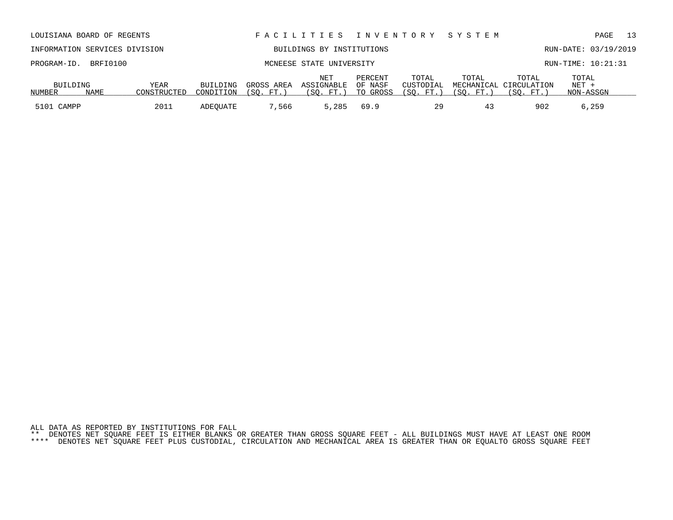ALL DATA AS REPORTED BY INSTITUTIONS FOR FALL \*\* DENOTES NET SQUARE FEET IS EITHER BLANKS OR GREATER THAN GROSS SQUARE FEET - ALL BUILDINGS MUST HAVE AT LEAST ONE ROOM \*\*\*\* DENOTES NET SQUARE FEET PLUS CUSTODIAL, CIRCULATION AND MECHANICAL AREA IS GREATER THAN OR EQUALTO GROSS SQUARE FEET

| INFORMATION SERVICES DIVISION |                      |             |           |            | BUILDINGS BY INSTITUTIONS |                    |                    |                  |                                 | RUN-DATE: 03/19/2019 |  |
|-------------------------------|----------------------|-------------|-----------|------------|---------------------------|--------------------|--------------------|------------------|---------------------------------|----------------------|--|
|                               | PROGRAM-ID. BRFI0100 |             |           |            | MCNEESE STATE UNIVERSITY  |                    |                    |                  |                                 | RUN-TIME: 10:21:31   |  |
| BUILDING                      |                      | YEAR        | BUILDING  | GROSS AREA | NET<br>ASSIGNABLE         | PERCENT<br>OF NASF | TOTAL<br>CUSTODIAL | TOTAL            | TOTAL<br>MECHANICAL CIRCULATION | TOTAL<br>NET +       |  |
| NUMBER                        | NAME                 | CONSTRUCTED | CONDITION | (SO. FT.   | $^{\prime}$ SO .          | TO GROSS           | (SO. FT.           | $FT.$ $^{\circ}$ | 'SO.                            | NON-ASSGN            |  |

5101 CAMPP 2011 ADEQUATE 7,566 5,285 69.9 29 43 902 6,259

LOUISIANA BOARD OF REGENTS F A C I L I T I E S I N V E N T O R Y S Y S T E M PAGE 13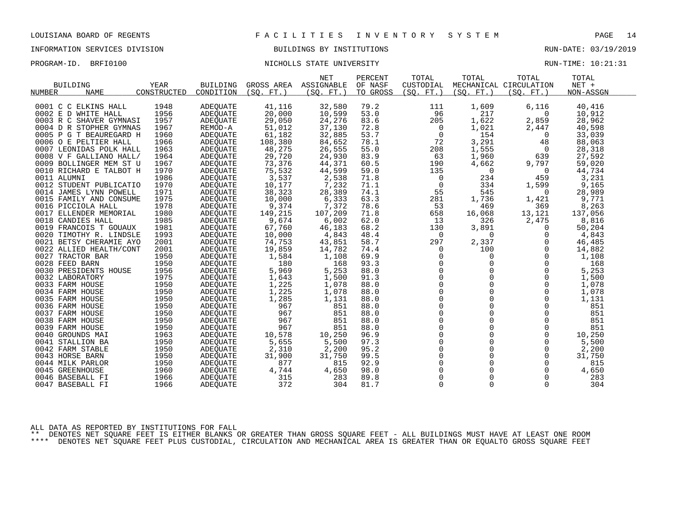# INFORMATION SERVICES DIVISION BUILDINGS BY INSTITUTIONS RUN-DATE: 03/19/2019

### PROGRAM-ID. BRFI0100 NICHOLLS STATE UNIVERSITY RUN-TIME: 10:21:31

|                         |             |                 |            | <b>NET</b>            | PERCENT  | TOTAL               | TOTAL          | TOTAL                  | TOTAL     |  |
|-------------------------|-------------|-----------------|------------|-----------------------|----------|---------------------|----------------|------------------------|-----------|--|
| <b>BUILDING</b>         | <b>YEAR</b> | <b>BUILDING</b> |            | GROSS AREA ASSIGNABLE | OF NASF  | CUSTODIAL           |                | MECHANICAL CIRCULATION | $NET +$   |  |
| <b>NAME</b><br>NUMBER   | CONSTRUCTED | CONDITION       | (SO. FT. ) | (SO. FT. )            | TO GROSS | (SO. FT. )          | (SO. FT. )     | (SO. FT.)              | NON-ASSGN |  |
|                         |             |                 |            |                       |          |                     |                |                        |           |  |
| 0001 C C ELKINS HALL    | 1948        | <b>ADEQUATE</b> | 41,116     | 32,580                | 79.2     | 111                 | 1,609          | 6,116                  | 40,416    |  |
| 0002 E D WHITE HALL     | 1956        | ADEQUATE        | 20,000     | 10,599                | 53.0     | 96                  | 217            | 0                      | 10,912    |  |
| 0003 R C SHAVER GYMNASI | 1957        | <b>ADEQUATE</b> | 29,050     | 24,276                | 83.6     | 205                 | 1,622          | 2,859                  | 28,962    |  |
| 0004 D R STOPHER GYMNAS | 1967        | REMOD-A         | 51,012     | 37,130                | 72.8     | $\overline{0}$      | 1,021          | 2,447                  | 40,598    |  |
| 0005 P G T BEAUREGARD H | 1960        | ADEQUATE        | 61,182     | 32,885                | 53.7     | $\overline{0}$      | 154            | 0                      | 33,039    |  |
| 0006 O E PELTIER HALL   | 1966        | ADEOUATE        | 108,380    | 84,652                | 78.1     | 72                  | 3,291          | 48                     | 88,063    |  |
| 0007 LEONIDAS POLK HALL | 1963        | ADEOUATE        | 48,275     | 26,555                | 55.0     | 208                 | 1,555          | 0                      | 28,318    |  |
| 0008 V F GALLIANO HALL/ | 1964        | ADEQUATE        | 29,720     | 24,930                | 83.9     | 63                  | 1,960          | 639                    | 27,592    |  |
| 0009 BOLLINGER MEM ST U | 1967        | ADEOUATE        | 73,376     | 44,371                | 60.5     | 190                 | 4,662          | 9,797                  | 59,020    |  |
| 0010 RICHARD E TALBOT H | 1970        | ADEOUATE        | 75,532     | 44,599                | 59.0     | 135                 | 0              | $\overline{0}$         | 44,734    |  |
| 0011 ALUMNI             | 1986        | ADEQUATE        | 3,537      | 2,538                 | 71.8     | 0                   | 234            | 459                    | 3,231     |  |
| 0012 STUDENT PUBLICATIO | 1970        | ADEOUATE        | 10,177     | 7,232                 | 71.1     | $\mathbf 0$         | 334            | 1,599                  | 9,165     |  |
| 0014 JAMES LYNN POWELL  | 1971        | ADEQUATE        | 38,323     | 28,389                | 74.1     | 55                  | 545            | $\overline{0}$         | 28,989    |  |
| 0015 FAMILY AND CONSUME | 1975        | ADEQUATE        | 10,000     | 6,333                 | 63.3     | 281                 | 1,736          | 1,421                  | 9,771     |  |
| 0016 PICCIOLA HALL      | 1978        | ADEOUATE        | 9,374      | 7,372                 | 78.6     | 53                  | 469            | 369                    | 8,263     |  |
| 0017 ELLENDER MEMORIAL  | 1980        | ADEQUATE        | 149,215    | 107,209               | 71.8     | 658                 | 16,068         | 13,121                 | 137,056   |  |
| 0018 CANDIES HALL       | 1985        | ADEQUATE        | 9,674      | 6,002                 | 62.0     | 13                  | 326            | 2,475                  | 8,816     |  |
| 0019 FRANCOIS T GOUAUX  | 1981        | ADEOUATE        | 67,760     | 46,183                | 68.2     | 130                 | 3,891          | 0                      | 50,204    |  |
| 0020 TIMOTHY R. LINDSLE | 1993        | ADEQUATE        | 10,000     | 4,843                 | 48.4     | 0                   | $\mathbf 0$    | 0                      | 4,843     |  |
| 0021 BETSY CHERAMIE AYO | 2001        | ADEQUATE        | 74,753     | 43,851                | 58.7     | 297                 | 2,337          | $\Omega$               | 46,485    |  |
| 0022 ALLIED HEALTH/CONT | 2001        | ADEOUATE        | 19,859     | 14,782                | 74.4     | 0                   | 100            | $\Omega$               | 14,882    |  |
| 0027 TRACTOR BAR        | 1950        | ADEQUATE        | 1,584      | 1,108                 | 69.9     | $\mathbf 0$         | $\mathbf 0$    | $\Omega$               | 1,108     |  |
| 0028 FEED BARN          | 1950        | ADEQUATE        | 180        | 168                   | 93.3     | $\mathbf 0$         | $\mathbf 0$    | $\mathbf 0$            | 168       |  |
| 0030 PRESIDENTS HOUSE   | 1956        | <b>ADEOUATE</b> | 5,969      | 5,253                 | 88.0     | $\mathsf{O}\xspace$ |                | 0                      | 5,253     |  |
| 0032 LABORATORY         | 1975        | ADEQUATE        | 1,643      | 1,500                 | 91.3     | $\Omega$            | $\Omega$       | $\Omega$               | 1,500     |  |
| 0033 FARM HOUSE         | 1950        | ADEQUATE        | 1,225      | 1,078                 | 88.0     | $\mathsf{O}\xspace$ | 0              | $\mathbf 0$            | 1,078     |  |
| 0034 FARM HOUSE         | 1950        | ADEOUATE        | 1,225      | 1,078                 | 88.0     | $\mathsf{O}$        | $\Omega$       | $\Omega$               | 1,078     |  |
| 0035 FARM HOUSE         | 1950        | ADEQUATE        | 1,285      | 1,131                 | 88.0     | $\Omega$            | $\Omega$       | $\Omega$               | 1,131     |  |
| 0036 FARM HOUSE         | 1950        | ADEQUATE        | 967        | 851                   | 88.0     | $\mathsf{O}\xspace$ | $\mathbf{0}$   | $\mathbf 0$            | 851       |  |
| 0037 FARM HOUSE         | 1950        | ADEQUATE        | 967        | 851                   | 88.0     | $\mathbf 0$         | $\Omega$       | $\mathbf 0$            | 851       |  |
| 0038 FARM HOUSE         | 1950        | <b>ADEQUATE</b> | 967        | 851                   | 88.0     | $\Omega$            | $\Omega$       | $\Omega$               | 851       |  |
| 0039 FARM HOUSE         | 1950        | ADEOUATE        | 967        | 851                   | 88.0     | $\mathsf{O}$        | $\overline{0}$ | $\mathbf 0$            | 851       |  |
| 0040 GROUNDS MAI        | 1963        | <b>ADEQUATE</b> | 10,578     | 10,250                | 96.9     | $\mathbf 0$         | $\Omega$       | $\Omega$               | 10,250    |  |
| 0041 STALLION BA        | 1950        | ADEOUATE        | 5,655      | 5,500                 | 97.3     | $\overline{0}$      | $\Omega$       | $\Omega$               | 5,500     |  |
| 0042 FARM STABLE        | 1950        | ADEOUATE        | 2,310      | 2,200                 | 95.2     | $\mathsf{O}$        | $\mathbf 0$    | $\mathbf 0$            | 2,200     |  |
| 0043 HORSE BARN         | 1950        | ADEQUATE        | 31,900     | 31,750                | 99.5     | $\mathsf{O}\xspace$ | $\Omega$       | $\mathbf 0$            | 31,750    |  |
| 0044 MILK PARLOR        | 1950        | ADEQUATE        | 877        | 815                   | 92.9     | $\mathsf{O}$        | $\Omega$       | 0                      | 815       |  |
| 0045 GREENHOUSE         | 1960        | ADEQUATE        | 4,744      | 4,650                 | 98.0     | $\mathbf 0$         | $\Omega$       | $\Omega$               | 4,650     |  |
| 0046 BASEBALL FI        | 1966        | ADEQUATE        | 315        | 283                   | 89.8     | $\mathsf{O}$        | $\mathbf 0$    | $\mathbf 0$            | 283       |  |
| 0047 BASEBALL FI        | 1966        | ADEQUATE        | 372        | 304                   | 81.7     | $\mathbf 0$         | $\mathbf 0$    | 0                      | 304       |  |
|                         |             |                 |            |                       |          |                     |                |                        |           |  |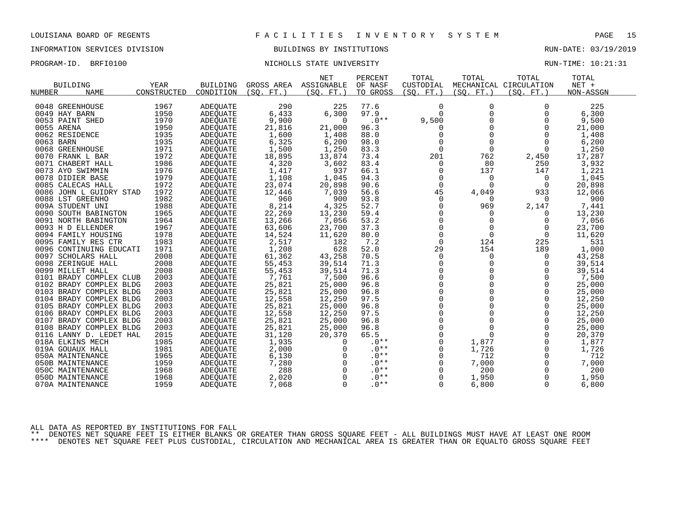# INFORMATION SERVICES DIVISION BUILDINGS BY INSTITUTIONS AND RUN-DATE: 03/19/2019

### PROGRAM-ID. BRFI0100 NICHOLLS STATE UNIVERSITY NEXT RUN-TIME: 10:21:31

|                              |             |                 |                  | <b>NET</b> | PERCENT  | TOTAL       | TOTAL       | TOTAL                  | TOTAL     |  |
|------------------------------|-------------|-----------------|------------------|------------|----------|-------------|-------------|------------------------|-----------|--|
| <b>BUILDING</b>              | YEAR        | <b>BUILDING</b> | GROSS AREA       | ASSIGNABLE | OF NASF  | CUSTODIAL   |             | MECHANICAL CIRCULATION | $NET +$   |  |
| <b>NAME</b><br><b>NUMBER</b> | CONSTRUCTED | CONDITION       | (SO, FT.)        | (SO. FT.)  | TO GROSS | (SO, FT.)   | (SO, FT.)   | (SO, FT.)              | NON-ASSGN |  |
|                              |             |                 |                  |            |          |             |             |                        |           |  |
| 0048 GREENHOUSE              | 1967        | ADEQUATE        | 290              | 225        | 77.6     | $\Omega$    | $\Omega$    | $\Omega$               | 225       |  |
| 0049 HAY BARN                | 1950        | ADEQUATE        | 6,433            | 6,300      | 97.9     | $\Omega$    | $\Omega$    | $\Omega$               | 6,300     |  |
| 0053 PAINT SHED              | 1970        | ADEQUATE        | 9,900            | 0          | $.0**$   | 9,500       | 0           | $\Omega$               | 9,500     |  |
| 0055 ARENA                   | 1950        | <b>ADEOUATE</b> | 21,816           | 21,000     | 96.3     | 0           | $\mathbf 0$ | $\Omega$               | 21,000    |  |
| 0062 RESIDENCE               | 1935        | ADEQUATE        | 1,600            | 1,408      | 88.0     | $\mathbf 0$ | $\Omega$    | $\Omega$               | 1,408     |  |
| 0063 BARN                    | 1935        | ADEQUATE        | 6,325            | 6,200      | 98.0     | $\Omega$    | $\Omega$    | $\Omega$               | 6,200     |  |
| 0068 GREENHOUSE              | 1971        | ADEOUATE        | 1,500            | 1,250      | 83.3     | $\mathbf 0$ | $\mathbf 0$ | $\Omega$               | 1,250     |  |
| 0070 FRANK L BAR             | 1972        | ADEQUATE        | 18,895           | 13,874     | 73.4     | 201         | 762         | 2,450                  | 17,287    |  |
| 0071 CHABERT HALL            | 1986        | ADEQUATE        | 4,320            | 3,602      | 83.4     | $\mathbf 0$ | 80          | 250                    | 3,932     |  |
| 0073 AYO SWIMMIN             | 1976        | ADEQUATE        | 1,417            | 937        | 66.1     | 0           | 137         | 147                    | 1,221     |  |
| 0078 DIDIER BASE             | 1979        | ADEQUATE        | 1,108            | 1,045      | 94.3     | 0           | 0           | $\Omega$               | 1,045     |  |
| 0085 CALECAS HALL            | 1972        | ADEQUATE        | 23,074           | 20,898     | 90.6     | $\Omega$    | $\Omega$    | $\Omega$               | 20,898    |  |
| 0086 JOHN L GUIDRY STAD      | 1972        | ADEOUATE        | 12,446           | 7,039      | 56.6     | 45          | 4,049       | 933                    | 12,066    |  |
| 0088 LST GREENHO             | 1982        | ADEOUATE        | 960              | 900        | 93.8     | $\mathbf 0$ | 0           | 0                      | 900       |  |
| 009A STUDENT UNI             | 1988        | ADEOUATE        | 8,214            | 4,325      | 52.7     | $\Omega$    | 969         | 2,147                  | 7,441     |  |
| 0090 SOUTH BABINGTON         | 1965        | ADEQUATE        | 22,269           | 13,230     | 59.4     | $\Omega$    | $\Omega$    | $\Omega$               | 13,230    |  |
| 0091 NORTH BABINGTON         | 1964        | ADEQUATE        | 13,266           | 7,056      | 53.2     | $\Omega$    | $\Omega$    | $\Omega$               | 7,056     |  |
| 0093 H D ELLENDER            | 1967        | ADEQUATE        | 63,606           | 23,700     | 37.3     | 0           | $\mathbf 0$ | $\Omega$               | 23,700    |  |
| 0094 FAMILY HOUSING          | 1978        | <b>ADEOUATE</b> | 14,524           | 11,620     | 80.0     | $\Omega$    | $\Omega$    | $\Omega$               | 11,620    |  |
| 0095 FAMILY RES CTR          | 1983        | ADEQUATE        | 2,517            | 182        | 7.2      | $\Omega$    | 124         | 225                    | 531       |  |
| 0096 CONTINUING EDUCATI      | 1971        | ADEQUATE        | 1,208            | 628        | 52.0     | 29          | 154         | 189                    | 1,000     |  |
| 0097 SCHOLARS HALL           | 2008        | <b>ADEOUATE</b> | 61,362           | 43,258     | 70.5     | $\mathbf 0$ | 0           | $\Omega$               | 43,258    |  |
| 0098 ZERINGUE HALL           | 2008        | ADEQUATE        | 55,453           | 39,514     | 71.3     | 0           | 0           | $\Omega$               | 39,514    |  |
| 0099 MILLET HALL             | 2008        | ADEQUATE        | 55,453           | 39,514     | 71.3     | $\mathbf 0$ | $\Omega$    | $\Omega$               | 39,514    |  |
| 0101 BRADY COMPLEX CLUB      | 2003        | <b>ADEOUATE</b> | 7,761            | 7,500      | 96.6     | $\Omega$    | $\Omega$    | $\Omega$               | 7,500     |  |
| 0102 BRADY COMPLEX BLDG      | 2003        | ADEQUATE        | 25,821           | 25,000     | 96.8     | $\mathbf 0$ | $\Omega$    | $\Omega$               | 25,000    |  |
| 0103 BRADY COMPLEX BLDG      | 2003        |                 |                  | 25,000     | 96.8     | 0           | $\Omega$    | $\Omega$               | 25,000    |  |
| 0104 BRADY COMPLEX BLDG      | 2003        | ADEQUATE        | 25,821<br>12,558 |            | 97.5     | $\Omega$    | $\Omega$    | $\Omega$               |           |  |
|                              |             | ADEQUATE        |                  | 12,250     | 96.8     | $\Omega$    | $\Omega$    | $\Omega$               | 12,250    |  |
| 0105 BRADY COMPLEX BLDG      | 2003        | ADEOUATE        | 25,821           | 25,000     | 97.5     | $\mathbf 0$ | $\Omega$    | $\Omega$               | 25,000    |  |
| 0106 BRADY COMPLEX BLDG      | 2003        | ADEQUATE        | 12,558           | 12,250     |          |             |             |                        | 12,250    |  |
| 0107 BRADY COMPLEX BLDG      | 2003        | ADEQUATE        | 25,821           | 25,000     | 96.8     | $\Omega$    | $\Omega$    | $\Omega$               | 25,000    |  |
| 0108 BRADY COMPLEX BLDG      | 2003        | <b>ADEOUATE</b> | 25,821           | 25,000     | 96.8     | $\mathbf 0$ | $\Omega$    | $\Omega$               | 25,000    |  |
| 0116 LANNY D. LEDET HAL      | 2015        | ADEOUATE        | 31,120           | 20,370     | 65.5     | 0           | $\Omega$    | $\Omega$               | 20,370    |  |
| 018A ELKINS MECH             | 1985        | ADEQUATE        | 1,935            | $\Omega$   | $.0**$   | $\mathbf 0$ | 1,877       | $\Omega$               | 1,877     |  |
| 019A GOUAUX HALL             | 1981        | ADEQUATE        | 2,000            |            | $.0**$   | $\Omega$    | 1,726       | $\Omega$               | 1,726     |  |
| 050A MAINTENANCE             | 1965        | ADEQUATE        | 6,130            |            | $.0**$   | 0           | 712         | 0                      | 712       |  |
| 050B MAINTENANCE             | 1959        | ADEOUATE        | 7,280            |            | $.0**$   | $\mathbf 0$ | 7,000       | $\mathbf 0$            | 7,000     |  |
| 050C MAINTENANCE             | 1968        | ADEQUATE        | 288              | $\Omega$   | $.0**$   | $\Omega$    | 200         | $\Omega$               | 200       |  |
| 050D MAINTENANCE             | 1968        | ADEQUATE        | 2,020            | $\Omega$   | $.0**$   | $\Omega$    | 1,950       | $\Omega$               | 1,950     |  |
| 070A MAINTENANCE             | 1959        | ADEOUATE        | 7,068            | $\Omega$   | $.0**$   | $\Omega$    | 6,800       | $\Omega$               | 6,800     |  |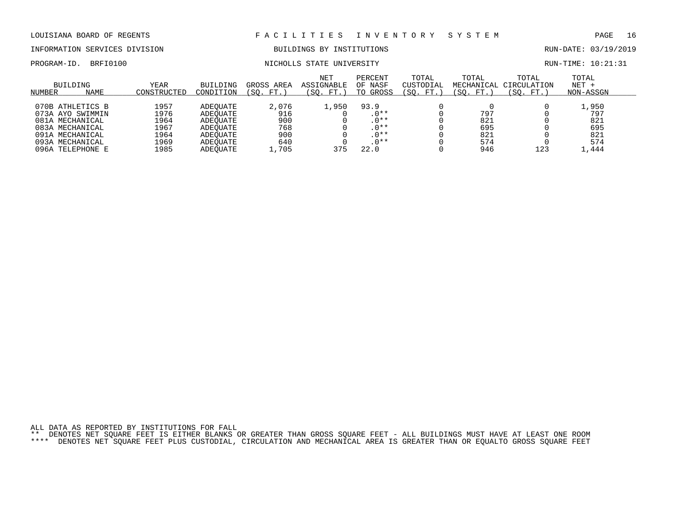# INFORMATION SERVICES DIVISION BUILDINGS BY INSTITUTIONS AND RUN-DATE: 03/19/2019

# PROGRAM-ID. BRFI0100 NICHOLLS STATE UNIVERSITY RUN-TIME: 10:21:31

| NUMBER | BUILDING<br><b>NAME</b> | <b>YEAR</b><br>CONSTRUCTED | <b>BUILDING</b><br>CONDITION | GROSS<br>AREA<br>'SO.<br>FT. | <b>NET</b><br>ASSIGNABLE<br>(SO. FT.) | PERCENT<br>OF NASF<br>TO GROSS | TOTAL<br>CUSTODIAL<br>$^{\prime}$ SO .<br>FT. | TOTAL<br>MECHANICAL<br>SO.<br>FT. | TOTAL<br>CIRCULATION<br>SO.<br>FT. | TOTAL<br>$NET +$<br>NON-ASSGN |  |
|--------|-------------------------|----------------------------|------------------------------|------------------------------|---------------------------------------|--------------------------------|-----------------------------------------------|-----------------------------------|------------------------------------|-------------------------------|--|
|        |                         |                            |                              |                              |                                       |                                |                                               |                                   |                                    |                               |  |
|        | 070B ATHLETICS B        | 1957                       | ADEOUATE                     | 2,076                        | 1,950                                 | 93.9                           |                                               |                                   |                                    | 1,950                         |  |
|        | 073A AYO SWIMMIN        | 1976                       | ADEOUATE                     | 916                          |                                       | $.0**$                         |                                               | 797                               |                                    | 797                           |  |
|        | 081A MECHANICAL         | 1964                       | ADEOUATE                     | 900                          |                                       | $.0**$                         |                                               | 821                               |                                    | 821                           |  |
|        | 083A MECHANICAL         | 1967                       | ADEOUATE                     | 768                          |                                       | $.0**$                         |                                               | 695                               |                                    | 695                           |  |
|        | 091A MECHANICAL         | 1964                       | ADEOUATE                     | 900                          |                                       | $.0**$                         |                                               | 821                               |                                    | 821                           |  |
|        | 093A MECHANICAL         | 1969                       | ADEOUATE                     | 640                          |                                       | $.0**$                         |                                               | 574                               |                                    | 574                           |  |
|        | 096A TELEPHONE E        | 1985                       | ADEOUATE                     | 1,705                        | 375                                   | 22.0                           |                                               | 946                               | 123                                | 1,444                         |  |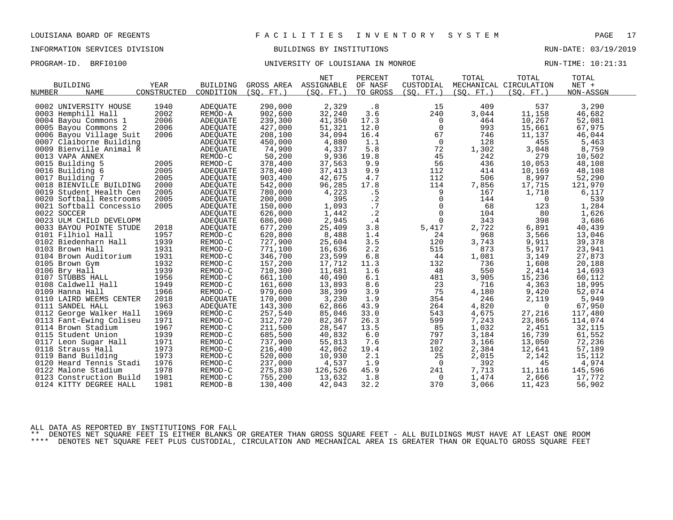# INFORMATION SERVICES DIVISION BUILDINGS BY INSTITUTIONS RUN-DATE: 03/19/2019

PROGRAM-ID. BRFI0100 **BRFI0100** UNIVERSITY OF LOUISIANA IN MONROE RUN-TIME: 10:21:31

|                         |             |           |           | <b>NET</b>            | PERCENT   | TOTAL          | TOTAL      | TOTAL                  | TOTAL     |  |
|-------------------------|-------------|-----------|-----------|-----------------------|-----------|----------------|------------|------------------------|-----------|--|
| <b>BUILDING</b>         | YEAR        | BUILDING  |           | GROSS AREA ASSIGNABLE | OF NASF   | CUSTODIAL      |            | MECHANICAL CIRCULATION | $NET +$   |  |
| NUMBER<br><b>NAME</b>   | CONSTRUCTED | CONDITION | (SO. FT.) | (SO. FT. )            | TO GROSS  | (SO. FT. )     | (SO. FT. ) | (SO. FT. )             | NON-ASSGN |  |
|                         | 1940        |           |           |                       |           |                | 409        |                        |           |  |
| 0002 UNIVERSITY HOUSE   |             | ADEQUATE  | 290,000   | 2,329                 | .8        | 15             |            | 537                    | 3,290     |  |
| 0003 Hemphill Hall      | 2002        | REMOD-A   | 902,600   | 32,240                | 3.6       | 240            | 3,044      | 11,158                 | 46,682    |  |
| 0004 Bayou Commons 1    | 2006        | ADEQUATE  | 239,300   | 41,350                | 17.3      | 0              | 464        | 10,267                 | 52,081    |  |
| 0005 Bayou Commons 2    | 2006        | ADEQUATE  | 427,000   | 51,321                | 12.0      | 0              | 993        | 15,661                 | 67,975    |  |
| 0006 Bayou Village Suit | 2006        | ADEQUATE  | 208,100   | 34,094                | 16.4      | 67             | 746        | 11,137                 | 46,044    |  |
| 0007 Claiborne Building |             | ADEQUATE  | 450,000   | 4,880                 | 1.1       | $\overline{0}$ | 128        | 455                    | 5,463     |  |
| 0009 Bienville Animal R |             | ADEQUATE  | 74,900    | 4,337                 | 5.8       | 72             | 1,302      | 3,048                  | 8,759     |  |
| 0013 VAPA ANNEX         |             | REMOD-C   | 50,200    | 9,936                 | 19.8      | 45             | 242        | 279                    | 10,502    |  |
| 0015 Building 5         | 2005        | REMOD-C   | 378,400   | 37,563                | 9.9       | 56             | 436        | 10,053                 | 48,108    |  |
| 0016 Building 6         | 2005        | ADEOUATE  | 378,400   | 37,413                | 9.9       | 112            | 414        | 10,169                 | 48,108    |  |
| 0017 Building 7         | 2005        | ADEQUATE  | 903,400   | 42,675                | 4.7       | 112            | 506        | 8,997                  | 52,290    |  |
| 0018 BIENVILLE BUILDING | 2000        | ADEQUATE  | 542,000   | 96,285                | 17.8      | 114            | 7,856      | 17,715                 | 121,970   |  |
| 0019 Student Health Cen | 2005        | ADEQUATE  | 780,000   | 4,223                 | .5        | 9              | 167        | 1,718                  | 6,117     |  |
| 0020 Softball Restrooms | 2005        | ADEQUATE  | 200,000   | 395                   | $\cdot$ 2 | $\overline{0}$ | 144        | $\Omega$               | 539       |  |
| 0021 Softball Concessio | 2005        | ADEOUATE  | 150,000   | 1,093                 | .7        | $\mathsf{O}$   | 68         | 123                    | 1,284     |  |
| 0022 SOCCER             |             | ADEQUATE  | 626,000   | 1,442                 | $\cdot$ 2 | $\mathsf{O}$   | 104        | 80                     | 1,626     |  |
| 0023 ULM CHILD DEVELOPM |             | ADEQUATE  | 686,000   | 2,945                 | .4        | $\mathsf{O}$   | 343        | 398                    | 3,686     |  |
| 0033 BAYOU POINTE STUDE | 2018        | ADEQUATE  | 677,200   | 25,409                | 3.8       | 5,417          | 2,722      | 6,891                  | 40,439    |  |
| 0101 Filhiol Hall       | 1957        | REMOD-C   | 620,800   | 8,488                 | 1.4       | 24             | 968        | 3,566                  | 13,046    |  |
| 0102 Biedenharn Hall    | 1939        | REMOD-C   | 727,900   | 25,604                | 3.5       | 120            | 3,743      | 9,911                  | 39,378    |  |
| 0103 Brown Hall         | 1931        | REMOD-C   | 771,100   | 16,636                | 2.2       | 515            | 873        | 5,917                  | 23,941    |  |
| 0104 Brown Auditorium   | 1931        | REMOD-C   | 346,700   | 23,599                | 6.8       | 44             | 1,081      | 3,149                  | 27,873    |  |
| 0105 Brown Gym          | 1932        | REMOD-C   | 157,200   | 17,712                | 11.3      | 132            | 736        | 1,608                  | 20,188    |  |
| 0106 Bry Hall           | 1939        | REMOD-C   | 710,300   | 11,681                | 1.6       | 48             | 550        | 2,414                  | 14,693    |  |
| 0107 STUBBS HALL        | 1956        | REMOD-C   | 661,100   | 40,490                | 6.1       | 481            | 3,905      | 15,236                 | 60,112    |  |
| 0108 Caldwell Hall      | 1949        | REMOD-C   | 161,600   | 13,893                | 8.6       | 23             | 716        | 4,363                  | 18,995    |  |
| 0109 Hanna Hall         | 1966        | REMOD-C   | 979,600   | 38,399                | 3.9       | 75             | 4,180      | 9,420                  | 52,074    |  |
| 0110 LAIRD WEEMS CENTER | 2018        | ADEOUATE  | 170,000   | 3,230                 | 1.9       | 354            | 246        | 2,119                  | 5,949     |  |
| 0111 SANDEL HALL        | 1963        | ADEOUATE  | 143,300   | 62,866                | 43.9      | 264            | 4,820      | $\overline{0}$         | 67,950    |  |
| 0112 George Walker Hall | 1969        | REMOD-C   | 257,540   | 85,046                | 33.0      | 543            | 4,675      | 27,216                 | 117,480   |  |
| 0113 Fant-Ewing Coliseu | 1971        | REMOD-C   | 312,720   | 82,367                | 26.3      | 599            | 7,243      | 23,865                 | 114,074   |  |
| 0114 Brown Stadium      | 1967        | REMOD-C   | 211,500   | 28,547                | 13.5      | 85             | 1,032      | 2,451                  | 32,115    |  |
| 0115 Student Union      | 1939        | REMOD-C   | 685,500   | 40,832                | 6.0       | 797            | 3,184      | 16,739                 | 61,552    |  |
| 0117 Leon Sugar Hall    | 1971        | REMOD-C   | 737,900   | 55,813                | 7.6       | 207            | 3,166      | 13,050                 | 72,236    |  |
| 0118 Strauss Hall       | 1973        | REMOD-C   | 216,400   | 42,062                | 19.4      | 102            | 2,384      | 12,641                 | 57,189    |  |
| 0119 Band Building      | 1973        | REMOD-C   | 520,000   | 10,930                | 2.1       | 25             | 2,015      | 2,142                  | 15,112    |  |
| 0120 Heard Tennis Stadi | 1976        | REMOD-C   | 237,000   | 4,537                 | 1.9       | $\overline{0}$ | 392        | 45                     | 4,974     |  |
| 0122 Malone Stadium     | 1978        | REMOD-C   | 275,830   | 126,526               | 45.9      | 241            | 7,713      | 11,116                 | 145,596   |  |
| 0123 Construction Build | 1981        | REMOD-C   | 755,200   | 13,632                | 1.8       | 0              | 1,474      | 2,666                  | 17,772    |  |
| 0124 KITTY DEGREE HALL  | 1981        | REMOD-B   | 130,400   | 42,043                | 32.2      | 370            | 3,066      | 11,423                 |           |  |
|                         |             |           |           |                       |           |                |            |                        | 56,902    |  |

ALL DATA AS REPORTED BY INSTITUTIONS FOR FALL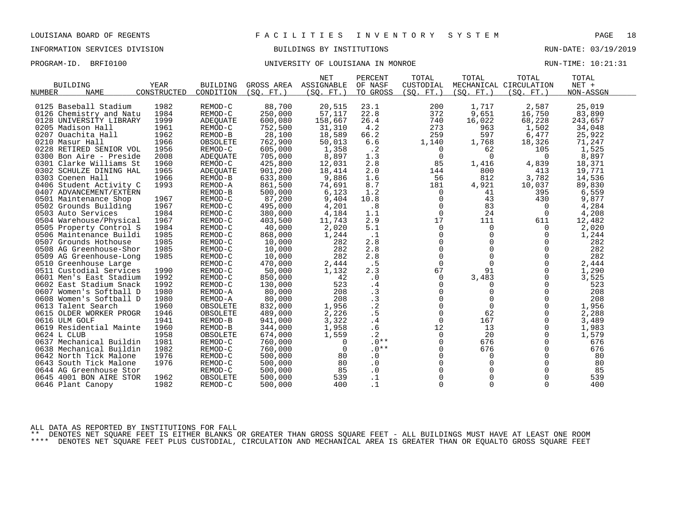# INFORMATION SERVICES DIVISION BUILDINGS BY INSTITUTIONS AND RUN-DATE: 03/19/2019

### PROGRAM-ID. BRFI0100 **BRFI0100** UNIVERSITY OF LOUISIANA IN MONROE RUN-TIME: 10:21:31

|                         |             |                 |            | <b>NET</b> | PERCENT           | TOTAL          | TOTAL       | TOTAL                  | TOTAL     |  |
|-------------------------|-------------|-----------------|------------|------------|-------------------|----------------|-------------|------------------------|-----------|--|
| <b>BUILDING</b>         | <b>YEAR</b> | <b>BUILDING</b> | GROSS AREA | ASSIGNABLE | OF NASF           | CUSTODIAL      |             | MECHANICAL CIRCULATION | $NET +$   |  |
| NUMBER<br><b>NAME</b>   | CONSTRUCTED | CONDITION       | (SQ. FT. ) | (SQ. FT. ) | TO GROSS          | (SQ. FT.)      | (SQ. FT. )  | (SQ. FT. )             | NON-ASSGN |  |
|                         |             |                 |            |            |                   |                |             |                        |           |  |
| 0125 Baseball Stadium   | 1982        | REMOD-C         | 88,700     | 20,515     | 23.1              | 200            | 1,717       | 2,587                  | 25,019    |  |
| 0126 Chemistry and Natu | 1984        | REMOD-C         | 250,000    | 57,117     | 22.8              | 372            | 9,651       | 16,750                 | 83,890    |  |
| 0128 UNIVERSITY LIBRARY | 1999        | <b>ADEQUATE</b> | 600,080    | 158,667    | 26.4              | 740            | 16,022      | 68,228                 | 243,657   |  |
| 0205 Madison Hall       | 1961        | REMOD-C         | 752,500    | 31,310     | 4.2               | 273            | 963         | 1,502                  | 34,048    |  |
| 0207 Ouachita Hall      | 1962        | REMOD-B         | 28,100     | 18,589     | 66.2              | 259            | 597         | 6,477                  | 25,922    |  |
| 0210 Masur Hall         | 1966        | OBSOLETE        | 762,900    | 50,013     | 6.6               | 1,140          | 1,768       | 18,326                 | 71,247    |  |
| 0228 RETIRED SENIOR VOL | 1956        | REMOD-C         | 605,000    | 1,358      | $\cdot$ 2         | 0              | 62          | 105                    | 1,525     |  |
| 0300 Bon Aire - Preside | 2008        | <b>ADEQUATE</b> | 705,000    | 8,897      | 1.3               | $\overline{0}$ | $\Omega$    | $\Omega$               | 8,897     |  |
| 0301 Clarke Williams St | 1960        | REMOD-C         | 425,800    | 12,031     | 2.8               | 85             | 1,416       | 4,839                  | 18,371    |  |
| 0302 SCHULZE DINING HAL | 1965        | <b>ADEOUATE</b> | 901,200    | 18,414     | 2.0               | 144            | 800         | 413                    | 19,771    |  |
| 0303 Coenen Hall        | 1966        | REMOD-B         | 633,800    | 9,886      | 1.6               | 56             | 812         | 3,782                  | 14,536    |  |
| 0406 Student Activity C | 1993        | REMOD-A         | 861,500    | 74,691     | 8.7               | 181            | 4,921       | 10,037                 | 89,830    |  |
| 0407 ADVANCEMENT/EXTERN |             | REMOD-B         | 500,000    | 6,123      | 1.2               | 0              | 41          | 395                    | 6,559     |  |
| 0501 Maintenance Shop   | 1967        | REMOD-C         | 87,200     | 9,404      | 10.8              | 0              | 43          | 430                    | 9,877     |  |
| 0502 Grounds Building   | 1967        | REMOD-C         | 495,000    | 4,201      | .8                | $\mathbf 0$    | 83          | 0                      | 4,284     |  |
| 0503 Auto Services      | 1984        | REMOD-C         | 380,000    | 4,184      | 1.1               | $\mathbf 0$    | 24          | $\Omega$               | 4,208     |  |
| 0504 Warehouse/Physical | 1967        | REMOD-C         | 403,500    | 11,743     | 2.9               | 17             | 111         | 611                    | 12,482    |  |
| 0505 Property Control S | 1984        | REMOD-C         | 40,000     | 2,020      | 5.1               | $\mathbf 0$    | $\mathbf 0$ | 0                      | 2,020     |  |
| 0506 Maintenance Buildi | 1985        | REMOD-C         | 868,000    | 1,244      | $\cdot$ 1         | 0              | $\mathbf 0$ | 0                      | 1,244     |  |
| 0507 Grounds Hothouse   | 1985        | REMOD-C         | 10,000     | 282        | 2.8               | $\mathbf 0$    | $\Omega$    | $\Omega$               | 282       |  |
| 0508 AG Greenhouse-Shor | 1985        | REMOD-C         | 10,000     | 282        | 2.8               | $\mathbf 0$    | $\Omega$    | $\Omega$               | 282       |  |
| 0509 AG Greenhouse-Long | 1985        | REMOD-C         | 10,000     | 282        | 2.8               | $\mathbf 0$    | $\Omega$    | $\Omega$               | 282       |  |
| 0510 Greenhouse Large   |             | REMOD-C         | 470,000    | 2,444      | .5                | $\mathbf 0$    | $\mathbf 0$ | $\mathbf 0$            | 2,444     |  |
| 0511 Custodial Services | 1990        | REMOD-C         | 50,000     | 1,132      | 2.3               | 67             | 91          | $\mathbf 0$            | 1,290     |  |
| 0601 Men's East Stadium | 1992        | REMOD-C         | 850,000    | 42         | $\cdot$ 0         | $\Omega$       | 3,483       | $\Omega$               | 3,525     |  |
| 0602 East Stadium Snack | 1992        | REMOD-C         | 130,000    | 523        | .4                | $\mathbf 0$    | 0           | $\mathbf 0$            | 523       |  |
| 0607 Women's Softball D | 1980        | REMOD-A         | 80,000     | 208        | $\cdot$ 3         | $\mathbf 0$    | $\Omega$    | $\Omega$               | 208       |  |
| 0608 Women's Softball D | 1980        | REMOD-A         | 80,000     | 208        | $\frac{1}{2}$     | $\Omega$       | $\Omega$    | $\Omega$               | 208       |  |
| 0613 Talent Search      | 1960        | OBSOLETE        | 832,000    | 1,956      |                   | $\mathsf{O}$   | $\mathbf 0$ | $\mathbf 0$            | 1,956     |  |
| 0615 OLDER WORKER PROGR | 1946        | OBSOLETE        | 489,000    | 2,226      |                   | $\mathbf 0$    | 62          | 0                      | 2,288     |  |
| 0616 ULM GOLF           | 1941        | REMOD-B         | 941,000    | 3,322      | $\frac{1}{1}$ . 5 | $\mathbf 0$    | 167         | $\mathbf 0$            | 3,489     |  |
| 0619 Residential Mainte | 1960        | REMOD-B         | 344,000    | 1,958      | .6                | 12             | 13          | $\Omega$               | 1,983     |  |
| 0624 L CLUB             | 1958        | OBSOLETE        | 674,000    | 1,559      | $\cdot$ 2         | $\mathbf 0$    | 20          | 0                      | 1,579     |  |
| 0637 Mechanical Buildin | 1981        | REMOD-C         | 760,000    | 0          | $.0**$            | $\mathbf 0$    | 676         | 0                      | 676       |  |
| 0638 Mechanical Buildin | 1982        | REMOD-C         | 760,000    | $\Omega$   | $.0**$            | $\Omega$       | 676         | $\Omega$               | 676       |  |
| 0642 North Tick Malone  | 1976        | REMOD-C         | 500,000    | 80         | $\cdot$ 0         | $\mathbf 0$    | $\mathbf 0$ | $\mathbf 0$            | 80        |  |
| 0643 South Tick Malone  | 1976        | REMOD-C         | 500,000    | 80         | $\cdot$ 0         | $\mathbf 0$    | $\Omega$    | $\mathbf 0$            | 80        |  |
| 0644 AG Greenhouse Stor |             | REMOD-C         | 500,000    | 85         | $\cdot$ 0         | $\Omega$       | $\Omega$    | $\Omega$               | 85        |  |
| 0645 4001 BON AIRE STOR | 1962        | OBSOLETE        | 500,000    | 539        | $\cdot$ 1         | $\mathbf 0$    | 0           | $\Omega$               | 539       |  |
| 0646 Plant Canopy       | 1982        | REMOD-C         | 500,000    | 400        | $\cdot$ 1         | $\Omega$       | $\Omega$    | $\Omega$               | 400       |  |
|                         |             |                 |            |            |                   |                |             |                        |           |  |

ALL DATA AS REPORTED BY INSTITUTIONS FOR FALL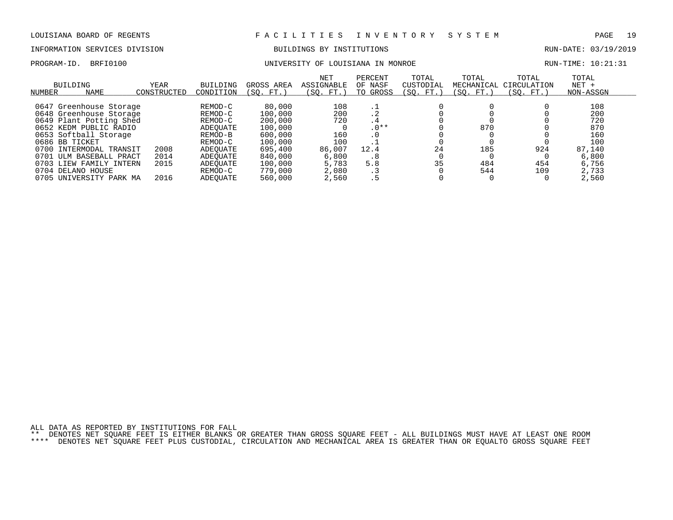### INFORMATION SERVICES DIVISION BUILDINGS BY INSTITUTIONS RUN-DATE: 03/19/2019

### PROGRAM-ID. BRFI0100 CONTROLLER UNIVERSITY OF LOUISIANA IN MONROE CONTROLLER RUN-TIME: 10:21:31

| <b>BUILDING</b><br>NAME<br>NUMBER                                                                                                                                                                              | <b>YEAR</b><br>CONSTRUCTED | <b>BUILDING</b><br>CONDITION                                                            | GROSS AREA<br>FT.<br>SO.                                                            | <b>NET</b><br><b>ASSIGNABLE</b><br>(SO. FT.        | PERCENT<br>OF NASF<br>GROSS<br>TO                       | TOTAL<br>CUSTODIAL<br>(SO. FT.) | TOTAL<br>MECHANICAL<br>'SO. FT. | TOTAL<br>CIRCULATION<br>(SO. FT. ) | TOTAL<br>$NET +$<br>NON-ASSGN                             |
|----------------------------------------------------------------------------------------------------------------------------------------------------------------------------------------------------------------|----------------------------|-----------------------------------------------------------------------------------------|-------------------------------------------------------------------------------------|----------------------------------------------------|---------------------------------------------------------|---------------------------------|---------------------------------|------------------------------------|-----------------------------------------------------------|
| 0647 Greenhouse Storage<br>0648 Greenhouse Storage<br>0649 Plant Potting Shed<br>0652 KEDM PUBLIC RADIO<br>0653 Softball Storage<br>0686 BB TICKET<br>0700<br>INTERMODAL TRANSIT<br>0701<br>ULM BASEBALL PRACT | 2008<br>2014               | REMOD-C<br>REMOD-C<br>REMOD-C<br>ADEOUATE<br>REMOD-B<br>REMOD-C<br>ADEOUATE<br>ADEOUATE | 80,000<br>100,000<br>200,000<br>100,000<br>600,000<br>100,000<br>695,400<br>840,000 | 108<br>200<br>720<br>160<br>100<br>86,007<br>6,800 | . .<br>. 4<br>. 4<br>$.0**$<br>$\cdot$ 0<br>12.4<br>. 8 | 24                              | 870<br>185                      | 924                                | 108<br>200<br>720<br>870<br>160<br>100<br>87,140<br>6,800 |
| 0703 LIEW FAMILY INTERN<br>DELANO HOUSE<br>0704<br>0705<br>UNIVERSITY PARK MA                                                                                                                                  | 2015<br>2016               | ADEOUATE<br>REMOD-C<br>ADEOUATE                                                         | 100,000<br>779,000<br>560,000                                                       | 5,783<br>2,080<br>2,560                            | 5.8<br>. 3<br>. 5                                       | 35                              | 484<br>544                      | 454<br>109                         | 6,756<br>2,733<br>2,560                                   |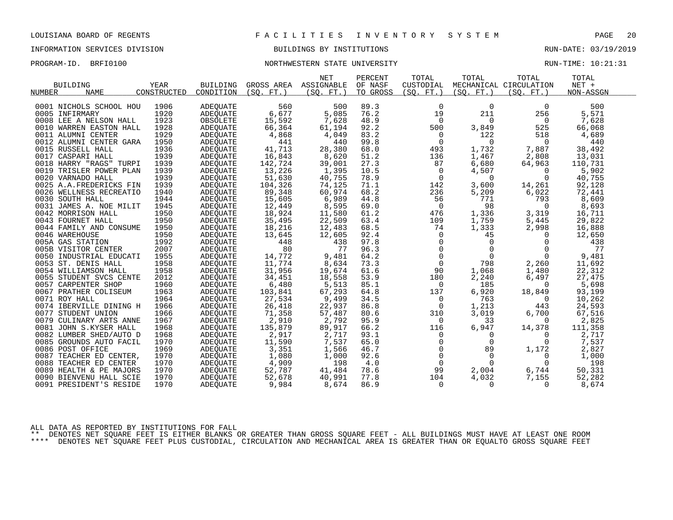# INFORMATION SERVICES DIVISION BUILDINGS BY INSTITUTIONS RUN-DATE: 03/19/2019

# PROGRAM-ID. BRFI0100 **NORTHWESTERN STATE UNIVERSITY** NEXT RUN-TIME: 10:21:31

|                          |             |                 |            | <b>NET</b> | PERCENT  | TOTAL               | TOTAL          | TOTAL                  | TOTAL     |  |
|--------------------------|-------------|-----------------|------------|------------|----------|---------------------|----------------|------------------------|-----------|--|
| <b>BUILDING</b>          | YEAR        | BUILDING        | GROSS AREA | ASSIGNABLE | OF NASF  | CUSTODIAL           |                | MECHANICAL CIRCULATION | $NET +$   |  |
| <b>NAME</b><br>NUMBER    | CONSTRUCTED | CONDITION       | (SO, FT.)  | (SO, FT.)  | TO GROSS | (SO. FT. )          | (SO. FT.)      | (SO, FT.)              | NON-ASSGN |  |
|                          |             |                 |            |            |          |                     |                |                        |           |  |
| 0001 NICHOLS SCHOOL HOU  | 1906        | ADEOUATE        | 560        | 500        | 89.3     | $\mathbf 0$         | $\Omega$       | $\Omega$               | 500       |  |
| 0005 INFIRMARY           | 1920        | ADEOUATE        | 6,677      | 5,085      | 76.2     | 19                  | 211            | 256                    | 5,571     |  |
| 0008 LEE A NELSON HALL   | 1923        | OBSOLETE        | 15,592     | 7,628      | 48.9     | $\overline{0}$      | $\Omega$       | $\overline{0}$         | 7,628     |  |
| 0010 WARREN EASTON HALL  | 1928        | ADEQUATE        | 66,364     | 61,194     | 92.2     | 500                 | 3,849          | 525                    | 66,068    |  |
| 0011 ALUMNI CENTER       | 1929        | ADEOUATE        | 4,868      | 4,049      | 83.2     | $\overline{0}$      | 122            | 518                    | 4,689     |  |
| 0012 ALUMNI CENTER GARA  | 1950        | ADEQUATE        | 441        | 440        | 99.8     | $\mathbf 0$         | $\Omega$       | $\overline{0}$         | 440       |  |
| 0015 RUSSELL HALL        | 1936        | ADEOUATE        | 41,713     | 28,380     | 68.0     | 493                 | 1,732          | 7,887                  | 38,492    |  |
| 0017 CASPARI HALL        | 1939        | ADEOUATE        | 16,843     | 8,620      | 51.2     | 136                 | 1,467          | 2,808                  | 13,031    |  |
| 0018 HARRY "RAGS" TURPI  | 1939        | ADEOUATE        | 142,724    | 39,001     | 27.3     | 87                  | 6,680          | 64,963                 | 110,731   |  |
| 0019 TRISLER POWER PLAN  | 1939        | ADEQUATE        | 13,226     | 1,395      | 10.5     | $\overline{0}$      | 4,507          | $\overline{0}$         | 5,902     |  |
| 0020 VARNADO HALL        | 1939        | ADEOUATE        | 51,630     | 40,755     | 78.9     | 0                   | $\Omega$       | $\Omega$               | 40,755    |  |
| 0025 A.A. FREDERICKS FIN | 1939        | ADEOUATE        | 104,326    | 74,125     | 71.1     | 142                 | 3,600          | 14,261                 | 92,128    |  |
| 0026 WELLNESS RECREATIO  | 1940        | ADEQUATE        | 89,348     | 60,974     | 68.2     | 236                 | 5,209          | 6,022                  | 72,441    |  |
| 0030 SOUTH HALL          | 1944        | <b>ADEOUATE</b> | 15,605     | 6,989      | 44.8     | 56                  | 771            | 793                    | 8,609     |  |
| 0031 JAMES A. NOE MILIT  | 1945        | ADEQUATE        | 12,449     | 8,595      | 69.0     | $\mathsf{O}$        | 98             | $\mathbf{0}$           | 8,693     |  |
| 0042 MORRISON HALL       | 1950        | ADEQUATE        | 18,924     | 11,580     | 61.2     | 476                 | 1,336          | 3,319                  | 16,711    |  |
| 0043 FOURNET HALL        | 1950        | ADEOUATE        | 35,495     | 22,509     | 63.4     | 109                 | 1,759          | 5,445                  | 29,822    |  |
| 0044 FAMILY AND CONSUME  | 1950        | ADEQUATE        | 18,216     | 12,483     | 68.5     | 74                  | 1,333          | 2,998                  | 16,888    |  |
| 0046 WAREHOUSE           | 1950        | ADEOUATE        | 13,645     | 12,605     | 92.4     | 0                   | 45             | 0                      | 12,650    |  |
| 005A GAS STATION         | 1992        | ADEOUATE        | 448        | 438        | 97.8     | $\mathbf 0$         | $\mathbf 0$    | $\Omega$               | 438       |  |
| 005B VISITOR CENTER      | 2007        | ADEQUATE        | 80         | 77         | 96.3     | $\mathbf{0}$        | $\mathbf{0}$   | $\Omega$               | 77        |  |
| 0050 INDUSTRIAL EDUCATI  | 1955        | ADEOUATE        | 14,772     | 9,481      | 64.2     | $\mathsf{O}\xspace$ | $\overline{0}$ | $\Omega$               | 9,481     |  |
| 0053 ST. DENIS HALL      | 1958        | ADEQUATE        | 11,774     | 8,634      | 73.3     | $\mathbf 0$         | 798            | 2,260                  | 11,692    |  |
| 0054 WILLIAMSON HALL     | 1958        | ADEOUATE        | 31,956     | 19,674     | 61.6     | 90                  | 1,068          | 1,480                  | 22,312    |  |
| 0055 STUDENT SVCS CENTE  | 2012        | ADEQUATE        | 34,451     | 18,558     | 53.9     | 180                 | 2,240          | 6,497                  | 27,475    |  |
| 0057 CARPENTER SHOP      | 1960        | ADEQUATE        | 6,480      | 5,513      | 85.1     | 0                   | 185            | $\overline{0}$         | 5,698     |  |
| 0067 PRATHER COLISEUM    | 1963        | <b>ADEOUATE</b> | 103,841    | 67,293     | 64.8     | 137                 | 6,920          | 18,849                 | 93,199    |  |
| 0071 ROY HALL            | 1964        | ADEQUATE        | 27,534     | 9,499      | 34.5     | 0                   | 763            | $\overline{0}$         | 10,262    |  |
| 0074 IBERVILLE DINING H  | 1966        | ADEQUATE        | 26,418     | 22,937     | 86.8     | 0                   | 1,213          | 443                    | 24,593    |  |
| 0077 STUDENT UNION       | 1966        | <b>ADEOUATE</b> | 71,358     | 57,487     | 80.6     | 310                 | 3,019          | 6,700                  | 67,516    |  |
| 0079 CULINARY ARTS ANNE  | 1967        | ADEOUATE        | 2,910      | 2,792      | 95.9     | $\mathbf 0$         | 33             | $\Omega$               | 2,825     |  |
| 0081 JOHN S.KYSER HALL   | 1968        | ADEOUATE        | 135,879    | 89,917     | 66.2     | 116                 | 6,947          | 14,378                 | 111,358   |  |
| 0082 LUMBER SHED/AUTO D  | 1968        | ADEQUATE        | 2,917      | 2,717      | 93.1     | 0                   | 0              | 0                      | 2,717     |  |
| 0085 GROUNDS AUTO FACIL  | 1970        | ADEQUATE        | 11,590     | 7,537      | 65.0     | $\Omega$            | $\Omega$       | $\Omega$               | 7,537     |  |
| 0086 POST OFFICE         | 1969        | ADEOUATE        | 3,351      | 1,566      | 46.7     | 0                   | 89             | 1,172                  | 2,827     |  |
| 0087 TEACHER ED CENTER,  | 1970        | ADEQUATE        | 1,080      | 1,000      | 92.6     | 0                   | 0              | 0                      | 1,000     |  |
| 0088 TEACHER ED CENTER   | 1970        | ADEQUATE        | 4,909      | 198        | 4.0      | $\mathbf 0$         | $\Omega$       | $\Omega$               | 198       |  |
| 0089 HEALTH & PE MAJORS  | 1970        | ADEQUATE        | 52,787     | 41,484     | 78.6     | 99                  | 2,004          | 6,744                  | 50,331    |  |
| 0090 BIENVENU HALL SCIE  | 1970        | ADEOUATE        | 52,678     | 40,991     | 77.8     | 104                 | 4,032          | 7,155                  | 52,282    |  |
| 0091 PRESIDENT'S RESIDE  | 1970        | <b>ADEQUATE</b> | 9,984      | 8,674      | 86.9     | $\mathbf 0$         | $\mathbf 0$    | $\Omega$               | 8,674     |  |
|                          |             |                 |            |            |          |                     |                |                        |           |  |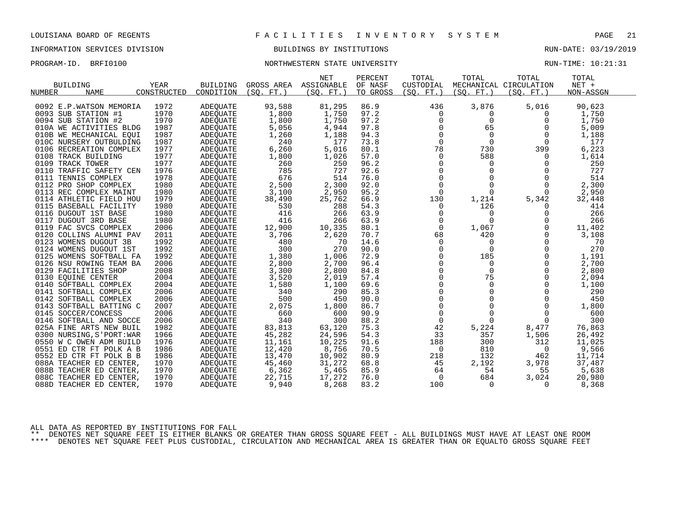# INFORMATION SERVICES DIVISION BUILDINGS BY INSTITUTIONS RUN-DATE: 03/19/2019

# PROGRAM-ID. BRFI0100 **NORTHWESTERN STATE UNIVERSITY** NEXT RUN-TIME: 10:21:31

|                                                    |              |                             |                       | NET            | PERCENT      | TOTAL                   | TOTAL                   | TOTAL                   | TOTAL     |  |
|----------------------------------------------------|--------------|-----------------------------|-----------------------|----------------|--------------|-------------------------|-------------------------|-------------------------|-----------|--|
| <b>BUILDING</b>                                    | <b>YEAR</b>  | <b>BUILDING</b>             | GROSS AREA ASSIGNABLE |                | OF NASF      | CUSTODIAL               |                         | MECHANICAL CIRCULATION  | $NET +$   |  |
| <b>NAME</b><br>NUMBER                              | CONSTRUCTED  | CONDITION                   | (SO. FT. )            | (SO. FT. )     | TO GROSS     | (SO. FT.)               | (SO. FT.)               | (SO. FT. )              | NON-ASSGN |  |
|                                                    |              |                             |                       |                |              |                         |                         |                         |           |  |
| 0092 E.P.WATSON MEMORIA                            | 1972         | ADEOUATE                    | 93,588                | 81,295         | 86.9         | 436                     | 3,876                   | 5,016                   | 90,623    |  |
| 0093 SUB STATION #1                                | 1970         | ADEOUATE                    | 1,800                 | 1,750          | 97.2         | 0                       | 0                       | 0                       | 1,750     |  |
| 0094 SUB STATION #2                                | 1970         | <b>ADEQUATE</b>             | 1,800                 | 1,750          | 97.2         | $\mathbf 0$             | $\mathbf 0$             | 0                       | 1,750     |  |
| 010A WE ACTIVITIES BLDG                            | 1987         | <b>ADEOUATE</b>             | 5,056                 | 4,944          | 97.8         | $\Omega$                | 65                      | $\Omega$                | 5,009     |  |
| 010B WE MECHANICAL EOUI                            | 1987         | ADEOUATE                    | 1,260                 | 1,188          | 94.3         | $\mathbf 0$             | $\mathbf 0$             | 0                       | 1,188     |  |
| 010C NURSERY OUTBULDING                            | 1987         | ADEQUATE                    | 240                   | 177            | 73.8         | $\Omega$                | $\Omega$                | $\mathbf 0$             | 177       |  |
| 0106 RECREATION COMPLEX                            | 1977         | ADEQUATE                    | 6,260                 | 5,016          | 80.1         | 78                      | 730                     | 399                     | 6,223     |  |
| 0108 TRACK BUILDING                                | 1977         | ADEQUATE                    | 1,800                 | 1,026          | 57.0         | $\mathbf 0$             | 588                     | 0                       | 1,614     |  |
| 0109 TRACK TOWER                                   | 1977         | ADEOUATE                    | 260                   | 250            | 96.2         | 0                       | 0                       | 0                       | 250       |  |
| 0110 TRAFFIC SAFETY CEN                            | 1976         | ADEQUATE                    | 785                   | 727            | 92.6         | $\mathbf 0$             | $\mathbf 0$             | $\Omega$                | 727       |  |
| 0111 TENNIS COMPLEX                                | 1978         | ADEOUATE                    | 676                   | 514            | 76.0         | $\overline{0}$          | $\Omega$                | $\Omega$                | 514       |  |
| 0112 PRO SHOP COMPLEX                              | 1980         | <b>ADEOUATE</b>             | 2,500                 | 2,300          | 92.0         | $\mathbf 0$             | $\mathbf 0$             | $\mathbf 0$             | 2,300     |  |
| 0113 REC COMPLEX MAINT                             | 1980         | ADEQUATE                    | 3,100                 | 2,950          | 95.2         | $\mathbf 0$             | $\Omega$                | 0                       | 2,950     |  |
| 0114 ATHLETIC FIELD HOU                            | 1979         | <b>ADEOUATE</b>             | 38,490                | 25,762         | 66.9         | 130                     | 1,214                   | 5,342                   | 32,448    |  |
| 0115 BASEBALL FACILITY                             | 1980         | ADEOUATE                    | 530                   | 288            | 54.3         | 0                       | 126                     | 0                       | 414       |  |
| 0116 DUGOUT 1ST BASE                               | 1980         | ADEQUATE                    | 416                   | 266            | 63.9         | $\mathbf 0$             | $\Omega$                | 0                       | 266       |  |
| 0117 DUGOUT 3RD BASE                               | 1980         | ADEOUATE                    | 416                   | 266            | 63.9         | $\mathbf 0$             | $\Omega$                | $\Omega$                | 266       |  |
| 0119 FAC SVCS COMPLEX                              | 2006         | ADEOUATE                    | 12,900                | 10,335         | 80.1         | 0                       | 1,067                   | 0                       | 11,402    |  |
| 0120 COLLINS ALUMNI PAV                            | 2011         | ADEOUATE                    | 3,706                 | 2,620          | 70.7         | 68                      | 420                     | $\mathbf 0$<br>$\Omega$ | 3,108     |  |
| 0123 WOMENS DUGOUT 3B<br>0124 WOMENS DUGOUT 1ST    | 1992<br>1992 | ADEOUATE                    | 480<br>300            | 70<br>270      | 14.6<br>90.0 | $\Omega$<br>$\mathbf 0$ | $\Omega$<br>$\mathbf 0$ | $\mathbf 0$             | 70<br>270 |  |
|                                                    | 1992         | ADEQUATE                    |                       |                | 72.9         | $\mathbf 0$             | 185                     |                         | 1,191     |  |
| 0125 WOMENS SOFTBALL FA<br>0126 NSU ROWING TEAM BA | 2006         | ADEOUATE                    | 1,380<br>2,800        | 1,006          | 96.4         | $\mathbf 0$             | $\mathbf 0$             | 0<br>0                  | 2,700     |  |
| 0129 FACILITIES SHOP                               | 2008         | ADEQUATE<br><b>ADEOUATE</b> |                       | 2,700<br>2,800 | 84.8         | $\Omega$                | $\Omega$                | $\Omega$                | 2,800     |  |
| 0130 EOUINE CENTER                                 | 2004         | ADEOUATE                    | 3,300<br>3,520        | 2,019          | 57.4         | $\mathbf 0$             | 75                      | $\mathbf 0$             | 2,094     |  |
| 0140 SOFTBALL COMPLEX                              | 2004         | ADEQUATE                    | 1,580                 | 1,100          | 69.6         | 0                       | $\mathbf 0$             | $\Omega$                | 1,100     |  |
| 0141 SOFTBALL COMPLEX                              | 2006         | ADEOUATE                    | 340                   | 290            | 85.3         | $\Omega$                | $\Omega$                | $\Omega$                | 290       |  |
| 0142 SOFTBALL COMPLEX                              | 2006         | ADEOUATE                    | 500                   | 450            | 90.0         | $\mathsf{O}$            | $\mathbf 0$             | $\mathbf 0$             | 450       |  |
| 0143 SOFTBALL BATTING C                            | 2007         | ADEOUATE                    | 2,075                 | 1,800          | 86.7         | $\mathsf{O}$            | $\Omega$                | $\mathbf 0$             | 1,800     |  |
| 0145 SOCCER/CONCESS                                | 2006         | <b>ADEOUATE</b>             | 660                   | 600            | 90.9         | $\mathbf 0$             | $\Omega$                | $\Omega$                | 600       |  |
| 0146 SOFTBALL AND SOCCE                            | 2006         | ADEOUATE                    | 340                   | 300            | 88.2         | 0                       | $\Omega$                | 0                       | 300       |  |
| 025A FINE ARTS NEW BUIL                            | 1982         | <b>ADEOUATE</b>             | 83,813                | 63,120         | 75.3         | 42                      | 5,224                   | 8,477                   | 76,863    |  |
| 0300 NURSING, S'PORT: WAR                          | 1966         | <b>ADEQUATE</b>             | 45,282                | 24,596         | 54.3         | 33                      | 357                     | 1,506                   | 26,492    |  |
| 0550 W C OWEN ADM BUILD                            | 1976         | <b>ADEOUATE</b>             | 11,161                | 10,225         | 91.6         | 188                     | 300                     | 312                     | 11,025    |  |
| 0551 ED CTR FT POLK A B                            | 1986         | ADEOUATE                    | 12,420                | 8,756          | 70.5         | 0                       | 810                     | 0                       | 9,566     |  |
| 0552 ED CTR FT POLK B B                            | 1986         | ADEQUATE                    | 13,470                | 10,902         | 80.9         | 218                     | 132                     | 462                     | 11,714    |  |
| 088A TEACHER ED CENTER,                            | 1970         | ADEQUATE                    | 45,460                | 31,272         | 68.8         | 45                      | 2,192                   | 3,978                   | 37,487    |  |
| 088B TEACHER ED CENTER,                            | 1970         | ADEQUATE                    | 6,362                 | 5,465          | 85.9         | 64                      | 54                      | 55                      | 5,638     |  |
| 088C TEACHER ED CENTER,                            | 1970         | ADEOUATE                    | 22,715                | 17,272         | 76.0         | $\mathbf 0$             | 684                     | 3,024                   | 20,980    |  |
| 088D TEACHER ED CENTER,                            | 1970         | <b>ADEQUATE</b>             | 9,940                 | 8,268          | 83.2         | 100                     | $\Omega$                | $\Omega$                | 8,368     |  |
|                                                    |              |                             |                       |                |              |                         |                         |                         |           |  |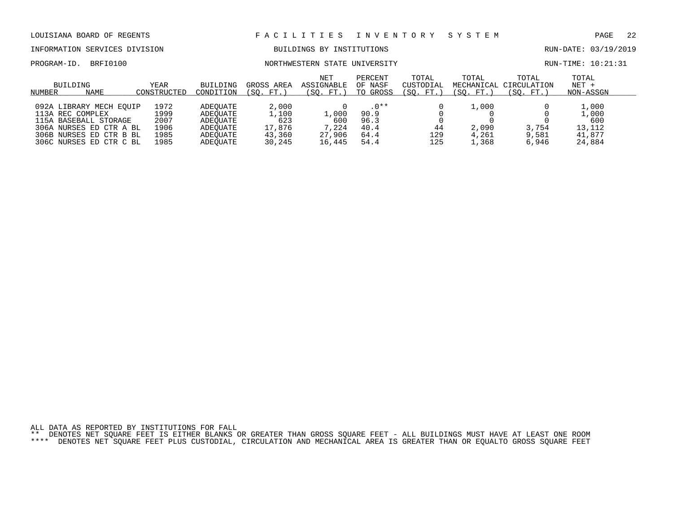# INFORMATION SERVICES DIVISION BUILDINGS BY INSTITUTIONS RUN-DATE: 03/19/2019

### PROGRAM-ID. BRFI0100 **NORTHWESTERN STATE UNIVERSITY** NORTHWESTERN STATE ON THE STATE ON THE STATE OF STATE OF STATE OF STATE OF STATE OF STATE OF STATE OF STATE OF STATE OF STATE OF STATE OF STATE OF STATE OF STATE OF STAT

| BUILDING<br>NAME<br>NUMBER | YEAR<br>CONSTRUCTED | BUILDING<br>CONDITION | GROSS AREA<br>$\sqrt{\text{SO}}$ .<br>$FT.$ , | <b>NET</b><br>ASSIGNABLE<br>(SO. FT.) | PERCENT<br>OF NASF<br>TO GROSS | TOTAL<br>CUSTODIAL<br>(SO. FT. | TOTAL<br>(SO. FT.) | TOTAL<br>MECHANICAL CIRCULATION<br>(SO. FT. | TOTAL<br>$NET +$<br>NON-ASSGN |  |
|----------------------------|---------------------|-----------------------|-----------------------------------------------|---------------------------------------|--------------------------------|--------------------------------|--------------------|---------------------------------------------|-------------------------------|--|
|                            |                     |                       |                                               |                                       |                                |                                |                    |                                             |                               |  |
| 092A LIBRARY MECH EOUIP    | 1972                | ADEOUATE              | 2,000                                         |                                       | $.0**$                         |                                | . . 000            |                                             | 1,000                         |  |
| 113A REC COMPLEX           | 1999                | ADEOUATE              | 1,100                                         | 1,000                                 | 90.9                           |                                |                    |                                             | l,000                         |  |
| 115A BASEBALL STORAGE      | 2007                | ADEOUATE              | 623                                           | 600                                   | 96.3                           |                                |                    |                                             | 600                           |  |
| 306A NURSES ED CTR A BL    | 1906                | ADEOUATE              | 17,876                                        | 7,224                                 | 40.4                           | 44                             | 2,090              | 3,754                                       | 13,112                        |  |
| 306B NURSES ED CTR B BL    | 1985                | ADEOUATE              | 43,360                                        | 27,906                                | 64.4                           | 129                            | 4,261              | 9,581                                       | 41,877                        |  |
| 306C NURSES ED CTR C BL    | 1985                | ADEOUATE              | 30,245                                        | 16,445                                | 54.4                           | 125                            | ,368               | 6,946                                       | 24,884                        |  |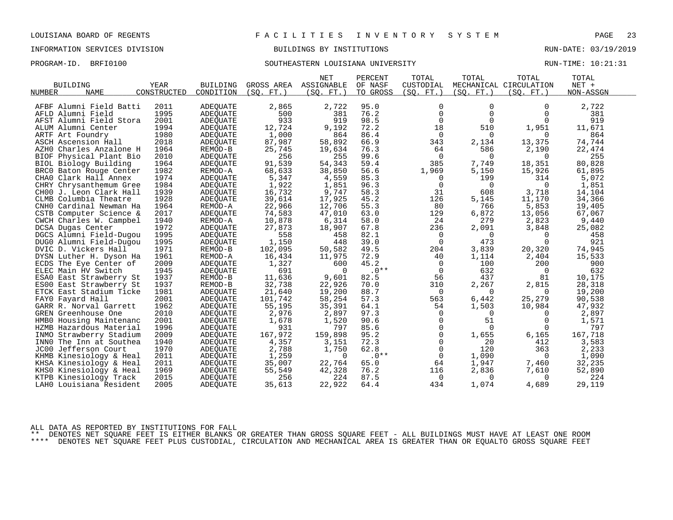# INFORMATION SERVICES DIVISION BUILDINGS BY INSTITUTIONS RUN-DATE: 03/19/2019

# PROGRAM-ID. BRFI0100 SOUTHEASTERN LOUISIANA UNIVERSITY RUN-TIME: 10:21:31

|                            |             |                 |                 | <b>NET</b> | PERCENT  | TOTAL          | TOTAL          | TOTAL                  | TOTAL     |  |
|----------------------------|-------------|-----------------|-----------------|------------|----------|----------------|----------------|------------------------|-----------|--|
| <b>BUILDING</b>            | <b>YEAR</b> | <b>BUILDING</b> | GROSS AREA      | ASSIGNABLE | OF NASF  | CUSTODIAL      |                | MECHANICAL CIRCULATION | $NET +$   |  |
| <b>NAME</b><br>NUMBER      | CONSTRUCTED | CONDITION       | $FT.$ )<br>(SO. | (SQ. FT. ) | TO GROSS | (SQ. FT. )     | (SO. FT. )     | (SO. FT.)              | NON-ASSGN |  |
|                            |             |                 |                 |            |          |                |                |                        |           |  |
| AFBF Alumni Field Batti    | 2011        | ADEQUATE        | 2,865           | 2,722      | 95.0     | 0              | 0              | $\Omega$               | 2,722     |  |
| AFLD Alumni Field          | 1995        | ADEQUATE        | 500             | 381        | 76.2     | $\Omega$       | $\Omega$       | $\Omega$               | 381       |  |
| AFST Alumni Field Stora    | 2001        | ADEQUATE        | 933             | 919        | 98.5     | $\mathbf 0$    | $\mathbf 0$    | $\Omega$               | 919       |  |
| ALUM Alumni Center         | 1994        | ADEQUATE        | 12,724          | 9,192      | 72.2     | 18             | 510            | 1,951                  | 11,671    |  |
| ARTF Art Foundry           | 1980        | ADEQUATE        | 1,000           | 864        | 86.4     | $\Omega$       | $\Omega$       | $\Omega$               | 864       |  |
| ASCH Ascension Hall        | 2018        | ADEOUATE        | 87,987          | 58,892     | 66.9     | 343            | 2,134          | 13,375                 | 74,744    |  |
| AZHO Charles Anzalone H    | 1964        | REMOD-B         | 25,745          | 19,634     | 76.3     | 64             | 586            | 2,190                  | 22,474    |  |
| BIOF Physical Plant Bio    | 2010        | ADEQUATE        | 256             | 255        | 99.6     | $\mathbf 0$    | $\Omega$       | $\Omega$               | 255       |  |
| BIOL Biology Building      | 1964        | ADEOUATE        | 91,539          | 54,343     | 59.4     | 385            | 7,749          | 18,351                 | 80,828    |  |
| BRC0 Baton Rouge Center    | 1982        | REMOD-A         | 68,633          | 38,850     | 56.6     | 1,969          | 5,150          | 15,926                 | 61,895    |  |
| CHAO Clark Hall Annex      | 1974        | ADEQUATE        | 5,347           | 4,559      | 85.3     | 0              | 199            | 314                    | 5,072     |  |
| CHRY Chrysanthemum Gree    | 1984        | ADEQUATE        | 1,922           | 1,851      | 96.3     | 0              | 0              | $\Omega$               | 1,851     |  |
| CHOO J. Leon Clark Hall    | 1939        | ADEQUATE        | 16,732          | 9,747      | 58.3     | 31             | 608            | 3,718                  | 14,104    |  |
| CLMB Columbia Theatre      | 1928        | ADEOUATE        | 39,614          | 17,925     | 45.2     | 126            | 5,145          | 11,170                 | 34,366    |  |
| CNHO Cardinal Newman Ha    | 1964        | REMOD-A         | 22,966          | 12,706     | 55.3     | 80             | 766            | 5,853                  | 19,405    |  |
| CSTB Computer Science &    | 2017        | ADEQUATE        | 74,583          | 47,010     | 63.0     | 129            | 6,872          | 13,056                 | 67,067    |  |
| CWCH Charles W. Campbel    | 1940        | REMOD-A         | 10,878          | 6,314      | 58.0     | 24             | 279            | 2,823                  | 9,440     |  |
| DCSA Dugas Center          | 1972        | ADEQUATE        | 27,873          | 18,907     | 67.8     | 236            | 2,091          | 3,848                  | 25,082    |  |
| DGCS Alumni Field-Dugou    | 1995        | ADEOUATE        | 558             | 458        | 82.1     | 0              | $\Omega$       | $\Omega$               | 458       |  |
| DUG0 Alumni Field-Dugou    | 1995        | ADEQUATE        | 1,150           | 448        | 39.0     | $\mathbf 0$    | 473            | $\Omega$               | 921       |  |
| DVIC D. Vickers Hall       | 1971        | REMOD-B         | 102,095         | 50,582     | 49.5     | 204            | 3,839          | 20,320                 | 74,945    |  |
| DYSN Luther H. Dyson Ha    | 1961        | REMOD-A         | 16,434          | 11,975     | 72.9     | 40             | 1,114          | 2,404                  | 15,533    |  |
| ECDS The Eye Center of     | 2009        | <b>ADEQUATE</b> | 1,327           | 600        | 45.2     | $\mathbf 0$    | 100            | 200                    | 900       |  |
| ELEC Main HV Switch        | 1945        | ADEQUATE        | 691             | $\Omega$   | $.0**$   | $\overline{0}$ | 632            | $\Omega$               | 632       |  |
| ESAO East Strawberry St    | 1937        | REMOD-B         | 11,636          | 9,601      | 82.5     | 56             | 437            | 81                     | 10,175    |  |
| ES00 East Strawberry St    | 1937        | REMOD-B         | 32,738          | 22,926     | 70.0     | 310            | 2,267          | 2,815                  | 28,318    |  |
| ETCK East Stadium Ticke    | 1981        | ADEOUATE        | 21,640          | 19,200     | 88.7     | $\Omega$       | $\Omega$       | $\Omega$               | 19,200    |  |
| FAYO Fayard Hall           | 2001        | ADEQUATE        | 101,742         | 58,254     | 57.3     | 563            | 6,442          | 25,279                 | 90,538    |  |
| GARR R. Norval Garrett     | 1962        | ADEQUATE        | 55,195          | 35,391     | 64.1     | 54             | 1,503          | 10,984                 | 47,932    |  |
| GREN Greenhouse One        | 2010        | ADEQUATE        | 2,976           | 2,897      | 97.3     | $\mathbf 0$    | $\overline{0}$ | $\Omega$               | 2,897     |  |
| HMBO Housing Maintenanc    | 2001        | ADEQUATE        | 1,678           | 1,520      | 90.6     | $\mathbf 0$    | 51             | $\Omega$               | 1,571     |  |
| HZMB Hazardous Material    | 1996        | ADEQUATE        | 931             | 797        | 85.6     | $\mathbf 0$    | $\Omega$       | $\Omega$               | 797       |  |
| INMO<br>Strawberry Stadium | 2009        | ADEQUATE        | 167,972         | 159,898    | 95.2     | $\mathbf 0$    | 1,655          | 6,165                  | 167,718   |  |
| INNO The Inn at Southea    | 1940        | <b>ADEOUATE</b> | 4,357           | 3,151      | 72.3     | $\mathbf 0$    | 20             | 412                    | 3,583     |  |
| JC00 Jefferson Court       | 1970        | ADEQUATE        | 2,788           | 1,750      | 62.8     | $\mathbf 0$    | 120            | 363                    | 2,233     |  |
| KHMB Kinesiology & Heal    | 2011        | ADEQUATE        | 1,259           | $\Omega$   | $.0**$   | 0              | 1,090          | 0                      | 1,090     |  |
| KHSA Kinesiology & Heal    | 2011        | ADEOUATE        | 35,007          | 22,764     | 65.0     | 64             | 1,947          | 7,460                  | 32,235    |  |
| KHSO Kinesiology & Heal    | 1969        | ADEQUATE        | 55,549          | 42,328     | 76.2     | 116            | 2,836          | 7,610                  | 52,890    |  |
| KTPB Kinesiology Track     | 2015        | ADEOUATE        | 256             | 224        | 87.5     | 0              | $\Omega$       | $\Omega$               | 224       |  |
| LAHO Louisiana Resident    | 2005        | ADEQUATE        | 35,613          | 22,922     | 64.4     | 434            | 1,074          | 4,689                  | 29,119    |  |
|                            |             |                 |                 |            |          |                |                |                        |           |  |

ALL DATA AS REPORTED BY INSTITUTIONS FOR FALL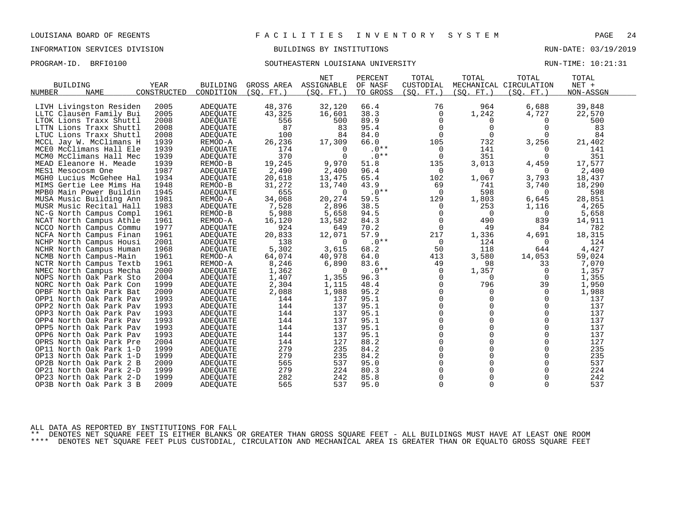# INFORMATION SERVICES DIVISION BUILDINGS BY INSTITUTIONS RUN-DATE: 03/19/2019

# PROGRAM-ID. BRFI0100 SOUTHEASTERN LOUISIANA UNIVERSITY RUN-TIME: 10:21:31

|                   |                                                    |              |                 |                 | <b>NET</b>        | PERCENT      | TOTAL                | TOTAL                | TOTAL                  | TOTAL          |  |
|-------------------|----------------------------------------------------|--------------|-----------------|-----------------|-------------------|--------------|----------------------|----------------------|------------------------|----------------|--|
| <b>BUILDING</b>   |                                                    | <b>YEAR</b>  | <b>BUILDING</b> | GROSS AREA      | ASSIGNABLE        | OF NASF      | CUSTODIAL            |                      | MECHANICAL CIRCULATION | NET +          |  |
| NUMBER            | <b>NAME</b>                                        | CONSTRUCTED  | CONDITION       | (SO. FT. )      | (SQ. FT.          | TO GROSS     | (SQ. FT. )           | (SQ. FT. )           | (SQ. FT. )             | NON-ASSGN      |  |
|                   | LIVH Livingston Residen                            | 2005         | ADEQUATE        | 48,376          | 32,120            | 66.4         | 76                   | 964                  | 6,688                  | 39,848         |  |
|                   | LLTC Clausen Family Bui                            | 2005         | <b>ADEQUATE</b> | 43,325          | 16,601            | 38.3         | $\Omega$             | 1,242                | 4,727                  | 22,570         |  |
|                   | LTOK Lions Traxx Shuttl                            | 2008         | ADEQUATE        | 556             | 500               | 89.9         | 0                    | 0                    | 0                      | 500            |  |
|                   | LTTN Lions Traxx Shuttl                            | 2008         | <b>ADEOUATE</b> | 87              | 83                | 95.4         | $\Omega$             | 0                    | 0                      | 83             |  |
|                   | LTUC Lions Traxx Shuttl                            | 2008         | <b>ADEQUATE</b> | 100             | 84                | 84.0         | $\Omega$             | $\Omega$             | $\Omega$               | 84             |  |
|                   | MCCL Jay W. McClimans H                            | 1939         | REMOD-A         | 26,236          | 17,309            | 66.0         | 105                  | 732                  | 3,256                  | 21,402         |  |
|                   | MCEO McClimans Hall Ele                            | 1939         | <b>ADEOUATE</b> | 174             | $\Omega$          | $.0**$       | 0                    | 141                  | $\Omega$               | 141            |  |
|                   | MCMO McClimans Hall Mec                            | 1939         | <b>ADEQUATE</b> | 370             | $\Omega$          | $.0**$       | $\Omega$             | 351                  | $\Omega$               | 351            |  |
|                   | MEAD Eleanore H. Meade                             | 1939         | REMOD-B         |                 | 9,970             | 51.8         | 135                  | 3,013                | 4,459                  | 17,577         |  |
| MES1 Mesocosm One |                                                    | 1987         | <b>ADEQUATE</b> | 19,245<br>2,490 | 2,400             | 96.4         | 0                    | 0                    | $\Omega$               | 2,400          |  |
|                   | MGHO Lucius McGehee Hal                            | 1934         | <b>ADEQUATE</b> | 20,618          | 13,475            | 65.4         | 102                  | 1,067                | 3,793                  | 18,437         |  |
|                   | MIMS Gertie Lee Mims Ha                            | 1948         | REMOD-B         | 31,272          | 13,740            | 43.9         | 69                   | 741                  | 3,740                  | 18,290         |  |
|                   | MPB0 Main Power Buildin                            | 1945         | <b>ADEOUATE</b> | 655             | $\Omega$          | $.0**$       | $\Omega$             | 598                  | $\Omega$               | 598            |  |
|                   |                                                    |              |                 |                 |                   | 59.5         |                      |                      |                        |                |  |
|                   | MUSA Music Building Ann                            | 1981<br>1983 | REMOD-A         | 34,068          | 20,274<br>2,896   | 38.5         | 129<br>$\Omega$      | 1,803<br>253         | 6,645<br>1,116         | 28,851         |  |
|                   | MUSR Music Recital Hall                            | 1961         | ADEQUATE        | 7,528<br>5,988  | 5,658             | 94.5         | $\mathbf 0$          | 0                    | 0                      | 4,265          |  |
|                   | NC-G North Campus Compl                            |              | REMOD-B         |                 |                   | 84.3         |                      | 490                  | 839                    | 5,658          |  |
|                   | NCAT North Campus Athle                            | 1961         | REMOD-A         | 16,120          | 13,582            |              | 0<br>$\Omega$        | 49                   | 84                     | 14,911<br>782  |  |
|                   | NCCO North Campus Commu                            | 1977         | ADEQUATE        | 924<br>20,833   | 649<br>12,071     | 70.2<br>57.9 | 217                  |                      |                        |                |  |
|                   | NCFA North Campus Finan                            | 1961         | ADEOUATE        |                 | $\Omega$          | $.0**$       | $\Omega$             | 1,336                | 4,691                  | 18,315         |  |
|                   | NCHP North Campus Housi                            | 2001<br>1968 | <b>ADEQUATE</b> | 138             | 3,615             | 68.2         | 50                   | 124<br>118           | $\Omega$<br>644        | 124<br>4,427   |  |
|                   | NCHR North Campus Human                            |              | ADEOUATE        | 5,302<br>64,074 | 40,978            |              |                      | 3,580                | 14,053                 | 59,024         |  |
|                   | NCMB North Campus-Main                             | 1961<br>1961 | REMOD-A         | 8,246           |                   | 64.0<br>83.6 | 413                  | 98                   | 33                     | 7,070          |  |
|                   | NCTR North Campus Textb                            | 2000         | REMOD-A         |                 | 6,890<br>$\Omega$ | $.0**$       | 49<br>$\Omega$       |                      | $\Omega$               |                |  |
|                   | NMEC North Campus Mecha<br>NOPS North Oak Park Sto | 2004         | <b>ADEOUATE</b> | 1,362<br>1,407  | 1,355             | 96.3         | $\Omega$             | 1,357<br>0           | 0                      | 1,357<br>1,355 |  |
|                   | NORC North Oak Park Con                            | 1999         | ADEOUATE        |                 |                   | 48.4         | $\Omega$             | 796                  | 39                     |                |  |
|                   |                                                    |              | ADEQUATE        | 2,304           | 1,115             |              |                      |                      |                        | 1,950          |  |
|                   | OPBF North Oak Park Bat                            | 2009<br>1993 | ADEQUATE        | 2,088<br>144    | 1,988<br>137      | 95.2<br>95.1 | $\Omega$<br>$\Omega$ | $\Omega$<br>$\Omega$ | $\Omega$<br>$\Omega$   | 1,988<br>137   |  |
|                   | OPP1 North Oak Park Pav                            |              | ADEQUATE        |                 | 137               | 95.1         | $\Omega$             | $\mathbf 0$          | 0                      | 137            |  |
|                   | OPP2 North Oak Park Pav                            | 1993         | <b>ADEQUATE</b> | 144             |                   | 95.1         | $\Omega$             | 0                    | $\Omega$               | 137            |  |
|                   | OPP3 North Oak Park Pav                            | 1993         | ADEOUATE        | 144             | 137<br>137        | 95.1         | $\Omega$             | $\Omega$             | $\Omega$               | 137            |  |
|                   | OPP4 North Oak Park Pav                            | 1993         | ADEOUATE        | 144             |                   |              | $\Omega$             | $\Omega$             |                        |                |  |
|                   | OPP5 North Oak Park Pav                            | 1993         | ADEQUATE        | 144             | 137               | 95.1         |                      | 0                    | 0                      | 137<br>137     |  |
|                   | OPP6 North Oak Park Pav                            | 1993         | ADEQUATE        | 144             | 137               | 95.1         | $\Omega$<br>$\Omega$ | $\Omega$             | $\Omega$               |                |  |
|                   | OPRS North Oak Park Pre                            | 2004         | ADEOUATE        | 144             | 127               | 88.2         |                      | $\Omega$             | $\Omega$<br>$\Omega$   | 127            |  |
|                   | OP11 North Oak Park 1-D                            | 1999         | ADEQUATE        | 279             | 235               | 84.2         | $\Omega$<br>$\Omega$ | 0                    |                        | 235            |  |
|                   | OP13 North Oak Park 1-D                            | 1999         | ADEQUATE        | 279             | 235               | 84.2         |                      |                      | 0                      | 235            |  |
|                   | OP2B North Oak Park 2 B                            | 2009         | <b>ADEOUATE</b> | 565             | 537               | 95.0         | $\Omega$             | $\Omega$             | $\Omega$               | 537            |  |
|                   | OP21 North Oak Park 2-D                            | 1999         | ADEQUATE        | 279             | 224               | 80.3         | $\Omega$             | $\Omega$             | $\Omega$               | 224            |  |
|                   | OP23 North Oak Park 2-D                            | 1999         | ADEOUATE        | 282             | 242               | 85.8         | $\Omega$             | 0                    | 0                      | 242            |  |
|                   | OP3B North Oak Park 3 B                            | 2009         | ADEQUATE        | 565             | 537               | 95.0         | $\Omega$             | $\Omega$             | $\Omega$               | 537            |  |

ALL DATA AS REPORTED BY INSTITUTIONS FOR FALL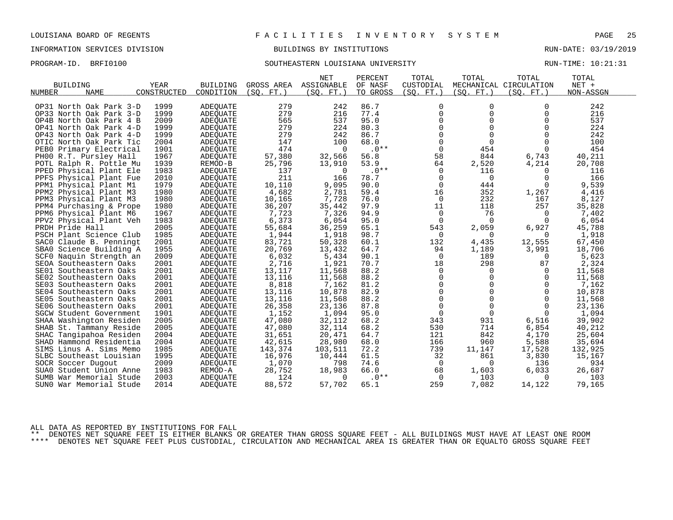# INFORMATION SERVICES DIVISION BUILDINGS BY INSTITUTIONS RUN-DATE: 03/19/2019

# PROGRAM-ID. BRFI0100 SOUTHEASTERN LOUISIANA UNIVERSITY RUN-TIME: 10:21:31

|                            |             |                 |            | <b>NET</b> | PERCENT  | TOTAL          | TOTAL       | TOTAL                  | TOTAL     |
|----------------------------|-------------|-----------------|------------|------------|----------|----------------|-------------|------------------------|-----------|
| <b>BUILDING</b>            | YEAR        | <b>BUILDING</b> | GROSS AREA | ASSIGNABLE | OF NASF  | CUSTODIAL      |             | MECHANICAL CIRCULATION | $NET +$   |
| NUMBER<br><b>NAME</b>      | CONSTRUCTED | CONDITION       | (SO. FT. ) | (SO. FT. ) | TO GROSS | (SO. FT. )     | (SO. FT. )  | (SO. FT.)              | NON-ASSGN |
|                            |             |                 |            |            |          |                |             |                        |           |
| OP31 North Oak Park 3-D    | 1999        | <b>ADEQUATE</b> | 279        | 242        | 86.7     | 0              | $\Omega$    | $\Omega$               | 242       |
| OP33 North Oak Park 3-D    | 1999        | <b>ADEOUATE</b> | 279        | 216        | 77.4     | $\mathbf 0$    | $\Omega$    | $\Omega$               | 216       |
| OP4B North Oak Park 4 B    | 2009        | <b>ADEQUATE</b> | 565        | 537        | 95.0     | 0              | $\mathbf 0$ | 0                      | 537       |
| OP41 North Oak Park 4-D    | 1999        | <b>ADEQUATE</b> | 279        | 224        | 80.3     | 0              | $\Omega$    | $\Omega$               | 224       |
| OP43 North Oak Park 4-D    | 1999        | <b>ADEOUATE</b> | 279        | 242        | 86.7     | $\Omega$       | $\Omega$    | $\Omega$               | 242       |
| OTIC North Oak Park Tic    | 2004        | <b>ADEQUATE</b> | 147        | 100        | 68.0     | $\mathbf 0$    | $\Omega$    | $\Omega$               | 100       |
| Primary Electrical<br>PEB0 | 1901        | ADEOUATE        | 474        | 0          | $.0**$   | 0              | 454         | 0                      | 454       |
| PH00 R.T. Pursley Hall     | 1967        | <b>ADEQUATE</b> | 57,380     | 32,566     | 56.8     | 58             | 844         | 6,743                  | 40,211    |
| POTL Ralph R. Pottle Mu    | 1939        | REMOD-B         | 25,796     | 13,910     | 53.9     | 64             | 2,520       | 4,214                  | 20,708    |
| PPED<br>Physical Plant Ele | 1983        | <b>ADEQUATE</b> | 137        | 0          | $.0**$   | 0              | 116         | $\mathbf 0$            | 116       |
| PPFS<br>Physical Plant Fue | 2010        | ADEQUATE        | 211        | 166        | 78.7     | 0              | $\mathbf 0$ | 0                      | 166       |
| Physical Plant M1<br>PPM1  | 1979        | ADEQUATE        | 10,110     | 9,095      | 90.0     | $\Omega$       | 444         | $\Omega$               | 9,539     |
| PPM2 Physical Plant M3     | 1980        | ADEQUATE        | 4,682      | 2,781      | 59.4     | 16             | 352         | 1,267                  | 4,416     |
| PPM3 Physical Plant M3     | 1980        | <b>ADEQUATE</b> | 10,165     | 7,728      | 76.0     | 0              | 232         | 167                    | 8,127     |
| PPM4 Purchasing & Prope    | 1980        | ADEQUATE        | 36,207     | 35,442     | 97.9     | 11             | 118         | 257                    | 35,828    |
| PPM6 Physical Plant M6     | 1967        | ADEQUATE        | 7,723      | 7,326      | 94.9     | 0              | 76          | $\Omega$               | 7,402     |
| PPV2<br>Physical Plant Veh | 1983        | <b>ADEQUATE</b> | 6,373      | 6,054      | 95.0     | $\mathbf 0$    | $\Omega$    | $\Omega$               | 6,054     |
| PRDH Pride Hall            | 2005        | ADEQUATE        | 55,684     | 36,259     | 65.1     | 543            | 2,059       | 6,927                  | 45,788    |
| PSCH Plant Science Club    | 1985        | <b>ADEQUATE</b> | 1,944      | 1,918      | 98.7     | 0              | $\Omega$    | $\Omega$               | 1,918     |
| SACO Claude B. Penningt    | 2001        | ADEQUATE        | 83,721     | 50,328     | 60.1     | 132            | 4,435       | 12,555                 | 67,450    |
| SBA0 Science Building A    | 1955        | <b>ADEQUATE</b> | 20,769     | 13,432     | 64.7     | 94             | 1,189       | 3,991                  | 18,706    |
| SCF0 Naquin Strength an    | 2009        | ADEQUATE        | 6,032      | 5,434      | 90.1     | $\overline{0}$ | 189         | 0                      | 5,623     |
| SEOA Southeastern Oaks     | 2001        | ADEQUATE        | 2,716      | 1,921      | 70.7     | 18             | 298         | 87                     | 2,324     |
| SE01 Southeastern Oaks     | 2001        | <b>ADEOUATE</b> | 13,117     | 11,568     | 88.2     | 0              | 0           | 0                      | 11,568    |
| SE02 Southeastern Oaks     | 2001        | ADEQUATE        | 13,116     | 11,568     | 88.2     | 0              | $\mathbf 0$ | 0                      | 11,568    |
| SE03<br>Southeastern Oaks  | 2001        | ADEQUATE        | 8,818      | 7,162      | 81.2     | $\mathbf 0$    | $\Omega$    | $\mathbf 0$            | 7,162     |
| SE04 Southeastern Oaks     | 2001        | <b>ADEQUATE</b> | 13,116     | 10,878     | 82.9     | $\mathbf 0$    | $\Omega$    | $\Omega$               | 10,878    |
| SE05 Southeastern Oaks     | 2001        | ADEQUATE        | 13,116     | 11,568     | 88.2     | $\mathbf 0$    | $\mathbf 0$ | $\Omega$               | 11,568    |
| SE06 Southeastern Oaks     | 2001        | <b>ADEQUATE</b> | 26,358     | 23,136     | 87.8     | $\mathbf 0$    | $\mathbf 0$ | $\mathbf 0$            | 23,136    |
| SGCW Student Government    | 1901        | ADEQUATE        | 1,152      | 1,094      | 95.0     | 0              | $\Omega$    | $\Omega$               | 1,094     |
| SHAA Washington Residen    | 2005        | ADEQUATE        | 47,080     | 32,112     | 68.2     | 343            | 931         | 6,516                  | 39,902    |
| SHAB St. Tammany Reside    | 2005        | <b>ADEOUATE</b> | 47,080     | 32,114     | 68.2     | 530            | 714         | 6,854                  | 40,212    |
| SHAC Tangipahoa Residen    | 2004        | ADEQUATE        | 31,651     | 20,471     | 64.7     | 121            | 842         | 4,170                  | 25,604    |
| SHAD Hammond Residentia    | 2004        | <b>ADEQUATE</b> | 42,615     | 28,980     | 68.0     | 166            | 960         | 5,588                  | 35,694    |
| SIMS Linus A. Sims Memo    | 1985        | ADEQUATE        | 143,374    | 103,511    | 72.2     | 739            | 11,147      | 17,528                 | 132,925   |
| SLBC Southeast Louisian    | 1995        | ADEQUATE        | 16,976     | 10,444     | 61.5     | 32             | 861         | 3,830                  | 15,167    |
| SOCR Soccer Dugout         | 2009        | ADEOUATE        | 1,070      | 798        | 74.6     | 0              | $\Omega$    | 136                    | 934       |
| SUA0 Student Union Anne    | 1983        | REMOD-A         | 28,752     | 18,983     | 66.0     | 68             | 1,603       | 6,033                  | 26,687    |
| SUMB<br>War Memorial Stude | 2003        | ADEQUATE        | 124        | $\Omega$   | $.0**$   | 0              | 103         | $\Omega$               | 103       |
| SUNO War Memorial Stude    | 2014        | ADEQUATE        | 88,572     | 57,702     | 65.1     | 259            | 7,082       | 14,122                 | 79,165    |
|                            |             |                 |            |            |          |                |             |                        |           |

ALL DATA AS REPORTED BY INSTITUTIONS FOR FALL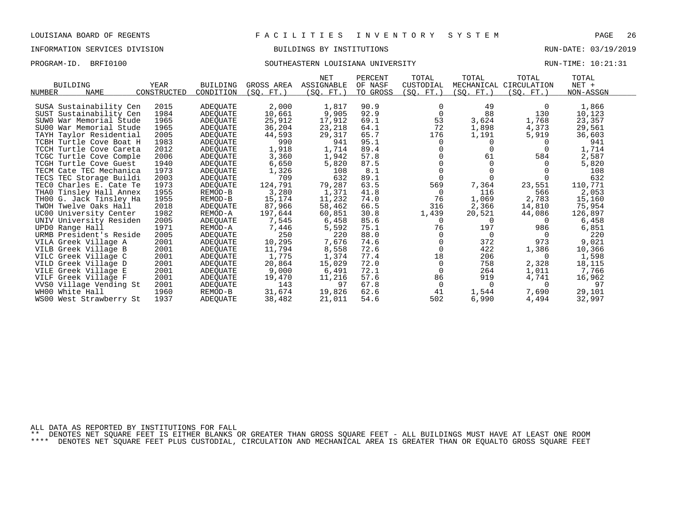# INFORMATION SERVICES DIVISION BUILDINGS BY INSTITUTIONS RUN-DATE: 03/19/2019

# PROGRAM-ID. BRFI0100 SOUTHEASTERN LOUISIANA UNIVERSITY RUN-TIME: 10:21:31

| <b>BUILDING</b>         | <b>YEAR</b> | <b>BUILDING</b> | GROSS AREA | <b>NET</b><br>ASSIGNABLE | PERCENT<br>OF NASF | TOTAL<br>CUSTODIAL | TOTAL      | TOTAL<br>MECHANICAL CIRCULATION | TOTAL<br>$NET +$ |  |
|-------------------------|-------------|-----------------|------------|--------------------------|--------------------|--------------------|------------|---------------------------------|------------------|--|
| <b>NAME</b><br>NUMBER   | CONSTRUCTED | CONDITION       | (SO. FT. ) | (SQ. FT. )               | TO GROSS           | (SQ. FT.)          | (SQ. FT. ) | (SQ. FT.)                       | NON-ASSGN        |  |
|                         |             |                 |            |                          |                    |                    |            |                                 |                  |  |
| SUSA Sustainability Cen | 2015        | ADEQUATE        | 2,000      | 1,817                    | 90.9               | 0                  | 49         | 0                               | 1,866            |  |
| SUST Sustainability Cen | 1984        | ADEOUATE        | 10,661     | 9,905                    | 92.9               | $\Omega$           | 88         | 130                             | 10,123           |  |
| SUWO War Memorial Stude | 1965        | ADEQUATE        | 25,912     | 17,912                   | 69.1               | 53                 | 3,624      | 1,768                           | 23,357           |  |
| SU00 War Memorial Stude | 1965        | ADEQUATE        | 36,204     | 23,218                   | 64.1               | 72                 | 1,898      | 4,373                           | 29,561           |  |
| TAYH Taylor Residential | 2005        | ADEOUATE        | 44,593     | 29,317                   | 65.7               | 176                | 1,191      | 5,919                           | 36,603           |  |
| TCBH Turtle Cove Boat H | 1983        | ADEOUATE        | 990        | 941                      | 95.1               | 0                  |            |                                 | 941              |  |
| TCCH Turtle Cove Careta | 2012        | <b>ADEQUATE</b> | 1,918      | 1,714                    | 89.4               |                    |            |                                 | 1,714            |  |
| TCGC Turtle Cove Comple | 2006        | ADEQUATE        | 3,360      | 1,942                    | 57.8               |                    | 61         | 584                             | 2,587            |  |
| TCGH Turtle Cove Guest  | 1940        | ADEQUATE        | 6,650      | 5,820                    | 87.5               |                    |            |                                 | 5,820            |  |
| TECM Cate TEC Mechanica | 1973        | ADEQUATE        | 1,326      | 108                      | 8.1                | 0                  |            |                                 | 108              |  |
| TECS TEC Storage Buildi | 2003        | ADEQUATE        | 709        | 632                      | 89.1               | $\Omega$           |            |                                 | 632              |  |
| TECO Charles E. Cate Te | 1973        | ADEOUATE        | 124,791    | 79,287                   | 63.5               | 569                | 7,364      | 23,551                          | 110,771          |  |
| THAO Tinsley Hall Annex | 1955        | REMOD-B         | 3,280      | 1,371                    | 41.8               | 0                  | 116        | 566                             | 2,053            |  |
| TH00 G. Jack Tinsley Ha | 1955        | REMOD-B         | 15,174     | 11,232                   | 74.0               | 76                 | 1,069      | 2,783                           | 15,160           |  |
| TWOH Twelve Oaks Hall   | 2018        | ADEOUATE        | 87,966     | 58,462                   | 66.5               | 316                | 2,366      | 14,810                          | 75,954           |  |
| UC00 University Center  | 1982        | REMOD-A         | 197,644    | 60,851                   | 30.8               | 1,439              | 20,521     | 44,086                          | 126,897          |  |
| UNIV University Residen | 2005        | ADEQUATE        | 7,545      | 6,458                    | 85.6               | 0                  | 0          | $\Omega$                        | 6,458            |  |
| UPD0 Range Hall         | 1971        | REMOD-A         | 7,446      | 5,592                    | 75.1               | 76                 | 197        | 986                             | 6,851            |  |
| URMB President's Reside | 2005        | ADEQUATE        | 250        | 220                      | 88.0               | 0                  | $\Omega$   | $\Omega$                        | 220              |  |
| VILA Greek Village A    | 2001        | <b>ADEQUATE</b> | 10,295     | 7,676                    | 74.6               | 0                  | 372        | 973                             | 9,021            |  |
| VILB Greek Village B    | 2001        | ADEQUATE        | 11,794     | 8,558                    | 72.6               | $\Omega$           | 422        | 1,386                           | 10,366           |  |
| VILC Greek Village C    | 2001        | ADEOUATE        | 1,775      | 1,374                    | 77.4               | 18                 | 206        | 0                               | 1,598            |  |
| VILD Greek Village D    | 2001        | ADEQUATE        | 20,864     | 15,029                   | 72.0               | 0                  | 758        | 2,328                           | 18,115           |  |
| VILE Greek Village E    | 2001        | ADEQUATE        | 9,000      | 6,491                    | 72.1               | $\Omega$           | 264        | 1,011                           | 7,766            |  |
| VILF Greek Village F    | 2001        | ADEOUATE        | 19,470     | 11,216                   | 57.6               | 86                 | 919        | 4,741                           | 16,962           |  |
| VVS0 Village Vending St | 2001        | ADEQUATE        | 143        | 97                       | 67.8               | 0                  | $\Omega$   | $\Omega$                        | 97               |  |
| WH00 White Hall         | 1960        | REMOD-B         | 31,674     | 19,826                   | 62.6               | 41                 | 1,544      | 7,690                           | 29,101           |  |
| WS00 West Strawberry St | 1937        | ADEOUATE        | 38,482     | 21,011                   | 54.6               | 502                | 6,990      | 4,494                           | 32,997           |  |

ALL DATA AS REPORTED BY INSTITUTIONS FOR FALL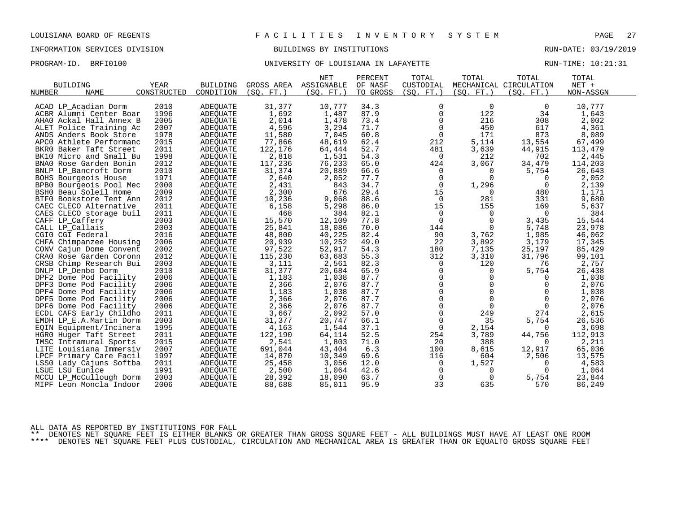PROGRAM-ID. BRFI0100 **BRFION CONFERSITY OF LOUISIANA IN LAFAYETTE** RUN-TIME: 10:21:31

|                            |             |                 |            | <b>NET</b> | PERCENT  | TOTAL          | TOTAL       | TOTAL                  | TOTAL     |  |
|----------------------------|-------------|-----------------|------------|------------|----------|----------------|-------------|------------------------|-----------|--|
| <b>BUILDING</b>            | <b>YEAR</b> | <b>BUILDING</b> | GROSS AREA | ASSIGNABLE | OF NASF  | CUSTODIAL      |             | MECHANICAL CIRCULATION | NET +     |  |
| <b>NAME</b><br>NUMBER      | CONSTRUCTED | CONDITION       | (SO. FT. ) | (SO. FT. ) | TO GROSS | (SO. FT. )     | (SO. FT. )  | (SO. FT. )             | NON-ASSGN |  |
|                            |             |                 |            |            |          |                |             |                        |           |  |
| ACAD LP Acadian Dorm       | 2010        | <b>ADEQUATE</b> | 31,377     | 10,777     | 34.3     | 0              | $\Omega$    | 0                      | 10,777    |  |
| ACBR Alumni Center Boar    | 1996        | <b>ADEOUATE</b> | 1,692      | 1,487      | 87.9     | $\mathbf 0$    | 122         | 34                     | 1,643     |  |
| AHAO Ackal Hall Annex B    | 2005        | ADEQUATE        | 2,014      | 1,478      | 73.4     | $\mathbf 0$    | 216         | 308                    | 2,002     |  |
| Police Training Ac<br>ALET | 2007        | <b>ADEQUATE</b> | 4,596      | 3,294      | 71.7     | $\mathbf 0$    | 450         | 617                    | 4,361     |  |
| ANDS Anders Book Store     | 1978        | <b>ADEQUATE</b> | 11,580     | 7,045      | 60.8     | 0              | 171         | 873                    | 8,089     |  |
| APCO Athlete Performanc    | 2015        | ADEQUATE        | 77,866     | 48,619     | 62.4     | 212            | 5,114       | 13,554                 | 67,499    |  |
| BKRO Baker Taft Street     | 2011        | <b>ADEQUATE</b> | 122,176    | 64,444     | 52.7     | 481            | 3,639       | 44,915                 | 113,479   |  |
| BK10 Micro and Small Bu    | 1998        | <b>ADEQUATE</b> | 2,818      | 1,531      | 54.3     | 0              | 212         | 702                    | 2,445     |  |
| BNA0 Rose Garden Bonin     | 2012        | <b>ADEOUATE</b> | 117,236    | 76,233     | 65.0     | 424            | 3,067       | 34,479                 | 114,203   |  |
| BNLP LP Bancroft Dorm      | 2010        | ADEQUATE        | 31,374     | 20,889     | 66.6     | 0              | $\Omega$    | 5,754                  | 26,643    |  |
| BOHS Bourgeois House       | 1971        | ADEQUATE        | 2,640      | 2,052      | 77.7     | $\mathbf 0$    | $\Omega$    | 0                      | 2,052     |  |
| BPB0 Bourgeois Pool Mec    | 2000        | <b>ADEQUATE</b> | 2,431      | 843        | 34.7     | $\mathbf 0$    | 1,296       | 0                      | 2,139     |  |
| BSHO Beau Soleil Home      | 2009        | ADEQUATE        | 2,300      | 676        | 29.4     | 15             | $\mathbf 0$ | 480                    | 1,171     |  |
| BTF0 Bookstore Tent Ann    | 2012        | <b>ADEOUATE</b> | 10,236     | 9,068      | 88.6     | 0              | 281         | 331                    | 9,680     |  |
| CAEC CLECO Alternative     | 2011        | <b>ADEQUATE</b> | 6,158      | 5,298      | 86.0     | 15             | 155         | 169                    | 5,637     |  |
| CAES CLECO storage buil    | 2011        | ADEQUATE        | 468        | 384        | 82.1     | $\overline{0}$ | $\mathbf 0$ | $\overline{0}$         | 384       |  |
| CAFF LP Caffery            | 2003        | ADEOUATE        | 15,570     | 12,109     | 77.8     | 0              | $\mathbf 0$ | 3,435                  | 15,544    |  |
| CALL LP_Callais            | 2003        | <b>ADEQUATE</b> | 25,841     | 18,086     | 70.0     | 144            | $\Omega$    | 5,748                  | 23,978    |  |
| CGIO CGI Federal           | 2016        | ADEQUATE        | 48,800     | 40,225     | 82.4     | 90             | 3,762       | 1,985                  | 46,062    |  |
| CHFA Chimpanzee Housing    | 2006        | <b>ADEQUATE</b> | 20,939     | 10,252     | 49.0     | 22             | 3,892       | 3,179                  | 17,345    |  |
| CONV Cajun Dome Convent    | 2002        | ADEQUATE        | 97,522     | 52,917     | 54.3     | 180            | 7,135       | 25,197                 | 85,429    |  |
| CRAO Rose Garden Coronn    | 2012        | ADEOUATE        | 115,230    | 63,683     | 55.3     | 312            | 3,310       | 31,796                 | 99,101    |  |
| CRSB Chimp Research Bui    | 2003        | ADEQUATE        | 3,111      | 2,561      | 82.3     | 0              | 120         | 76                     | 2,757     |  |
| DNLP LP_Denbo Dorm         | 2010        | ADEQUATE        | 31,377     | 20,684     | 65.9     | $\mathbf 0$    | $\Omega$    | 5,754                  | 26,438    |  |
| DPF2 Dome Pod Facility     | 2006        | ADEOUATE        | 1,183      | 1,038      | 87.7     | $\Omega$       | $\Omega$    | 0                      | 1,038     |  |
| DPF3 Dome Pod Facility     | 2006        | <b>ADEQUATE</b> | 2,366      | 2,076      | 87.7     | $\mathbf 0$    | $\Omega$    | $\Omega$               | 2,076     |  |
| DPF4 Dome Pod Facility     | 2006        | ADEQUATE        | 1,183      | 1,038      | 87.7     | $\mathbf 0$    | $\Omega$    | $\Omega$               | 1,038     |  |
| DPF5 Dome Pod Facility     | 2006        | <b>ADEQUATE</b> | 2,366      | 2,076      | 87.7     | $\mathbf 0$    | $\Omega$    | $\Omega$               | 2,076     |  |
| DPF6 Dome Pod Facility     | 2006        | ADEQUATE        | 2,366      | 2,076      | 87.7     | $\mathbf 0$    | $\Omega$    | $\Omega$               | 2,076     |  |
| ECDL CAFS Early Childho    | 2011        | ADEQUATE        | 3,667      | 2,092      | 57.0     | 0              | 249         | 274                    | 2,615     |  |
| EMDH LP_E.A.Martin Dorm    | 2003        | <b>ADEQUATE</b> | 31,377     | 20,747     | 66.1     | 0              | 35          | 5,754                  | 26,536    |  |
| EQIN Equipment/Incinera    | 1995        | <b>ADEQUATE</b> | 4,163      | 1,544      | 37.1     | $\Omega$       | 2,154       | $\Omega$               | 3,698     |  |
| HGRO Huger Taft Street     | 2011        | ADEQUATE        | 122,190    | 64,114     | 52.5     | 254            | 3,789       | 44,756                 | 112,913   |  |
| IMSC Intramural Sports     | 2015        | <b>ADEQUATE</b> | 2,541      | 1,803      | 71.0     | 20             | 388         | 0                      | 2,211     |  |
| LITE Louisiana Immersiv    | 2007        | <b>ADEQUATE</b> | 691,044    | 43,404     | 6.3      | 100            | 8,615       | 12,917                 | 65,036    |  |
| LPCF Primary Care Facil    | 1997        | ADEQUATE        | 14,870     | 10,349     | 69.6     | 116            | 604         | 2,506                  | 13,575    |  |
| LSS0 Lady Cajuns Softba    | 2011        | ADEQUATE        | 25,458     | 3,056      | 12.0     | 0              | 1,527       | 0                      | 4,583     |  |
| LSUE LSU Eunice            | 1991        | ADEQUATE        | 2,500      | 1,064      | 42.6     | 0              | $\Omega$    | $\Omega$               | 1,064     |  |
| MCCU LP McCullough Dorm    | 2003        | ADEOUATE        | 28,392     | 18,090     | 63.7     | 0              | $\Omega$    | 5,754                  | 23,844    |  |
| MIPF Leon Moncla Indoor    | 2006        |                 | 88,688     | 85,011     | 95.9     | 33             | 635         | 570                    |           |  |
|                            |             | ADEQUATE        |            |            |          |                |             |                        | 86,249    |  |

ALL DATA AS REPORTED BY INSTITUTIONS FOR FALL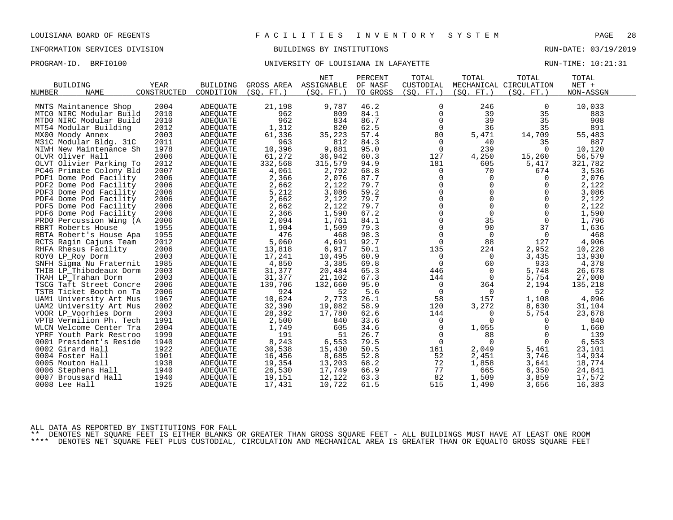PROGRAM-ID. BRFI0100 **BRFION CONTAINS AND SERVER UNIVERSITY OF LOUISIANA IN LAFAYETTE** PROGRAM-ID. RUN-TIME: 10:21:31

| <b>BUILDING</b>                               | <b>YEAR</b>  | <b>BUILDING</b>      |               | <b>NET</b><br>GROSS AREA ASSIGNABLE | PERCENT<br>OF NASF | TOTAL<br>CUSTODIAL | TOTAL          | TOTAL<br>MECHANICAL CIRCULATION | TOTAL<br>$NET +$ |  |
|-----------------------------------------------|--------------|----------------------|---------------|-------------------------------------|--------------------|--------------------|----------------|---------------------------------|------------------|--|
| <b>NAME</b><br>NUMBER                         | CONSTRUCTED  | CONDITION            | (SO. FT. )    | (SO. FT.)                           | TO GROSS           | (SO. FT. )         | (SO. FT. )     | (SO. FT. )                      | NON-ASSGN        |  |
| MNTS Maintanence Shop                         | 2004         | ADEQUATE             | 21,198        | 9,787                               | 46.2               | 0                  | 246            | 0                               | 10,033           |  |
| MTCO NIRC Modular Build                       | 2010         | ADEQUATE             | 962           | 809                                 | 84.1               | 0                  | 39             | 35                              | 883              |  |
| MTDO NIRC Modular Build                       | 2010         | ADEQUATE             | 962           | 834                                 | 86.7               | $\mathbf 0$        | 39             | 35                              | 908              |  |
| MT54 Modular Building                         | 2012         | <b>ADEOUATE</b>      | 1,312         | 820                                 | 62.5               | $\mathbf 0$        | 36             | 35                              | 891              |  |
| MX00 Moody Annex                              | 2003         |                      |               |                                     | 57.4               | 80                 |                |                                 |                  |  |
| M31C Modular Bldg. 31C                        | 2011         | ADEQUATE<br>ADEQUATE | 61,336<br>963 | 35,223<br>812                       | 84.3               | 0                  | 5,471<br>40    | 14,709<br>35                    | 55,483<br>887    |  |
| NIWH New Maintenance Sh                       | 1978         | <b>ADEOUATE</b>      | 10,396        | 9,881                               | 95.0               | $\overline{0}$     | 239            | $\Omega$                        | 10,120           |  |
| OLVR Oliver Hall                              | 2006         | ADEQUATE             | 61,272        | 36,942                              | 60.3               | 127                | 4,250          | 15,260                          | 56,579           |  |
| OLVT Olivier Parking To                       | 2012         | <b>ADEOUATE</b>      | 332,568       | 315,579                             | 94.9               | 181                | 605            | 5,417                           | 321,782          |  |
| PC46 Primate Colony Bld                       | 2007         | <b>ADEOUATE</b>      | 4,061         | 2,792                               | 68.8               | 0                  | 70             | 674                             | 3,536            |  |
| PDF1 Dome Pod Facility                        | 2006         | ADEQUATE             | 2,366         | 2,076                               | 87.7               | 0                  | $\mathbf 0$    | 0                               | 2,076            |  |
| PDF2 Dome Pod Facility                        | 2006         | ADEOUATE             | 2,662         | 2,122                               | 79.7               | $\mathbf 0$        | $\Omega$       | $\Omega$                        | 2,122            |  |
| PDF3 Dome Pod Facility                        | 2006         | ADEOUATE             | 5,212         | 3,086                               | 59.2               | $\Omega$           | $\Omega$       | $\Omega$                        | 3,086            |  |
| PDF4 Dome Pod Facility                        | 2006         | ADEQUATE             | 2,662         | 2,122                               | 79.7               | $\mathbf 0$        | $\mathbf 0$    | $\mathbf 0$                     | 2,122            |  |
| PDF5 Dome Pod Facility                        | 2006         | ADEQUATE             | 2,662         | 2,122                               | 79.7               | 0                  | $\mathbf 0$    | $\Omega$                        | 2,122            |  |
| PDF6 Dome Pod Facility                        | 2006         | ADEOUATE             | 2,366         | 1,590                               | 67.2               | $\Omega$           | $\Omega$       | $\Omega$                        | 1,590            |  |
|                                               | 2006         |                      | 2,094         | 1,761                               | 84.1               | 0                  | 35             | $\mathbf 0$                     | 1,796            |  |
| PRD0 Percussion Wing (A<br>RBRT Roberts House | 1955         | ADEQUATE<br>ADEQUATE | 1,904         | 1,509                               | 79.3               | $\mathbf 0$        | 90             | 37                              | 1,636            |  |
| RBTA Robert's House Apa                       | 1955         | <b>ADEOUATE</b>      | 476           | 468                                 | 98.3               | 0                  | $\mathbf 0$    | 0                               | 468              |  |
| RCTS Ragin Cajuns Team                        | 2012         | ADEQUATE             | 5,060         | 4,691                               | 92.7               | $\Omega$           | 88             | 127                             | 4,906            |  |
| RHFA Rhesus Facility                          | 2006         | ADEQUATE             | 13,818        | 6,917                               | 50.1               | 135                | 224            | 2,952                           | 10,228           |  |
| ROYO LP_Roy Dorm                              | 2003         | <b>ADEOUATE</b>      | 17,241        | 10,495                              | 60.9               | 0                  | $\overline{0}$ | 3,435                           | 13,930           |  |
| SNFH Sigma Nu Fraternit                       | 1985         | ADEQUATE             | 4,850         | 3,385                               | 69.8               | $\mathbf 0$        | 60             | 933                             | 4,378            |  |
| THIB LP Thibodeaux Dorm                       | 2003         | ADEQUATE             | 31,377        | 20,484                              | 65.3               | 446                | $\mathbf 0$    | 5,748                           | 26,678           |  |
| TRAH LP Trahan Dorm                           | 2003         | <b>ADEOUATE</b>      | 31,377        | 21,102                              | 67.3               | 144                | 0              | 5,754                           | 27,000           |  |
| TSCG Taft Street Concre                       | 2006         | ADEQUATE             | 139,706       | 132,660                             | 95.0               | $\mathbf 0$        | 364            | 2,194                           | 135,218          |  |
| TSTB Ticket Booth on Ta                       | 2006         | <b>ADEOUATE</b>      | 924           | 52                                  | 5.6                | $\mathbf 0$        | $\Omega$       | $\Omega$                        | 52               |  |
| UAM1 University Art Mus                       | 1967         | <b>ADEOUATE</b>      | 10,624        | 2,773                               | 26.1               | 58                 | 157            | 1,108                           | 4,096            |  |
| UAM2 University Art Mus                       | 2002         | <b>ADEQUATE</b>      | 32,390        | 19,082                              | 58.9               | 120                | 3,272          | 8,630                           | 31,104           |  |
| VOOR LP_Voorhies Dorm                         | 2003         | ADEQUATE             | 28,392        | 17,780                              | 62.6               | 144                | 0              | 5,754                           | 23,678           |  |
| VPTB Vermilion Ph. Tech                       | 1991         | ADEQUATE             | 2,500         | 840                                 | 33.6               | 0                  | 0              | 0                               | 840              |  |
| WLCN Welcome Center Tra                       | 2004         | ADEQUATE             | 1,749         | 605                                 | 34.6               | 0                  | 1,055          | $\Omega$                        | 1,660            |  |
| YPRF Youth Park Restroo                       | 1999         | ADEQUATE             | 191           | 51                                  | 26.7               | 0                  | 88             | $\Omega$                        | 139              |  |
| 0001 President's Reside                       | 1940         | ADEQUATE             | 8,243         | 6,553                               | 79.5               | $\mathbf 0$        | $\Omega$       | $\mathbf 0$                     | 6,553            |  |
| 0002 Girard Hall                              | 1922         | ADEQUATE             | 30,538        | 15,430                              | 50.5               | 161                | 2,049          | 5,461                           | 23,101           |  |
| 0004 Foster Hall                              | 1901         | ADEQUATE             | 16,456        | 8,685                               | 52.8               | 52                 | 2,451          | 3,746                           | 14,934           |  |
| 0005 Mouton Hall                              | 1938         | <b>ADEOUATE</b>      | 19,354        | 13,203                              | 68.2               | 72                 | 1,858          |                                 | 18,774           |  |
| 0006 Stephens Hall                            | 1940         | ADEQUATE             | 26,530        | 17,749                              | 66.9               | 77                 | 665            | 3,641<br>6,350                  | 24,841           |  |
|                                               |              |                      |               |                                     |                    | 82                 |                |                                 |                  |  |
| 0007 Broussard Hall                           | 1940<br>1925 | ADEQUATE             | 19,151        | 12,122                              | 63.3               | 515                | 1,509          | 3,859<br>3,656                  | 17,572           |  |
| 0008 Lee Hall                                 |              | <b>ADEOUATE</b>      | 17,431        | 10,722                              | 61.5               |                    | 1,490          |                                 | 16,383           |  |

ALL DATA AS REPORTED BY INSTITUTIONS FOR FALL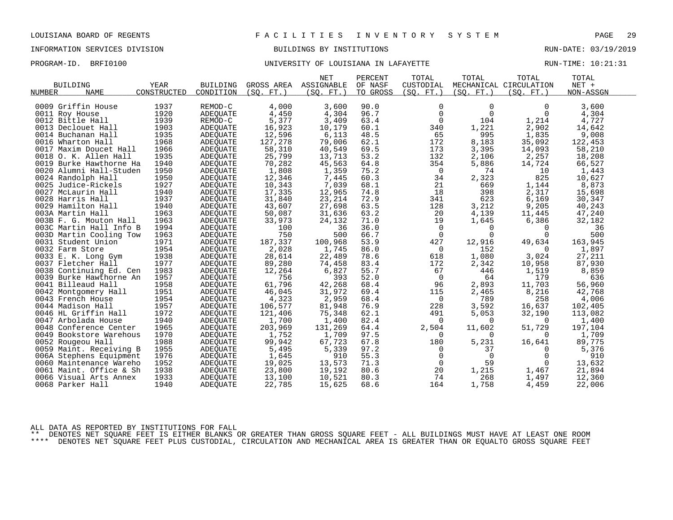PROGRAM-ID. BRFI0100 **BRFION CONTAINS AND SERVER UNIVERSITY OF LOUISIANA IN LAFAYETTE** PROGRAM-ID. RUN-TIME: 10:21:31

|                         |             |                 |            | <b>NET</b> | PERCENT  | TOTAL          | TOTAL      | TOTAL                  | TOTAL     |  |
|-------------------------|-------------|-----------------|------------|------------|----------|----------------|------------|------------------------|-----------|--|
| <b>BUILDING</b>         | <b>YEAR</b> | <b>BUILDING</b> | GROSS AREA | ASSIGNABLE | OF NASF  | CUSTODIAL      |            | MECHANICAL CIRCULATION | NET +     |  |
| <b>NAME</b><br>NUMBER   | CONSTRUCTED | CONDITION       | (SO, FT.)  | (SO. FT. ) | TO GROSS | (SO. FT. )     | (SO. FT. ) | (SO. FT.)              | NON-ASSGN |  |
|                         |             |                 |            |            |          |                |            |                        |           |  |
| 0009 Griffin House      | 1937        | REMOD-C         | 4,000      | 3,600      | 90.0     | $\mathbf 0$    | $\Omega$   | $\Omega$               | 3,600     |  |
| 0011 Roy House          | 1920        | ADEQUATE        | 4,450      | 4,304      | 96.7     | $\mathbf 0$    | $\Omega$   | $\Omega$               | 4,304     |  |
| 0012 Bittle Hall        | 1939        | REMOD-C         | 5,377      | 3,409      | 63.4     | $\overline{0}$ | 104        | 1,214                  | 4,727     |  |
| 0013 Declouet Hall      | 1903        | <b>ADEOUATE</b> | 16,923     | 10,179     | 60.1     | 340            | 1,221      | 2,902                  | 14,642    |  |
| 0014 Buchanan Hall      | 1935        | ADEQUATE        | 12,596     | 6,113      | 48.5     | 65             | 995        | 1,835                  | 9,008     |  |
| 0016 Wharton Hall       | 1968        | ADEQUATE        | 127,278    | 79,006     | 62.1     | 172            | 8,183      | 35,092                 | 122,453   |  |
| 0017 Maxim Doucet Hall  | 1966        | <b>ADEOUATE</b> | 58,310     | 40,549     | 69.5     | 173            | 3,395      | 14,093                 | 58,210    |  |
| 0018 O. K. Allen Hall   | 1935        | ADEQUATE        | 25,799     | 13,713     | 53.2     | 132            | 2,106      | 2,257                  | 18,208    |  |
| 0019 Burke Hawthorne Ha | 1940        | ADEOUATE        | 70,282     | 45,563     | 64.8     | 354            | 5,886      | 14,724                 | 66,527    |  |
| 0020 Alumni Hall-Studen | 1950        | ADEQUATE        | 1,808      | 1,359      | 75.2     | 0              | 74         | 10                     | 1,443     |  |
| 0024 Randolph Hall      | 1950        | ADEQUATE        | 12,346     | 7,445      | 60.3     | 34             | 2,323      | 825                    | 10,627    |  |
| 0025 Judice-Rickels     | 1927        | ADEQUATE        | 10,343     | 7,039      | 68.1     | 21             | 669        | 1,144                  | 8,873     |  |
| 0027 McLaurin Hall      | 1940        | ADEQUATE        | 17,335     | 12,965     | 74.8     | 18             | 398        | 2,317                  | 15,698    |  |
| 0028 Harris Hall        | 1937        | <b>ADEOUATE</b> | 31,840     | 23,214     | 72.9     | 341            | 623        | 6,169                  | 30,347    |  |
| 0029 Hamilton Hall      | 1940        | <b>ADEOUATE</b> | 43,607     | 27,698     | 63.5     | 128            | 3,212      | 9,205                  | 40,243    |  |
| 003A Martin Hall        | 1963        | ADEQUATE        | 50,087     | 31,636     | 63.2     | 20             | 4,139      | 11,445                 | 47,240    |  |
| 003B F. G. Mouton Hall  | 1963        | <b>ADEOUATE</b> | 33,973     | 24,132     | 71.0     | 19             | 1,645      | 6,386                  | 32,182    |  |
| 003C Martin Hall Info B | 1994        | ADEQUATE        | 100        | 36         | 36.0     | 0              | 0          | 0                      | 36        |  |
| 003D Martin Cooling Tow | 1963        | <b>ADEOUATE</b> | 750        | 500        | 66.7     | $\Omega$       | $\cap$     | $\Omega$               | 500       |  |
| 0031 Student Union      | 1971        | ADEQUATE        | 187,337    | 100,968    | 53.9     | 427            | 12,916     | 49,634                 | 163,945   |  |
| 0032 Farm Store         | 1954        | ADEQUATE        | 2,028      | 1,745      | 86.0     | $\overline{0}$ | 152        | 0                      | 1,897     |  |
| 0033 E. K. Long Gym     | 1938        | <b>ADEOUATE</b> | 28,614     | 22,489     | 78.6     | 618            | 1,080      | 3,024                  | 27,211    |  |
| 0037 Fletcher Hall      | 1977        | ADEQUATE        | 89,280     | 74,458     | 83.4     | 172            | 2,342      | 10,958                 | 87,930    |  |
| 0038 Continuing Ed. Cen | 1983        | ADEQUATE        | 12,264     | 6,827      | 55.7     | 67             | 446        | 1,519                  | 8,859     |  |
| 0039 Burke Hawthorne An | 1957        | ADEOUATE        | 756        | 393        | 52.0     | 0              | 64         | 179                    | 636       |  |
| 0041 Billeaud Hall      | 1958        | ADEQUATE        | 61,796     | 42,268     | 68.4     | 96             | 2,893      | 11,703                 | 56,960    |  |
| 0042 Montgomery Hall    | 1951        | ADEQUATE        | 46,045     | 31,972     | 69.4     | 115            | 2,465      | 8,216                  | 42,768    |  |
| 0043 French House       | 1954        | ADEQUATE        | 4,323      | 2,959      | 68.4     | $\overline{0}$ | 789        | 258                    | 4,006     |  |
| 0044 Madison Hall       | 1957        | <b>ADEOUATE</b> | 106,577    | 81,948     | 76.9     | 228            | 3,592      | 16,637                 | 102,405   |  |
| 0046 HL Griffin Hall    | 1972        | ADEQUATE        | 121,406    | 75,348     | 62.1     | 491            | 5,053      | 32,190                 | 113,082   |  |
| 0047 Arbolada House     | 1940        | ADEQUATE        | 1,700      | 1,400      | 82.4     | 0              | $\Omega$   | 0                      | 1,400     |  |
| 0048 Conference Center  | 1965        | <b>ADEOUATE</b> | 203,969    | 131,269    | 64.4     | 2,504          | 11,602     | 51,729                 | 197,104   |  |
| 0049 Bookstore Warehous | 1970        | <b>ADEOUATE</b> | 1,752      | 1,709      | 97.5     | 0              | 0          | $\Omega$               | 1,709     |  |
| 0052 Rougeou Hall       | 1988        | ADEQUATE        | 99,942     | 67,723     | 67.8     | 180            | 5,231      | 16,641                 | 89,775    |  |
| 0059 Maint. Receiving B | 1955        | <b>ADEOUATE</b> | 5,495      | 5,339      | 97.2     | 0              | 37         | $\Omega$               | 5,376     |  |
| 006A Stephens Equipment | 1976        | ADEQUATE        | 1,645      | 910        | 55.3     | 0              | 0          | 0                      | 910       |  |
| 0060 Maintenance Wareho | 1952        | ADEOUATE        | 19,025     | 13,573     | 71.3     | $\mathbf 0$    | 59         | 0                      | 13,632    |  |
| 0061 Maint. Office & Sh | 1938        | ADEQUATE        | 23,800     | 19,192     | 80.6     | 20             | 1,215      | 1,467                  | 21,894    |  |
| 0066 Visual Arts Annex  | 1933        | ADEQUATE        | 13,100     | 10,521     | 80.3     | 74             | 268        | 1,497                  | 12,360    |  |
| 0068 Parker Hall        | 1940        | <b>ADEOUATE</b> | 22,785     | 15,625     | 68.6     | 164            | 1,758      | 4,459                  | 22,006    |  |
|                         |             |                 |            |            |          |                |            |                        |           |  |

ALL DATA AS REPORTED BY INSTITUTIONS FOR FALL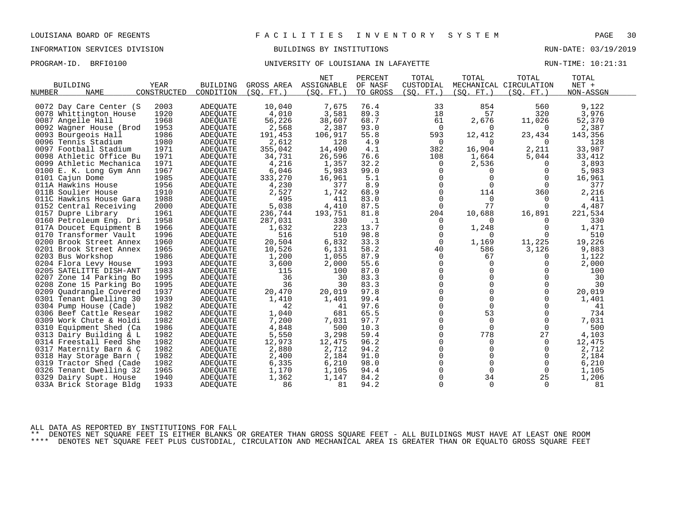PROGRAM-ID. BRFI0100 **BRFION CONTAINS AND SERVER UNIVERSITY OF LOUISIANA IN LAFAYETTE** PROGRAM-ID. RUN-TIME: 10:21:31

|                         |             |                 |            | <b>NET</b> | PERCENT   | TOTAL       | TOTAL       | TOTAL                  | TOTAL     |  |
|-------------------------|-------------|-----------------|------------|------------|-----------|-------------|-------------|------------------------|-----------|--|
| <b>BUILDING</b>         | YEAR        | <b>BUILDING</b> | GROSS AREA | ASSIGNABLE | OF NASF   | CUSTODIAL   |             | MECHANICAL CIRCULATION | NET +     |  |
| NUMBER<br><b>NAME</b>   | CONSTRUCTED | CONDITION       | (SO. FT. ) | (SO. FT. ) | TO GROSS  | (SO. FT. )  | (SO. FT. )  | (SO. FT.)              | NON-ASSGN |  |
|                         |             |                 |            |            |           |             |             |                        |           |  |
| 0072 Day Care Center (S | 2003        | <b>ADEQUATE</b> | 10,040     | 7,675      | 76.4      | 33          | 854         | 560                    | 9,122     |  |
| 0078 Whittington House  | 1920        | <b>ADEQUATE</b> | 4,010      | 3,581      | 89.3      | 18          | 57          | 320                    | 3,976     |  |
| 0087 Angelle Hall       | 1968        | ADEQUATE        | 56,226     | 38,607     | 68.7      | 61          | 2,676       | 11,026                 | 52,370    |  |
| 0092 Wagner House (Brod | 1953        | <b>ADEOUATE</b> | 2,568      | 2,387      | 93.0      | $\mathbf 0$ | 0           | 0                      | 2,387     |  |
| 0093 Bourgeois Hall     | 1986        | ADEOUATE        | 191,453    | 106,917    | 55.8      | 593         | 12,412      | 23,434                 | 143,356   |  |
| 0096 Tennis Stadium     | 1980        | ADEQUATE        | 2,612      | 128        | 4.9       | $\Omega$    | $\Omega$    | $\Omega$               | 128       |  |
| 0097 Football Stadium   | 1971        | ADEQUATE        | 355,042    | 14,490     | 4.1       | 382         | 16,904      | 2,211                  | 33,987    |  |
| 0098 Athletic Office Bu | 1971        | ADEQUATE        | 34,731     | 26,596     | 76.6      | 108         | 1,664       | 5,044                  | 33,412    |  |
| 0099 Athletic Mechanica | 1971        | <b>ADEOUATE</b> | 4,216      | 1,357      | 32.2      | 0           | 2,536       | 0                      | 3,893     |  |
| 0100 E. K. Long Gym Ann | 1967        | ADEQUATE        | 6,046      | 5,983      | 99.0      | 0           | 0           | 0                      | 5,983     |  |
| 0101 Cajun Dome         | 1985        | ADEQUATE        | 333,270    | 16,961     | 5.1       | $\Omega$    | $\Omega$    | $\Omega$               | 16,961    |  |
| 011A Hawkins House      | 1956        | ADEOUATE        | 4,230      | 377        | 8.9       | $\Omega$    |             | $\Omega$               | 377       |  |
| 011B Soulier House      | 1910        | ADEOUATE        | 2,527      | 1,742      | 68.9      | $\mathbf 0$ | 114         | 360                    | 2,216     |  |
| 011C Hawkins House Gara | 1988        | <b>ADEQUATE</b> | 495        | 411        | 83.0      | 0           | $\mathbf 0$ | 0                      | 411       |  |
| 0152 Central Receiving  | 2000        | ADEQUATE        | 5,038      | 4,410      | 87.5      | $\Omega$    | 77          | $\Omega$               | 4,487     |  |
| 0157 Dupre Library      | 1961        | ADEQUATE        | 236,744    | 193,751    | 81.8      | 204         | 10,688      | 16,891                 | 221,534   |  |
| 0160 Petroleum Eng. Dri | 1958        | <b>ADEOUATE</b> | 287,031    | 330        | $\cdot$ 1 | 0           | $\Omega$    | $\Omega$               | 330       |  |
| 017A Doucet Equipment B | 1966        | ADEQUATE        | 1,632      | 223        | 13.7      | 0           | 1,248       | 0                      | 1,471     |  |
| 0170 Transformer Vault  | 1996        | <b>ADEOUATE</b> | 516        | 510        | 98.8      | $\mathbf 0$ | $\Omega$    | $\Omega$               | 510       |  |
| 0200 Brook Street Annex | 1960        | ADEOUATE        | 20,504     | 6,832      | 33.3      | 0           | 1,169       | 11,225                 | 19,226    |  |
| 0201 Brook Street Annex | 1965        | ADEQUATE        | 10,526     | 6,131      | 58.2      | 40          | 586         | 3,126                  | 9,883     |  |
| 0203 Bus Workshop       | 1986        | <b>ADEQUATE</b> | 1,200      | 1,055      | 87.9      | $\mathbf 0$ | 67          | $\Omega$               | 1,122     |  |
| 0204 Flora Levy House   | 1993        | ADEQUATE        | 3,600      | 2,000      | 55.6      | 0           | $\mathbf 0$ | $\Omega$               | 2,000     |  |
| 0205 SATELITTE DISH-ANT | 1983        | ADEOUATE        | 115        | 100        | 87.0      | $\mathbf 0$ | $\mathbf 0$ | 0                      | 100       |  |
| 0207 Zone 14 Parking Bo | 1995        | ADEOUATE        | 36         | 30         | 83.3      | $\Omega$    | $\Omega$    | $\Omega$               | 30        |  |
| 0208 Zone 15 Parking Bo | 1995        | ADEQUATE        | 36         | 30         | 83.3      | $\Omega$    | $\Omega$    | $\Omega$               | 30        |  |
| 0209 Quadrangle Covered | 1937        | <b>ADEOUATE</b> | 20,470     | 20,019     | 97.8      | 0           | $\Omega$    | $\Omega$               | 20,019    |  |
| 0301 Tenant Dwelling 30 | 1939        | ADEQUATE        | 1,410      | 1,401      | 99.4      | 0           | $\mathbf 0$ | 0                      | 1,401     |  |
| 0304 Pump House (Cade)  | 1982        | ADEOUATE        | 42         | 41         | 97.6      | $\Omega$    | $\Omega$    | $\Omega$               | 41        |  |
| 0306 Beef Cattle Resear | 1982        | ADEQUATE        | 1,040      | 681        | 65.5      | $\mathbf 0$ | 53          | $\mathbf 0$            | 734       |  |
| 0309 Work Chute & Holdi | 1982        | ADEQUATE        | 7,200      | 7,031      | 97.7      | 0           | $\Omega$    | $\Omega$               | 7,031     |  |
| 0310 Equipment Shed (Ca | 1986        | ADEOUATE        | 4,848      | 500        | 10.3      | $\Omega$    | $\Omega$    | 0                      | 500       |  |
| 0313 Dairy Building & L | 1982        | ADEOUATE        | 5,550      | 3,298      | 59.4      | $\mathbf 0$ | 778         | 27                     | 4,103     |  |
| 0314 Freestall Feed She | 1982        | <b>ADEQUATE</b> | 12,973     | 12,475     | 96.2      | 0           | $\mathbf 0$ | 0                      | 12,475    |  |
| 0317 Maternity Barn & C | 1982        | ADEQUATE        | 2,880      | 2,712      | 94.2      | $\Omega$    | $\Omega$    | $\Omega$               | 2,712     |  |
| 0318 Hay Storage Barn ( | 1982        | ADEQUATE        | 2,400      | 2,184      | 91.0      | $\mathbf 0$ | $\mathbf 0$ | $\mathbf 0$            | 2,184     |  |
| 0319 Tractor Shed (Cade | 1982        | ADEOUATE        | 6,335      | 6,210      | 98.0      | 0           | $\mathbf 0$ | $\mathbf 0$            | 6,210     |  |
| 0326 Tenant Dwelling 32 | 1965        | ADEQUATE        | 1,170      | 1,105      | 94.4      | $\Omega$    | $\Omega$    | 0                      | 1,105     |  |
| 0329 Dairy Supt. House  | 1940        | <b>ADEQUATE</b> | 1,362      | 1,147      | 84.2      | $\Omega$    | 34          | 25                     | 1,206     |  |
| 033A Brick Storage Bldg | 1933        | <b>ADEOUATE</b> | 86         | 81         | 94.2      | $\Omega$    | $\Omega$    | $\Omega$               | 81        |  |
|                         |             |                 |            |            |           |             |             |                        |           |  |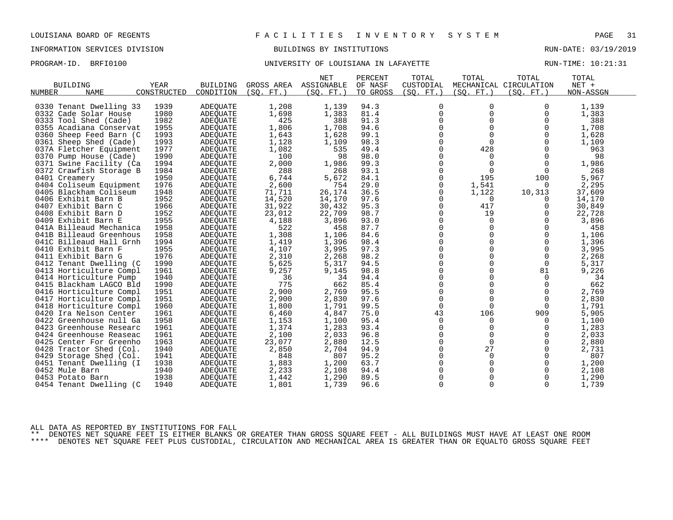# INFORMATION SERVICES DIVISION BUILDINGS BY INSTITUTIONS AND RUN-DATE: 03/19/2019

# PROGRAM-ID. BRFI0100 **BRFION CONTAINS AND SERVER UNIVERSITY OF LOUISIANA IN LAFAYETTE** PROGRAM-ID. RUN-TIME: 10:21:31

|                            |             |                 |                 | <b>NET</b> | PERCENT  | TOTAL          | TOTAL       | TOTAL                  | TOTAL     |  |
|----------------------------|-------------|-----------------|-----------------|------------|----------|----------------|-------------|------------------------|-----------|--|
| <b>BUILDING</b>            | YEAR        | <b>BUILDING</b> | GROSS AREA      | ASSIGNABLE | OF NASF  | CUSTODIAL      |             | MECHANICAL CIRCULATION | NET +     |  |
| NUMBER<br><b>NAME</b>      | CONSTRUCTED | CONDITION       | (SO.<br>$FT.$ ) | (SO. FT. ) | TO GROSS | (SO. FT. )     | (SO. FT. )  | (SO. FT. )             | NON-ASSGN |  |
|                            |             |                 |                 |            |          |                |             |                        |           |  |
| 0330 Tenant Dwelling 33    | 1939        | <b>ADEQUATE</b> | 1,208           | 1,139      | 94.3     | 0              | $\Omega$    | $\Omega$               | 1,139     |  |
| 0332 Cade Solar House      | 1980        | <b>ADEOUATE</b> | 1,698           | 1,383      | 81.4     | $\overline{0}$ | $\Omega$    | $\Omega$               | 1,383     |  |
| 0333 Tool Shed (Cade)      | 1982        | <b>ADEQUATE</b> | 425             | 388        | 91.3     | 0              | 0           | 0                      | 388       |  |
| 0355 Acadiana Conservat    | 1955        | <b>ADEQUATE</b> | 1,806           | 1,708      | 94.6     | $\Omega$       | $\Omega$    | $\Omega$               | 1,708     |  |
| 0360 Sheep Feed Barn (C    | 1993        | <b>ADEOUATE</b> | 1,643           | 1,628      | 99.1     | $\Omega$       | $\Omega$    | $\Omega$               | 1,628     |  |
| 0361 Sheep Shed (Cade)     | 1993        | ADEQUATE        | 1,128           | 1,109      | 98.3     | $\mathbf 0$    | $\Omega$    | $\Omega$               | 1,109     |  |
| 037A Fletcher Equipment    | 1977        | ADEOUATE        | 1,082           | 535        | 49.4     | 0              | 428         | 0                      | 963       |  |
| 0370 Pump House (Cade)     | 1990        | <b>ADEQUATE</b> | 100             | 98         | 98.0     | $\Omega$       | $\Omega$    | $\Omega$               | 98        |  |
| 0371 Swine Facility (Ca    | 1994        | ADEQUATE        | 2,000           | 1,986      | 99.3     | $\mathbf 0$    | $\mathbf 0$ | 0                      | 1,986     |  |
| 0372 Crawfish Storage B    | 1984        | <b>ADEQUATE</b> | 288             | 268        | 93.1     | $\mathbf 0$    | $\mathbf 0$ | 0                      | 268       |  |
| 0401 Creamery              | 1950        | ADEQUATE        | 6,744           | 5,672      | 84.1     | 0              | 195         | 100                    | 5,967     |  |
| 0404 Coliseum Equipment    | 1976        | ADEQUATE        | 2,600           | 754        | 29.0     | $\mathbf 0$    | 1,541       | $\Omega$               | 2,295     |  |
| 0405 Blackham Coliseum     | 1948        | ADEQUATE        | 71,711          | 26,174     | 36.5     | $\mathbf 0$    | 1,122       | 10,313                 | 37,609    |  |
| 0406 Exhibit Barn B        | 1952        | <b>ADEQUATE</b> | 14,520          | 14,170     | 97.6     | $\mathbf 0$    | 0           | 0                      | 14,170    |  |
| 0407<br>Exhibit Barn C     | 1966        | ADEQUATE        | 31,922          | 30,432     | 95.3     | $\Omega$       | 417         | $\Omega$               | 30,849    |  |
| 0408 Exhibit Barn D        | 1952        | ADEQUATE        | 23,012          | 22,709     | 98.7     | $\mathbf 0$    | 19          | 0                      | 22,728    |  |
| 0409 Exhibit Barn E        | 1955        | <b>ADEQUATE</b> | 4,188           | 3,896      | 93.0     | 0              | $\Omega$    | $\Omega$               | 3,896     |  |
| 041A Billeaud Mechanica    | 1958        | ADEQUATE        | 522             | 458        | 87.7     | $\Omega$       | $\Omega$    | $\Omega$               | 458       |  |
| 041B Billeaud Greenhous    | 1958        | <b>ADEQUATE</b> | 1,308           | 1,106      | 84.6     | $\mathbf 0$    | $\Omega$    | $\mathbf 0$            | 1,106     |  |
| 041C Billeaud Hall Grnh    | 1994        | ADEQUATE        | 1,419           | 1,396      | 98.4     | 0              | $\Omega$    | $\Omega$               | 1,396     |  |
| 0410 Exhibit Barn F        | 1955        | <b>ADEQUATE</b> | 4,107           | 3,995      | 97.3     | $\Omega$       | $\Omega$    | $\Omega$               | 3,995     |  |
| 0411 Exhibit Barn G        | 1976        | ADEQUATE        | 2,310           | 2,268      | 98.2     | 0              | 0           | 0                      | 2,268     |  |
| 0412<br>Tenant Dwelling (C | 1990        | ADEQUATE        | 5,625           | 5,317      | 94.5     | $\Omega$       | $\Omega$    | $\mathbf 0$            | 5,317     |  |
| 0413 Horticulture Compl    | 1961        | <b>ADEQUATE</b> | 9,257           | 9,145      | 98.8     | $\mathbf 0$    | $\Omega$    | 81                     | 9,226     |  |
| 0414 Horticulture Pump     | 1940        | ADEQUATE        | 36              | 34         | 94.4     | $\mathbf 0$    | $\mathbf 0$ | 0                      | 34        |  |
| 0415 Blackham LAGCO Bld    | 1990        | ADEQUATE        | 775             | 662        | 85.4     | 0              | $\Omega$    | 0                      | 662       |  |
| 0416 Horticulture Compl    | 1951        | <b>ADEQUATE</b> | 2,900           | 2,769      | 95.5     | $\mathbf 0$    | $\Omega$    | 0                      | 2,769     |  |
| 0417 Horticulture Compl    | 1951        | ADEQUATE        | 2,900           | 2,830      | 97.6     | $\mathbf 0$    | $\mathbf 0$ | 0                      | 2,830     |  |
| 0418 Horticulture Compl    | 1960        | <b>ADEQUATE</b> | 1,800           | 1,791      | 99.5     | $\mathbf 0$    | $\mathbf 0$ | $\overline{0}$         | 1,791     |  |
| 0420 Ira Nelson Center     | 1961        | ADEQUATE        | 6,460           | 4,847      | 75.0     | 43             | 106         | 909                    | 5,905     |  |
| 0422 Greenhouse null Ga    | 1958        | ADEQUATE        | 1,153           | 1,100      | 95.4     | $\mathbf 0$    | 0           | 0                      | 1,100     |  |
| 0423 Greenhouse Researc    | 1961        | <b>ADEOUATE</b> | 1,374           | 1,283      | 93.4     | $\mathbf 0$    | $\mathbf 0$ | 0                      | 1,283     |  |
| 0424 Greenhouse Reaseac    | 1961        | ADEQUATE        | 2,100           | 2,033      | 96.8     | 0              | $\mathbf 0$ | 0                      | 2,033     |  |
| 0425 Center For Greenho    | 1963        | <b>ADEQUATE</b> | 23,077          | 2,880      | 12.5     | $\Omega$       | $\Omega$    | $\Omega$               | 2,880     |  |
| 0428 Tractor Shed (Col.    | 1940        | ADEQUATE        | 2,850           | 2,704      | 94.9     | 0              | 27          | 0                      | 2,731     |  |
| 0429<br>Storage Shed (Col. | 1941        | ADEQUATE        | 848             | 807        | 95.2     | 0              | $\mathbf 0$ | $\mathbf 0$            | 807       |  |
| 0451 Tenant Dwelling (I    | 1938        | ADEOUATE        | 1,883           | 1,200      | 63.7     | $\Omega$       | $\Omega$    | 0                      | 1,200     |  |
| 0452 Mule Barn             | 1940        | ADEQUATE        | 2,233           | 2,108      | 94.4     | $\mathbf 0$    | 0           | $\mathbf 0$            | 2,108     |  |
| 0453 Potato Barn           | 1938        | ADEQUATE        | 1,442           | 1,290      | 89.5     | 0              | $\Omega$    | 0                      | 1,290     |  |
| 0454 Tenant Dwelling (C    | 1940        | ADEQUATE        | 1,801           | 1,739      | 96.6     | $\Omega$       | $\Omega$    | $\Omega$               | 1,739     |  |
|                            |             |                 |                 |            |          |                |             |                        |           |  |

ALL DATA AS REPORTED BY INSTITUTIONS FOR FALL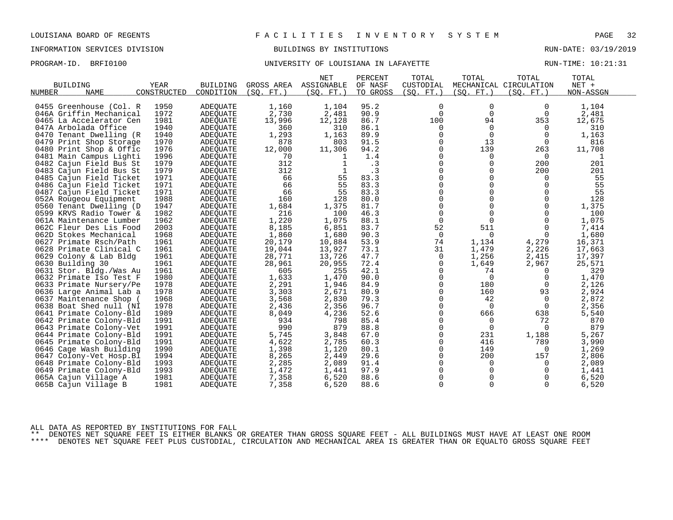# INFORMATION SERVICES DIVISION BUILDINGS BY INSTITUTIONS AND RUN-DATE: 03/19/2019

# PROGRAM-ID. BRFI0100 **BRFION CONTAINS AND SERVER UNIVERSITY OF LOUISIANA IN LAFAYETTE** PROGRAM-ID. RUN-TIME: 10:21:31

|                                          |                     |                              |                          | <b>NET</b>              | PERCENT             | TOTAL                   | TOTAL       | TOTAL                                | TOTAL              |  |
|------------------------------------------|---------------------|------------------------------|--------------------------|-------------------------|---------------------|-------------------------|-------------|--------------------------------------|--------------------|--|
| <b>BUILDING</b><br><b>NAME</b><br>NUMBER | YEAR<br>CONSTRUCTED | <b>BUILDING</b><br>CONDITION | GROSS AREA<br>(SO. FT. ) | ASSIGNABLE<br>(SO. FT.) | OF NASF<br>TO GROSS | CUSTODIAL<br>(SO. FT. ) | (SO. FT. )  | MECHANICAL CIRCULATION<br>(SQ. FT. ) | NET +<br>NON-ASSGN |  |
|                                          |                     |                              |                          |                         |                     |                         |             |                                      |                    |  |
| 0455 Greenhouse (Col. R                  | 1950                | <b>ADEQUATE</b>              | 1,160                    | 1,104                   | 95.2                | $\mathbf 0$             | 0           | 0                                    | 1,104              |  |
| 046A Griffin Mechanical                  | 1972                | <b>ADEQUATE</b>              | 2,730                    | 2,481                   | 90.9                | $\Omega$                | $\Omega$    | $\Omega$                             | 2,481              |  |
| 0465 La Accelerator Cen                  | 1981                | ADEQUATE                     | 13,996                   | 12,128                  | 86.7                | 100                     | 94          | 353                                  | 12,675             |  |
| 047A Arbolada Office                     | 1940                | <b>ADEOUATE</b>              | 360                      | 310                     | 86.1                | 0                       | $\mathbf 0$ | 0                                    | 310                |  |
| 0470<br>Tenant Dwelling (R               | 1940                | ADEQUATE                     | 1,293                    | 1,163                   | 89.9                | $\mathbf 0$             | $\Omega$    | 0                                    | 1,163              |  |
| 0479 Print Shop Storage                  | 1970                | ADEQUATE                     | 878                      | 803                     | 91.5                | $\Omega$                | 13          | $\Omega$                             | 816                |  |
| 0480<br>Print Shop & Offic               | 1976                | <b>ADEQUATE</b>              | 12,000                   | 11,306                  | 94.2                | $\mathbf 0$             | 139         | 263                                  | 11,708             |  |
| 0481 Main Campus Lighti                  | 1996                | ADEQUATE                     | 70                       | 1                       | 1.4                 | 0                       | 0           | 0                                    | 1                  |  |
| Cajun Field Bus St<br>0482               | 1979                | <b>ADEQUATE</b>              | 312                      | $\mathbf{1}$            | .3                  | $\Omega$                | $\Omega$    | 200                                  | 201                |  |
| 0483 Cajun Field Bus St                  | 1979                | ADEQUATE                     | 312                      |                         | $\cdot$ 3           | $\mathbf 0$             | 0           | 200                                  | 201                |  |
| 0485 Cajun Field Ticket                  | 1971                | <b>ADEQUATE</b>              | 66                       | 55                      | 83.3                | 0                       | 0           | $\Omega$                             | 55                 |  |
| 0486 Cajun Field Ticket                  | 1971                | <b>ADEOUATE</b>              | 66                       | 55                      | 83.3                | $\Omega$                | $\Omega$    | $\Omega$                             | 55                 |  |
| 0487 Cajun Field Ticket                  | 1971                | ADEQUATE                     | 66                       | 55                      | 83.3                | $\mathbf 0$             | $\Omega$    | $\mathbf 0$                          | 55                 |  |
| 052A Rougeou Equipment                   | 1988                | <b>ADEQUATE</b>              | 160                      | 128                     | 80.0                | 0                       | $\Omega$    | $\Omega$                             | 128                |  |
| 0560 Tenant Dwelling (D                  | 1947                | ADEOUATE                     | 1,684                    | 1,375                   | 81.7                | $\mathbf 0$             | $\Omega$    | $\Omega$                             | 1,375              |  |
| 0599 KRVS Radio Tower &                  | 1982                | ADEQUATE                     | 216                      | 100                     | 46.3                | $\mathbf 0$             | $\Omega$    | $\Omega$                             | 100                |  |
| 061A Maintenance Lumber                  | 1962                | ADEQUATE                     | 1,220                    | 1,075                   | 88.1                | $\mathbf 0$             | $\Omega$    | $\mathbf 0$                          | 1,075              |  |
| 062C Fleur Des Lis Food                  | 2003                | <b>ADEQUATE</b>              | 8,185                    | 6,851                   | 83.7                | 52                      | 511         | $\Omega$                             | 7,414              |  |
| 062D Stokes Mechanical                   | 1968                | <b>ADEQUATE</b>              | 1,860                    | 1,680                   | 90.3                | $\mathbf 0$             | $\Omega$    | $\Omega$                             | 1,680              |  |
| 0627<br>Primate Rsch/Path                | 1961                | ADEQUATE                     | 20,179                   | 10,884                  | 53.9                | 74                      | 1,134       | 4,279                                | 16,371             |  |
| 0628 Primate Clinical C                  | 1961                | ADEQUATE                     | 19,044                   | 13,927                  | 73.1                | 31                      | 1,479       | 2,226                                | 17,663             |  |
| 0629 Colony & Lab Bldg                   | 1961                | ADEQUATE                     | 28,771                   | 13,726                  | 47.7                | 0                       | 1,256       | 2,415                                | 17,397             |  |
| 0630 Building 30                         | 1961                | <b>ADEQUATE</b>              | 28,961                   | 20,955                  | 72.4                | 0                       | 1,649       | 2,967                                | 25,571             |  |
| 0631 Stor. Bldg./Was Au                  | 1961                | <b>ADEOUATE</b>              | 605                      | 255                     | 42.1                | 0                       | 74          | 0                                    | 329                |  |
| 0632 Primate Iso Test F                  | 1980                | ADEQUATE                     | 1,633                    | 1,470                   | 90.0                | $\Omega$                | $\Omega$    | $\Omega$                             | 1,470              |  |
| 0633 Primate Nursery/Pe                  | 1978                | ADEQUATE                     | 2,291                    | 1,946                   | 84.9                | $\mathbf 0$             | 180         | 0                                    | 2,126              |  |
| 0636 Large Animal Lab a                  | 1978                | <b>ADEQUATE</b>              | 3,303                    | 2,671                   | 80.9                | 0                       | 160         | 93                                   | 2,924              |  |
| 0637 Maintenance Shop                    | 1968                | ADEQUATE                     | 3,568                    | 2,830                   | 79.3                | $\Omega$                | 42          | 0                                    | 2,872              |  |
| 0638 Boat Shed null (NI                  | 1978                | ADEOUATE                     | 2,436                    | 2,356                   | 96.7                | $\mathbf 0$             | $\Omega$    | $\overline{0}$                       | 2,356              |  |
| 0641 Primate Colony-Bld                  | 1989                | <b>ADEQUATE</b>              | 8,049                    | 4,236                   | 52.6                | $\mathbf 0$             | 666         | 638                                  | 5,540              |  |
| 0642 Primate Colony-Bld                  | 1991                | ADEOUATE                     | 934                      | 798                     | 85.4                | $\Omega$                | 0           | 72                                   | 870                |  |
| 0643 Primate Colony-Vet                  | 1991                | <b>ADEQUATE</b>              | 990                      | 879                     | 88.8                | $\mathbf 0$             | $\Omega$    | $\Omega$                             | 879                |  |
| 0644 Primate Colony-Bld                  | 1991                | ADEQUATE                     | 5,745                    | 3,848                   | 67.0                | $\mathbf 0$             | 231         | 1,188                                | 5,267              |  |
| 0645 Primate Colony-Bld                  | 1991                | <b>ADEQUATE</b>              | 4,622                    | 2,785                   | 60.3                | $\Omega$                | 416         | 789                                  | 3,990              |  |
| 0646 Cage Wash Building                  | 1990                | ADEQUATE                     | 1,398                    | 1,120                   | 80.1                | 0                       | 149         | 0                                    | 1,269              |  |
| 0647<br>Colony-Vet Hosp.Bl               | 1994                | ADEQUATE                     | 8,265                    | 2,449                   | 29.6                | $\mathbf 0$             | 200         | 157                                  | 2,806              |  |
| 0648 Primate Colony-Bld                  | 1993                | <b>ADEQUATE</b>              | 2,285                    | 2,089                   | 91.4                | $\Omega$                | $\Omega$    | $\Omega$                             | 2,089              |  |
| 0649 Primate Colony-Bld                  | 1993                | ADEQUATE                     | 1,472                    | 1,441                   | 97.9                | $\mathbf 0$             | $\mathbf 0$ | 0                                    | 1,441              |  |
| 065A Cajun Village A                     | 1981                | ADEOUATE                     | 7,358                    | 6,520                   | 88.6                | 0                       | 0           | 0                                    | 6,520              |  |
| 065B Cajun Village B                     | 1981                | ADEQUATE                     | 7,358                    | 6,520                   | 88.6                | $\mathbf 0$             | $\Omega$    | $\Omega$                             | 6,520              |  |
|                                          |                     |                              |                          |                         |                     |                         |             |                                      |                    |  |

ALL DATA AS REPORTED BY INSTITUTIONS FOR FALL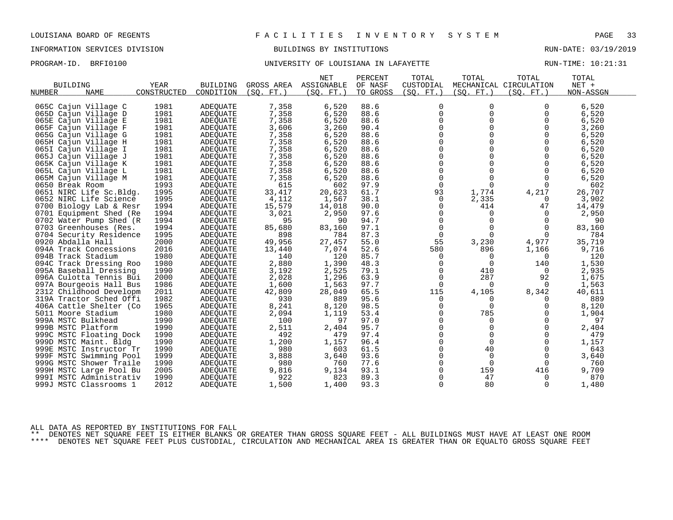PROGRAM-ID. BRFI0100 **BRFION CONTAINS AND SERVER UNIVERSITY OF LOUISIANA IN LAFAYETTE** PROGRAM-ID. RUN-TIME: 10:21:31

|                            |             |                 |            | <b>NET</b> | PERCENT  | TOTAL       | TOTAL          | TOTAL                  | TOTAL     |  |
|----------------------------|-------------|-----------------|------------|------------|----------|-------------|----------------|------------------------|-----------|--|
| <b>BUILDING</b>            | <b>YEAR</b> | <b>BUILDING</b> | GROSS AREA | ASSIGNABLE | OF NASF  | CUSTODIAL   |                | MECHANICAL CIRCULATION | NET +     |  |
| <b>NAME</b><br>NUMBER      | CONSTRUCTED | CONDITION       | (SO. FT. ) | (SO. FT.)  | TO GROSS | (SO. FT. )  | (SO. FT. )     | (SO. FT. )             | NON-ASSGN |  |
|                            |             |                 |            |            |          |             |                |                        |           |  |
| 065C Cajun Village C       | 1981        | <b>ADEQUATE</b> | 7,358      | 6,520      | 88.6     | 0           | 0              | 0                      | 6,520     |  |
| 065D Cajun Village D       | 1981        | <b>ADEQUATE</b> | 7,358      | 6,520      | 88.6     | $\mathbf 0$ | $\Omega$       | 0                      | 6,520     |  |
| 065E Cajun Village E       | 1981        | ADEQUATE        | 7,358      | 6,520      | 88.6     | $\mathbf 0$ | 0              | $\mathbf 0$            | 6,520     |  |
| 065F Cajun Village F       | 1981        | ADEOUATE        | 3,606      | 3,260      | 90.4     | $\Omega$    | $\Omega$       | $\mathbf 0$            | 3,260     |  |
| 065G Cajun Village G       | 1981        | <b>ADEQUATE</b> | 7,358      | 6,520      | 88.6     | $\Omega$    | $\Omega$       | $\Omega$               | 6,520     |  |
| 065H Cajun Village H       | 1981        | ADEQUATE        | 7,358      | 6,520      | 88.6     | $\mathbf 0$ | $\Omega$       | $\mathbf 0$            | 6,520     |  |
| 065I Cajun Village I       | 1981        | ADEQUATE        | 7,358      | 6,520      | 88.6     | 0           | $\Omega$       | $\mathbf 0$            | 6,520     |  |
| 065J Cajun Village J       | 1981        | ADEQUATE        | 7,358      | 6,520      | 88.6     | $\Omega$    | $\Omega$       | $\Omega$               | 6,520     |  |
| 065K Cajun Village K       | 1981        | ADEQUATE        | 7,358      | 6,520      | 88.6     | $\Omega$    | $\Omega$       | $\Omega$               | 6,520     |  |
| 065L Cajun Village L       | 1981        | ADEQUATE        | 7,358      | 6,520      | 88.6     | 0           | $\Omega$       | $\Omega$               | 6,520     |  |
| 065M Cajun Village M       | 1981        | ADEQUATE        | 7,358      | 6,520      | 88.6     | $\mathbf 0$ | 0              | 0                      | 6,520     |  |
| 0650 Break Room            | 1993        | ADEQUATE        | 615        | 602        | 97.9     | $\Omega$    | $\Omega$       | $\Omega$               | 602       |  |
| 0651 NIRC Life Sc.Bldg.    | 1995        | ADEQUATE        | 33,417     | 20,623     | 61.7     | 93          | 1,774          | 4,217                  | 26,707    |  |
| 0652 NIRC Life Science     | 1995        | ADEQUATE        | 4,112      | 1,567      | 38.1     | 0           | 2,335          | 0                      | 3,902     |  |
| 0700 Biology Lab & Resr    | 1994        | ADEQUATE        | 15,579     | 14,018     | 90.0     | $\Omega$    | 414            | 47                     | 14,479    |  |
| 0701 Equipment Shed (Re    | 1994        | ADEQUATE        | 3,021      | 2,950      | 97.6     | 0           | $\mathbf 0$    | 0                      | 2,950     |  |
| 0702 Water Pump Shed (R    | 1994        | <b>ADEQUATE</b> | 95         | 90         | 94.7     | $\mathbf 0$ | $\Omega$       | $\Omega$               | 90        |  |
| 0703 Greenhouses (Res.     | 1994        | <b>ADEQUATE</b> | 85,680     | 83,160     | 97.1     | $\Omega$    | $\Omega$       | $\Omega$               | 83,160    |  |
| 0704 Security Residence    | 1995        | ADEQUATE        | 898        | 784        | 87.3     | 0           | $\Omega$       | $\Omega$               | 784       |  |
| 0920 Abdalla Hall          | 2000        | ADEQUATE        | 49,956     | 27,457     | 55.0     | 55          | 3,230          | 4,977                  | 35,719    |  |
| 094A Track Concessions     | 2016        | ADEQUATE        | 13,440     | 7,074      | 52.6     | 580         | 896            | 1,166                  | 9,716     |  |
| 094B Track Stadium         | 1980        | ADEOUATE        | 140        | 120        | 85.7     | 0           | 0              | 0                      | 120       |  |
| 094C Track Dressing Roo    | 1980        | <b>ADEQUATE</b> | 2,880      | 1,390      | 48.3     | 0           | $\overline{0}$ | 140                    | 1,530     |  |
| 095A Baseball Dressing     | 1990        | ADEOUATE        | 3,192      | 2,525      | 79.1     | 0           | 410            | $\overline{0}$         | 2,935     |  |
| 096A Culotta Tennis Bui    | 2000        | ADEQUATE        | 2,028      | 1,296      | 63.9     | $\mathbf 0$ | 287            | 92                     | 1,675     |  |
| 097A Bourgeois Hall Bus    | 1986        | ADEQUATE        | 1,600      | 1,563      | 97.7     | $\Omega$    | $\Omega$       | $\Omega$               | 1,563     |  |
| 2312 Childhood Developm    | 2011        | ADEOUATE        | 42,809     | 28,049     | 65.5     | 115         | 4,105          | 8,342                  | 40,611    |  |
| 319A Tractor Sched Offi    | 1982        | ADEQUATE        | 930        | 889        | 95.6     | $\Omega$    | $\Omega$       | 0                      | 889       |  |
| 406A Cattle Shelter (Co    | 1965        | ADEQUATE        | 8,241      | 8,120      | 98.5     | 0           | $\Omega$       | 0                      | 8,120     |  |
| 5011 Moore Stadium         | 1980        | <b>ADEQUATE</b> | 2,094      | 1,119      | 53.4     | 0           | 785            | 0                      | 1,904     |  |
| 999A MSTC Bulkhead         | 1990        | <b>ADEQUATE</b> | 100        | 97         | 97.0     | $\Omega$    | $\Omega$       | $\Omega$               | 97        |  |
| 999B MSTC Platform         | 1990        | ADEOUATE        | 2,511      | 2,404      | 95.7     | $\mathbf 0$ | $\mathbf 0$    | 0                      | 2,404     |  |
| 999C MSTC Floating Dock    | 1990        | ADEQUATE        | 492        | 479        | 97.4     | 0           | $\Omega$       | $\Omega$               | 479       |  |
| 999D MSTC Maint. Bldg      | 1990        | <b>ADEOUATE</b> | 1,200      | 1,157      | 96.4     | $\Omega$    | $\Omega$       | $\Omega$               | 1,157     |  |
| 999E MSTC Instructor Tr    | 1990        | ADEQUATE        | 980        | 603        | 61.5     | $\mathbf 0$ | 40             | 0                      | 643       |  |
|                            | 1999        |                 |            | 3,640      | 93.6     | 0           | $\Omega$       | $\mathbf 0$            | 3,640     |  |
| 999F MSTC Swimming Pool    |             | ADEQUATE        | 3,888      |            |          |             |                |                        |           |  |
| 999G MSTC Shower Traile    | 1990        | ADEQUATE        | 980        | 760        | 77.6     | $\Omega$    | $\Omega$       | 0                      | 760       |  |
| 999H MSTC Large Pool Bu    | 2005        | ADEQUATE        | 9,816      | 9,134      | 93.1     | 0           | 159            | 416                    | 9,709     |  |
| 999I<br>MSTC Administrativ | 1990        | ADEOUATE        | 922        | 823        | 89.3     | $\Omega$    | 47             | 0                      | 870       |  |
| 999J MSTC Classrooms 1     | 2012        | ADEQUATE        | 1,500      | 1,400      | 93.3     | $\Omega$    | 80             | $\Omega$               | 1,480     |  |

ALL DATA AS REPORTED BY INSTITUTIONS FOR FALL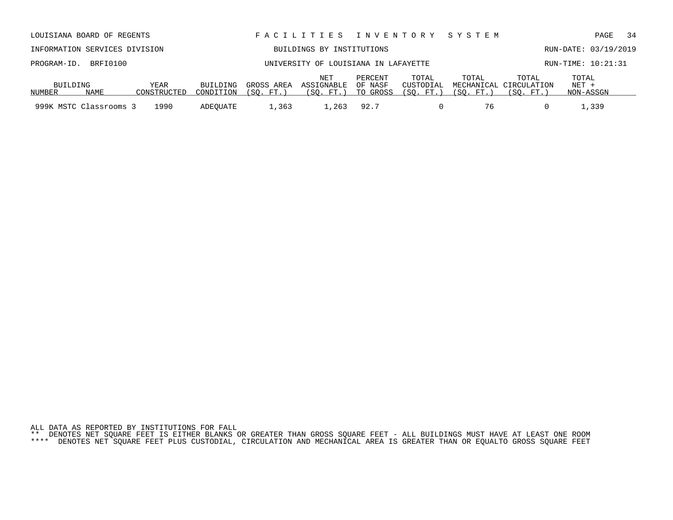| ALL DATA AS REPORTED BY INSTITUTIONS FOR FALL |  |  |  |  |  |  |                                                                                                                           |  |  |  |  |
|-----------------------------------------------|--|--|--|--|--|--|---------------------------------------------------------------------------------------------------------------------------|--|--|--|--|
|                                               |  |  |  |  |  |  | ** DENOTES NET SOUARE FEET IS EITHER BLANKS OR GREATER THAN GROSS SOUARE FEET - ALL BUILDINGS MUST HAVE AT LEAST ONE ROOM |  |  |  |  |

\*\*\*\* DENOTES NET SQUARE FEET PLUS CUSTODIAL, CIRCULATION AND MECHANICAL AREA IS GREATER THAN OR EQUALTO GROSS SQUARE FEET

| LOUISIANA BOARD OF REGENTS    | FACILITIES INVENTORY SYSTEM          |     |         |       |       |       |                      | PAGE 34 |  |
|-------------------------------|--------------------------------------|-----|---------|-------|-------|-------|----------------------|---------|--|
| INFORMATION SERVICES DIVISION | BUILDINGS BY INSTITUTIONS            |     |         |       |       |       | RUN-DATE: 03/19/2019 |         |  |
| PROGRAM-ID. BRFI0100          | UNIVERSITY OF LOUISIANA IN LAFAYETTE |     |         |       |       |       | RUN-TIME: 10:21:31   |         |  |
|                               |                                      | NET | PERCENT | TOTAL | TOTAL | TOTAL | TOTAL                |         |  |

BUILDING YEAR BUILDING GROSS AREA ASSIGNABLE OF NASF CUSTODIAL MECHANICAL CIRCULATION NET +

999K MSTC Classrooms 3 1990 ADEQUATE 1,363 1,263 92.7 0 76 0 1,339

NAME CONSTRUCTED CONDITION (SQ. FT.) (SQ. FT.) TO GROSS (SQ. FT.) (SQ. FT.) (SQ. FT.) NON-ASSGN

NUMBER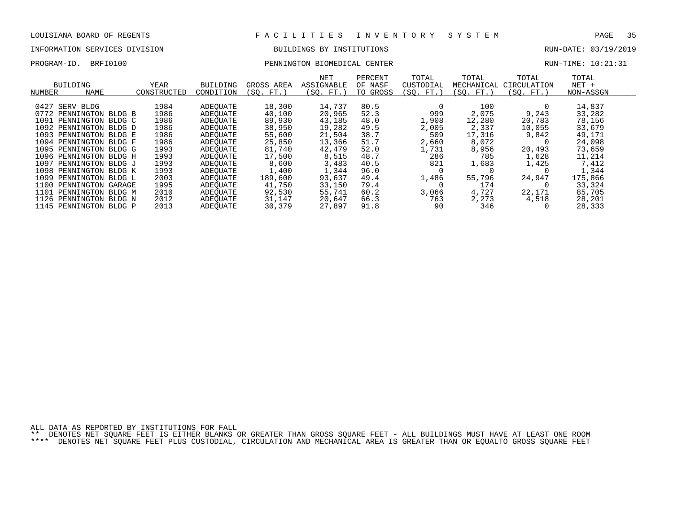# INFORMATION SERVICES DIVISION BUILDINGS BY INSTITUTIONS AND RUN-DATE: 03/19/2019

PROGRAM-ID. BRFI0100 PENNINGTON BIOMEDICAL CENTER RUN-TIME: 10:21:31

| NUMBER | BUILDING<br>NAME       |        | YEAR<br>CONSTRUCTED | <b>BUILDING</b><br>CONDITION | GROSS AREA<br>(SO. FT.) | <b>NET</b><br>ASSIGNABLE<br>(SO. FT.) | PERCENT<br>OF NASF<br>TO GROSS | TOTAL<br>CUSTODIAL<br>(SO. FT.) | TOTAL<br>MECHANICAL<br>(SO. FT.) | TOTAL<br>CIRCULATION<br>(SO. FT.) | TOTAL<br>$NET +$<br>NON-ASSGN |  |
|--------|------------------------|--------|---------------------|------------------------------|-------------------------|---------------------------------------|--------------------------------|---------------------------------|----------------------------------|-----------------------------------|-------------------------------|--|
|        |                        |        |                     |                              |                         |                                       |                                |                                 |                                  |                                   |                               |  |
| 0427   | BLDG<br>SERV           |        | 1984                | ADEOUATE                     | 18,300                  | 14,737                                | 80.5                           |                                 | 100                              |                                   | 14,837                        |  |
| 0772   | PENNINGTON BLDG B      |        | 1986                | ADEOUATE                     | 40,100                  | 20,965                                | 52.3                           | 999                             | 2,075                            | 9,243                             | 33,282                        |  |
| 1091   | PENNINGTON BLDG C      |        | 1986                | ADEOUATE                     | 89,930                  | 43,185                                | 48.0                           | 1,908                           | 12,280                           | 20,783                            | 78,156                        |  |
|        | 1092 PENNINGTON BLDG D |        | 1986                | ADEOUATE                     | 38,950                  | 19,282                                | 49.5                           | 2,005                           | 2,337                            | 10,055                            | 33,679                        |  |
| 1093   | PENNINGTON BLDG E      |        | 1986                | ADEOUATE                     | 55,600                  | 21,504                                | 38.7                           | 509                             | 17,316                           | 9,842                             | 49,171                        |  |
|        | 1094 PENNINGTON BLDG F |        | 1986                | ADEOUATE                     | 25,850                  | 13,366                                | 51.7                           | 2,660                           | 8,072                            |                                   | 24,098                        |  |
| 1095   | PENNINGTON BLDG G      |        | 1993                | ADEOUATE                     | 81,740                  | 42,479                                | 52.0                           | 1,731                           | 8,956                            | 20,493                            | 73,659                        |  |
|        | 1096 PENNINGTON BLDG H |        | 1993                | ADEOUATE                     | 17,500                  | 8,515                                 | 48.7                           | 286                             | 785                              | 1,628                             | 11,214                        |  |
| 1097   | PENNINGTON BLDG J      |        | 1993                | ADEOUATE                     | 8,600                   | 3,483                                 | 40.5                           | 821                             | 1,683                            | 1,425                             | 7,412                         |  |
|        | 1098 PENNINGTON BLDG K |        | 1993                | ADEOUATE                     | 1,400                   | 1,344                                 | 96.0                           |                                 |                                  |                                   | 1,344                         |  |
| 1099   | PENNINGTON BLDG L      |        | 2003                | ADEOUATE                     | 189,600                 | 93,637                                | 49.4                           | 1,486                           | 55,796                           | 24,947                            | 175,866                       |  |
| 1100   | PENNINGTON GARAGE      |        | 1995                | ADEOUATE                     | 41,750                  | 33,150                                | 79.4                           |                                 | 174                              |                                   | 33,324                        |  |
| 1101   | PENNINGTON BLDG M      |        | 2010                | ADEOUATE                     | 92,530                  | 55,741                                | 60.2                           | 3,066                           | 4,727                            | 22,171                            | 85,705                        |  |
| 1126   | PENNINGTON             | BLDG N | 2012                | ADEOUATE                     | 31,147                  | 20,647                                | 66.3                           | 763                             | 2,273                            | 4,518                             | 28,201                        |  |
|        | 1145 PENNINGTON BLDG P |        | 2013                | ADEOUATE                     | 30,379                  | 27,897                                | 91.8                           | 90                              | 346                              |                                   | 28,333                        |  |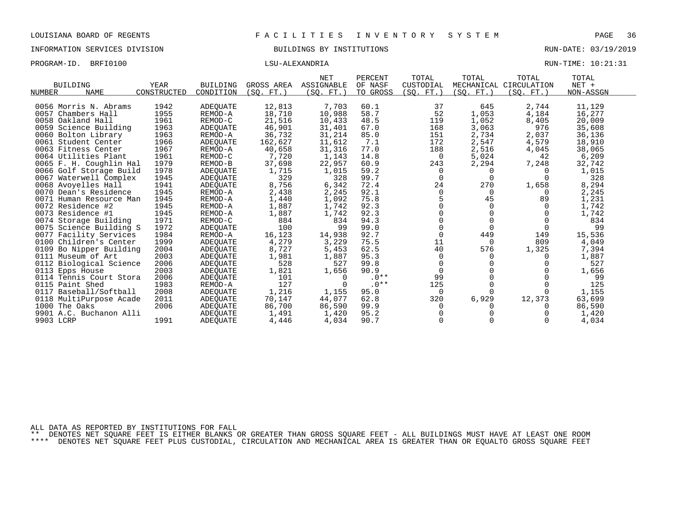| PROGRAM-ID. | BRFI0100 | LSU-ALEXANDRIA | RUN-TIME: 10:21:31 |
|-------------|----------|----------------|--------------------|
|             |          |                |                    |

|                           |             |                 |            | <b>NET</b> | PERCENT  | TOTAL       | TOTAL      | TOTAL                  | TOTAL     |  |
|---------------------------|-------------|-----------------|------------|------------|----------|-------------|------------|------------------------|-----------|--|
| <b>BUILDING</b>           | <b>YEAR</b> | <b>BUILDING</b> | GROSS AREA | ASSIGNABLE | OF NASF  | CUSTODIAL   |            | MECHANICAL CIRCULATION | $NET +$   |  |
| <b>NAME</b><br>NUMBER     | CONSTRUCTED | CONDITION       | (SO. FT. ) | (SO. FT.)  | TO GROSS | (SQ. FT.)   | (SQ. FT. ) | (SO. FT.)              | NON-ASSGN |  |
| 0056 Morris N. Abrams     | 1942        | <b>ADEQUATE</b> | 12,813     | 7,703      | 60.1     | 37          | 645        | 2,744                  | 11,129    |  |
| 0057 Chambers Hall        | 1955        | REMOD-A         | 18,710     | 10,988     | 58.7     | 52          | 1,053      | 4,184                  | 16,277    |  |
| 0058 Oakland Hall         | 1961        | REMOD-C         | 21,516     | 10,433     | 48.5     | 119         | 1,052      | 8,405                  | 20,009    |  |
| 0059 Science Building     | 1963        | <b>ADEQUATE</b> | 46,901     | 31,401     | 67.0     | 168         | 3,063      | 976                    | 35,608    |  |
| 0060 Bolton Library       | 1963        | REMOD-A         | 36,732     | 31,214     | 85.0     | 151         | 2,734      | 2,037                  | 36,136    |  |
| 0061 Student Center       | 1966        | ADEQUATE        | 162,627    | 11,612     | 7.1      | 172         | 2,547      | 4,579                  | 18,910    |  |
| 0063 Fitness Center       | 1967        | REMOD-A         | 40,658     | 31,316     | 77.0     | 188         | 2,516      | 4,045                  | 38,065    |  |
| 0064 Utilities Plant      | 1961        | REMOD-C         | 7,720      | 1,143      | 14.8     | 0           | 5,024      | 42                     | 6,209     |  |
| 0065 F. H. Coughlin Hal   | 1979        | REMOD-B         | 37,698     | 22,957     | 60.9     | 243         | 2,294      | 7,248                  | 32,742    |  |
| 0066 Golf Storage Build   | 1978        | ADEOUATE        | 1,715      | 1,015      | 59.2     | $\Omega$    | $\Omega$   | $\Omega$               | 1,015     |  |
| 0067 Waterwell Complex    | 1945        | ADEQUATE        | 329        | 328        | 99.7     | $\Omega$    | $\Omega$   | $\Omega$               | 328       |  |
| 0068 Avoyelles Hall       | 1941        | ADEQUATE        | 8,756      | 6,342      | 72.4     | 24          | 270        | 1,658                  | 8,294     |  |
| 0070 Dean's Residence     | 1945        | REMOD-A         | 2,438      | 2,245      | 92.1     | $\Omega$    | $\Omega$   |                        | 2,245     |  |
| 0071 Human Resource Man   | 1945        | REMOD-A         | 1,440      | 1,092      | 75.8     |             | 45         | 89                     | 1,231     |  |
| 0072 Residence #2         | 1945        | REMOD-A         | 1,887      | 1,742      | 92.3     |             | $\Omega$   |                        | 1,742     |  |
| 0073 Residence #1         | 1945        | REMOD-A         | 1,887      | 1,742      | 92.3     | $\Omega$    | $\Omega$   |                        | 1,742     |  |
| 0074 Storage Building     | 1971        | REMOD-C         | 884        | 834        | 94.3     | $\Omega$    |            |                        | 834       |  |
| 0075 Science Building S   | 1972        | ADEQUATE        | 100        | 99         | 99.0     | $\Omega$    | $\Omega$   | $\Omega$               | 99        |  |
| 0077 Facility Services    | 1984        | REMOD-A         | 16,123     | 14,938     | 92.7     | $\Omega$    | 449        | 149                    | 15,536    |  |
| 0100 Children's Center    | 1999        | ADEQUATE        | 4,279      | 3,229      | 75.5     | 11          | $\Omega$   | 809                    | 4,049     |  |
| 0109 Bo Nipper Building   | 2004        | ADEQUATE        | 8,727      | 5,453      | 62.5     | 40          | 576        | 1,325                  | 7,394     |  |
| 0111 Museum of Art        | 2003        | <b>ADEQUATE</b> | 1,981      | 1,887      | 95.3     | 0           | $\Omega$   |                        | 1,887     |  |
| 0112 Biological Science   | 2006        | <b>ADEQUATE</b> | 528        | 527        | 99.8     | $\Omega$    |            |                        | 527       |  |
| 0113 Epps House           | 2003        | <b>ADEQUATE</b> | 1,821      | 1,656      | 90.9     | $\mathbf 0$ |            |                        | 1,656     |  |
| 0114 Tennis Court Stora   | 2006        | <b>ADEQUATE</b> | 101        | $\Omega$   | $.0**$   | 99          |            |                        | 99        |  |
| 0115 Paint Shed           | 1983        | REMOD-A         | 127        | $\Omega$   | $.0**$   | 125         | $\Omega$   |                        | 125       |  |
| 0117<br>Baseball/Softball | 2008        | <b>ADEOUATE</b> | 1,216      | 1,155      | 95.0     | $\Omega$    | $\Omega$   |                        | 1,155     |  |
| 0118 MultiPurpose Acade   | 2011        | ADEQUATE        | 70,147     | 44,077     | 62.8     | 320         | 6,929      | 12,373                 | 63,699    |  |
| 1000 The Oaks             | 2006        | ADEOUATE        | 86,700     | 86,590     | 99.9     | $\Omega$    |            |                        | 86,590    |  |
| 9901 A.C. Buchanon Alli   |             | ADEQUATE        | 1,491      | 1,420      | 95.2     |             |            |                        | 1,420     |  |
| 9903 LCRP                 | 1991        | ADEQUATE        | 4,446      | 4,034      | 90.7     | $\Omega$    |            |                        | 4,034     |  |

ALL DATA AS REPORTED BY INSTITUTIONS FOR FALL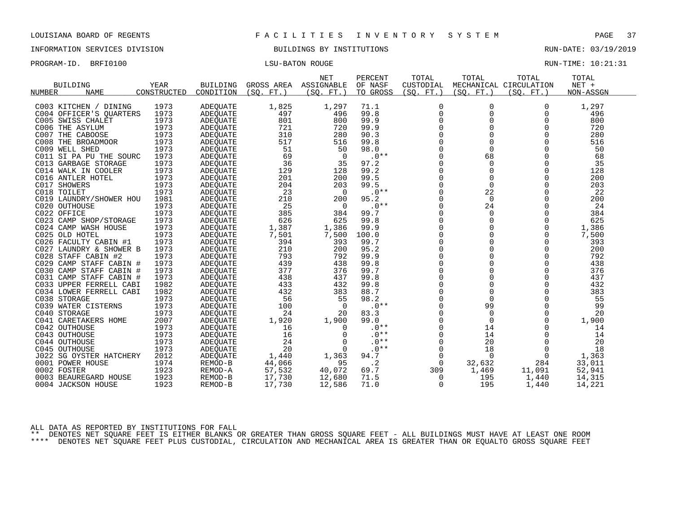INFORMATION SERVICES DIVISION BUILDINGS BY INSTITUTIONS RUN-DATE: 03/19/2019

| PROGRAM-ID. BRFI0100 | LSU-BATON ROUGE | RUN-TIME: 10:21:31 |  |
|----------------------|-----------------|--------------------|--|
|                      |                 |                    |  |

| <b>BUILDING</b>         | <b>YEAR</b> | <b>BUILDING</b> | GROSS AREA | <b>NET</b><br>ASSIGNABLE | PERCENT<br>OF NASF | TOTAL<br>CUSTODIAL | TOTAL      | TOTAL<br>MECHANICAL CIRCULATION | TOTAL<br>$NET +$ |
|-------------------------|-------------|-----------------|------------|--------------------------|--------------------|--------------------|------------|---------------------------------|------------------|
| <b>NAME</b><br>NUMBER   | CONSTRUCTED | CONDITION       | (SO. FT. ) | (SO. FT. )               | TO GROSS           | (SO. FT. )         | (SO. FT. ) | (SO. FT. )                      | NON-ASSGN        |
| C003 KITCHEN / DINING   | 1973        | <b>ADEQUATE</b> | 1,825      | 1,297                    | 71.1               | $\mathbf 0$        | 0          | $\Omega$                        | 1,297            |
| C004 OFFICER'S QUARTERS | 1973        | <b>ADEQUATE</b> | 497        | 496                      | 99.8               | $\Omega$           | $\Omega$   | $\Omega$                        | 496              |
| C005 SWISS CHALET       | 1973        | ADEOUATE        | 801        | 800                      | 99.9               | $\mathbf 0$        | 0          | 0                               | 800              |
| C006 THE ASYLUM         | 1973        | <b>ADEOUATE</b> | 721        | 720                      | 99.9               | $\overline{0}$     | 0          | $\Omega$                        | 720              |
| C007 THE CABOOSE        | 1973        | ADEQUATE        | 310        | 280                      | 90.3               | $\Omega$           | $\Omega$   | $\Omega$                        | 280              |
| C008 THE BROADMOOR      | 1973        | <b>ADEOUATE</b> | 517        | 516                      | 99.8               | $\mathbf 0$        | 0          | $\Omega$                        | 516              |
| C009 WELL SHED          | 1973        | <b>ADEOUATE</b> | 51         | 50                       | 98.0               | $\overline{0}$     | $\Omega$   | $\Omega$                        | 50               |
| C011 SI PA PU THE SOURC | 1973        | ADEQUATE        | 69         | $\Omega$                 | $.0**$             | $\Omega$           | 68         | $\Omega$                        | 68               |
| C013 GARBAGE STORAGE    | 1973        | ADEOUATE        | 36         | 35                       | 97.2               | $\mathbf 0$        | $\Omega$   | $\Omega$                        | 35               |
| C014 WALK IN COOLER     | 1973        | <b>ADEOUATE</b> | 129        | 128                      | 99.2               | $\Omega$           | $\Omega$   | 0                               | 128              |
| C016 ANTLER HOTEL       | 1973        | <b>ADEQUATE</b> | 201        | 200                      | 99.5               | $\Omega$           | 0          | $\Omega$                        | 200              |
| C017 SHOWERS            | 1973        | ADEOUATE        | 204        | 203                      | 99.5               | $\mathbf 0$        | $\Omega$   | $\Omega$                        | 203              |
| C018 TOILET             | 1973        | <b>ADEOUATE</b> | 23         | $\Omega$                 | $.0**$             | $\overline{0}$     | 22         | $\Omega$                        | 22               |
| C019 LAUNDRY/SHOWER HOU | 1981        | ADEQUATE        | 210        | 200                      | 95.2               | 0                  | 0          | $\Omega$                        | 200              |
| C020 OUTHOUSE           | 1973        | ADEOUATE        | 25         | 0                        | $.0**$             | $\Omega$           | 24         | $\Omega$                        | 24               |
| C022 OFFICE             | 1973        | ADEQUATE        | 385        | 384                      | 99.7               | $\Omega$           | $\Omega$   | $\Omega$                        | 384              |
| C023 CAMP SHOP/STORAGE  | 1973        | ADEQUATE        | 626        | 625                      | 99.8               | $\mathbf 0$        | 0          | $\Omega$                        | 625              |
| C024 CAMP WASH HOUSE    | 1973        | ADEQUATE        | 1,387      | 1,386                    | 99.9               | $\Omega$           | $\Omega$   | $\Omega$                        | 1,386            |
| C025 OLD HOTEL          | 1973        | <b>ADEQUATE</b> | 7,501      | 7,500                    | 100.0              | $\overline{0}$     | 0          | $\Omega$                        | 7,500            |
| C026 FACULTY CABIN #1   | 1973        | ADEQUATE        | 394        | 393                      | 99.7               | $\mathbf 0$        | 0          | $\Omega$                        | 393              |
| C027 LAUNDRY & SHOWER B | 1973        | ADEQUATE        | 210        | 200                      | 95.2               | $\Omega$           | $\Omega$   | $\Omega$                        | 200              |
| C028 STAFF CABIN #2     | 1973        | <b>ADEQUATE</b> | 793        | 792                      | 99.9               | $\overline{0}$     | $\Omega$   | 0                               | 792              |
| C029 CAMP STAFF CABIN # | 1973        | ADEQUATE        | 439        | 438                      | 99.8               | $\mathbf 0$        | 0          | $\Omega$                        | 438              |
| C030 CAMP STAFF CABIN # | 1973        | <b>ADEOUATE</b> | 377        | 376                      | 99.7               | $\Omega$           | $\Omega$   | $\Omega$                        | 376              |
| C031 CAMP STAFF CABIN # | 1973        | <b>ADEQUATE</b> | 438        | 437                      | 99.8               | $\overline{0}$     | $\Omega$   | $\Omega$                        | 437              |
| C033 UPPER FERRELL CABI | 1982        | <b>ADEQUATE</b> | 433        | 432                      | 99.8               | $\mathbf 0$        | 0          | $\Omega$                        | 432              |
| C034 LOWER FERRELL CABI | 1982        | <b>ADEOUATE</b> | 432        | 383                      | 88.7               | $\Omega$           | $\Omega$   | $\Omega$                        | 383              |
| C038 STORAGE            | 1973        | <b>ADEQUATE</b> | 56         | 55                       | 98.2               | $\overline{0}$     | $\Omega$   | 0                               | 55               |
| C039 WATER CISTERNS     | 1973        | <b>ADEQUATE</b> | 100        | 0                        | $.0**$             | 0                  | 99         | 0                               | 99               |
| C040 STORAGE            | 1973        | <b>ADEQUATE</b> | 24         | 20                       | 83.3               | $\Omega$           | $\Omega$   | $\Omega$                        | 20               |
| C041 CARETAKERS HOME    | 2007        | <b>ADEQUATE</b> | 1,920      | 1,900                    | 99.0               | $\mathbf 0$        | $\Omega$   | $\Omega$                        | 1,900            |
| C042 OUTHOUSE           | 1973        | <b>ADEOUATE</b> | 16         | $\Omega$                 | $.0**$             | $\mathbf 0$        | 14         |                                 | 14               |
| C043 OUTHOUSE           | 1973        | <b>ADEQUATE</b> | 16         | $\Omega$                 | $.0**$             | $\Omega$           | 14         | $\Omega$                        | 14               |
| C044 OUTHOUSE           | 1973        | <b>ADEQUATE</b> | 24         | 0                        | $.0**$             | $\mathbf 0$        | 20         | $\Omega$                        | 20               |
| C045 OUTHOUSE           | 1973        | <b>ADEQUATE</b> | 20         | $\Omega$                 | $.0**$             | 0                  | 18         | 0                               | 18               |
| J022 SG OYSTER HATCHERY | 2012        | <b>ADEQUATE</b> | 1,440      | 1,363                    | 94.7               | $\Omega$           | $\Omega$   | $\Omega$                        | 1,363            |
| 0001 POWER HOUSE        | 1974        | REMOD-B         | 44,066     | 95                       | $\cdot$ 2          | $\Omega$           | 32,632     | 284                             | 33,011           |
| 0002 FOSTER             | 1923        | REMOD-A         | 57,532     | 40,072                   | 69.7               | 309                | 1,469      | 11,091                          | 52,941           |
| 0003 BEAUREGARD HOUSE   | 1923        | REMOD-B         | 17,730     | 12,680                   | 71.5               | 0                  | 195        | 1,440                           | 14,315           |
| 0004 JACKSON HOUSE      | 1923        | REMOD-B         | 17,730     | 12,586                   | 71.0               | 0                  | 195        | 1,440                           | 14,221           |
|                         |             |                 |            |                          |                    |                    |            |                                 |                  |

ALL DATA AS REPORTED BY INSTITUTIONS FOR FALL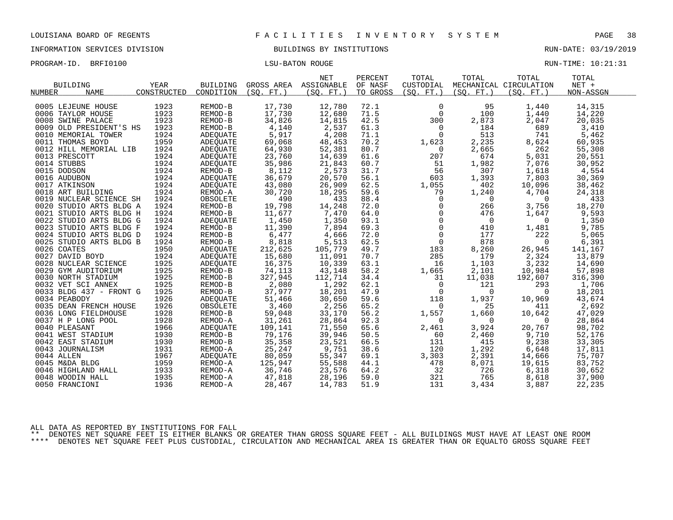INFORMATION SERVICES DIVISION BUILDINGS BY INSTITUTIONS RUN-DATE: 03/19/2019

| PROGRAM-ID. | BRFI0100 | LSU-BATON ROUGE | RUN-TIME: 10:21:31 |
|-------------|----------|-----------------|--------------------|
|             |          |                 |                    |

|                              |             |                 |            | <b>NET</b>            | PERCENT  | TOTAL             | TOTAL                                              | TOTAL                  | TOTAL     |
|------------------------------|-------------|-----------------|------------|-----------------------|----------|-------------------|----------------------------------------------------|------------------------|-----------|
| <b>BUILDING</b>              | YEAR        | <b>BUILDING</b> |            | GROSS AREA ASSIGNABLE | OF NASF  | CUSTODIAL         |                                                    | MECHANICAL CIRCULATION | $NET +$   |
| <b>NAME</b><br><b>NUMBER</b> | CONSTRUCTED | CONDITION       | (SO. FT. ) | (SO. FT. )            | TO GROSS | (SO. FT. )        | (SO. FT.)                                          | (SO. FT.)              | NON-ASSGN |
|                              |             |                 |            |                       |          |                   |                                                    |                        |           |
| 0005 LEJEUNE HOUSE           | 1923        | REMOD-B         | 17,730     | 12,780                | 72.1     | $\mathbf 0$       | 95                                                 | 1,440                  | 14,315    |
| 0006 TAYLOR HOUSE            | 1923        | REMOD-B         | 17,730     | 12,680                | 71.5     | $\mathbf 0$       | 100                                                | 1,440                  | 14,220    |
| 0008 SWINE PALACE            | 1923        | REMOD-B         | 34,826     | 14,815                | 42.5     | 300               | 2,873                                              | 2,047                  | 20,035    |
| 0009 OLD PRESIDENT'S HS      | 1923        | REMOD-B         | 4,140      | 2,537                 | 61.3     | $\mathsf{O}$      | 184                                                | 689                    | 3,410     |
| 0010 MEMORIAL TOWER          | 1924        | ADEQUATE        | 5,917      | 4,208                 | 71.1     | $\Omega$          | 513                                                | 741                    | 5,462     |
| 0011 THOMAS BOYD             | 1959        | ADEQUATE        | 69,068     | 48,453                | 70.2     | 1,623             | 2,235                                              | 8,624                  | 60,935    |
| 0012 HILL MEMORIAL LIB       | 1924        | ADEQUATE        | 64,930     | 52,381                | 80.7     | $\overline{0}$    | 2,665                                              | 262                    | 55,308    |
| 0013 PRESCOTT                | 1924        | ADEQUATE        | 23,760     | 14,639                | 61.6     | 207               | 674                                                | 5,031                  | 20,551    |
| 0014 STUBBS                  | 1924        | ADEOUATE        | 35,986     | 21,843                | 60.7     | 51                | 1,982                                              | 7,076                  | 30,952    |
| 0015 DODSON                  | 1924        | REMOD-B         | 8,112      | 2,573                 | 31.7     | 56                | 307                                                | 1,618                  | 4,554     |
| 0016 AUDUBON                 | 1924        | ADEQUATE        | 36,679     | 20,570                | 56.1     | 603               | 1,393                                              | 7,803                  | 30,369    |
| 0017 ATKINSON                | 1924        | ADEQUATE        | 43,080     | 26,909                | 62.5     | 1,055             | 402                                                | 10,096                 | 38,462    |
| 0018 ART BUILDING            | 1924        | REMOD-A         | 30,720     | 18,295                | 59.6     | 79                | 1,240                                              | 4,704                  | 24,318    |
| 0019 NUCLEAR SCIENCE SH      | 1924        | OBSOLETE        | 490        | 433                   | 88.4     | $\mathbf 0$       | $\overline{0}$                                     | $\overline{0}$         | 433       |
| 0020 STUDIO ARTS BLDG A      | 1924        | REMOD-B         | 19,798     | 14,248                | 72.0     | $\overline{0}$    | 266                                                | 3,756                  | 18,270    |
| 0021 STUDIO ARTS BLDG H      | 1924        | REMOD-B         | 11,677     | 7,470                 | 64.0     |                   | 476                                                | 1,647                  | 9,593     |
| 0022 STUDIO ARTS BLDG G      | 1924        | ADEQUATE        | 1,450      | 1,350                 | 93.1     |                   | $\overline{0}$                                     | $\overline{0}$         | 1,350     |
| 0023 STUDIO ARTS BLDG F      | 1924        | REMOD-B         | 11,390     | 7,894                 | 69.3     |                   | $\begin{bmatrix} 0 \\ 0 \\ 0 \end{bmatrix}$<br>410 | 1,481                  | 9,785     |
| 0024 STUDIO ARTS BLDG D      | 1924        | REMOD-B         | 6,477      | 4,666                 | 72.0     | $\overline{0}$    | 177                                                | 222                    | 5,065     |
| 0025 STUDIO ARTS BLDG B      | 1924        | REMOD-B         | 8,818      | 5,513                 | 62.5     | $0 \qquad \qquad$ | 878                                                | $\mathbf 0$            | 6,391     |
| 0026 COATES                  | 1950        | ADEQUATE        | 212,625    | 105,779               | 49.7     | 183               | 8,260                                              | 26,945                 | 141,167   |
| 0027 DAVID BOYD              | 1924        | ADEOUATE        | 15,680     | 11,091                | 70.7     | 285               | 179                                                | 2,324                  | 13,879    |
| 0028 NUCLEAR SCIENCE         | 1925        | ADEQUATE        | 16,375     | 10,339                | 63.1     | 16                | 1,103                                              | 3,232                  | 14,690    |
| 0029 GYM AUDITORIUM          | 1925        | REMOD-B         | 74,113     | 43,148                | 58.2     | 1,665             | 2,101                                              | 10,984                 | 57,898    |
| 0030 NORTH STADIUM           | 1925        | REMOD-B         | 327,945    | 112,714               | 34.4     | 31                | 11,038                                             | 192,607                | 316,390   |
| 0032 VET SCI ANNEX           | 1925        | REMOD-B         | 2,080      | 1,292                 | 62.1     | $\overline{0}$    | 121                                                | 293                    | 1,706     |
| 0033 BLDG 437 - FRONT G      | 1925        | REMOD-B         | 37,977     | 18,201                | 47.9     | $\overline{0}$    | $\mathbf 0$                                        | $\mathbf 0$            | 18,201    |
| 0034 PEABODY                 | 1926        | ADEQUATE        | 51,466     | 30,650                | 59.6     | 118               | 1,937                                              | 10,969                 | 43,674    |
| 0035 DEAN FRENCH HOUSE       | 1926        | OBSOLETE        | 3,460      | 2,256                 | 65.2     | $\Omega$          | 25                                                 | 411                    | 2,692     |
| 0036 LONG FIELDHOUSE         | 1928        | REMOD-B         | 59,048     | 33,170                | 56.2     | 1,557             | 1,660                                              | 10,642                 | 47,029    |
| 0037 H P LONG POOL           | 1928        | REMOD-A         | 31,261     | 28,864                | 92.3     | $\overline{0}$    | $\mathbf 0$                                        | $\overline{0}$         | 28,864    |
| 0040 PLEASANT                | 1966        | ADEOUATE        | 109,141    | 71,550                | 65.6     | 2,461             | 3,924                                              | 20,767                 | 98,702    |
| 0041 WEST STADIUM            | 1930        | REMOD-B         | 79,176     | 39,946                | 50.5     | 60                | 2,460                                              | 9,710                  | 52,176    |
| 0042 EAST STADIUM            | 1930        | REMOD-B         | 35,358     | 23,521                | 66.5     | 131               | 415                                                | 9,238                  | 33,305    |
| 0043 JOURNALISM              | 1931        | REMOD-A         | 25,247     | 9,751                 | 38.6     | 120               | 1,292                                              | 6,648                  | 17,811    |
| 0044 ALLEN                   | 1967        | ADEQUATE        | 80,059     | 55,347                | 69.1     | 3,303             | 2,391                                              | 14,666                 | 75,707    |
| 0045 M&DA BLDG               | 1959        | REMOD-A         | 125,947    | 55,588                | 44.1     | 478               | 8,071                                              | 19,615                 | 83,752    |
| 0046 HIGHLAND HALL           | 1933        | REMOD-A         | 36,746     | 23,576                | 64.2     | 32                | 726                                                | 6,318                  | 30,652    |
| 0048 WOODIN HALL             | 1935        | REMOD-A         | 47,818     | 28,196                | 59.0     | 321               | 765                                                | 8,618                  | 37,900    |
| 0050 FRANCIONI               | 1936        | REMOD-A         | 28,467     | 14,783                | 51.9     | 131               | 3,434                                              | 3,887                  | 22,235    |

ALL DATA AS REPORTED BY INSTITUTIONS FOR FALL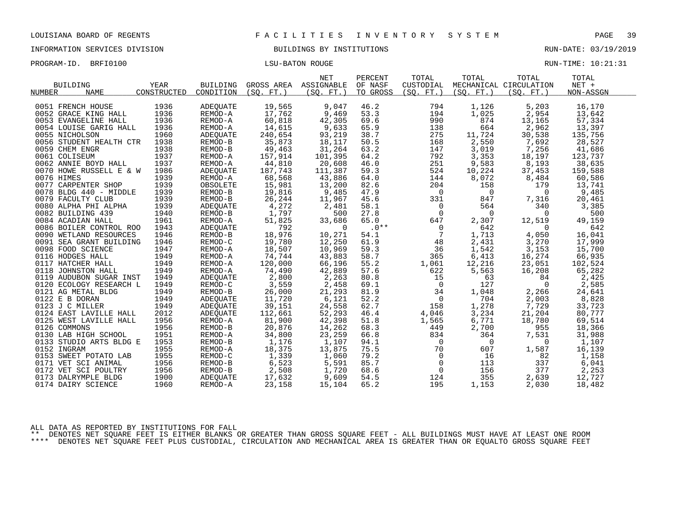INFORMATION SERVICES DIVISION BUILDINGS BY INSTITUTIONS RUN-DATE: 03/19/2019

PROGRAM-ID. BRFI0100 CONSERVERS IN THE LOST LATER TO LATER THE LOST LATER MONOGRAM-ID. BRIT LOST LOST LATER MANUSCULLE

|                                                                    |             |                 |           | <b>NET</b>            | PERCENT  | TOTAL             | TOTAL          | TOTAL                    | TOTAL     |  |
|--------------------------------------------------------------------|-------------|-----------------|-----------|-----------------------|----------|-------------------|----------------|--------------------------|-----------|--|
| <b>BUILDING</b>                                                    | YEAR        | <b>BUILDING</b> |           | GROSS AREA ASSIGNABLE | OF NASF  | CUSTODIAL         |                | MECHANICAL CIRCULATION   | $NET +$   |  |
| <b>NAME</b><br><b>NUMBER</b>                                       | CONSTRUCTED | CONDITION       | (SO, FT.) | (SO. FT. )            | TO GROSS | (SO, FT.)         | (SO, FT.)      | (SO, FT.)                | NON-ASSGN |  |
|                                                                    |             |                 |           |                       |          |                   |                |                          |           |  |
| 0051 FRENCH HOUSE                                                  | 1936        | ADEQUATE        | 19,565    | 9,047                 | 46.2     | 794               | 1,126          | 5,203                    | 16,170    |  |
| 0052 GRACE KING HALL                                               | 1936        | REMOD-A         | 17,762    | 9,469                 | 53.3     | 194               | 1,025          | 2,954                    | 13,642    |  |
| 0053 EVANGELINE HALL                                               | 1936        | REMOD-A         | 60,818    | 42,305                | 69.6     | 990               | 874            | 13,165                   | 57,334    |  |
| 0054 LOUISE GARIG HALL                                             | 1936        | REMOD-A         | 14,615    | 9,633                 | 65.9     | 138               | 664            | 2,962                    | 13,397    |  |
| 0055 NICHOLSON                                                     | 1960        | ADEOUATE        | 240,654   | 93,219                | 38.7     | 275               | 11,724         | 30,538                   | 135,756   |  |
| 0056 STUDENT HEALTH CTR                                            | 1938        | REMOD-B         | 35,873    | 18,117                | 50.5     | 168               | 2,550          | 7,692                    | 28,527    |  |
| 0059 CHEM ENGR                                                     | 1938        | REMOD-B         | 49,463    | 31,264                | 63.2     | 147               | 3,019          | 7,256                    | 41,686    |  |
| 0061 COLISEUM                                                      | 1937        | REMOD-A         | 157,914   | 101,395               | 64.2     | 792               | 3,353          | 18,197                   | 123,737   |  |
| 0062 ANNIE BOYD HALL                                               | 1937        | REMOD-A         | 44,810    | 20,608                | 46.0     | 251               | 9,583          | 8,193                    | 38,635    |  |
| 0070 HOWE RUSSELL E & W                                            | 1986        | ADEQUATE        | 187,743   | 111,387               | 59.3     | 524               | 10,224         | 37,453                   | 159,588   |  |
| 0076 HIMES                                                         | 1939        | REMOD-A         | 68,568    | 43,886                | 64.0     | 144               | 8,072          | 8,484                    | 60,586    |  |
| 0077 CARPENTER SHOP                                                | 1939        | OBSOLETE        | 15,981    | 13,200                | 82.6     | 204               | 158            | 179                      | 13,741    |  |
| 0078 BLDG 440 - MIDDLE                                             | 1939        | REMOD-B         | 19,816    | 9,485                 | 47.9     | $\overline{0}$    | $\overline{0}$ | $\overline{0}$           | 9,485     |  |
| 0079 FACULTY CLUB                                                  | 1939        | REMOD-B         | 26,244    | 11,967                | 45.6     | 331               | 847            | 7,316                    | 20,461    |  |
| 0080 ALPHA PHI ALPHA                                               | 1939        | ADEOUATE        | 4,272     | 2,481                 | 58.1     | $\overline{0}$    | 564            | 340                      | 3,385     |  |
| 0082 BUILDING 439                                                  | 1940        | REMOD-B         | 1,797     | 500                   | 27.8     | 0                 | $\overline{0}$ | $\overline{0}$           | 500       |  |
| 0084 ACADIAN HALL                                                  | 1961        | REMOD-A         | 51,825    | 33,686                | 65.0     | 647               | 2,307          | 12,519                   | 49,159    |  |
| 0086 BOILER CONTROL ROO                                            | 1943        | ADEQUATE        | 792       | $\Omega$              | $.0***$  | $\overline{0}$    | 642            | $\overline{\phantom{0}}$ | 642       |  |
| 0090 WETLAND RESOURCES                                             | 1946        | REMOD-B         | 18,976    | 10,271                | 54.1     | $\overline{7}$    | 1,713          | 4,050                    | 16,041    |  |
| 0091 SEA GRANT BUILDING                                            | 1946        | REMOD-C         | 19,780    | 12,250                | 61.9     | 48                | 2,431          | 3,270                    | 17,999    |  |
| 0098 FOOD SCIENCE                                                  | 1947        | REMOD-A         | 18,507    | 10,969                | 59.3     | 36                | 1,542          | 3,153                    | 15,700    |  |
| 0116 HODGES HALL                                                   | 1949        | REMOD-A         | 74,744    | 43,883                | 58.7     | 365               | 6,413          | 16,274                   | 66,935    |  |
| 0117 HATCHER HALL                                                  | 1949        | REMOD-A         | 120,000   | 66,196                | 55.2     | 1,061             | 12,216         | 23,051                   | 102,524   |  |
| 0118 JOHNSTON HALL                                                 | 1949        | REMOD-A         | 74,490    | 42,889                | 57.6     | 622               | 5,563          | 16,208                   | 65,282    |  |
| 0119 AUDUBON SUGAR INST                                            | 1949        | ADEQUATE        | 2,800     | 2,263                 | 80.8     | 15                | 63             | 84                       | 2,425     |  |
| 0120 ECOLOGY RESEARCH L                                            | 1949        | REMOD-C         | 3,559     | 2,458                 | 69.1     | $\overline{0}$    | 127            | $\Omega$                 | 2,585     |  |
| 0121 AG METAL BLDG                                                 | 1949        | REMOD-B         | 26,000    | 21,293                | 81.9     | 34                | 1,048          | 2,266                    | 24,641    |  |
| 0122 E B DORAN                                                     | 1949        | ADEQUATE        | 11,720    | 6,121                 | 52.2     | $\overline{0}$    | 704            | 2,003                    | 8,828     |  |
| 0123 J C MILLER                                                    | 1949        | ADEQUATE        | 39,151    | 24,558                | 62.7     | 158               | 1,278          | 7,729                    | 33,723    |  |
| 0124 EAST LAVILLE HALL                                             | 2012        | ADEQUATE        | 112,661   | 52,293                | 46.4     | 4,046             | 3,234          | 21,204                   | 80,777    |  |
| 0125 WEST LAVILLE HALL                                             | 1956        | REMOD-A         | 81,900    | 42,398                | 51.8     | 1,565             | 6,771          | 18,780                   | 69,514    |  |
| 0126 COMMONS                                                       | 1956        | REMOD-B         | 20,876    | 14,262                | 68.3     | 449               | 2,700          | 955                      | 18,366    |  |
| 0130 LAB HIGH SCHOOL                                               | 1951        | REMOD-A         | 34,800    | 23,259                | 66.8     | 834               | 364            | 7,531                    | 31,988    |  |
| 0133 STUDIO ARTS BLDG E                                            | 1953        | REMOD-B         | 1,176     | 1,107                 | 94.1     | $\overline{0}$    | $\overline{0}$ | $\overline{0}$           | 1,107     |  |
| 0152 INGRAM                                                        | 1955        | REMOD-A         | 18,375    | 13,875                | 75.5     | 70                | 607            | 1,587                    | 16,139    |  |
| 0153 SWEET POTATO LAB                                              | 1955        | REMOD-C         | 1,339     | 1,060                 | 79.2     | $\overline{0}$    | 16             | 82                       | 1,158     |  |
| 0171 VET SCI ANIMAL                                                | 1956        | REMOD-B         | 6,523     | 5,591                 | 85.7     | $\overline{0}$    | 113            | 337                      | 6,041     |  |
|                                                                    | 1956        | REMOD-B         | 2,508     | 1,720                 | 68.6     | $0 \qquad \qquad$ | 156            | 377                      | 2,253     |  |
| 0172 VET SCI POULTRY<br>0173 DALRYMPLE BLDG<br>0173 DALRYMPLE BLDG | 1900        | ADEQUATE        | 17,632    | 9,609                 | 54.5     | 124               | 355            | 2,639                    | 12,727    |  |
| 0174 DAIRY SCIENCE                                                 | 1960        | REMOD-A         | 23,158    | 15,104                | 65.2     | 195               | 1,153          | 2,030                    | 18,482    |  |
|                                                                    |             |                 |           |                       |          |                   |                |                          |           |  |

ALL DATA AS REPORTED BY INSTITUTIONS FOR FALL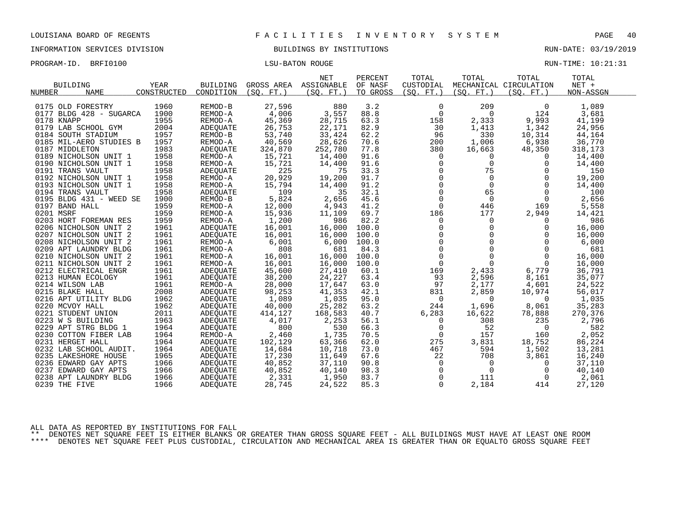INFORMATION SERVICES DIVISION BUILDINGS BY INSTITUTIONS RUN-DATE: 03/19/2019

PROGRAM-ID. BRFI0100 CONSERVERS IN THE LOST LATER TO LATER THE LOST LATER MONOGRAM-ID. BRIT LOST LOST LATER MANUSCULLE

| <b>BUILDING</b>              | <b>YEAR</b> | <b>BUILDING</b> | GROSS AREA ASSIGNABLE | <b>NET</b> | PERCENT<br>OF NASF | TOTAL<br>CUSTODIAL   | TOTAL                                                  | TOTAL<br>MECHANICAL CIRCULATION | TOTAL<br>NET + |
|------------------------------|-------------|-----------------|-----------------------|------------|--------------------|----------------------|--------------------------------------------------------|---------------------------------|----------------|
| <b>NAME</b><br><b>NUMBER</b> | CONSTRUCTED | CONDITION       | (SO, FT.)             | (SO, FT.)  | TO GROSS           | (SO. FT. )           | (SO. FT. )                                             | (SO. FT. )                      | NON-ASSGN      |
| 0175 OLD FORESTRY            | 1960        | REMOD-B         | 27,596                | 880        | 3.2                | $\mathbf 0$          | 209                                                    | $\Omega$                        | 1,089          |
| 0177 BLDG 428 - SUGARCA      | 1900        | REMOD-A         | 4,006                 | 3,557      | 88.8               | $\mathbf 0$          | 0                                                      | 124                             | 3,681          |
| 0178 KNAPP                   | 1955        | REMOD-A         | 45,369                | 28,715     | 63.3               | 158                  | 2,333                                                  | 9,993                           | 41,199         |
| 0179 LAB SCHOOL GYM          | 2004        | ADEQUATE        | 26,753                | 22,171     | 82.9               | 30                   | 1,413                                                  | 1,342                           | 24,956         |
| 0184 SOUTH STADIUM           | 1957        | REMOD-B         | 53,740                | 33,424     | 62.2               | 96                   | 330                                                    | 10,314                          | 44,164         |
| 0185 MIL-AERO STUDIES B      | 1957        | REMOD-A         | 40,569                | 28,626     | 70.6               | 200                  | 1,006                                                  | 6,938                           | 36,770         |
| 0187 MIDDLETON               | 1983        | ADEOUATE        | 324,870               | 252,780    | 77.8               | 380                  | 16,663                                                 | 48,350                          | 318,173        |
| 0189 NICHOLSON UNIT 1        | 1958        | REMOD-A         | 15,721                | 14,400     | 91.6               | $\Omega$             | $\Omega$                                               | $\Omega$                        | 14,400         |
| 0190 NICHOLSON UNIT 1        | 1958        | REMOD-A         | 15,721                | 14,400     | 91.6               | $\mathbf 0$          | $\Omega$                                               | $\Omega$                        | 14,400         |
| 0191 TRANS VAULT             | 1958        | ADEQUATE        | 225                   | 75         | 33.3               | $\mathbf 0$          | 75                                                     | $\Omega$                        | 150            |
| 0192 NICHOLSON UNIT 1        | 1958        | REMOD-A         | 20,929                | 19,200     | 91.7               | $\mathbf 0$          | $\Omega$                                               | $\Omega$                        | 19,200         |
| 0193 NICHOLSON UNIT 1        | 1958        | REMOD-A         | 15,794                | 14,400     | 91.2               | $\check{\mathbf{0}}$ | $\Omega$                                               | $\Omega$                        | 14,400         |
| 0194 TRANS VAULT             | 1958        | ADEQUATE        | 109                   | 35         | 32.1               | $\mathbf 0$          | 65                                                     | $\Omega$                        | 100            |
| 0195 BLDG 431 - WEED SE      | 1900        | REMOD-B         | 5,824                 | 2,656      | 45.6               | $\mathsf{O}$         | $\mathbf{0}$                                           | $\mathbf 0$                     | 2,656          |
| 0197 BAND HALL               | 1959        | REMOD-A         | 12,000                | 4,943      | 41.2               | $\Omega$             | 446                                                    | 169                             | 5,558          |
| 0201 MSRF                    | 1959        | REMOD-A         | 15,936                | 11,109     | 69.7               | 186                  | 177                                                    | 2,949                           | 14,421         |
| 0203 HORT FOREMAN RES        | 1959        | REMOD-A         | 1,200                 | 986        | 82.2               | $\mathbf 0$          | $\mathbf 0$                                            | $\Omega$                        | 986            |
| 0206 NICHOLSON UNIT 2        | 1961        | ADEQUATE        | 16,001                | 16,000     | 100.0              | 0                    | 0                                                      | 0                               | 16,000         |
| 0207 NICHOLSON UNIT 2        | 1961        | ADEQUATE        | 16,001                | 16,000     | 100.0              |                      | $\begin{array}{c} 0 \\ 0 \\ 0 \end{array}$<br>$\Omega$ | $\Omega$                        | 16,000         |
| 0208 NICHOLSON UNIT 2        | 1961        | REMOD-A         | 6,001                 | 6,000      | 100.0              |                      | $\mathbf 0$                                            | $\Omega$                        | 6,000          |
| 0209 APT LAUNDRY BLDG        | 1961        | REMOD-A         | 808                   | 681        | 84.3               |                      | $\Omega$                                               | $\Omega$                        | 681            |
| 0210 NICHOLSON UNIT 2        | 1961        | REMOD-A         | 16,001                | 16,000     | 100.0              | $\Omega$             | $\Omega$                                               | $\Omega$                        | 16,000         |
| 0211 NICHOLSON UNIT 2        | 1961        | REMOD-A         | 16,001                | 16,000     | 100.0              | $\mathbf 0$          | $\mathbf 0$                                            | $\Omega$                        | 16,000         |
| 0212 ELECTRICAL ENGR         | 1961        | ADEQUATE        | 45,600                | 27,410     | 60.1               | 169                  | 2,433                                                  | 6,779                           | 36,791         |
| 0213 HUMAN ECOLOGY           | 1961        | ADEOUATE        | 38,200                | 24,227     | 63.4               | 93                   | 2,596                                                  | 8,161                           | 35,077         |
| 0214 WILSON LAB              | 1961        | REMOD-A         | 28,000                | 17,647     | 63.0               | 97                   | 2,177                                                  | 4,601                           | 24,522         |
| 0215 BLAKE HALL              | 2008        | ADEOUATE        | 98,253                | 41,353     | 42.1               | 831                  | 2,859                                                  | 10,974                          | 56,017         |
| 0216 APT UTILITY BLDG        | 1962        | ADEQUATE        | 1,089                 | 1,035      | 95.0               | $\mathbf 0$          | $\Omega$                                               | $\Omega$                        | 1,035          |
| 0220 MCVOY HALL              | 1962        | ADEQUATE        | 40,000                | 25,282     | 63.2               | 244                  | 1,696                                                  | 8,061                           | 35,283         |
| 0221 STUDENT UNION           | 2011        | ADEQUATE        | 414,127               | 168,583    | 40.7               | 6,283                | 16,622                                                 | 78,888                          | 270,376        |
| 0223 W S BUILDING            | 1963        | ADEQUATE        | 4,017                 | 2,253      | 56.1               | $\Omega$             | 308                                                    | 235                             | 2,796          |
| 0229 APT STRG BLDG 1         | 1964        | ADEOUATE        | 800                   | 530        | 66.3               | $\mathbf 0$          | 52                                                     | $\mathbf 0$                     | 582            |
| 0230 COTTON FIBER LAB        | 1964        | REMOD-A         | 2,460                 | 1,735      | 70.5               | $\mathsf{O}$         | 157                                                    | 160                             | 2,052          |
| 0231 HERGET HALL             | 1964        | ADEOUATE        | 102,129               | 63,366     | 62.0               | 275                  | 3,831                                                  | 18,752                          | 86,224         |
| 0232 LAB SCHOOL AUDIT.       | 1964        | ADEQUATE        | 14,684                | 10,718     | 73.0               | 467                  | 594                                                    | 1,502                           | 13,281         |
| 0235 LAKESHORE HOUSE         | 1965        | ADEQUATE        | 17,230                | 11,649     | 67.6               | 22                   | 708                                                    | 3,861                           | 16,240         |
| 0236 EDWARD GAY APTS         | 1966        | ADEQUATE        | 40,852                | 37,110     | 90.8               | $\mathbf 0$          | $\mathbf 0$                                            | $\Omega$                        | 37,110         |
| 0237 EDWARD GAY APTS         | 1966        | ADEQUATE        | 40,852                | 40,140     | 98.3               | $\Omega$             | $\Omega$                                               | $\Omega$                        | 40,140         |
| 0238 APT LAUNDRY BLDG        | 1966        | ADEOUATE        | 2,331                 | 1,950      | 83.7               | $\mathbf 0$          | 111                                                    | $\Omega$                        | 2,061          |
| 0239 THE FIVE                | 1966        | ADEQUATE        | 28,745                | 24,522     | 85.3               | $\Omega$             | 2,184                                                  | 414                             | 27,120         |

ALL DATA AS REPORTED BY INSTITUTIONS FOR FALL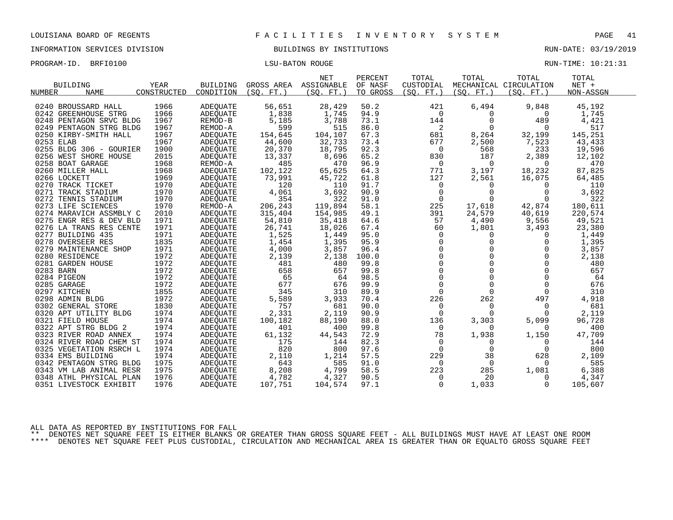INFORMATION SERVICES DIVISION BUILDINGS BY INSTITUTIONS RUN-DATE: 03/19/2019

| PROGRAM-ID. BRFI0100 | <b>LSU-BATON ROUGE</b> | RUN-TIME: 10:21:31 |  |
|----------------------|------------------------|--------------------|--|
|                      |                        |                    |  |

|           | <b>BUILDING</b>         | YEAR        | <b>BUILDING</b> | GROSS AREA | <b>NET</b><br>ASSIGNABLE | PERCENT<br>OF NASF | TOTAL<br>CUSTODIAL | TOTAL       | TOTAL<br>MECHANICAL CIRCULATION | TOTAL<br>$NET +$ |  |
|-----------|-------------------------|-------------|-----------------|------------|--------------------------|--------------------|--------------------|-------------|---------------------------------|------------------|--|
| NUMBER    | <b>NAME</b>             | CONSTRUCTED | CONDITION       | (SO, FT.)  | (SO. FT. )               | TO GROSS           | (SO.<br>$FT.$ )    | (SO. FT. )  | (SO. FT. )                      | NON-ASSGN        |  |
|           | 0240 BROUSSARD HALL     | 1966        | <b>ADEOUATE</b> | 56,651     | 28,429                   | 50.2               | 421                | 6,494       | 9,848                           | 45,192           |  |
|           | 0242 GREENHOUSE STRG    | 1966        | <b>ADEQUATE</b> | 1,838      | 1,745                    | 94.9               | 0                  | 0           | $\Omega$                        | 1,745            |  |
|           | 0248 PENTAGON SRVC BLDG | 1967        | REMOD-B         | 5,185      | 3,788                    | 73.1               | 144                | $\Omega$    | 489                             | 4,421            |  |
|           | 0249 PENTAGON STRG BLDG | 1967        | REMOD-A         | 599        | 515                      | 86.0               | 2                  | $\Omega$    | $\Omega$                        | 517              |  |
|           | 0250 KIRBY-SMITH HALL   | 1967        | ADEQUATE        | 154,645    | 104,107                  | 67.3               | 681                | 8,264       | 32,199                          | 145,251          |  |
| 0253 ELAB |                         | 1967        | ADEQUATE        | 44,600     | 32,733                   | 73.4               | 677                | 2,500       | 7,523                           | 43,433           |  |
|           | 0255 BLDG 306 - GOURIER | 1900        | <b>ADEOUATE</b> | 20,370     | 18,795                   | 92.3               | $\Omega$           | 568         | 233                             | 19,596           |  |
|           | 0256 WEST SHORE HOUSE   | 2015        | ADEQUATE        | 13,337     | 8,696                    | 65.2               | 830                | 187         | 2,389                           | 12,102           |  |
|           | 0258 BOAT GARAGE        | 1968        | REMOD-A         | 485        | 470                      | 96.9               | $\mathbf 0$        | $\Omega$    | $\Omega$                        | 470              |  |
|           | 0260 MILLER HALL        | 1968        | <b>ADEOUATE</b> | 102,122    | 65,625                   | 64.3               | 771                | 3,197       | 18,232                          | 87,825           |  |
|           | 0266 LOCKETT            | 1969        | <b>ADEQUATE</b> | 73,991     | 45,722                   | 61.8               | 127                | 2,561       | 16,075                          | 64,485           |  |
|           | 0270 TRACK TICKET       | 1970        | ADEOUATE        | 120        | 110                      | 91.7               | $\mathbf 0$        | $\Omega$    | $\Omega$                        | 110              |  |
|           | 0271 TRACK STADIUM      | 1970        | <b>ADEOUATE</b> | 4,061      | 3,692                    | 90.9               | $\overline{0}$     | $\mathbf 0$ | 0                               | 3,692            |  |
|           | 0272 TENNIS STADIUM     | 1970        | ADEQUATE        | 354        | 322                      | 91.0               | $\mathbf 0$        | $\Omega$    | $\Omega$                        | 322              |  |
|           | 0273 LIFE SCIENCES      | 1970        | REMOD-A         | 206,243    | 119,894                  | 58.1               | 225                | 17,618      | 42,874                          | 180,611          |  |
|           | 0274 MARAVICH ASSMBLY C | 2010        | ADEQUATE        | 315,404    | 154,985                  | 49.1               | 391                | 24,579      | 40,619                          | 220,574          |  |
|           | 0275 ENGR RES & DEV BLD | 1971        | ADEQUATE        | 54,810     | 35,418                   | 64.6               | 57                 | 4,490       | 9,556                           | 49,521           |  |
|           | 0276 LA TRANS RES CENTE | 1971        | ADEQUATE        | 26,741     | 18,026                   | 67.4               | 60                 | 1,801       | 3,493                           | 23,380           |  |
|           | 0277 BUILDING 435       | 1971        | ADEOUATE        | 1,525      | 1,449                    | 95.0               | 0                  | 0           | 0                               | 1,449            |  |
|           | 0278 OVERSEER RES       | 1835        | ADEQUATE        | 1,454      | 1,395                    | 95.9               | $\mathbf 0$        | 0           | $\Omega$                        | 1,395            |  |
|           | 0279 MAINTENANCE SHOP   | 1971        | ADEQUATE        | 4,000      | 3,857                    | 96.4               | $\Omega$           | $\Omega$    | $\Omega$                        | 3,857            |  |
|           | 0280 RESIDENCE          | 1972        | ADEOUATE        | 2,139      | 2,138                    | 100.0              | $\mathbf 0$        | $\mathbf 0$ | 0                               | 2,138            |  |
|           | 0281 GARDEN HOUSE       | 1972        | ADEQUATE        | 481        | 480                      | 99.8               | $\mathbf 0$        | $\Omega$    | $\Omega$                        | 480              |  |
| 0283 BARN |                         | 1972        | ADEQUATE        | 658        | 657                      | 99.8               | $\Omega$           | $\Omega$    | $\Omega$                        | 657              |  |
|           | 0284 PIGEON             | 1972        | <b>ADEOUATE</b> | 65         | 64                       | 98.5               | $\mathbf 0$        | $\mathbf 0$ | 0                               | 64               |  |
|           | 0285 GARAGE             | 1972        | ADEQUATE        | 677        | 676                      | 99.9               | $\mathbf 0$        | $\mathbf 0$ | $\mathbf 0$                     | 676              |  |
|           | 0297 KITCHEN            | 1855        | ADEQUATE        | 345        | 310                      | 89.9               | $\Omega$           | $\Omega$    | $\Omega$                        | 310              |  |
|           | 0298 ADMIN BLDG         | 1972        | ADEOUATE        | 5,589      | 3,933                    | 70.4               | 226                | 262         | 497                             | 4,918            |  |
|           | 0302 GENERAL STORE      | 1830        | <b>ADEQUATE</b> | 757        | 681                      | 90.0               | $\overline{0}$     | $\Omega$    | $\Omega$                        | 681              |  |
|           | 0320 APT UTILITY BLDG   | 1974        | <b>ADEQUATE</b> | 2,331      | 2,119                    | 90.9               | $\Omega$           | $\Omega$    | $\Omega$                        | 2,119            |  |
|           | 0321 FIELD HOUSE        | 1974        | ADEQUATE        | 100,182    | 88,190                   | 88.0               | 136                | 3,303       | 5,099                           | 96,728           |  |
|           | 0322 APT STRG BLDG 2    | 1974        | <b>ADEQUATE</b> | 401        | 400                      | 99.8               | $\Omega$           | $\Omega$    | $\Omega$                        | 400              |  |
|           | 0323 RIVER ROAD ANNEX   | 1974        | ADEQUATE        | 61,132     | 44,543                   | 72.9               | 78                 | 1,938       | 1,150                           | 47,709           |  |
|           | 0324 RIVER ROAD CHEM ST | 1974        | ADEOUATE        | 175        | 144                      | 82.3               | 0                  | 0           | 0                               | 144              |  |
|           | 0325 VEGETATION RSRCH L | 1974        | ADEQUATE        | 820        | 800                      | 97.6               | $\mathbf 0$        | $\mathbf 0$ | $\overline{0}$                  | 800              |  |
|           | 0334 EMS BUILDING       | 1974        | ADEQUATE        | 2,110      | 1,214                    | 57.5               | 229                | 38          | 628                             | 2,109            |  |
|           | 0342 PENTAGON STRG BLDG | 1975        | ADEQUATE        | 643        | 585                      | 91.0               | $\Omega$           | $\mathbf 0$ | $\Omega$                        | 585              |  |
|           | 0343 VM LAB ANIMAL RESR | 1975        | ADEQUATE        | 8,208      | 4,799                    | 58.5               | 223                | 285         | 1,081                           | 6,388            |  |
|           | 0348 ATHL PHYSICAL PLAN | 1976        | ADEOUATE        | 4,782      | 4,327                    | 90.5               | 0                  | 20          | $\Omega$                        | 4,347            |  |
|           | 0351 LIVESTOCK EXHIBIT  | 1976        | ADEQUATE        | 107,751    | 104,574                  | 97.1               | $\Omega$           | 1,033       | $\Omega$                        | 105,607          |  |
|           |                         |             |                 |            |                          |                    |                    |             |                                 |                  |  |

ALL DATA AS REPORTED BY INSTITUTIONS FOR FALL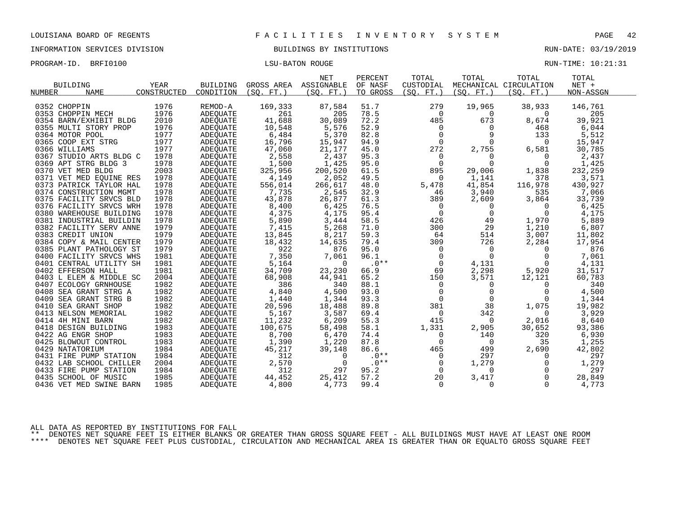INFORMATION SERVICES DIVISION BUILDINGS BY INSTITUTIONS RUN-DATE: 03/19/2019

PROGRAM-ID. BRFI0100 CONTENTION CONTENTS IN THE RUN-TIME: 10:21:31

| <b>BUILDING</b>              | YEAR        | <b>BUILDING</b> | GROSS AREA ASSIGNABLE | <b>NET</b> | PERCENT<br>OF NASF | TOTAL<br>CUSTODIAL | TOTAL       | TOTAL<br>MECHANICAL CIRCULATION | TOTAL<br>$NET +$ |
|------------------------------|-------------|-----------------|-----------------------|------------|--------------------|--------------------|-------------|---------------------------------|------------------|
| <b>NUMBER</b><br><b>NAME</b> | CONSTRUCTED | CONDITION       | (SO, FT.)             | (SQ. FT. ) | TO GROSS           | (SO. FT. )         | (SO. FT. )  | (SO. FT. )                      | NON-ASSGN        |
|                              |             |                 |                       |            |                    |                    |             |                                 |                  |
| 0352 CHOPPIN                 | 1976        | REMOD-A         | 169,333               | 87,584     | 51.7               | 279                | 19,965      | 38,933                          | 146,761          |
| 0353 CHOPPIN MECH            | 1976        | <b>ADEOUATE</b> | 261                   | 205        | 78.5               | $\Omega$           | 0           | $\Omega$                        | 205              |
| 0354 BARN/EXHIBIT BLDG       | 2010        | ADEQUATE        | 41,688                | 30,089     | 72.2               | 485                | 673         | 8,674                           | 39,921           |
| 0355 MULTI STORY PROP        | 1976        | <b>ADEOUATE</b> | 10,548                | 5,576      | 52.9               | 0                  | 0           | 468                             | 6,044            |
| 0364 MOTOR POOL              | 1977        | ADEQUATE        | 6,484                 | 5,370      | 82.8               | $\mathbf 0$        | 9           | 133                             | 5,512            |
| 0365 COOP EXT STRG           | 1977        | ADEQUATE        | 16,796                | 15,947     | 94.9               | $\Omega$           | $\Omega$    | $\Omega$                        | 15,947           |
| 0366 WILLIAMS                | 1977        | ADEQUATE        | 47,060                | 21,177     | 45.0               | 272                | 2,755       | 6,581                           | 30,785           |
| 0367 STUDIO ARTS BLDG C      | 1978        | ADEQUATE        | 2,558                 | 2,437      | 95.3               | 0                  | 0           | $\Omega$                        | 2,437            |
| 0369 APT STRG BLDG 3         | 1978        | <b>ADEOUATE</b> | 1,500                 | 1,425      | 95.0               | $\overline{0}$     | $\Omega$    | $\Omega$                        | 1,425            |
| 0370 VET MED BLDG            | 2003        | ADEQUATE        | 325,956               | 200,520    | 61.5               | 895                | 29,006      | 1,838                           | 232,259          |
| 0371 VET MED EQUINE RES      | 1978        | ADEQUATE        | 4,149                 | 2,052      | 49.5               | $\Omega$           | 1,141       | 378                             | 3,571            |
| 0373 PATRICK TAYLOR HAL      | 1978        | ADEQUATE        | 556,014               | 266,617    | 48.0               | 5,478              | 41,854      | 116,978                         | 430,927          |
| 0374 CONSTRUCTION MGMT       | 1978        | <b>ADEOUATE</b> | 7,735                 | 2,545      | 32.9               | 46                 | 3,940       | 535                             | 7,066            |
| 0375 FACILITY SRVCS BLD      | 1978        | ADEQUATE        | 43,878                | 26,877     | 61.3               | 389                | 2,609       | 3,864                           | 33,739           |
| 0376 FACILITY SRVCS WRH      | 1978        | <b>ADEOUATE</b> | 8,400                 | 6,425      | 76.5               | 0                  | 0           | $\Omega$                        | 6,425            |
| 0380 WAREHOUSE BUILDING      | 1978        | ADEQUATE        | 4,375                 | 4,175      | 95.4               | $\mathbf 0$        | $\mathbf 0$ | $\Omega$                        | 4,175            |
| 0381 INDUSTRIAL BUILDIN      | 1978        | ADEOUATE        | 5,890                 | 3,444      | 58.5               | 426                | 49          | 1,970                           | 5,889            |
| 0382 FACILITY SERV ANNE      | 1979        | ADEQUATE        | 7,415                 | 5,268      | 71.0               | 300                | 29          | 1,210                           | 6,807            |
| 0383 CREDIT UNION            | 1979        | ADEQUATE        | 13,845                | 8,217      | 59.3               | 64                 | 514         | 3,007                           | 11,802           |
| 0384 COPY & MAIL CENTER      | 1979        | <b>ADEOUATE</b> | 18,432                | 14,635     | 79.4               | 309                | 726         | 2,284                           | 17,954           |
| 0385 PLANT PATHOLOGY ST      | 1979        | ADEQUATE        | 922                   | 876        | 95.0               | $\mathbf 0$        | $\mathbf 0$ | $\Omega$                        | 876              |
| 0400 FACILITY SRVCS WHS      | 1981        | ADEOUATE        | 7,350                 | 7,061      | 96.1               | $\Omega$           | $\Omega$    | $\Omega$                        | 7,061            |
| 0401 CENTRAL UTILITY SH      | 1981        | ADEQUATE        | 5,164                 | $\Omega$   | $.0**$             | $\mathbf 0$        | 4,131       | $\Omega$                        | 4,131            |
| 0402 EFFERSON HALL           | 1981        | ADEQUATE        | 34,709                | 23,230     | 66.9               | 69                 | 2,298       | 5,920                           | 31,517           |
| 0403 L ELEM & MIDDLE SC      | 2004        | ADEQUATE        | 68,908                | 44,941     | 65.2               | 150                | 3,571       | 12,121                          | 60,783           |
| 0407 ECOLOGY GRNHOUSE        | 1982        | ADEQUATE        | 386                   | 340        | 88.1               | 0                  | $\Omega$    | 0                               | 340              |
| 0408 SEA GRANT STRG A        | 1982        | <b>ADEOUATE</b> | 4,840                 | 4,500      | 93.0               | $\mathbf 0$        | $\mathbf 0$ | $\Omega$                        | 4,500            |
| 0409 SEA GRANT STRG B        | 1982        | ADEQUATE        | 1,440                 | 1,344      | 93.3               | $\Omega$           | $\Omega$    | $\Omega$                        | 1,344            |
| 0410 SEA GRANT SHOP          | 1982        | ADEOUATE        | 20,596                | 18,488     | 89.8               | 381                | 38          | 1,075                           | 19,982           |
| 0413 NELSON MEMORIAL         | 1982        | ADEQUATE        | 5,167                 | 3,587      | 69.4               | 0                  | 342         | $\Omega$                        | 3,929            |
| 0414 4H MINI BARN            | 1982        | ADEQUATE        | 11,232                | 6,209      | 55.3               | 415                | 0           | 2,016                           | 8,640            |
| 0418 DESIGN BUILDING         | 1983        | ADEQUATE        | 100,675               | 58,498     | 58.1               | 1,331              | 2,905       | 30,652                          | 93,386           |
| 0422 AG ENGR SHOP            | 1983        | ADEQUATE        | 8,700                 | 6,470      | 74.4               | $\mathbf 0$        | 140         | 320                             | 6,930            |
| 0425 BLOWOUT CONTROL         | 1983        | ADEOUATE        | 1,390                 | 1,220      | 87.8               | $\Omega$           | 0           | 35                              | 1,255            |
| 0429 NATATORIUM              | 1984        | ADEQUATE        | 45,217                | 39,148     | 86.6               | 465                | 499         | 2,690                           | 42,802           |
| 0431 FIRE PUMP STATION       | 1984        | ADEOUATE        | 312                   | $\Omega$   | $.0**$             | $\mathbf 0$        | 297         | $\Omega$                        | 297              |
| 0432 LAB SCHOOL CHILLER      | 2004        | ADEQUATE        | 2,570                 | $\Omega$   | $.0**$             | 0                  | 1,279       | 0                               | 1,279            |
| 0433 FIRE PUMP STATION       | 1984        |                 | 312                   | 297        | 95.2               | $\Omega$           | $\Omega$    | $\Omega$                        | 297              |
| 0435 SCHOOL OF MUSIC         | 1985        | ADEQUATE        | 44,452                |            | 57.2               | 20                 |             | $\Omega$                        | 28,849           |
|                              |             | <b>ADEOUATE</b> |                       | 25,412     |                    |                    | 3,417       |                                 |                  |
| 0436 VET MED SWINE BARN      | 1985        | ADEQUATE        | 4,800                 | 4,773      | 99.4               | 0                  | 0           | $\Omega$                        | 4,773            |

ALL DATA AS REPORTED BY INSTITUTIONS FOR FALL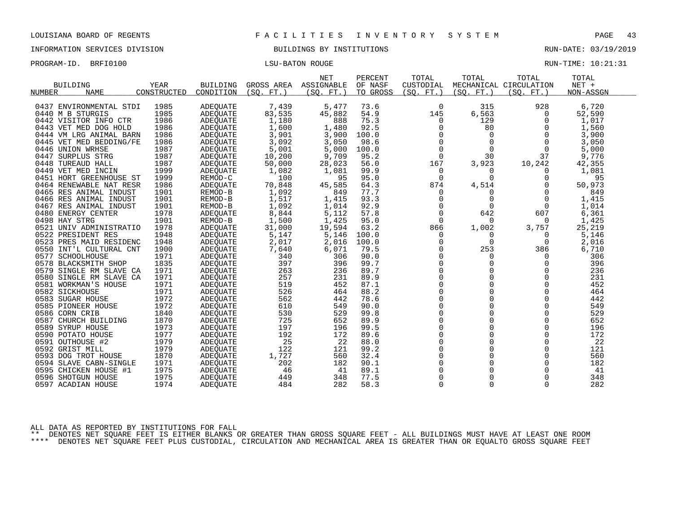INFORMATION SERVICES DIVISION BUILDINGS BY INSTITUTIONS RUN-DATE: 03/19/2019

PROGRAM-ID. BRFI0100 CONSERVERS IN THE LOST LATER TO LATER THE LOST LATER MONOGRAM-ID. BRIT LOST LOST LATER MANUSCULLE

| <b>BUILDING</b>   |                         | YEAR        | <b>BUILDING</b> | GROSS AREA | <b>NET</b><br>ASSIGNABLE | PERCENT<br>OF NASF | TOTAL<br>CUSTODIAL   | TOTAL                | TOTAL<br>MECHANICAL CIRCULATION | TOTAL<br>$NET +$ |
|-------------------|-------------------------|-------------|-----------------|------------|--------------------------|--------------------|----------------------|----------------------|---------------------------------|------------------|
| NUMBER            | <b>NAME</b>             | CONSTRUCTED | CONDITION       | (SO. FT. ) | (SO. FT.)                | TO GROSS           | (SQ. FT. )           | (SO. FT. )           | (SO.<br>$FT.$ )                 | NON-ASSGN        |
|                   | 0437 ENVIRONMENTAL STDI | 1985        | <b>ADEQUATE</b> | 7,439      | 5,477                    | 73.6               | 0                    | 315                  | 928                             | 6,720            |
| 0440 M B STURGIS  |                         | 1985        | <b>ADEQUATE</b> | 83,535     | 45,882                   | 54.9               | 145                  | 6,563                | $\Omega$                        | 52,590           |
|                   | 0442 VISITOR INFO CTR   | 1986        | <b>ADEOUATE</b> | 1,180      | 888                      | 75.3               |                      | 129                  | $\Omega$                        |                  |
|                   |                         |             |                 |            |                          |                    | 0                    |                      |                                 | 1,017            |
|                   | 0443 VET MED DOG HOLD   | 1986        | <b>ADEQUATE</b> | 1,600      | 1,480                    | 92.5               | 0                    | 80                   | O                               | 1,560            |
|                   | 0444 VM LRG ANIMAL BARN | 1986        | ADEQUATE        | 3,901      | 3,900                    | 100.0              | $\Omega$<br>$\Omega$ | $\Omega$<br>$\Omega$ |                                 | 3,900            |
|                   | 0445 VET MED BEDDING/FE | 1986        | ADEQUATE        | 3,092      | 3,050                    | 98.6               |                      |                      | $\Omega$                        | 3,050            |
| 0446 UNION WRHSE  |                         | 1987        | ADEQUATE        | 5,001      | 5,000                    | 100.0              | $\Omega$             | $\Omega$             | $\Omega$                        | 5,000            |
| 0447 SURPLUS STRG |                         | 1987        | ADEOUATE        | 10,200     | 9,709                    | 95.2               | $\mathbf 0$          | 30                   | 37                              | 9,776            |
| 0448 TUREAUD HALL |                         | 1987        | ADEQUATE        | 50,000     | 28,023                   | 56.0               | 167                  | 3,923                | 10,242                          | 42,355           |
|                   | 0449 VET MED INCIN      | 1999        | ADEQUATE        | 1,082      | 1,081                    | 99.9               | 0                    | $\Omega$             | O                               | 1,081            |
|                   | 0451 HORT GREENHOUSE ST | 1999        | REMOD-C         | 100        | 95                       | 95.0               | 0                    | $\Omega$             | 0                               | 95               |
|                   | 0464 RENEWABLE NAT RESR | 1986        | ADEQUATE        | 70,848     | 45,585                   | 64.3               | 874                  | 4,514                | 0                               | 50,973           |
|                   | 0465 RES ANIMAL INDUST  | 1901        | REMOD-B         | 1,092      | 849                      | 77.7               | 0                    | $\Omega$             | $\Omega$                        | 849              |
|                   | 0466 RES ANIMAL INDUST  | 1901        | REMOD-B         | 1,517      | 1,415                    | 93.3               | $\mathbf 0$          | $\mathbf 0$          | $\Omega$                        | 1,415            |
|                   | 0467 RES ANIMAL INDUST  | 1901        | REMOD-B         | 1,092      | 1,014                    | 92.9               | 0                    | 0                    | 0                               | 1,014            |
|                   | 0480 ENERGY CENTER      | 1978        | ADEQUATE        | 8,844      | 5,112                    | 57.8               | $\Omega$             | 642                  | 607                             | 6,361            |
| 0498 HAY STRG     |                         | 1901        | REMOD-B         | 1,500      | 1,425                    | 95.0               | $\Omega$             | $\Omega$             | $\Omega$                        | 1,425            |
|                   | 0521 UNIV ADMINISTRATIO | 1978        | ADEQUATE        | 31,000     | 19,594                   | 63.2               | 866                  | 1,002                | 3,757                           | 25,219           |
|                   | 0522 PRESIDENT RES      | 1948        | ADEQUATE        | 5,147      | 5,146                    | 100.0              | 0                    | $\Omega$             | $\Omega$                        | 5,146            |
|                   | 0523 PRES MAID RESIDENC | 1948        | ADEOUATE        | 2,017      | 2,016                    | 100.0              | 0                    | 0                    | $\Omega$                        | 2,016            |
|                   | 0550 INT'L CULTURAL CNT | 1900        | ADEQUATE        | 7,640      | 6,071                    | 79.5               | $\Omega$             | 253                  | 386                             | 6,710            |
| 0577 SCHOOLHOUSE  |                         | 1971        | ADEOUATE        | 340        | 306                      | 90.0               | $\Omega$             | $\Omega$             | $\Omega$                        | 306              |
|                   | 0578 BLACKSMITH SHOP    | 1835        | ADEQUATE        | 397        | 396                      | 99.7               | $\mathbf 0$          | 0                    | 0                               | 396              |
|                   | 0579 SINGLE RM SLAVE CA | 1971        | <b>ADEOUATE</b> | 263        | 236                      | 89.7               | $\Omega$             | $\Omega$             | $\Omega$                        | 236              |
|                   | 0580 SINGLE RM SLAVE CA | 1971        | <b>ADEOUATE</b> | 257        | 231                      | 89.9               | $\mathbf 0$          | 0                    | $\Omega$                        | 231              |
|                   | 0581 WORKMAN'S HOUSE    | 1971        | ADEQUATE        | 519        | 452                      | 87.1               | $\Omega$             | $\Omega$             | $\Omega$                        | 452              |
| 0582 SICKHOUSE    |                         | 1971        | ADEOUATE        | 526        | 464                      | 88.2               | $\overline{0}$       | 0                    | $\Omega$                        | 464              |
| 0583 SUGAR HOUSE  |                         | 1972        | ADEQUATE        | 562        | 442                      | 78.6               | $\mathbf 0$          | 0                    | $\Omega$                        | 442              |
|                   | 0585 PIONEER HOUSE      | 1972        | ADEQUATE        | 610        | 549                      | 90.0               | $\Omega$             | $\Omega$             | $\Omega$                        | 549              |
| 0586 CORN CRIB    |                         | 1840        | ADEQUATE        | 530        | 529                      | 99.8               | 0                    | 0                    | $\Omega$                        | 529              |
|                   | 0587 CHURCH BUILDING    | 1870        | ADEQUATE        | 725        | 652                      | 89.9               | $\Omega$             | 0                    | $\Omega$                        | 652              |
| 0589 SYRUP HOUSE  |                         | 1973        | ADEOUATE        | 197        | 196                      | 99.5               | $\Omega$             | $\Omega$             | $\Omega$                        | 196              |
| 0590 POTATO HOUSE |                         | 1977        | ADEQUATE        | 192        | 172                      | 89.6               | $\mathbf 0$          | $\Omega$             | 0                               | 172              |
| 0591 OUTHOUSE #2  |                         | 1979        | ADEQUATE        | 25         | 22                       | 88.0               | $\Omega$             | $\Omega$             | $\Omega$                        | 22               |
| 0592 GRIST MILL   |                         | 1979        | ADEOUATE        | 122        | 121                      | 99.2               | $\Omega$             | $\Omega$             | 0                               | 121              |
|                   | 0593 DOG TROT HOUSE     | 1870        | ADEQUATE        | 1,727      | 560                      | 32.4               | $\mathbf 0$          | 0                    | $\Omega$                        | 560              |
|                   | 0594 SLAVE CABN-SINGLE  | 1971        | ADEQUATE        | 202        | 182                      | 90.1               | 0                    | 0                    | $\Omega$                        | 182              |
|                   | 0595 CHICKEN HOUSE #1   | 1975        | ADEQUATE        | 46         | 41                       | 89.1               | $\Omega$             | $\Omega$             | $\Omega$                        | 41               |
|                   | 0596 SHOTGUN HOUSE      | 1975        | ADEOUATE        | 449        | 348                      | 77.5               | $\Omega$             | $\Omega$             | $\Omega$                        | 348              |
|                   | 0597 ACADIAN HOUSE      | 1974        | <b>ADEQUATE</b> | 484        | 282                      | 58.3               | $\Omega$             | $\Omega$             | $\Omega$                        | 282              |

ALL DATA AS REPORTED BY INSTITUTIONS FOR FALL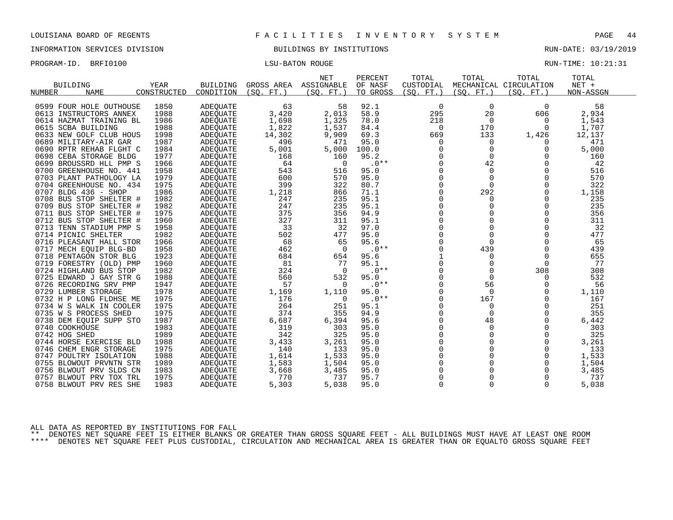INFORMATION SERVICES DIVISION BUILDINGS BY INSTITUTIONS RUN-DATE: 03/19/2019

PROGRAM-ID. BRFI0100 CONTROLLER STORE RUN-TIME: 10:21:31

| <b>BUILDING</b><br><b>NAME</b><br><b>NUMBER</b> | YEAR<br>CONSTRUCTED | <b>BUILDING</b><br>CONDITION | GROSS AREA<br>(SO.<br>FT. | <b>NET</b><br>ASSIGNABLE<br>(SO. FT.) | PERCENT<br>OF NASF<br>TO GROSS | TOTAL<br>CUSTODIAL<br>(SO. FT.) | TOTAL<br>(SO. FT.) | TOTAL<br>MECHANICAL CIRCULATION<br>(SO. FT.) | TOTAL<br>NET +<br>NON-ASSGN |  |
|-------------------------------------------------|---------------------|------------------------------|---------------------------|---------------------------------------|--------------------------------|---------------------------------|--------------------|----------------------------------------------|-----------------------------|--|
| 0599 FOUR HOLE OUTHOUSE                         | 1850                | ADEQUATE                     | 63                        | 58                                    | 92.1                           | $\mathbf 0$                     | 0                  | 0                                            | 58                          |  |
| 0613 INSTRUCTORS ANNEX                          | 1988                | ADEQUATE                     | 3,420                     | 2,013                                 | 58.9                           | 295                             | 20                 | 606                                          | 2,934                       |  |
| 0614 HAZMAT TRAINING BL                         | 1986                | ADEQUATE                     | 1,698                     | 1,325                                 | 78.0                           | 218                             | $\Omega$           | 0                                            | 1,543                       |  |
| 0615 SCBA BUILDING                              | 1988                | <b>ADEOUATE</b>              | 1,822                     | 1,537                                 | 84.4                           | $\Omega$                        | 170                | $\Omega$                                     | 1,707                       |  |
| 0633 NEW GOLF CLUB HOUS                         | 1998                | ADEQUATE                     | 14,302                    | 9,909                                 | 69.3                           | 669                             | 133                | 1,426                                        | 12,137                      |  |
| 0689 MILITARY-AIR GAR                           | 1987                | ADEQUATE                     | 496                       | 471                                   | 95.0                           | 0                               |                    |                                              | 471                         |  |
| 0690 RPTR REHAB FLGHT C                         | 1984                | ADEQUATE                     | 5,001                     | 5,000                                 | 100.0                          |                                 | 0                  | 0                                            | 5,000                       |  |
| 0698 CEBA STORAGE BLDG                          | 1977                | ADEQUATE                     | 168                       | 160                                   | 95.2                           |                                 | $\Omega$           | $\Omega$                                     | 160                         |  |
| 0699 BROUSSRD HLL PMP S                         | 1966                | ADEQUATE                     | 64                        | 0                                     | $.0**$                         |                                 | 42                 |                                              | 42                          |  |
| 0700 GREENHOUSE NO. 441                         | 1958                | <b>ADEQUATE</b>              | 543                       | 516                                   | 95.0                           |                                 | 0                  |                                              | 516                         |  |
| 0703 PLANT PATHOLOGY LA                         | 1979                | ADEQUATE                     | 600                       | 570                                   | 95.0                           |                                 | 0                  |                                              | 570                         |  |
| 0704 GREENHOUSE NO. 434                         | 1975                | ADEQUATE                     | 399                       | 322                                   | 80.7                           |                                 | 0                  |                                              | 322                         |  |
| 0707 BLDG 436 - SHOP                            | 1986                | ADEQUATE                     | 1,218                     | 866                                   | 71.1                           |                                 | 292                | 0                                            | 1,158                       |  |
| 0708 BUS STOP SHELTER #                         | 1982                | ADEOUATE                     | 247                       | 235                                   | 95.1                           |                                 |                    | $\Omega$                                     | 235                         |  |
| 0709 BUS STOP SHELTER #                         | 1982                | ADEQUATE                     | 247                       | 235                                   | 95.1                           | $\Omega$                        |                    | $\Omega$                                     | 235                         |  |
| 0711 BUS STOP SHELTER #                         | 1975                | ADEQUATE                     | 375                       | 356                                   | 94.9                           | $\Omega$                        |                    | $\Omega$                                     | 356                         |  |
| 0712 BUS STOP SHELTER #                         | 1960                | ADEQUATE                     | 327                       | 311                                   | 95.1                           |                                 |                    | $\Omega$                                     | 311                         |  |
| 0713 TENN STADIUM PMP S                         | 1958                | ADEQUATE                     | 33                        | 32                                    | 97.0                           | U                               |                    | $\Omega$                                     | 32                          |  |
| 0714 PICNIC SHELTER                             | 1982                | ADEOUATE                     | 502                       | 477                                   | 95.0                           |                                 | 0                  |                                              | 477                         |  |
| 0716 PLEASANT HALL STOR                         | 1966                | ADEQUATE                     | 68                        | 65                                    | 95.6                           |                                 | $\Omega$           |                                              | 65                          |  |
| 0717 MECH EQUIP BLG-BD                          | 1958                | ADEQUATE                     | 462                       | $\Omega$                              | $.0**$                         |                                 | 439                |                                              | 439                         |  |
| 0718 PENTAGON STOR BLG                          | 1923                | ADEOUATE                     | 684                       | 654                                   | 95.6                           |                                 |                    |                                              | 655                         |  |
| 0719 FORESTRY (OLD) PMP                         | 1960                | ADEQUATE                     | 81                        | 77                                    | 95.1                           |                                 |                    |                                              | 77                          |  |
| 0724 HIGHLAND BUS STOP                          | 1982                | ADEQUATE                     | 324                       | $\Omega$                              | $.0**$                         |                                 |                    | 308                                          | 308                         |  |
| 0725 EDWARD J GAY STR G                         | 1988                | ADEOUATE                     | 560                       | 532                                   | 95.0                           | $\Omega$                        |                    | $\Omega$                                     | 532                         |  |
| 0726 RECORDING SRV PMP                          | 1947                | ADEQUATE                     | 57                        | O                                     | $.0**$                         | $\Omega$                        | 56                 | $\Omega$                                     | 56                          |  |
| 0729<br>LUMBER STORAGE                          | 1978                | ADEQUATE                     | 1,169                     | 1,110                                 | 95.0                           | $\Omega$                        | $\Omega$           | 0                                            | 1,110                       |  |
| 0732 H P LONG FLDHSE ME                         | 1975                | ADEQUATE                     | 176                       | $\Omega$                              | $.0**$                         | $\Omega$                        | 167                | $\Omega$                                     | 167                         |  |
| 0734 W S WALK IN COOLER                         | 1975                | ADEQUATE                     | 264                       | 251                                   | 95.1                           |                                 | 0                  | 0                                            | 251                         |  |
| 0735 W S PROCESS SHED                           | 1975                | ADEQUATE                     | 374                       | 355                                   | 94.9                           |                                 | 0                  | $\Omega$                                     | 355                         |  |
| 0738<br>DEM EQUIP SUPP STO                      | 1987                | ADEQUATE                     | 6,687                     | 6,394                                 | 95.6                           |                                 | 48                 |                                              | 6,442                       |  |
| 0740 COOKHOUSE                                  | 1983                | <b>ADEOUATE</b>              | 319                       | 303                                   | 95.0                           |                                 | U                  | $\Omega$                                     | 303                         |  |

ALL DATA AS REPORTED BY INSTITUTIONS FOR FALL \*\* DENOTES NET SQUARE FEET IS EITHER BLANKS OR GREATER THAN GROSS SQUARE FEET - ALL BUILDINGS MUST HAVE AT LEAST ONE ROOM \*\*\*\* DENOTES NET SQUARE FEET PLUS CUSTODIAL, CIRCULATION AND MECHANICAL AREA IS GREATER THAN OR EQUALTO GROSS SQUARE FEET

0742 HOG SHED 1989 ADEQUATE 342 325 95.0 0 0 325 HORSE EXERCISE BLD 1988 ADEQUATE 3,433 3,261 95.0 0 0 0 3,261 0746 CHEM ENGR STORAGE 1975 ADEQUATE 140 133 95.0 0 0 0 0 133 POULTRY ISOLATION 1988 ADEQUATE 1,614 1,533 95.0 0 0 0 1,533 0755 BLOWOUT PRVNTN STR 1989 ADEQUATE 1,583 1,504 95.0 0 0 0 1,504 BLWOUT PRV SLDS CN 1983 ADEQUATE 3,668 3,485 95.0 0 0 0 3,485 0757 BLWOUT PRV TOX TRL 1975 ADEQUATE 770 737 95.7 0 0 0 737 BLWOUT PRV RES SHE 1983 ADEQUATE 5,303 5,038 95.0 0 0 0 5,038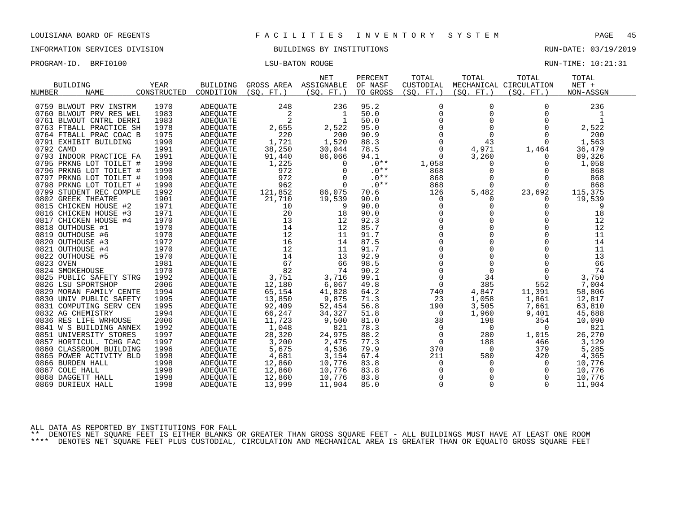INFORMATION SERVICES DIVISION BUILDINGS BY INSTITUTIONS AND RUN-DATE: 03/19/2019

PROGRAM-ID. BRFI0100 CONSERVERS IN THE LOST LATER TO LATER THE LOST LATER MONOGRAM-ID. BRIT LOST LOST LATER MANUSCULLE

| BUILDING<br><b>NAME</b><br><b>NUMBER</b> | YEAR<br>CONSTRUCTED | BUILDING<br>CONDITION | GROSS AREA<br>(SO. FT.) | <b>NET</b><br>ASSIGNABLE<br>(SO. FT. ) | PERCENT<br>OF NASF<br>TO GROSS | TOTAL<br>CUSTODIAL<br>(SQ. FT. ) | TOTAL<br>(SO. FT. ) | TOTAL<br>MECHANICAL CIRCULATION<br>(SO. FT. ) | TOTAL<br>$NET +$<br>NON-ASSGN |  |
|------------------------------------------|---------------------|-----------------------|-------------------------|----------------------------------------|--------------------------------|----------------------------------|---------------------|-----------------------------------------------|-------------------------------|--|
| 0759 BLWOUT PRV INSTRM                   | 1970                | ADEQUATE              | 248                     | 236                                    | 95.2                           | $\mathbf 0$                      | $\Omega$            | $\Omega$                                      | 236                           |  |
| 0760 BLWOUT PRV RES WEL                  | 1983                | <b>ADEOUATE</b>       | 2                       | -1                                     | 50.0                           | $\mathbf 0$                      | $\Omega$            | $\Omega$                                      | 1                             |  |
| 0761 BLWOUT CNTRL DERRI                  | 1983                | <b>ADEOUATE</b>       | 2                       | $\mathbf{1}$                           | 50.0                           | $\mathbf 0$                      | $\Omega$            | $\Omega$                                      | 1                             |  |
| 0763 FTBALL PRACTICE SH                  | 1978                | ADEQUATE              | 2,655                   | 2,522                                  | 95.0                           | $\mathbf 0$                      | $\mathbf 0$         | $\Omega$                                      | 2,522                         |  |
| 0764 FTBALL PRAC COAC B                  | 1975                | ADEOUATE              | 220                     | 200                                    | 90.9                           | $\Omega$                         | $\Omega$            | $\Omega$                                      | 200                           |  |
| 0791 EXHIBIT BUILDING                    | 1990                | ADEQUATE              | 1,721                   | 1,520                                  | 88.3                           | $\mathbf 0$                      | 43                  | $\Omega$                                      | 1,563                         |  |
| 0792 CAMD                                | 1991                | ADEOUATE              | 38,250                  | 30,044                                 | 78.5                           | $\mathbf 0$                      | 4,971               | 1,464                                         | 36,479                        |  |
| 0793 INDOOR PRACTICE FA                  | 1991                | ADEQUATE              | 91,440                  | 86,066                                 | 94.1                           | $\Omega$                         | 3,260               | $\Omega$                                      | 89,326                        |  |
| 0795 PRKNG LOT TOILET #                  | 1990                | ADEOUATE              | 1,225                   | 0                                      | $.0**$                         | 1,058                            | 0                   | 0                                             | 1,058                         |  |
| 0796 PRKNG LOT TOILET #                  | 1990                | ADEOUATE              | 972                     | $\Omega$                               | $.0**$                         | 868                              | $\mathbf 0$         | $\Omega$                                      | 868                           |  |
| 0797 PRKNG LOT TOILET #                  | 1990                | ADEQUATE              | 972                     | $\Omega$                               | $.0**$                         | 868                              | $\Omega$            | $\Omega$                                      | 868                           |  |
| 0798 PRKNG LOT TOILET #                  | 1990                | ADEOUATE              | 962                     | $\mathbf 0$                            | $.0**$                         | 868                              | $\Omega$            | $\Omega$                                      | 868                           |  |
| 0799 STUDENT REC COMPLE                  | 1992                | ADEQUATE              | 121,852                 | 86,075                                 | 70.6                           | 126                              | 5,482               | 23,692                                        | 115,375                       |  |
| 0802 GREEK THEATRE                       | 1901                | <b>ADEOUATE</b>       | 21,710                  | 19,539                                 | 90.0                           | 0                                | 0                   | $\Omega$                                      | 19,539                        |  |
| 0815 CHICKEN HOUSE #2                    | 1971                | ADEQUATE              | 10                      | 9                                      | 90.0                           | 0                                | $\Omega$            | $\Omega$                                      | 9                             |  |
| 0816 CHICKEN HOUSE #3                    | 1971                | ADEQUATE              | 20                      | 18                                     | 90.0                           | $\mathbf 0$                      | $\mathbf 0$         | 0                                             | 18                            |  |
| 0817 CHICKEN HOUSE #4                    | 1970                | ADEOUATE              | 13                      | 12                                     | 92.3                           | $\Omega$                         | $\Omega$            | $\Omega$                                      | 12                            |  |
| 0818 OUTHOUSE #1                         | 1970                | ADEQUATE              | 14                      | 12                                     | 85.7                           | $\mathbf 0$                      | $\Omega$            | $\mathbf 0$                                   | 12                            |  |
| 0819 OUTHOUSE #6                         | 1970                | ADEQUATE              | 12                      | 11                                     | 91.7                           | $\mathbf 0$                      | $\Omega$            | $\Omega$                                      | 11                            |  |
| 0820 OUTHOUSE #3                         | 1972                | ADEQUATE              | 16                      | 14                                     | 87.5                           | $\Omega$                         | $\Omega$            | $\Omega$                                      | 14                            |  |
| 0821 OUTHOUSE #4                         | 1970                | ADEOUATE              | 12                      | 11                                     | 91.7                           | 0                                | $\mathbf 0$         | $\mathbf 0$                                   | 11                            |  |
| 0822 OUTHOUSE #5                         | 1970                | ADEQUATE              | 14                      | 13                                     | 92.9                           | $\Omega$                         | $\Omega$            | $\Omega$                                      | 13                            |  |
| 0823 OVEN                                | 1981                | ADEQUATE              | 67                      | 66                                     | 98.5                           | $\Omega$                         | $\Omega$            | $\Omega$                                      | 66                            |  |
| 0824 SMOKEHOUSE                          | 1970                | <b>ADEOUATE</b>       | 82                      | 74                                     | 90.2                           | $\mathbf 0$                      | $\mathbf 0$         | $\Omega$                                      | 74                            |  |
| 0825 PUBLIC SAFETY STRG                  | 1992                | ADEQUATE              | 3,751                   | 3,716                                  | 99.1                           | $\mathbf 0$                      | 34                  | $\mathbf 0$                                   | 3,750                         |  |
| 0826 LSU SPORTSHOP                       | 2006                | ADEQUATE              | 12,180                  | 6,067                                  | 49.8                           | $\mathbf 0$                      | 385                 | 552                                           | 7,004                         |  |
| 0829 MORAN FAMILY CENTE                  | 1994                | ADEQUATE              | 65,154                  | 41,828                                 | 64.2                           | 740                              | 4,847               | 11,391                                        | 58,806                        |  |
| 0830 UNIV PUBLIC SAFETY                  | 1995                | ADEQUATE              | 13,850                  | 9,875                                  | 71.3                           | 23                               | 1,058               | 1,861                                         | 12,817                        |  |
| 0831 COMPUTING SERV CEN                  | 1995                | ADEOUATE              | 92,409                  | 52,454                                 | 56.8                           | 190                              | 3,505               | 7,661                                         | 63,810                        |  |
| 0832 AG CHEMISTRY                        | 1994                | ADEQUATE              | 66,247                  | 34,327                                 | 51.8                           | 0                                | 1,960               | 9,401                                         | 45,688                        |  |
| 0836 RES LIFE WRHOUSE                    | 2006                | ADEQUATE              | 11,723                  | 9,500                                  | 81.0                           | 38                               | 198                 | 354                                           | 10,090                        |  |
| 0841 W S BUILDING ANNEX                  | 1992                | ADEQUATE              | 1,048                   | 821                                    | 78.3                           | 0                                | 0                   | $\Omega$                                      | 821                           |  |
| 0851 UNIVERSITY STORES                   | 1997                | ADEOUATE              | 28,320                  | 24,975                                 | 88.2                           | 0                                | 280                 | 1,015                                         | 26,270                        |  |
| 0857 HORTICUL. TCHG FAC                  | 1997                | <b>ADEOUATE</b>       | 3,200                   | 2,475                                  | 77.3                           | $\mathbf 0$                      | 188                 | 466                                           | 3,129                         |  |
| 0860 CLASSROOM BUILDING                  | 1996                | ADEOUATE              | 5,675                   | 4,536                                  | 79.9                           | 370                              | $\overline{0}$      | 379                                           | 5,285                         |  |
| 0865 POWER ACTIVITY BLD                  | 1998                | ADEQUATE              | 4,681                   | 3,154                                  | 67.4                           | 211                              | 580                 | 420                                           | 4,365                         |  |
| 0866 BURDEN HALL                         | 1998                | ADEQUATE              | 12,860                  | 10,776                                 | 83.8                           | 0                                | 0                   | 0                                             | 10,776                        |  |
| 0867 COLE HALL                           | 1998                | ADEQUATE              | 12,860                  | 10,776                                 | 83.8                           | 0                                | 0                   | 0                                             | 10,776                        |  |
| 0868 DAGGETT HALL                        | 1998                | ADEQUATE              | 12,860                  | 10,776                                 | 83.8                           | $\Omega$                         | $\Omega$            | $\Omega$                                      | 10,776                        |  |
| 0869 DURIEUX HALL                        | 1998                | ADEOUATE              | 13,999                  | 11,904                                 | 85.0                           | $\mathbf 0$                      | $\Omega$            | $\Omega$                                      | 11,904                        |  |

ALL DATA AS REPORTED BY INSTITUTIONS FOR FALL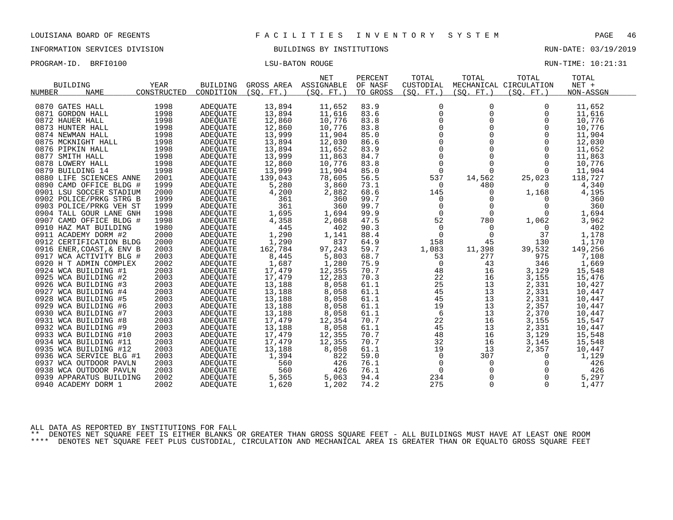INFORMATION SERVICES DIVISION BUILDINGS BY INSTITUTIONS RUN-DATE: 03/19/2019

PROGRAM-ID. BRFI0100 CONTENTION CONTENTS IN THE RUN-TIME: 10:21:31

|                           |             |                 |            | <b>NET</b> | PERCENT  | TOTAL        | TOTAL       | TOTAL                  | TOTAL     |  |
|---------------------------|-------------|-----------------|------------|------------|----------|--------------|-------------|------------------------|-----------|--|
| <b>BUILDING</b>           | <b>YEAR</b> | <b>BUILDING</b> | GROSS AREA | ASSIGNABLE | OF NASF  | CUSTODIAL    |             | MECHANICAL CIRCULATION | $NET +$   |  |
| <b>NAME</b><br>NUMBER     | CONSTRUCTED | CONDITION       | (SO. FT. ) | (SO. FT. ) | TO GROSS | (SO. FT. )   | (SO. FT. )  | (SO. FT. )             | NON-ASSGN |  |
|                           |             |                 |            |            |          |              |             |                        |           |  |
| 0870 GATES HALL           | 1998        | ADEOUATE        | 13,894     | 11,652     | 83.9     | $\mathbf 0$  | $\Omega$    | $\Omega$               | 11,652    |  |
| 0871 GORDON HALL          | 1998        | <b>ADEOUATE</b> | 13,894     | 11,616     | 83.6     | $\mathbf 0$  | $\Omega$    | $\Omega$               | 11,616    |  |
| 0872 HAUER HALL           | 1998        | ADEOUATE        | 12,860     | 10,776     | 83.8     | 0            | 0           | 0                      | 10,776    |  |
| 0873 HUNTER HALL          | 1998        | <b>ADEQUATE</b> | 12,860     | 10,776     | 83.8     | 0            | $\Omega$    | $\Omega$               | 10,776    |  |
| 0874 NEWMAN HALL          | 1998        | ADEOUATE        | 13,999     | 11,904     | 85.0     | $\Omega$     | $\Omega$    | $\Omega$               | 11,904    |  |
| 0875 MCKNIGHT HALL        | 1998        | ADEQUATE        | 13,894     | 12,030     | 86.6     | $\mathbf 0$  | $\mathbf 0$ | $\Omega$               | 12,030    |  |
| 0876 PIPKIN HALL          | 1998        | <b>ADEOUATE</b> | 13,894     | 11,652     | 83.9     | $\mathsf 0$  | $\Omega$    | $\Omega$               | 11,652    |  |
| 0877 SMITH HALL           | 1998        | ADEQUATE        | 13,999     | 11,863     | 84.7     | $\mathsf{O}$ | $\Omega$    | $\Omega$               | 11,863    |  |
| 0878 LOWERY HALL          | 1998        | <b>ADEQUATE</b> | 12,860     | 10,776     | 83.8     | $\Omega$     | $\Omega$    | $\Omega$               | 10,776    |  |
| 0879 BUILDING 14          | 1998        | ADEOUATE        | 13,999     | 11,904     | 85.0     | 0            | $\mathbf 0$ | 0                      | 11,904    |  |
| 0880 LIFE SCIENCES ANNE   | 2001        | ADEQUATE        | 139,043    | 78,605     | 56.5     | 537          | 14,562      | 25,023                 | 118,727   |  |
| 0890 CAMD OFFICE BLDG #   | 1999        | ADEOUATE        | 5,280      | 3,860      | 73.1     | $\mathbf 0$  | 480         | $\Omega$               | 4,340     |  |
| 0901 LSU SOCCER STADIUM   | 2000        | ADEQUATE        | 4,200      | 2,882      | 68.6     | 145          | 0           | 1,168                  | 4,195     |  |
| 0902 POLICE/PRKG STRG B   | 1999        | ADEQUATE        | 361        | 360        | 99.7     | $\mathbf 0$  | $\Omega$    | $\Omega$               | 360       |  |
| 0903 POLICE/PRKG VEH ST   | 1999        | ADEQUATE        | 361        | 360        | 99.7     | $\mathbf 0$  | $\Omega$    | $\Omega$               | 360       |  |
| 0904 TALL GOUR LANE GNH   | 1998        | ADEQUATE        | 1,695      | 1,694      | 99.9     | $\Omega$     | $\Omega$    | $\Omega$               | 1,694     |  |
| 0907 CAMD OFFICE BLDG #   | 1998        | ADEQUATE        | 4,358      | 2,068      | 47.5     | 52           | 780         | 1,062                  | 3,962     |  |
| 0910 HAZ MAT BUILDING     | 1980        | ADEQUATE        | 445        | 402        | 90.3     | $\mathbf 0$  | 0           | 0                      | 402       |  |
| 0911 ACADEMY DORM #2      | 2000        | ADEOUATE        | 1,290      | 1,141      | 88.4     | $\mathbf 0$  | $\mathbf 0$ | 37                     | 1,178     |  |
| 0912 CERTIFICATION BLDG   | 2000        | <b>ADEQUATE</b> | 1,290      | 837        | 64.9     | 158          | 45          | 130                    | 1,170     |  |
| 0916 ENER, COAST, & ENV B | 2003        | ADEOUATE        | 162,784    | 97,243     | 59.7     | 1,083        | 11,398      | 39,532                 | 149,256   |  |
| 0917 WCA ACTIVITY BLG #   | 2003        | ADEQUATE        | 8,445      | 5,803      | 68.7     | 53           | 277         | 975                    | 7,108     |  |
| 0920 H T ADMIN COMPLEX    | 2002        | ADEQUATE        | 1,687      | 1,280      | 75.9     | $\mathbf 0$  | 43          | 346                    | 1,669     |  |
| 0924 WCA BUILDING #1      | 2003        | ADEOUATE        | 17,479     | 12,355     | 70.7     | 48           | 16          | 3,129                  | 15,548    |  |
| 0925 WCA BUILDING #2      | 2003        | ADEQUATE        | 17,479     | 12,283     | 70.3     | 22           | 16          | 3,155                  | 15,476    |  |
| 0926 WCA BUILDING #3      | 2003        | ADEOUATE        | 13,188     | 8,058      | 61.1     | 25           | 13          | 2,331                  | 10,427    |  |
| 0927 WCA BUILDING #4      | 2003        | ADEOUATE        | 13,188     | 8,058      | 61.1     | 45           | 13          | 2,331                  | 10,447    |  |
| 0928 WCA BUILDING #5      | 2003        | ADEQUATE        | 13,188     | 8,058      | 61.1     | 45           | 13          | 2,331                  | 10,447    |  |
| 0929 WCA BUILDING #6      | 2003        | ADEQUATE        | 13,188     | 8,058      | 61.1     | 19           | 13          | 2,357                  | 10,447    |  |
| 0930 WCA BUILDING<br>#7   | 2003        | ADEOUATE        | 13,188     | 8,058      | 61.1     | 6            | 13          | 2,370                  | 10,447    |  |
| 0931 WCA BUILDING #8      | 2003        | ADEQUATE        | 17,479     | 12,354     | 70.7     | 22           | 16          | 3,155                  | 15,547    |  |
| 0932 WCA BUILDING #9      | 2003        | ADEOUATE        | 13,188     | 8,058      | 61.1     | 45           | 13          | 2,331                  | 10,447    |  |
| 0933 WCA BUILDING #10     | 2003        | <b>ADEQUATE</b> | 17,479     | 12,355     | 70.7     | 48           | 16          | 3,129                  | 15,548    |  |
| 0934 WCA BUILDING #11     | 2003        | ADEOUATE        | 17,479     | 12,355     | 70.7     | 32           | 16          | 3,145                  | 15,548    |  |
| 0935 WCA BUILDING #12     | 2003        | ADEQUATE        | 13,188     | 8,058      | 61.1     | 19           | 13          | 2,357                  | 10,447    |  |
| 0936 WCA SERVICE BLG #1   | 2003        | ADEQUATE        | 1,394      | 822        | 59.0     | $\mathbf 0$  | 307         | $\Omega$               | 1,129     |  |
| 0937 WCA OUTDOOR PAVLN    | 2003        | ADEOUATE        | 560        | 426        | 76.1     | $\mathbf 0$  | 0           | $\Omega$               | 426       |  |
| 0938 WCA OUTDOOR PAVLN    | 2003        | ADEQUATE        | 560        | 426        | 76.1     | 0            | $\mathbf 0$ | $\Omega$               | 426       |  |
| 0939 APPARATUS BUILDING   | 2002        | ADEOUATE        | 5,365      | 5,063      | 94.4     | 234          | $\Omega$    | $\Omega$               | 5,297     |  |
| 0940 ACADEMY DORM 1       | 2002        | ADEQUATE        | 1,620      | 1,202      | 74.2     | 275          | $\Omega$    | $\Omega$               | 1,477     |  |
|                           |             |                 |            |            |          |              |             |                        |           |  |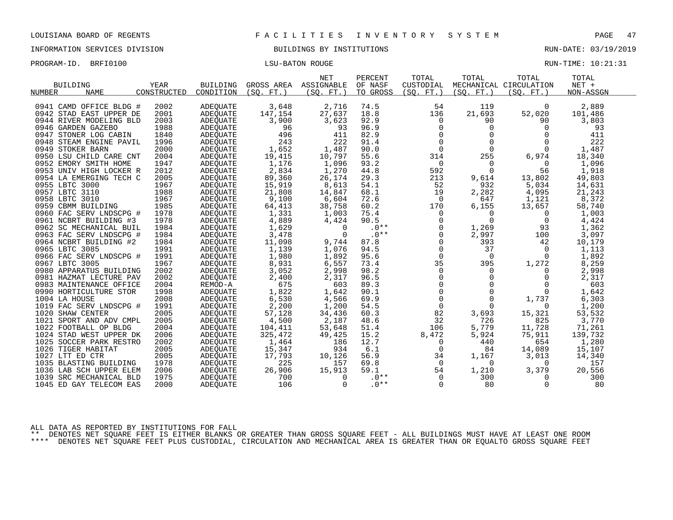INFORMATION SERVICES DIVISION BUILDINGS BY INSTITUTIONS RUN-DATE: 03/19/2019

| PROGRAM-ID. BRFI0100 | LSU-BATON ROUGE | RUN-TIME: 10:21:31 |  |
|----------------------|-----------------|--------------------|--|
|                      |                 |                    |  |

| <b>BUILDING</b><br><b>NUMBER</b><br><b>NAME</b> | <b>YEAR</b><br>CONSTRUCTED | BUILDING<br>CONDITION | GROSS AREA<br>(SO.<br>$FT.$ ) | <b>NET</b><br>ASSIGNABLE<br>(SO. FT. | PERCENT<br>OF NASF<br>TO GROSS | TOTAL<br>CUSTODIAL<br>(SO. FT. ) | TOTAL<br>(SO.<br>FT. | TOTAL<br>MECHANICAL CIRCULATION<br>(SO. FT.) | TOTAL<br>NET +<br>NON-ASSGN |
|-------------------------------------------------|----------------------------|-----------------------|-------------------------------|--------------------------------------|--------------------------------|----------------------------------|----------------------|----------------------------------------------|-----------------------------|
|                                                 |                            |                       |                               |                                      |                                |                                  |                      |                                              |                             |
| 0941 CAMD OFFICE BLDG #                         | 2002                       | <b>ADEQUATE</b>       | 3,648                         | 2,716                                | 74.5                           | 54                               | 119                  | $\Omega$                                     | 2,889                       |
| 0942 STAD EAST UPPER DE                         | 2001                       | <b>ADEOUATE</b>       | 147,154                       | 27,637                               | 18.8                           | 136                              | 21,693               | 52,020                                       | 101,486                     |
| 0944 RIVER MODELING BLD                         | 2003                       | <b>ADEOUATE</b>       | 3,900                         | 3,623                                | 92.9                           | $\Omega$                         | 90                   | 90                                           | 3,803                       |
| 0946 GARDEN GAZEBO                              | 1988                       | <b>ADEOUATE</b>       | 96                            | 93                                   | 96.9                           | $\Omega$                         | $\Omega$             | $\Omega$                                     | 93                          |
| 0947<br>STONER LOG CABIN                        | 1840                       | <b>ADEOUATE</b>       | 496                           | 411                                  | 82.9                           | $\Omega$                         | $\Omega$             | $\Omega$                                     | 411                         |
| 0948 STEAM ENGINE PAVIL                         | 1996                       | <b>ADEQUATE</b>       | 243                           | 222                                  | 91.4                           | $\Omega$                         | $\Omega$             | $\Omega$                                     | 222                         |
| 0949 STOKER BARN                                | 2000                       | <b>ADEQUATE</b>       | 1,652                         | 1,487                                | 90.0                           | $\Omega$                         | $\Omega$             | $\Omega$                                     | 1,487                       |
| 0950 LSU CHILD CARE CNT                         | 2004                       | <b>ADEQUATE</b>       | 19,415                        | 10,797                               | 55.6                           | 314                              | 255                  | 6,974                                        | 18,340                      |
| 0952 EMORY SMITH HOME                           | 1947                       | <b>ADEOUATE</b>       | 1,176                         | 1,096                                | 93.2                           | $\Omega$                         | $\Omega$             | $\Omega$                                     | 1,096                       |
| 0953 UNIV HIGH LOCKER R                         | 2012                       | ADEQUATE              | 2,834                         | 1,270                                | 44.8                           | 592                              | $\Omega$             | 56                                           | 1,918                       |
| 0954 LA EMERGING TECH C                         | 2005                       | ADEQUATE              | 89,360                        | 26,174                               | 29.3                           | 213                              | 9,614                | 13,802                                       | 49,803                      |
| 0955 LBTC 3000                                  | 1967                       | <b>ADEQUATE</b>       | 15,919                        | 8,613                                | 54.1                           | 52                               | 932                  | 5,034                                        | 14,631                      |
| 0957 LBTC 3110                                  | 1988                       | ADEOUATE              | 21,808                        | 14,847                               | 68.1                           | 19                               | 2,282                | 4,095                                        | 21,243                      |
| 0958 LBTC 3010                                  | 1967                       | <b>ADEQUATE</b>       | 9,100                         | 6,604                                | 72.6                           | $\Omega$                         | 647                  | 1,121                                        | 8,372                       |
| 0959 CBMM BUILDING                              | 1985                       | <b>ADEOUATE</b>       | 64,413                        | 38,758                               | 60.2                           | 170                              | 6,155                | 13,657                                       | 58,740                      |
| 0960 FAC SERV LNDSCPG #                         | 1978                       | <b>ADEQUATE</b>       | 1,331                         | 1,003                                | 75.4                           | $\Omega$                         | $\Omega$             | $\Omega$                                     | 1,003                       |
| 0961 NCBRT BUILDING #3                          | 1978                       | <b>ADEOUATE</b>       | 4,889                         | 4,424                                | 90.5                           | $\Omega$                         | $\Omega$             | $\Omega$                                     | 4,424                       |
| 0962 SC MECHANICAL BUIL                         | 1984                       | <b>ADEQUATE</b>       | 1,629                         | $\Omega$                             | $.0**$                         | $\Omega$                         | 1,269                | 93                                           | 1,362                       |
| 0963 FAC SERV LNDSCPG #                         | 1984                       | <b>ADEQUATE</b>       | 3,478                         | $\Omega$                             | $.0**$                         | $\Omega$                         | 2,997                | 100                                          | 3,097                       |
| 0964 NCBRT BUILDING #2                          | 1984                       | ADEQUATE              | 11,098                        | 9,744                                | 87.8                           | 0                                | 393                  | 42                                           | 10,179                      |
| 0965 LBTC 3085                                  | 1991                       | <b>ADEQUATE</b>       | 1,139                         | 1,076                                | 94.5                           | $\Omega$                         | 37                   | $\Omega$                                     | 1,113                       |
| 0966 FAC SERV LNDSCPG #                         | 1991                       | <b>ADEOUATE</b>       | 1,980                         | 1,892                                | 95.6                           | $\Omega$                         | $\Omega$             | $\Omega$                                     | 1,892                       |
| 0967 LBTC 3005                                  | 1967                       | <b>ADEQUATE</b>       | 8,931                         | 6,557                                | 73.4                           | 35                               | 395                  | 1,272                                        | 8,259                       |
| 0980 APPARATUS BUILDING                         | 2002                       | <b>ADEQUATE</b>       | 3,052                         | 2,998                                | 98.2                           | $\Omega$                         | 0                    | 0                                            | 2,998                       |
| 0981 HAZMAT LECTURE PAV                         | 2002                       | <b>ADEQUATE</b>       | 2,400                         | 2,317                                | 96.5                           | $\Omega$                         | $\Omega$             | $\Omega$                                     | 2,317                       |
| 0983 MAINTENANCE OFFICE                         | 2004                       | REMOD-A               | 675                           | 603                                  | 89.3                           | 0                                | 0                    | $\Omega$                                     | 603                         |
| 0990 HORTICULTURE STOR                          | 1998                       | <b>ADEQUATE</b>       | 1,822                         | 1,642                                | 90.1                           | $\Omega$                         | $\Omega$             | $\Omega$                                     | 1,642                       |
| 1004 LA HOUSE                                   | 2008                       | <b>ADEQUATE</b>       | 6,530                         | 4,566                                | 69.9                           | $\Omega$                         | $\Omega$             | 1,737                                        | 6,303                       |
| 1019 FAC SERV LNDSCPG #                         | 1991                       | <b>ADEQUATE</b>       | 2,200                         | 1,200                                | 54.5                           | $\Omega$                         | $\Omega$             | $\Omega$                                     | 1,200                       |
| 1020 SHAW CENTER                                | 2005                       | <b>ADEQUATE</b>       | 57,128                        | 34,436                               | 60.3                           | 82                               | 3,693                | 15,321                                       | 53,532                      |
| 1021 SPORT AND ADV CMPL                         | 2005                       | <b>ADEOUATE</b>       | 4,500                         | 2,187                                | 48.6                           | 32                               | 726                  | 825                                          | 3,770                       |
| 1022 FOOTBALL OP BLDG                           | 2004                       | <b>ADEQUATE</b>       | 104,411                       | 53,648                               | 51.4                           | 106                              | 5,779                | 11,728                                       | 71,261                      |
| 1024 STAD WEST UPPER DK                         | 2006                       | ADEOUATE              | 325,472                       | 49,425                               | 15.2                           | 8,472                            | 5,924                | 75,911                                       | 139,732                     |
| 1025 SOCCER PARK RESTRO                         | 2002                       | <b>ADEQUATE</b>       | 1,464                         | 186                                  | 12.7                           | 0                                | 440                  | 654                                          | 1,280                       |
| 1026 TIGER HABITAT                              | 2005                       | ADEQUATE              | 15,347                        | 934                                  | 6.1                            | $\Omega$                         | 84                   | 14,089                                       | 15,107                      |
| 1027 LTT ED CTR                                 | 2005                       | <b>ADEQUATE</b>       | 17,793                        | 10,126                               | 56.9                           | 34                               | 1,167                | 3,013                                        | 14,340                      |
| 1035 BLASTING BUILDING                          | 1978                       | <b>ADEOUATE</b>       | 225                           | 157                                  | 69.8                           | 0                                | 0                    | $\Omega$                                     | 157                         |
| 1036 LAB SCH UPPER ELEM                         | 2006                       | <b>ADEQUATE</b>       | 26,906                        | 15,913                               | 59.1                           | 54                               | 1,210                | 3,379                                        | 20,556                      |
| 1039 SRC MECHANICAL BLD                         | 1975                       | <b>ADEOUATE</b>       | 700                           | $\Omega$                             | $.0**$                         | $\Omega$                         | 300                  | 0                                            | 300                         |
| 1045 ED GAY TELECOM EAS                         | 2000                       | <b>ADEQUATE</b>       | 106                           | $\Omega$                             | $.0**$                         | $\Omega$                         | 80                   | $\Omega$                                     | 80                          |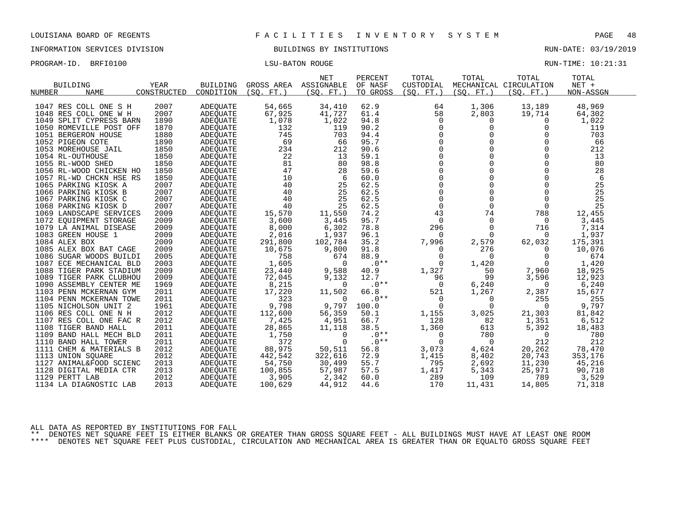INFORMATION SERVICES DIVISION BUILDINGS BY INSTITUTIONS RUN-DATE: 03/19/2019

|  | PROGRAM-ID. | BRFI0100 | LSU-BATON ROUGE | RUN-TIME: 10:21:31 |
|--|-------------|----------|-----------------|--------------------|
|--|-------------|----------|-----------------|--------------------|

| $NET +$<br><b>BUILDING</b><br><b>YEAR</b><br><b>BUILDING</b><br>GROSS AREA<br>ASSIGNABLE<br>OF NASF<br>CUSTODIAL<br>MECHANICAL CIRCULATION<br>CONSTRUCTED<br>CONDITION<br>TO GROSS<br><b>NUMBER</b><br><b>NAME</b><br>(SO. FT. )<br>(SO. FT.)<br>(SO. FT. )<br>(SO. FT. )<br>(SO. FT. )<br>NON-ASSGN<br>1047 RES COLL ONE S H<br>2007<br>54,665<br>34,410<br>62.9<br>1,306<br>13,189<br>48,969<br><b>ADEQUATE</b><br>64<br>2007<br>61.4<br>58<br>2,803<br>1048 RES COLL ONE W H<br><b>ADEOUATE</b><br>67,925<br>41,727<br>19,714<br>64,302<br>1890<br>1,078<br>1,022<br>1049 SPLIT CYPRESS BARN<br><b>ADEQUATE</b><br>94.8<br>$\Omega$<br>0<br>$\Omega$<br>1,022<br>90.2<br>1870<br>132<br>119<br>$\Omega$<br>0<br>$\mathbf 0$<br>119<br>1050 ROMEVILLE POST OFF<br><b>ADEQUATE</b><br>745<br>703<br>$\Omega$<br>$\Omega$<br>0<br>703<br>1051 BERGERON HOUSE<br>1880<br><b>ADEOUATE</b><br>94.4<br>$\Omega$<br>$\Omega$<br>1890<br>69<br>66<br>95.7<br>$\Omega$<br>66<br>1052 PIGEON COTE<br>ADEQUATE<br>$\Omega$<br>$\Omega$<br>$\Omega$<br>1850<br>234<br>212<br>90.6<br>212<br>1053 MOREHOUSE JAIL<br>ADEOUATE<br>22<br>$\Omega$<br>$\Omega$<br>$\Omega$<br>1054 RL-OUTHOUSE<br>1850<br>59.1<br>13<br>ADEQUATE<br>13<br>$\Omega$<br>81<br>98.8<br>$\Omega$<br>$\Omega$<br>80<br>1055 RL-WOOD SHED<br>1850<br>80<br>ADEOUATE<br>$\Omega$<br>47<br>$\Omega$<br>$\Omega$<br>1850<br>28<br>59.6<br>28<br>1056 RL-WOOD CHICKEN HO<br><b>ADEQUATE</b><br>$\Omega$<br>$\Omega$<br>$\Omega$<br>10<br>60.0<br>6<br>1057 RL-WD CHCKN HSE RS<br>1850<br><b>ADEQUATE</b><br>6 |                      |      |                 |    | <b>NET</b> | PERCENT | TOTAL    | TOTAL    | TOTAL    | TOTAL |
|----------------------------------------------------------------------------------------------------------------------------------------------------------------------------------------------------------------------------------------------------------------------------------------------------------------------------------------------------------------------------------------------------------------------------------------------------------------------------------------------------------------------------------------------------------------------------------------------------------------------------------------------------------------------------------------------------------------------------------------------------------------------------------------------------------------------------------------------------------------------------------------------------------------------------------------------------------------------------------------------------------------------------------------------------------------------------------------------------------------------------------------------------------------------------------------------------------------------------------------------------------------------------------------------------------------------------------------------------------------------------------------------------------------------------------------------------------------------------------------------------------------------------------------------------------------------|----------------------|------|-----------------|----|------------|---------|----------|----------|----------|-------|
|                                                                                                                                                                                                                                                                                                                                                                                                                                                                                                                                                                                                                                                                                                                                                                                                                                                                                                                                                                                                                                                                                                                                                                                                                                                                                                                                                                                                                                                                                                                                                                      |                      |      |                 |    |            |         |          |          |          |       |
|                                                                                                                                                                                                                                                                                                                                                                                                                                                                                                                                                                                                                                                                                                                                                                                                                                                                                                                                                                                                                                                                                                                                                                                                                                                                                                                                                                                                                                                                                                                                                                      |                      |      |                 |    |            |         |          |          |          |       |
|                                                                                                                                                                                                                                                                                                                                                                                                                                                                                                                                                                                                                                                                                                                                                                                                                                                                                                                                                                                                                                                                                                                                                                                                                                                                                                                                                                                                                                                                                                                                                                      |                      |      |                 |    |            |         |          |          |          |       |
|                                                                                                                                                                                                                                                                                                                                                                                                                                                                                                                                                                                                                                                                                                                                                                                                                                                                                                                                                                                                                                                                                                                                                                                                                                                                                                                                                                                                                                                                                                                                                                      |                      |      |                 |    |            |         |          |          |          |       |
|                                                                                                                                                                                                                                                                                                                                                                                                                                                                                                                                                                                                                                                                                                                                                                                                                                                                                                                                                                                                                                                                                                                                                                                                                                                                                                                                                                                                                                                                                                                                                                      |                      |      |                 |    |            |         |          |          |          |       |
|                                                                                                                                                                                                                                                                                                                                                                                                                                                                                                                                                                                                                                                                                                                                                                                                                                                                                                                                                                                                                                                                                                                                                                                                                                                                                                                                                                                                                                                                                                                                                                      |                      |      |                 |    |            |         |          |          |          |       |
|                                                                                                                                                                                                                                                                                                                                                                                                                                                                                                                                                                                                                                                                                                                                                                                                                                                                                                                                                                                                                                                                                                                                                                                                                                                                                                                                                                                                                                                                                                                                                                      |                      |      |                 |    |            |         |          |          |          |       |
|                                                                                                                                                                                                                                                                                                                                                                                                                                                                                                                                                                                                                                                                                                                                                                                                                                                                                                                                                                                                                                                                                                                                                                                                                                                                                                                                                                                                                                                                                                                                                                      |                      |      |                 |    |            |         |          |          |          |       |
|                                                                                                                                                                                                                                                                                                                                                                                                                                                                                                                                                                                                                                                                                                                                                                                                                                                                                                                                                                                                                                                                                                                                                                                                                                                                                                                                                                                                                                                                                                                                                                      |                      |      |                 |    |            |         |          |          |          |       |
|                                                                                                                                                                                                                                                                                                                                                                                                                                                                                                                                                                                                                                                                                                                                                                                                                                                                                                                                                                                                                                                                                                                                                                                                                                                                                                                                                                                                                                                                                                                                                                      |                      |      |                 |    |            |         |          |          |          |       |
|                                                                                                                                                                                                                                                                                                                                                                                                                                                                                                                                                                                                                                                                                                                                                                                                                                                                                                                                                                                                                                                                                                                                                                                                                                                                                                                                                                                                                                                                                                                                                                      |                      |      |                 |    |            |         |          |          |          |       |
|                                                                                                                                                                                                                                                                                                                                                                                                                                                                                                                                                                                                                                                                                                                                                                                                                                                                                                                                                                                                                                                                                                                                                                                                                                                                                                                                                                                                                                                                                                                                                                      |                      |      |                 |    |            |         |          |          |          |       |
|                                                                                                                                                                                                                                                                                                                                                                                                                                                                                                                                                                                                                                                                                                                                                                                                                                                                                                                                                                                                                                                                                                                                                                                                                                                                                                                                                                                                                                                                                                                                                                      |                      |      |                 |    |            |         |          |          |          |       |
|                                                                                                                                                                                                                                                                                                                                                                                                                                                                                                                                                                                                                                                                                                                                                                                                                                                                                                                                                                                                                                                                                                                                                                                                                                                                                                                                                                                                                                                                                                                                                                      |                      |      |                 |    |            |         |          |          |          |       |
|                                                                                                                                                                                                                                                                                                                                                                                                                                                                                                                                                                                                                                                                                                                                                                                                                                                                                                                                                                                                                                                                                                                                                                                                                                                                                                                                                                                                                                                                                                                                                                      | 1065 PARKING KIOSK A | 2007 | <b>ADEQUATE</b> | 40 | 25         | 62.5    | $\Omega$ | $\Omega$ | $\Omega$ | 25    |
| $\Omega$<br>$\Omega$<br>$\Omega$<br>25<br>2007<br>40<br>25<br>62.5<br><b>ADEQUATE</b><br>1066 PARKING KIOSK B                                                                                                                                                                                                                                                                                                                                                                                                                                                                                                                                                                                                                                                                                                                                                                                                                                                                                                                                                                                                                                                                                                                                                                                                                                                                                                                                                                                                                                                        |                      |      |                 |    |            |         |          |          |          |       |
| $\Omega$<br>62.5<br>$\Omega$<br>$\Omega$<br>25<br>1067 PARKING KIOSK C<br>2007<br>40<br>25<br><b>ADEQUATE</b>                                                                                                                                                                                                                                                                                                                                                                                                                                                                                                                                                                                                                                                                                                                                                                                                                                                                                                                                                                                                                                                                                                                                                                                                                                                                                                                                                                                                                                                        |                      |      |                 |    |            |         |          |          |          |       |
| 62.5<br>$\Omega$<br>25<br>2007<br>40<br>25<br>$\Omega$<br>$\Omega$<br>1068 PARKING KIOSK D<br>ADEQUATE                                                                                                                                                                                                                                                                                                                                                                                                                                                                                                                                                                                                                                                                                                                                                                                                                                                                                                                                                                                                                                                                                                                                                                                                                                                                                                                                                                                                                                                               |                      |      |                 |    |            |         |          |          |          |       |
| 74.2<br>74<br>1069 LANDSCAPE SERVICES<br>2009<br>15,570<br>11,550<br>43<br>788<br>12,455<br>ADEQUATE                                                                                                                                                                                                                                                                                                                                                                                                                                                                                                                                                                                                                                                                                                                                                                                                                                                                                                                                                                                                                                                                                                                                                                                                                                                                                                                                                                                                                                                                 |                      |      |                 |    |            |         |          |          |          |       |
| 95.7<br>2009<br>3,600<br>3,445<br>$\mathbf 0$<br>3,445<br>1072 EOUIPMENT STORAGE<br><b>ADEQUATE</b><br>$\Omega$<br>$\Omega$                                                                                                                                                                                                                                                                                                                                                                                                                                                                                                                                                                                                                                                                                                                                                                                                                                                                                                                                                                                                                                                                                                                                                                                                                                                                                                                                                                                                                                          |                      |      |                 |    |            |         |          |          |          |       |
| 2009<br>8,000<br>6,302<br>78.8<br>296<br>716<br>$\mathbf 0$<br>7,314<br>1079 LA ANIMAL DISEASE<br>ADEQUATE                                                                                                                                                                                                                                                                                                                                                                                                                                                                                                                                                                                                                                                                                                                                                                                                                                                                                                                                                                                                                                                                                                                                                                                                                                                                                                                                                                                                                                                           |                      |      |                 |    |            |         |          |          |          |       |
| 96.1<br>1083 GREEN HOUSE 1<br>2009<br>2,016<br>1,937<br>$\Omega$<br>1,937<br><b>ADEQUATE</b><br>$\Omega$<br>$\Omega$                                                                                                                                                                                                                                                                                                                                                                                                                                                                                                                                                                                                                                                                                                                                                                                                                                                                                                                                                                                                                                                                                                                                                                                                                                                                                                                                                                                                                                                 |                      |      |                 |    |            |         |          |          |          |       |
| 7,996<br>1084 ALEX BOX<br>2009<br><b>ADEOUATE</b><br>291,800<br>102,784<br>35.2<br>2,579<br>62,032<br>175,391                                                                                                                                                                                                                                                                                                                                                                                                                                                                                                                                                                                                                                                                                                                                                                                                                                                                                                                                                                                                                                                                                                                                                                                                                                                                                                                                                                                                                                                        |                      |      |                 |    |            |         |          |          |          |       |
| 2009<br>10,675<br>9,800<br>276<br>10,076<br>1085 ALEX BOX BAT CAGE<br><b>ADEQUATE</b><br>91.8<br>$\Omega$<br>0                                                                                                                                                                                                                                                                                                                                                                                                                                                                                                                                                                                                                                                                                                                                                                                                                                                                                                                                                                                                                                                                                                                                                                                                                                                                                                                                                                                                                                                       |                      |      |                 |    |            |         |          |          |          |       |
| 2005<br>758<br>674<br>88.9<br>0<br>674<br>1086 SUGAR WOODS BUILDI<br><b>ADEOUATE</b><br>$\Omega$<br>$\mathbf 0$                                                                                                                                                                                                                                                                                                                                                                                                                                                                                                                                                                                                                                                                                                                                                                                                                                                                                                                                                                                                                                                                                                                                                                                                                                                                                                                                                                                                                                                      |                      |      |                 |    |            |         |          |          |          |       |
| 1087 ECE MECHANICAL BLD<br>2003<br>1,605<br>$.0**$<br>1,420<br>1,420<br><b>ADEQUATE</b><br>$\Omega$<br>$\Omega$<br>$\Omega$                                                                                                                                                                                                                                                                                                                                                                                                                                                                                                                                                                                                                                                                                                                                                                                                                                                                                                                                                                                                                                                                                                                                                                                                                                                                                                                                                                                                                                          |                      |      |                 |    |            |         |          |          |          |       |
| 1,327<br>1088 TIGER PARK STADIUM<br>2009<br><b>ADEOUATE</b><br>23,440<br>9,588<br>40.9<br>50<br>7,960<br>18,925                                                                                                                                                                                                                                                                                                                                                                                                                                                                                                                                                                                                                                                                                                                                                                                                                                                                                                                                                                                                                                                                                                                                                                                                                                                                                                                                                                                                                                                      |                      |      |                 |    |            |         |          |          |          |       |
| 9,132<br>12.7<br>99<br>3,596<br>2009<br>72,045<br>12,923<br>1089 TIGER PARK CLUBHOU<br><b>ADEQUATE</b><br>96                                                                                                                                                                                                                                                                                                                                                                                                                                                                                                                                                                                                                                                                                                                                                                                                                                                                                                                                                                                                                                                                                                                                                                                                                                                                                                                                                                                                                                                         |                      |      |                 |    |            |         |          |          |          |       |
| 8,215<br>$.0**$<br>1090 ASSEMBLY CENTER ME<br>1969<br>ADEQUATE<br>$\Omega$<br>6,240<br>6,240<br>$\Omega$<br>$\Omega$                                                                                                                                                                                                                                                                                                                                                                                                                                                                                                                                                                                                                                                                                                                                                                                                                                                                                                                                                                                                                                                                                                                                                                                                                                                                                                                                                                                                                                                 |                      |      |                 |    |            |         |          |          |          |       |
| 66.8<br>521<br>1103 PENN MCKERNAN GYM<br>2011<br>17,220<br>11,502<br>1,267<br>2,387<br>15,677<br>ADEOUATE                                                                                                                                                                                                                                                                                                                                                                                                                                                                                                                                                                                                                                                                                                                                                                                                                                                                                                                                                                                                                                                                                                                                                                                                                                                                                                                                                                                                                                                            |                      |      |                 |    |            |         |          |          |          |       |
| 323<br>255<br>2011<br>$.0**$<br>255<br>1104 PENN MCKERNAN TOWE<br>ADEQUATE<br>$\Omega$<br>0<br>0                                                                                                                                                                                                                                                                                                                                                                                                                                                                                                                                                                                                                                                                                                                                                                                                                                                                                                                                                                                                                                                                                                                                                                                                                                                                                                                                                                                                                                                                     |                      |      |                 |    |            |         |          |          |          |       |
| 9,798<br>1961<br>9,797<br>100.0<br>$\Omega$<br>9,797<br>1105 NICHOLSON UNIT 2<br><b>ADEQUATE</b><br>$\Omega$<br>$\Omega$                                                                                                                                                                                                                                                                                                                                                                                                                                                                                                                                                                                                                                                                                                                                                                                                                                                                                                                                                                                                                                                                                                                                                                                                                                                                                                                                                                                                                                             |                      |      |                 |    |            |         |          |          |          |       |
| 2012<br>112,600<br>56,359<br>50.1<br>1,155<br>3,025<br>21,303<br>81,842<br>1106 RES COLL ONE N H<br><b>ADEQUATE</b>                                                                                                                                                                                                                                                                                                                                                                                                                                                                                                                                                                                                                                                                                                                                                                                                                                                                                                                                                                                                                                                                                                                                                                                                                                                                                                                                                                                                                                                  |                      |      |                 |    |            |         |          |          |          |       |
| 2012<br>7,425<br>4,951<br>66.7<br>128<br>1,351<br>6,512<br>82<br>1107 RES COLL ONE FAC R<br>ADEQUATE                                                                                                                                                                                                                                                                                                                                                                                                                                                                                                                                                                                                                                                                                                                                                                                                                                                                                                                                                                                                                                                                                                                                                                                                                                                                                                                                                                                                                                                                 |                      |      |                 |    |            |         |          |          |          |       |
| 38.5<br>5,392<br>1108 TIGER BAND HALL<br>2011<br>28,865<br>11,118<br>1,360<br>613<br>18,483<br><b>ADEQUATE</b>                                                                                                                                                                                                                                                                                                                                                                                                                                                                                                                                                                                                                                                                                                                                                                                                                                                                                                                                                                                                                                                                                                                                                                                                                                                                                                                                                                                                                                                       |                      |      |                 |    |            |         |          |          |          |       |
| $.0**$<br>780<br>1109 BAND HALL MECH BLD<br>2011<br><b>ADEOUATE</b><br>1,750<br>$\Omega$<br>780<br><sup>0</sup><br>$\Omega$                                                                                                                                                                                                                                                                                                                                                                                                                                                                                                                                                                                                                                                                                                                                                                                                                                                                                                                                                                                                                                                                                                                                                                                                                                                                                                                                                                                                                                          |                      |      |                 |    |            |         |          |          |          |       |
| $.0**$<br>212<br>212<br>2011<br>372<br>$\Omega$<br>1110 BAND HALL TOWER<br><b>ADEQUATE</b><br>$\Omega$<br>$\mathbf 0$                                                                                                                                                                                                                                                                                                                                                                                                                                                                                                                                                                                                                                                                                                                                                                                                                                                                                                                                                                                                                                                                                                                                                                                                                                                                                                                                                                                                                                                |                      |      |                 |    |            |         |          |          |          |       |
| 88,975<br>56.8<br>20,262<br>78,470<br>CHEM & MATERIALS B<br>2012<br>50,511<br>3,073<br>4,624<br>1111<br>ADEQUATE                                                                                                                                                                                                                                                                                                                                                                                                                                                                                                                                                                                                                                                                                                                                                                                                                                                                                                                                                                                                                                                                                                                                                                                                                                                                                                                                                                                                                                                     |                      |      |                 |    |            |         |          |          |          |       |
| 1113 UNION SOUARE<br>2012<br>442,542<br>322,616<br>72.9<br>1,415<br>8,402<br>20,743<br>353,176<br>ADEQUATE                                                                                                                                                                                                                                                                                                                                                                                                                                                                                                                                                                                                                                                                                                                                                                                                                                                                                                                                                                                                                                                                                                                                                                                                                                                                                                                                                                                                                                                           |                      |      |                 |    |            |         |          |          |          |       |
| 2013<br>30,499<br>55.7<br>795<br>2,692<br>11,230<br>45,216<br>1127 ANIMAL&FOOD SCIENC<br>54,750<br>ADEQUATE                                                                                                                                                                                                                                                                                                                                                                                                                                                                                                                                                                                                                                                                                                                                                                                                                                                                                                                                                                                                                                                                                                                                                                                                                                                                                                                                                                                                                                                          |                      |      |                 |    |            |         |          |          |          |       |
| 57.5<br>2013<br>100,855<br>57,987<br>1,417<br>5,343<br>25,971<br>90,718<br>1128 DIGITAL MEDIA CTR<br>ADEQUATE                                                                                                                                                                                                                                                                                                                                                                                                                                                                                                                                                                                                                                                                                                                                                                                                                                                                                                                                                                                                                                                                                                                                                                                                                                                                                                                                                                                                                                                        |                      |      |                 |    |            |         |          |          |          |       |
| 1129 PERTT LAB<br>2012<br>2,342<br>60.0<br>289<br>109<br>789<br>3,529<br><b>ADEOUATE</b><br>3,905                                                                                                                                                                                                                                                                                                                                                                                                                                                                                                                                                                                                                                                                                                                                                                                                                                                                                                                                                                                                                                                                                                                                                                                                                                                                                                                                                                                                                                                                    |                      |      |                 |    |            |         |          |          |          |       |
| 170<br>2013<br>100,629<br>44,912<br>44.6<br>11,431<br>14,805<br>71,318<br>1134 LA DIAGNOSTIC LAB<br>ADEOUATE                                                                                                                                                                                                                                                                                                                                                                                                                                                                                                                                                                                                                                                                                                                                                                                                                                                                                                                                                                                                                                                                                                                                                                                                                                                                                                                                                                                                                                                         |                      |      |                 |    |            |         |          |          |          |       |

ALL DATA AS REPORTED BY INSTITUTIONS FOR FALL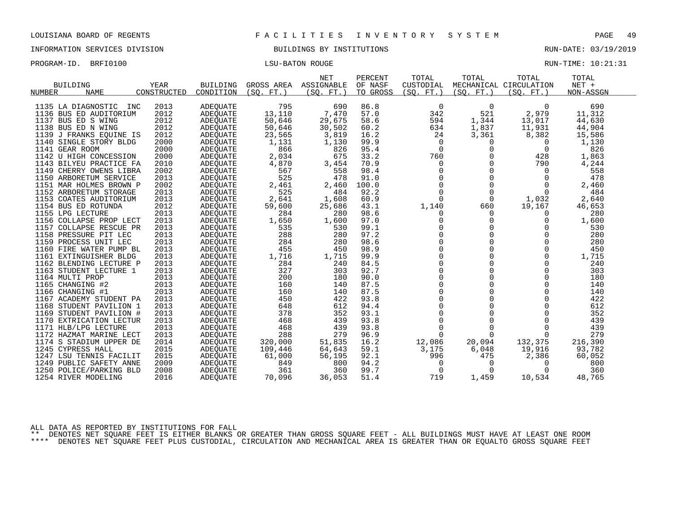INFORMATION SERVICES DIVISION BUILDINGS BY INSTITUTIONS RUN-DATE: 03/19/2019

| PROGRAM-ID. BRFI0100 | <b>LSU-BATON ROUGE</b> | RUN-TIME: 10:21:31 |  |
|----------------------|------------------------|--------------------|--|
|                      |                        |                    |  |

|                         |             |                 |            | <b>NET</b> | PERCENT  | TOTAL        | TOTAL       | TOTAL                  | TOTAL     |
|-------------------------|-------------|-----------------|------------|------------|----------|--------------|-------------|------------------------|-----------|
| <b>BUILDING</b>         | <b>YEAR</b> | <b>BUILDING</b> | GROSS AREA | ASSIGNABLE | OF NASF  | CUSTODIAL    |             | MECHANICAL CIRCULATION | NET +     |
| <b>NAME</b><br>NUMBER   | CONSTRUCTED | CONDITION       | (SO, FT.)  | (SO, FT.)  | TO GROSS | (SO. FT. )   | (SO. FT. )  | (SO. FT. )             | NON-ASSGN |
|                         |             |                 |            |            |          |              |             |                        |           |
| 1135 LA DIAGNOSTIC INC  | 2013        | <b>ADEQUATE</b> | 795        | 690        | 86.8     | 0            | $\mathbf 0$ | $\Omega$               | 690       |
| 1136 BUS ED AUDITORIUM  | 2012        | ADEOUATE        | 13,110     | 7,470      | 57.0     | 342          | 521         | 2,979                  | 11,312    |
| 1137 BUS ED S WING      | 2012        | <b>ADEQUATE</b> | 50,646     | 29,675     | 58.6     | 594          | 1,344       | 13,017                 | 44,630    |
| 1138 BUS ED N WING      | 2012        | <b>ADEOUATE</b> | 50,646     | 30,502     | 60.2     | 634          | 1,837       | 11,931                 | 44,904    |
| 1139 J FRANKS EQUINE IS | 2012        | ADEOUATE        | 23,565     | 3,819      | 16.2     | 24           | 3,361       | 8,382                  | 15,586    |
| 1140 SINGLE STORY BLDG  | 2000        | ADEQUATE        | 1,131      | 1,130      | 99.9     | 0            | 0           | $\Omega$               | 1,130     |
| 1141 GEAR ROOM          | 2000        | ADEOUATE        | 866        | 826        | 95.4     | $\Omega$     | $\Omega$    | $\Omega$               | 826       |
| 1142 U HIGH CONCESSION  | 2000        | ADEOUATE        | 2,034      | 675        | 33.2     | 760          | $\mathbf 0$ | 428                    | 1,863     |
| 1143 BILYEU PRACTICE FA | 2010        | ADEOUATE        | 4,870      | 3,454      | 70.9     | $\mathbf 0$  | $\Omega$    | 790                    | 4,244     |
| 1149 CHERRY OWENS LIBRA | 2002        | ADEOUATE        | 567        | 558        | 98.4     | $\mathbf 0$  | 0           | $\Omega$               | 558       |
| 1150 ARBORETUM SERVICE  | 2013        | ADEQUATE        | 525        | 478        | 91.0     | $\Omega$     | $\Omega$    | $\Omega$               | 478       |
| 1151 MAR HOLMES BROWN P | 2002        | ADEQUATE        | 2,461      | 2,460      | 100.0    | $\mathsf{O}$ | $\mathbf 0$ | $\Omega$               | 2,460     |
| 1152 ARBORETUM STORAGE  | 2013        | ADEQUATE        | 525        | 484        | 92.2     | $\Omega$     | $\Omega$    | $\Omega$               | 484       |
| 1153 COATES AUDITORIUM  | 2013        | ADEQUATE        | 2,641      | 1,608      | 60.9     | $\Omega$     | $\Omega$    | 1,032                  | 2,640     |
| 1154 BUS ED ROTUNDA     | 2012        | ADEQUATE        | 59,600     | 25,686     | 43.1     | 1,140        | 660         | 19,167                 | 46,653    |
| 1155 LPG LECTURE        | 2013        | ADEOUATE        | 284        | 280        | 98.6     | 0            | 0           | 0                      | 280       |
| 1156 COLLAPSE PROP LECT | 2013        | ADEQUATE        | 1,650      | 1,600      | 97.0     | $\Omega$     | $\Omega$    | $\Omega$               | 1,600     |
| 1157 COLLAPSE RESCUE PR | 2013        | ADEQUATE        | 535        | 530        | 99.1     | $\Omega$     | $\Omega$    | 0                      | 530       |
| 1158 PRESSURE PIT LEC   | 2013        | <b>ADEOUATE</b> | 288        | 280        | 97.2     | $\Omega$     | $\Omega$    | $\Omega$               | 280       |
| 1159 PROCESS UNIT LEC   | 2013        | ADEOUATE        | 284        | 280        | 98.6     | $\Omega$     | $\Omega$    | $\Omega$               | 280       |
| 1160 FIRE WATER PUMP BL | 2013        | ADEQUATE        | 455        | 450        | 98.9     | $\Omega$     | $\Omega$    | $\Omega$               | 450       |
| 1161 EXTINGUISHER BLDG  | 2013        | ADEOUATE        | 1,716      | 1,715      | 99.9     | $\Omega$     | $\Omega$    | $\Omega$               | 1,715     |
| 1162 BLENDING LECTURE P | 2013        | ADEOUATE        | 284        | 240        | 84.5     | $\mathbf 0$  | $\mathbf 0$ | 0                      | 240       |
| 1163 STUDENT LECTURE 1  | 2013        | ADEQUATE        | 327        | 303        | 92.7     | $\mathbf 0$  | $\Omega$    | 0                      | 303       |
| 1164 MULTI PROP         | 2013        | ADEOUATE        | 200        | 180        | 90.0     | $\mathbf 0$  | 0           | $\Omega$               | 180       |
| 1165 CHANGING #2        | 2013        | ADEQUATE        | 160        | 140        | 87.5     | $\Omega$     | $\Omega$    | $\Omega$               | 140       |
| 1166 CHANGING #1        | 2013        | ADEQUATE        | 160        | 140        | 87.5     | $\mathbf 0$  | $\Omega$    | $\Omega$               | 140       |
| 1167 ACADEMY STUDENT PA | 2013        | ADEQUATE        | 450        | 422        | 93.8     | $\mathbf 0$  | $\Omega$    | $\Omega$               | 422       |
| 1168 STUDENT PAVILION 1 | 2013        | ADEOUATE        | 648        | 612        | 94.4     | $\Omega$     | $\Omega$    | $\Omega$               | 612       |
| 1169 STUDENT PAVILION # | 2013        | ADEQUATE        | 378        | 352        | 93.1     | $\Omega$     | $\Omega$    | $\Omega$               | 352       |
| 1170 EXTRICATION LECTUR | 2013        | <b>ADEOUATE</b> | 468        | 439        | 93.8     | $\mathbf 0$  | $\Omega$    | 0                      | 439       |
| 1171 HLB/LPG LECTURE    | 2013        | ADEQUATE        | 468        | 439        | 93.8     | $\Omega$     | $\Omega$    | $\Omega$               | 439       |
| 1172 HAZMAT MARINE LECT | 2013        | ADEQUATE        | 288        | 279        | 96.9     | $\Omega$     | $\Omega$    | $\Omega$               | 279       |
| 1174 S STADIUM UPPER DE | 2014        | ADEOUATE        | 320,000    | 51,835     | 16.2     | 12,086       | 20,094      | 132,375                | 216,390   |
| 1245 CYPRESS HALL       | 2015        | ADEQUATE        | 109,446    | 64,643     | 59.1     | 3,175        | 6,048       | 19,916                 | 93,782    |
| 1247 LSU TENNIS FACILIT | 2015        | ADEQUATE        | 61,000     | 56,195     | 92.1     | 996          | 475         | 2,386                  | 60,052    |
| 1249 PUBLIC SAFETY ANNE | 2009        | ADEOUATE        | 849        | 800        | 94.2     | 0            | 0           | $\Omega$               | 800       |
| 1250 POLICE/PARKING BLD | 2008        | ADEOUATE        | 361        | 360        | 99.7     | $\Omega$     | $\Omega$    | O                      | 360       |
| 1254 RIVER MODELING     | 2016        | ADEOUATE        | 70,096     | 36,053     | 51.4     | 719          | 1,459       | 10,534                 | 48,765    |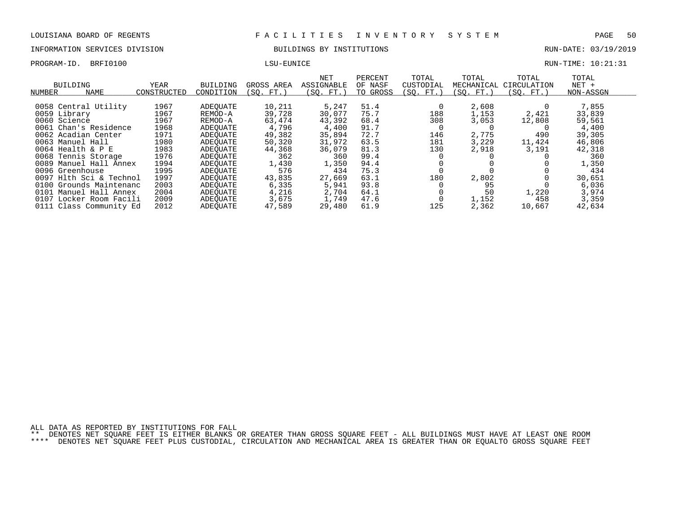## INFORMATION SERVICES DIVISION BUILDINGS BY INSTITUTIONS RUN-DATE: 03/19/2019

PROGRAM-ID. BRFI0100 CONTROL LEGISLATION CONTROLLER LOTE DESCRIPTION RUN-TIME: 10:21:31

| BUILDING<br>NAME<br>NUMBER | YEAR<br>CONSTRUCTED | BUILDING<br>CONDITION | GROSS AREA<br>(SO. FT.) | NET<br>ASSIGNABLE<br>(SO. FT. ) | PERCENT<br>OF NASF<br>TO GROSS | TOTAL<br>CUSTODIAL<br>(SO. FT.) | TOTAL<br>MECHANICAL<br>SO. FT. | TOTAL<br>CIRCULATION<br>(SO. FT.) | TOTAL<br>$NET +$<br>NON-ASSGN |  |
|----------------------------|---------------------|-----------------------|-------------------------|---------------------------------|--------------------------------|---------------------------------|--------------------------------|-----------------------------------|-------------------------------|--|
|                            |                     |                       |                         |                                 |                                |                                 |                                |                                   |                               |  |
| 0058 Central Utility       | 1967                | ADEOUATE              | 10,211                  | 5,247                           | 51.4                           |                                 | 2,608                          |                                   | 7,855                         |  |
| 0059 Library               | 1967                | REMOD-A               | 39,728                  | 30,077                          | 75.7                           | 188                             | 1,153                          | 2,421                             | 33,839                        |  |
| 0060 Science               | 1967                | REMOD-A               | 63,474                  | 43,392                          | 68.4                           | 308                             | 3,053                          | 12,808                            | 59,561                        |  |
| 0061 Chan's Residence      | 1968                | ADEOUATE              | 4,796                   | 4,400                           | 91.7                           |                                 |                                |                                   | 4,400                         |  |
| 0062 Acadian Center        | 1971                | ADEOUATE              | 49,382                  | 35,894                          | 72.7                           | 146                             | 2,775                          | 490                               | 39,305                        |  |
| 0063 Manuel Hall           | 1980                | ADEOUATE              | 50,320                  | 31,972                          | 63.5                           | 181                             | 3,229                          | 11,424                            | 46,806                        |  |
| 0064 Health & P E          | 1983                | ADEOUATE              | 44,368                  | 36,079                          | 81.3                           | 130                             | 2,918                          | 3,191                             | 42,318                        |  |
| 0068 Tennis Storage        | 1976                | ADEOUATE              | 362                     | 360                             | 99.4                           |                                 |                                |                                   | 360                           |  |
| 0089 Manuel Hall Annex     | 1994                | ADEOUATE              | 1,430                   | 1,350                           | 94.4                           |                                 |                                |                                   | 1,350                         |  |
| 0096 Greenhouse            | 1995                | ADEOUATE              | 576                     | 434                             | 75.3                           |                                 |                                |                                   | 434                           |  |
| 0097 Hlth Sci & Technol    | 1997                | ADEOUATE              | 43,835                  | 27,669                          | 63.1                           | 180                             | 2,802                          |                                   | 30,651                        |  |
| 0100 Grounds Maintenanc    | 2003                | ADEOUATE              | 6,335                   | 5,941                           | 93.8                           |                                 | 95                             |                                   | 6,036                         |  |
| 0101 Manuel Hall Annex     | 2004                | ADEOUATE              | 4,216                   | 2,704                           | 64.1                           |                                 | 50                             | 1,220                             | 3,974                         |  |
| 0107 Locker Room Facili    | 2009                | ADEOUATE              | 3,675                   | 1,749                           | 47.6                           |                                 | 1,152                          | 458                               | 3,359                         |  |
| 0111 Class Community Ed    | 2012                | ADEOUATE              | 47,589                  | 29,480                          | 61.9                           | 125                             | 2,362                          | 10,667                            | 42,634                        |  |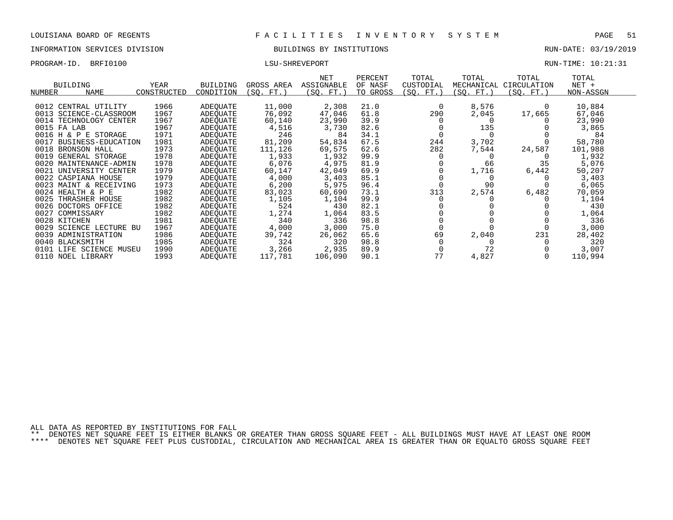## INFORMATION SERVICES DIVISION BUILDINGS BY INSTITUTIONS RUN-DATE: 03/19/2019

PROGRAM-ID. BRFI0100 CONTEXTS AND LATER LOTE THAT A LOTE THAT HE RUN-TIME: 10:21:31

|                              |             |                 |            | <b>NET</b> | PERCENT  | TOTAL     | TOTAL      | TOTAL       | TOTAL     |  |
|------------------------------|-------------|-----------------|------------|------------|----------|-----------|------------|-------------|-----------|--|
| <b>BUILDING</b>              | <b>YEAR</b> | <b>BUILDING</b> | GROSS AREA | ASSIGNABLE | OF NASF  | CUSTODIAL | MECHANICAL | CIRCULATION | $NET +$   |  |
| <b>NUMBER</b><br><b>NAME</b> | CONSTRUCTED | CONDITION       | (SQ. FT.)  | (SQ. FT.)  | TO GROSS | (SQ. FT.) | (SQ. FT.)  | (SQ. FT.)   | NON-ASSGN |  |
| 0012 CENTRAL UTILITY         | 1966        | ADEQUATE        | 11,000     | 2,308      | 21.0     | $\Omega$  | 8,576      |             | 10,884    |  |
| 0013 SCIENCE-CLASSROOM       | 1967        | ADEQUATE        | 76,092     | 47,046     | 61.8     | 290       | 2,045      | 17,665      | 67,046    |  |
| 0014 TECHNOLOGY CENTER       | 1967        | ADEQUATE        | 60,140     | 23,990     | 39.9     |           |            |             | 23,990    |  |
| 0015 FA LAB                  | 1967        | ADEOUATE        | 4,516      | 3,730      | 82.6     |           | 135        |             | 3,865     |  |
| 0016 H & P E STORAGE         | 1971        | ADEOUATE        | 246        | 84         | 34.1     | 0         |            |             | 84        |  |
| 0017<br>BUSINESS-EDUCATION   | 1981        | ADEQUATE        | 81,209     | 54,834     | 67.5     | 244       | 3,702      |             | 58,780    |  |
| 0018 BRONSON HALL            | 1973        | ADEOUATE        | 111,126    | 69,575     | 62.6     | 282       | 7,544      | 24,587      | 101,988   |  |
| 0019 GENERAL STORAGE         | 1978        | ADEQUATE        | 1,933      | 1,932      | 99.9     |           |            |             | 1,932     |  |
| 0020 MAINTENANCE-ADMIN       | 1978        | ADEQUATE        | 6,076      | 4,975      | 81.9     |           | 66         | 35          | 5,076     |  |
| 0021 UNIVERSITY CENTER       | 1979        | ADEQUATE        | 60,147     | 42,049     | 69.9     |           | 1,716      | 6,442       | 50,207    |  |
| 0022 CASPIANA HOUSE          | 1979        | ADEOUATE        | 4,000      | 3,403      | 85.1     |           |            |             | 3,403     |  |
| 0023 MAINT & RECEIVING       | 1973        | ADEOUATE        | 6,200      | 5,975      | 96.4     |           | 90         |             | 6,065     |  |
| 0024 HEALTH & P E            | 1982        | ADEOUATE        | 83,023     | 60,690     | 73.1     | 313       | 2,574      | 6,482       | 70,059    |  |
| 0025 THRASHER HOUSE          | 1982        | ADEOUATE        | 1,105      | 1,104      | 99.9     |           |            |             | 1,104     |  |
| 0026 DOCTORS OFFICE          | 1982        | ADEQUATE        | 524        | 430        | 82.1     |           |            |             | 430       |  |
| 0027 COMMISSARY              | 1982        | ADEQUATE        | 1,274      | 1,064      | 83.5     |           |            |             | 1,064     |  |
| 0028 KITCHEN                 | 1981        | ADEOUATE        | 340        | 336        | 98.8     |           |            |             | 336       |  |
| 0029 SCIENCE LECTURE BU      | 1967        | ADEOUATE        | 4,000      | 3,000      | 75.0     |           |            |             | 3,000     |  |
| 0039 ADMINISTRATION          | 1986        | ADEOUATE        | 39,742     | 26,062     | 65.6     | 69        | 2,040      | 231         | 28,402    |  |
| 0040 BLACKSMITH              | 1985        | ADEOUATE        | 324        | 320        | 98.8     |           |            |             | 320       |  |
| 0101 LIFE SCIENCE MUSEU      | 1990        | ADEOUATE        | 3,266      | 2,935      | 89.9     |           | 72         |             | 3,007     |  |
| 0110 NOEL LIBRARY            | 1993        | ADEQUATE        | 117,781    | 106,090    | 90.1     | 77        | 4,827      |             | 110,994   |  |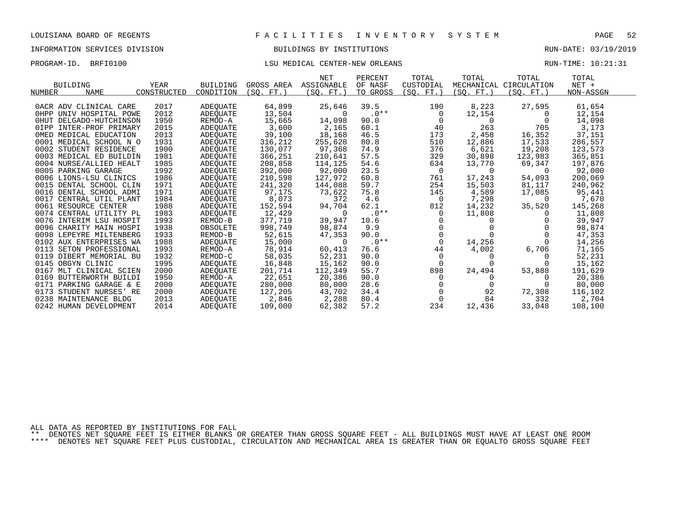# INFORMATION SERVICES DIVISION BUILDINGS BY INSTITUTIONS RUN-DATE: 03/19/2019

## PROGRAM-ID. BRFI0100 CONTER-NEW CONTER-NEW ORLEANS RUN-TIME: 10:21:31

|                            |             |                 |            | <b>NET</b> | PERCENT  | TOTAL       | TOTAL     | TOTAL                  | TOTAL     |
|----------------------------|-------------|-----------------|------------|------------|----------|-------------|-----------|------------------------|-----------|
| <b>BUILDING</b>            | YEAR        | BUILDING        | GROSS AREA | ASSIGNABLE | OF NASF  | CUSTODIAL   |           | MECHANICAL CIRCULATION | $NET +$   |
| NAME<br>NUMBER             | CONSTRUCTED | CONDITION       | (SQ. FT.)  | (SO. FT.)  | TO GROSS | (SO. FT.)   | (SO. FT.) | (SO. FT.)              | NON-ASSGN |
|                            |             |                 |            |            |          |             |           |                        |           |
| OACR ADV CLINICAL CARE     | 2017        | ADEQUATE        | 64,899     | 25,646     | 39.5     | 190         | 8,223     | 27,595                 | 61,654    |
| OHPP UNIV HOSPITAL POWE    | 2012        | ADEQUATE        | 13,504     | $\Omega$   | $.0**$   | 0           | 12,154    | $\Omega$               | 12,154    |
| OHUT DELGADO-HUTCHINSON    | 1950        | REMOD-A         | 15,665     | 14,098     | 90.0     | $\mathbf 0$ | 0         |                        | 14,098    |
| OIPP INTER-PROF PRIMARY    | 2015        | ADEOUATE        | 3,600      | 2,165      | 60.1     | 40          | 263       | 705                    | 3,173     |
| OMED MEDICAL EDUCATION     | 2013        | ADEQUATE        | 39,100     | 18,168     | 46.5     | 173         | 2,458     | 16,352                 | 37,151    |
| 0001 MEDICAL SCHOOL N O    | 1931        | ADEQUATE        | 316,212    | 255,628    | 80.8     | 510         | 12,886    | 17,533                 | 286,557   |
| 0002 STUDENT RESIDENCE     | 1900        | ADEQUATE        | 130,077    | 97,368     | 74.9     | 376         | 6,621     | 19,208                 | 123,573   |
| 0003 MEDICAL ED BUILDIN    | 1981        | ADEQUATE        | 366,251    | 210,641    | 57.5     | 329         | 30,898    | 123,983                | 365,851   |
| 0004 NURSE/ALLIED HEALT    | 1985        | ADEOUATE        | 208,858    | 114,125    | 54.6     | 634         | 13,770    | 69,347                 | 197,876   |
| 0005 PARKING GARAGE        | 1992        | ADEQUATE        | 392,000    | 92,000     | 23.5     | 0           | $\Omega$  | $\Omega$               | 92,000    |
| 0006 LIONS-LSU CLINICS     | 1986        | ADEQUATE        | 210,598    | 127,972    | 60.8     | 761         | 17,243    | 54,093                 | 200,069   |
| 0015 DENTAL SCHOOL CLIN    | 1971        | ADEQUATE        | 241,320    | 144,088    | 59.7     | 254         | 15,503    | 81,117                 | 240,962   |
| 0016 DENTAL SCHOOL ADMI    | 1971        | ADEOUATE        | 97,175     | 73,622     | 75.8     | 145         | 4,589     | 17,085                 | 95,441    |
| 0017 CENTRAL UTIL PLANT    | 1984        | ADEQUATE        | 8,073      | 372        | 4.6      | 0           | 7,298     | 0                      | 7,670     |
| 0061 RESOURCE CENTER       | 1988        | <b>ADEOUATE</b> | 152,594    | 94,704     | 62.1     | 812         | 14,232    | 35,520                 | 145,268   |
| 0074 CENTRAL UTILITY PL    | 1983        | ADEQUATE        | 12,429     | $\Omega$   | $.0**$   | $\Omega$    | 11,808    |                        | 11,808    |
| 0076 INTERIM LSU HOSPIT    | 1993        | REMOD-B         | 377.719    | 39,947     | 10.6     |             | $\Omega$  |                        | 39,947    |
| 0096 CHARITY MAIN HOSPI    | 1938        | OBSOLETE        | 998,749    | 98,874     | 9.9      |             |           |                        | 98,874    |
| 0098 LEPEYRE MILTENBERG    | 1933        | REMOD-B         | 52,615     | 47,353     | 90.0     | $\mathbf 0$ |           |                        | 47,353    |
| 0102 AUX ENTERPRISES WA    | 1988        | ADEQUATE        | 15,000     | $\Omega$   | $.0**$   | $\Omega$    | 14,256    |                        | 14,256    |
| 0113 SETON PROFESSIONAL    | 1993        | REMOD-A         | 78,914     | 60,413     | 76.6     | 44          | 4,002     | 6,706                  | 71,165    |
| 0119 DIBERT MEMORIAL BU    | 1932        | REMOD-C         | 58,035     | 52,231     | 90.0     | 0           | 0         |                        | 52,231    |
| 0145 OBGYN CLINIC          | 1995        | ADEQUATE        | 16,848     | 15,162     | 90.0     | 0           | $\Omega$  |                        | 15,162    |
| 0167 MLT CLINICAL SCIEN    | 2000        | ADEQUATE        | 201,714    | 112,349    | 55.7     | 898         | 24,494    | 53,888                 | 191,629   |
| 0169 BUTTERWORTH BUILDI    | 1950        | REMOD-A         | 22,651     | 20,386     | 90.0     | $\Omega$    | 0         |                        | 20,386    |
| 0171 PARKING GARAGE & E    | 2000        | ADEQUATE        | 280,000    | 80,000     | 28.6     |             |           |                        | 80,000    |
| 0173<br>STUDENT NURSES' RE | 2000        | ADEQUATE        | 127,205    | 43,702     | 34.4     | $\mathbf 0$ | 92        | 72,308                 | 116,102   |
| 0238 MAINTENANCE BLDG      | 2013        | ADEQUATE        | 2,846      | 2,288      | 80.4     | $\mathbf 0$ | 84        | 332                    | 2,704     |
| 0242 HUMAN DEVELOPMENT     | 2014        | ADEQUATE        | 109,000    | 62,382     | 57.2     | 234         | 12,436    | 33,048                 | 108,100   |

ALL DATA AS REPORTED BY INSTITUTIONS FOR FALL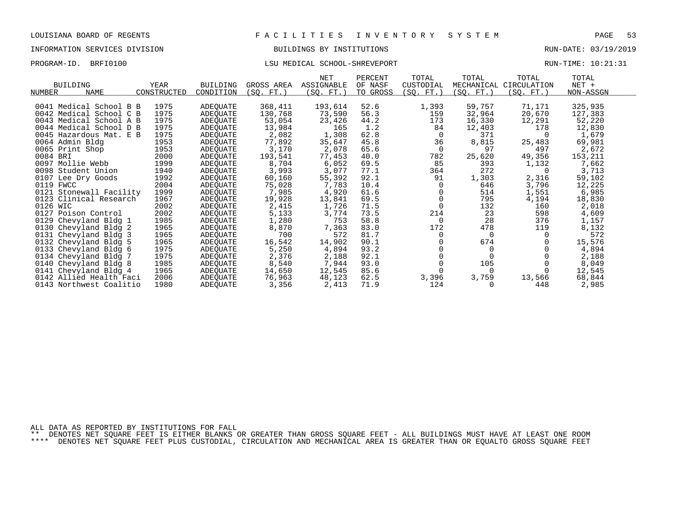# INFORMATION SERVICES DIVISION BUILDINGS BY INSTITUTIONS RUN-DATE: 03/19/2019

# PROGRAM-ID. BRFI0100 CONTENTION CONTENTION CONTENTS IN THE LOST RUN-TIME: 10:21:31

|                          |             |                      |            | <b>NET</b> | PERCENT      | TOTAL     | TOTAL      | TOTAL                  | TOTAL     |  |
|--------------------------|-------------|----------------------|------------|------------|--------------|-----------|------------|------------------------|-----------|--|
| <b>BUILDING</b>          | <b>YEAR</b> | <b>BUILDING</b>      | GROSS AREA | ASSIGNABLE | OF NASF      | CUSTODIAL |            | MECHANICAL CIRCULATION | NET +     |  |
| NUMBER<br><b>NAME</b>    | CONSTRUCTED | CONDITION            | (SO. FT. ) | (SO. FT.)  | TO GROSS     | (SO. FT.) | (SO. FT. ) | (SO. FT.)              | NON-ASSGN |  |
| 0041 Medical School B B  | 1975        | ADEQUATE             | 368,411    | 193,614    | 52.6         | 1,393     | 59,757     | 71,171                 | 325,935   |  |
| 0042 Medical School C B  | 1975        | ADEOUATE             | 130,768    | 73,590     | 56.3         | 159       | 32,964     | 20,670                 | 127,383   |  |
| 0043 Medical School A B  | 1975        | ADEQUATE             | 53,054     | 23,426     | 44.2         | 173       | 16,330     | 12,291                 | 52,220    |  |
| 0044 Medical School D B  | 1975        | ADEQUATE             | 13,984     | 165        | 1.2          | 84        | 12,403     | 178                    | 12,830    |  |
| 0045 Hazardous Mat. E B  | 1975        |                      | 2,082      | 1,308      | 62.8         | 0         | 371        |                        | 1,679     |  |
| 0064 Admin Bldg          | 1953        | ADEQUATE<br>ADEQUATE | 77,892     | 35,647     | 45.8         | 36        | 8,815      | 25,483                 | 69,981    |  |
| 0065 Print Shop          | 1953        |                      | 3,170      | 2,078      | 65.6         | 0         | 97         | 497                    | 2,672     |  |
| 0084 BRI                 | 2000        | ADEQUATE             | 193,541    | 77,453     | 40.0         | 782       |            | 49,356                 | 153,211   |  |
|                          |             | ADEQUATE             |            |            |              |           | 25,620     |                        |           |  |
| 0097 Mollie Webb         | 1999        | ADEQUATE             | 8,704      | 6,052      | 69.5<br>77.1 | 85        | 393<br>272 | 1,132                  | 7,662     |  |
| 0098 Student Union       | 1940        | ADEQUATE             | 3,993      | 3,077      |              | 364       |            | 0                      | 3,713     |  |
| 0107 Lee Dry Goods       | 1992        | ADEQUATE             | 60,160     | 55,392     | 92.1         | 91        | 1,303      | 2,316                  | 59,102    |  |
| 0119 FWCC                | 2004        | ADEOUATE             | 75,028     | 7,783      | 10.4         |           | 646        | 3,796                  | 12,225    |  |
| 0121 Stonewall Facility  | 1999        | ADEQUATE             | 7,985      | 4,920      | 61.6         |           | 514        | 1,551                  | 6,985     |  |
| 0123 Clinical Research   | 1967        | ADEQUATE             | 19,928     | 13,841     | 69.5         |           | 795        | 4,194                  | 18,830    |  |
| 0126 WIC                 | 2002        | ADEQUATE             | 2,415      | 1,726      | 71.5         |           | 132        | 160                    | 2,018     |  |
| 0127 Poison Control      | 2002        | ADEQUATE             | 5,133      | 3,774      | 73.5         | 214       | 23         | 598                    | 4,609     |  |
| 0129<br>Chevyland Bldg 1 | 1985        | ADEQUATE             | 1,280      | 753        | 58.8         | $\Omega$  | 28         | 376                    | 1,157     |  |
| 0130 Chevyland Bldg 2    | 1965        | ADEQUATE             | 8,870      | 7,363      | 83.0         | 172       | 478        | 119                    | 8,132     |  |
| 0131 Chevyland Bldg 3    | 1965        | ADEQUATE             | 700        | 572        | 81.7         | $\Omega$  | $\Omega$   | $\Omega$               | 572       |  |
| 0132 Chevyland Bldg 5    | 1965        | ADEQUATE             | 16,542     | 14,902     | 90.1         |           | 674        |                        | 15,576    |  |
| 0133 Chevyland Bldg 6    | 1975        | ADEQUATE             | 5,250      | 4,894      | 93.2         |           |            |                        | 4,894     |  |
| 0134 Chevyland Bldg 7    | 1975        | ADEOUATE             | 2,376      | 2,188      | 92.1         |           |            |                        | 2,188     |  |
| 0140 Chevyland Bldg 8    | 1985        | ADEOUATE             | 8,540      | 7,944      | 93.0         |           | 105        |                        | 8,049     |  |
| 0141 Chevyland Bldg 4    | 1965        | ADEQUATE             | 14,650     | 12,545     | 85.6         |           |            |                        | 12,545    |  |
| 0142 Allied Health Faci  | 2006        | ADEQUATE             | 76,963     | 48,123     | 62.5         | 3,396     | 3,759      | 13,566                 | 68,844    |  |
| 0143 Northwest Coalitio  | 1980        | ADEQUATE             | 3,356      | 2,413      | 71.9         | 124       |            | 448                    | 2,985     |  |

ALL DATA AS REPORTED BY INSTITUTIONS FOR FALL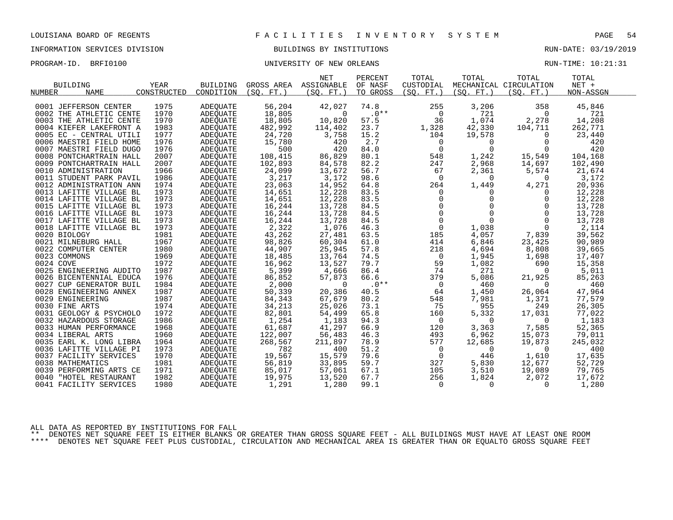# INFORMATION SERVICES DIVISION BUILDINGS BY INSTITUTIONS AND RUN-DATE: 03/19/2019

PROGRAM-ID. BRFI0100 CONTROLLER UNIVERSITY OF NEW ORLEANS CONTROLLER BUN-TIME: 10:21:31

| <b>BUILDING</b><br><b>NAME</b><br>NUMBER                                                                                                                                                                                             | <b>YEAR</b><br>CONSTRUCTED                                           | <b>BUILDING</b><br>CONDITION                                                                             | GROSS AREA<br>(SO, FT.)                                                              | <b>NET</b><br>ASSIGNABLE<br>(SO. FT. )                                               | PERCENT<br>OF NASF<br>TO GROSS                                       | TOTAL<br>CUSTODIAL<br>(SO. FT. )            | TOTAL<br>(SO. FT. )                                                                                                                                                 | TOTAL<br>MECHANICAL CIRCULATION<br>(SO, FT.)                                                                  | TOTAL<br>$NET +$<br>NON-ASSGN                                                        |
|--------------------------------------------------------------------------------------------------------------------------------------------------------------------------------------------------------------------------------------|----------------------------------------------------------------------|----------------------------------------------------------------------------------------------------------|--------------------------------------------------------------------------------------|--------------------------------------------------------------------------------------|----------------------------------------------------------------------|---------------------------------------------|---------------------------------------------------------------------------------------------------------------------------------------------------------------------|---------------------------------------------------------------------------------------------------------------|--------------------------------------------------------------------------------------|
| 0001 JEFFERSON CENTER                                                                                                                                                                                                                | 1975                                                                 | <b>ADEQUATE</b>                                                                                          | 56,204                                                                               | 42,027                                                                               | 74.8                                                                 | 255                                         | 3,206                                                                                                                                                               | 358                                                                                                           | 45,846                                                                               |
| 0002 THE ATHLETIC CENTE                                                                                                                                                                                                              | 1970                                                                 | ADEOUATE                                                                                                 | 18,805                                                                               | $\mathbf 0$                                                                          | $.0***$                                                              | $\overline{0}$                              | 721                                                                                                                                                                 | $\overline{0}$                                                                                                | 721                                                                                  |
| 0003 THE ATHLETIC CENTE                                                                                                                                                                                                              | 1970                                                                 | ADEQUATE                                                                                                 | 18,805                                                                               | 10,820                                                                               | 57.5                                                                 | 36                                          | 1,074                                                                                                                                                               | 2,278                                                                                                         | 14,208                                                                               |
| 0004 KIEFER LAKEFRONT A                                                                                                                                                                                                              | 1983                                                                 | ADEQUATE                                                                                                 | 482,992                                                                              | 114,402                                                                              | 23.7                                                                 | 1,328                                       | 42,330                                                                                                                                                              | 104,711                                                                                                       | 262,771                                                                              |
| 0005 EC - CENTRAL UTILI                                                                                                                                                                                                              | 1977                                                                 | ADEQUATE                                                                                                 | 24,720                                                                               | 3,758                                                                                | 15.2                                                                 | 104                                         | 19,578                                                                                                                                                              | $\mathbf{0}$                                                                                                  | 23,440                                                                               |
| 0006 MAESTRI FIELD HOME                                                                                                                                                                                                              | 1976                                                                 | ADEQUATE                                                                                                 | 15,780                                                                               | 420                                                                                  | 2.7                                                                  | $\mathbf 0$                                 | $\overline{0}$                                                                                                                                                      | $\mathbf 0$                                                                                                   | 420                                                                                  |
| 0007 MAESTRI FIELD DUGO                                                                                                                                                                                                              | 1976                                                                 | ADEOUATE                                                                                                 | 500                                                                                  | 420                                                                                  | 84.0                                                                 | $\mathbf 0$                                 | $\Omega$                                                                                                                                                            | $\Omega$                                                                                                      | 420                                                                                  |
| 0008 PONTCHARTRAIN HALL                                                                                                                                                                                                              | 2007                                                                 | ADEQUATE                                                                                                 | 108,415                                                                              | 86,829                                                                               | 80.1                                                                 | 548                                         | 1,242                                                                                                                                                               | 15,549                                                                                                        | 104,168                                                                              |
| 0009 PONTCHARTRAIN HALL                                                                                                                                                                                                              | 2007                                                                 | ADEQUATE                                                                                                 | 102,893                                                                              | 84,578                                                                               | 82.2                                                                 | 247                                         | 2,968                                                                                                                                                               | 14,697                                                                                                        | 102,490                                                                              |
| 0010 ADMINISTRATION                                                                                                                                                                                                                  | 1966                                                                 | ADEQUATE                                                                                                 | 24,099                                                                               | 13,672                                                                               | 56.7                                                                 | 67                                          | 2,361                                                                                                                                                               | 5,574                                                                                                         | 21,674                                                                               |
| 0011 STUDENT PARK PAVIL<br>0012 ADMINISTRATION ANN<br>0013 LAFITTE VILLAGE BL<br>0014 LAFITTE VILLAGE BL<br>0015 LAFITTE VILLAGE BL<br>0016 LAFITTE VILLAGE BL<br>0017 LAFITTE VILLAGE BL<br>0018 LAFITTE VILLAGE BL<br>0020 BIOLOGY | 1986<br>1974<br>1973<br>1973<br>1973<br>1973<br>1973<br>1973<br>1981 | ADEQUATE<br>ADEQUATE<br>ADEQUATE<br>ADEQUATE<br>ADEOUATE<br>ADEOUATE<br>ADEQUATE<br>ADEQUATE<br>ADEQUATE | 3,217<br>23,063<br>14,651<br>14,651<br>16,244<br>16,244<br>16,244<br>2,322<br>43,262 | 3,172<br>14,952<br>12,228<br>12,228<br>13,728<br>13,728<br>13,728<br>1,076<br>27,481 | 98.6<br>64.8<br>83.5<br>83.5<br>84.5<br>84.5<br>84.5<br>46.3<br>63.5 | $\mathbf 0$<br>264<br>$\overline{0}$<br>185 | $\mathbf 0$<br>1,449<br>$\Omega$<br>$\begin{array}{c} 0 \\ 0 \\ 0 \\ 0 \end{array}$<br>$\mathsf{O}$<br>$\mathbf{0}$<br>$\Omega$<br>$\overline{0}$<br>1,038<br>4,057 | $\overline{0}$<br>4,271<br>$\Omega$<br>$\mathbf 0$<br>0<br>$\Omega$<br>$\mathbf 0$<br>$\overline{0}$<br>7,839 | 3,172<br>20,936<br>12,228<br>12,228<br>13,728<br>13,728<br>13,728<br>2,114<br>39,562 |
| 0021 MILNEBURG HALL                                                                                                                                                                                                                  | 1967                                                                 | ADEOUATE                                                                                                 | 98,826                                                                               | 60,304                                                                               | 61.0                                                                 | 414                                         | 6,846                                                                                                                                                               | 23,425                                                                                                        | 90,989                                                                               |
| 0022 COMPUTER CENTER                                                                                                                                                                                                                 | 1980                                                                 | ADEQUATE                                                                                                 | 44,907                                                                               | 25,945                                                                               | 57.8                                                                 | 218                                         | 4,694                                                                                                                                                               | 8,808                                                                                                         | 39,665                                                                               |
| 0023 COMMONS                                                                                                                                                                                                                         | 1969                                                                 | ADEQUATE                                                                                                 | 18,485                                                                               | 13,764                                                                               | 74.5                                                                 | $\overline{0}$                              | 1,945                                                                                                                                                               | 1,698                                                                                                         | 17,407                                                                               |
| 0024 COVE                                                                                                                                                                                                                            | 1972                                                                 | ADEQUATE                                                                                                 | 16,962                                                                               | 13,527                                                                               | 79.7                                                                 | 59                                          | 1,082                                                                                                                                                               | 690                                                                                                           | 15,358                                                                               |
| 0025 ENGINEERING AUDITO                                                                                                                                                                                                              | 1987                                                                 | <b>ADEOUATE</b>                                                                                          | 5,399                                                                                | 4,666                                                                                | 86.4                                                                 | 74                                          | 271                                                                                                                                                                 | $\overline{0}$                                                                                                | 5,011                                                                                |
| 0026 BICENTENNIAL EDUCA                                                                                                                                                                                                              | 1976                                                                 | ADEQUATE                                                                                                 | 86,852                                                                               | 57,873                                                                               | 66.6                                                                 | 379                                         | 5,086                                                                                                                                                               | 21,925                                                                                                        | 85,263                                                                               |
| 0027 CUP GENERATOR BUIL                                                                                                                                                                                                              | 1984                                                                 | ADEQUATE                                                                                                 | 2,000                                                                                | $\mathbf 0$                                                                          | $.0***$                                                              | $\mathsf{O}$                                | 460                                                                                                                                                                 | $\mathbf 0$                                                                                                   | 460                                                                                  |
| 0028 ENGINEERING ANNEX                                                                                                                                                                                                               | 1987                                                                 | ADEQUATE                                                                                                 | 50,339                                                                               | 20,386                                                                               | 40.5                                                                 | 64                                          | 1,450                                                                                                                                                               | 26,064                                                                                                        | 47,964                                                                               |
| 0029 ENGINEERING                                                                                                                                                                                                                     | 1987                                                                 | ADEQUATE                                                                                                 | 84,343                                                                               | 67,679                                                                               | 80.2                                                                 | 548                                         | 7,981                                                                                                                                                               | 1,371                                                                                                         | 77,579                                                                               |
| 0030 FINE ARTS                                                                                                                                                                                                                       | 1974                                                                 | ADEOUATE                                                                                                 | 34,213                                                                               | 25,026                                                                               | 73.1                                                                 | 75                                          | 955                                                                                                                                                                 | 249                                                                                                           | 26,305                                                                               |
| 0031 GEOLOGY & PSYCHOLO                                                                                                                                                                                                              | 1972                                                                 | ADEQUATE                                                                                                 | 82,801                                                                               | 54,499                                                                               | 65.8                                                                 | 160                                         | 5,332                                                                                                                                                               | 17,031                                                                                                        | 77,022                                                                               |
| 0032 HAZARDOUS STORAGE                                                                                                                                                                                                               | 1986                                                                 | ADEQUATE                                                                                                 | 1,254                                                                                | 1,183                                                                                | 94.3                                                                 | $\overline{0}$                              | $\overline{0}$                                                                                                                                                      | $\overline{0}$                                                                                                | 1,183                                                                                |
| 0033 HUMAN PERFORMANCE                                                                                                                                                                                                               | 1968                                                                 | ADEQUATE                                                                                                 | 61,687                                                                               | 41,297                                                                               | 66.9                                                                 | 120                                         | 3,363                                                                                                                                                               | 7,585                                                                                                         | 52,365                                                                               |
| 0034 LIBERAL ARTS                                                                                                                                                                                                                    | 1960                                                                 | ADEQUATE                                                                                                 | 122,007                                                                              | 56,483                                                                               | 46.3                                                                 | 493                                         | 6,962                                                                                                                                                               | 15,073                                                                                                        | 79,011                                                                               |
| 0035 EARL K. LONG LIBRA                                                                                                                                                                                                              | 1964                                                                 | ADEOUATE                                                                                                 | 268,567                                                                              | 211,897                                                                              | 78.9                                                                 | 577                                         | 12,685                                                                                                                                                              | 19,873                                                                                                        | 245,032                                                                              |
| 0036 LAFITTE VILLAGE PI                                                                                                                                                                                                              | 1973                                                                 | ADEOUATE                                                                                                 | 782                                                                                  | 400                                                                                  | 51.2                                                                 | $\mathsf{O}$                                | $\overline{0}$                                                                                                                                                      | $\overline{0}$                                                                                                | 400                                                                                  |
| 0037 FACILITY SERVICES                                                                                                                                                                                                               | 1970                                                                 | ADEQUATE                                                                                                 | 19,567                                                                               | 15,579                                                                               | 79.6                                                                 | $\mathbf 0$                                 | 446                                                                                                                                                                 | 1,610                                                                                                         | 17,635                                                                               |
| 0038 MATHEMATICS                                                                                                                                                                                                                     | 1981                                                                 | ADEQUATE                                                                                                 | 56,819                                                                               | 33,895                                                                               | 59.7                                                                 | 327                                         | 5,830                                                                                                                                                               | 12,677                                                                                                        | 52,729                                                                               |
| 0039 PERFORMING ARTS CE                                                                                                                                                                                                              | 1971                                                                 | ADEQUATE                                                                                                 | 85,017                                                                               | 57,061                                                                               | 67.1                                                                 | 105                                         | 3,510                                                                                                                                                               | 19,089                                                                                                        | 79,765                                                                               |
| 0040 "HOTEL RESTAURANT                                                                                                                                                                                                               | 1982                                                                 | ADEOUATE                                                                                                 | 19,975                                                                               | 13,520                                                                               | 67.7                                                                 | 256                                         | 1,824                                                                                                                                                               | 2,072                                                                                                         | 17,672                                                                               |
| 0041 FACILITY SERVICES                                                                                                                                                                                                               | 1980                                                                 | ADEOUATE                                                                                                 | 1,291                                                                                | 1,280                                                                                | 99.1                                                                 | $\overline{0}$                              | $\mathbf 0$                                                                                                                                                         | $\overline{0}$                                                                                                | 1,280                                                                                |

ALL DATA AS REPORTED BY INSTITUTIONS FOR FALL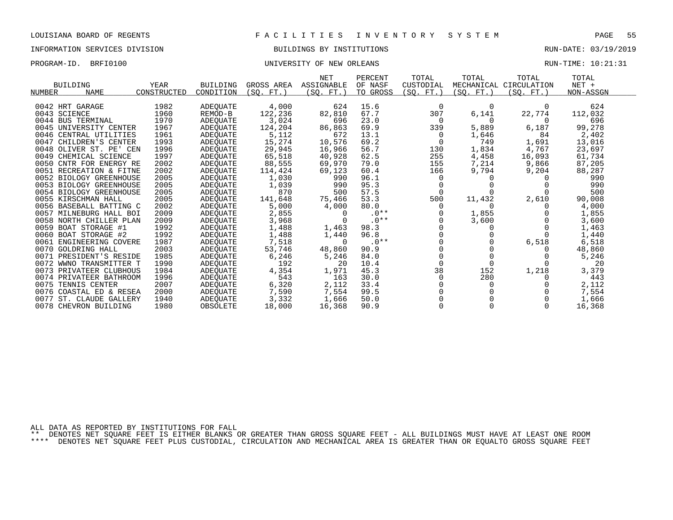# INFORMATION SERVICES DIVISION BUILDINGS BY INSTITUTIONS RUN-DATE: 03/19/2019

### PROGRAM-ID. BRFI0100 CONTROLLER UNIVERSITY OF NEW ORLEANS CONTROLLER BUN-TIME: 10:21:31

|                            |             |                 |            | NET         | PERCENT  | TOTAL     | TOTAL      | TOTAL       | TOTAL     |  |
|----------------------------|-------------|-----------------|------------|-------------|----------|-----------|------------|-------------|-----------|--|
| <b>BUILDING</b>            | YEAR        | <b>BUILDING</b> | GROSS AREA | ASSIGNABLE  | OF NASF  | CUSTODIAL | MECHANICAL | CIRCULATION | $NET +$   |  |
| <b>NAME</b><br>NUMBER      | CONSTRUCTED | CONDITION       | (SO. FT. ) | (SQ.<br>FT. | TO GROSS | (SQ. FT.) | (SQ. FT.)  | (SO. FT.)   | NON-ASSGN |  |
|                            |             |                 |            |             |          |           |            |             |           |  |
| 0042 HRT GARAGE            | 1982        | <b>ADEQUATE</b> | 4,000      | 624         | 15.6     | 0         | $\Omega$   | 0           | 624       |  |
| 0043 SCIENCE               | 1960        | REMOD-B         | 122,236    | 82,810      | 67.7     | 307       | 6,141      | 22,774      | 112,032   |  |
| 0044 BUS TERMINAL          | 1970        | ADEOUATE        | 3,024      | 696         | 23.0     | $\Omega$  | $\Omega$   | $\Omega$    | 696       |  |
| 0045 UNIVERSITY CENTER     | 1967        | ADEOUATE        | 124,204    | 86,863      | 69.9     | 339       | 5,889      | 6,187       | 99,278    |  |
| 0046 CENTRAL UTILITIES     | 1961        | ADEOUATE        | 5,112      | 672         | 13.1     |           | 1,646      | 84          | 2,402     |  |
| 0047 CHILDREN'S CENTER     | 1993        | <b>ADEQUATE</b> | 15,274     | 10,576      | 69.2     | $\Omega$  | 749        | 1,691       | 13,016    |  |
| 0048 OLIVER ST. PE' CEN    | 1996        | ADEOUATE        | 29,945     | 16,966      | 56.7     | 130       | 1,834      | 4,767       | 23,697    |  |
| 0049 CHEMICAL SCIENCE      | 1997        | ADEOUATE        | 65,518     | 40,928      | 62.5     | 255       | 4,458      | 16,093      | 61,734    |  |
| 0050 CNTR FOR ENERGY RE    | 2002        | ADEOUATE        | 88,555     | 69,970      | 79.0     | 155       | 7,214      | 9,866       | 87,205    |  |
| 0051 RECREATION & FITNE    | 2002        | ADEQUATE        | 114,424    | 69,123      | 60.4     | 166       | 9,794      | 9,204       | 88,287    |  |
| 0052 BIOLOGY GREENHOUSE    | 2005        | ADEOUATE        | 1,030      | 990         | 96.1     | O         | $\Omega$   |             | 990       |  |
| 0053 BIOLOGY GREENHOUSE    | 2005        | ADEOUATE        | 1,039      | 990         | 95.3     |           |            |             | 990       |  |
| 0054 BIOLOGY GREENHOUSE    | 2005        | ADEQUATE        | 870        | 500         | 57.5     |           |            |             | 500       |  |
| 0055 KIRSCHMAN HALL        | 2005        | ADEOUATE        | 141,648    | 75,466      | 53.3     | 500       | 11,432     | 2,610       | 90,008    |  |
| 0056 BASEBALL BATTING C    | 2002        | ADEOUATE        | 5,000      | 4,000       | 80.0     |           | 0          |             | 4,000     |  |
| 0057 MILNEBURG HALL BOI    | 2009        | ADEQUATE        | 2,855      |             | $.0**$   |           | 1,855      |             | 1,855     |  |
| 0058 NORTH CHILLER PLAN    | 2009        | <b>ADEQUATE</b> | 3,968      |             | $.0**$   |           | 3,600      |             | 3,600     |  |
| 0059 BOAT STORAGE #1       | 1992        | ADEQUATE        | 1,488      | 1,463       | 98.3     |           | 0          |             | 1,463     |  |
| 0060 BOAT STORAGE #2       | 1992        | ADEOUATE        | 1,488      | 1,440       | 96.8     |           |            |             | 1,440     |  |
| 0061 ENGINEERING COVERE    | 1987        | ADEQUATE        | 7,518      |             | $.0**$   |           |            | 6,518       | 6,518     |  |
| 0070 GOLDRING HALL         | 2003        | <b>ADEQUATE</b> | 53,746     | 48,860      | 90.9     |           |            |             | 48,860    |  |
| 0071 PRESIDENT'S RESIDE    | 1985        | ADEOUATE        | 6,246      | 5,246       | 84.0     |           |            |             | 5,246     |  |
| 0072 WWNO TRANSMITTER T    | 1990        | ADEOUATE        | 192        | 20          | 10.4     |           | $\Omega$   |             | 20        |  |
| 0073 PRIVATEER CLUBHOUS    | 1984        | ADEOUATE        | 4,354      | 1,971       | 45.3     | 38        | 152        | 1,218       | 3,379     |  |
| 0074 PRIVATEER BATHROOM    | 1996        | ADEQUATE        | 543        | 163         | 30.0     |           | 280        |             | 443       |  |
| 0075<br>TENNIS CENTER      | 2007        | ADEQUATE        | 6,320      | 2,112       | 33.4     |           | 0          |             | 2,112     |  |
| 0076 COASTAL ED & RESEA    | 2000        | ADEOUATE        | 7,590      | 7,554       | 99.5     |           |            |             | 7,554     |  |
| 0077<br>ST. CLAUDE GALLERY | 1940        | ADEQUATE        | 3,332      | 1,666       | 50.0     |           |            |             | 1,666     |  |
| 0078 CHEVRON BUILDING      | 1980        | OBSOLETE        | 18,000     | 16,368      | 90.9     |           |            |             | 16,368    |  |

ALL DATA AS REPORTED BY INSTITUTIONS FOR FALL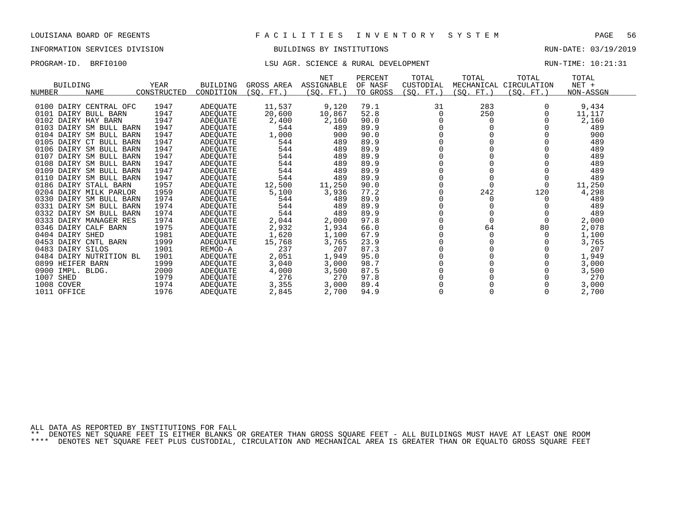# INFORMATION SERVICES DIVISION BUILDINGS BY INSTITUTIONS RUN-DATE: 03/19/2019

## PROGRAM-ID. BRFI0100 CONTENTION CONTENTIONS: LSU AGR. SCIENCE & RURAL DEVELOPMENT CONTENTIONS: 10:21:31

| <b>BUILDING</b><br><b>NAME</b><br>NUMBER | YEAR<br>CONSTRUCTED | <b>BUILDING</b><br>CONDITION | GROSS AREA<br>(SO. FT. ) | <b>NET</b><br>ASSIGNABLE<br>(SO. FT. ) | PERCENT<br>OF NASF<br>TO GROSS | TOTAL<br>CUSTODIAL<br>(SO. FT.) | TOTAL<br>(SO. FT. ) | TOTAL<br>MECHANICAL CIRCULATION<br>(SO. FT.) | TOTAL<br>$NET +$<br>NON-ASSGN |  |
|------------------------------------------|---------------------|------------------------------|--------------------------|----------------------------------------|--------------------------------|---------------------------------|---------------------|----------------------------------------------|-------------------------------|--|
|                                          |                     |                              |                          |                                        |                                |                                 |                     |                                              |                               |  |
| 0100 DAIRY CENTRAL OFC                   | 1947                | <b>ADEQUATE</b>              | 11,537                   | 9,120                                  | 79.1                           | 31                              | 283                 |                                              | 9,434                         |  |
| 0101 DAIRY BULL BARN                     | 1947                | ADEQUATE                     | 20,600                   | 10,867                                 | 52.8                           | 0                               | 250                 |                                              | 11,117                        |  |
| 0102 DAIRY HAY BARN                      | 1947                | ADEQUATE                     | 2,400                    | 2,160                                  | 90.0                           |                                 |                     |                                              | 2,160                         |  |
| DAIRY SM BULL BARN<br>0103               | 1947                | ADEQUATE                     | 544                      | 489                                    | 89.9                           |                                 |                     |                                              | 489                           |  |
| 0104 DAIRY SM BULL BARN                  | 1947                | ADEOUATE                     | 1,000                    | 900                                    | 90.0                           |                                 |                     |                                              | 900                           |  |
| 0105 DAIRY CT BULL BARN                  | 1947                | ADEOUATE                     | 544                      | 489                                    | 89.9                           |                                 |                     |                                              | 489                           |  |
| 0106 DAIRY SM BULL BARN                  | 1947                | ADEOUATE                     | 544                      | 489                                    | 89.9                           |                                 |                     |                                              | 489                           |  |
| DAIRY SM BULL BARN<br>0107               | 1947                | ADEQUATE                     | 544                      | 489                                    | 89.9                           |                                 |                     |                                              | 489                           |  |
| 0108<br>DAIRY SM BULL BARN               | 1947                | ADEQUATE                     | 544                      | 489                                    | 89.9                           |                                 |                     |                                              | 489                           |  |
| 0109<br>DAIRY SM BULL BARN               | 1947                | ADEOUATE                     | 544                      | 489                                    | 89.9                           |                                 |                     |                                              | 489                           |  |
| 0110 DAIRY SM BULL BARN                  | 1947                | ADEQUATE                     | 544                      | 489                                    | 89.9                           |                                 |                     |                                              | 489                           |  |
| 0186 DAIRY STALL BARN                    | 1957                | ADEOUATE                     | 12,500                   | 11,250                                 | 90.0                           |                                 |                     |                                              | 11,250                        |  |
| 0204 DAIRY MILK PARLOR                   | 1959                | ADEOUATE                     | 5,100                    | 3,936                                  | 77.2                           |                                 | 242                 | 120                                          | 4,298                         |  |
| 0330<br>DAIRY SM BULL BARN               | 1974                | ADEQUATE                     | 544                      | 489                                    | 89.9                           |                                 |                     |                                              | 489                           |  |
| 0331 DAIRY SM BULL BARN                  | 1974                | ADEQUATE                     | 544                      | 489                                    | 89.9                           |                                 |                     |                                              | 489                           |  |
| 0332 DAIRY SM BULL BARN                  | 1974                | ADEQUATE                     | 544                      | 489                                    | 89.9                           |                                 |                     |                                              | 489                           |  |
| 0333<br>DAIRY MANAGER RES                | 1974                | ADEQUATE                     | 2,044                    | 2,000                                  | 97.8                           |                                 |                     |                                              | 2,000                         |  |
| 0346 DAIRY CALF BARN                     | 1975                | ADEOUATE                     | 2,932                    | 1,934                                  | 66.0                           |                                 | 64                  | 80                                           | 2,078                         |  |
| 0404 DAIRY SHED                          | 1981                | ADEOUATE                     | 1,620                    | 1,100                                  | 67.9                           |                                 |                     |                                              | 1,100                         |  |
| 0453 DAIRY CNTL BARN                     | 1999                | ADEQUATE                     | 15,768                   | 3,765                                  | 23.9                           |                                 |                     |                                              | 3,765                         |  |
| 0483 DAIRY SILOS                         | 1901                | REMOD-A                      | 237                      | 207                                    | 87.3                           |                                 |                     |                                              | 207                           |  |
| 0484 DAIRY NUTRITION BL                  | 1901                | ADEQUATE                     | 2,051                    | 1,949                                  | 95.0                           |                                 |                     |                                              | 1,949                         |  |
| 0899 HEIFER BARN                         | 1999                | ADEOUATE                     | 3,040                    | 3,000                                  | 98.7                           |                                 |                     |                                              | 3,000                         |  |
| 0900<br>IMPL. BLDG.                      | 2000                | ADEOUATE                     | 4,000                    | 3,500                                  | 87.5                           |                                 |                     |                                              | 3,500                         |  |
| 1007<br>SHED                             | 1979                | ADEQUATE                     | 276                      | 270                                    | 97.8                           |                                 |                     |                                              | 270                           |  |
| 1008 COVER                               | 1974                | ADEQUATE                     | 3,355                    | 3,000                                  | 89.4                           |                                 |                     |                                              | 3,000                         |  |
| 1011 OFFICE                              | 1976                | <b>ADEOUATE</b>              | 2,845                    | 2,700                                  | 94.9                           |                                 |                     |                                              | 2,700                         |  |

ALL DATA AS REPORTED BY INSTITUTIONS FOR FALL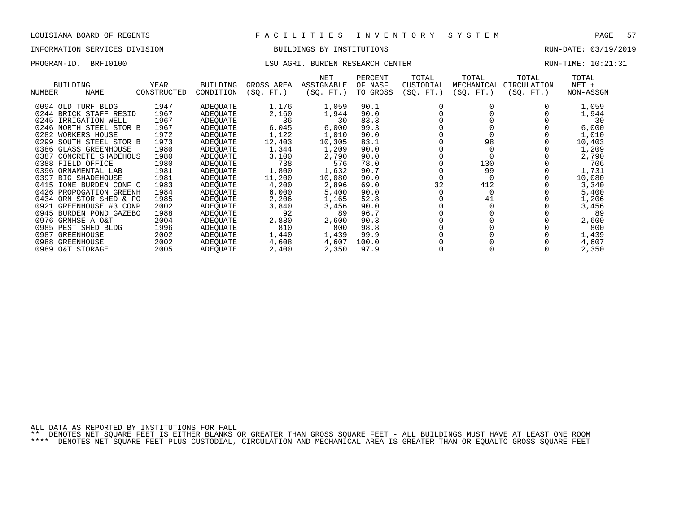# INFORMATION SERVICES DIVISION BUILDINGS BY INSTITUTIONS RUN-DATE: 03/19/2019

## PROGRAM-ID. BRFI0100 **EXAM-ID.** BRFI0100 LSU AGRI. BURDEN RESEARCH CENTER **RUN-TIME: 10:21:31**

| BUILDING<br><b>NAME</b><br>NUMBER | YEAR<br>CONSTRUCTED | <b>BUILDING</b><br>CONDITION | GROSS AREA<br>(SQ. FT.) | NET<br><b>ASSIGNABLE</b><br>(SQ. FT.) | PERCENT<br>OF NASF<br>TO GROSS | TOTAL<br>CUSTODIAL<br>(SQ. FT.) | TOTAL<br>MECHANICAL<br>(SQ. FT.) | TOTAL<br>CIRCULATION<br>(SQ. FT.) | TOTAL<br>$NET +$<br>NON-ASSGN |  |
|-----------------------------------|---------------------|------------------------------|-------------------------|---------------------------------------|--------------------------------|---------------------------------|----------------------------------|-----------------------------------|-------------------------------|--|
|                                   |                     |                              |                         |                                       |                                |                                 |                                  |                                   |                               |  |
| 0094 OLD TURF BLDG                | 1947                | ADEOUATE                     | 1,176                   | 1,059                                 | 90.1                           |                                 |                                  |                                   | 1,059                         |  |
| 0244 BRICK STAFF RESID            | 1967                | ADEOUATE                     | 2,160                   | 1,944                                 | 90.0                           |                                 |                                  |                                   | 1,944                         |  |
| 0245 IRRIGATION WELL              | 1967                | ADEOUATE                     | 36                      | 30                                    | 83.3                           |                                 |                                  |                                   | 30                            |  |
| 0246 NORTH STEEL STOR B           | 1967                | ADEOUATE                     | 6,045                   | 6,000                                 | 99.3                           |                                 |                                  |                                   | 6,000                         |  |
| 0282 WORKERS HOUSE                | 1972                | ADEOUATE                     | 1,122                   | 1,010                                 | 90.0                           |                                 |                                  |                                   | 1,010                         |  |
| 0299 SOUTH STEEL STOR B           | 1973                | ADEQUATE                     | 12,403                  | 10,305                                | 83.1                           |                                 | 98                               |                                   | 10,403                        |  |
| 0386 GLASS GREENHOUSE             | 1980                | ADEOUATE                     | 1,344                   | 1,209                                 | 90.0                           |                                 |                                  |                                   | 1,209                         |  |
| 0387<br>CONCRETE SHADEHOUS        | 1980                | ADEOUATE                     | 3,100                   | 2,790                                 | 90.0                           |                                 |                                  |                                   | 2,790                         |  |
| 0388 FIELD OFFICE                 | 1980                | ADEOUATE                     | 738                     | 576                                   | 78.0                           |                                 | 130                              |                                   | 706                           |  |
| 0396 ORNAMENTAL LAB               | 1981                | ADEOUATE                     | 1,800                   | 1,632                                 | 90.7                           |                                 | 99                               |                                   | 1,731                         |  |
| 0397<br>BIG SHADEHOUSE            | 1981                | ADEOUATE                     | 11,200                  | 10,080                                | 90.0                           |                                 |                                  |                                   | 10,080                        |  |
| 0415<br>IONE BURDEN CONF C        | 1983                | ADEOUATE                     | 4,200                   | 2,896                                 | 69.0                           | 32                              | 412                              |                                   | 3,340                         |  |
| 0426 PROPOGATION GREENH           | 1984                | ADEQUATE                     | 6,000                   | 5,400                                 | 90.0                           |                                 |                                  |                                   | 5,400                         |  |
| ORN STOR SHED & PO<br>0434        | 1985                | ADEOUATE                     | 2,206                   | 1,165                                 | 52.8                           |                                 | 41                               |                                   | 1,206                         |  |
| 0921<br>GREENHOUSE #3 CONP        | 2002                | ADEQUATE                     | 3,840                   | 3,456                                 | 90.0                           |                                 |                                  |                                   | 3,456                         |  |
| 0945 BURDEN POND GAZEBO           | 1988                | ADEQUATE                     | 92                      | 89                                    | 96.7                           |                                 |                                  |                                   | 89                            |  |
| 0976 GRNHSE A O&T                 | 2004                | ADEQUATE                     | 2,880                   | 2,600                                 | 90.3                           |                                 |                                  |                                   | 2,600                         |  |
| 0985 PEST SHED BLDG               | 1996                | ADEQUATE                     | 810                     | 800                                   | 98.8                           |                                 |                                  |                                   | 800                           |  |
| 0987<br>GREENHOUSE                | 2002                | ADEOUATE                     | 1,440                   | 1,439                                 | 99.9                           |                                 |                                  |                                   | 1,439                         |  |
| 0988 GREENHOUSE                   | 2002                | ADEQUATE                     | 4,608                   | 4,607                                 | 100.0                          |                                 |                                  |                                   | 4,607                         |  |

O&T STORAGE 2005 ADEQUATE 2,400 2,350 97.9 0 0 0 2,350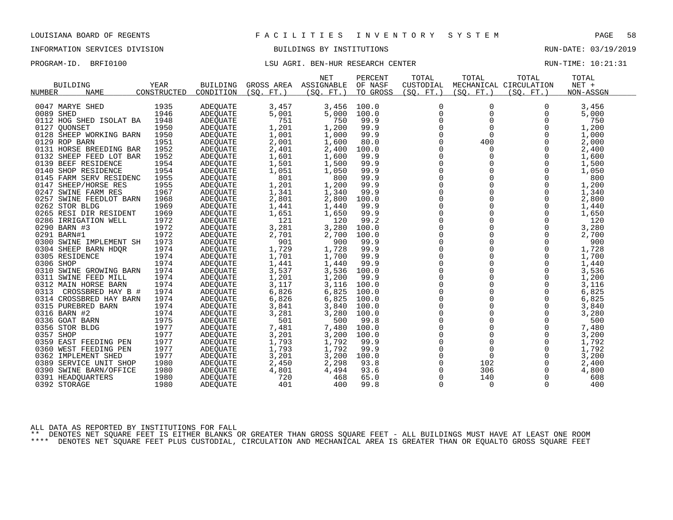# INFORMATION SERVICES DIVISION BUILDINGS BY INSTITUTIONS RUN-DATE: 03/19/2019

# PROGRAM-ID. BRFI0100 **EXAM-**ID. BRFI0100 LSU AGRI. BEN-HUR RESEARCH CENTER RUN-TIME: 10:21:31

|                           |             |                 |            | <b>NET</b> | PERCENT  | TOTAL        | TOTAL       | TOTAL                  | TOTAL     |
|---------------------------|-------------|-----------------|------------|------------|----------|--------------|-------------|------------------------|-----------|
| <b>BUILDING</b>           | <b>YEAR</b> | <b>BUILDING</b> | GROSS AREA | ASSIGNABLE | OF NASF  | CUSTODIAL    |             | MECHANICAL CIRCULATION | NET +     |
| NUMBER<br><b>NAME</b>     | CONSTRUCTED | CONDITION       | (SO. FT. ) | (SO. FT.)  | TO GROSS | (SQ. FT. )   | (SO. FT. )  | (SO. FT.)              | NON-ASSGN |
|                           |             |                 |            |            |          |              |             |                        |           |
| 0047 MARYE SHED           | 1935        | ADEOUATE        | 3,457      | 3,456      | 100.0    | 0            | 0           | 0                      | 3,456     |
| 0089 SHED                 | 1946        | <b>ADEQUATE</b> | 5,001      | 5,000      | 100.0    | $\mathbf 0$  | $\Omega$    | $\Omega$               | 5,000     |
| 0112 HOG SHED ISOLAT BA   | 1948        | ADEQUATE        | 751        | 750        | 99.9     | $\mathbf 0$  | 0           | 0                      | 750       |
| 0127<br>OUONSET           | 1950        | ADEQUATE        | 1,201      | 1,200      | 99.9     | 0            | $\Omega$    | $\mathbf 0$            | 1,200     |
| 0128 SHEEP WORKING BARN   | 1950        | ADEQUATE        | 1,001      | 1,000      | 99.9     | $\mathbf 0$  | $\Omega$    | $\Omega$               | 1,000     |
| 0129 ROP BARN             | 1951        | ADEQUATE        | 2,001      | 1,600      | 80.0     | $\mathbf 0$  | 400         | 0                      | 2,000     |
| 0131 HORSE BREEDING BAR   | 1952        | ADEQUATE        | 2,401      | 2,400      | 100.0    | 0            | $\Omega$    | $\Omega$               | 2,400     |
| 0132 SHEEP FEED LOT BAR   | 1952        | ADEQUATE        | 1,601      | 1,600      | 99.9     | $\Omega$     | $\Omega$    | $\Omega$               | 1,600     |
| 0139 BEEF RESIDENCE       | 1954        | ADEQUATE        | 1,501      | 1,500      | 99.9     | $\mathbf 0$  | 0           | 0                      | 1,500     |
| 0140 SHOP RESIDENCE       | 1954        | ADEQUATE        | 1,051      | 1,050      | 99.9     | $\mathsf 0$  | $\Omega$    | $\mathbf 0$            | 1,050     |
| 0145 FARM SERV RESIDENC   | 1955        | ADEQUATE        | 801        | 800        | 99.9     | $\Omega$     | $\Omega$    | $\Omega$               | 800       |
| 0147 SHEEP/HORSE RES      | 1955        | ADEQUATE        | 1,201      | 1,200      | 99.9     | $\mathbf 0$  | $\mathbf 0$ | $\Omega$               | 1,200     |
| 0247 SWINE FARM RES       | 1967        | ADEQUATE        | 1,341      | 1,340      | 99.9     | $\mathsf 0$  | $\mathbf 0$ | $\mathbf 0$            | 1,340     |
| 0257 SWINE FEEDLOT BARN   | 1968        | ADEQUATE        | 2,801      | 2,800      | 100.0    | 0            | 0           | $\Omega$               | 2,800     |
| 0262 STOR BLDG            | 1969        | ADEOUATE        | 1,441      | 1,440      | 99.9     | $\Omega$     | $\Omega$    | $\Omega$               | 1,440     |
| 0265 RESI DIR RESIDENT    | 1969        | ADEQUATE        | 1,651      | 1,650      | 99.9     | 0            | 0           | $\mathbf 0$            | 1,650     |
| 0286 IRRIGATION WELL      | 1972        | ADEQUATE        | 121        | 120        | 99.2     | 0            | 0           | 0                      | 120       |
| 0290 BARN #3              | 1972        | ADEQUATE        | 3,281      | 3,280      | 100.0    | $\Omega$     | $\Omega$    | $\Omega$               | 3,280     |
| 0291 BARN#1               | 1972        | ADEQUATE        | 2,701      | 2,700      | 100.0    | 0            | 0           | $\mathbf 0$            | 2,700     |
| 0300 SWINE IMPLEMENT SH   | 1973        | ADEQUATE        | 901        | 900        | 99.9     | $\mathbf 0$  | 0           | $\Omega$               | 900       |
| 0304 SHEEP BARN HDQR      | 1974        | ADEQUATE        | 1,729      | 1,728      | 99.9     | $\mathbf 0$  | $\Omega$    | $\Omega$               | 1,728     |
| 0305 RESIDENCE            | 1974        | ADEQUATE        | 1,701      | 1,700      | 99.9     | 0            | 0           | $\mathbf 0$            | 1,700     |
| 0306 SHOP                 | 1974        | ADEQUATE        | 1,441      | 1,440      | 99.9     | $\mathsf 0$  | $\Omega$    | $\mathbf 0$            | 1,440     |
| 0310 SWINE GROWING BARN   | 1974        | ADEQUATE        | 3,537      | 3,536      | 100.0    | $\mathbf 0$  | 0           | 0                      | 3,536     |
| 0311 SWINE FEED MILL      | 1974        | ADEQUATE        | 1,201      | 1,200      | 99.9     | $\mathbf 0$  | $\Omega$    | $\Omega$               | 1,200     |
| 0312 MAIN HORSE BARN      | 1974        | ADEOUATE        | 3,117      | 3,116      | 100.0    | $\mathsf 0$  | $\mathbf 0$ | 0                      | 3,116     |
| 0313<br>CROSSBRED HAY B # | 1974        | ADEQUATE        | 6,826      | 6,825      | 100.0    | $\mathbf 0$  | $\mathbf 0$ | 0                      | 6,825     |
| 0314 CROSSBRED HAY BARN   | 1974        | ADEQUATE        | 6,826      | 6,825      | 100.0    | $\mathbf 0$  | 0           | $\Omega$               | 6,825     |
| 0315 PUREBRED BARN        | 1974        | <b>ADEOUATE</b> | 3,841      | 3,840      | 100.0    | $\mathsf 0$  | $\mathbf 0$ | 0                      | 3,840     |
| 0316 BARN #2              | 1974        | ADEQUATE        | 3,281      | 3,280      | 100.0    | 0            | 0           | $\mathbf 0$            | 3,280     |
| 0336 GOAT BARN            | 1975        | ADEQUATE        | 501        | 500        | 99.8     | $\mathbf 0$  | $\Omega$    | $\Omega$               | 500       |
| 0356 STOR BLDG            | 1977        | <b>ADEOUATE</b> | 7,481      | 7,480      | 100.0    | $\mathsf{O}$ | $\mathbf 0$ | 0                      | 7,480     |
| 0357 SHOP                 | 1977        | ADEQUATE        | 3,201      | 3,200      | 100.0    | 0            | $\Omega$    | $\Omega$               | 3,200     |
| 0359 EAST FEEDING PEN     | 1977        | <b>ADEOUATE</b> | 1,793      | 1,792      | 99.9     | $\mathbf 0$  | 0           | 0                      | 1,792     |
| 0360 WEST FEEDING PEN     | 1977        | ADEQUATE        | 1,793      | 1,792      | 99.9     | 0            | $\mathbf 0$ | 0                      | 1,792     |
| 0362 IMPLEMENT SHED       | 1977        | ADEQUATE        | 3,201      | 3,200      | 100.0    | 0            | $\mathbf 0$ | $\Omega$               | 3,200     |
| 0389 SERVICE UNIT SHOP    | 1980        | ADEQUATE        | 2,450      | 2,298      | 93.8     | $\mathbf 0$  | 102         | 0                      | 2,400     |
| 0390 SWINE BARN/OFFICE    | 1980        | ADEQUATE        | 4,801      | 4,494      | 93.6     | 0            | 306         | 0                      | 4,800     |
| 0391 HEADOUARTERS         | 1980        | <b>ADEOUATE</b> | 720        | 468        | 65.0     | $\mathbf 0$  | 140         | $\mathbf 0$            | 608       |
| 0392 STORAGE              | 1980        | <b>ADEOUATE</b> | 401        | 400        | 99.8     | 0            | 0           | 0                      | 400       |
|                           |             |                 |            |            |          |              |             |                        |           |

ALL DATA AS REPORTED BY INSTITUTIONS FOR FALL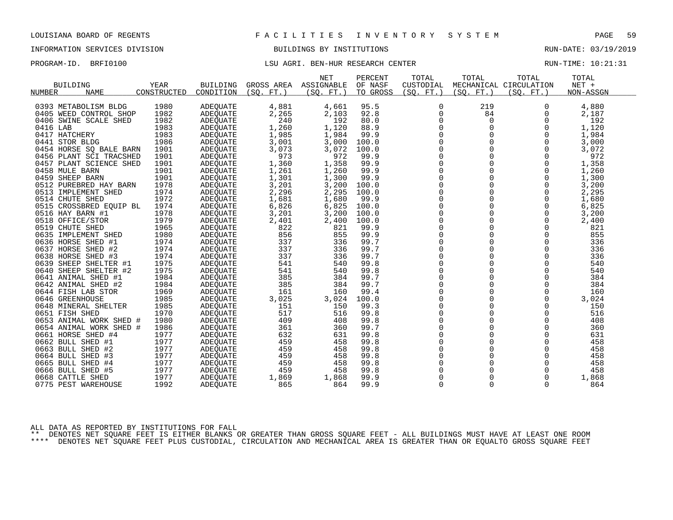# INFORMATION SERVICES DIVISION BUILDINGS BY INSTITUTIONS RUN-DATE: 03/19/2019

# PROGRAM-ID. BRFI0100 **EXAM-**ID. BRFI0100 LSU AGRI. BEN-HUR RESEARCH CENTER RUN-TIME: 10:21:31

|                                        |             |                 |                 | <b>NET</b> | PERCENT  | TOTAL       | TOTAL                   | TOTAL                  | TOTAL      |
|----------------------------------------|-------------|-----------------|-----------------|------------|----------|-------------|-------------------------|------------------------|------------|
| <b>BUILDING</b>                        | <b>YEAR</b> | <b>BUILDING</b> | GROSS AREA      | ASSIGNABLE | OF NASF  | CUSTODIAL   |                         | MECHANICAL CIRCULATION | NET +      |
| NUMBER<br><b>NAME</b>                  | CONSTRUCTED | CONDITION       | (SO.<br>$FT.$ ) | (SO. FT.)  | TO GROSS | (SO. FT. )  | (SO. FT.)               | (SO. FT.)              | NON-ASSGN  |
|                                        |             |                 |                 |            |          |             |                         |                        |            |
| 0393 METABOLISM BLDG                   | 1980        | <b>ADEQUATE</b> | 4,881           | 4,661      | 95.5     | 0           | 219                     | 0                      | 4,880      |
| 0405 WEED CONTROL SHOP                 | 1982        | ADEQUATE        | 2,265           | 2,103      | 92.8     | $\Omega$    | 84                      | 0                      | 2,187      |
| SWINE SCALE SHED<br>0406               | 1982        | <b>ADEQUATE</b> | 240             | 192        | 80.0     | 0           | 0                       | 0                      | 192        |
| 0416 LAB                               | 1983        | <b>ADEQUATE</b> | 1,260           | 1,120      | 88.9     | $\mathbf 0$ | $\mathbf 0$             | $\Omega$               | 1,120      |
| 0417 HATCHERY                          | 1983        | ADEQUATE        | 1,985           | 1,984      | 99.9     | $\Omega$    | $\Omega$                | $\Omega$               | 1,984      |
| 0441 STOR BLDG                         | 1986        | ADEQUATE        | 3,001           | 3,000      | 100.0    | 0           | $\mathbf 0$             | $\Omega$               | 3,000      |
| 0454 HORSE SO BALE BARN                | 1901        | ADEOUATE        | 3,073           | 3,072      | 100.0    | 0           | $\mathbf 0$             | 0                      | 3,072      |
| 0456 PLANT SCI TRACSHED                | 1901        | ADEQUATE        | 973             | 972        | 99.9     | $\mathbf 0$ | $\mathbf 0$             | $\Omega$               | 972        |
| 0457 PLANT SCIENCE SHED                | 1901        | ADEQUATE        | 1,360           | 1,358      | 99.9     | $\Omega$    | $\Omega$                | $\Omega$               | 1,358      |
| 0458 MULE BARN                         | 1901        | <b>ADEOUATE</b> | 1,261           | 1,260      | 99.9     | $\mathbf 0$ | $\mathbf 0$             | 0                      | 1,260      |
| 0459 SHEEP BARN                        | 1901        | ADEQUATE        | 1,301           | 1,300      | 99.9     | 0           | $\mathbf 0$             | $\Omega$               | 1,300      |
| 0512 PUREBRED HAY BARN                 | 1978        | ADEQUATE        | 3,201           | 3,200      | 100.0    | $\mathbf 0$ | $\Omega$                | $\Omega$               | 3,200      |
| 0513 IMPLEMENT SHED                    | 1974        | ADEQUATE        | 2,296           | 2,295      | 100.0    | 0           | $\mathbf 0$             | $\mathbf 0$            | 2,295      |
| 0514 CHUTE SHED                        | 1972        | ADEQUATE        | 1,681           | 1,680      | 99.9     | 0           | $\Omega$                | $\Omega$               | 1,680      |
| 0515 CROSSBRED EQUIP BL                | 1974        | ADEOUATE        | 6,826           | 6,825      | 100.0    | $\mathbf 0$ | $\mathbf 0$             | $\Omega$               | 6,825      |
| 0516 HAY BARN #1                       | 1978        | ADEQUATE        | 3,201           | 3,200      | 100.0    | 0           | $\mathbf 0$             | 0                      | 3,200      |
| 0518 OFFICE/STOR                       | 1979        | ADEQUATE        | 2,401           | 2,400      | 100.0    | $\mathbf 0$ | $\Omega$                | $\Omega$               | 2,400      |
| 0519 CHUTE SHED                        | 1965        | ADEOUATE        | 822             | 821        | 99.9     | $\mathbf 0$ | $\mathbf 0$             | $\Omega$               | 821        |
| 0635 IMPLEMENT SHED                    | 1980        | ADEQUATE        | 856             | 855        | 99.9     | 0           | $\mathbf 0$             | $\mathbf 0$            | 855        |
| 0636 HORSE SHED #1                     | 1974        | ADEQUATE        | 337             | 336        | 99.7     | $\mathbf 0$ | $\Omega$                | $\Omega$               | 336        |
| 0637 HORSE SHED #2                     | 1974        | ADEOUATE        | 337             | 336        | 99.7     | $\Omega$    | $\Omega$                | $\Omega$               | 336        |
| 0638 HORSE SHED #3                     | 1974        | ADEQUATE        | 337             | 336        | 99.7     | $\mathbf 0$ | $\Omega$                | $\Omega$               | 336        |
| 0639 SHEEP SHELTER #1                  | 1975        | ADEQUATE        | 541             | 540        | 99.8     | $\mathbf 0$ | $\mathbf 0$             | 0                      | 540        |
| 0640 SHEEP SHELTER #2                  | 1975        | ADEOUATE        | 541             | 540        | 99.8     | 0           | $\mathbf 0$             | $\mathbf 0$            | 540        |
| 0641 ANIMAL SHED #1                    | 1984        | ADEQUATE        | 385             | 384        | 99.7     | $\Omega$    | $\Omega$                | $\Omega$               | 384        |
| 0642 ANIMAL SHED #2                    | 1984        | ADEQUATE        | 385             | 384        | 99.7     | $\mathbf 0$ | $\mathbf 0$             | $\mathbf 0$            | 384        |
| 0644 FISH LAB STOR                     | 1969        | ADEOUATE        | 161             | 160        | 99.4     | 0           | 0                       | $\Omega$               | 160        |
| 0646 GREENHOUSE                        | 1985        | ADEQUATE        | 3,025           | 3,024      | 100.0    | $\Omega$    | $\Omega$                | $\Omega$               | 3,024      |
|                                        | 1985        |                 | 151             | 150        | 99.3     | $\mathbf 0$ | $\mathbf 0$             |                        | 150        |
| 0648 MINERAL SHELTER<br>0651 FISH SHED | 1970        | ADEOUATE        | 517             | 516        | 99.8     | $\mathbf 0$ | $\mathbf 0$             | 0<br>$\Omega$          | 516        |
|                                        |             | <b>ADEQUATE</b> |                 | 408        | 99.8     | $\Omega$    | $\Omega$                | $\Omega$               |            |
| 0653 ANIMAL WORK SHED #                | 1980        | ADEQUATE        | 409             |            |          |             |                         |                        | 408<br>360 |
| 0654 ANIMAL WORK SHED #                | 1986        | ADEOUATE        | 361             | 360        | 99.7     | $\mathbf 0$ | $\mathbf 0$<br>$\Omega$ | 0<br>$\Omega$          |            |
| 0661 HORSE SHED #4                     | 1977        | ADEQUATE        | 632             | 631        | 99.8     | $\mathbf 0$ |                         |                        | 631        |
| 0662 BULL SHED #1                      | 1977        | <b>ADEOUATE</b> | 459             | 458        | 99.8     | $\Omega$    | $\Omega$                | $\Omega$               | 458        |
| 0663 BULL SHED #2                      | 1977        | ADEOUATE        | 459             | 458        | 99.8     | 0           | 0                       | 0                      | 458        |
| 0664 BULL SHED #3                      | 1977        | <b>ADEQUATE</b> | 459             | 458        | 99.8     | $\mathbf 0$ | $\Omega$                | $\Omega$               | 458        |
| 0665 BULL SHED #4                      | 1977        | ADEQUATE        | 459             | 458        | 99.8     | 0           | 0                       | $\Omega$               | 458        |
| 0666 BULL SHED #5                      | 1977        | ADEQUATE        | 459             | 458        | 99.8     | $\Omega$    | $\Omega$                | $\Omega$               | 458        |
| 0668 CATTLE SHED                       | 1977        | ADEOUATE        | 1,869           | 1,868      | 99.9     | $\Omega$    | $\mathbf 0$             | $\mathbf 0$            | 1,868      |
| 0775 PEST WAREHOUSE                    | 1992        | ADEQUATE        | 865             | 864        | 99.9     | 0           | 0                       | 0                      | 864        |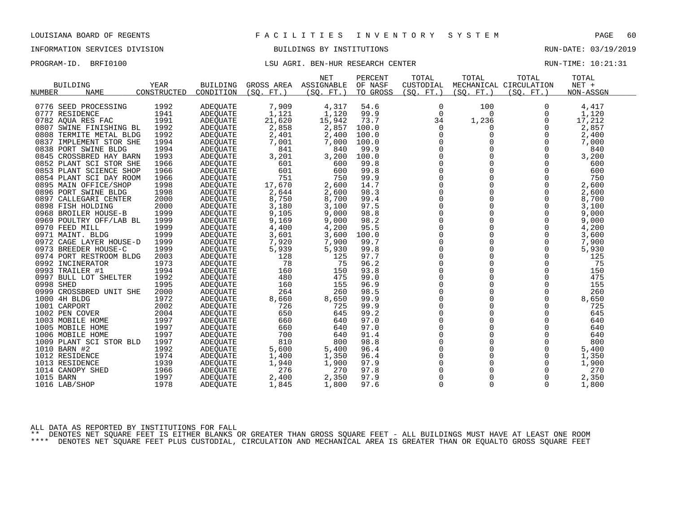# INFORMATION SERVICES DIVISION BUILDINGS BY INSTITUTIONS AND RUN-DATE: 03/19/2019

# PROGRAM-ID. BRFI0100 **EXAM-**ID. BRFI0100 LSU AGRI. BEN-HUR RESEARCH CENTER RUN-TIME: 10:21:31

|                         |             |                 |                 | <b>NET</b> | PERCENT  | TOTAL       | TOTAL       | TOTAL                  | TOTAL     |  |
|-------------------------|-------------|-----------------|-----------------|------------|----------|-------------|-------------|------------------------|-----------|--|
| <b>BUILDING</b>         | <b>YEAR</b> | <b>BUILDING</b> | GROSS AREA      | ASSIGNABLE | OF NASF  | CUSTODIAL   |             | MECHANICAL CIRCULATION | NET +     |  |
| <b>NAME</b><br>NUMBER   | CONSTRUCTED | CONDITION       | (SO.<br>$FT.$ ) | (SO, FT.)  | TO GROSS | (SO, FT.)   | (SO. FT. )  | (SO, FT.)              | NON-ASSGN |  |
|                         |             |                 |                 |            |          |             |             |                        |           |  |
| 0776 SEED PROCESSING    | 1992        | <b>ADEQUATE</b> | 7,909           | 4,317      | 54.6     | 0           | 100         | $\Omega$               | 4,417     |  |
| 0777 RESIDENCE          | 1941        | <b>ADEOUATE</b> | 1,121           | 1,120      | 99.9     | $\mathbf 0$ | 0           | 0                      | 1,120     |  |
| 0782 AQUA RES FAC       | 1991        | <b>ADEQUATE</b> | 21,620          | 15,942     | 73.7     | 34          | 1,236       | 0                      | 17,212    |  |
| 0807 SWINE FINISHING BL | 1992        | ADEOUATE        | 2,858           | 2,857      | 100.0    | 0           | 0           | 0                      | 2,857     |  |
| 0808 TERMITE METAL BLDG | 1992        | ADEOUATE        | 2,401           | 2,400      | 100.0    | 0           | 0           | 0                      | 2,400     |  |
| 0837 IMPLEMENT STOR SHE | 1994        | <b>ADEQUATE</b> | 7,001           | 7,000      | 100.0    | $\mathbf 0$ | $\Omega$    | $\Omega$               | 7,000     |  |
| 0838 PORT SWINE BLDG    | 1994        | ADEOUATE        | 841             | 840        | 99.9     | 0           |             | 0                      | 840       |  |
| 0845 CROSSBRED HAY BARN | 1993        | <b>ADEQUATE</b> | 3,201           | 3,200      | 100.0    | $\mathbf 0$ |             | 0                      | 3,200     |  |
| 0852 PLANT SCI STOR SHE | 1966        | <b>ADEQUATE</b> | 601             | 600        | 99.8     | $\Omega$    | $\Omega$    | $\Omega$               | 600       |  |
| 0853 PLANT SCIENCE SHOP | 1966        | ADEQUATE        | 601             | 600        | 99.8     | $\mathbf 0$ | $\mathbf 0$ | 0                      | 600       |  |
| 0854 PLANT SCI DAY ROOM | 1966        | ADEQUATE        | 751             | 750        | 99.9     | 0           | $\mathbf 0$ | 0                      | 750       |  |
| 0895 MAIN OFFICE/SHOP   | 1998        | ADEOUATE        | 17,670          | 2,600      | 14.7     | $\mathbf 0$ | $\Omega$    | $\Omega$               | 2,600     |  |
| 0896 PORT SWINE BLDG    | 1998        | ADEQUATE        | 2,644           | 2,600      | 98.3     | 0           | $\mathbf 0$ | 0                      | 2,600     |  |
| 0897 CALLEGARI CENTER   | 2000        | ADEQUATE        | 8,750           | 8,700      | 99.4     | 0           | $\Omega$    | $\Omega$               | 8,700     |  |
| 0898 FISH HOLDING       | 2000        | ADEOUATE        | 3,180           | 3,100      | 97.5     | $\Omega$    | $\Omega$    | $\Omega$               | 3,100     |  |
| 0968 BROILER HOUSE-B    | 1999        | ADEOUATE        | 9,105           | 9,000      | 98.8     | $\mathbf 0$ | $\mathbf 0$ | 0                      | 9,000     |  |
| 0969 POULTRY OFF/LAB BL | 1999        | ADEQUATE        | 9,169           | 9,000      | 98.2     | 0           | 0           | $\mathbf 0$            | 9,000     |  |
| 0970 FEED MILL          | 1999        | ADEQUATE        | 4,400           | 4,200      | 95.5     | $\mathbf 0$ | 0           | 0                      | 4,200     |  |
| 0971 MAINT. BLDG        | 1999        | ADEOUATE        | 3,601           | 3,600      | 100.0    | $\mathbf 0$ | $\Omega$    | $\mathbf 0$            | 3,600     |  |
| 0972 CAGE LAYER HOUSE-D | 1999        | ADEQUATE        | 7,920           | 7,900      | 99.7     | 0           |             | 0                      | 7,900     |  |
| 0973 BREEDER HOUSE-C    | 1999        | ADEQUATE        | 5,939           | 5,930      | 99.8     | $\mathbf 0$ | 0           | 0                      | 5,930     |  |
| 0974 PORT RESTROOM BLDG | 2003        | ADEOUATE        | 128             | 125        | 97.7     | $\Omega$    | $\Omega$    | $\Omega$               | 125       |  |
| 0992 INCINERATOR        | 1973        | <b>ADEQUATE</b> | 78              | 75         | 96.2     | 0           | $\mathbf 0$ | 0                      | 75        |  |
| 0993 TRAILER #1         | 1994        | <b>ADEQUATE</b> | 160             | 150        | 93.8     | 0           | $\mathbf 0$ | $\mathbf 0$            | 150       |  |
| 0997 BULL LOT SHELTER   | 1992        | <b>ADEQUATE</b> | 480             | 475        | 99.0     | $\Omega$    | $\Omega$    | $\Omega$               | 475       |  |
| 0998 SHED               | 1995        | ADEQUATE        | 160             | 155        | 96.9     | $\mathbf 0$ | 0           | $\mathbf 0$            | 155       |  |
| 0999 CROSSBRED UNIT SHE | 2000        | ADEQUATE        | 264             | 260        | 98.5     | 0           |             | 0                      | 260       |  |
| 1000 4H BLDG            | 1972        | ADEQUATE        | 8,660           | 8,650      | 99.9     | $\mathbf 0$ | $\Omega$    | $\Omega$               | 8,650     |  |
| 1001 CARPORT            | 2002        | ADEQUATE        | 726             | 725        | 99.9     | $\mathbf 0$ | 0           | $\mathbf 0$            | 725       |  |
| 1002 PEN COVER          | 2004        | ADEOUATE        | 650             | 645        | 99.2     | 0           | $\Omega$    | 0                      | 645       |  |
| 1003 MOBILE HOME        | 1997        | ADEQUATE        | 660             | 640        | 97.0     | $\Omega$    | $\Omega$    | $\Omega$               | 640       |  |
| 1005 MOBILE HOME        | 1997        | ADEOUATE        | 660             | 640        | 97.0     | $\mathbf 0$ | $\Omega$    | $\Omega$               | 640       |  |
| 1006 MOBILE HOME        | 1997        | ADEOUATE        | 700             | 640        | 91.4     | 0           | $\mathbf 0$ | 0                      | 640       |  |
| 1009 PLANT SCI STOR BLD | 1997        | <b>ADEQUATE</b> | 810             | 800        | 98.8     | $\mathbf 0$ |             | 0                      | 800       |  |
| 1010 BARN #2            | 1992        | ADEQUATE        | 5,600           | 5,400      | 96.4     | $\mathbf 0$ | $\Omega$    | 0                      | 5,400     |  |
| 1012 RESIDENCE          | 1974        | ADEQUATE        | 1,400           | 1,350      | 96.4     | 0           | 0           | 0                      | 1,350     |  |
| 1013 RESIDENCE          | 1939        | ADEQUATE        | 1,940           | 1,900      | 97.9     | 0           |             | $\mathbf 0$            | 1,900     |  |
| 1014 CANOPY SHED        | 1966        | ADEQUATE        | 276             | 270        | 97.8     | $\Omega$    | $\Omega$    | $\Omega$               | 270       |  |
|                         | 1997        |                 |                 |            | 97.9     | $\mathbf 0$ | 0           |                        |           |  |
| 1015 BARN               |             | ADEQUATE        | 2,400           | 2,350      |          |             |             | 0                      | 2,350     |  |
| 1016 LAB/SHOP           | 1978        | ADEQUATE        | 1,845           | 1,800      | 97.6     | $\Omega$    | $\Omega$    | $\Omega$               | 1,800     |  |

ALL DATA AS REPORTED BY INSTITUTIONS FOR FALL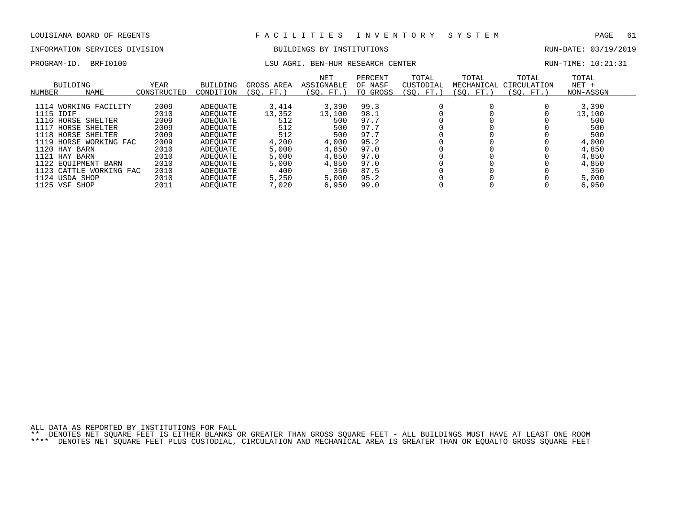# INFORMATION SERVICES DIVISION BUILDINGS BY INSTITUTIONS AND RUN-DATE: 03/19/2019

PROGRAM-ID. BRFI0100 **EXAM-ID.** BRFI0100 LSU AGRI. BEN-HUR RESEARCH CENTER RUN-TIME: 10:21:31

| NUMBER    | BUILDING<br><b>NAME</b> | <b>YEAR</b><br>CONSTRUCTED | <b>BUILDING</b><br>CONDITION | GROSS AREA<br>(SO. FT.) | <b>NET</b><br>ASSIGNABLE<br>(SO. FT.) | PERCENT<br>OF NASF<br>TO GROSS | TOTAL<br>CUSTODIAL<br>(SO. FT.) | TOTAL<br>MECHANICAL<br>SO. FT. | TOTAL<br>CIRCULATION<br>(SO. FT.) | TOTAL<br>$NET +$<br>NON-ASSGN |
|-----------|-------------------------|----------------------------|------------------------------|-------------------------|---------------------------------------|--------------------------------|---------------------------------|--------------------------------|-----------------------------------|-------------------------------|
|           |                         |                            |                              |                         |                                       |                                |                                 |                                |                                   |                               |
|           | 1114 WORKING FACILITY   | 2009                       | ADEOUATE                     | 3,414                   | 3,390                                 | 99.3                           |                                 |                                |                                   | 3,390                         |
| 1115 IDIF |                         | 2010                       | ADEOUATE                     | 13,352                  | 13,100                                | 98.1                           |                                 |                                |                                   | 13,100                        |
|           | 1116 HORSE SHELTER      | 2009                       | ADEOUATE                     | 512                     | 500                                   | 97.7                           |                                 |                                |                                   | 500                           |
| 1117      | HORSE SHELTER           | 2009                       | ADEOUATE                     | 512                     | 500                                   | 97.7                           |                                 |                                |                                   | 500                           |
|           | 1118 HORSE SHELTER      | 2009                       | ADEOUATE                     | 512                     | 500                                   | 97.7                           |                                 |                                |                                   | 500                           |
|           | 1119 HORSE WORKING FAC  | 2009                       | ADEOUATE                     | 4,200                   | 4,000                                 | 95.2                           |                                 |                                |                                   | 4,000                         |
|           | 1120 HAY BARN           | 2010                       | ADEOUATE                     | 5,000                   | 4,850                                 | 97.0                           |                                 |                                |                                   | 4,850                         |
|           | 1121 HAY BARN           | 2010                       | ADEOUATE                     | 5,000                   | 4,850                                 | 97.0                           |                                 |                                |                                   | 4,850                         |
|           | 1122 EQUIPMENT BARN     | 2010                       | ADEOUATE                     | 5,000                   | 4,850                                 | 97.0                           |                                 |                                |                                   | 4,850                         |
|           | 1123 CATTLE WORKING FAC | 2010                       | ADEOUATE                     | 400                     | 350                                   | 87.5                           |                                 |                                |                                   | 350                           |
|           | 1124 USDA SHOP          | 2010                       | ADEOUATE                     | 5,250                   | 5,000                                 | 95.2                           |                                 |                                |                                   | 5,000                         |
|           | 1125 VSF SHOP           | 2011                       | ADEOUATE                     | 7,020                   | 6,950                                 | 99.0                           |                                 |                                |                                   | 6,950                         |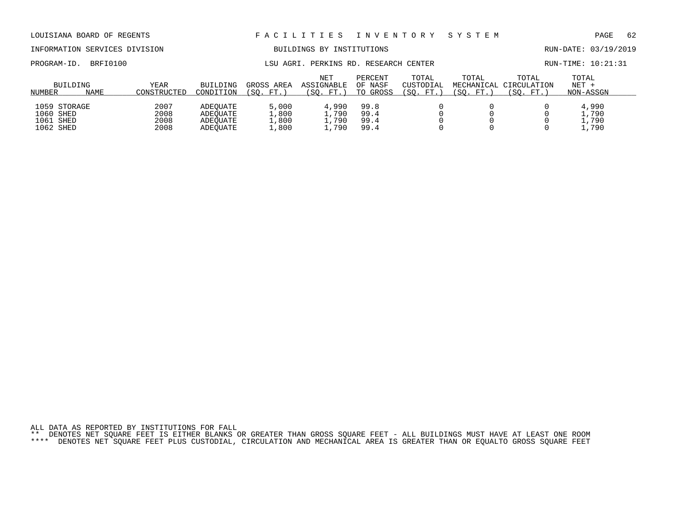# INFORMATION SERVICES DIVISION BUILDINGS BY INSTITUTIONS AND RUN-DATE: 03/19/2019

PROGRAM-ID. BRFI0100 **EXAM-ID.** BRFI0100 LSU AGRI. PERKINS RD. RESEARCH CENTER RUN-TIME: 10:21:31

| <b>NUMBER</b>                                       | BUILDING<br><b>NAME</b> | YEAR<br>CONSTRUCTED          | <b>BUILDING</b><br>CONDITION                 | GROSS AREA<br>΄SΟ.<br>FT.            | <b>NET</b><br>ASSIGNABLE<br>SO.<br>$FT.$ ) | PERCENT<br>OF NASF<br>TO GROSS | TOTAL<br>CUSTODIAL<br>$^{\prime}$ SO.<br>FT. | TOTAL<br>SO.<br>FT. | TOTAL<br>MECHANICAL CIRCULATION<br>'SO. | TOTAL<br>$NET +$<br>NON-ASSGN |
|-----------------------------------------------------|-------------------------|------------------------------|----------------------------------------------|--------------------------------------|--------------------------------------------|--------------------------------|----------------------------------------------|---------------------|-----------------------------------------|-------------------------------|
| 1059 STORAGE<br>1060 SHED<br>1061 SHED<br>1062 SHED |                         | 2007<br>2008<br>2008<br>2008 | ADEOUATE<br>ADEOUATE<br>ADEOUATE<br>ADEOUATE | 5,000<br>.,800<br>$\pm$ ,800<br>,800 | 4,990<br>.790<br>, 790<br>790              | 99.8<br>99.4<br>99.4<br>99.4   |                                              |                     |                                         | 4,990<br>,790<br>,790<br>,790 |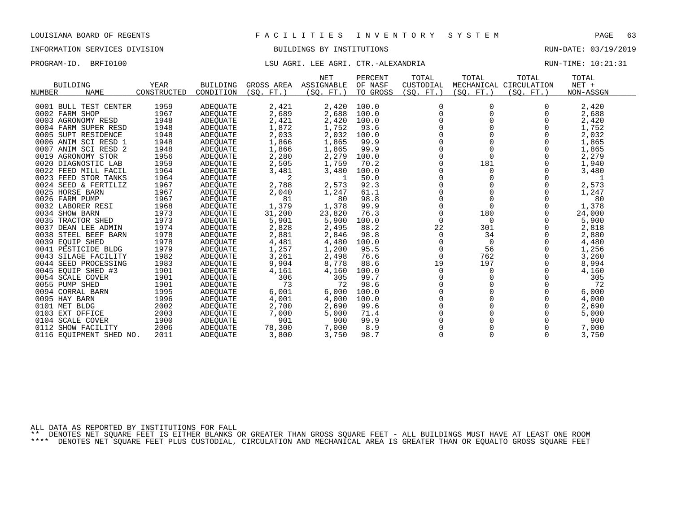# INFORMATION SERVICES DIVISION BUILDINGS BY INSTITUTIONS AND RUN-DATE: 03/19/2019

## PROGRAM-ID. BRFI0100 **LSU AGRI. LEE AGRI. CTR.-ALEXANDRIA** RUN-TIME: 10:21:31

| <b>BUILDING</b><br>NUMBER<br>NAME | YEAR<br>CONSTRUCTED | <b>BUILDING</b><br>CONDITION | GROSS AREA<br>(SO.<br>$FT.$ ) | <b>NET</b><br>ASSIGNABLE<br>(SO. FT.) | PERCENT<br>OF NASF<br>TO GROSS | TOTAL<br>CUSTODIAL<br>(SO. FT. ) | TOTAL<br>(SO. FT. ) | TOTAL<br>MECHANICAL CIRCULATION<br>(SO. FT.) | TOTAL<br>$NET +$<br>NON-ASSGN |
|-----------------------------------|---------------------|------------------------------|-------------------------------|---------------------------------------|--------------------------------|----------------------------------|---------------------|----------------------------------------------|-------------------------------|
|                                   |                     |                              |                               |                                       |                                |                                  |                     |                                              |                               |
| 0001 BULL TEST CENTER             | 1959                | ADEQUATE                     | 2,421                         | 2,420                                 | 100.0                          |                                  |                     |                                              | 2,420                         |
| 0002 FARM SHOP                    | 1967                | ADEQUATE                     | 2,689                         | 2,688                                 | 100.0                          |                                  |                     |                                              | 2,688                         |
| 0003 AGRONOMY RESD                | 1948                | ADEQUATE                     | 2,421                         | 2,420                                 | 100.0                          |                                  |                     |                                              | 2,420                         |
| 0004 FARM SUPER RESD              | 1948                | ADEQUATE                     | 1,872                         | 1,752                                 | 93.6                           |                                  |                     |                                              | 1,752                         |
| 0005 SUPT RESIDENCE               | 1948                | ADEQUATE                     | 2,033                         | 2,032                                 | 100.0                          |                                  |                     |                                              | 2,032                         |
| 0006 ANIM SCI RESD 1              | 1948                | ADEQUATE                     | 1,866                         | 1,865                                 | 99.9                           |                                  |                     |                                              | 1,865                         |
| 0007 ANIM SCI RESD 2              | 1948                | ADEQUATE                     | 1,866                         | 1,865                                 | 99.9                           |                                  |                     |                                              | 1,865                         |
| 0019 AGRONOMY STOR                | 1956                | ADEQUATE                     | 2,280                         | 2,279                                 | 100.0                          |                                  |                     |                                              | 2,279                         |
| 0020 DIAGNOSTIC LAB               | 1959                | ADEQUATE                     | 2,505                         | 1,759                                 | 70.2                           |                                  | 181                 |                                              | 1,940                         |
| 0022 FEED MILL FACIL              | 1964                | ADEQUATE                     | 3,481                         | 3,480                                 | 100.0                          |                                  |                     |                                              | 3,480                         |
| 0023 FEED STOR TANKS              | 1964                | ADEQUATE                     | 2                             |                                       | 50.0                           |                                  |                     |                                              |                               |
| 0024 SEED & FERTILIZ              | 1967                | ADEQUATE                     | 2,788                         | 2,573                                 | 92.3                           |                                  |                     |                                              | 2,573                         |
| 0025 HORSE BARN                   | 1967                | ADEQUATE                     | 2,040                         | 1,247                                 | 61.1                           |                                  |                     |                                              | 1,247                         |
| 0026 FARM PUMP                    | 1967                | ADEQUATE                     | 81                            | 80                                    | 98.8                           |                                  |                     |                                              | 80                            |
| 0032 LABORER RESI                 | 1968                | ADEQUATE                     | 1,379                         | 1,378                                 | 99.9                           |                                  |                     |                                              | 1,378                         |
| 0034 SHOW BARN                    | 1973                | ADEQUATE                     | 31,200                        | 23,820                                | 76.3                           |                                  | 180                 |                                              | 24,000                        |
| 0035 TRACTOR SHED                 | 1973                | <b>ADEQUATE</b>              | 5,901                         | 5,900                                 | 100.0                          |                                  | 0                   |                                              | 5,900                         |
| 0037 DEAN LEE ADMIN               | 1974                | ADEQUATE                     | 2,828                         | 2,495                                 | 88.2                           | 22                               | 301                 |                                              | 2,818                         |
| 0038 STEEL BEEF BARN              | 1978                | ADEQUATE                     | 2,881                         | 2,846                                 | 98.8                           | 0                                | 34                  |                                              | 2,880                         |
| 0039 EOUIP SHED                   | 1978                | ADEQUATE                     | 4,481                         | 4,480                                 | 100.0                          |                                  | $\overline{0}$      |                                              | 4,480                         |
| 0041 PESTICIDE BLDG               | 1979                | ADEQUATE                     | 1,257                         | 1,200                                 | 95.5                           |                                  | 56                  |                                              | 1,256                         |
| 0043 SILAGE FACILITY              | 1982                | <b>ADEQUATE</b>              | 3,261                         | 2,498                                 | 76.6                           | 0                                | 762                 |                                              | 3,260                         |
| 0044 SEED PROCESSING              | 1983                | ADEQUATE                     | 9,904                         | 8,778                                 | 88.6                           | 19                               | 197                 |                                              | 8,994                         |
| 0045 EQUIP SHED #3                | 1901                | ADEOUATE                     | 4,161                         | 4,160                                 | 100.0                          | 0                                | 0                   |                                              | 4,160                         |
| 0054 SCALE COVER                  | 1901                | ADEOUATE                     | 306                           | 305                                   | 99.7                           |                                  |                     |                                              | 305                           |
| 0055 PUMP SHED                    | 1901                | <b>ADEQUATE</b>              | 73                            | 72                                    | 98.6                           |                                  |                     |                                              | 72                            |
| 0094 CORRAL BARN                  | 1995                | <b>ADEQUATE</b>              | 6,001                         | 6,000                                 | 100.0                          |                                  |                     |                                              | 6,000                         |
| 0095 HAY BARN                     | 1996                | ADEQUATE                     | 4,001                         | 4,000                                 | 100.0                          |                                  |                     |                                              | 4,000                         |
| 0101 MET BLDG                     | 2002                | ADEOUATE                     | 2,700                         | 2,690                                 | 99.6                           |                                  |                     |                                              | 2,690                         |
| 0103 EXT OFFICE                   | 2003                | <b>ADEQUATE</b>              | 7,000                         | 5,000                                 | 71.4                           |                                  |                     |                                              | 5,000                         |
| 0104 SCALE COVER                  | 1900                | <b>ADEQUATE</b>              | 901                           | 900                                   | 99.9                           |                                  |                     |                                              | 900                           |
| 0112 SHOW FACILITY                | 2006                | <b>ADEOUATE</b>              | 78,300                        | 7,000                                 | 8.9                            |                                  |                     |                                              | 7,000                         |
| 0116 EOUIPMENT SHED NO.           | 2011                | <b>ADEOUATE</b>              | 3,800                         | 3,750                                 | 98.7                           | $\Omega$                         |                     | $\Omega$                                     | 3,750                         |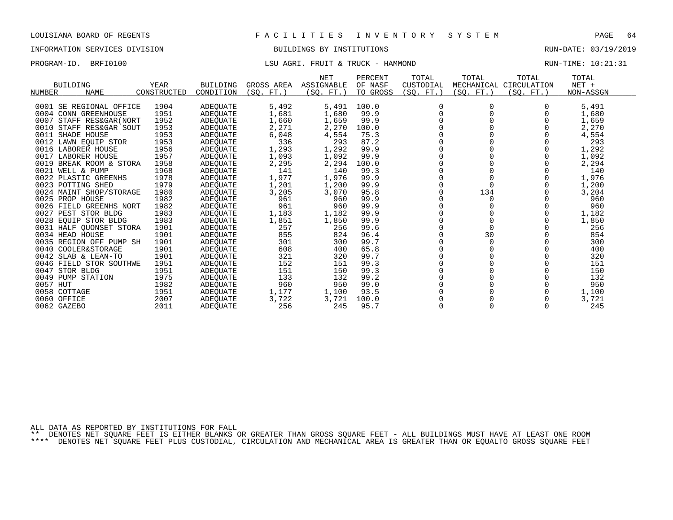## INFORMATION SERVICES DIVISION BUILDINGS BY INSTITUTIONS RUN-DATE: 03/19/2019

# PROGRAM-ID. BRFI0100 CONTEXT LOST LET AGRI. FRUIT & TRUCK - HAMMOND RUN-TIME: 10:21:31

| <b>BUILDING</b>             | <b>YEAR</b> | <b>BUILDING</b> | GROSS AREA  | <b>NET</b><br>ASSIGNABLE | PERCENT<br>OF NASF | TOTAL<br>CUSTODIAL | TOTAL      | TOTAL<br>MECHANICAL CIRCULATION | TOTAL<br>$NET +$ |
|-----------------------------|-------------|-----------------|-------------|--------------------------|--------------------|--------------------|------------|---------------------------------|------------------|
| <b>NAME</b><br>NUMBER       | CONSTRUCTED | CONDITION       | FT.<br>(SO. | (SO. FT.)                | TO GROSS           | (SQ. FT.)          | (SQ. FT. ) | (SO. FT.)                       | NON-ASSGN        |
|                             |             |                 |             |                          |                    |                    |            |                                 |                  |
| 0001 SE REGIONAL OFFICE     | 1904        | ADEQUATE        | 5,492       | 5,491                    | 100.0              | $\Omega$           | 0          |                                 | 5,491            |
| 0004 CONN GREENHOUSE        | 1951        | <b>ADEOUATE</b> | 1,681       | 1,680                    | 99.9               |                    |            |                                 | 1,680            |
| 0007<br>STAFF RES&GAR (NORT | 1952        | ADEQUATE        | 1,660       | 1,659                    | 99.9               |                    |            |                                 | 1,659            |
| 0010<br>STAFF RES&GAR SOUT  | 1953        | ADEOUATE        | 2,271       | 2,270                    | 100.0              |                    |            |                                 | 2,270            |
| SHADE HOUSE<br>0011         | 1953        | ADEQUATE        | 6,048       | 4,554                    | 75.3               |                    |            |                                 | 4,554            |
| 0012 LAWN EQUIP STOR        | 1953        | ADEQUATE        | 336         | 293                      | 87.2               |                    |            |                                 | 293              |
| 0016<br>LABORER HOUSE       | 1956        | ADEOUATE        | 1,293       | 1,292                    | 99.9               |                    |            |                                 | 1,292            |
| 0017 LABORER HOUSE          | 1957        | ADEQUATE        | 1,093       | 1,092                    | 99.9               |                    |            |                                 | 1,092            |
| 0019<br>BREAK ROOM & STORA  | 1958        | ADEOUATE        | 2,295       | 2,294                    | 100.0              |                    |            |                                 | 2,294            |
| 0021<br>WELL & PUMP         | 1968        | <b>ADEQUATE</b> | 141         | 140                      | 99.3               |                    |            |                                 | 140              |
| 0022 PLASTIC GREENHS        | 1978        | ADEQUATE        | 1,977       | 1,976                    | 99.9               |                    |            |                                 | 1,976            |
| 0023 POTTING SHED           | 1979        | ADEQUATE        | 1,201       | 1,200                    | 99.9               |                    | $\Omega$   |                                 | 1,200            |
| 0024 MAINT SHOP/STORAGE     | 1980        | ADEOUATE        | 3,205       | 3,070                    | 95.8               |                    | 134        |                                 | 3,204            |
| 0025 PROP HOUSE             | 1982        | ADEQUATE        | 961         | 960                      | 99.9               |                    | 0          |                                 | 960              |
| 0026<br>FIELD GREENHS NORT  | 1982        | ADEQUATE        | 961         | 960                      | 99.9               |                    |            |                                 | 960              |
| 0027<br>PEST STOR BLDG      | 1983        | ADEOUATE        | 1,183       | 1,182                    | 99.9               |                    |            |                                 | 1,182            |
| 0028 EOUIP STOR BLDG        | 1983        | ADEQUATE        | 1,851       | 1,850                    | 99.9               |                    |            |                                 | 1,850            |
| 0031 HALF QUONSET STORA     | 1901        | ADEQUATE        | 257         | 256                      | 99.6               |                    |            |                                 | 256              |
| 0034 HEAD HOUSE             | 1901        | ADEQUATE        | 855         | 824                      | 96.4               |                    | 30         |                                 | 854              |
| 0035 REGION OFF PUMP SH     | 1901        | ADEOUATE        | 301         | 300                      | 99.7               |                    | 0          |                                 | 300              |
| 0040 COOLER&STORAGE         | 1901        | ADEQUATE        | 608         | 400                      | 65.8               |                    |            |                                 | 400              |
| 0042 SLAB & LEAN-TO         | 1901        | ADEOUATE        | 321         | 320                      | 99.7               |                    |            |                                 | 320              |
| 0046 FIELD STOR SOUTHWE     | 1951        | ADEOUATE        | 152         | 151                      | 99.3               |                    |            |                                 | 151              |
| 0047<br>STOR BLDG           | 1951        | <b>ADEOUATE</b> | 151         | 150                      | 99.3               |                    |            |                                 | 150              |
| 0049 PUMP STATION           | 1975        | ADEOUATE        | 133         | 132                      | 99.2               |                    |            |                                 | 132              |
| 0057 HUT                    | 1982        | ADEQUATE        | 960         | 950                      | 99.0               |                    |            |                                 | 950              |
| 0058 COTTAGE                | 1951        | <b>ADEOUATE</b> | 1,177       | 1,100                    | 93.5               |                    |            |                                 | 1,100            |
| 0060 OFFICE                 | 2007        | ADEQUATE        | 3,722       | 3,721                    | 100.0              |                    |            |                                 | 3,721            |
| 0062 GAZEBO                 | 2011        | <b>ADEOUATE</b> | 256         | 245                      | 95.7               |                    |            | $\Omega$                        | 245              |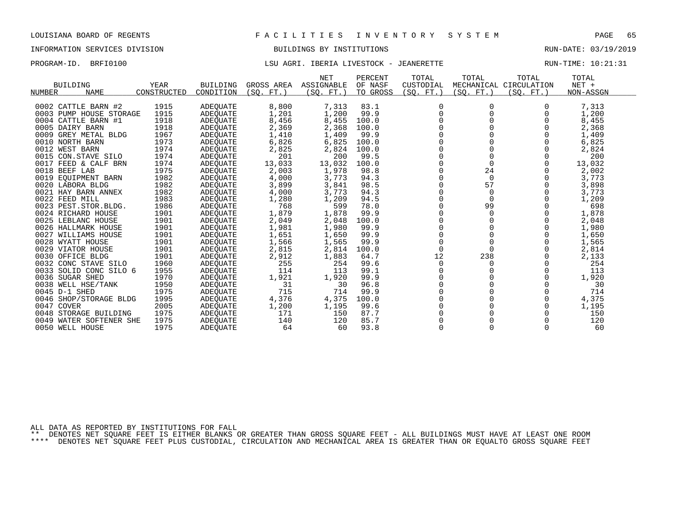## INFORMATION SERVICES DIVISION BUILDINGS BY INSTITUTIONS RUN-DATE: 03/19/2019

## PROGRAM-ID. BRFI0100 LSU AGRI. IBERIA LIVESTOCK - JEANERETTE RUN-TIME: 10:21:31

| <b>BUILDING</b><br><b>NAME</b><br>NUMBER | <b>YEAR</b><br>CONSTRUCTED | <b>BUILDING</b><br>CONDITION | GROSS AREA<br>(SO. FT. ) | <b>NET</b><br>ASSIGNABLE<br>(SO. FT. ) | PERCENT<br>OF NASF<br>TO GROSS | TOTAL<br>CUSTODIAL<br>(SO. FT.) | TOTAL<br>(SO. FT. ) | TOTAL<br>MECHANICAL CIRCULATION<br>(SQ. FT.) | TOTAL<br>$NET +$<br>NON-ASSGN |
|------------------------------------------|----------------------------|------------------------------|--------------------------|----------------------------------------|--------------------------------|---------------------------------|---------------------|----------------------------------------------|-------------------------------|
|                                          |                            |                              |                          |                                        |                                |                                 |                     |                                              |                               |
| 0002 CATTLE BARN #2                      | 1915                       | ADEQUATE                     | 8,800                    | 7,313                                  | 83.1                           | 0                               | 0                   |                                              | 7,313                         |
| 0003 PUMP HOUSE STORAGE                  | 1915                       | <b>ADEOUATE</b>              | 1,201                    | 1,200                                  | 99.9                           | 0                               | 0                   |                                              | 1,200                         |
| 0004 CATTLE BARN #1                      | 1918                       | ADEQUATE                     | 8,456                    | 8,455                                  | 100.0                          |                                 |                     |                                              | 8,455                         |
| 0005 DAIRY BARN                          | 1918                       | ADEQUATE                     | 2,369                    | 2,368                                  | 100.0                          |                                 |                     |                                              | 2,368                         |
| 0009 GREY METAL BLDG                     | 1967                       | ADEQUATE                     | 1,410                    | 1,409                                  | 99.9                           |                                 |                     |                                              | 1,409                         |
| 0010 NORTH BARN                          | 1973                       | ADEQUATE                     | 6,826                    | 6,825                                  | 100.0                          | 0                               |                     |                                              | 6,825                         |
| 0012 WEST BARN                           | 1974                       | <b>ADEOUATE</b>              | 2,825                    | 2,824                                  | 100.0                          | $\Omega$                        |                     | $\Omega$                                     | 2,824                         |
| 0015 CON.STAVE SILO                      | 1974                       | ADEQUATE                     | 201                      | 200                                    | 99.5                           | $\Omega$                        | $\Omega$            | $\Omega$                                     | 200                           |
| 0017 FEED & CALF BRN                     | 1974                       | ADEOUATE                     | 13,033                   | 13,032                                 | 100.0                          | $\Omega$                        | $\Omega$            | $\Omega$                                     | 13,032                        |
| 0018 BEEF LAB                            | 1975                       | ADEQUATE                     | 2,003                    | 1,978                                  | 98.8                           | $\Omega$                        | 24                  |                                              | 2,002                         |
| 0019 EQUIPMENT BARN                      | 1982                       | ADEQUATE                     | 4,000                    | 3,773                                  | 94.3                           |                                 | $\Omega$            |                                              | 3,773                         |
| 0020 LABORA BLDG                         | 1982                       | ADEQUATE                     | 3,899                    | 3,841                                  | 98.5                           | $\Omega$                        | 57                  |                                              | 3,898                         |
| 0021 HAY BARN ANNEX                      | 1982                       | ADEOUATE                     | 4,000                    | 3,773                                  | 94.3                           |                                 | $\Omega$            |                                              | 3,773                         |
| 0022 FEED MILL                           | 1983                       | ADEQUATE                     | 1,280                    | 1,209                                  | 94.5                           |                                 |                     |                                              | 1,209                         |
| 0023 PEST. STOR. BLDG.                   | 1986                       | ADEQUATE                     | 768                      | 599                                    | 78.0                           |                                 | 99                  |                                              | 698                           |
| 0024 RICHARD HOUSE                       | 1901                       | ADEQUATE                     | 1,879                    | 1,878                                  | 99.9                           |                                 |                     |                                              | 1,878                         |
| 0025 LEBLANC HOUSE                       | 1901                       | <b>ADEOUATE</b>              | 2,049                    | 2,048                                  | 100.0                          | $\mathbf 0$                     |                     | 0                                            | 2,048                         |
| 0026 HALLMARK HOUSE                      | 1901                       | ADEQUATE                     | 1,981                    | 1,980                                  | 99.9                           | 0                               |                     | 0                                            | 1,980                         |
| 0027<br>WILLIAMS HOUSE                   | 1901                       | ADEQUATE                     | 1,651                    | 1,650                                  | 99.9                           | $\mathbf 0$                     |                     |                                              | 1,650                         |
| 0028 WYATT HOUSE                         | 1901                       | <b>ADEQUATE</b>              | 1,566                    | 1,565                                  | 99.9                           | $\mathbf 0$                     | $\Omega$            |                                              | 1,565                         |
| 0029 VIATOR HOUSE                        | 1901                       | ADEQUATE                     | 2,815                    | 2,814                                  | 100.0                          | $\mathbf 0$                     | $\Omega$            |                                              | 2,814                         |
| 0030 OFFICE BLDG                         | 1901                       | <b>ADEQUATE</b>              | 2,912                    | 1,883                                  | 64.7                           | 12                              | 238                 | 0                                            | 2,133                         |
| 0032 CONC STAVE SILO                     | 1960                       | ADEQUATE                     | 255                      | 254                                    | 99.6                           | $\mathbf 0$                     | 0                   | $\Omega$                                     | 254                           |
| 0033 SOLID CONC SILO 6                   | 1955                       | ADEOUATE                     | 114                      | 113                                    | 99.1                           | $\Omega$                        | $\Omega$            |                                              | 113                           |
| 0036 SUGAR SHED                          | 1970                       | ADEQUATE                     | 1,921                    | 1,920                                  | 99.9                           | $\Omega$                        |                     |                                              | 1,920                         |
| 0038 WELL HSE/TANK                       | 1950                       | ADEOUATE                     | 31                       | 30                                     | 96.8                           |                                 | $\Omega$            |                                              | 30                            |
| 0045 D-1 SHED                            | 1975                       | ADEQUATE                     | 715                      | 714                                    | 99.9                           |                                 |                     |                                              | 714                           |
| 0046 SHOP/STORAGE BLDG                   | 1995                       | ADEQUATE                     | 4,376                    | 4,375                                  | 100.0                          | $\Omega$                        |                     |                                              | 4,375                         |
| 0047 COVER                               | 2005                       | <b>ADEOUATE</b>              | 1,200                    | 1,195                                  | 99.6                           |                                 |                     |                                              | 1,195                         |
| 0048 STORAGE BUILDING                    | 1975                       | ADEQUATE                     | 171                      | 150                                    | 87.7                           |                                 |                     |                                              | 150                           |
| 0049 WATER SOFTENER SHE                  | 1975                       | ADEQUATE                     | 140                      | 120                                    | 85.7                           |                                 |                     |                                              | 120                           |
| 0050 WELL HOUSE                          | 1975                       | ADEQUATE                     | 64                       | 60                                     | 93.8                           |                                 |                     |                                              | 60                            |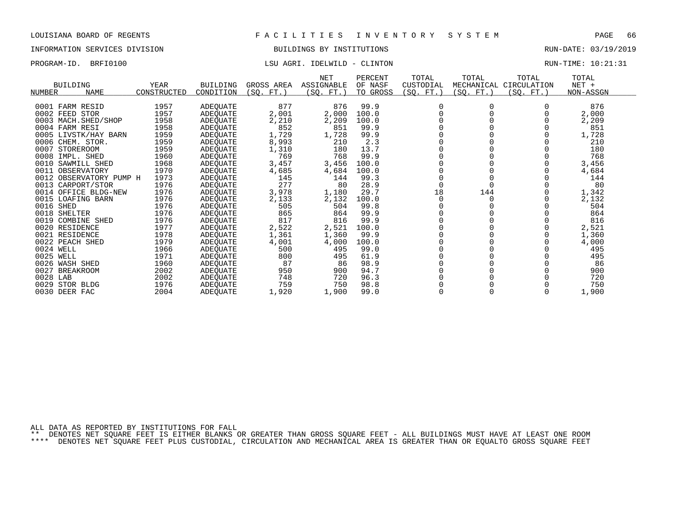# INFORMATION SERVICES DIVISION BUILDINGS BY INSTITUTIONS RUN-DATE: 03/19/2019

## PROGRAM-ID. BRFI0100 LSU AGRI. IDELWILD - CLINTON RUN-TIME: 10:21:31

| <b>BUILDING</b>              | YEAR        | <b>BUILDING</b> | GROSS AREA      | NET<br>ASSIGNABLE | PERCENT<br>OF NASF | TOTAL<br>CUSTODIAL | TOTAL      | TOTAL<br>MECHANICAL CIRCULATION | TOTAL<br>$NET +$ |  |
|------------------------------|-------------|-----------------|-----------------|-------------------|--------------------|--------------------|------------|---------------------------------|------------------|--|
| <b>NUMBER</b><br><b>NAME</b> | CONSTRUCTED | CONDITION       | (SO.<br>$FT.$ ) | (SO.<br>$FT.$ )   | TO GROSS           | (SQ. FT.)          | (SQ. FT. ) | (SQ.<br>$FT.$ )                 | NON-ASSGN        |  |
| 0001 FARM RESID              | 1957        | ADEQUATE        | 877             | 876               | 99.9               | $\Omega$           |            |                                 | 876              |  |
| 0002 FEED STOR               | 1957        | ADEQUATE        | 2,001           | 2,000             | 100.0              |                    |            |                                 | 2,000            |  |
| 0003 MACH. SHED/SHOP         | 1958        | ADEQUATE        | 2,210           | 2,209             | 100.0              |                    |            |                                 | 2,209            |  |
| 0004 FARM RESI               | 1958        | <b>ADEOUATE</b> | 852             | 851               | 99.9               |                    |            |                                 | 851              |  |
| 0005 LIVSTK/HAY BARN         | 1959        | ADEQUATE        | 1,729           | 1,728             | 99.9               |                    |            |                                 | 1,728            |  |
| 0006 CHEM. STOR.             | 1959        | ADEQUATE        | 8,993           | 210               | 2.3                |                    |            |                                 | 210              |  |
| 0007<br><b>STOREROOM</b>     | 1959        | ADEQUATE        | 1,310           | 180               | 13.7               |                    |            |                                 | 180              |  |
| 0008<br>IMPL. SHED           | 1960        | ADEQUATE        | 769             | 768               | 99.9               |                    |            |                                 | 768              |  |
| 0010<br>SAWMILL SHED         | 1968        | ADEQUATE        | 3,457           | 3,456             | 100.0              |                    |            |                                 | 3,456            |  |
| 0011<br>OBSERVATORY          | 1970        | ADEQUATE        | 4,685           | 4,684             | 100.0              |                    |            |                                 | 4,684            |  |
| 0012 OBSERVATORY PUMP H      | 1973        | ADEQUATE        | 145             | 144               | 99.3               |                    |            |                                 | 144              |  |
| 0013<br>CARPORT/STOR         | 1976        | ADEQUATE        | 277             | 80                | 28.9               |                    |            |                                 | 80               |  |
| OFFICE BLDG-NEW<br>0014      | 1976        | ADEQUATE        | 3,978           | 1,180             | 29.7               | 18                 | 144        |                                 | 1,342            |  |
| 0015<br>LOAFING BARN         | 1976        | ADEQUATE        | 2,133           | 2,132             | 100.0              |                    |            |                                 | 2,132            |  |
| 0016 SHED                    | 1976        | ADEQUATE        | 505             | 504               | 99.8               |                    |            |                                 | 504              |  |
| 0018 SHELTER                 | 1976        | ADEQUATE        | 865             | 864               | 99.9               |                    |            |                                 | 864              |  |
| 0019<br><b>COMBINE SHED</b>  | 1976        | ADEQUATE        | 817             | 816               | 99.9               |                    |            |                                 | 816              |  |
| 0020 RESIDENCE               | 1977        | ADEOUATE        | 2,522           | 2,521             | 100.0              |                    |            |                                 | 2,521            |  |
| 0021 RESIDENCE               | 1978        | ADEQUATE        | 1,361           | 1,360             | 99.9               |                    |            |                                 | 1,360            |  |
| 0022 PEACH SHED              | 1979        | ADEQUATE        | 4,001           | 4,000             | 100.0              |                    |            |                                 | 4,000            |  |
| 0024 WELL                    | 1966        | ADEOUATE        | 500             | 495               | 99.0               |                    |            |                                 | 495              |  |
| 0025<br>WELL                 | 1971        | ADEOUATE        | 800             | 495               | 61.9               |                    |            |                                 | 495              |  |
| 0026 WASH SHED               | 1960        | <b>ADEOUATE</b> | 87              | 86                | 98.9               |                    |            |                                 | 86               |  |
| 0027<br><b>BREAKROOM</b>     | 2002        | ADEQUATE        | 950             | 900               | 94.7               |                    |            |                                 | 900              |  |
| 0028 LAB                     | 2002        | ADEQUATE        | 748             | 720               | 96.3               |                    |            |                                 | 720              |  |
| 0029<br>STOR BLDG            | 1976        | ADEQUATE        | 759             | 750               | 98.8               |                    |            |                                 | 750              |  |
| 0030 DEER FAC                | 2004        | <b>ADEOUATE</b> | 1,920           | 1,900             | 99.0               |                    |            |                                 | 1,900            |  |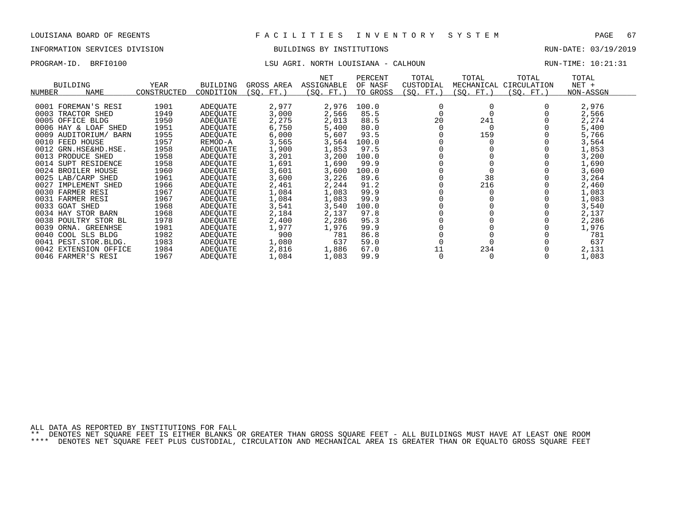# INFORMATION SERVICES DIVISION BUILDINGS BY INSTITUTIONS RUN-DATE: 03/19/2019

## PROGRAM-ID. BRFI0100 LSU AGRI. NORTH LOUISIANA - CALHOUN RUN-TIME: 10:21:31

| <b>BUILDING</b>         |      | YEAR        | <b>BUILDING</b> | GROSS AREA | <b>NET</b><br>ASSIGNABLE | PERCENT<br>OF NASF | TOTAL<br>CUSTODIAL | TOTAL<br>MECHANICAL | TOTAL<br>CIRCULATION | TOTAL<br>$NET +$ |  |
|-------------------------|------|-------------|-----------------|------------|--------------------------|--------------------|--------------------|---------------------|----------------------|------------------|--|
| NUMBER<br><b>NAME</b>   |      | CONSTRUCTED | CONDITION       | (SQ. FT. ) | (SQ. FT.)                | TO GROSS           | (SQ. FT.)          | (SQ. FT.)           | (SQ. FT.)            | NON-ASSGN        |  |
|                         |      |             |                 |            |                          |                    |                    |                     |                      |                  |  |
| 0001 FOREMAN'S RESI     |      | 1901        | ADEQUATE        | 2,977      | 2,976                    | 100.0              |                    |                     |                      | 2,976            |  |
| 0003<br>TRACTOR SHED    |      | 1949        | ADEOUATE        | 3,000      | 2,566                    | 85.5               |                    |                     |                      | 2,566            |  |
| 0005<br>OFFICE BLDG     |      | 1950        | ADEOUATE        | 2,275      | 2,013                    | 88.5               | 20                 | 241                 |                      | 2,274            |  |
| 0006 HAY & LOAF SHED    |      | 1951        | ADEOUATE        | 6,750      | 5,400                    | 80.0               |                    |                     |                      | 5,400            |  |
| 0009<br>AUDITORIUM/     | BARN | 1955        | ADEOUATE        | 6,000      | 5,607                    | 93.5               |                    | 159                 |                      | 5,766            |  |
| 0010 FEED HOUSE         |      | 1957        | REMOD-A         | 3,565      | 3,564                    | 100.0              |                    |                     |                      | 3,564            |  |
| 0012 GRN.HSE&HD.HSE.    |      | 1958        | ADEOUATE        | 1,900      | 1,853                    | 97.5               |                    |                     |                      | 1,853            |  |
| 0013 PRODUCE SHED       |      | 1958        | ADEOUATE        | 3,201      | 3,200                    | 100.0              |                    |                     |                      | 3,200            |  |
| 0014<br>SUPT RESIDENCE  |      | 1958        | ADEOUATE        | 1,691      | 1,690                    | 99.9               |                    |                     |                      | 1,690            |  |
| 0024<br>BROILER HOUSE   |      | 1960        | ADEOUATE        | 3,601      | 3,600                    | 100.0              |                    |                     |                      | 3,600            |  |
| 0025 LAB/CARP SHED      |      | 1961        | ADEQUATE        | 3,600      | 3,226                    | 89.6               |                    | 38                  |                      | 3,264            |  |
| 0027<br>IMPLEMENT SHED  |      | 1966        | ADEQUATE        | 2,461      | 2,244                    | 91.2               |                    | 216                 |                      | 2,460            |  |
| 0030 FARMER RESI        |      | 1967        | ADEQUATE        | 1,084      | 1,083                    | 99.9               |                    |                     |                      | 1,083            |  |
| 0031 FARMER RESI        |      | 1967        | ADEOUATE        | 1,084      | 1,083                    | 99.9               |                    |                     |                      | 1,083            |  |
| 0033 GOAT SHED          |      | 1968        | ADEQUATE        | 3,541      | 3,540                    | 100.0              |                    |                     |                      | 3,540            |  |
| 0034 HAY STOR BARN      |      | 1968        | ADEOUATE        | 2,184      | 2,137                    | 97.8               |                    |                     |                      | 2,137            |  |
| 0038<br>POULTRY STOR BL |      | 1978        | ADEOUATE        | 2,400      | 2,286                    | 95.3               |                    |                     |                      | 2,286            |  |
| 0039<br>ORNA. GREENHSE  |      | 1981        | ADEQUATE        | 1,977      | 1,976                    | 99.9               |                    |                     |                      | 1,976            |  |
| 0040<br>COOL SLS BLDG   |      | 1982        | ADEOUATE        | 900        | 781                      | 86.8               |                    |                     |                      | 781              |  |
| 0041 PEST. STOR. BLDG.  |      | 1983        | ADEQUATE        | 1,080      | 637                      | 59.0               |                    |                     |                      | 637              |  |
| 0042 EXTENSION OFFICE   |      | 1984        | ADEOUATE        | 2,816      | 1,886                    | 67.0               | 11                 | 234                 |                      | 2,131            |  |
| 0046 FARMER'S RESI      |      | 1967        | ADEQUATE        | 1,084      | 1,083                    | 99.9               |                    |                     |                      | 1,083            |  |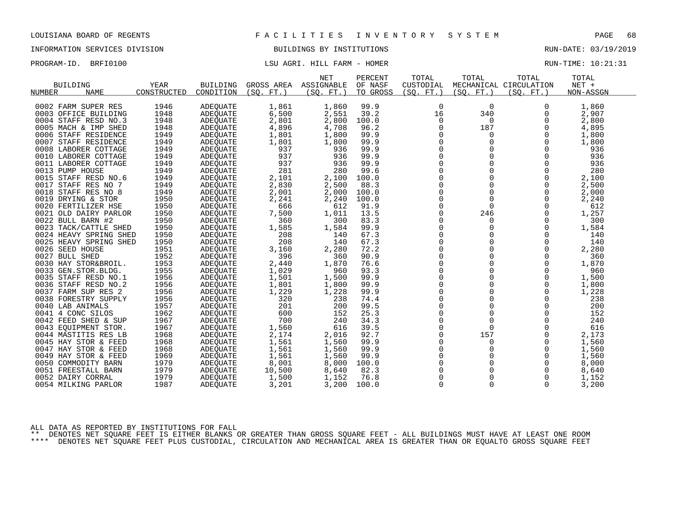INFORMATION SERVICES DIVISION BUILDINGS BY INSTITUTIONS AND RUN-DATE: 03/19/2019

PROGRAM-ID. BRFI0100 COMPUTE: 10:21:31

|                        |             |                 |            | <b>NET</b> | PERCENT  | TOTAL       | TOTAL       | TOTAL                  | TOTAL     |  |
|------------------------|-------------|-----------------|------------|------------|----------|-------------|-------------|------------------------|-----------|--|
| <b>BUILDING</b>        | YEAR        | <b>BUILDING</b> | GROSS AREA | ASSIGNABLE | OF NASF  | CUSTODIAL   |             | MECHANICAL CIRCULATION | NET +     |  |
| NUMBER<br><b>NAME</b>  | CONSTRUCTED | CONDITION       | (SQ. FT.)  | (SQ. FT. ) | TO GROSS | (SO. FT.)   | (SO. FT. )  | (SO. FT. )             | NON-ASSGN |  |
|                        |             |                 |            |            |          |             |             |                        |           |  |
| 0002 FARM SUPER RES    | 1946        | ADEQUATE        | 1,861      | 1,860      | 99.9     | 0           | 0           | 0                      | 1,860     |  |
| 0003 OFFICE BUILDING   | 1948        | <b>ADEOUATE</b> | 6,500      | 2,551      | 39.2     | 16          | 340         | 0                      | 2,907     |  |
| 0004 STAFF RESD NO.3   | 1948        | ADEQUATE        | 2,801      | 2,800      | 100.0    | 0           | $\mathbf 0$ | 0                      | 2,800     |  |
| 0005 MACH & IMP SHED   | 1948        | <b>ADEQUATE</b> | 4,896      | 4,708      | 96.2     | $\mathbf 0$ | 187         | 0                      | 4,895     |  |
| 0006 STAFF RESIDENCE   | 1949        | ADEQUATE        | 1,801      | 1,800      | 99.9     | $\Omega$    | $\Omega$    | $\Omega$               | 1,800     |  |
| 0007 STAFF RESIDENCE   | 1949        | ADEQUATE        | 1,801      | 1,800      | 99.9     | $\mathbf 0$ | $\mathbf 0$ | 0                      | 1,800     |  |
| 0008 LABORER COTTAGE   | 1949        | ADEOUATE        | 937        | 936        | 99.9     | 0           | $\Omega$    | $\mathbf 0$            | 936       |  |
| 0010 LABORER COTTAGE   | 1949        | <b>ADEQUATE</b> | 937        | 936        | 99.9     | $\mathbf 0$ | $\Omega$    | $\Omega$               | 936       |  |
| 0011 LABORER COTTAGE   | 1949        | <b>ADEQUATE</b> | 937        | 936        | 99.9     | $\Omega$    | $\Omega$    | $\Omega$               | 936       |  |
| 0013 PUMP HOUSE        | 1949        | ADEOUATE        | 281        | 280        | 99.6     | 0           | $\mathbf 0$ | 0                      | 280       |  |
| 0015 STAFF RESD NO.6   | 1949        | ADEQUATE        | 2,101      | 2,100      | 100.0    | $\mathbf 0$ |             | 0                      | 2,100     |  |
| 0017 STAFF RES NO 7    | 1949        | <b>ADEQUATE</b> | 2,830      | 2,500      | 88.3     | $\Omega$    | $\Omega$    | $\Omega$               | 2,500     |  |
| 0018 STAFF RES NO 8    | 1949        | ADEQUATE        | 2,001      | 2,000      | 100.0    | $\mathbf 0$ | 0           | 0                      | 2,000     |  |
| 0019 DRYING & STOR     | 1950        | ADEQUATE        | 2,241      | 2,240      | 100.0    | $\Omega$    | $\Omega$    | $\Omega$               | 2,240     |  |
| 0020 FERTILIZER HSE    | 1950        | ADEOUATE        | 666        | 612        | 91.9     | $\mathbf 0$ | $\Omega$    | $\Omega$               | 612       |  |
| 0021 OLD DAIRY PARLOR  | 1950        | ADEQUATE        | 7,500      | 1,011      | 13.5     | $\mathbf 0$ | 246         | 0                      | 1,257     |  |
| 0022 BULL BARN #2      | 1950        | ADEQUATE        | 360        | 300        | 83.3     | 0           | $\mathbf 0$ | $\mathbf 0$            | 300       |  |
| 0023 TACK/CATTLE SHED  | 1950        | ADEQUATE        | 1,585      | 1,584      | 99.9     | 0           | 0           | 0                      | 1,584     |  |
| 0024 HEAVY SPRING SHED | 1950        | ADEOUATE        | 208        | 140        | 67.3     | $\mathbf 0$ | $\Omega$    | $\Omega$               | 140       |  |
| 0025 HEAVY SPRING SHED | 1950        | <b>ADEQUATE</b> | 208        | 140        | 67.3     | 0           | 0           | 0                      | 140       |  |
| 0026 SEED HOUSE        | 1951        | ADEQUATE        | 3,160      | 2,280      | 72.2     | $\mathbf 0$ | $\Omega$    | 0                      | 2,280     |  |
| 0027 BULL SHED         | 1952        | ADEOUATE        | 396        | 360        | 90.9     | $\Omega$    | $\Omega$    | $\Omega$               | 360       |  |
| 0030 HAY STOR&BROIL.   | 1953        | <b>ADEQUATE</b> | 2,440      | 1,870      | 76.6     | $\mathbf 0$ | $\mathbf 0$ | 0                      | 1,870     |  |
| 0033 GEN.STOR.BLDG.    | 1955        | ADEQUATE        | 1,029      | 960        | 93.3     | 0           | $\Omega$    | $\mathbf 0$            | 960       |  |
| 0035 STAFF RESD NO.1   | 1956        | ADEQUATE        | 1,501      | 1,500      | 99.9     | $\mathbf 0$ | $\Omega$    | $\Omega$               | 1,500     |  |
| 0036 STAFF RESD NO.2   | 1956        | ADEQUATE        | 1,801      | 1,800      | 99.9     | $\mathbf 0$ | 0           | 0                      | 1,800     |  |
| 0037 FARM SUP RES 2    | 1956        | ADEOUATE        | 1,229      | 1,228      | 99.9     | $\mathbf 0$ | $\Omega$    | 0                      | 1,228     |  |
| 0038 FORESTRY SUPPLY   | 1956        | <b>ADEQUATE</b> | 320        | 238        | 74.4     | $\Omega$    | $\Omega$    | $\Omega$               | 238       |  |
| 0040 LAB ANIMALS       | 1957        | ADEQUATE        | 201        | 200        | 99.5     | $\Omega$    | $\Omega$    | $\Omega$               | 200       |  |
| 0041 4 CONC SILOS      | 1962        | ADEOUATE        | 600        | 152        | 25.3     | 0           | 0           | 0                      | 152       |  |
| 0042 FEED SHED & SUP   | 1967        | ADEQUATE        | 700        | 240        | 34.3     | $\mathbf 0$ | $\mathbf 0$ | $\mathbf 0$            | 240       |  |
| 0043 EQUIPMENT STOR.   | 1967        | ADEQUATE        | 1,560      | 616        | 39.5     | $\Omega$    | $\Omega$    | $\Omega$               | 616       |  |
| 0044 MASTITIS RES LB   | 1968        | <b>ADEQUATE</b> | 2,174      | 2,016      | 92.7     | 0           | 157         | 0                      | 2,173     |  |
| 0045 HAY STOR & FEED   | 1968        | ADEQUATE        | 1,561      | 1,560      | 99.9     | $\Omega$    | $\Omega$    | $\Omega$               | 1,560     |  |
| 0047 HAY STOR & FEED   | 1968        | ADEOUATE        | 1,561      | 1,560      | 99.9     | $\Omega$    | $\Omega$    | $\Omega$               | 1,560     |  |
| 0049 HAY STOR & FEED   | 1969        | ADEQUATE        | 1,561      | 1,560      | 99.9     | $\mathbf 0$ | $\Omega$    | 0                      | 1,560     |  |
| 0050 COMMODITY BARN    | 1979        | ADEQUATE        | 8,001      | 8,000      | 100.0    | 0           |             | $\mathbf 0$            | 8,000     |  |
| 0051 FREESTALL BARN    | 1979        | ADEQUATE        | 10,500     | 8,640      | 82.3     | $\mathbf 0$ |             | 0                      | 8,640     |  |
| 0052 DAIRY CORRAL      | 1979        | ADEOUATE        | 1,500      | 1,152      | 76.8     | $\mathbf 0$ | 0           | 0                      | 1,152     |  |
| 0054 MILKING PARLOR    | 1987        | ADEQUATE        | 3,201      | 3,200      | 100.0    | $\mathbf 0$ | $\Omega$    | $\Omega$               | 3,200     |  |
|                        |             |                 |            |            |          |             |             |                        |           |  |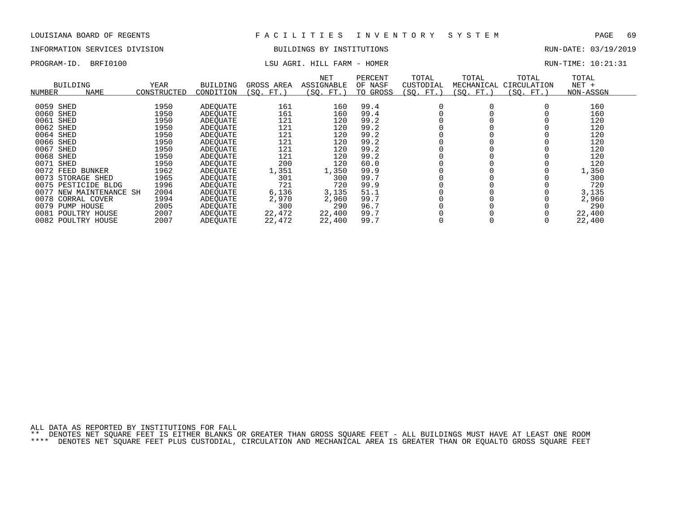# INFORMATION SERVICES DIVISION BUILDINGS BY INSTITUTIONS AND RUN-DATE: 03/19/2019

# PROGRAM-ID. BRFI0100 COMPUTE: 10:21:31

| NUMBER    | <b>BUILDING</b><br><b>NAME</b> | YEAR<br>CONSTRUCTED | <b>BUILDING</b><br>CONDITION | GROSS AREA<br>FT.<br>(SO. | NET<br><b>ASSIGNABLE</b><br>(SQ. FT. | PERCENT<br>OF NASF<br>TO GROSS | TOTAL<br>CUSTODIAL<br>(SQ. FT.) | TOTAL<br>MECHANICAL<br>(SQ. FT.) | TOTAL<br>CIRCULATION<br>(SO. FT.) | TOTAL<br>$NET +$<br>NON-ASSGN |
|-----------|--------------------------------|---------------------|------------------------------|---------------------------|--------------------------------------|--------------------------------|---------------------------------|----------------------------------|-----------------------------------|-------------------------------|
|           |                                |                     |                              |                           |                                      |                                |                                 |                                  |                                   |                               |
| 0059 SHED |                                | 1950                | ADEOUATE                     | 161                       | 160                                  | 99.4                           |                                 |                                  |                                   | 160                           |
| 0060      | SHED                           | 1950                | ADEOUATE                     | 161                       | 160                                  | 99.4                           |                                 |                                  |                                   | 160                           |
| 0061      | SHED                           | 1950                | ADEOUATE                     | 121                       | 120                                  | 99.2                           |                                 |                                  |                                   | 120                           |
| 0062 SHED |                                | 1950                | ADEOUATE                     | 121                       | 120                                  | 99.2                           |                                 |                                  |                                   | 120                           |
| 0064 SHED |                                | 1950                | ADEOUATE                     | 121                       | 120                                  | 99.2                           |                                 |                                  |                                   | 120                           |
| 0066 SHED |                                | 1950                | ADEOUATE                     | 121                       | 120                                  | 99.2                           |                                 |                                  |                                   | 120                           |
| 0067      | SHED                           | 1950                | ADEOUATE                     | 121                       | 120                                  | 99.2                           |                                 |                                  |                                   | 120                           |
| 0068 SHED |                                | 1950                | ADEQUATE                     | 121                       | 120                                  | 99.2                           |                                 |                                  |                                   | 120                           |
| 0071      | SHED                           | 1950                | ADEOUATE                     | 200                       | 120                                  | 60.0                           |                                 |                                  |                                   | 120                           |
|           | 0072 FEED BUNKER               | 1962                | ADEQUATE                     | 1,351                     | 1,350                                | 99.9                           |                                 |                                  |                                   | 1,350                         |
| 0073      | STORAGE SHED                   | 1965                | ADEOUATE                     | 301                       | 300                                  | 99.7                           |                                 |                                  |                                   | 300                           |
|           | 0075 PESTICIDE BLDG            | 1996                | ADEOUATE                     | 721                       | 720                                  | 99.9                           |                                 |                                  |                                   | 720                           |
|           | 0077 NEW MAINTENANCE SH        | 2004                | ADEOUATE                     | 6,136                     | 3,135                                | 51.1                           |                                 |                                  |                                   | 3,135                         |
|           | 0078 CORRAL COVER              | 1994                | ADEOUATE                     | 2,970                     | 2,960                                | 99.7                           |                                 |                                  |                                   | 2,960                         |
| 0079      | PUMP HOUSE                     | 2005                | ADEOUATE                     | 300                       | 290                                  | 96.7                           |                                 |                                  |                                   | 290                           |
| 0081      | POULTRY HOUSE                  | 2007                | ADEQUATE                     | 22,472                    | 22,400                               | 99.7                           |                                 |                                  |                                   | 22,400                        |
|           | 0082 POULTRY HOUSE             | 2007                | ADEOUATE                     | 22,472                    | 22,400                               | 99.7                           |                                 |                                  |                                   | 22,400                        |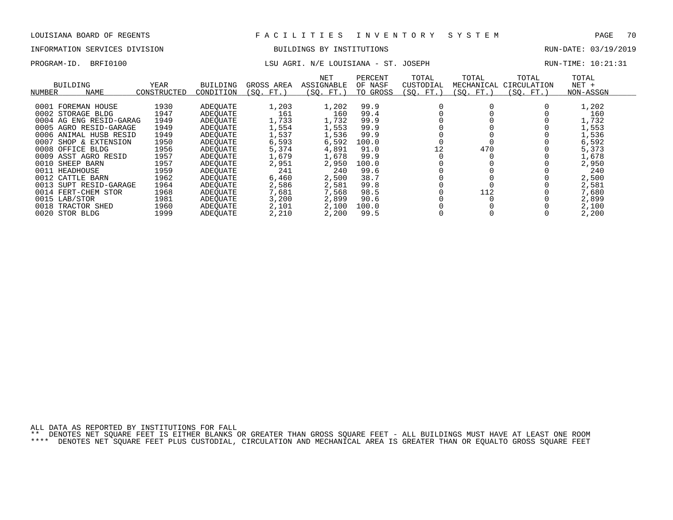# INFORMATION SERVICES DIVISION BUILDINGS BY INSTITUTIONS AND RUN-DATE: 03/19/2019

# PROGRAM-ID. BRFI0100 CONTENTION LSU AGRI. N/E LOUISIANA - ST. JOSEPH RUN-TIME: 10:21:31

| NUMBER | BUILDING<br><b>NAME</b> | YEAR<br>CONSTRUCTED | <b>BUILDING</b><br>CONDITION | GROSS AREA<br>(SO. FT. | <b>NET</b><br>ASSIGNABLE<br>(SO. FT.) | PERCENT<br>OF NASF<br>TO GROSS | TOTAL<br>CUSTODIAL<br>(SO. FT.) | TOTAL<br>MECHANICAL<br>(SO. FT.) | TOTAL<br>CIRCULATION<br>(SO. FT.) | TOTAL<br>$NET +$<br>NON-ASSGN |  |
|--------|-------------------------|---------------------|------------------------------|------------------------|---------------------------------------|--------------------------------|---------------------------------|----------------------------------|-----------------------------------|-------------------------------|--|
| 0001   | FOREMAN HOUSE           | 1930                | ADEOUATE                     | 1,203                  | 1,202                                 | 99.9                           |                                 |                                  |                                   | 1,202                         |  |
|        | 0002 STORAGE BLDG       | 1947                |                              | 161                    | 160                                   | 99.4                           |                                 |                                  |                                   | 160                           |  |
|        |                         |                     | ADEOUATE                     |                        |                                       | 99.9                           |                                 |                                  |                                   |                               |  |
|        | 0004 AG ENG RESID-GARAG | 1949                | ADEOUATE                     | 1,733                  | 1,732                                 |                                |                                 |                                  |                                   | 1,732                         |  |
| 0005   | AGRO RESID-GARAGE       | 1949                | ADEOUATE                     | 1,554                  | 1,553                                 | 99.9                           |                                 |                                  |                                   | 1,553                         |  |
|        | 0006 ANIMAL HUSB RESID  | 1949                | ADEOUATE                     | 1,537                  | 1,536                                 | 99.9                           |                                 |                                  |                                   | 1,536                         |  |
| 0007   | SHOP & EXTENSION        | 1950                | ADEOUATE                     | 6,593                  | 6,592                                 | 100.0                          |                                 |                                  |                                   | 6,592                         |  |
| 0008   | BLDG<br>OFFICE          | 1956                | ADEOUATE                     | 5,374                  | 4,891                                 | 91.0                           | 12                              | 470                              |                                   | 5,373                         |  |
|        | 0009 ASST AGRO RESID    | 1957                | ADEOUATE                     | 1,679                  | 1,678                                 | 99.9                           |                                 |                                  |                                   | 1,678                         |  |
| 0010   | SHEEP BARN              | 1957                | ADEOUATE                     | 2,951                  | 2,950                                 | 100.0                          |                                 |                                  |                                   | 2,950                         |  |
|        | 0011 HEADHOUSE          | 1959                | ADEOUATE                     | 241                    | 240                                   | 99.6                           |                                 |                                  |                                   | 240                           |  |
|        | 0012 CATTLE BARN        | 1962                | ADEOUATE                     | 6,460                  | 2,500                                 | 38.7                           |                                 |                                  |                                   | 2,500                         |  |
| 0013   | SUPT RESID-GARAGE       | 1964                | ADEOUATE                     | 2,586                  | 2,581                                 | 99.8                           |                                 |                                  |                                   | 2,581                         |  |
|        | 0014 FERT-CHEM STOR     | 1968                | ADEOUATE                     | 7,681                  | 7,568                                 | 98.5                           |                                 | 112                              |                                   | 7,680                         |  |
|        | 0015 LAB/STOR           | 1981                | ADEOUATE                     | 3,200                  | 2,899                                 | 90.6                           |                                 |                                  |                                   | 2,899                         |  |
| 0018   | TRACTOR SHED            | 1960                | ADEOUATE                     | 2,101                  | 2,100                                 | 100.0                          |                                 |                                  |                                   | 2,100                         |  |
|        | 0020 STOR BLDG          | 1999                | ADEOUATE                     | 2,210                  | 2,200                                 | 99.5                           |                                 |                                  |                                   | 2,200                         |  |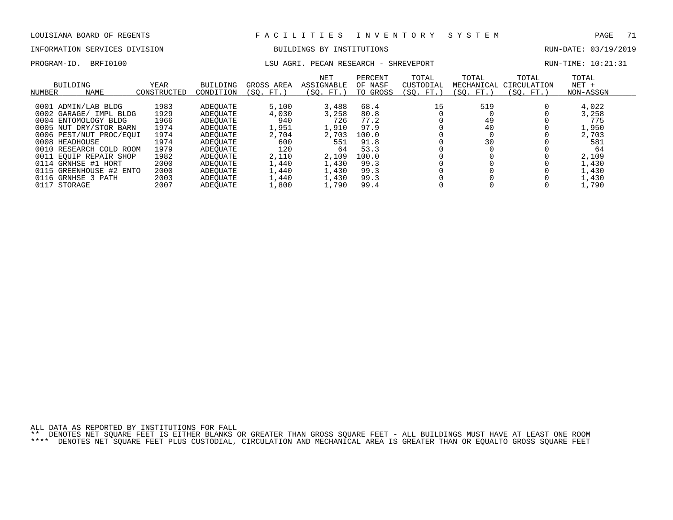# INFORMATION SERVICES DIVISION BUILDINGS BY INSTITUTIONS AND RUN-DATE: 03/19/2019

### PROGRAM-ID. BRFI0100 **LSU AGRI. PECAN RESEARCH - SHREVEPORT** RUN-TIME: 10:21:31

| NUMBER | BUILDING<br><b>NAME</b> | YEAR<br>CONSTRUCTED | <b>BUILDING</b><br>CONDITION | GROSS AREA<br>(SO. FT. | <b>NET</b><br>ASSIGNABLE<br>(SO. FT. ) | PERCENT<br>OF NASF<br>TO GROSS | TOTAL<br>CUSTODIAL<br>(SO. FT.) | TOTAL<br>MECHANICAL<br>(SO. FT.) | TOTAL<br>CIRCULATION<br>(SO. FT.) | TOTAL<br>$NET +$<br>NON-ASSGN |
|--------|-------------------------|---------------------|------------------------------|------------------------|----------------------------------------|--------------------------------|---------------------------------|----------------------------------|-----------------------------------|-------------------------------|
|        |                         |                     |                              |                        |                                        |                                |                                 |                                  |                                   |                               |
|        | 0001 ADMIN/LAB BLDG     | 1983                | ADEOUATE                     | 5,100                  | 3,488                                  | 68.4                           | 15                              | 519                              |                                   | 4,022                         |
|        | 0002 GARAGE/ IMPL BLDG  | 1929                | ADEOUATE                     | 4,030                  | 3,258                                  | 80.8                           |                                 |                                  |                                   | 3,258                         |
|        | 0004 ENTOMOLOGY BLDG    | 1966                | ADEOUATE                     | 940                    | 726                                    | 77.2                           |                                 | 49                               |                                   | 775                           |
|        | 0005 NUT DRY/STOR BARN  | 1974                | ADEOUATE                     | 1,951                  | 1,910                                  | 97.9                           |                                 | 40                               |                                   | 1,950                         |
|        | 0006 PEST/NUT PROC/EOUI | 1974                | ADEOUATE                     | 2,704                  | 2,703                                  | 100.0                          |                                 |                                  |                                   | 2,703                         |
|        | 0008 HEADHOUSE          | 1974                | ADEOUATE                     | 600                    | 551                                    | 91.8                           |                                 | 30                               |                                   | 581                           |
|        | 0010 RESEARCH COLD ROOM | 1979                | ADEOUATE                     | 120                    | 64                                     | 53.3                           |                                 |                                  |                                   | 64                            |
|        | 0011 EOUIP REPAIR SHOP  | 1982                | ADEOUATE                     | 2,110                  | 2,109                                  | 100.0                          |                                 |                                  |                                   | 2,109                         |
|        | 0114 GRNHSE #1 HORT     | 2000                | ADEOUATE                     | 1,440                  | 1,430                                  | 99.3                           |                                 |                                  |                                   | 1,430                         |
|        | 0115 GREENHOUSE #2 ENTO | 2000                | ADEOUATE                     | 1,440                  | 1,430                                  | 99.3                           |                                 |                                  |                                   | 1,430                         |
|        | 0116 GRNHSE 3 PATH      | 2003                | ADEOUATE                     | 1,440                  | 1,430                                  | 99.3                           |                                 |                                  |                                   | 1,430                         |
| 0117   | STORAGE                 | 2007                | <b>ADEOUATE</b>              | 1,800                  | 1,790                                  | 99.4                           |                                 |                                  |                                   | 1,790                         |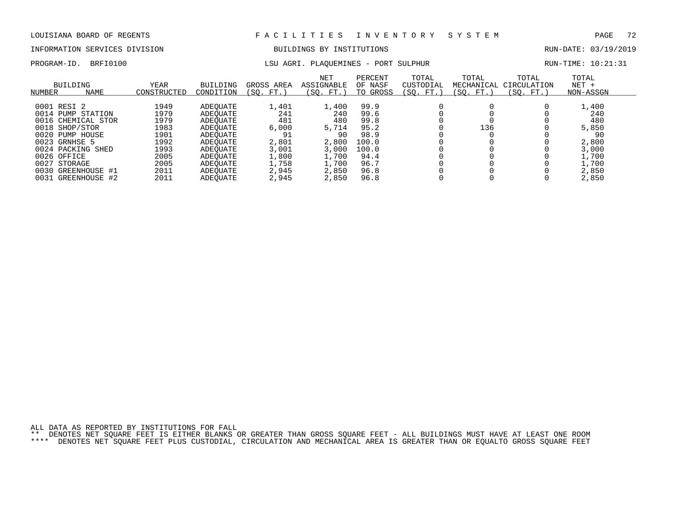# INFORMATION SERVICES DIVISION BUILDINGS BY INSTITUTIONS AND RUN-DATE: 03/19/2019

# PROGRAM-ID. BRFI0100 **EXELL AGRI. PLAQUEMINES - PORT SULPHUR** RUN-TIME: 10:21:31

| NUMBER | <b>BUILDING</b><br><b>NAME</b> | <b>YEAR</b><br>CONSTRUCTED | <b>BUILDING</b><br>CONDITION | GROSS AREA<br>(SO.<br>FT. | <b>NET</b><br><b>ASSIGNABLE</b><br>(SO. FT.) | PERCENT<br>OF NASF<br>TO GROSS | TOTAL<br>CUSTODIAL<br>(SO.<br>FT. | TOTAL<br>MECHANICAL<br>(SO. FT.) | TOTAL<br>CIRCULATION<br>SO.<br>FT.) | TOTAL<br>$NET +$<br>NON-ASSGN |
|--------|--------------------------------|----------------------------|------------------------------|---------------------------|----------------------------------------------|--------------------------------|-----------------------------------|----------------------------------|-------------------------------------|-------------------------------|
|        |                                |                            |                              |                           |                                              |                                |                                   |                                  |                                     |                               |
|        | 0001 RESI 2                    | 1949                       | ADEOUATE                     | 1,401                     | 1,400                                        | 99.9                           |                                   |                                  |                                     | 1,400                         |
|        | 0014 PUMP STATION              | 1979                       | ADEOUATE                     | 241                       | 240                                          | 99.6                           |                                   |                                  |                                     | 240                           |
|        | 0016 CHEMICAL STOR             | 1979                       | ADEOUATE                     | 481                       | 480                                          | 99.8                           |                                   |                                  |                                     | 480                           |
|        | 0018 SHOP/STOR                 | 1983                       | ADEOUATE                     | 6,000                     | 5,714                                        | 95.2                           |                                   | 136                              |                                     | 5,850                         |
|        | 0020 PUMP HOUSE                | 1901                       | ADEOUATE                     | 91                        | 90                                           | 98.9                           |                                   |                                  |                                     | 90                            |
|        | 0023 GRNHSE 5                  | 1992                       | ADEOUATE                     | 2,801                     | 2,800                                        | 100.0                          |                                   |                                  |                                     | 2,800                         |
|        | 0024 PACKING SHED              | 1993                       | ADEOUATE                     | 3,001                     | 3,000                                        | 100.0                          |                                   |                                  |                                     | 3,000                         |
|        | 0026 OFFICE                    | 2005                       | ADEOUATE                     | 1,800                     | 1,700                                        | 94.4                           |                                   |                                  |                                     | 1,700                         |
| 0027   | STORAGE                        | 2005                       | ADEOUATE                     | 1,758                     | 1,700                                        | 96.7                           |                                   |                                  |                                     | 1,700                         |
| 0030   | GREENHOUSE #1                  | 2011                       | ADEOUATE                     | 2,945                     | 2,850                                        | 96.8                           |                                   |                                  |                                     | 2,850                         |
|        | 0031 GREENHOUSE #2             | 2011                       | ADEOUATE                     | 2,945                     | 2,850                                        | 96.8                           |                                   |                                  |                                     | 2,850                         |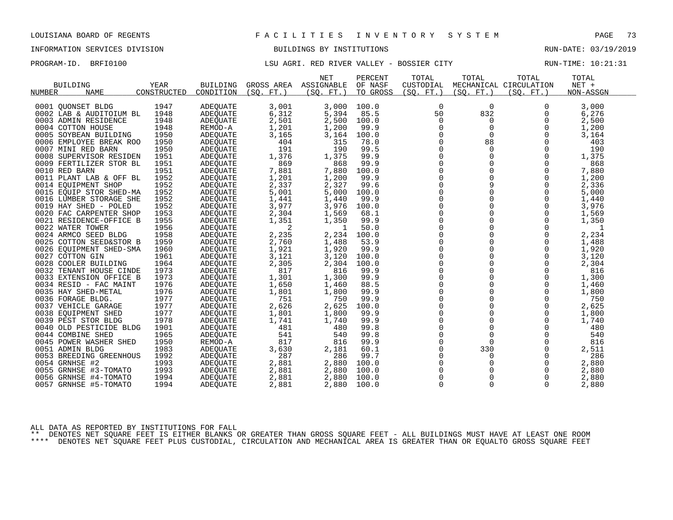# INFORMATION SERVICES DIVISION BUILDINGS BY INSTITUTIONS AND RUN-DATE: 03/19/2019

## PROGRAM-ID. BRFI0100 **EXAM-ID.** BRFI0100 LSU AGRI. RED RIVER VALLEY - BOSSIER CITY RUN-TIME: 10:21:31

|                         |             |                 |            | <b>NET</b> | PERCENT  | TOTAL       | TOTAL       | TOTAL                  | TOTAL     |  |
|-------------------------|-------------|-----------------|------------|------------|----------|-------------|-------------|------------------------|-----------|--|
| <b>BUILDING</b>         | <b>YEAR</b> | <b>BUILDING</b> | GROSS AREA | ASSIGNABLE | OF NASF  | CUSTODIAL   |             | MECHANICAL CIRCULATION | NET +     |  |
| <b>NAME</b><br>NUMBER   | CONSTRUCTED | CONDITION       | (SO, FT.)  | (SO, FT.)  | TO GROSS | (SO, FT.)   | (SO. FT. )  | (SO, FT.)              | NON-ASSGN |  |
| 0001 OUONSET BLDG       | 1947        | <b>ADEQUATE</b> | 3,001      | 3,000      | 100.0    | 0           | $\mathbf 0$ | 0                      | 3,000     |  |
| 0002 LAB & AUDITOIUM BL | 1948        | <b>ADEOUATE</b> | 6,312      | 5,394      | 85.5     | 50          | 832         | 0                      | 6,276     |  |
| 0003 ADMIN RESIDENCE    | 1948        | <b>ADEQUATE</b> | 2,501      | 2,500      | 100.0    | 0           | 0           | 0                      | 2,500     |  |
| 0004 COTTON HOUSE       | 1948        | REMOD-A         | 1,201      | 1,200      | 99.9     | $\mathbf 0$ | $\mathbf 0$ | 0                      | 1,200     |  |
| 0005 SOYBEAN BUILDING   | 1950        | ADEQUATE        | 3,165      | 3,164      | 100.0    | 0           | $\Omega$    | $\Omega$               | 3,164     |  |
| 0006 EMPLOYEE BREAK ROO | 1950        | ADEQUATE        | 404        | 315        | 78.0     | $\mathbf 0$ | 88          | 0                      | 403       |  |
| 0007 MINI RED BARN      | 1950        | <b>ADEOUATE</b> | 191        | 190        | 99.5     | 0           | 0           | $\mathbf 0$            | 190       |  |
| 0008 SUPERVISOR RESIDEN | 1951        | ADEQUATE        | 1,376      | 1,375      | 99.9     | 0           | 0           | 0                      | 1,375     |  |
| 0009 FERTILIZER STOR BL | 1951        | ADEOUATE        | 869        | 868        | 99.9     | $\mathbf 0$ | $\Omega$    | $\Omega$               | 868       |  |
| 0010 RED BARN           | 1951        | ADEQUATE        | 7,881      | 7,880      | 100.0    | 0           | $\mathbf 0$ | 0                      | 7,880     |  |
| 0011 PLANT LAB & OFF BL | 1952        | ADEQUATE        | 1,201      | 1,200      | 99.9     | 0           | 0           | 0                      | 1,200     |  |
| 0014 EOUIPMENT SHOP     | 1952        | <b>ADEOUATE</b> | 2,337      | 2,327      | 99.6     | $\mathbf 0$ | 9           | $\Omega$               | 2,336     |  |
| 0015 EQUIP STOR SHED-MA | 1952        | ADEQUATE        | 5,001      | 5,000      | 100.0    | 0           | $\mathbf 0$ | 0                      | 5,000     |  |
| 0016 LUMBER STORAGE SHE | 1952        | ADEQUATE        | 1,441      | 1,440      | 99.9     | 0           | $\Omega$    | $\Omega$               | 1,440     |  |
| 0019 HAY SHED - POLED   | 1952        | ADEQUATE        | 3,977      | 3,976      | 100.0    | $\mathbf 0$ | $\Omega$    | $\Omega$               | 3,976     |  |
| 0020 FAC CARPENTER SHOP | 1953        | ADEQUATE        | 2,304      | 1,569      | 68.1     | 0           | 0           | 0                      | 1,569     |  |
| 0021 RESIDENCE-OFFICE B | 1955        | ADEQUATE        | 1,351      | 1,350      | 99.9     | $\mathbf 0$ | $\mathbf 0$ | $\mathbf 0$            | 1,350     |  |
| 0022 WATER TOWER        | 1956        | ADEQUATE        | 2          | -1         | 50.0     | $\mathbf 0$ | $\Omega$    | $\Omega$               | 1         |  |
| 0024 ARMCO SEED BLDG    | 1958        | ADEQUATE        | 2,235      | 2,234      | 100.0    | 0           | $\Omega$    | $\Omega$               | 2,234     |  |
| 0025 COTTON SEED&STOR B | 1959        | <b>ADEOUATE</b> | 2,760      | 1,488      | 53.9     | $\mathsf 0$ | $\Omega$    | 0                      | 1,488     |  |
| 0026 EOUIPMENT SHED-SMA | 1960        | ADEQUATE        | 1,921      | 1,920      | 99.9     | $\mathbf 0$ | $\Omega$    | $\Omega$               | 1,920     |  |
| 0027 COTTON GIN         | 1961        | ADEQUATE        | 3,121      | 3,120      | 100.0    | $\mathbf 0$ | $\Omega$    | $\Omega$               | 3,120     |  |
| 0028 COOLER BUILDING    | 1964        | ADEQUATE        | 2,305      | 2,304      | 100.0    | $\mathsf 0$ | $\mathbf 0$ | $\mathbf 0$            | 2,304     |  |
| 0032 TENANT HOUSE CINDE | 1973        | ADEQUATE        | 817        | 816        | 99.9     | 0           | 0           | $\mathbf 0$            | 816       |  |
| 0033 EXTENSION OFFICE B | 1973        | ADEOUATE        | 1,301      | 1,300      | 99.9     | $\Omega$    | $\Omega$    | $\Omega$               | 1,300     |  |
| 0034 RESID - FAC MAINT  | 1976        | ADEQUATE        | 1,650      | 1,460      | 88.5     | 0           | 0           | $\mathbf 0$            | 1,460     |  |
| 0035 HAY SHED-METAL     | 1976        | ADEQUATE        | 1,801      | 1,800      | 99.9     | 0           | 0           | 0                      | 1,800     |  |
| 0036 FORAGE BLDG.       | 1977        | ADEQUATE        | 751        | 750        | 99.9     | $\Omega$    | $\Omega$    | $\Omega$               | 750       |  |
| 0037 VEHICLE GARAGE     | 1977        | ADEQUATE        | 2,626      | 2,625      | 100.0    | 0           | $\mathbf 0$ | 0                      | 2,625     |  |
| 0038 EQUIPMENT SHED     | 1977        | ADEQUATE        | 1,801      | 1,800      | 99.9     | 0           | 0           | 0                      | 1,800     |  |
| 0039 PEST STOR BLDG     | 1978        | ADEQUATE        | 1,741      | 1,740      | 99.9     | $\Omega$    | $\Omega$    | $\Omega$               | 1,740     |  |
| 0040 OLD PESTICIDE BLDG | 1901        | ADEOUATE        | 481        | 480        | 99.8     | $\mathbf 0$ | $\mathbf 0$ | 0                      | 480       |  |
| 0044 COMBINE SHED       | 1965        | ADEQUATE        | 541        | 540        | 99.8     | 0           | $\Omega$    | $\Omega$               | 540       |  |
| 0045 POWER WASHER SHED  | 1950        | REMOD-A         | 817        | 816        | 99.9     | $\mathbf 0$ | $\Omega$    | $\Omega$               | 816       |  |
| 0051 ADMIN BLDG         | 1983        | ADEQUATE        | 3,630      | 2,181      | 60.1     | 0           | 330         | 0                      | 2,511     |  |
| 0053 BREEDING GREENHOUS | 1992        | ADEQUATE        | 287        | 286        | 99.7     | 0           | 0           | $\mathbf 0$            | 286       |  |
| 0054 GRNHSE #2          | 1993        | ADEQUATE        | 2,881      | 2,880      | 100.0    | 0           | 0           | 0                      | 2,880     |  |
| 0055 GRNHSE #3-TOMATO   | 1993        | ADEQUATE        | 2,881      | 2,880      | 100.0    | $\Omega$    | $\Omega$    | $\Omega$               | 2,880     |  |
| 0056 GRNHSE #4-TOMATO   | 1994        | ADEQUATE        | 2,881      | 2,880      | 100.0    | $\mathbf 0$ | 0           | 0                      | 2,880     |  |
| 0057 GRNHSE #5-TOMATO   | 1994        | ADEQUATE        | 2,881      | 2,880      | 100.0    | 0           | 0           | 0                      | 2,880     |  |
|                         |             |                 |            |            |          |             |             |                        |           |  |

ALL DATA AS REPORTED BY INSTITUTIONS FOR FALL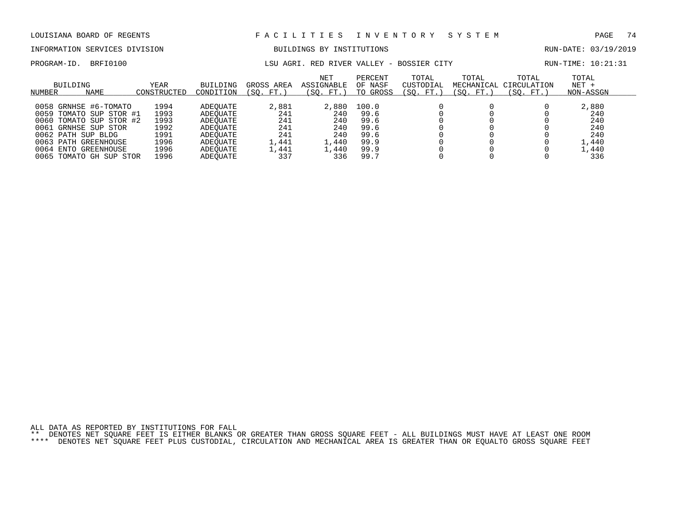# INFORMATION SERVICES DIVISION BUILDINGS BY INSTITUTIONS AND RUN-DATE: 03/19/2019

PROGRAM-ID. BRFI0100 **EXAM-ID.** BRFI0100 LSU AGRI. RED RIVER VALLEY - BOSSIER CITY RUN-TIME: 10:21:31

| NUMBER    | BUILDING<br><b>NAME</b> | YEAR<br>CONSTRUCTED | <b>BUILDING</b><br>CONDITION | GROSS AREA<br>(SO. FT.) | <b>NET</b><br>ASSIGNABLE<br>SO.<br>FT.) | PERCENT<br>OF NASF<br>TO GROSS | TOTAL<br>CUSTODIAL<br>'SO.<br>FT. | TOTAL<br>MECHANICAL<br>(SO. FT.) | TOTAL<br>CIRCULATION<br>SO.<br>FT.` | TOTAL<br>$NET +$<br>NON-ASSGN |  |
|-----------|-------------------------|---------------------|------------------------------|-------------------------|-----------------------------------------|--------------------------------|-----------------------------------|----------------------------------|-------------------------------------|-------------------------------|--|
|           |                         |                     |                              |                         |                                         |                                |                                   |                                  |                                     |                               |  |
|           | 0058 GRNHSE #6-TOMATO   | 1994                | ADEOUATE                     | 2,881                   | 2,880                                   | 100.0                          |                                   |                                  |                                     | 2,880                         |  |
|           | 0059 TOMATO SUP STOR #1 | 1993                | ADEOUATE                     | 241                     | 240                                     | 99.6                           |                                   |                                  |                                     | 240                           |  |
|           | 0060 TOMATO SUP STOR #2 | 1993                | ADEOUATE                     | 241                     | 240                                     | 99.6                           |                                   |                                  |                                     | 240                           |  |
| 0061      | GRNHSE SUP STOR         | 1992                | ADEOUATE                     | 241                     | 240                                     | 99.6                           |                                   |                                  |                                     | 240                           |  |
|           | 0062 PATH SUP BLDG      | 1991                | ADEOUATE                     | 241                     | 240                                     | 99.6                           |                                   |                                  |                                     | 240                           |  |
|           | 0063 PATH GREENHOUSE    | 1996                | ADEOUATE                     | 1,441                   | $\perp$ , 440                           | 99.9                           |                                   |                                  |                                     | 1,440                         |  |
| 0064 ENTO | GREENHOUSE              | 1996                | ADEOUATE                     | 1,441                   | 1,440                                   | 99.9                           |                                   |                                  |                                     | 1,440                         |  |
| 0065      | TOMATO GH SUP STOR      | 1996                | ADEOUATE                     | 337                     | 336                                     | 99.7                           |                                   |                                  |                                     | 336                           |  |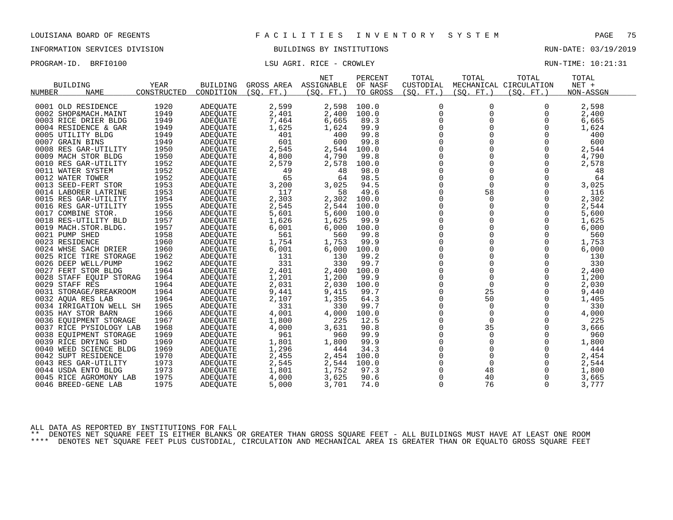INFORMATION SERVICES DIVISION BUILDINGS BY INSTITUTIONS RUN-DATE: 03/19/2019

PROGRAM-ID. BRFI0100 CONSERVERS IN THE LOTE OF LAST RICE - CROWLEY CONSERVERS IN THE RUN-TIME: 10:21:31

|                         |             |                             |                 | <b>NET</b> | PERCENT  | TOTAL            | TOTAL         | TOTAL                  | TOTAL     |  |
|-------------------------|-------------|-----------------------------|-----------------|------------|----------|------------------|---------------|------------------------|-----------|--|
| <b>BUILDING</b>         | <b>YEAR</b> | <b>BUILDING</b>             | GROSS AREA      | ASSIGNABLE | OF NASF  | CUSTODIAL        |               | MECHANICAL CIRCULATION | NET +     |  |
| <b>NAME</b><br>NUMBER   | CONSTRUCTED | CONDITION                   | $FT.$ )<br>(SO. | (SO, FT.)  | TO GROSS | (SO. FT. )       | (SO. FT. )    | (SO, FT.)              | NON-ASSGN |  |
|                         |             |                             |                 |            |          |                  |               |                        |           |  |
| 0001 OLD RESIDENCE      | 1920        | <b>ADEQUATE</b>             | 2,599           | 2,598      | 100.0    | $\mathbf 0$      | $\Omega$      | $\Omega$               | 2,598     |  |
| 0002 SHOP&MACH.MAINT    | 1949        | ADEQUATE                    | 2,401           | 2,400      | 100.0    | $\mathbf 0$      | 0             | 0                      | 2,400     |  |
| 0003 RICE DRIER BLDG    | 1949        | ADEQUATE                    | 7,464           | 6,665      | 89.3     | 0                | 0             | 0                      | 6,665     |  |
| 0004 RESIDENCE & GAR    | 1949        | ADEQUATE                    | 1,625           | 1,624      | 99.9     | 0                | $\mathbf 0$   | $\mathbf 0$            | 1,624     |  |
| 0005 UTILITY BLDG       | 1949        | ADEQUATE                    | 401             | 400        | 99.8     | 0                | 0             | 0                      | 400       |  |
| 0007 GRAIN BINS         | 1949        | ADEQUATE                    | 601             | 600        | 99.8     | $\mathbf 0$      | $\Omega$      | $\Omega$               | 600       |  |
| 0008 RES GAR-UTILITY    | 1950        | <b>ADEOUATE</b>             | 2,545           | 2,544      | 100.0    | 0                | $\mathbf 0$   | $\mathbf 0$            | 2,544     |  |
| 0009 MACH STOR BLDG     | 1950        | ADEQUATE                    | 4,800           | 4,790      | 99.8     | 0                | 0             | 0                      | 4,790     |  |
| 0010 RES GAR-UTILITY    | 1952        | <b>ADEOUATE</b>             | 2,579           | 2,578      | 100.0    | $\mathbf 0$      | $\Omega$      | $\Omega$               | 2,578     |  |
| 0011 WATER SYSTEM       | 1952        | ADEQUATE                    | 49              | 48         | 98.0     | 0                | 0             | 0                      | 48        |  |
| 0012 WATER TOWER        | 1952        | ADEQUATE                    | 65              | 64         | 98.5     | 0                | $\mathbf 0$   | 0                      | 64        |  |
| 0013 SEED-FERT STOR     | 1953        | <b>ADEOUATE</b>             | 3,200           | 3,025      | 94.5     | $\overline{0}$   | $\mathbf 0$   | $\mathbf 0$            | 3,025     |  |
| 0014 LABORER LATRINE    | 1953        | ADEQUATE                    | 117             | 58         | 49.6     | 0                | 58            | 0                      | 116       |  |
| 0015 RES GAR-UTILITY    | 1954        | ADEQUATE                    | 2,303           | 2,302      | 100.0    | 0                | $\Omega$      | $\Omega$               | 2,302     |  |
| 0016 RES GAR-UTILITY    | 1955        | <b>ADEOUATE</b>             | 2,545           | 2,544      | 100.0    | $\overline{0}$   | $\Omega$      | $\Omega$               | 2,544     |  |
| 0017 COMBINE STOR.      | 1956        | ADEQUATE                    | 5,601           | 5,600      | 100.0    | 0                | 0             | 0                      | 5,600     |  |
| 0018 RES-UTILITY BLD    | 1957        | <b>ADEOUATE</b>             | 1,626           | 1,625      | 99.9     | $\mathsf 0$      | $\mathbf 0$   | 0                      | 1,625     |  |
| 0019 MACH.STOR.BLDG.    | 1957        | ADEQUATE                    | 6,001           | 6,000      | 100.0    | $\mathbf 0$      | 0             | 0                      | 6,000     |  |
| 0021 PUMP SHED          | 1958        | <b>ADEQUATE</b>             | 561             | 560        | 99.8     | $\Omega$         | $\Omega$      | $\Omega$               | 560       |  |
| 0023 RESIDENCE          | 1960        | ADEOUATE                    | 1,754           | 1,753      | 99.9     | 0                | 0             | 0                      | 1,753     |  |
| 0024 WHSE SACH DRIER    | 1960        | ADEQUATE                    | 6,001           | 6,000      | 100.0    | 0                | 0             | 0                      | 6,000     |  |
| 0025 RICE TIRE STORAGE  | 1962        | <b>ADEQUATE</b>             | 131             | 130        | 99.2     | $\Omega$         | $\Omega$      | $\Omega$               | 130       |  |
| 0026 DEEP WELL/PUMP     | 1962        | ADEQUATE                    | 331             | 330        | 99.7     | $\mathbf 0$      | $\mathbf 0$   | 0                      | 330       |  |
| 0027 FERT STOR BLDG     | 1964        | ADEQUATE                    | 2,401           | 2,400      | 100.0    | $\mathbf 0$      | $\mathbf 0$   | $\mathbf 0$            | 2,400     |  |
| 0028 STAFF EQUIP STORAG | 1964        | ADEQUATE                    | 1,201           | 1,200      | 99.9     | $\Omega$         | $\Omega$      | $\Omega$               | 1,200     |  |
| 0029 STAFF RES          | 1964        | ADEQUATE                    | 2,031           | 2,030      | 100.0    | $\mathbf 0$      | $\mathbf 0$   | 0                      | 2,030     |  |
| 0031 STORAGE/BREAKROOM  | 1964        | ADEQUATE                    | 9,441           | 9,415      | 99.7     | 0                | 25            | $\mathbf 0$            | 9,440     |  |
| 0032 AQUA RES LAB       | 1964        | ADEQUATE                    | 2,107           | 1,355      | 64.3     | 0                | 50            | $\Omega$               | 1,405     |  |
| 0034 IRRIGATION WELL SH | 1965        | ADEQUATE                    | 331             | 330        | 99.7     | $\mathbf 0$      | $\Omega$      | $\Omega$               | 330       |  |
| 0035 HAY STOR BARN      | 1966        | ADEOUATE                    | 4,001           | 4,000      | 100.0    | $\mathsf 0$      | $\mathbf 0$   | 0                      | 4,000     |  |
| 0036 EQUIPMENT STORAGE  | 1967        | ADEQUATE                    | 1,800           | 225        | 12.5     | $\mathbf 0$      | $\mathbf 0$   | $\Omega$               | 225       |  |
| 0037 RICE PYSIOLOGY LAB | 1968        |                             | 4,000           | 3,631      | 90.8     | $\Omega$         | 35            | $\Omega$               | 3,666     |  |
| 0038 EOUIPMENT STORAGE  | 1969        | ADEQUATE<br><b>ADEOUATE</b> | 961             | 960        | 99.9     | 0                | 0             | 0                      | 960       |  |
|                         |             |                             |                 |            |          |                  |               |                        |           |  |
| 0039 RICE DRYING SHD    | 1969        | ADEQUATE                    | 1,801           | 1,800      | 99.9     | 0<br>$\mathbf 0$ | 0<br>$\Omega$ | 0                      | 1,800     |  |
| 0040 WEED SCIENCE BLDG  | 1969        | ADEQUATE                    | 1,296           | 444        | 34.3     |                  | $\mathbf 0$   | $\Omega$               | 444       |  |
| 0042 SUPT RESIDENCE     | 1970        | ADEQUATE                    | 2,455           | 2,454      | 100.0    | 0                |               | 0                      | 2,454     |  |
| 0043 RES GAR-UTILITY    | 1973        | ADEQUATE                    | 2,545           | 2,544      | 100.0    | $\overline{0}$   | $\mathbf 0$   | $\mathbf 0$            | 2,544     |  |
| 0044 USDA ENTO BLDG     | 1973        | ADEQUATE                    | 1,801           | 1,752      | 97.3     | 0                | 48            | 0                      | 1,800     |  |
| 0045 RICE AGROMONY LAB  | 1975        | ADEOUATE                    | 4,000           | 3,625      | 90.6     | 0                | 40            | 0                      | 3,665     |  |
| 0046 BREED-GENE LAB     | 1975        | ADEQUATE                    | 5,000           | 3,701      | 74.0     | $\Omega$         | 76            | $\Omega$               | 3,777     |  |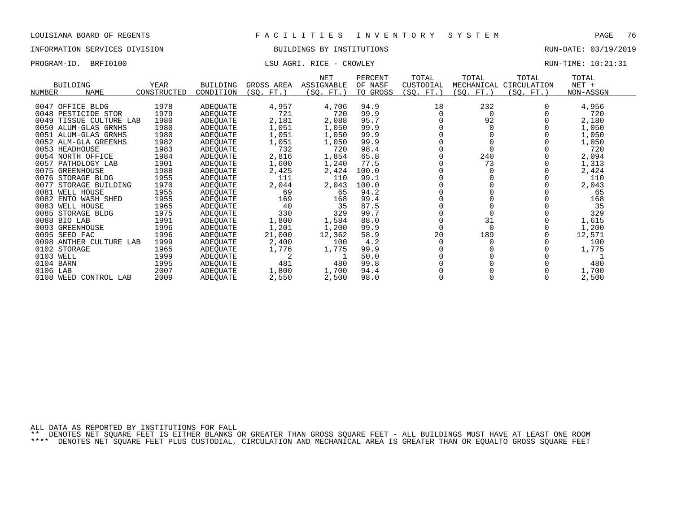### INFORMATION SERVICES DIVISION BUILDINGS BY INSTITUTIONS RUN-DATE: 03/19/2019

## PROGRAM-ID. BRFI0100 LSU AGRI. RICE - CROWLEY RUN-TIME: 10:21:31

|           | <b>BUILDING</b>         | <b>YEAR</b> | <b>BUILDING</b> | GROSS AREA | <b>NET</b><br>ASSIGNABLE | PERCENT<br>OF NASF | TOTAL<br>CUSTODIAL | TOTAL      | TOTAL<br>MECHANICAL CIRCULATION | TOTAL<br>$NET +$ |  |
|-----------|-------------------------|-------------|-----------------|------------|--------------------------|--------------------|--------------------|------------|---------------------------------|------------------|--|
| NUMBER    | <b>NAME</b>             | CONSTRUCTED | CONDITION       | (SQ. FT. ) | (SQ. FT.)                | TO GROSS           | (SQ. FT.)          | (SQ. FT. ) | (SQ. FT.)                       | NON-ASSGN        |  |
|           |                         |             |                 |            |                          |                    |                    |            |                                 |                  |  |
| 0047      | OFFICE BLDG             | 1978        | ADEQUATE        | 4,957      | 4,706                    | 94.9               | 18                 | 232        |                                 | 4,956            |  |
|           | 0048 PESTICIDE STOR     | 1979        | ADEOUATE        | 721        | 720                      | 99.9               |                    | 0          |                                 | 720              |  |
| 0049      | TISSUE CULTURE LAB      | 1980        | ADEQUATE        | 2,181      | 2,088                    | 95.7               |                    | 92         |                                 | 2,180            |  |
|           | 0050 ALUM-GLAS GRNHS    | 1980        | ADEOUATE        | 1,051      | 1,050                    | 99.9               |                    |            |                                 | 1,050            |  |
|           | 0051 ALUM-GLAS GRNHS    | 1980        | ADEQUATE        | 1,051      | 1,050                    | 99.9               |                    |            |                                 | 1,050            |  |
|           | 0052 ALM-GLA GREENHS    | 1982        | ADEQUATE        | 1,051      | 1,050                    | 99.9               |                    |            |                                 | 1,050            |  |
|           | 0053 HEADHOUSE          | 1983        | ADEQUATE        | 732        | 720                      | 98.4               |                    |            |                                 | 720              |  |
|           | 0054 NORTH OFFICE       | 1984        | ADEQUATE        | 2,816      | 1,854                    | 65.8               |                    | 240        |                                 | 2,094            |  |
|           | 0057 PATHOLOGY LAB      | 1901        | ADEQUATE        | 1,600      | 1,240                    | 77.5               |                    | 73         |                                 | 1,313            |  |
| 0075      | GREENHOUSE              | 1988        | ADEQUATE        | 2,425      | 2,424                    | 100.0              |                    |            |                                 | 2,424            |  |
|           | 0076 STORAGE BLDG       | 1955        | ADEQUATE        | 111        | 110                      | 99.1               |                    |            |                                 | 110              |  |
| 0077      | STORAGE BUILDING        | 1970        | ADEOUATE        | 2,044      | 2,043                    | 100.0              |                    |            |                                 | 2,043            |  |
|           | 0081 WELL HOUSE         | 1955        | ADEQUATE        | 69         | 65                       | 94.2               |                    |            |                                 | 65               |  |
| 0082      | ENTO WASH SHED          | 1955        | ADEQUATE        | 169        | 168                      | 99.4               |                    |            |                                 | 168              |  |
|           | 0083 WELL HOUSE         | 1965        | ADEQUATE        | 40         | 35                       | 87.5               |                    |            |                                 | 35               |  |
|           | 0085 STORAGE BLDG       | 1975        | ADEQUATE        | 330        | 329                      | 99.7               |                    |            |                                 | 329              |  |
|           | 0088 BIO LAB            | 1991        | ADEQUATE        | 1,800      | 1,584                    | 88.0               |                    | 31         |                                 | 1,615            |  |
|           | 0093 GREENHOUSE         | 1996        | ADEQUATE        | 1,201      | 1,200                    | 99.9               |                    |            |                                 | 1,200            |  |
|           | 0095 SEED FAC           | 1996        | ADEOUATE        | 21,000     | 12,362                   | 58.9               | 20                 | 189        |                                 | 12,571           |  |
|           | 0098 ANTHER CULTURE LAB | 1999        | ADEQUATE        | 2,400      | 100                      | 4.2                |                    |            |                                 | 100              |  |
|           | 0102 STORAGE            | 1965        | ADEQUATE        | 1,776      | 1,775                    | 99.9               |                    |            |                                 | 1,775            |  |
| 0103 WELL |                         | 1999        | ADEQUATE        | 2          |                          | 50.0               |                    |            |                                 |                  |  |
| 0104 BARN |                         | 1995        | ADEQUATE        | 481        | 480                      | 99.8               |                    |            |                                 | 480              |  |
| 0106 LAB  |                         | 2007        | ADEQUATE        | 1,800      | 1,700                    | 94.4               |                    |            |                                 | 1,700            |  |
|           | 0108 WEED CONTROL LAB   | 2009        | ADEQUATE        | 2,550      | 2,500                    | 98.0               |                    |            |                                 | 2,500            |  |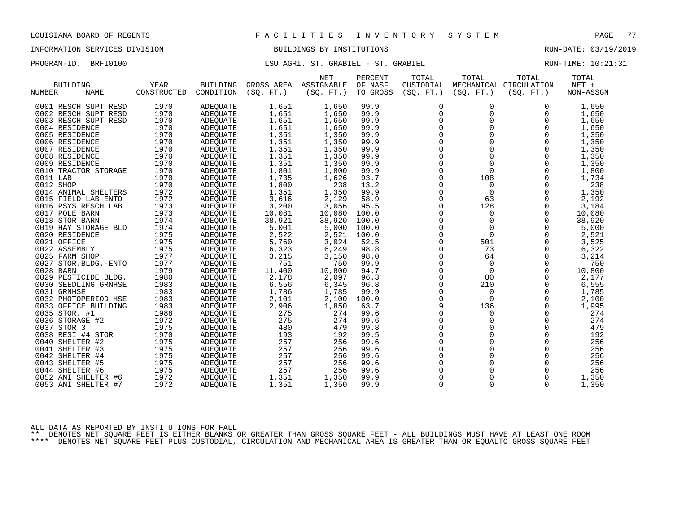## INFORMATION SERVICES DIVISION BUILDINGS BY INSTITUTIONS RUN-DATE: 03/19/2019

PROGRAM-ID. BRFI0100 **LSU AGRI. ST. GRABIEL - ST. GRABIEL** And the RUN-TIME: 10:21:31

|                              |             |                 |            | <b>NET</b> | PERCENT  | TOTAL       | TOTAL       | TOTAL                  | TOTAL     |
|------------------------------|-------------|-----------------|------------|------------|----------|-------------|-------------|------------------------|-----------|
| <b>BUILDING</b>              | YEAR        | BUILDING        | GROSS AREA | ASSIGNABLE | OF NASF  | CUSTODIAL   |             | MECHANICAL CIRCULATION | $NET +$   |
| <b>NAME</b><br><b>NUMBER</b> | CONSTRUCTED | CONDITION       | (SO, FT.)  | (SO. FT.)  | TO GROSS | (SO, FT.)   | (SO, FT.)   | (SO. FT.)              | NON-ASSGN |
|                              |             |                 |            |            |          |             |             |                        |           |
| 0001 RESCH SUPT RESD         | 1970        | ADEQUATE        | 1,651      | 1,650      | 99.9     | $\mathbf 0$ | 0           | 0                      | 1,650     |
| 0002 RESCH SUPT RESD         | 1970        | <b>ADEOUATE</b> | 1,651      | 1,650      | 99.9     | $\mathbf 0$ | 0           | $\Omega$               | 1,650     |
| 0003 RESCH SUPT RESD         | 1970        | ADEQUATE        | 1,651      | 1,650      | 99.9     | $\mathbf 0$ | 0           | $\Omega$               | 1,650     |
| 0004 RESIDENCE               | 1970        | <b>ADEOUATE</b> | 1,651      | 1,650      | 99.9     | $\mathsf 0$ | $\mathbf 0$ | $\Omega$               | 1,650     |
| 0005 RESIDENCE               | 1970        | ADEQUATE        | 1,351      | 1,350      | 99.9     | $\mathbf 0$ | $\Omega$    | $\Omega$               | 1,350     |
| 0006 RESIDENCE               | 1970        | ADEQUATE        | 1,351      | 1,350      | 99.9     | $\mathbf 0$ | 0           | 0                      | 1,350     |
| 0007 RESIDENCE               | 1970        | <b>ADEOUATE</b> | 1,351      | 1,350      | 99.9     | $\mathsf 0$ | $\mathbf 0$ | $\Omega$               | 1,350     |
| 0008 RESIDENCE               | 1970        | ADEQUATE        | 1,351      | 1,350      | 99.9     | $\mathbf 0$ | $\Omega$    | $\Omega$               | 1,350     |
| 0009 RESIDENCE               | 1970        | ADEQUATE        | 1,351      | 1,350      | 99.9     | $\mathbf 0$ | $\Omega$    | $\Omega$               | 1,350     |
| 0010 TRACTOR STORAGE         | 1970        | ADEQUATE        | 1,801      | 1,800      | 99.9     | $\mathbf 0$ | $\Omega$    | $\Omega$               | 1,800     |
| 0011 LAB                     | 1970        | ADEQUATE        | 1,735      | 1,626      | 93.7     | $\Omega$    | 108         | 0                      | 1,734     |
| 0012 SHOP                    | 1970        | <b>ADEOUATE</b> | 1,800      | 238        | 13.2     | $\Omega$    | $\mathbf 0$ | $\Omega$               | 238       |
| 0014 ANIMAL SHELTERS         | 1972        | ADEQUATE        | 1,351      | 1,350      | 99.9     | 0           | $\mathbf 0$ | $\Omega$               | 1,350     |
| 0015 FIELD LAB-ENTO          | 1972        | ADEQUATE        | 3,616      | 2,129      | 58.9     | $\Omega$    | 63          | $\Omega$               | 2,192     |
| 0016 PSYS RESCH LAB          | 1973        | ADEQUATE        | 3,200      | 3,056      | 95.5     | $\Omega$    | 128         | $\Omega$               | 3,184     |
| 0017 POLE BARN               | 1973        | ADEQUATE        | 10,081     | 10,080     | 100.0    | 0           | $\mathbf 0$ | $\Omega$               | 10,080    |
| 0018 STOR BARN               | 1974        | ADEQUATE        | 38,921     | 38,920     | 100.0    | $\mathbf 0$ | 0           | $\Omega$               | 38,920    |
| 0019 HAY STORAGE BLD         | 1974        | ADEQUATE        | 5,001      | 5,000      | 100.0    | $\Omega$    | $\Omega$    | $\Omega$               | 5,000     |
| 0020 RESIDENCE               | 1975        | ADEQUATE        | 2,522      | 2,521      | 100.0    | $\Omega$    | $\Omega$    | $\Omega$               | 2,521     |
| 0021 OFFICE                  | 1975        | <b>ADEOUATE</b> | 5,760      | 3,024      | 52.5     | 0           | 501         | $\mathbf 0$            | 3,525     |
| 0022 ASSEMBLY                | 1975        | ADEQUATE        | 6,323      | 6,249      | 98.8     | $\Omega$    | 73          | $\Omega$               | 6,322     |
| 0025 FARM SHOP               | 1977        | ADEQUATE        | 3,215      | 3,150      | 98.0     | 0           | 64          | $\Omega$               | 3,214     |
| 0027 STOR. BLDG. - ENTO      | 1977        | ADEQUATE        | 751        | 750        | 99.9     | $\mathbf 0$ | $\mathbf 0$ | $\Omega$               | 750       |
| 0028 BARN                    | 1979        | ADEQUATE        | 11,400     | 10,800     | 94.7     | 0           | $\mathbf 0$ | $\Omega$               | 10,800    |
| 0029 PESTICIDE BLDG.         | 1980        | ADEOUATE        | 2,178      | 2,097      | 96.3     | $\Omega$    | 80          | $\Omega$               | 2,177     |
| 0030 SEEDLING GRNHSE         | 1983        | ADEQUATE        | 6,556      | 6,345      | 96.8     | 0           | 210         | $\Omega$               | 6,555     |
| 0031 GRNHSE                  | 1983        | ADEQUATE        | 1,786      | 1,785      | 99.9     | 0           | 0           | 0                      | 1,785     |
| 0032 PHOTOPERIOD HSE         | 1983        | ADEQUATE        | 2,101      | 2,100      | 100.0    | $\Omega$    | $\Omega$    | $\Omega$               | 2,100     |
| 0033 OFFICE BUILDING         | 1983        | ADEQUATE        | 2,906      | 1,850      | 63.7     | 9           | 136         | 0                      | 1,995     |
| 0035 STOR. #1                | 1988        | ADEQUATE        | 275        | 274        | 99.6     | 0           | 0           | $\Omega$               | 274       |
| 0036 STORAGE #2              | 1972        | ADEQUATE        | 275        | 274        | 99.6     | $\Omega$    | $\Omega$    | $\Omega$               | 274       |
| 0037 STOR 3                  | 1975        | ADEOUATE        | 480        | 479        | 99.8     | $\mathbf 0$ | 0           | $\Omega$               | 479       |
| 0038 RESI #4 STOR            | 1970        | ADEQUATE        | 193        | 192        | 99.5     | $\mathbf 0$ | $\Omega$    | $\Omega$               | 192       |
| 0040 SHELTER #2              | 1975        | ADEQUATE        | 257        | 256        | 99.6     | $\Omega$    | $\Omega$    | $\Omega$               | 256       |
| 0041 SHELTER #3              | 1975        | ADEQUATE        | 257        | 256        | 99.6     | $\mathbf 0$ | 0           | 0                      | 256       |
| 0042 SHELTER #4              | 1975        | ADEQUATE        | 257        | 256        | 99.6     | 0           | $\Omega$    | $\Omega$               | 256       |
| 0043 SHELTER #5              | 1975        | ADEQUATE        | 257        | 256        | 99.6     | $\mathbf 0$ | 0           | $\Omega$               | 256       |
| 0044 SHELTER #6              | 1975        | ADEQUATE        | 257        | 256        | 99.6     | $\Omega$    | $\Omega$    | $\Omega$               | 256       |
| 0052 ANI SHELTER #6          | 1972        | <b>ADEOUATE</b> | 1,351      | 1,350      | 99.9     | $\mathbf 0$ | $\Omega$    | $\Omega$               | 1,350     |
|                              |             |                 |            |            |          |             |             | 0                      |           |
| 0053 ANI SHELTER #7          | 1972        | ADEQUATE        | 1,351      | 1,350      | 99.9     | 0           | 0           |                        | 1,350     |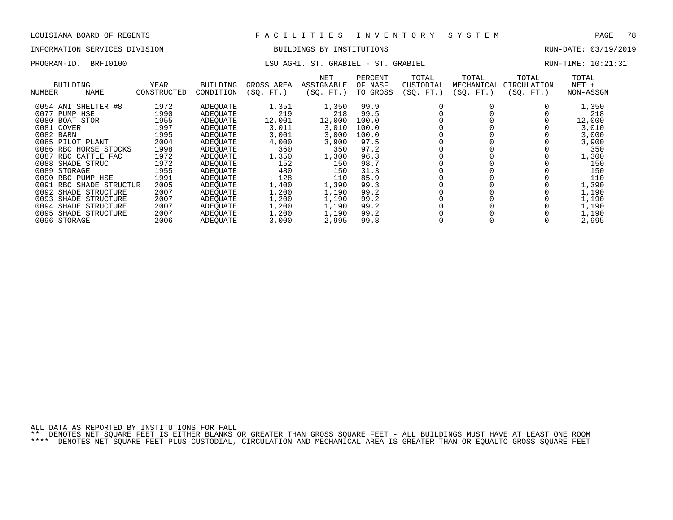# INFORMATION SERVICES DIVISION BUILDINGS BY INSTITUTIONS AND RUN-DATE: 03/19/2019

## PROGRAM-ID. BRFI0100 **RUN-TIME:** 10:21:31

| BUILDING<br>NAME<br>NUMBER | YEAR<br>CONSTRUCTED | <b>BUILDING</b><br>CONDITION | GROSS AREA<br>(SO.<br>FT. | <b>NET</b><br>ASSIGNABLE<br>(SO. FT. | PERCENT<br>OF NASF<br>TO GROSS | TOTAL<br>CUSTODIAL<br>SO.<br>FT. | TOTAL<br>MECHANICAL<br>SO. FT. | TOTAL<br>CIRCULATION<br>SO.<br>$FT.$ ) | TOTAL<br>$NET +$<br>NON-ASSGN |
|----------------------------|---------------------|------------------------------|---------------------------|--------------------------------------|--------------------------------|----------------------------------|--------------------------------|----------------------------------------|-------------------------------|
| 0054 ANI SHELTER #8        | 1972                | <b>ADEOUATE</b>              | 1,351                     | 1,350                                | 99.9                           |                                  |                                |                                        | 1,350                         |
| 0077<br>PUMP<br>HSE        | 1990                | ADEOUATE                     | 219                       | 218                                  | 99.5                           |                                  |                                |                                        | 218                           |
| 0080<br>STOR<br>BOAT       | 1955                | ADEOUATE                     | 12,001                    | 12,000                               | 100.0                          |                                  |                                |                                        | 12,000                        |
| 0081 COVER                 | 1997                | ADEOUATE                     | 3,011                     | 3,010                                | 100.0                          |                                  |                                |                                        | 3,010                         |
| 0082 BARN                  | 1995                | ADEOUATE                     | 3,001                     | 3,000                                | 100.0                          |                                  |                                |                                        | 3,000                         |
| 0085 PILOT PLANT           | 2004                | ADEOUATE                     | 4,000                     | 3,900                                | 97.5                           |                                  |                                |                                        | 3,900                         |
| 0086<br>RBC HORSE STOCKS   | 1998                | ADEOUATE                     | 360                       | 350                                  | 97.2                           |                                  |                                |                                        | 350                           |
| 0087 RBC CATTLE FAC        | 1972                | ADEOUATE                     | 1,350                     | 1,300                                | 96.3                           |                                  |                                |                                        | 1,300                         |
| 0088<br>SHADE STRUC        | 1972                | ADEOUATE                     | 152                       | 150                                  | 98.7                           |                                  |                                |                                        | 150                           |
| 0089<br>STORAGE            | 1955                | ADEOUATE                     | 480                       | 150                                  | 31.3                           |                                  |                                |                                        | 150                           |
| 0090 RBC PUMP HSE          | 1991                | ADEOUATE                     | 128                       | 110                                  | 85.9                           |                                  |                                |                                        | 110                           |
| 0091 RBC SHADE STRUCTUR    | 2005                | ADEOUATE                     | 1,400                     | 1,390                                | 99.3                           |                                  |                                |                                        | 1,390                         |
| 0092 SHADE STRUCTURE       | 2007                | ADEQUATE                     | 1,200                     | 1,190                                | 99.2                           |                                  |                                |                                        | 1,190                         |
| 0093<br>SHADE<br>STRUCTURE | 2007                | ADEOUATE                     | 1,200                     | 1,190                                | 99.2                           |                                  |                                |                                        | 1,190                         |
| 0094<br>SHADE STRUCTURE    | 2007                | ADEOUATE                     | 1,200                     | 1,190                                | 99.2                           |                                  |                                |                                        | 1,190                         |
| 0095<br>SHADE STRUCTURE    | 2007                | ADEOUATE                     | 1,200                     | 1,190                                | 99.2                           |                                  |                                |                                        | 1,190                         |
| 0096 STORAGE               | 2006                | ADEOUATE                     | 3,000                     | 2,995                                | 99.8                           |                                  |                                |                                        | 2,995                         |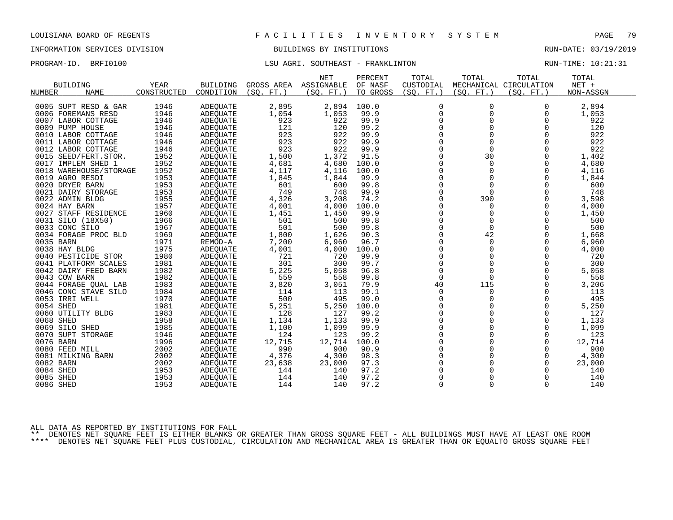## INFORMATION SERVICES DIVISION BUILDINGS BY INSTITUTIONS RUN-DATE: 03/19/2019

### PROGRAM-ID. BRFI0100 LSU AGRI. SOUTHEAST - FRANKLINTON RUN-TIME: 10:21:31

|           |                        |             |                 |                 | <b>NET</b> | PERCENT  | TOTAL       | TOTAL       | TOTAL                  | TOTAL     |  |
|-----------|------------------------|-------------|-----------------|-----------------|------------|----------|-------------|-------------|------------------------|-----------|--|
|           | <b>BUILDING</b>        | YEAR        | <b>BUILDING</b> | GROSS AREA      | ASSIGNABLE | OF NASF  | CUSTODIAL   |             | MECHANICAL CIRCULATION | NET +     |  |
| NUMBER    | <b>NAME</b>            | CONSTRUCTED | CONDITION       | (SO.<br>$FT.$ ) | (SO. FT.)  | TO GROSS | (SO. FT.)   | (SO. FT.)   | (SO. FT.)              | NON-ASSGN |  |
|           | 0005 SUPT RESD & GAR   | 1946        | <b>ADEQUATE</b> | 2,895           | 2,894      | 100.0    | $\Omega$    | $\Omega$    | 0                      | 2,894     |  |
|           | 0006 FOREMANS RESD     | 1946        | <b>ADEQUATE</b> | 1,054           | 1,053      | 99.9     | $\mathbf 0$ | $\mathbf 0$ | 0                      | 1,053     |  |
|           | 0007 LABOR COTTAGE     | 1946        | <b>ADEQUATE</b> | 923             | 922        | 99.9     | $\mathbf 0$ | $\Omega$    | $\Omega$               | 922       |  |
|           | 0009 PUMP HOUSE        | 1946        | <b>ADEQUATE</b> | 121             | 120        | 99.2     | $\Omega$    | $\mathbf 0$ | $\Omega$               | 120       |  |
|           | 0010 LABOR COTTAGE     | 1946        | ADEOUATE        | 923             | 922        | 99.9     | $\Omega$    | $\Omega$    | $\Omega$               | 922       |  |
|           | 0011 LABOR COTTAGE     | 1946        | ADEQUATE        | 923             | 922        | 99.9     | $\mathbf 0$ | $\Omega$    | $\Omega$               | 922       |  |
|           | 0012 LABOR COTTAGE     | 1946        | ADEQUATE        | 923             | 922        | 99.9     | 0           | $\mathbf 0$ | $\Omega$               | 922       |  |
|           | 0015 SEED/FERT.STOR.   | 1952        | ADEQUATE        | 1,500           | 1,372      | 91.5     | $\Omega$    | 30          | $\Omega$               | 1,402     |  |
|           | 0017 IMPLEM SHED 1     | 1952        | ADEQUATE        | 4,681           | 4,680      | 100.0    | $\mathbf 0$ | $\mathbf 0$ | $\mathbf 0$            | 4,680     |  |
|           | 0018 WAREHOUSE/STORAGE | 1952        | <b>ADEQUATE</b> | 4,117           | 4,116      | 100.0    | $\Omega$    | $\Omega$    | $\Omega$               | 4,116     |  |
|           | 0019 AGRO RESDI        | 1953        | <b>ADEOUATE</b> | 1,845           | 1,844      | 99.9     | $\Omega$    | $\Omega$    | $\Omega$               | 1,844     |  |
|           | 0020 DRYER BARN        | 1953        | ADEQUATE        | 601             | 600        | 99.8     | $\mathbf 0$ | $\mathbf 0$ | $\mathbf 0$            | 600       |  |
|           | 0021 DAIRY STORAGE     | 1953        | <b>ADEQUATE</b> | 749             | 748        | 99.9     | $\mathbf 0$ | $\Omega$    | $\Omega$               | 748       |  |
|           | 0022 ADMIN BLDG        | 1955        | <b>ADEOUATE</b> | 4,326           | 3,208      | 74.2     | $\Omega$    | 390         | $\Omega$               | 3,598     |  |
|           | 0024 HAY BARN          | 1957        | <b>ADEQUATE</b> | 4,001           | 4,000      | 100.0    | $\mathbf 0$ | 0           | 0                      | 4,000     |  |
|           | 0027 STAFF RESIDENCE   | 1960        | ADEQUATE        | 1,451           | 1,450      | 99.9     | $\mathbf 0$ | $\Omega$    | $\mathbf 0$            | 1,450     |  |
|           | 0031 SILO (18X50)      | 1966        | ADEQUATE        | 501             | 500        | 99.8     | $\Omega$    | $\Omega$    | $\Omega$               | 500       |  |
|           | 0033 CONC SILO         | 1967        | ADEQUATE        | 501             | 500        | 99.8     | $\Omega$    | $\Omega$    | $\Omega$               | 500       |  |
|           | 0034 FORAGE PROC BLD   | 1969        | <b>ADEOUATE</b> | 1,800           | 1,626      | 90.3     | $\mathbf 0$ | 42          | $\Omega$               | 1,668     |  |
| 0035 BARN |                        | 1971        | REMOD-A         | 7,200           | 6,960      | 96.7     | $\mathbf 0$ | $\mathbf 0$ | $\Omega$               | 6,960     |  |
|           | 0038 HAY BLDG          | 1975        | ADEQUATE        | 4,001           | 4,000      | 100.0    | $\Omega$    | $\Omega$    | $\Omega$               | 4,000     |  |
|           | 0040 PESTICIDE STOR    | 1980        | <b>ADEOUATE</b> | 721             | 720        | 99.9     | $\mathbf 0$ | $\mathbf 0$ | $\Omega$               | 720       |  |
|           | 0041 PLATFORM SCALES   | 1981        | ADEQUATE        | 301             | 300        | 99.7     | 0           | $\mathbf 0$ | $\Omega$               | 300       |  |
|           | 0042 DAIRY FEED BARN   | 1982        | <b>ADEOUATE</b> | 5,225           | 5,058      | 96.8     | $\Omega$    | $\Omega$    | $\Omega$               | 5,058     |  |
|           | 0043 COW BARN          | 1982        | ADEOUATE        | 559             | 558        | 99.8     | $\Omega$    | $\Omega$    | $\Omega$               | 558       |  |
|           | 0044 FORAGE QUAL LAB   | 1983        | ADEQUATE        | 3,820           | 3,051      | 79.9     | 40          | 115         | $\Omega$               | 3,206     |  |
|           | 0046 CONC STAVE SILO   | 1984        | <b>ADEOUATE</b> | 114             | 113        | 99.1     | $\mathbf 0$ | 0           | $\Omega$               | 113       |  |
|           | 0053 IRRI WELL         | 1970        | ADEQUATE        | 500             | 495        | 99.0     | $\mathbf 0$ | 0           | 0                      | 495       |  |
| 0054 SHED |                        | 1981        | <b>ADEQUATE</b> | 5,251           | 5,250      | 100.0    | $\mathbf 0$ | $\Omega$    | $\mathbf 0$            | 5,250     |  |
|           | 0060 UTILITY BLDG      | 1983        | ADEOUATE        | 128             | 127        | 99.2     | $\mathbf 0$ | 0           | $\Omega$               | 127       |  |
| 0068 SHED |                        | 1958        | ADEQUATE        | 1,134           | 1,133      | 99.9     | 0           | $\mathbf 0$ | $\Omega$               | 1,133     |  |
|           | 0069 SILO SHED         | 1985        | <b>ADEOUATE</b> | 1,100           | 1,099      | 99.9     | $\mathbf 0$ | $\Omega$    | $\Omega$               | 1,099     |  |
|           | 0070 SUPT STORAGE      | 1946        | <b>ADEOUATE</b> | 124             | 123        | 99.2     | $\mathbf 0$ | $\mathbf 0$ | $\Omega$               | 123       |  |
| 0076 BARN |                        | 1996        | <b>ADEQUATE</b> | 12,715          | 12,714     | 100.0    | $\Omega$    | $\Omega$    | $\Omega$               | 12,714    |  |
|           | 0080 FEED MILL         | 2002        | ADEQUATE        | 990             | 900        | 90.9     | $\mathbf 0$ | $\Omega$    | $\Omega$               | 900       |  |
|           | 0081 MILKING BARN      | 2002        | <b>ADEQUATE</b> | 4,376           | 4,300      | 98.3     | 0           | 0           | 0                      | 4,300     |  |
| 0082 BARN |                        | 2002        | <b>ADEQUATE</b> | 23,638          | 23,000     | 97.3     | $\Omega$    | $\Omega$    | $\Omega$               | 23,000    |  |
| 0084 SHED |                        | 1953        | ADEQUATE        | 144             | 140        | 97.2     | $\mathbf 0$ | 0           | 0                      | 140       |  |
| 0085 SHED |                        | 1953        | <b>ADEOUATE</b> | 144             | 140        | 97.2     | $\mathbf 0$ | $\Omega$    | $\Omega$               | 140       |  |
| 0086 SHED |                        | 1953        | ADEQUATE        | 144             | 140        | 97.2     | $\Omega$    | $\Omega$    | $\Omega$               | 140       |  |
|           |                        |             |                 |                 |            |          |             |             |                        |           |  |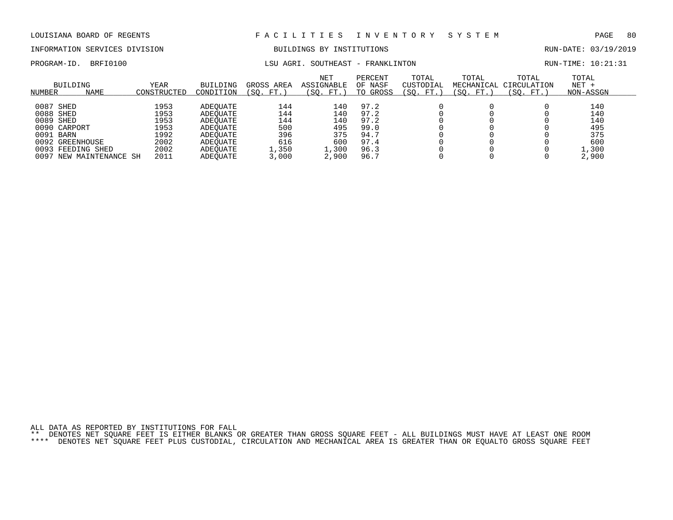# INFORMATION SERVICES DIVISION BUILDINGS BY INSTITUTIONS AND RUN-DATE: 03/19/2019

PROGRAM-ID. BRFI0100 CONSERVERS CONTRESS AGRI. SOUTHEAST - FRANKLINTON RUN-TIME: 10:21:31

| NUMBER    | BUILDING<br>NAME   | YEAR<br>CONSTRUCTED | <b>BUILDING</b><br>CONDITION | GROSS AREA<br>(SO.<br>FT. | <b>NET</b><br>ASSIGNABLE<br>(SO.<br>FT.) | PERCENT<br>OF NASF<br>TO GROSS | TOTAL<br>CUSTODIAL<br>(SO.<br>FT. | TOTAL<br>MECHANICAL<br>(SO. FT.) | TOTAL<br>CIRCULATION<br>(SO. FT.) | TOTAL<br>$NET +$<br>NON-ASSGN |  |
|-----------|--------------------|---------------------|------------------------------|---------------------------|------------------------------------------|--------------------------------|-----------------------------------|----------------------------------|-----------------------------------|-------------------------------|--|
|           |                    |                     |                              |                           |                                          |                                |                                   |                                  |                                   |                               |  |
| 0087 SHED |                    | 1953                | ADEOUATE                     | 144                       | 140                                      | 97.2                           |                                   |                                  |                                   | 140                           |  |
| 0088 SHED |                    | 1953                | ADEOUATE                     | 144                       | 140                                      | 97.2                           |                                   |                                  |                                   | 140                           |  |
| 0089 SHED |                    | 1953                | ADEOUATE                     | 144                       | 140                                      | 97.2                           |                                   |                                  |                                   | 140                           |  |
|           | 0090 CARPORT       | 1953                | ADEOUATE                     | 500                       | 495                                      | 99.0                           |                                   |                                  |                                   | 495                           |  |
| 0091      | BARN               | 1992                | ADEOUATE                     | 396                       | 375                                      | 94.7                           |                                   |                                  |                                   | 375                           |  |
|           | 0092 GREENHOUSE    | 2002                | ADEOUATE                     | 616                       | 600                                      | 97.4                           |                                   |                                  |                                   | 600                           |  |
|           | 0093 FEEDING SHED  | 2002                | ADEOUATE                     | .,350                     | $\perp$ , 300                            | 96.3                           |                                   |                                  |                                   | L,300                         |  |
| 0097      | NEW MAINTENANCE SH | 2011                | ADEOUATE                     | 3,000                     | 2,900                                    | 96.7                           |                                   |                                  |                                   | 2,900                         |  |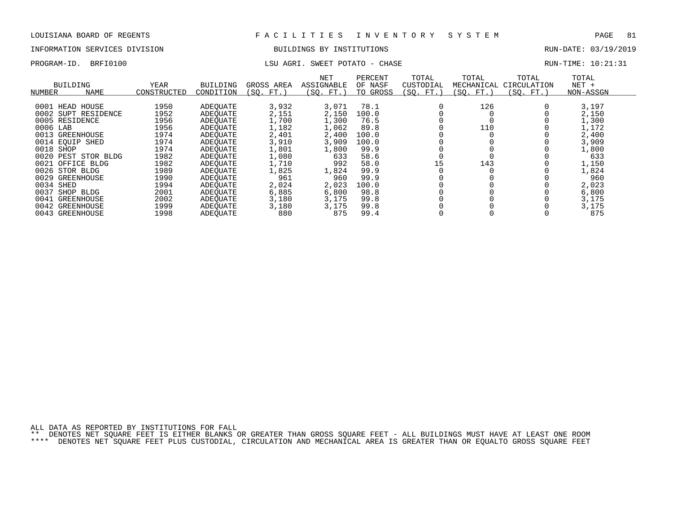### INFORMATION SERVICES DIVISION BUILDINGS BY INSTITUTIONS RUN-DATE: 03/19/2019

### PROGRAM-ID. BRFI0100 CHASE LSU AGRI. SWEET POTATO - CHASE CHASE RUN-TIME: 10:21:31

| <b>BUILDING</b><br><b>NAME</b><br>NUMBER                                                                                                                                                                                                                                          | YEAR<br>CONSTRUCTED                                                                                          | <b>BUILDING</b><br>CONDITION                                                                                                                             | GROSS AREA<br>(SO. FT.)                                                                                                  | NET<br>ASSIGNABLE<br>(SO. FT.)                                                                                       | PERCENT<br>OF NASF<br>TO GROSS                                                                                   | TOTAL<br>CUSTODIAL<br>(SO. FT.) | TOTAL<br>MECHANICAL<br>(SQ. FT.) | TOTAL<br>CIRCULATION<br>(SO. FT.) | TOTAL<br>$NET +$<br>NON-ASSGN                                                                                          |
|-----------------------------------------------------------------------------------------------------------------------------------------------------------------------------------------------------------------------------------------------------------------------------------|--------------------------------------------------------------------------------------------------------------|----------------------------------------------------------------------------------------------------------------------------------------------------------|--------------------------------------------------------------------------------------------------------------------------|----------------------------------------------------------------------------------------------------------------------|------------------------------------------------------------------------------------------------------------------|---------------------------------|----------------------------------|-----------------------------------|------------------------------------------------------------------------------------------------------------------------|
| 0001 HEAD HOUSE<br>0002 SUPT RESIDENCE<br>0005 RESIDENCE<br>0006 LAB<br>0013<br>GREENHOUSE<br>0014 EOUIP SHED<br>0018 SHOP<br>0020<br>PEST STOR BLDG<br>0021<br>OFFICE BLDG<br>0026<br>STOR BLDG<br>0029<br>GREENHOUSE<br>0034 SHED<br>0037<br>SHOP<br>BLDG<br>0041<br>GREENHOUSE | 1950<br>1952<br>1956<br>1956<br>1974<br>1974<br>1974<br>1982<br>1982<br>1989<br>1990<br>1994<br>2001<br>2002 | ADEOUATE<br>ADEOUATE<br>ADEOUATE<br>ADEOUATE<br>ADEOUATE<br>ADEOUATE<br>ADEOUATE<br>ADEOUATE<br>ADEOUATE<br>ADEOUATE<br>ADEOUATE<br>ADEOUATE<br>ADEOUATE | 3,932<br>2,151<br>1,700<br>1,182<br>2,401<br>3,910<br>1,801<br>1,080<br>1,710<br>1,825<br>961<br>2,024<br>6,885<br>3,180 | 3,071<br>2,150<br>1,300<br>1,062<br>2,400<br>3,909<br>1,800<br>633<br>992<br>1,824<br>960<br>2,023<br>6,800<br>3,175 | 78.1<br>100.0<br>76.5<br>89.8<br>100.0<br>100.0<br>99.9<br>58.6<br>58.0<br>99.9<br>99.9<br>100.0<br>98.8<br>99.8 | 15                              | 126<br>110<br>143                |                                   | 3,197<br>2,150<br>1,300<br>1,172<br>2,400<br>3,909<br>1,800<br>633<br>1,150<br>1,824<br>960<br>2,023<br>6,800<br>3,175 |
| 0042 GREENHOUSE<br>0043<br>GREENHOUSE                                                                                                                                                                                                                                             | 1999<br>1998                                                                                                 | ADEOUATE<br>ADEOUATE<br>ADEOUATE                                                                                                                         | 3,180<br>880                                                                                                             | 3,175<br>875                                                                                                         | 99.8<br>99.4                                                                                                     |                                 |                                  |                                   | 3,175<br>875                                                                                                           |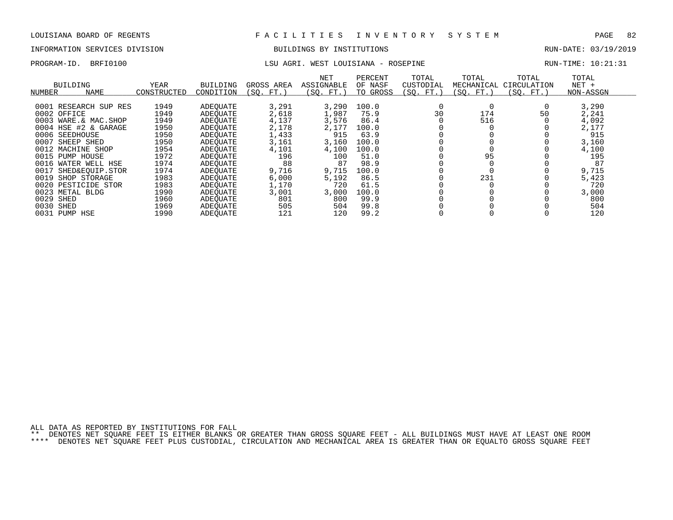# INFORMATION SERVICES DIVISION BUILDINGS BY INSTITUTIONS AND RUN-DATE: 03/19/2019

## PROGRAM-ID. BRFI0100 **EXAM-ID.** BRFI0100 LSU AGRI. WEST LOUISIANA - ROSEPINE RUN-TIME: 10:21:31

| BUILDING<br>NUMBER | <b>NAME</b>           | YEAR<br>CONSTRUCTED | <b>BUILDING</b><br>CONDITION | GROSS AREA<br>(SO. FT. | <b>NET</b><br>ASSIGNABLE<br>(SO.<br>FT. | PERCENT<br>OF NASF<br>TO GROSS | TOTAL<br>CUSTODIAL<br>(SO. FT.) | TOTAL<br>MECHANICAL<br>(SO. FT.) | TOTAL<br>CIRCULATION<br>(SO. FT.) | TOTAL<br>$NET +$<br>NON-ASSGN |  |
|--------------------|-----------------------|---------------------|------------------------------|------------------------|-----------------------------------------|--------------------------------|---------------------------------|----------------------------------|-----------------------------------|-------------------------------|--|
|                    |                       |                     |                              |                        |                                         |                                |                                 |                                  |                                   |                               |  |
|                    | 0001 RESEARCH SUP RES | 1949                | ADEOUATE                     | 3,291                  | 3,290                                   | 100.0                          |                                 |                                  |                                   | 3,290                         |  |
| 0002 OFFICE        |                       | 1949                | ADEOUATE                     | 2,618                  | 1,987                                   | 75.9                           | 30                              | 174                              | 50                                | 2,241                         |  |
|                    | 0003 WARE.& MAC.SHOP  | 1949                | ADEQUATE                     | 4,137                  | 3,576                                   | 86.4                           |                                 | 516                              |                                   | 4,092                         |  |
|                    | 0004 HSE #2 & GARAGE  | 1950                | ADEOUATE                     | 2,178                  | 2,177                                   | 100.0                          |                                 |                                  |                                   | 2,177                         |  |
| 0006 SEEDHOUSE     |                       | 1950                | ADEOUATE                     | 1,433                  | 915                                     | 63.9                           |                                 |                                  |                                   | 915                           |  |
| 0007               | SHEEP SHED            | 1950                | ADEOUATE                     | 3,161                  | 3,160                                   | 100.0                          |                                 |                                  |                                   | 3,160                         |  |
| 0012               | MACHINE SHOP          | 1954                | ADEOUATE                     | 4,101                  | 4,100                                   | 100.0                          |                                 |                                  |                                   | 4,100                         |  |
| 0015 PUMP HOUSE    |                       | 1972                | ADEOUATE                     | 196                    | 100                                     | 51.0                           |                                 | 95                               |                                   | 195                           |  |
|                    | 0016 WATER WELL HSE   | 1974                | ADEOUATE                     | 88                     | 87                                      | 98.9                           |                                 |                                  |                                   | 87                            |  |
| 0017               | SHED&EOUIP.STOR       | 1974                | ADEOUATE                     | 9,716                  | 9,715                                   | 100.0                          |                                 |                                  |                                   | 9,715                         |  |
| 0019               | SHOP STORAGE          | 1983                | ADEOUATE                     | 6,000                  | 5,192                                   | 86.5                           |                                 | 231                              |                                   | 5,423                         |  |
| 0020               | PESTICIDE STOR        | 1983                | ADEOUATE                     | 1,170                  | 720                                     | 61.5                           |                                 |                                  |                                   | 720                           |  |
| 0023               | METAL BLDG            | 1990                | ADEOUATE                     | 3,001                  | 3,000                                   | 100.0                          |                                 |                                  |                                   | 3,000                         |  |
| 0029<br>SHED       |                       | 1960                | ADEOUATE                     | 801                    | 800                                     | 99.9                           |                                 |                                  |                                   | 800                           |  |
| 0030<br>SHED       |                       | 1969                | ADEOUATE                     | 505                    | 504                                     | 99.8                           |                                 |                                  |                                   | 504                           |  |
| 0031 PUMP HSE      |                       | 1990                | ADEOUATE                     | 121                    | 120                                     | 99.2                           |                                 |                                  |                                   | 120                           |  |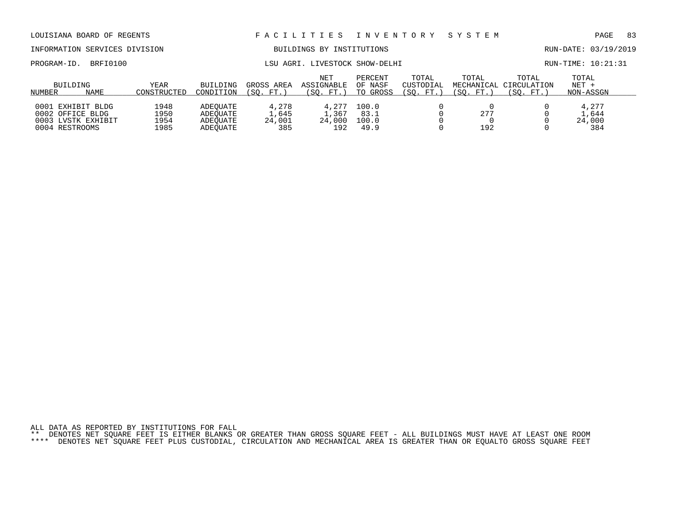### INFORMATION SERVICES DIVISION BUILDINGS BY INSTITUTIONS RUN-DATE: 03/19/2019

PROGRAM-ID. BRFI0100 **RUN-TIME:** 10:21:31

| BUILDING<br><b>NAME</b><br>NUMBER                                                | YEAR<br>CONSTRUCTED          | <b>BUILDING</b><br>CONDITION                 | GROSS AREA<br>SO.<br>FT.        | NET<br>ASSIGNABLE<br>(SO. FT.)        | PERCENT<br>OF NASF<br>TO GROSS | TOTAL<br>CUSTODIAL<br>'SO.<br>FT. | TOTAL<br>MECHANICAL<br>SO.<br>FT. | TOTAL<br>CIRCULATION<br>(SO. FT.) | TOTAL<br>$NET +$<br>NON-ASSGN   |
|----------------------------------------------------------------------------------|------------------------------|----------------------------------------------|---------------------------------|---------------------------------------|--------------------------------|-----------------------------------|-----------------------------------|-----------------------------------|---------------------------------|
| 0001<br>EXHIBIT BLDG<br>0002 OFFICE BLDG<br>0003 LVSTK EXHIBIT<br>0004 RESTROOMS | 1948<br>1950<br>1954<br>1985 | ADEOUATE<br>ADEOUATE<br>ADEOUATE<br>ADEOUATE | 4,278<br>⊥,645<br>24,001<br>385 | 4,277<br>$\pm 0.367$<br>24,000<br>192 | 100.0<br>83.1<br>100.0<br>49.9 |                                   | 277<br>192                        |                                   | 4,277<br>1,644<br>24,000<br>384 |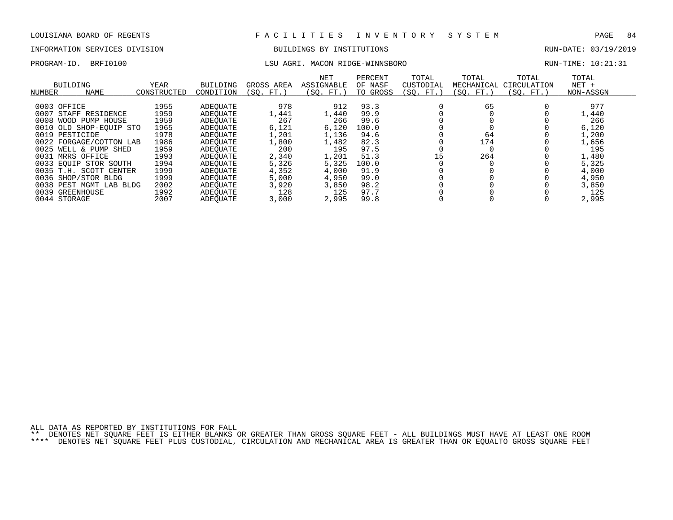# INFORMATION SERVICES DIVISION BUILDINGS BY INSTITUTIONS AND RUN-DATE: 03/19/2019

### PROGRAM-ID. BRFI0100 LSU AGRI. MACON RIDGE-WINNSBORO RUN-TIME: 10:21:31

| BUILDING<br>NAME<br>NUMBER | YEAR<br>CONSTRUCTED | BUILDING<br>CONDITION | GROSS AREA<br>FT.<br>(SO. | NET<br>ASSIGNABLE<br>(SO. FT.) | PERCENT<br>OF NASF<br>TO GROSS | TOTAL<br>CUSTODIAL<br>(SQ. FT.) | TOTAL<br>MECHANICAL<br>(SO. FT.) | TOTAL<br>CIRCULATION<br>(SO. FT.) | TOTAL<br>$NET +$<br>NON-ASSGN |
|----------------------------|---------------------|-----------------------|---------------------------|--------------------------------|--------------------------------|---------------------------------|----------------------------------|-----------------------------------|-------------------------------|
|                            |                     |                       |                           |                                |                                |                                 |                                  |                                   |                               |
| 0003 OFFICE                | 1955                | ADEOUATE              | 978                       | 912                            | 93.3                           |                                 | 65                               |                                   | 977                           |
| 0007<br>STAFF RESIDENCE    | 1959                | ADEOUATE              | 1,441                     | 1,440                          | 99.9                           |                                 |                                  |                                   | 1,440                         |
| 0008<br>WOOD PUMP HOUSE    | 1959                | ADEOUATE              | 267                       | 266                            | 99.6                           |                                 |                                  |                                   | 266                           |
| 0010 OLD SHOP-EOUIP STO    | 1965                | ADEOUATE              | 6,121                     | 6,120                          | 100.0                          |                                 |                                  |                                   | 6,120                         |
| 0019 PESTICIDE             | 1978                | ADEOUATE              | 1,201                     | 1,136                          | 94.6                           |                                 | 64                               |                                   | 1,200                         |
| 0022 FORGAGE/COTTON LAB    | 1986                | ADEOUATE              | 1,800                     | 1,482                          | 82.3                           |                                 | 174                              |                                   | 1,656                         |
| 0025<br>WELL & PUMP SHED   | 1959                | ADEOUATE              | 200                       | 195                            | 97.5                           |                                 |                                  |                                   | 195                           |
| 0031 MRRS OFFICE           | 1993                | ADEOUATE              | 2,340                     | 1,201                          | 51.3                           | 15                              | 264                              |                                   | 1,480                         |
| 0033 EOUIP STOR SOUTH      | 1994                | ADEOUATE              | 5,326                     | 5,325                          | 100.0                          |                                 |                                  |                                   | 5,325                         |
| 0035 T.H. SCOTT CENTER     | 1999                | ADEOUATE              | 4,352                     | 4,000                          | 91.9                           |                                 |                                  |                                   | 4,000                         |
| 0036 SHOP/STOR BLDG        | 1999                | ADEOUATE              | 5,000                     | 4,950                          | 99.0                           |                                 |                                  |                                   | 4,950                         |
| 0038 PEST MGMT LAB BLDG    | 2002                | ADEOUATE              | 3,920                     | 3,850                          | 98.2                           |                                 |                                  |                                   | 3,850                         |
| 0039 GREENHOUSE            | 1992                | ADEOUATE              | 128                       | 125                            | 97.7                           |                                 |                                  |                                   | 125                           |
| 0044 STORAGE               | 2007                | ADEOUATE              | 3,000                     | 2,995                          | 99.8                           |                                 |                                  |                                   | 2,995                         |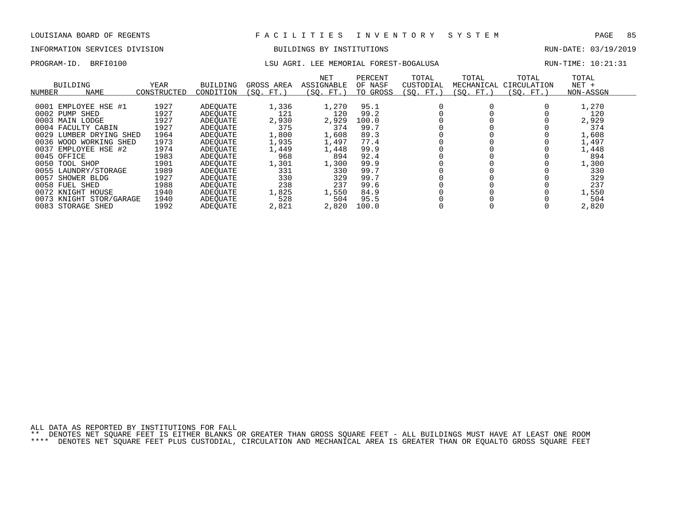# INFORMATION SERVICES DIVISION **EXECUTAS EXAMPLE SUILDINGS BY INSTITUTIONS EXECUTAS** RUN-DATE: 03/19/2019

### PROGRAM-ID. BRFI0100 LSU AGRI. LEE MEMORIAL FOREST-BOGALUSA RUN-TIME: 10:21:31

| NUMBER    | <b>BUILDING</b><br><b>NAME</b> | YEAR<br>CONSTRUCTED | BUILDING<br>CONDITION | GROSS AREA<br>(SO. FT. | NET<br>ASSIGNABLE<br>(SO. FT.) | PERCENT<br>OF NASF<br>TO GROSS | TOTAL<br>CUSTODIAL<br>(SO. FT.) | TOTAL<br>MECHANICAL<br>(SO. FT.) | TOTAL<br>CIRCULATION<br>(SO. FT.) | TOTAL<br>$NET +$<br>NON-ASSGN |  |
|-----------|--------------------------------|---------------------|-----------------------|------------------------|--------------------------------|--------------------------------|---------------------------------|----------------------------------|-----------------------------------|-------------------------------|--|
|           |                                |                     |                       |                        |                                |                                |                                 |                                  |                                   |                               |  |
|           | 0001 EMPLOYEE HSE #1           | 1927                | ADEOUATE              | 1,336                  | 1,270                          | 95.1                           |                                 |                                  |                                   | 1,270                         |  |
| 0002 PUMP | SHED                           | 1927                | ADEOUATE              | 121                    | 120                            | 99.2                           |                                 |                                  |                                   | 120                           |  |
|           | 0003 MAIN LODGE                | 1927                | ADEOUATE              | 2,930                  | 2,929                          | 100.0                          |                                 |                                  |                                   | 2,929                         |  |
|           | 0004 FACULTY CABIN             | 1927                | ADEOUATE              | 375                    | 374                            | 99.7                           |                                 |                                  |                                   | 374                           |  |
| 0029      | LUMBER DRYING<br>SHED          | 1964                | ADEOUATE              | 1,800                  | 1,608                          | 89.3                           |                                 |                                  |                                   | 1,608                         |  |
|           | 0036 WOOD WORKING SHED         | 1973                | ADEOUATE              | 1,935                  | 1,497                          | 77.4                           |                                 |                                  |                                   | 1,497                         |  |
|           | 0037 EMPLOYEE HSE #2           | 1974                | ADEOUATE              | 1,449                  | 1,448                          | 99.9                           |                                 |                                  |                                   | 1,448                         |  |
|           | 0045 OFFICE                    | 1983                | ADEOUATE              | 968                    | 894                            | 92.4                           |                                 |                                  |                                   | 894                           |  |
|           | 0050 TOOL SHOP                 | 1901                | ADEOUATE              | 1,301                  | 1,300                          | 99.9                           |                                 |                                  |                                   | 1,300                         |  |
|           | 0055 LAUNDRY/STORAGE           | 1989                | ADEOUATE              | 331                    | 330                            | 99.7                           |                                 |                                  |                                   | 330                           |  |
| 0057      | SHOWER BLDG                    | 1927                | ADEOUATE              | 330                    | 329                            | 99.7                           |                                 |                                  |                                   | 329                           |  |
|           | 0058 FUEL SHED                 | 1988                | ADEOUATE              | 238                    | 237                            | 99.6                           |                                 |                                  |                                   | 237                           |  |
|           | 0072 KNIGHT HOUSE              | 1940                | ADEOUATE              | 1,825                  | 1,550                          | 84.9                           |                                 |                                  |                                   | 1,550                         |  |
|           | 0073 KNIGHT STOR/GARAGE        | 1940                | ADEOUATE              | 528                    | 504                            | 95.5                           |                                 |                                  |                                   | 504                           |  |

0083 STORAGE SHED 1992 ADEQUATE 2,821 2,820 100.0 0 0 0 2,820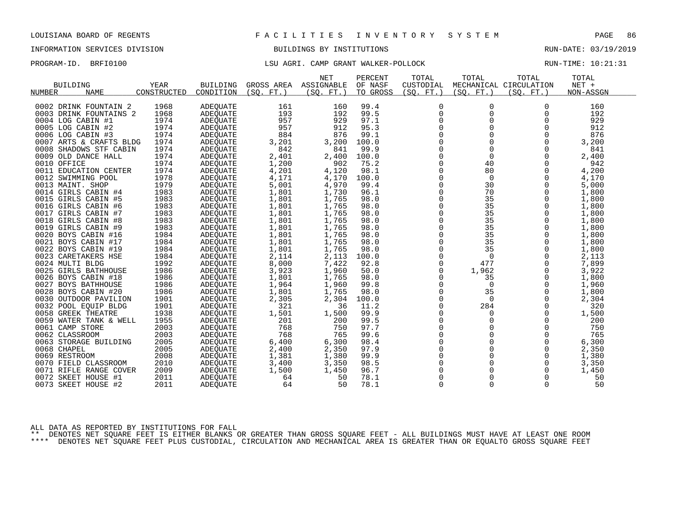# INFORMATION SERVICES DIVISION BUILDINGS BY INSTITUTIONS AND RUN-DATE: 03/19/2019

## PROGRAM-ID. BRFI0100 **EXAMP CRANT CAMP GRANT WALKER-POLLOCK** RUN-TIME: 10:21:31

|                         |             |                 |            | <b>NET</b> | PERCENT  | TOTAL          | TOTAL       | TOTAL                  | TOTAL     |
|-------------------------|-------------|-----------------|------------|------------|----------|----------------|-------------|------------------------|-----------|
| <b>BUILDING</b>         | YEAR        | <b>BUILDING</b> | GROSS AREA | ASSIGNABLE | OF NASF  | CUSTODIAL      |             | MECHANICAL CIRCULATION | $NET +$   |
| <b>NAME</b><br>NUMBER   | CONSTRUCTED | CONDITION       | (SO. FT. ) | (SO. FT. ) | TO GROSS | (SO. FT. )     | (SO. FT.)   | (SO. FT.)              | NON-ASSGN |
|                         |             |                 |            |            |          |                |             |                        |           |
| 0002 DRINK FOUNTAIN 2   | 1968        | <b>ADEQUATE</b> | 161        | 160        | 99.4     | $\overline{0}$ | 0           | $\Omega$               | 160       |
| 0003 DRINK FOUNTAINS 2  | 1968        | <b>ADEOUATE</b> | 193        | 192        | 99.5     | $\mathbf 0$    | $\Omega$    | $\Omega$               | 192       |
| 0004 LOG CABIN #1       | 1974        | ADEQUATE        | 957        | 929        | 97.1     | 0              | 0           | 0                      | 929       |
| 0005 LOG CABIN #2       | 1974        | <b>ADEQUATE</b> | 957        | 912        | 95.3     | $\mathbf 0$    | $\Omega$    | $\Omega$               | 912       |
| 0006 LOG CABIN #3       | 1974        | <b>ADEOUATE</b> | 884        | 876        | 99.1     | $\Omega$       | $\Omega$    | $\Omega$               | 876       |
| 0007 ARTS & CRAFTS BLDG | 1974        | <b>ADEOUATE</b> | 3,201      | 3,200      | 100.0    | 0              | 0           | $\Omega$               | 3,200     |
| 0008 SHADOWS STF CABIN  | 1974        | <b>ADEOUATE</b> | 842        | 841        | 99.9     | $\mathbf 0$    | $\mathbf 0$ | $\Omega$               | 841       |
| 0009 OLD DANCE HALL     | 1974        | ADEQUATE        | 2,401      | 2,400      | 100.0    | $\Omega$       | $\Omega$    | $\Omega$               | 2,400     |
| 0010 OFFICE             | 1974        | ADEQUATE        | 1,200      | 902        | 75.2     | 0              | 40          | $\Omega$               | 942       |
| 0011 EDUCATION CENTER   | 1974        | ADEQUATE        | 4,201      | 4,120      | 98.1     | 0              | 80          | 0                      | 4,200     |
| 0012 SWIMMING POOL      | 1978        | ADEQUATE        | 4,171      | 4,170      | 100.0    | $\mathbf 0$    | 0           | 0                      | 4,170     |
| 0013 MAINT. SHOP        | 1979        | ADEQUATE        | 5,001      | 4,970      | 99.4     | $\Omega$       | 30          | $\Omega$               | 5,000     |
| 0014 GIRLS CABIN #4     | 1983        | ADEQUATE        | 1,801      | 1,730      | 96.1     | $\mathbf 0$    | 70          | 0                      | 1,800     |
| 0015 GIRLS CABIN #5     | 1983        | ADEQUATE        | 1,801      | 1,765      | 98.0     | 0              | 35          | $\Omega$               | 1,800     |
| 0016 GIRLS CABIN #6     | 1983        | ADEQUATE        | 1,801      | 1,765      | 98.0     | $\Omega$       | 35          | $\Omega$               | 1,800     |
| 0017 GIRLS CABIN #7     | 1983        | ADEQUATE        | 1,801      | 1,765      | 98.0     | $\mathbf 0$    | 35          | $\mathbf 0$            | 1,800     |
| 0018 GIRLS CABIN #8     | 1983        | <b>ADEQUATE</b> | 1,801      | 1,765      | 98.0     | 0              | 35          | $\Omega$               | 1,800     |
| 0019 GIRLS CABIN #9     | 1983        | ADEQUATE        | 1,801      | 1,765      | 98.0     | $\Omega$       | 35          | $\Omega$               | 1,800     |
| 0020 BOYS CABIN #16     | 1984        | <b>ADEOUATE</b> | 1,801      | 1,765      | 98.0     | 0              | 35          | 0                      | 1,800     |
| 0021 BOYS CABIN #17     | 1984        | ADEQUATE        | 1,801      | 1,765      | 98.0     | 0              | 35          | $\Omega$               | 1,800     |
| 0022 BOYS CABIN #19     | 1984        | ADEQUATE        | 1,801      | 1,765      | 98.0     | $\Omega$       | 35          | $\Omega$               | 1,800     |
| 0023 CARETAKERS HSE     | 1984        | ADEOUATE        | 2,114      | 2,113      | 100.0    | $\mathbf 0$    | $\mathbf 0$ | 0                      | 2,113     |
| 0024 MULTI BLDG         | 1992        | <b>ADEQUATE</b> | 8,000      | 7,422      | 92.8     | $\mathbf 0$    | 477         | $\Omega$               | 7,899     |
| 0025 GIRLS BATHHOUSE    | 1986        | <b>ADEOUATE</b> | 3,923      | 1,960      | 50.0     | 0              | 1,962       | $\Omega$               | 3,922     |
| 0026 BOYS CABIN #18     | 1986        | <b>ADEOUATE</b> | 1,801      | 1,765      | 98.0     | 0              | 35          | $\Omega$               | 1,800     |
| 0027 BOYS BATHHOUSE     | 1986        | ADEQUATE        | 1,964      | 1,960      | 99.8     | $\mathbf 0$    | $\Omega$    | $\Omega$               | 1,960     |
| 0028 BOYS CABIN #20     | 1986        | ADEQUATE        | 1,801      | 1,765      | 98.0     | $\mathbf 0$    | 35          | $\Omega$               | 1,800     |
| 0030 OUTDOOR PAVILION   | 1901        | ADEQUATE        | 2,305      | 2,304      | 100.0    | 0              | 0           | 0                      | 2,304     |
| 0032 POOL EQUIP BLDG    | 1901        | ADEQUATE        | 321        | 36         | 11.2     | $\mathbf 0$    | 284         | $\mathbf 0$            | 320       |
| 0058 GREEK THEATRE      | 1938        | ADEQUATE        | 1,501      | 1,500      | 99.9     | $\Omega$       | 0           | $\Omega$               | 1,500     |
| 0059 WATER TANK & WELL  | 1955        | ADEQUATE        | 201        | 200        | 99.5     | $\Omega$       | $\Omega$    | $\Omega$               | 200       |
| 0061 CAMP STORE         | 2003        | <b>ADEOUATE</b> | 768        | 750        | 97.7     | $\mathbf 0$    | $\Omega$    | $\Omega$               | 750       |
| 0062 CLASSROOM          | 2003        | <b>ADEQUATE</b> | 768        | 765        | 99.6     | 0              | 0           | $\Omega$               | 765       |
| 0063 STORAGE BUILDING   | 2005        | <b>ADEQUATE</b> | 6,400      | 6,300      | 98.4     | $\Omega$       | $\Omega$    | $\Omega$               | 6,300     |
| 0068 CHAPEL             | 2005        | ADEOUATE        | 2,400      | 2,350      | 97.9     | 0              | 0           | 0                      | 2,350     |
| 0069 RESTROOM           | 2008        | <b>ADEQUATE</b> | 1,381      | 1,380      | 99.9     | 0              | 0           | $\Omega$               | 1,380     |
| 0070 FIELD CLASSROOM    | 2010        | ADEOUATE        | 3,400      | 3,350      | 98.5     | $\Omega$       | 0           | $\Omega$               | 3,350     |
| 0071 RIFLE RANGE COVER  | 2009        | ADEQUATE        | 1,500      | 1,450      | 96.7     | $\mathbf 0$    | 0           | 0                      | 1,450     |
| 0072<br>SKEET HOUSE #1  | 2011        | ADEQUATE        | 64         | 50         | 78.1     | $\Omega$       | $\mathbf 0$ | 0                      | 50        |
| 0073 SKEET HOUSE #2     | 2011        | ADEQUATE        | 64         | 50         | 78.1     | $\Omega$       | $\Omega$    | $\Omega$               | 50        |

ALL DATA AS REPORTED BY INSTITUTIONS FOR FALL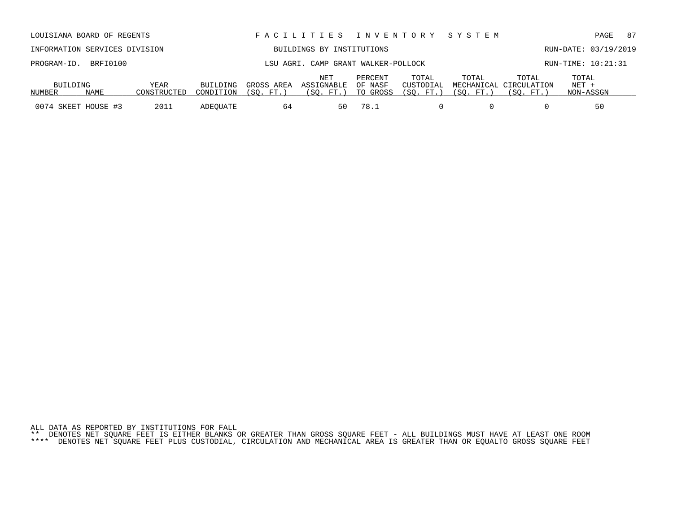| INFORMATION SERVICES DIVISION |                      |             |           |            | BUILDINGS BY INSTITUTIONS           |          |           |           |                        | RUN-DATE: 03/19/2019 |  |
|-------------------------------|----------------------|-------------|-----------|------------|-------------------------------------|----------|-----------|-----------|------------------------|----------------------|--|
|                               | PROGRAM-ID. BRFI0100 |             |           |            | LSU AGRI. CAMP GRANT WALKER-POLLOCK |          |           |           |                        | RUN-TIME: 10:21:31   |  |
|                               |                      |             |           |            | NET                                 | PERCENT  | TOTAL     | TOTAL     | TOTAL                  | TOTAL                |  |
| BUILDING                      |                      | YEAR        | BUILDING  | GROSS AREA | ASSIGNABLE                          | OF NASF  | CUSTODIAL |           | MECHANICAL CIRCULATION | NET +                |  |
| NUMBER                        | NAME                 | CONSTRUCTED | CONDITION | (SO. FT.   | (SO. FT.)                           | TO GROSS | (SO. FT.  | (SO. FT.) | (SO. FT.               | NON-ASSGN            |  |

0074 SKEET HOUSE #3 2011 ADEQUATE 64 50 78.1 0 0 0 0 50

LOUISIANA BOARD OF REGENTS F A C I L I T I E S I N V E N T O R Y S Y S T E M PAGE 87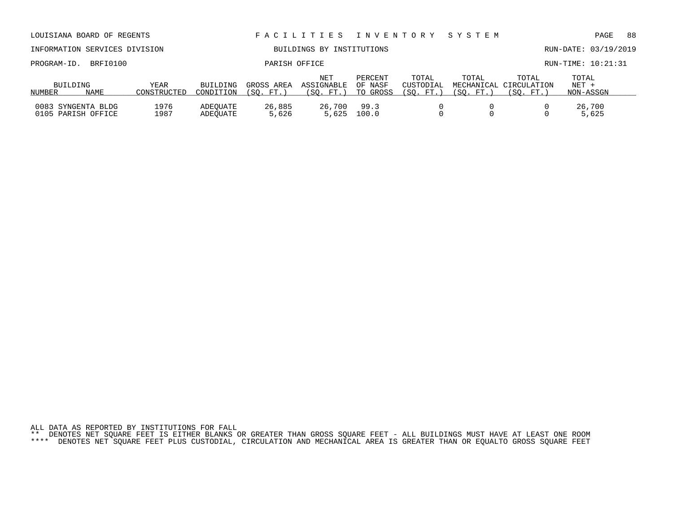| LOUISIANA BOARD OF REGENTS               |                            |                              |                        | FACILITIES                            | I N V E N T O R Y              | SYSTEM                          |                    |                                              | PAGE                          | 88 |  |
|------------------------------------------|----------------------------|------------------------------|------------------------|---------------------------------------|--------------------------------|---------------------------------|--------------------|----------------------------------------------|-------------------------------|----|--|
| INFORMATION SERVICES DIVISION            |                            |                              |                        | BUILDINGS BY INSTITUTIONS             |                                |                                 |                    |                                              | RUN-DATE: 03/19/2019          |    |  |
| BRFI0100<br>PROGRAM-ID.                  |                            | PARISH OFFICE                |                        |                                       |                                |                                 |                    |                                              | RUN-TIME: 10:21:31            |    |  |
| BUILDING<br>NAME<br>NUMBER               | <b>YEAR</b><br>CONSTRUCTED | <b>BUILDING</b><br>CONDITION | GROSS AREA<br>(SO. FT. | <b>NET</b><br>ASSIGNABLE<br>(SO. FT.) | PERCENT<br>OF NASF<br>TO GROSS | TOTAL<br>CUSTODIAL<br>(SO. FT.) | TOTAL<br>(SO. FT.) | TOTAL<br>MECHANICAL CIRCULATION<br>(SO. FT.) | TOTAL<br>$NET +$<br>NON-ASSGN |    |  |
| 0083 SYNGENTA BLDG<br>0105 PARISH OFFICE | 1976<br>1987               | ADEQUATE<br>ADEOUATE         | 26,885<br>5,626        | 26,700<br>5,625                       | 99.3<br>100.0                  |                                 |                    |                                              | 26,700<br>5,625               |    |  |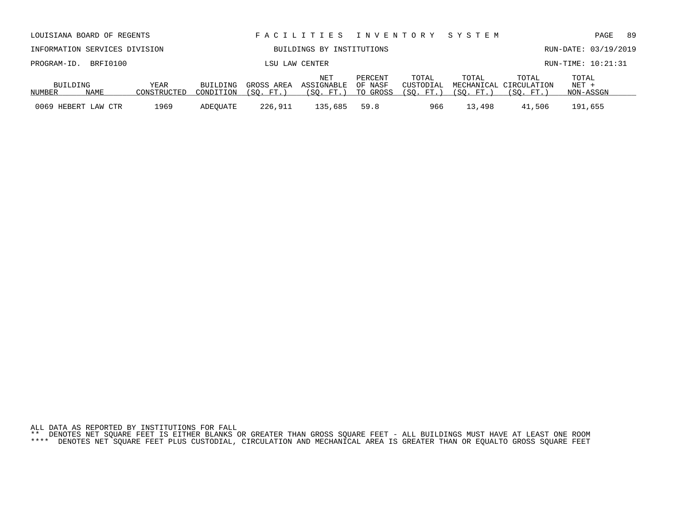| INFORMATION SERVICES DIVISION |                      |                     |                       | BUILDINGS BY INSTITUTIONS |                                 | RUN-DATE: 03/19/2019           |                                  |                    |                                              |                             |  |
|-------------------------------|----------------------|---------------------|-----------------------|---------------------------|---------------------------------|--------------------------------|----------------------------------|--------------------|----------------------------------------------|-----------------------------|--|
|                               | PROGRAM-ID. BRFI0100 |                     |                       |                           | LSU LAW CENTER                  |                                |                                  |                    |                                              | RUN-TIME: 10:21:31          |  |
| BUILDING<br>NUMBER            | NAME                 | YEAR<br>CONSTRUCTED | BUILDING<br>CONDITION | GROSS AREA<br>(SO, FT.)   | NET<br>ASSIGNABLE<br>(SO. FT. ) | PERCENT<br>OF NASF<br>TO GROSS | TOTAL<br>CUSTODIAL<br>(SO. FT. ) | TOTAL<br>(SO. FT.) | TOTAL<br>MECHANICAL CIRCULATION<br>(SO. FT.) | TOTAL<br>NET +<br>NON-ASSGN |  |
|                               | 0069 HEBERT LAW CTR  | 1969                | ADEOUATE              | 226,911                   | 135,685                         | 59.8                           | 966                              | 13,498             | 41,506                                       | 191,655                     |  |

LOUISIANA BOARD OF REGENTS F A C I L I T I E S I N V E N T O R Y S Y S T E M PAGE 89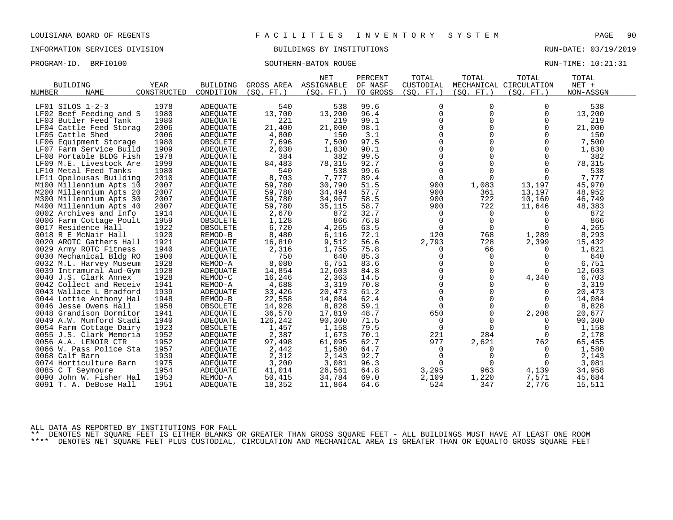INFORMATION SERVICES DIVISION BUILDINGS BY INSTITUTIONS RUN-DATE: 03/19/2019

PROGRAM-ID. BRFI0100 SOUTHERN-BATON ROUGE RUN-TIME: 10:21:31

|                         |             |                 |            | <b>NET</b> | PERCENT  | TOTAL        | TOTAL       | TOTAL                  | TOTAL     |
|-------------------------|-------------|-----------------|------------|------------|----------|--------------|-------------|------------------------|-----------|
| <b>BUILDING</b>         | YEAR        | <b>BUILDING</b> | GROSS AREA | ASSIGNABLE | OF NASF  | CUSTODIAL    |             | MECHANICAL CIRCULATION | NET +     |
| <b>NAME</b><br>NUMBER   | CONSTRUCTED | CONDITION       | (SO. FT. ) | (SO. FT.)  | TO GROSS | (SO. FT. )   | (SO. FT. )  | (SO. FT.)              | NON-ASSGN |
|                         |             |                 |            |            |          |              |             |                        |           |
| LF01 SILOS 1-2-3        | 1978        | <b>ADEQUATE</b> | 540        | 538        | 99.6     | 0            | 0           | $\Omega$               | 538       |
| LF02 Beef Feeding and S | 1980        | <b>ADEQUATE</b> | 13,700     | 13,200     | 96.4     | $\mathbf 0$  | $\Omega$    | $\mathbf 0$            | 13,200    |
| LF03 Butler Feed Tank   | 1980        | ADEQUATE        | 221        | 219        | 99.1     | $\mathbf 0$  | 0           | 0                      | 219       |
| LF04 Cattle Feed Storag | 2006        | <b>ADEOUATE</b> | 21,400     | 21,000     | 98.1     | $\Omega$     | $\Omega$    | $\Omega$               | 21,000    |
| LF05 Cattle Shed        | 2006        | <b>ADEQUATE</b> | 4,800      | 150        | 3.1      | $\Omega$     | $\Omega$    | $\Omega$               | 150       |
| LF06 Equipment Storage  | 1980        | OBSOLETE        | 7,696      | 7,500      | 97.5     | $\mathbf 0$  | $\Omega$    | 0                      | 7,500     |
| LF07 Farm Service Build | 1909        | <b>ADEQUATE</b> | 2,030      | 1,830      | 90.1     | 0            | $\Omega$    | $\Omega$               | 1,830     |
| LF08 Portable BLDG Fish | 1978        | ADEQUATE        | 384        | 382        | 99.5     | $\Omega$     | $\Omega$    | $\Omega$               | 382       |
| LF09 M.E. Livestock Are | 1999        | ADEQUATE        | 84,483     | 78,315     | 92.7     | $\mathbf 0$  | $\Omega$    | $\Omega$               | 78,315    |
| LF10 Metal Feed Tanks   | 1980        | ADEQUATE        | 540        | 538        | 99.6     | 0            | $\Omega$    | $\Omega$               | 538       |
| LF11 Opelousas Building | 2010        | <b>ADEQUATE</b> | 8,703      | 7,777      | 89.4     | 0            | $\Omega$    | 0                      | 7,777     |
| M100 Millennium Apts 10 | 2007        | ADEQUATE        | 59,780     | 30,790     | 51.5     | 900          | 1,083       | 13,197                 | 45,970    |
| M200 Millennium Apts 20 | 2007        | ADEQUATE        | 59,780     | 34,494     | 57.7     | 900          | 361         | 13,197                 | 48,952    |
| M300 Millennium Apts 30 | 2007        | <b>ADEQUATE</b> | 59,780     | 34,967     | 58.5     | 900          | 722         | 10,160                 | 46,749    |
| M400 Millennium Apts 40 | 2007        | <b>ADEQUATE</b> | 59,780     | 35,115     | 58.7     | 900          | 722         | 11,646                 | 48,383    |
| 0002 Archives and Info  | 1914        | ADEQUATE        | 2,670      | 872        | 32.7     | 0            | 0           | 0                      | 872       |
| 0006 Farm Cottage Poult | 1959        | OBSOLETE        | 1,128      | 866        | 76.8     | $\mathbf 0$  | $\Omega$    | $\Omega$               | 866       |
| 0017 Residence Hall     | 1922        | OBSOLETE        | 6,720      | 4,265      | 63.5     | $\Omega$     | $\Omega$    | 0                      | 4,265     |
| 0018 R E McNair Hall    | 1920        | REMOD-B         | 8,480      | 6,116      | 72.1     | 120          | 768         | 1,289                  | 8,293     |
| 0020 AROTC Gathers Hall | 1921        | <b>ADEQUATE</b> | 16,810     | 9,512      | 56.6     | 2,793        | 728         | 2,399                  | 15,432    |
| 0029 Army ROTC Fitness  | 1940        | ADEQUATE        | 2,316      | 1,755      | 75.8     | 0            | 66          | $\Omega$               | 1,821     |
| 0030 Mechanical Bldg RO | 1900        | ADEQUATE        | 750        | 640        | 85.3     | 0            | $\mathbf 0$ | $\Omega$               | 640       |
| 0032 M.L. Harvey Museum | 1928        | REMOD-A         | 8,080      | 6,751      | 83.6     | 0            | $\Omega$    | $\Omega$               | 6,751     |
| 0039 Intramural Aud-Gym | 1928        | ADEQUATE        | 14,854     | 12,603     | 84.8     | $\Omega$     | $\Omega$    | $\Omega$               | 12,603    |
| 0040 J.S. Clark Annex   | 1928        | REMOD-C         | 16,246     | 2,363      | 14.5     | $\Omega$     | $\Omega$    | 4,340                  | 6,703     |
| 0042 Collect and Receiv | 1941        | REMOD-A         | 4,688      | 3,319      | 70.8     | $\mathsf{O}$ | $\Omega$    | 0                      | 3,319     |
| 0043 Wallace L Bradford | 1939        | <b>ADEOUATE</b> | 33,426     | 20,473     | 61.2     | $\mathbf 0$  | $\mathbf 0$ | 0                      | 20,473    |
| 0044 Lottie Anthony Hal | 1948        | REMOD-B         | 22,558     | 14,084     | 62.4     | $\Omega$     | $\Omega$    |                        | 14,084    |
| 0046 Jesse Owens Hall   | 1958        | OBSOLETE        | 14,928     | 8,828      | 59.1     | $\Omega$     | $\Omega$    | $\Omega$               | 8,828     |
| 0048 Grandison Dormitor | 1941        | <b>ADEQUATE</b> | 36,570     | 17,819     | 48.7     | 650          | $\mathbf 0$ | 2,208                  | 20,677    |
| 0049 A.W. Mumford Stadi | 1940        | <b>ADEQUATE</b> | 126,242    |            | 71.5     | $\mathbf 0$  | $\Omega$    | $\Omega$               | 90,300    |
|                         |             |                 |            | 90,300     | 79.5     |              | $\Omega$    |                        |           |
| 0054 Farm Cottage Dairy | 1923        | OBSOLETE        | 1,457      | 1,158      |          | 0            |             | 0                      | 1,158     |
| 0055 J.S. Clark Memoria | 1952        | <b>ADEQUATE</b> | 2,387      | 1,673      | 70.1     | 221          | 284         | 0                      | 2,178     |
| 0056 A.A. LENOIR CTR    | 1952        | <b>ADEOUATE</b> | 97,498     | 61,095     | 62.7     | 977          | 2,621       | 762                    | 65,455    |
| 0066 W. Pass Police Sta | 1957        | ADEQUATE        | 2,442      | 1,580      | 64.7     | 0            | 0           | 0                      | 1,580     |
| 0068 Calf Barn          | 1939        | ADEQUATE        | 2,312      | 2,143      | 92.7     | $\mathbf 0$  | $\Omega$    | $\Omega$               | 2,143     |
| 0074 Horticulture Barn  | 1975        | ADEQUATE        | 3,200      | 3,081      | 96.3     | $\Omega$     |             | 0                      | 3,081     |
| 0085 C T Seymoure       | 1954        | ADEQUATE        | 41,014     | 26,561     | 64.8     | 3,295        | 963         | 4,139                  | 34,958    |
| 0090 John W. Fisher Hal | 1953        | REMOD-A         | 50,415     | 34,784     | 69.0     | 2,109        | 1,220       | 7,571                  | 45,684    |
| 0091 T. A. DeBose Hall  | 1951        | ADEQUATE        | 18,352     | 11,864     | 64.6     | 524          | 347         | 2,776                  | 15,511    |

ALL DATA AS REPORTED BY INSTITUTIONS FOR FALL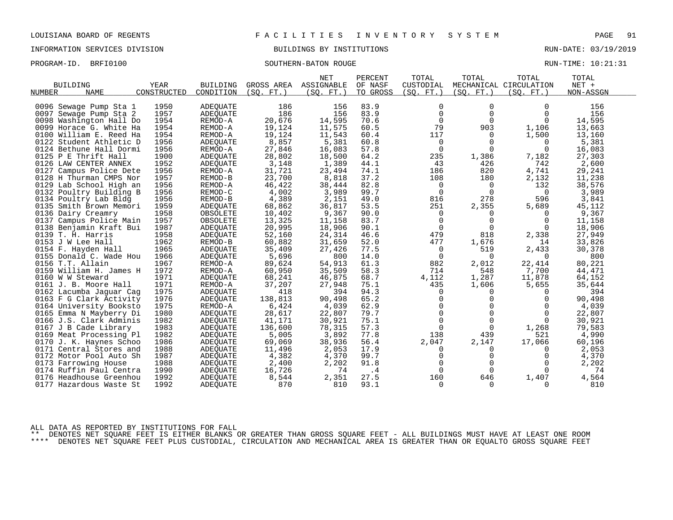INFORMATION SERVICES DIVISION BUILDINGS BY INSTITUTIONS RUN-DATE: 03/19/2019

PROGRAM-ID. BRFI0100 SOUTHERN-BATON ROUGE RUN-TIME: 10:21:31

|                            |             |                 |            | <b>NET</b> | PERCENT  | TOTAL          | TOTAL       | TOTAL                  | TOTAL     |  |
|----------------------------|-------------|-----------------|------------|------------|----------|----------------|-------------|------------------------|-----------|--|
| <b>BUILDING</b>            | <b>YEAR</b> | <b>BUILDING</b> | GROSS AREA | ASSIGNABLE | OF NASF  | CUSTODIAL      |             | MECHANICAL CIRCULATION | NET +     |  |
| NUMBER<br><b>NAME</b>      | CONSTRUCTED | CONDITION       | (SO, FT.)  | (SO, FT.)  | TO GROSS | (SO, FT.)      | (SO. FT. )  | (SO, FT.)              | NON-ASSGN |  |
|                            |             |                 |            |            |          |                |             |                        |           |  |
| 0096 Sewage Pump Sta 1     | 1950        | <b>ADEQUATE</b> | 186        | 156        | 83.9     | 0              | $\Omega$    | $\Omega$               | 156       |  |
| 0097 Sewage Pump Sta 2     | 1957        | ADEQUATE        | 186        | 156        | 83.9     | $\mathbf 0$    | $\Omega$    | $\Omega$               | 156       |  |
| 0098 Washington Hall Do    | 1954        | REMOD-A         | 20,676     | 14,595     | 70.6     | $\mathbf 0$    | $\mathbf 0$ | $\Omega$               | 14,595    |  |
| 0099 Horace G. White Ha    | 1954        | REMOD-A         | 19,124     | 11,575     | 60.5     | 79             | 903         | 1,106                  | 13,663    |  |
| 0100 William E. Reed Ha    | 1954        | REMOD-A         | 19,124     | 11,543     | 60.4     | 117            | $\Omega$    | 1,500                  | 13,160    |  |
| 0122 Student Athletic D    | 1956        | <b>ADEQUATE</b> | 8,857      | 5,381      | 60.8     | $\overline{0}$ | 0           | 0                      | 5,381     |  |
| 0124 Bethune Hall Dormi    | 1956        | REMOD-A         | 27,846     | 16,083     | 57.8     | $\mathbf 0$    | $\Omega$    | $\Omega$               | 16,083    |  |
| 0125 P E Thrift Hall       | 1900        | ADEQUATE        | 28,802     | 18,500     | 64.2     | 235            | 1,386       | 7,182                  | 27,303    |  |
| 0126 LAW CENTER ANNEX      | 1952        | ADEQUATE        | 3,148      | 1,389      | 44.1     | 43             | 426         | 742                    | 2,600     |  |
| Campus Police Dete<br>0127 | 1956        | REMOD-A         | 31,721     | 23,494     | 74.1     | 186            | 820         | 4,741                  | 29,241    |  |
| 0128 H Thurman CMPS Nor    | 1957        | REMOD-B         | 23,700     | 8,818      | 37.2     | 108            | 180         | 2,132                  | 11,238    |  |
| 0129 Lab School High an    | 1956        | REMOD-A         | 46,422     | 38,444     | 82.8     | 0              | $\Omega$    | 132                    | 38,576    |  |
| 0132 Poultry Building B    | 1956        | REMOD-C         | 4,002      | 3,989      | 99.7     | $\mathbf 0$    | $\Omega$    | $\Omega$               | 3,989     |  |
| 0134 Poultry Lab Bldg      | 1956        | REMOD-B         | 4,389      | 2,151      | 49.0     | 816            | 278         | 596                    | 3,841     |  |
| 0135 Smith Brown Memori    | 1959        | ADEQUATE        | 68,862     | 36,817     | 53.5     | 251            | 2,355       | 5,689                  | 45,112    |  |
| 0136 Dairy Creamry         | 1958        | OBSOLETE        | 10,402     | 9,367      | 90.0     | $\overline{0}$ | 0           | $\Omega$               | 9,367     |  |
| 0137<br>Campus Police Main | 1957        | OBSOLETE        | 13,325     | 11,158     | 83.7     | $\mathbf 0$    | $\mathbf 0$ | 0                      | 11,158    |  |
| 0138 Benjamin Kraft Bui    | 1987        | ADEQUATE        | 20,995     | 18,906     | 90.1     | $\mathbf 0$    | $\Omega$    |                        | 18,906    |  |
| 0139 T. H. Harris          | 1958        | <b>ADEQUATE</b> | 52,160     | 24,314     | 46.6     | 479            | 818         | 2,338                  | 27,949    |  |
| 0153 J W Lee Hall          | 1962        | REMOD-B         | 60,882     | 31,659     | 52.0     | 477            | 1,676       | 14                     | 33,826    |  |
| 0154 F. Hayden Hall        | 1965        | ADEQUATE        | 35,409     | 27,426     | 77.5     | 0              | 519         | 2,433                  | 30,378    |  |
| 0155 Donald C. Wade Hou    | 1966        | <b>ADEQUATE</b> | 5,696      | 800        | 14.0     | 0              | 0           | $\Omega$               | 800       |  |
| 0156 T.T. Allain           | 1967        | REMOD-A         | 89,624     | 54,913     | 61.3     | 882            | 2,012       | 22,414                 | 80,221    |  |
| 0159 William H. James H    | 1972        | REMOD-A         | 60,950     | 35,509     | 58.3     | 714            | 548         | 7,700                  | 44,471    |  |
| 0160 W W Steward           | 1971        | ADEOUATE        | 68,241     | 46,875     | 68.7     | 4,112          | 1,287       | 11,878                 | 64,152    |  |
| 0161 J. B. Moore Hall      | 1971        | REMOD-A         | 37,207     | 27,948     | 75.1     | 435            | 1,606       | 5,655                  | 35,644    |  |
| 0162 Lacumba Jaguar Cag    | 1975        | ADEQUATE        | 418        | 394        | 94.3     | 0              | $\mathbf 0$ | $\Omega$               | 394       |  |
| 0163 F G Clark Activity    | 1976        | <b>ADEQUATE</b> | 138,813    | 90,498     | 65.2     | $\Omega$       | $\Omega$    | $\Omega$               | 90,498    |  |
| 0164 University Booksto    | 1975        | REMOD-A         | 6,424      | 4,039      | 62.9     | $\mathbf 0$    | $\mathbf 0$ | $\Omega$               | 4,039     |  |
| 0165 Emma N Mayberry Di    | 1980        | ADEQUATE        | 28,617     | 22,807     | 79.7     | $\mathbf 0$    | $\Omega$    | $\Omega$               | 22,807    |  |
| 0166 J.S. Clark Adminis    | 1982        | ADEQUATE        | 41,171     | 30,921     | 75.1     | $\Omega$       | $\Omega$    | $\Omega$               | 30,921    |  |
| 0167 J B Cade Library      | 1983        | ADEOUATE        | 136,600    | 78,315     | 57.3     | $\Omega$       | $\Omega$    | 1,268                  | 79,583    |  |
| 0169 Meat Processing Pl    | 1982        | ADEQUATE        | 5,005      | 3,892      | 77.8     | 138            | 439         | 521                    | 4,990     |  |
| 0170 J. K. Haynes Schoo    | 1986        | <b>ADEOUATE</b> | 69,069     | 38,936     | 56.4     | 2,047          | 2,147       | 17,066                 | 60,196    |  |
| 0171 Central Stores and    | 1988        | ADEQUATE        | 11,496     | 2,053      | 17.9     | 0              | 0           | 0                      | 2,053     |  |
| 0172 Motor Pool Auto Sh    | 1987        | ADEQUATE        | 4,382      | 4,370      | 99.7     | $\mathbf 0$    | $\mathbf 0$ | $\Omega$               | 4,370     |  |
| 0173 Farrowing House       | 1988        | ADEQUATE        | 2,400      | 2,202      | 91.8     | $\Omega$       | $\Omega$    | $\Omega$               | 2,202     |  |
| 0174 Ruffin Paul Centra    | 1990        | ADEQUATE        | 16,726     | 74         | .4       | $\Omega$       | $\Omega$    | $\Omega$               | 74        |  |
| 0176 Headhouse Greenhou    | 1992        | ADEQUATE        | 8,544      | 2,351      | 27.5     | 160            | 646         | 1,407                  | 4,564     |  |
|                            |             |                 |            |            |          |                |             |                        |           |  |
| 0177 Hazardous Waste St    | 1992        | ADEQUATE        | 870        | 810        | 93.1     | 0              | $\mathbf 0$ | 0                      | 810       |  |

ALL DATA AS REPORTED BY INSTITUTIONS FOR FALL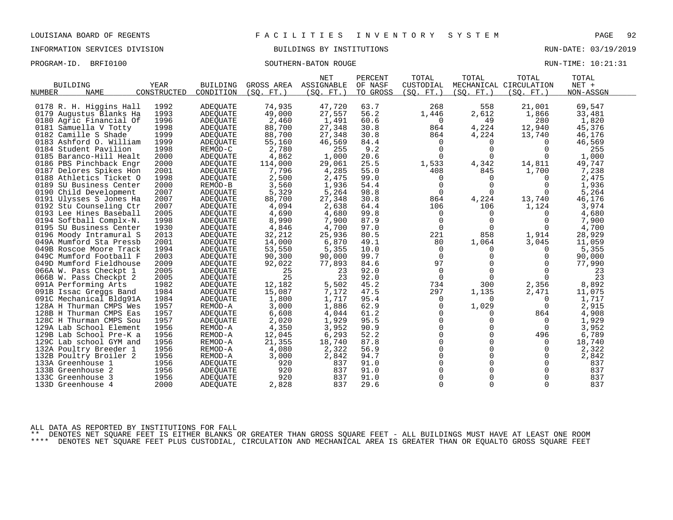INFORMATION SERVICES DIVISION BUILDINGS BY INSTITUTIONS RUN-DATE: 03/19/2019

PROGRAM-ID. BRFI0100 SOUTHERN-BATON ROUGE RUN-TIME: 10:21:31

| <b>NET</b><br>PERCENT<br>TOTAL<br>TOTAL                                                                                  | TOTAL<br>TOTAL         |
|--------------------------------------------------------------------------------------------------------------------------|------------------------|
| <b>BUILDING</b><br>YEAR<br><b>BUILDING</b><br>GROSS AREA<br>ASSIGNABLE<br>OF NASF<br>CUSTODIAL<br>MECHANICAL CIRCULATION | NET +                  |
| CONSTRUCTED<br>TO GROSS<br>(SQ. FT. )<br>NUMBER<br><b>NAME</b><br>CONDITION<br>(SQ. FT.)<br>(SQ. FT.)<br>(SQ. FT. )      | (SQ. FT.)<br>NON-ASSGN |
|                                                                                                                          |                        |
| 1992<br>74,935<br>47,720<br>63.7<br>558<br>0178 R. H. Higgins Hall<br>ADEQUATE<br>268                                    | 21,001<br>69,547       |
| 1993<br>27,557<br>56.2<br>2,612<br>0179 Augustus Blanks Ha<br><b>ADEOUATE</b><br>49,000<br>1,446                         | 1,866<br>33,481        |
| 1996<br>2,460<br>1,491<br>60.6<br>$\mathbf 0$<br>49<br>0180 Agric Financial Of<br><b>ADEQUATE</b>                        | 280<br>1,820           |
| 1998<br>88,700<br>27,348<br>30.8<br>864<br>4,224<br>0181 Samuella V Totty<br><b>ADEQUATE</b>                             | 12,940<br>45,376       |
| 0182 Camille S Shade<br>1999<br>88,700<br>27,348<br>30.8<br>864<br>4,224<br>ADEOUATE                                     | 13,740<br>46,176       |
| 1999<br>55,160<br>46,569<br>0183 Ashford O. William<br>84.4<br>$\mathbf 0$<br>ADEQUATE<br>0                              | 46,569<br>0            |
| 1998<br>2,780<br>9.2<br>255<br>$\Omega$<br>$\Omega$<br>0184 Student Pavilion<br>REMOD-C                                  | $\Omega$<br>255        |
| 0185 Baranco-Hill Healt<br>2000<br><b>ADEQUATE</b><br>4,862<br>1,000<br>20.6<br>$\Omega$<br>$\Omega$                     | 1,000<br>$\Omega$      |
| 25.5<br>1,533<br>4,342<br>0186 PBS Pinchback Engr<br>2000<br>114,000<br>29,061<br>ADEQUATE                               | 14,811<br>49,747       |
| 2001<br>7,796<br>4,285<br>55.0<br>408<br>0187 Delores Spikes Hon<br>845<br>ADEOUATE                                      | 7,238<br>1,700         |
| 2,475<br>1998<br>2,500<br>99.0<br>0188 Athletics Ticket O<br><b>ADEQUATE</b><br>$\Omega$<br>0                            | 2,475<br>$\Omega$      |
| 2000<br>1,936<br>$\Omega$<br>3,560<br>54.4<br>$\Omega$<br>0189 SU Business Center<br>REMOD-B                             | $\Omega$<br>1,936      |
| 2007<br>5,329<br>5,264<br>98.8<br>$\mathbf 0$<br>$\Omega$<br>0190 Child Development<br><b>ADEQUATE</b>                   | 0<br>5,264             |
| 2007<br>88,700<br>864<br>0191 Ulysses S Jones Ha<br><b>ADEOUATE</b><br>27,348<br>30.8<br>4,224                           | 46,176<br>13,740       |
| 2007<br>106<br>0192 Stu Counseling Ctr<br><b>ADEQUATE</b><br>4,094<br>2,638<br>64.4<br>106                               | 1,124<br>3,974         |
| 4,690<br>4,680<br>99.8<br>0193 Lee Hines Baseball<br>2005<br>$\Omega$<br>ADEQUATE<br>0                                   | 4,680<br>$\Omega$      |
| 1998<br>8,990<br>87.9<br>$\Omega$<br>0194 Softball Complx-N.<br><b>ADEQUATE</b><br>7,900<br>$\Omega$                     | 7,900<br>$\Omega$      |
| 4,846<br>$\Omega$<br>0195 SU Business Center<br>1930<br><b>ADEOUATE</b><br>4,700<br>97.0<br>$\Omega$                     | 4,700<br>$\Omega$      |
| 858<br>2013<br>32,212<br>25,936<br>80.5<br>221<br>0196 Moody Intramural S<br>ADEOUATE                                    | 28,929<br>1,914        |
| 2001<br>14,000<br>6,870<br>49.1<br>1,064<br>049A Mumford Sta Pressb<br>80<br>ADEQUATE                                    | 3,045<br>11,059        |
| 1994<br>53,550<br>5,355<br>10.0<br>049B Roscoe Moore Track<br>ADEQUATE<br>0<br>0                                         | 5,355<br>$\Omega$      |
| 2003<br>90,300<br>90,000<br>99.7<br>$\Omega$<br>0<br>049C Mumford Football F<br>ADEQUATE                                 | 90,000<br>$\Omega$     |
| 2009<br>77,893<br>84.6<br>97<br>0<br>049D Mumford Fieldhouse<br>ADEQUATE<br>92,022                                       | $\Omega$<br>77,990     |
| 25<br>$\Omega$<br>066A W. Pass Checkpt 1<br>2005<br>ADEQUATE<br>23<br>92.0<br>$\Omega$                                   | $\Omega$<br>23         |
| 25<br>2005<br>23<br>92.0<br>$\Omega$<br>$\Omega$<br>066B W. Pass Checkpt 2<br>ADEQUATE                                   | 23<br>$\Omega$         |
| 45.2<br>1982<br>12,182<br>5,502<br>734<br>300<br>091A Performing Arts<br>ADEQUATE                                        | 2,356<br>8,892         |
| 297<br>1984<br>15,087<br>7,172<br>47.5<br>1,135<br>091B Issac Greggs Band<br><b>ADEQUATE</b>                             | 2,471<br>11,075        |
| 1984<br>1,800<br>1,717<br>95.4<br>091C Mechanical Bldg91A<br><b>ADEQUATE</b><br>$\Omega$<br><sup>0</sup>                 | 1,717<br>$\Omega$      |
| 1,886<br>62.9<br>1,029<br>1957<br>3,000<br>128A H Thurman CMPS Wes<br>REMOD-A<br>$\Omega$                                | 2,915<br>$\Omega$      |
| 6,608<br>61.2<br>128B H Thurman CMPS Eas<br>1957<br>4,044<br>$\Omega$<br>ADEQUATE<br>0                                   | 4,908<br>864           |
| 2,020<br>1,929<br>95.5<br>$\Omega$<br>$\Omega$<br>128C H Thurman CMPS Sou<br>1957<br>ADEQUATE                            | 1,929<br>$\Omega$      |
| 3,952<br>$\Omega$<br>$\Omega$<br>1956<br>4,350<br>90.9<br>129A Lab School Element<br>REMOD-A                             | 3,952<br>$\Omega$      |
| 52.2<br>0<br>$\Omega$<br>1956<br>REMOD-A<br>12,045<br>6,293<br>129B Lab School Pre-K a                                   | 496<br>6,789           |
| 21,355<br>18,740<br>87.8<br>$\Omega$<br>0<br>129C Lab school GYM and<br>1956<br>REMOD-A                                  | 18,740<br>0            |
| $\Omega$<br>$\Omega$<br>1956<br>2,322<br>56.9<br>132A Poultry Breeder 1<br>4,080<br>REMOD-A                              | 2,322<br>$\Omega$      |
| $\Omega$<br>$\Omega$<br>1956<br>3,000<br>2,842<br>94.7<br>132B Poultry Broiler 2<br>REMOD-A                              | $\mathbf 0$<br>2,842   |
| 920<br>91.0<br>$\Omega$<br>0<br>133A Greenhouse 1<br>1956<br>837<br>ADEQUATE                                             | 837<br>$\Omega$        |
| 920<br>91.0<br>$\Omega$<br>$\Omega$<br>133B Greenhouse 2<br>1956<br>837<br>ADEQUATE                                      | 837<br>$\Omega$        |
| $\mathbf 0$<br>1956<br>920<br>837<br>91.0<br>$\Omega$<br>133C Greenhouse 3<br>ADEOUATE                                   |                        |
|                                                                                                                          | 837<br>$\Omega$        |

ALL DATA AS REPORTED BY INSTITUTIONS FOR FALL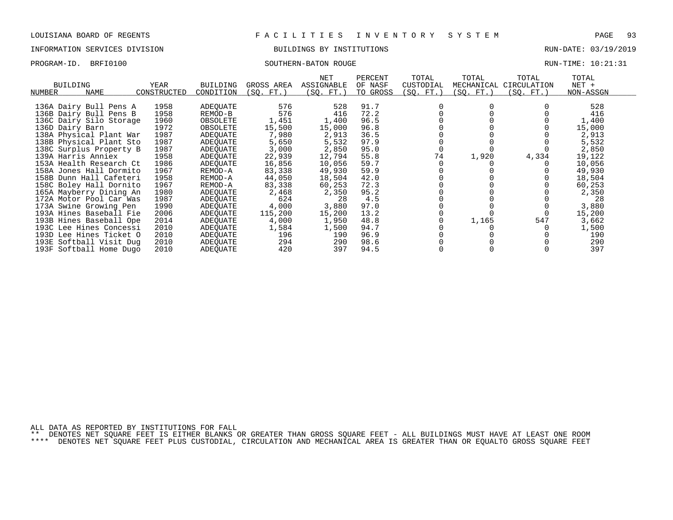## INFORMATION SERVICES DIVISION BUILDINGS BY INSTITUTIONS RUN-DATE: 03/19/2019

PROGRAM-ID. BRFI0100 SOUTHERN-BATON ROUGE RUN-TIME: 10:21:31

| BUILDING                | YEAR        | BUILDING  | GROSS AREA | NET<br>ASSIGNABLE | PERCENT<br>OF NASF | TOTAL<br>CUSTODIAL | TOTAL<br>MECHANICAL | TOTAL<br>CIRCULATION | TOTAL<br>$NET +$ |
|-------------------------|-------------|-----------|------------|-------------------|--------------------|--------------------|---------------------|----------------------|------------------|
| <b>NAME</b><br>NUMBER   | CONSTRUCTED | CONDITION | (SO. FT.)  | (SQ. FT.)         | TO GROSS           | (SQ. FT.)          | (SQ. FT.)           | (SQ. FT.)            | NON-ASSGN        |
|                         |             |           |            |                   |                    |                    |                     |                      |                  |
| 136A Dairy Bull Pens A  | 1958        | ADEQUATE  | 576        | 528               | 91.7               |                    |                     |                      | 528              |
| 136B Dairy Bull Pens B  | 1958        | REMOD-B   | 576        | 416               | 72.2               |                    |                     |                      | 416              |
| 136C Dairy Silo Storage | 1960        | OBSOLETE  | 1,451      | 1,400             | 96.5               |                    |                     |                      | 1,400            |
| 136D Dairy Barn         | 1972        | OBSOLETE  | 15,500     | 15,000            | 96.8               |                    |                     |                      | 15,000           |
| 138A Physical Plant War | 1987        | ADEQUATE  | 7,980      | 2,913             | 36.5               |                    |                     |                      | 2,913            |
| 138B Physical Plant Sto | 1987        | ADEQUATE  | 5,650      | 5,532             | 97.9               |                    |                     |                      | 5,532            |
| 138C Surplus Property B | 1987        | ADEQUATE  | 3,000      | 2,850             | 95.0               |                    |                     |                      | 2,850            |
| 139A Harris Anniex      | 1958        | ADEOUATE  | 22,939     | 12,794            | 55.8               | 74                 | 1,920               | 4,334                | 19,122           |
| 153A Health Research Ct | 1986        | ADEOUATE  | 16,856     | 10,056            | 59.7               |                    |                     |                      | 10,056           |
| 158A Jones Hall Dormito | 1967        | REMOD-A   | 83,338     | 49,930            | 59.9               |                    |                     |                      | 49,930           |
| 158B Dunn Hall Cafeteri | 1958        | REMOD-A   | 44,050     | 18,504            | 42.0               |                    |                     |                      | 18,504           |
| 158C Boley Hall Dornito | 1967        | REMOD-A   | 83,338     | 60,253            | 72.3               |                    |                     |                      | 60,253           |
| 165A Mayberry Dining An | 1980        | ADEOUATE  | 2,468      | 2,350             | 95.2               |                    |                     |                      | 2,350            |
| 172A Motor Pool Car Was | 1987        | ADEQUATE  | 624        | 28                | 4.5                |                    |                     |                      | 28               |
| 173A Swine Growing Pen  | 1990        | ADEQUATE  | 4,000      | 3,880             | 97.0               |                    |                     |                      | 3,880            |
| 193A Hines Baseball Fie | 2006        | ADEOUATE  | 115,200    | 15,200            | 13.2               |                    |                     |                      | 15,200           |
| 193B Hines Baseball Ope | 2014        | ADEQUATE  | 4,000      | 1,950             | 48.8               |                    | 1,165               | 547                  | 3,662            |
| 193C Lee Hines Concessi | 2010        | ADEQUATE  | 1,584      | 1,500             | 94.7               |                    |                     |                      | 1,500            |
| 193D Lee Hines Ticket O | 2010        |           | 196        | 190               | 96.9               |                    |                     |                      | 190              |
|                         |             | ADEOUATE  |            |                   |                    |                    |                     |                      |                  |
| 193E Softball Visit Dug | 2010        | ADEOUATE  | 294        | 290               | 98.6               |                    |                     |                      | 290              |

193F Softball Home Dugo 2010 ADEQUATE 420 397 94.5 0 0 0 397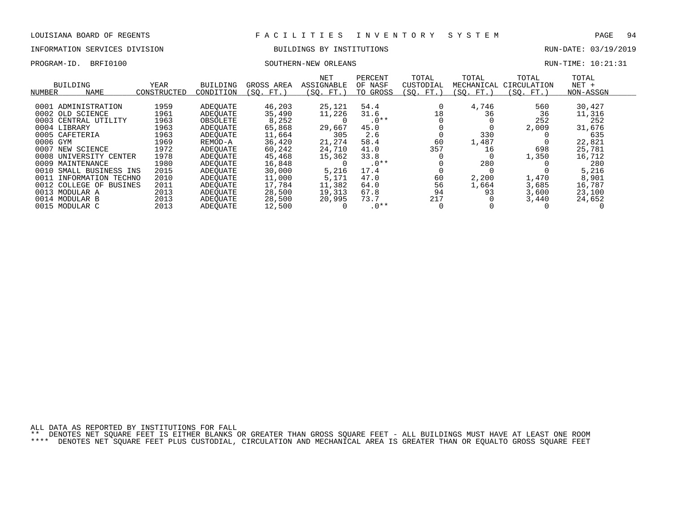# INFORMATION SERVICES DIVISION **EXECUTAS EXAMPLE SUILDINGS BY INSTITUTIONS EXECUTAS** RUN-DATE: 03/19/2019

### PROGRAM-ID. BRFI0100 SOUTHERN-NEW ORLEANS RUN-TIME: 10:21:31

| BUILDING<br>NAME<br>NUMBER                               | <b>YEAR</b><br>CONSTRUCTED | <b>BUILDING</b><br>CONDITION | GROSS AREA<br>(SO. FT.) | <b>NET</b><br>ASSIGNABLE<br>(SO. FT.) | PERCENT<br>OF NASF<br>TO GROSS | TOTAL<br>CUSTODIAL<br>(SO. FT. | TOTAL<br>MECHANICAL<br>(SO. FT.) | TOTAL<br>CIRCULATION<br>(SO. FT.) | TOTAL<br>$NET +$<br>NON-ASSGN |  |
|----------------------------------------------------------|----------------------------|------------------------------|-------------------------|---------------------------------------|--------------------------------|--------------------------------|----------------------------------|-----------------------------------|-------------------------------|--|
| ADMINISTRATION<br>0001                                   | 1959                       | ADEOUATE                     | 46,203                  | 25,121                                | 54.4                           |                                | 4,746                            | 560                               | 30,427                        |  |
| 0002 OLD SCIENCE<br>0003<br>CENTRAL UTILITY              | 1961<br>1963               | ADEOUATE<br>OBSOLETE         | 35,490<br>8,252         | 11,226                                | 31.6<br>$.0**$                 | 18                             | 36                               | 36<br>252                         | 11,316<br>252                 |  |
| 0004 LIBRARY                                             | 1963                       | ADEOUATE                     | 65,868                  | 29,667                                | 45.0                           |                                |                                  | 2,009                             | 31,676                        |  |
| 0005<br>CAFETERIA<br>0006<br>GYM                         | 1963<br>1969               | ADEOUATE<br>REMOD-A          | 11,664<br>36,420        | 305<br>21,274                         | 2.6<br>58.4                    | 60                             | 330<br>1,487                     |                                   | 635<br>22,821                 |  |
| 0007<br>NEW SCIENCE                                      | 1972                       | ADEOUATE                     | 60,242                  | 24,710                                | 41.0                           | 357                            | 16                               | 698                               | 25,781                        |  |
| 0008 UNIVERSITY CENTER<br>0009 MAINTENANCE               | 1978<br>1980               | ADEOUATE<br>ADEOUATE         | 45,468<br>16,848        | 15,362                                | 33.8<br>$.0**$                 |                                | 280                              | 1,350                             | 16,712<br>280                 |  |
| 0010<br>SMALL BUSINESS INS                               | 2015                       | ADEOUATE                     | 30,000                  | 5,216                                 | 17.4                           |                                |                                  |                                   | 5,216                         |  |
| 0011<br>INFORMATION TECHNO<br>0012<br>COLLEGE OF BUSINES | 2010<br>2011               | ADEOUATE<br>ADEOUATE         | 11,000<br>17,784        | 5,171<br>11,382                       | 47.0<br>64.0                   | 60<br>56                       | 2,200<br>1,664                   | 1,470<br>3,685                    | 8,901<br>16,787               |  |
| 0013<br>MODULAR A                                        | 2013                       | ADEOUATE                     | 28,500                  | 19,313                                | 67.8                           | 94                             | 93                               | 3,600                             | 23,100                        |  |
| 0014 MODULAR B<br>0015 MODULAR C                         | 2013<br>2013               | ADEOUATE<br>ADEOUATE         | 28,500<br>12,500        | 20,995                                | 73.7<br>$.0**$                 | 217                            |                                  | 3,440                             | 24,652                        |  |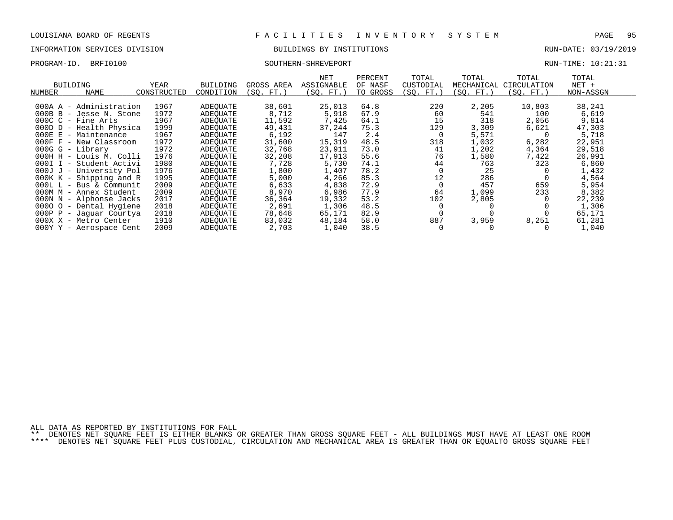### INFORMATION SERVICES DIVISION BUILDINGS BY INSTITUTIONS RUN-DATE: 03/19/2019

### PROGRAM-ID. BRFI0100 SOUTHERN-SHREVEPORT RUN-TIME: 10:21:31

|            |                            |             |                 |            | NET               | PERCENT  | TOTAL     | TOTAL      | TOTAL       | TOTAL     |  |
|------------|----------------------------|-------------|-----------------|------------|-------------------|----------|-----------|------------|-------------|-----------|--|
|            | <b>BUILDING</b>            | YEAR        | <b>BUILDING</b> | GROSS AREA | <b>ASSIGNABLE</b> | OF NASF  | CUSTODIAL | MECHANICAL | CIRCULATION | $NET +$   |  |
| NUMBER     | <b>NAME</b>                | CONSTRUCTED | CONDITION       | (SO. FT.)  | (SQ. FT.)         | TO GROSS | (SQ. FT.) | (SO. FT.)  | (SQ. FT.)   | NON-ASSGN |  |
|            |                            |             |                 |            |                   |          |           |            |             |           |  |
|            | 000A A - Administration    | 1967        | ADEOUATE        | 38,601     | 25,013            | 64.8     | 220       | 2,205      | 10,803      | 38,241    |  |
|            | $000B$ B - Jesse N. Stone  | 1972        | ADEOUATE        | 8,712      | 5,918             | 67.9     | 60        | 541        | 100         | 6,619     |  |
|            | $000C_C -$ Fine Arts       | 1967        | ADEOUATE        | 11,592     | 7,425             | 64.1     | 15        | 318        | 2,056       | 9,814     |  |
|            | 000D D - Health Physica    | 1999        | ADEOUATE        | 49,431     | 37,244            | 75.3     | 129       | 3,309      | 6,621       | 47,303    |  |
|            | 000E E - Maintenance       | 1967        | ADEOUATE        | 6,192      | 147               | 2.4      | 0         | 5,571      |             | 5,718     |  |
|            | $000F$ $F$ - New Classroom | 1972        | ADEOUATE        | 31,600     | 15,319            | 48.5     | 318       | 1,032      | 6,282       | 22,951    |  |
|            | $000G G - Library$         | 1972        | ADEOUATE        | 32,768     | 23,911            | 73.0     | 41        | 1,202      | 4,364       | 29,518    |  |
|            | 000H H - Louis M. Colli    | 1976        | ADEOUATE        | 32,208     | 17,913            | 55.6     | 76        | 1,580      | 7,422       | 26,991    |  |
|            | 000I I - Student Activi    | 1980        | ADEOUATE        | 7,728      | 5,730             | 74.1     | 44        | 763        | 323         | 6,860     |  |
|            | 000J J - University Pol    | 1976        | ADEOUATE        | 1,800      | 1,407             | 78.2     | $\Omega$  | 25         |             | 1,432     |  |
|            | 000K K - Shipping and R    | 1995        | ADEOUATE        | 5,000      | 4,266             | 85.3     | 12        | 286        |             | 4,564     |  |
|            | 000L L - Bus & Communit    | 2009        | ADEOUATE        | 6,633      | 4,838             | 72.9     | $\Omega$  | 457        | 659         | 5,954     |  |
|            | 000M M - Annex Student     | 2009        | ADEOUATE        | 8,970      | 6,986             | 77.9     | 64        | 1,099      | 233         | 8,382     |  |
|            | 000N N - Alphonse Jacks    | 2017        | ADEOUATE        | 36,364     | 19,332            | 53.2     | 102       | 2,805      |             | 22,239    |  |
|            | 0000 0 - Dental Hygiene    | 2018        | ADEOUATE        | 2,691      | 1,306             | 48.5     |           |            |             | 1,306     |  |
| $000P$ $P$ | - Jaguar Courtya           | 2018        | ADEOUATE        | 78,648     | 65,171            | 82.9     | $\Omega$  |            |             | 65,171    |  |
|            | 000X X - Metro Center      | 1910        | ADEOUATE        | 83,032     | 48,184            | 58.0     | 887       | 3,959      | 8,251       | 61,281    |  |

000Y Y - Aerospace Cent 2009 ADEQUATE 2,703 1,040 38.5 0 0 0 1,040

ALL DATA AS REPORTED BY INSTITUTIONS FOR FALL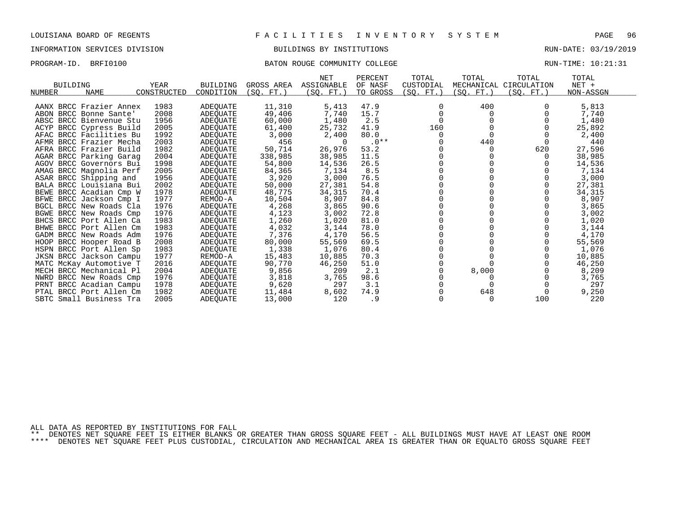### INFORMATION SERVICES DIVISION BUILDINGS BY INSTITUTIONS RUN-DATE: 03/19/2019

### PROGRAM-ID. BRFI0100 BATON ROUGE COMMUNITY COLLEGE RUN-TIME: 10:21:31

|                            |             |                 |            | NET        | PERCENT  | TOTAL     | TOTAL      | TOTAL                  | TOTAL     |  |
|----------------------------|-------------|-----------------|------------|------------|----------|-----------|------------|------------------------|-----------|--|
| <b>BUILDING</b>            | YEAR        | <b>BUILDING</b> | GROSS AREA | ASSIGNABLE | OF NASF  | CUSTODIAL |            | MECHANICAL CIRCULATION | $NET +$   |  |
| <b>NAME</b><br>NUMBER      | CONSTRUCTED | CONDITION       | (SQ. FT.)  | (SO. FT.)  | TO GROSS | (SQ. FT.) | (SQ. FT. ) | (SQ. FT.)              | NON-ASSGN |  |
| AANX BRCC Frazier Annex    | 1983        | ADEQUATE        | 11,310     | 5,413      | 47.9     | 0         | 400        |                        | 5,813     |  |
| ABON BRCC Bonne Sante'     | 2008        | ADEOUATE        | 49,406     | 7,740      | 15.7     | $\Omega$  | 0          |                        | 7,740     |  |
| ABSC BRCC Bienvenue Stu    | 1956        | ADEQUATE        | 60,000     | 1,480      | 2.5      |           |            |                        | 1,480     |  |
| ACYP<br>BRCC Cypress Build | 2005        | ADEQUATE        | 61,400     | 25,732     | 41.9     | 160       |            |                        | 25,892    |  |
| AFAC BRCC Facilities Bu    | 1992        | ADEOUATE        | 3,000      | 2,400      | 80.0     | 0         |            |                        | 2,400     |  |
| AFMR BRCC Frazier Mecha    | 2003        | ADEQUATE        | 456        | $\Omega$   | $.0**$   |           | 440        |                        | 440       |  |
| AFRA BRCC Frazier Build    | 1982        | ADEQUATE        | 50,714     | 26,976     | 53.2     |           |            | 620                    | 27,596    |  |
| AGAR BRCC Parking Garag    | 2004        | ADEQUATE        | 338,985    | 38,985     | 11.5     |           |            |                        | 38,985    |  |
| AGOV BRCC Governors Bui    | 1998        | ADEQUATE        | 54,800     | 14,536     | 26.5     |           |            |                        | 14,536    |  |
| AMAG BRCC Magnolia Perf    | 2005        | ADEOUATE        | 84,365     | 7,134      | 8.5      |           |            |                        | 7,134     |  |
| ASAR BRCC Shipping and     | 1956        | ADEQUATE        | 3,920      | 3,000      | 76.5     |           |            |                        | 3,000     |  |
| BALA BRCC Louisiana Bui    | 2002        | ADEQUATE        | 50,000     | 27,381     | 54.8     |           |            |                        | 27,381    |  |
| BEWE BRCC Acadian Cmp W    | 1978        | ADEQUATE        | 48,775     | 34,315     | 70.4     |           |            |                        | 34,315    |  |
| BFWE BRCC Jackson Cmp I    | 1977        | REMOD-A         | 10,504     | 8,907      | 84.8     |           |            |                        | 8,907     |  |
| BGCL BRCC New Roads Cla    | 1976        | ADEQUATE        | 4,268      | 3,865      | 90.6     |           |            |                        | 3,865     |  |
| BGWE BRCC New Roads Cmp    | 1976        | ADEQUATE        | 4,123      | 3,002      | 72.8     |           |            |                        | 3,002     |  |
| BHCS BRCC Port Allen Ca    | 1983        | ADEQUATE        | 1,260      | 1,020      | 81.0     |           |            |                        | 1,020     |  |
| BHWE BRCC Port Allen Cm    | 1983        | ADEOUATE        | 4,032      | 3,144      | 78.0     |           |            |                        | 3,144     |  |
| GADM BRCC New Roads Adm    | 1976        | ADEOUATE        | 7,376      | 4,170      | 56.5     |           |            |                        | 4,170     |  |
| BRCC Hooper Road B<br>HOOP | 2008        | ADEQUATE        | 80,000     | 55,569     | 69.5     |           |            |                        | 55,569    |  |
| HSPN BRCC Port Allen Sp    | 1983        | ADEQUATE        | 1,338      | 1,076      | 80.4     |           |            |                        | 1,076     |  |
| JKSN BRCC Jackson Campu    | 1977        | REMOD-A         | 15,483     | 10,885     | 70.3     |           |            |                        | 10,885    |  |
| MATC McKay Automotive T    | 2016        | ADEQUATE        | 90,770     | 46,250     | 51.0     |           |            |                        | 46,250    |  |
| MECH BRCC Mechanical Pl    | 2004        | ADEOUATE        | 9,856      | 209        | 2.1      |           | 8,000      |                        | 8,209     |  |
| NWRD BRCC New Roads Cmp    | 1976        | ADEQUATE        | 3,818      | 3,765      | 98.6     |           |            |                        | 3,765     |  |
| PRNT BRCC Acadian Campu    | 1978        | ADEQUATE        | 9,620      | 297        | 3.1      |           |            |                        | 297       |  |
| PTAL BRCC Port Allen Cm    | 1982        | <b>ADEOUATE</b> | 11,484     | 8,602      | 74.9     |           | 648        |                        | 9,250     |  |
| SBTC Small Business Tra    | 2005        | ADEQUATE        | 13,000     | 120        | . 9      | $\Omega$  |            | 100                    | 220       |  |

ALL DATA AS REPORTED BY INSTITUTIONS FOR FALL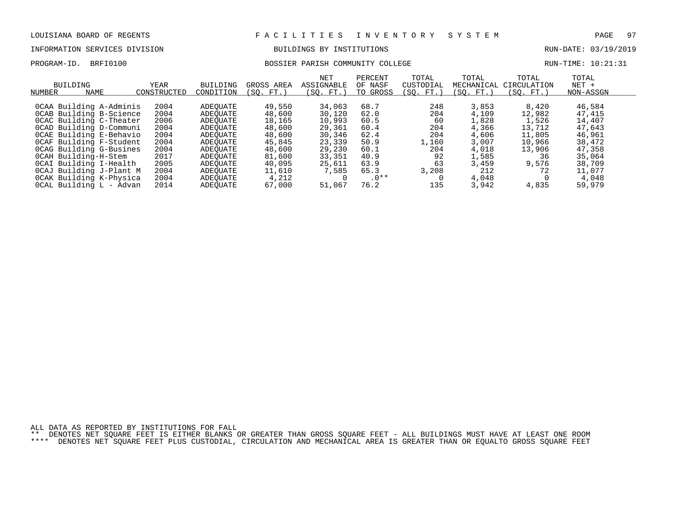# INFORMATION SERVICES DIVISION BUILDINGS BY INSTITUTIONS AND RUN-DATE: 03/19/2019

### PROGRAM-ID. BRFI0100 BOSSIER PARISH COMMUNITY COLLEGE RUN-TIME: 10:21:31

| NUMBER | BUILDING<br>NAME        | YEAR<br>CONSTRUCTED | <b>BUILDING</b><br>CONDITION | GROSS AREA<br>SO.<br>FT. | <b>NET</b><br>ASSIGNABLE<br>(SO. FT.) | PERCENT<br>OF NASF<br>TO GROSS | TOTAL<br>CUSTODIAL<br>(SO. FT.) | TOTAL<br>MECHANICAL<br>SO. FT. | TOTAL<br>CIRCULATION<br>(SO. FT.) | TOTAL<br>$NET +$<br>NON-ASSGN |
|--------|-------------------------|---------------------|------------------------------|--------------------------|---------------------------------------|--------------------------------|---------------------------------|--------------------------------|-----------------------------------|-------------------------------|
|        | OCAA Building A-Adminis | 2004                | ADEOUATE                     | 49,550                   | 34,063                                | 68.7                           | 248                             | 3,853                          | 8,420                             | 46,584                        |
|        |                         |                     |                              |                          |                                       |                                |                                 |                                |                                   |                               |
|        | OCAB Building B-Science | 2004                | ADEOUATE                     | 48,600                   | 30,120                                | 62.0                           | 204                             | 4,109                          | 12,982                            | 47,415                        |
|        | OCAC Building C-Theater | 2006                | ADEOUATE                     | 18,165                   | 10,993                                | 60.5                           | 60                              | 1,828                          | 1,526                             | 14,407                        |
|        | OCAD Building D-Communi | 2004                | ADEOUATE                     | 48,600                   | 29,361                                | 60.4                           | 204                             | 4,366                          | 13,712                            | 47,643                        |
|        | OCAE Building E-Behavio | 2004                | ADEOUATE                     | 48,600                   | 30,346                                | 62.4                           | 204                             | 4,606                          | 11,805                            | 46,961                        |
|        | OCAF Building F-Student | 2004                | ADEOUATE                     | 45,845                   | 23,339                                | 50.9                           | 1,160                           | 3,007                          | 10,966                            | 38,472                        |
|        | OCAG Building G-Busines | 2004                | ADEOUATE                     | 48,600                   | 29,230                                | 60.1                           | 204                             | 4,018                          | 13,906                            | 47,358                        |
|        | OCAH Building-H-Stem    | 2017                | ADEOUATE                     | 81,600                   | 33,351                                | 40.9                           | 92                              | 1,585                          | 36                                | 35,064                        |
|        | OCAI Building I-Health  | 2005                | ADEOUATE                     | 40,095                   | 25,611                                | 63.9                           | 63                              | 3,459                          | 9,576                             | 38,709                        |
|        | OCAJ Building J-Plant M | 2004                | ADEOUATE                     | 11,610                   | 7,585                                 | 65.3                           | 3,208                           | 212                            | 72                                | 11,077                        |
|        | OCAK Building K-Physica | 2004                | ADEOUATE                     | 4,212                    |                                       | $.0**$                         |                                 | 4,048                          |                                   | 4,048                         |
|        | OCAL Building L - Advan | 2014                | ADEOUATE                     | 67,000                   | 51,067                                | 76.2                           | 135                             | 3,942                          | 4,835                             | 59,979                        |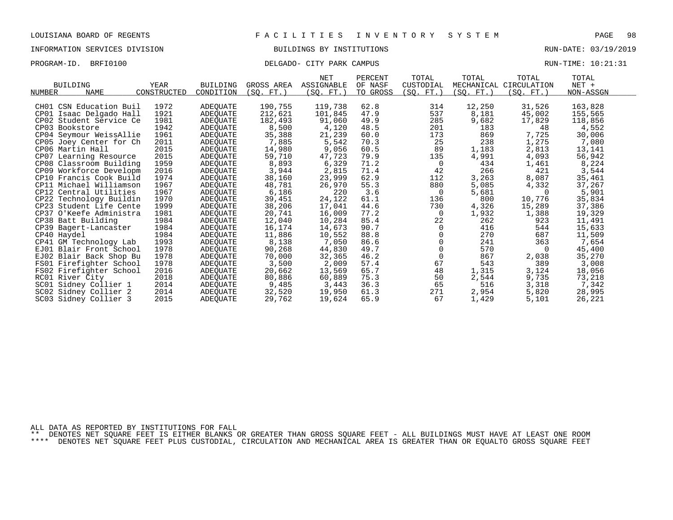## INFORMATION SERVICES DIVISION BUILDINGS BY INSTITUTIONS RUN-DATE: 03/19/2019

### PROGRAM-ID. BRFI0100 CITY PARK CAMPUS DELGADO- CITY PARK CAMPUS RUN-TIME: 10:21:31

|                            |             |                 |            | NET         | PERCENT  | TOTAL     | TOTAL      | TOTAL                  | TOTAL     |  |
|----------------------------|-------------|-----------------|------------|-------------|----------|-----------|------------|------------------------|-----------|--|
| <b>BUILDING</b>            | YEAR        | <b>BUILDING</b> | GROSS AREA | ASSIGNABLE  | OF NASF  | CUSTODIAL |            | MECHANICAL CIRCULATION | NET +     |  |
| <b>NAME</b><br>NUMBER      | CONSTRUCTED | CONDITION       | (SQ. FT.)  | $SO. FT.$ ) | TO GROSS | (SQ. FT.) | (SO. FT. ) | (SQ. FT.)              | NON-ASSGN |  |
|                            |             |                 |            |             |          |           |            |                        |           |  |
| CH01 CSN Education Buil    | 1972        | ADEQUATE        | 190,755    | 119,738     | 62.8     | 314       | 12,250     | 31,526                 | 163,828   |  |
| CP01 Isaac Delgado Hall    | 1921        | <b>ADEQUATE</b> | 212,621    | 101,845     | 47.9     | 537       | 8,181      | 45,002                 | 155,565   |  |
| CP02 Student Service Ce    | 1981        | ADEQUATE        | 182,493    | 91,060      | 49.9     | 285       | 9,682      | 17,829                 | 118,856   |  |
| CP03 Bookstore             | 1942        | ADEQUATE        | 8,500      | 4,120       | 48.5     | 201       | 183        | 48                     | 4,552     |  |
| CP04 Seymour WeissAllie    | 1961        | ADEQUATE        | 35,388     | 21,239      | 60.0     | 173       | 869        | 7,725                  | 30,006    |  |
| CP05 Joey Center for Ch    | 2011        | ADEQUATE        | 7,885      | 5,542       | 70.3     | 25        | 238        | 1,275                  | 7,080     |  |
| CP06 Martin Hall           | 2015        | ADEQUATE        | 14,980     | 9,056       | 60.5     | 89        | 1,183      | 2,813                  | 13,141    |  |
| CP07 Learning Resource     | 2015        | ADEQUATE        | 59,710     | 47,723      | 79.9     | 135       | 4,991      | 4,093                  | 56,942    |  |
| CP08 Classroom Building    | 1959        | <b>ADEQUATE</b> | 8,893      | 6,329       | 71.2     | 0         | 434        | 1,461                  | 8,224     |  |
| CP09 Workforce Developm    | 2016        | ADEQUATE        | 3,944      | 2,815       | 71.4     | 42        | 266        | 421                    | 3,544     |  |
| CP10 Francis Cook Build    | 1974        | ADEQUATE        | 38,160     | 23,999      | 62.9     | 112       | 3,263      | 8,087                  | 35,461    |  |
| CP11 Michael Williamson    | 1967        | <b>ADEOUATE</b> | 48,781     | 26,970      | 55.3     | 880       | 5,085      | 4,332                  | 37,267    |  |
| CP12 Central Utilities     | 1967        | <b>ADEQUATE</b> | 6,186      | 220         | 3.6      | 0         | 5,681      | $\Omega$               | 5,901     |  |
| CP22<br>Technology Buildin | 1970        | ADEQUATE        | 39,451     | 24,122      | 61.1     | 136       | 800        | 10,776                 | 35,834    |  |
| CP23 Student Life Cente    | 1999        | ADEOUATE        | 38,206     | 17,041      | 44.6     | 730       | 4,326      | 15,289                 | 37,386    |  |
| CP37 O'Keefe Administra    | 1981        | ADEQUATE        | 20,741     | 16,009      | 77.2     | 0         | 1,932      | 1,388                  | 19,329    |  |
| CP38 Batt Building         | 1984        | ADEQUATE        | 12,040     | 10,284      | 85.4     | 22        | 262        | 923                    | 11,491    |  |
| CP39 Bagert-Lancaster      | 1984        | ADEQUATE        | 16,174     | 14,673      | 90.7     | 0         | 416        | 544                    | 15,633    |  |
| CP40 Haydel                | 1984        | <b>ADEOUATE</b> | 11,886     | 10,552      | 88.8     |           | 270        | 687                    | 11,509    |  |
| CP41 GM Technology Lab     | 1993        | ADEQUATE        | 8,138      | 7,050       | 86.6     | 0         | 241        | 363                    | 7,654     |  |
| EJ01 Blair Front School    | 1978        | <b>ADEQUATE</b> | 90,268     | 44,830      | 49.7     | 0         | 570        | $\Omega$               | 45,400    |  |
| EJ02 Blair Back Shop Bu    | 1978        | ADEQUATE        | 70,000     | 32,365      | 46.2     | $\Omega$  | 867        | 2,038                  | 35,270    |  |
| FS01 Firefighter School    | 1978        | ADEQUATE        | 3,500      | 2,009       | 57.4     | 67        | 543        | 389                    | 3,008     |  |
| FS02 Firefighter School    | 2016        | ADEQUATE        | 20,662     | 13,569      | 65.7     | 48        | 1,315      | 3,124                  | 18,056    |  |
| RC01 River City            | 2018        | <b>ADEQUATE</b> | 80,886     | 60,889      | 75.3     | 50        | 2,544      | 9,735                  | 73,218    |  |
| SC01 Sidney Collier 1      | 2014        | ADEQUATE        | 9,485      | 3,443       | 36.3     | 65        | 516        | 3,318                  | 7,342     |  |
| SC02 Sidney Collier 2      | 2014        | ADEOUATE        | 32,520     | 19,950      | 61.3     | 271       | 2,954      | 5,820                  | 28,995    |  |
| SC03 Sidney Collier 3      | 2015        | <b>ADEQUATE</b> | 29,762     | 19,624      | 65.9     | 67        | 1,429      | 5,101                  | 26,221    |  |

ALL DATA AS REPORTED BY INSTITUTIONS FOR FALL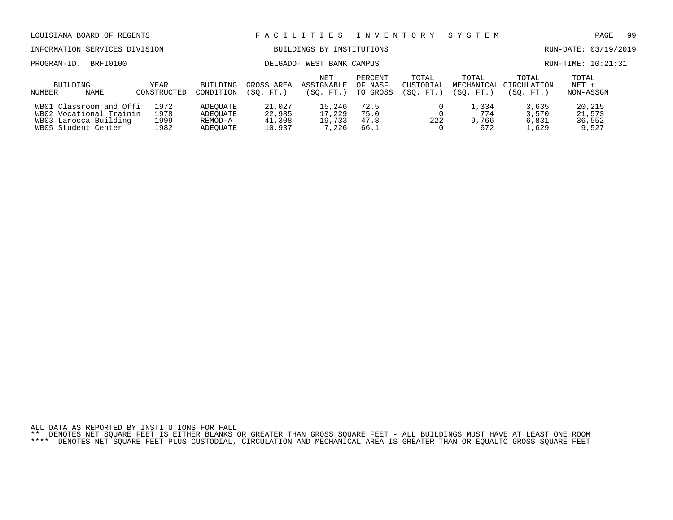| LOUISIANA BOARD OF REGENTS                                                                         |                              |                                             |                                      | FACILITIES                          | I N V E N T O R Y               |                    | SYSTEM                                       |                                  | PAGE                                | -99 |
|----------------------------------------------------------------------------------------------------|------------------------------|---------------------------------------------|--------------------------------------|-------------------------------------|---------------------------------|--------------------|----------------------------------------------|----------------------------------|-------------------------------------|-----|
| INFORMATION SERVICES DIVISION                                                                      |                              |                                             |                                      | BUILDINGS BY INSTITUTIONS           |                                 |                    |                                              |                                  | RUN-DATE: 03/19/2019                |     |
| BRFI0100<br>PROGRAM-ID.                                                                            |                              |                                             |                                      | DELGADO- WEST BANK CAMPUS           |                                 |                    |                                              |                                  | RUN-TIME: 10:21:31                  |     |
| BUILDING<br>NAME<br>NUMBER                                                                         | BUILDING<br>CONDITION        | GROSS AREA<br>(SO. FT.)                     | NET<br>ASSIGNABLE<br>(SO. FT.)       | PERCENT<br>OF NASF<br>TO GROSS      | TOTAL<br>CUSTODIAL<br>(SO. FT.) | TOTAL<br>(SO. FT.) | TOTAL<br>MECHANICAL CIRCULATION<br>(SO. FT.) | TOTAL<br>$NET +$<br>NON-ASSGN    |                                     |     |
| WB01 Classroom and Offi<br>WB02 Vocational Trainin<br>WB03 Larocca Building<br>WB05 Student Center | 1972<br>1978<br>1999<br>1982 | ADEOUATE<br>ADEOUATE<br>REMOD-A<br>ADEOUATE | 21,027<br>22,985<br>41,308<br>10,937 | 15,246<br>17,229<br>19,733<br>7,226 | 72.5<br>75.0<br>47.8<br>66.1    | 222                | 1,334<br>774<br>9,766<br>672                 | 3,635<br>3,570<br>6,831<br>1,629 | 20,215<br>21,573<br>36,552<br>9,527 |     |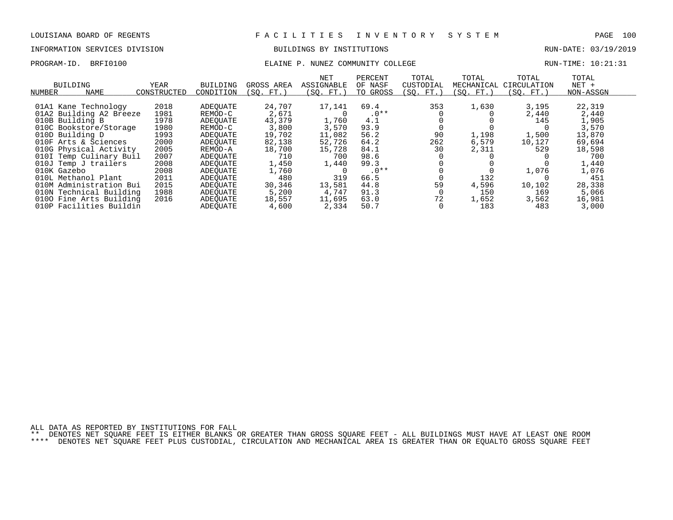### INFORMATION SERVICES DIVISION BUILDINGS BY INSTITUTIONS RUN-DATE: 03/19/2019

## PROGRAM-ID. BRFI0100 COMMUNITY COLLEGE RUN-TIME: 10:21:31

| BUILDING<br><b>NAME</b><br>NUMBER                                             | YEAR<br>CONSTRUCTED | <b>BUILDING</b><br>CONDITION     | GROSS AREA<br>(SO. FT.)  | <b>NET</b><br>ASSIGNABLE<br>(SO. FT.) | PERCENT<br>OF NASF<br>TO GROSS | TOTAL<br>CUSTODIAL<br>(SO. FT.) | TOTAL<br>MECHANICAL<br>(SO. FT.) | TOTAL<br>CIRCULATION<br>(SO. FT.) | TOTAL<br>$NET +$<br>NON-ASSGN |  |
|-------------------------------------------------------------------------------|---------------------|----------------------------------|--------------------------|---------------------------------------|--------------------------------|---------------------------------|----------------------------------|-----------------------------------|-------------------------------|--|
| 01A1 Kane Technology<br>01A2 Building A2 Breeze                               | 2018<br>1981        | ADEQUATE<br>REMOD-C              | 24,707<br>2,671          | 17,141                                | 69.4<br>$.0**$                 | 353                             | 1,630                            | 3,195<br>2,440                    | 22,319<br>2,440               |  |
| 010B Building B<br>010C Bookstore/Storage                                     | 1978<br>1980        | ADEOUATE<br>REMOD-C              | 43,379<br>3,800          | 1,760<br>3,570                        | 4.1<br>93.9                    |                                 |                                  | 145                               | 1,905<br>3,570                |  |
| 010D Building D<br>010F Arts & Sciences                                       | 1993<br>2000        | ADEOUATE<br>ADEQUATE             | 19,702<br>82,138         | 11,082<br>52,726                      | 56.2<br>64.2                   | 90<br>262                       | 1,198<br>6,579                   | 1,500<br>10,127                   | 13,870<br>69,694              |  |
| 010G Physical Activity<br>010I Temp Culinary Buil                             | 2005<br>2007        | REMOD-A<br>ADEOUATE              | 18,700<br>710            | 15,728<br>700                         | 84.1<br>98.6                   | 30                              | 2,311                            | 529                               | 18,598<br>700                 |  |
| 010J Temp J trailers<br>010K Gazebo                                           | 2008<br>2008        | ADEOUATE<br>ADEOUATE             | 1,450<br>1,760           | 1,440                                 | 99.3<br>$.0**$                 |                                 |                                  | 1,076                             | 1,440<br>1,076                |  |
| 010L Methanol Plant<br>010M Administration Bui                                | 2011<br>2015        | ADEOUATE<br>ADEOUATE             | 480<br>30,346            | 319<br>13,581                         | 66.5<br>44.8                   | 59                              | 132<br>4,596                     | 10,102                            | 451<br>28,338                 |  |
| 010N Technical Building<br>0100 Fine Arts Building<br>010P Facilities Buildin | 1988<br>2016        | ADEOUATE<br>ADEOUATE<br>ADEOUATE | 5,200<br>18,557<br>4,600 | 4,747<br>11,695<br>2,334              | 91.3<br>63.0<br>50.7           | 72                              | 150<br>1,652<br>183              | 169<br>3,562<br>483               | 5,066<br>16,981<br>3,000      |  |

ALL DATA AS REPORTED BY INSTITUTIONS FOR FALL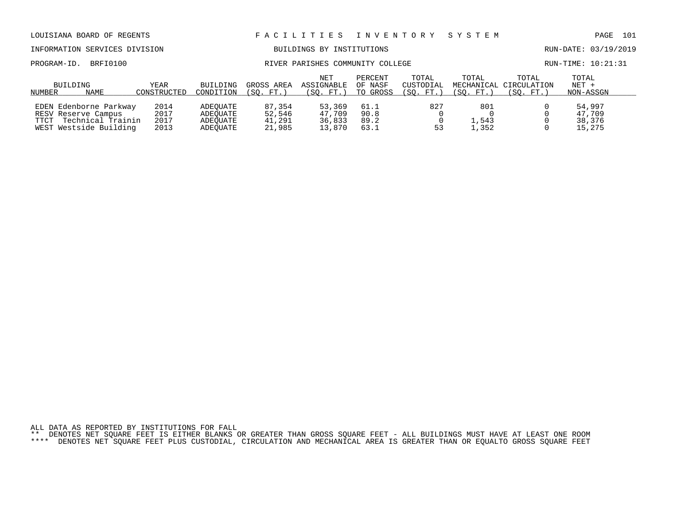# INFORMATION SERVICES DIVISION BUILDINGS BY INSTITUTIONS AND RUN-DATE: 03/19/2019

PROGRAM-ID. BRFI0100 RIVER PARISHES COMMUNITY COLLEGE RUN-TIME: 10:21:31

|        | BUILDING               | YEAR        | BUILDING  | GROSS AREA | <b>NET</b><br>ASSIGNABLE | PERCENT<br>OF NASF | TOTAL<br>CUSTODIAL | TOTAL     | TOTAL<br>MECHANICAL CIRCULATION | TOTAL<br>$NET +$ |
|--------|------------------------|-------------|-----------|------------|--------------------------|--------------------|--------------------|-----------|---------------------------------|------------------|
| NUMBER | NAME                   | CONSTRUCTED | CONDITION | (SO. FT.   | (SO. FT.)                | TO GROSS           | (SO. FT.           | (SO. FT.) | (SO. FT.)                       | NON-ASSGN        |
|        | EDEN Edenborne Parkway | 2014        | ADEOUATE  | 87,354     | 53,369                   | 61.1               | 827                | 801       |                                 | 54,997           |
|        | RESV Reserve Campus    | 2017        | ADEOUATE  | 52,546     | 47,709                   | 90.8               |                    |           |                                 | 47,709           |
| TTCT   | Technical Trainin      | 2017        | ADEOUATE  | 41,291     | 36,833                   | 89.2               |                    | ⊥,543     |                                 | 38,376           |
|        | WEST Westside Building | 2013        | ADEOUATE  | 21,985     | 13,870                   | 63.⊥               | 53                 | , 352     |                                 | 15,275           |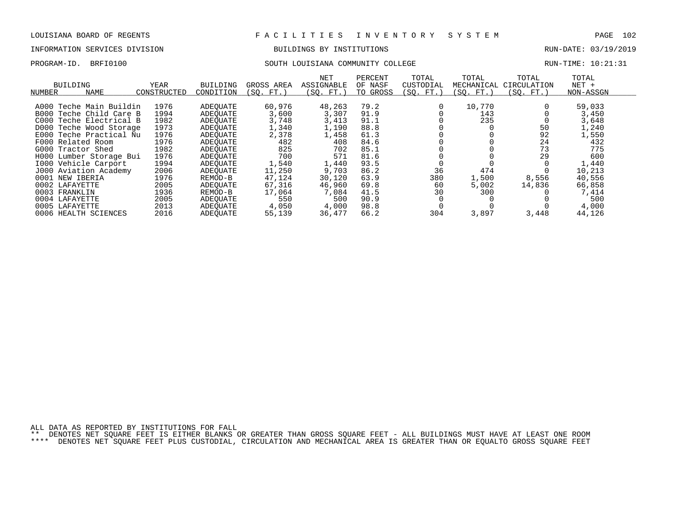## INFORMATION SERVICES DIVISION BUILDINGS BY INSTITUTIONS RUN-DATE: 03/19/2019

### PROGRAM-ID. BRFI0100 SOUTH LOUISIANA COMMUNITY COLLEGE RUN-TIME: 10:21:31

| BUILDING<br>NAME<br>NUMBER | YEAR<br>CONSTRUCTED | <b>BUILDING</b><br>CONDITION | GROSS AREA<br>(SO. FT.) | NET<br>ASSIGNABLE<br>(SO. FT.) | PERCENT<br>OF NASF<br>TO GROSS | TOTAL<br>CUSTODIAL<br>(SQ. FT.) | TOTAL<br>MECHANICAL<br>(SQ. FT.) | TOTAL<br>CIRCULATION<br>(SO. FT.) | TOTAL<br>$NET +$<br>NON-ASSGN |
|----------------------------|---------------------|------------------------------|-------------------------|--------------------------------|--------------------------------|---------------------------------|----------------------------------|-----------------------------------|-------------------------------|
|                            |                     |                              |                         |                                |                                |                                 | 10,770                           |                                   |                               |
| Teche Main Buildin<br>A000 | 1976                | ADEQUATE                     | 60,976                  | 48,263                         | 79.2                           |                                 |                                  |                                   | 59,033                        |
| Teche Child Care B<br>B000 | 1994                | ADEOUATE                     | 3,600                   | 3,307                          | 91.9                           |                                 | 143                              |                                   | 3,450                         |
| Teche Electrical B<br>C000 | 1982                | ADEOUATE                     | 3,748                   | 3,413                          | 91.1                           |                                 | 235                              |                                   | 3,648                         |
| D000 Teche Wood Storage    | 1973                | ADEOUATE                     | 1,340                   | 1,190                          | 88.8                           |                                 |                                  | 50                                | 1,240                         |
| Teche Practical Nu<br>E000 | 1976                | ADEOUATE                     | 2,378                   | 1,458                          | 61.3                           |                                 |                                  | 92                                | 1,550                         |
| F000 Related Room          | 1976                | ADEOUATE                     | 482                     | 408                            | 84.6                           |                                 |                                  | 24                                | 432                           |
| G000 Tractor Shed          | 1982                | ADEOUATE                     | 825                     | 702                            | 85.1                           |                                 |                                  | 73                                | 775                           |
| H000 Lumber Storage Bui    | 1976                | ADEOUATE                     | 700                     | 571                            | 81.6                           |                                 |                                  | 29                                | 600                           |
| 1000 Vehicle Carport       | 1994                | ADEOUATE                     | 1,540                   | 1,440                          | 93.5                           |                                 |                                  |                                   | 1,440                         |
| J000 Aviation Academy      | 2006                | ADEOUATE                     | 11,250                  | 9,703                          | 86.2                           | 36                              | 474                              |                                   | 10,213                        |
| 0001 NEW IBERIA            | 1976                | REMOD-B                      | 47,124                  | 30,120                         | 63.9                           | 380                             | 1,500                            | 8,556                             | 40,556                        |
| 0002 LAFAYETTE             | 2005                | ADEOUATE                     | 67,316                  | 46,960                         | 69.8                           | 60                              | 5,002                            | 14,836                            | 66,858                        |
| 0003<br>FRANKLIN           | 1936                | REMOD-B                      | 17,064                  | 7,084                          | 41.5                           | 30                              | 300                              |                                   | 7,414                         |
| 0004 LAFAYETTE             | 2005                | ADEOUATE                     | 550                     | 500                            | 90.9                           |                                 |                                  |                                   | 500                           |
| 0005<br>LAFAYETTE          | 2013                | ADEOUATE                     | 4,050                   | 4,000                          | 98.8                           |                                 |                                  |                                   | 4,000                         |
| 0006 HEALTH SCIENCES       | 2016                | ADEOUATE                     | 55,139                  | 36,477                         | 66.2                           | 304                             | 3,897                            | 3,448                             | 44,126                        |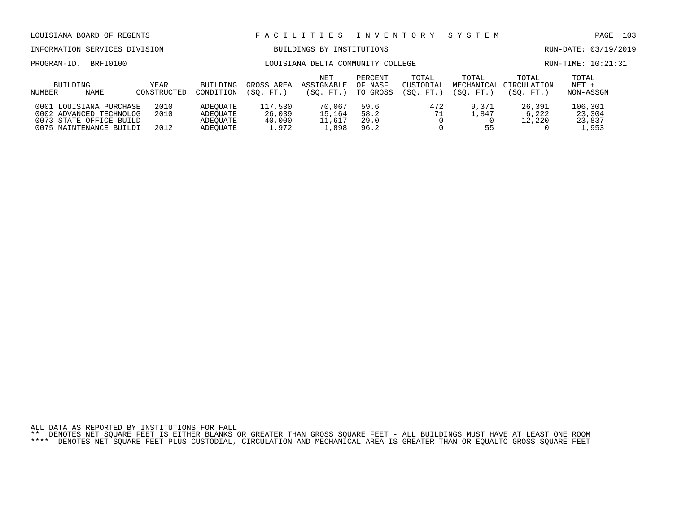# INFORMATION SERVICES DIVISION BUILDINGS BY INSTITUTIONS AND RUN-DATE: 03/19/2019

### PROGRAM-ID. BRFI0100 COMMUNITY COLLEGE COMMUNITY COLLEGE RUN-TIME: 10:21:31

| NUMBER | BUILDING<br>NAME                                                                                         | YEAR<br>CONSTRUCTED  | BUILDING<br>CONDITION                        | GROSS AREA<br>(SO. FT.               | <b>NET</b><br>ASSIGNABLE<br>(SO. FT.) | PERCENT<br>OF NASF<br>TO GROSS | TOTAL<br>CUSTODIAL<br>(SO. FT. | TOTAL<br>(SO. FT.    | TOTAL<br>MECHANICAL CIRCULATION<br>(SO. FT. | TOTAL<br>$NET +$<br>NON-ASSGN       |
|--------|----------------------------------------------------------------------------------------------------------|----------------------|----------------------------------------------|--------------------------------------|---------------------------------------|--------------------------------|--------------------------------|----------------------|---------------------------------------------|-------------------------------------|
|        | 0001 LOUISIANA PURCHASE<br>0002 ADVANCED TECHNOLOG<br>0073 STATE OFFICE BUILD<br>0075 MAINTENANCE BUILDI | 2010<br>2010<br>2012 | ADEOUATE<br>ADEOUATE<br>ADEOUATE<br>ADEOUATE | 117,530<br>26,039<br>40,000<br>1,972 | 70,067<br>15,164<br>11,617<br>,898    | 59.6<br>58.2<br>29.0<br>96.2   | 472<br>71                      | 9,371<br>⊥,847<br>55 | 26,391<br>6,222<br>12,220                   | 106,301<br>23,304<br>23,837<br>,953 |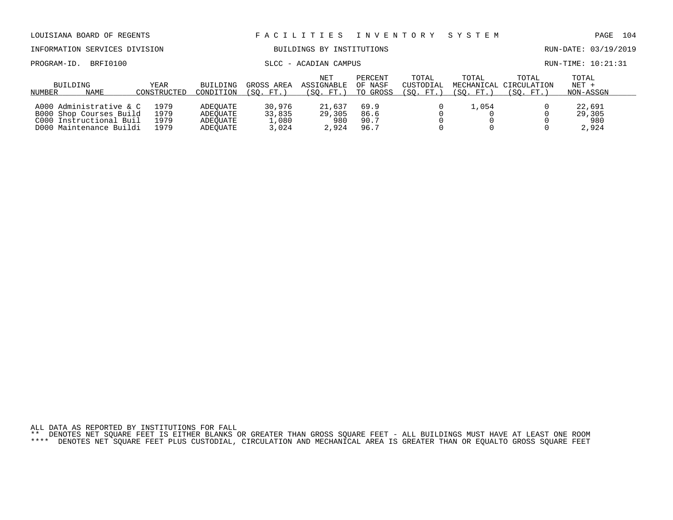| LOUISIANA BOARD OF REGENTS                                                                               |                              |                                              | FACILITIES<br>I N V E N T O R Y    |                                       |                                |                                 |                                  | SYSTEM                            | PAGE                             | - 104 |
|----------------------------------------------------------------------------------------------------------|------------------------------|----------------------------------------------|------------------------------------|---------------------------------------|--------------------------------|---------------------------------|----------------------------------|-----------------------------------|----------------------------------|-------|
| INFORMATION SERVICES DIVISION                                                                            |                              |                                              |                                    | BUILDINGS BY INSTITUTIONS             |                                |                                 |                                  |                                   | RUN-DATE: 03/19/2019             |       |
| BRFI0100<br>PROGRAM-ID.                                                                                  |                              | SLCC - ACADIAN CAMPUS                        |                                    |                                       |                                |                                 |                                  |                                   | $RUN-TIME: 10:21:31$             |       |
| BUILDING<br>NAME<br>NUMBER                                                                               | YEAR<br>CONSTRUCTED          | <b>BUILDING</b><br>CONDITION                 | GROSS AREA<br>(SO. FT.)            | <b>NET</b><br>ASSIGNABLE<br>(SO. FT.) | PERCENT<br>OF NASF<br>TO GROSS | TOTAL<br>CUSTODIAL<br>(SO. FT.) | TOTAL<br>MECHANICAL<br>(SO. FT.) | TOTAL<br>CIRCULATION<br>(SO. FT.) | TOTAL<br>$NET +$<br>NON-ASSGN    |       |
| A000 Administrative & C<br>B000 Shop Courses Build<br>C000 Instructional Buil<br>D000 Maintenance Buildi | 1979<br>1979<br>1979<br>1979 | ADEOUATE<br>ADEOUATE<br>ADEOUATE<br>ADEOUATE | 30,976<br>33,835<br>1,080<br>3,024 | 21,637<br>29,305<br>980<br>2,924      | 69.9<br>86.6<br>90.7<br>96.7   |                                 | 1,054                            |                                   | 22,691<br>29,305<br>980<br>2,924 |       |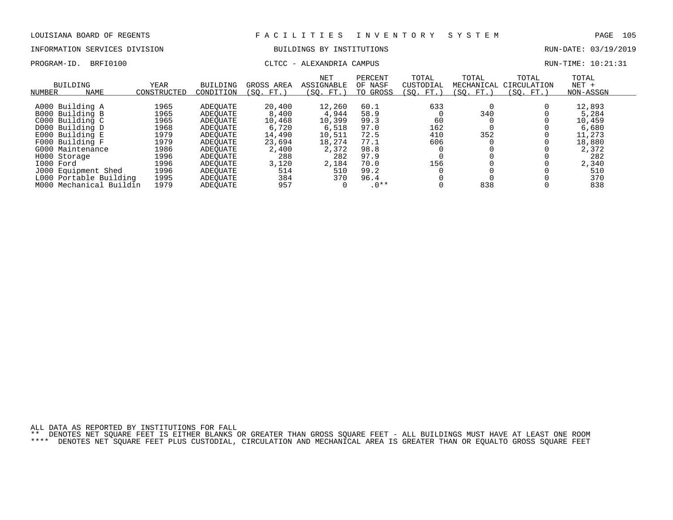# INFORMATION SERVICES DIVISION BUILDINGS BY INSTITUTIONS AND RUN-DATE: 03/19/2019

## PROGRAM-ID. BRFI0100 CLTCC - ALEXANDRIA CAMPUS CLTCC COMPUS RUN-TIME: 10:21:31

| BUILDING<br>NAME<br>NUMBER                                                                                                                                      | <b>YEAR</b><br>CONSTRUCTED                                                   | <b>BUILDING</b><br>CONDITION                                                                             | GROSS AREA<br>FT.<br>SO.                                                        | NET<br><b>ASSIGNABLE</b><br>(SO. FT.                                                   | PERCENT<br>OF NASF<br>TO GROSS                                               | TOTAL<br>CUSTODIAL<br>SO.<br>$FT.$ )  | TOTAL<br>MECHANICAL<br>SO. FT. | TOTAL<br>CIRCULATION<br>$FT.$ )<br>SO. | TOTAL<br>$NET +$<br>NON-ASSGN                                                          |  |
|-----------------------------------------------------------------------------------------------------------------------------------------------------------------|------------------------------------------------------------------------------|----------------------------------------------------------------------------------------------------------|---------------------------------------------------------------------------------|----------------------------------------------------------------------------------------|------------------------------------------------------------------------------|---------------------------------------|--------------------------------|----------------------------------------|----------------------------------------------------------------------------------------|--|
| A000 Building A<br>B000 Building B<br>C000 Building C<br>D000 Building D<br>E000 Building E<br>F000 Building F<br>G000 Maintenance<br>H000 Storage<br>I000 Ford | 1965<br>1965<br>1965<br>1968<br>1979<br>1979<br>1986<br>1996<br>1996<br>1996 | ADEOUATE<br>ADEOUATE<br>ADEOUATE<br>ADEOUATE<br>ADEOUATE<br>ADEOUATE<br>ADEOUATE<br>ADEOUATE<br>ADEOUATE | 20,400<br>8,400<br>10,468<br>6,720<br>14,490<br>23,694<br>2,400<br>288<br>3,120 | 12,260<br>4,944<br>10,399<br>6,518<br>10,511<br>18,274<br>2,372<br>282<br>2,184<br>510 | 60.1<br>58.9<br>99.3<br>97.0<br>72.5<br>77.1<br>98.8<br>97.9<br>70.0<br>99.2 | 633<br>60<br>162<br>410<br>606<br>156 | 340<br>352                     |                                        | 12,893<br>5,284<br>10,459<br>6,680<br>11,273<br>18,880<br>2,372<br>282<br>2,340<br>510 |  |
| J000 Equipment Shed<br>L000 Portable Building<br>M000 Mechanical Buildin                                                                                        | 1995<br>1979                                                                 | ADEOUATE<br>ADEOUATE<br><b>ADEOUATE</b>                                                                  | 514<br>384<br>957                                                               | 370                                                                                    | 96.4<br>$.0**$                                                               |                                       | 838                            |                                        | 370<br>838                                                                             |  |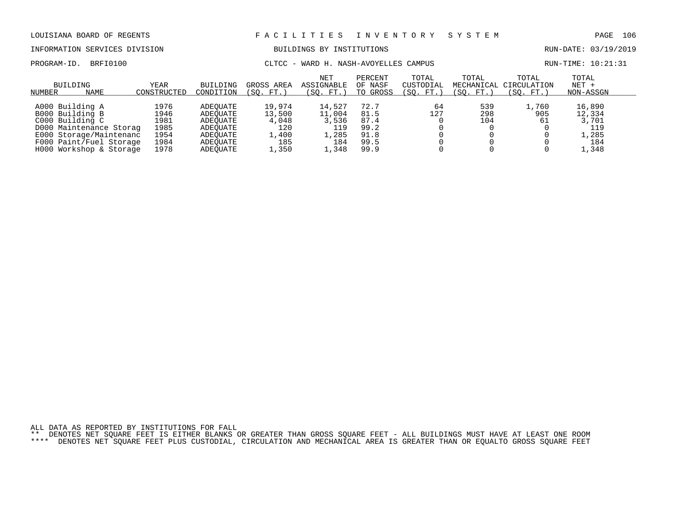# INFORMATION SERVICES DIVISION BUILDINGS BY INSTITUTIONS AND RUN-DATE: 03/19/2019

PROGRAM-ID. BRFI0100 CLTCC - WARD H. NASH-AVOYELLES CAMPUS RUN-TIME: 10:21:31

| BUILDING<br>NUMBER      | <b>NAME</b> | YEAR<br>CONSTRUCTED | BUILDING<br>CONDITION | GROSS AREA<br>FT.<br>SO. | <b>NET</b><br>ASSIGNABLE<br>(SO.<br>FT.) | PERCENT<br>OF NASF<br>TO GROSS | TOTAL<br>CUSTODIAL<br>$^{\prime}$ SO.<br>FT. | TOTAL<br>(SO. FT.) | TOTAL<br>MECHANICAL CIRCULATION<br>(SO. FT.) | TOTAL<br>$NET +$<br>NON-ASSGN |  |
|-------------------------|-------------|---------------------|-----------------------|--------------------------|------------------------------------------|--------------------------------|----------------------------------------------|--------------------|----------------------------------------------|-------------------------------|--|
|                         |             |                     |                       |                          |                                          |                                |                                              |                    |                                              |                               |  |
| A000 Building A         |             | 1976                | ADEOUATE              | 19,974                   | 14,527                                   | 72.7                           | 64                                           | 539                | ,760                                         | 16,890                        |  |
| B000 Building B         |             | 1946                | ADEOUATE              | 13,500                   | 11,004                                   | 81.5                           | 127                                          | 298                | 905                                          | 12,334                        |  |
| C000 Building C         |             | 1981                | ADEOUATE              | 4,048                    | 3,536                                    | 87.4                           |                                              | 104                | 61                                           | 3,701                         |  |
| D000 Maintenance Storag |             | 1985                | ADEOUATE              | 120                      | 119                                      | 99.2                           |                                              |                    |                                              | 119                           |  |
| E000 Storage/Maintenanc |             | 1954                | ADEOUATE              | 1,400                    | 1,285                                    | 91.8                           |                                              |                    |                                              | 1,285                         |  |
| F000 Paint/Fuel Storage |             | 1984                | ADEOUATE              | 185                      | 184                                      | 99.5                           |                                              |                    |                                              | 184                           |  |
| H000 Workshop & Storage |             | 1978                | ADEOUATE              | .,350                    | ,348                                     | 99.9                           |                                              |                    |                                              | 1,348                         |  |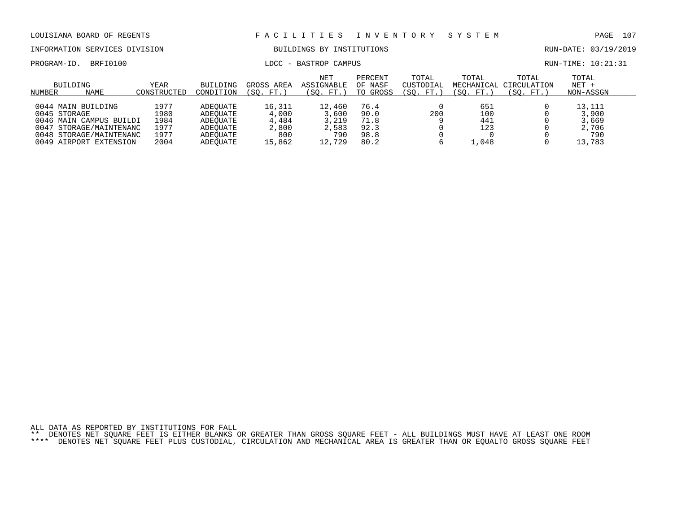INFORMATION SERVICES DIVISION BUILDINGS BY INSTITUTIONS AND RUN-DATE: 03/19/2019

PROGRAM-ID. BRFI0100 COMPUS LOCC - BASTROP CAMPUS COMPUS RUN-TIME: 10:21:31

| BUILDING<br>NAME<br>NUMBER | YEAR<br>CONSTRUCTED | BUILDING<br>CONDITION | GROSS AREA<br>(SO. FT. | <b>NET</b><br>ASSIGNABLE<br>(SO. FT.) | PERCENT<br>OF NASF<br>TO GROSS | TOTAL<br>CUSTODIAL<br>(SO. FT. | TOTAL<br>(SO. FT.) | TOTAL<br>MECHANICAL CIRCULATION<br>(SO. FT. | TOTAL<br>$NET +$<br>NON-ASSGN |  |
|----------------------------|---------------------|-----------------------|------------------------|---------------------------------------|--------------------------------|--------------------------------|--------------------|---------------------------------------------|-------------------------------|--|
|                            |                     |                       |                        |                                       |                                |                                |                    |                                             |                               |  |
| 0044 MAIN BUILDING         | 1977                | ADEOUATE              | 16,311                 | 12,460                                | 76.4                           |                                | 651                |                                             | 13,111                        |  |
| 0045 STORAGE               | 1980                | ADEOUATE              | 4,000                  | 3,600                                 | 90.0                           | 200                            | 100                |                                             | 3,900                         |  |
| 0046 MAIN CAMPUS BUILDI    | 1984                | ADEOUATE              | 4,484                  | 3,219                                 | 71.8                           |                                | 441                |                                             | 3,669                         |  |
| 0047 STORAGE/MAINTENANC    | 1977                | ADEOUATE              | 2,800                  | 2,583                                 | 92.3                           |                                | 123                |                                             | 2,706                         |  |
| 0048 STORAGE/MAINTENANC    | 1977                | ADEOUATE              | 800                    | 790                                   | 98.8                           |                                |                    |                                             | 790                           |  |
| 0049 AIRPORT EXTENSION     | 2004                | ADEOUATE              | 15,862                 | 12,729                                | 80.2                           |                                | .048               |                                             | 13,783                        |  |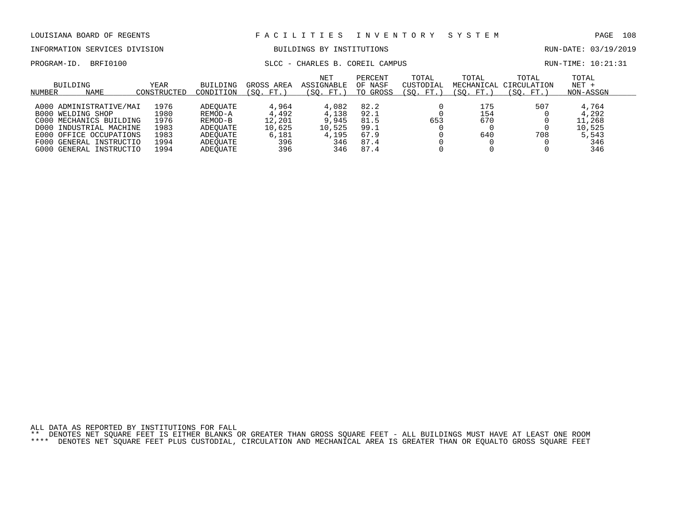INFORMATION SERVICES DIVISION BUILDINGS BY INSTITUTIONS AND RUN-DATE: 03/19/2019

### PROGRAM-ID. BRFI0100 SLCC - CHARLES B. COREIL CAMPUS RUN-TIME: 10:21:31

|        | BUILDING                 | YEAR        | BUILDING<br>CONDITION | GROSS AREA | <b>NET</b><br>ASSIGNABLE | PERCENT<br>OF NASF | TOTAL<br>CUSTODIAL | TOTAL<br>MECHANICAL | TOTAL<br>CIRCULATION<br>'SO. | TOTAL<br>$NET +$ |  |
|--------|--------------------------|-------------|-----------------------|------------|--------------------------|--------------------|--------------------|---------------------|------------------------------|------------------|--|
| NUMBER | NAME                     | CONSTRUCTED |                       | (SO. FT.   | (SO. FT.)                | TO GROSS           | (SO. FT.           | (SO. FT.)           | FT.                          | NON-ASSGN        |  |
|        | A000 ADMINISTRATIVE/MAI  | 1976        | ADEOUATE              | 4,964      | 4,082                    | 82.2               |                    | 175                 | 507                          | 4,764            |  |
|        | <b>B000 WELDING SHOP</b> | L980        | REMOD-A               | 4,492      | 4,138                    | 92.1               |                    | 154                 |                              | 4,292            |  |
|        | C000 MECHANICS BUILDING  | 1976        | REMOD-B               | 12,201     | 9,945                    | 81.5               | 653                | 670                 |                              | 11,268           |  |
|        | D000 INDUSTRIAL MACHINE  | 1983        | ADEOUATE              | 10,625     | 10,525                   | 99.1               |                    |                     |                              | 10,525           |  |
|        | E000 OFFICE OCCUPATIONS  | 1983        | ADEOUATE              | 6,181      | 4,195                    | 67.9               |                    | 640                 | 708                          | 5,543            |  |
|        | F000 GENERAL INSTRUCTIO  | 1994        | ADEOUATE              | 396        | 346                      | 87.4               |                    |                     |                              | 346              |  |
| G000   | GENERAL INSTRUCTIO       | 1994        | ADEOUATE              | 396        | 346                      | 87.4               |                    |                     |                              | 346              |  |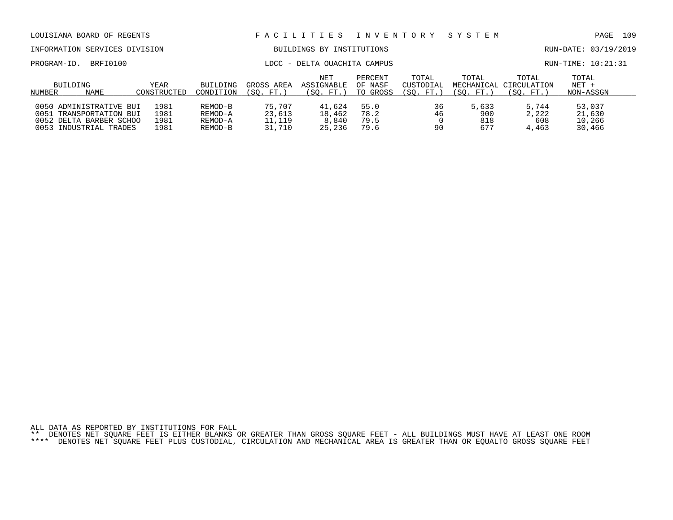| LOUISIANA BOARD OF REGENTS                                                       |                      |                               |                            | FACILITIES INVENTORY SYSTEM     |                                |                                 |                     |                                              | PAGE                          | 109 |
|----------------------------------------------------------------------------------|----------------------|-------------------------------|----------------------------|---------------------------------|--------------------------------|---------------------------------|---------------------|----------------------------------------------|-------------------------------|-----|
| INFORMATION SERVICES DIVISION                                                    |                      |                               |                            | BUILDINGS BY INSTITUTIONS       |                                |                                 |                     |                                              | RUN-DATE: 03/19/2019          |     |
| BRFI0100<br>PROGRAM-ID.                                                          |                      |                               |                            | LDCC - DELTA OUACHITA CAMPUS    |                                |                                 |                     |                                              | $RUN-TIME: 10:21:31$          |     |
| BUILDING<br>NAME<br>NUMBER                                                       | YEAR<br>CONSTRUCTED  | BUILDING<br>CONDITION         | GROSS AREA<br>(SO. FT.)    | NET<br>ASSIGNABLE<br>(SO. FT. ) | PERCENT<br>OF NASF<br>TO GROSS | TOTAL<br>CUSTODIAL<br>(SO. FT.) | TOTAL<br>(SO. FT.)  | TOTAL<br>MECHANICAL CIRCULATION<br>(SO. FT.) | TOTAL<br>$NET +$<br>NON-ASSGN |     |
| 0050 ADMINISTRATIVE BUI<br>TRANSPORTATION BUI<br>0051<br>0052 DELTA BARBER SCHOO | 1981<br>1981<br>1981 | REMOD-B<br>REMOD-A<br>REMOD-A | 75,707<br>23,613<br>11,119 | 41,624<br>18,462<br>8,840       | 55.0<br>78.2<br>79.5           | 36<br>46                        | 5,633<br>900<br>818 | 5,744<br>2,222<br>608                        | 53,037<br>21,630<br>10,266    |     |

0053 INDUSTRIAL TRADES 1981 REMOD-B 31,710 25,236 79.6 90 677 4,463 30,466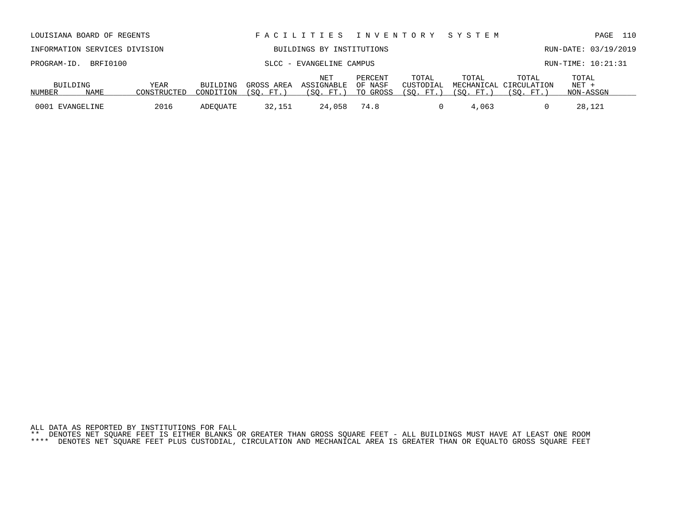| INFORMATION SERVICES DIVISION |      |             |           | BUILDINGS BY INSTITUTIONS |                   | RUN-DATE: 03/19/2019 |                    |             |                                 |                    |  |
|-------------------------------|------|-------------|-----------|---------------------------|-------------------|----------------------|--------------------|-------------|---------------------------------|--------------------|--|
| PROGRAM-ID. BRFI0100          |      |             |           | SLCC - EVANGELINE CAMPUS  |                   |                      |                    |             |                                 | RUN-TIME: 10:21:31 |  |
| BUILDING                      |      | YEAR        | BUILDING  | GROSS AREA                | NET<br>ASSIGNABLE | PERCENT<br>OF NASF   | TOTAL<br>CUSTODIAL | TOTAL       | TOTAL<br>MECHANICAL CIRCULATION | TOTAL<br>NET +     |  |
| NUMBER                        | NAME | CONSTRUCTED | CONDITION | (SO. FT.                  | . FT.)<br>SO.     | TO GROSS             | (SO. FT.           | SO.<br>FT.) | (SO. FT.                        | NON-ASSGN          |  |

0001 EVANGELINE 2016 ADEQUATE 32,151 24,058 74.8 0 4,063 0 28,121

LOUISIANA BOARD OF REGENTS F A C I L I T I E S I N V E N T O R Y S Y S T E M PAGE 110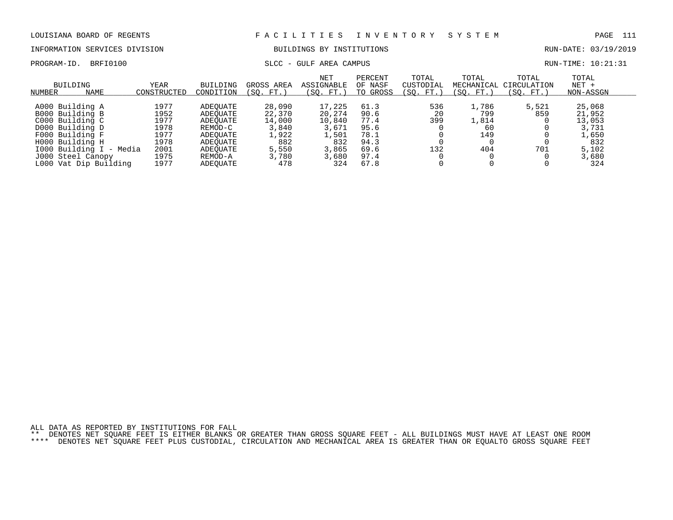### INFORMATION SERVICES DIVISION BUILDINGS BY INSTITUTIONS RUN-DATE: 03/19/2019

# PROGRAM-ID. BRFI0100 SLCC - GULF AREA CAMPUS SLCC - GULF AREA CAMPUS

| RUN-TIME: 10:21:31 |  |  |  |
|--------------------|--|--|--|
|--------------------|--|--|--|

| <b>BUILDING</b><br>NAME<br>NUMBER | YEAR<br>CONSTRUCTED | BUILDING<br>CONDITION | GROSS AREA<br>(SO. FT. ) | NET<br>ASSIGNABLE<br>(SO. FT.) | PERCENT<br>OF NASF<br>TO GROSS | TOTAL<br>CUSTODIAL<br>(SO. FT. | TOTAL<br>MECHANICAL<br>(SO. FT.) | TOTAL<br>CIRCULATION<br>(SO. FT.) | TOTAL<br>$NET +$<br>NON-ASSGN |  |
|-----------------------------------|---------------------|-----------------------|--------------------------|--------------------------------|--------------------------------|--------------------------------|----------------------------------|-----------------------------------|-------------------------------|--|
|                                   |                     |                       |                          |                                |                                |                                |                                  |                                   |                               |  |
| A000 Building A                   | 1977                | ADEOUATE              | 28,090                   | 17,225                         | 61.3                           | 536                            | 1,786                            | 5,521                             | 25,068                        |  |
| B000 Building B                   | 1952                | ADEOUATE              | 22,370                   | 20,274                         | 90.6                           | 20                             | 799                              | 859                               | 21,952                        |  |
| C000 Building C                   | 1977                | ADEOUATE              | 14,000                   | 10,840                         | 77.4                           | 399                            | 1,814                            |                                   | 13,053                        |  |
| D000 Building D                   | 1978                | REMOD-C               | 3,840                    | 3,671                          | 95.6                           |                                | 60                               |                                   | 3,731                         |  |
| F000 Building F                   | 1977                | ADEOUATE              | 1,922                    | 1,501                          | 78.1                           |                                | 149                              |                                   | 1,650                         |  |
| H000 Building H                   | 1978                | ADEOUATE              | 882                      | 832                            | 94.3                           |                                |                                  |                                   | 832                           |  |
| 1000 Building I - Media           | 2001                | ADEOUATE              | 5,550                    | 3,865                          | 69.6                           | 132                            | 404                              | 701                               | 5,102                         |  |
| J000 Steel Canopy                 | 1975                | REMOD-A               | 3,780                    | 3,680                          | 97.4                           |                                |                                  |                                   | 3,680                         |  |
| L000 Vat Dip Building             | 1977                | ADEOUATE              | 478                      | 324                            | 67.8                           |                                |                                  |                                   | 324                           |  |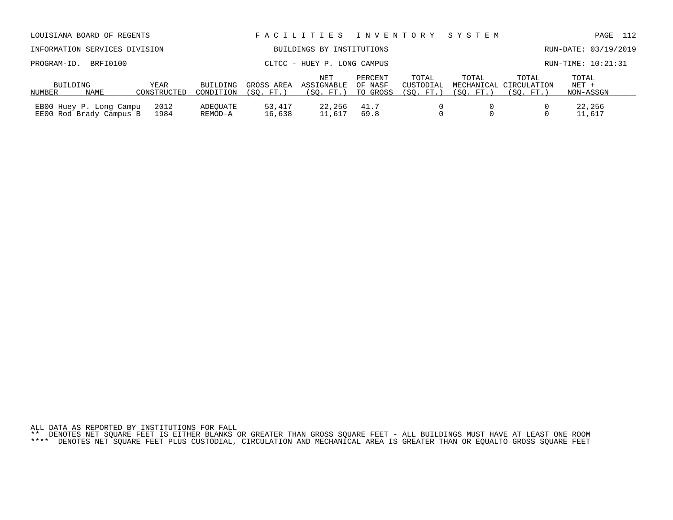|  |  |  | ALL DATA AS REPORTED BY INSTITUTIONS FOR FALL                                                                             |  |  |  |  |  |  |  |  |
|--|--|--|---------------------------------------------------------------------------------------------------------------------------|--|--|--|--|--|--|--|--|
|  |  |  | ** DENOTES NET SOUARE FEET IS EITHER BLANKS OR GREATER THAN GROSS SOUARE FEET - ALL BUILDINGS MUST HAVE AT LEAST ONE ROOM |  |  |  |  |  |  |  |  |
|  |  |  | **** DENOTES NET SOUARE FEET PLUS CUSTODIAL, CIRCULATION AND MECHANICAL AREA IS GREATER THAN OR EOUALTO GROSS SOUARE FEET |  |  |  |  |  |  |  |  |

| LOUISIANA BOARD OF REGENTS    |      |          |                       | FACILITIES INVENTORY SYSTEM |                    |                    |                                 |       |                      | PAGE 112 |  |
|-------------------------------|------|----------|-----------------------|-----------------------------|--------------------|--------------------|---------------------------------|-------|----------------------|----------|--|
| INFORMATION SERVICES DIVISION |      |          |                       | BUILDINGS BY INSTITUTIONS   |                    |                    |                                 |       | RUN-DATE: 03/19/2019 |          |  |
| PROGRAM-ID. BRFI0100          |      |          |                       | CLTCC - HUEY P. LONG CAMPUS |                    |                    |                                 |       | RUN-TIME: 10:21:31   |          |  |
| BUILDING                      | YEAR | BUILDING | GROSS AREA ASSIGNABLE | NET                         | PERCENT<br>OF NASF | TOTAL<br>CUSTODIAL | TOTAL<br>MECHANICAL CIRCULATION | TOTAL | TOTAL<br>NET +       |          |  |

NUMBER NAME CONSTRUCTED CONDITION (SQ. FT.) (SQ. FT.) TO GROSS (SQ. FT.) (SQ. FT.) (SQ. FT.) NON-ASSGN

EB00 Huey P. Long Campu 2012 ADEQUATE 53,417 22,256 41.7 0 0 0 22,256 EE00 Rod Brady Campus B 1984 REMOD-A 16,638 11,617 69.8 0 0 0 11,617

NUMBER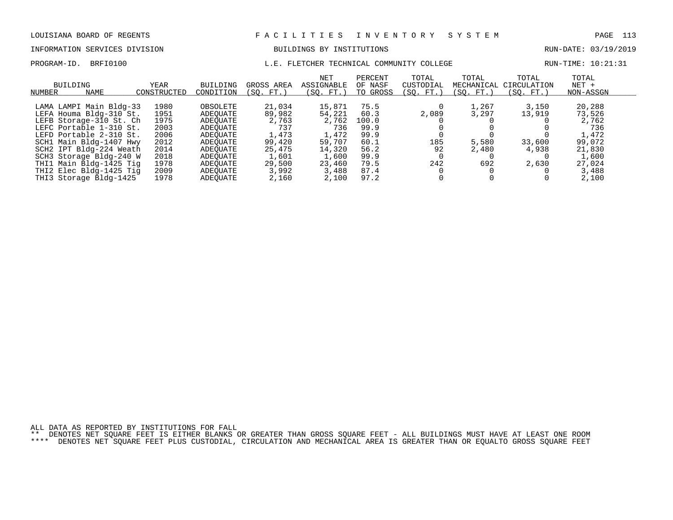PROGRAM-ID. BRFI0100 **Example 2018** L.E. FLETCHER TECHNICAL COMMUNITY COLLEGE RUN-TIME: 10:21:31

# INFORMATION SERVICES DIVISION BUILDINGS BY INSTITUTIONS CONTROLLED BUILDINGS BY ENSEMBLE RUN-DATE: 03/19/2019

| NUMBER | BUILDING<br><b>NAME</b> | YEAR<br>CONSTRUCTED | <b>BUILDING</b><br>CONDITION | GROSS AREA<br>(SO. FT.) | NET<br>ASSIGNABLE<br>$^{\prime}$ SO.<br>FT.) | PERCENT<br>OF NASF<br>TO GROSS | TOTAL<br>CUSTODIAL<br>(SO. FT. | TOTAL<br>MECHANICAL<br>(SO. FT.) | TOTAL<br>CIRCULATION<br>SO.<br>FT. | TOTAL<br>$NET +$<br>NON-ASSGN |
|--------|-------------------------|---------------------|------------------------------|-------------------------|----------------------------------------------|--------------------------------|--------------------------------|----------------------------------|------------------------------------|-------------------------------|
|        |                         |                     |                              |                         |                                              |                                |                                |                                  |                                    |                               |
|        | LAMA LAMPI Main Bldg-33 | 1980                | OBSOLETE                     | 21,034                  | 15,871                                       | 75.5                           |                                | 1,267                            | 3,150                              | 20,288                        |
|        | LEFA Houma Bldg-310 St. | 1951                | ADEOUATE                     | 89,982                  | 54,221                                       | 60.3                           | 2,089                          | 3,297                            | 13,919                             | 73,526                        |
|        | LEFB Storage-310 St. Ch | 1975                | ADEOUATE                     | 2,763                   | 2,762                                        | 100.0                          |                                |                                  |                                    | 2,762                         |
|        | LEFC Portable 1-310 St. | 2003                | ADEOUATE                     | 737                     | 736                                          | 99.9                           |                                |                                  |                                    | 736                           |
|        | LEFD Portable 2-310 St. | 2006                | ADEOUATE                     | 1,473                   | 1,472                                        | 99.9                           |                                |                                  |                                    | 1,472                         |
|        | SCH1 Main Bldg-1407 Hwy | 2012                | ADEOUATE                     | 99,420                  | 59,707                                       | 60.1                           | 185                            | 5,580                            | 33,600                             | 99,072                        |
|        | SCH2 IPT Bldg-224 Weath | 2014                | ADEOUATE                     | 25,475                  | 14,320                                       | 56.2                           | 92                             | 2,480                            | 4,938                              | 21,830                        |
|        | SCH3 Storage Bldg-240 W | 2018                | ADEOUATE                     | 1,601                   | 1,600                                        | 99.9                           |                                |                                  |                                    | 1,600                         |
|        | THI1 Main Bldg-1425 Tig | 1978                | ADEOUATE                     | 29,500                  | 23,460                                       | 79.5                           | 242                            | 692                              | 2,630                              | 27,024                        |
|        | THI2 Elec Bldg-1425 Tig | 2009                | ADEOUATE                     | 3,992                   | 3,488                                        | 87.4                           |                                |                                  |                                    | 3,488                         |
|        | THI3 Storage Bldg-1425  | 1978                | ADEOUATE                     | 2,160                   | 2,100                                        | 97.2                           |                                |                                  |                                    | 2,100                         |

ALL DATA AS REPORTED BY INSTITUTIONS FOR FALL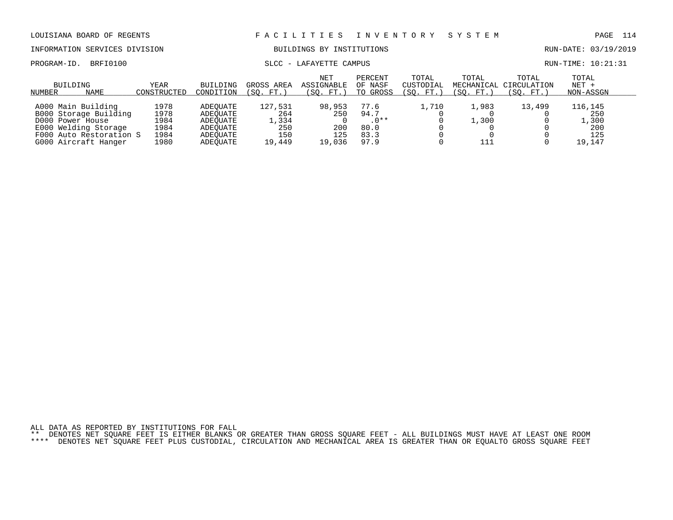INFORMATION SERVICES DIVISION BUILDINGS BY INSTITUTIONS AND RUN-DATE: 03/19/2019

PROGRAM-ID. BRFI0100 SLCC - LAFAYETTE CAMPUS SLCC - SAFAYETTE SAMPUS RUN-TIME: 10:21:31

| BUILDING<br>NAME<br>NUMBER | YEAR<br>CONSTRUCTED | BUILDING<br>CONDITION | GROSS AREA<br>(SO. FT. | <b>NET</b><br>ASSIGNABLE<br>(SO. FT.) | PERCENT<br>OF NASF<br>TO GROSS | TOTAL<br>CUSTODIAL<br>'SO.<br>FT. | TOTAL<br>MECHANICAL<br>(SO. FT. | TOTAL<br>CIRCULATION<br>(SO. FT.) | TOTAL<br>$NET +$<br>NON-ASSGN |  |
|----------------------------|---------------------|-----------------------|------------------------|---------------------------------------|--------------------------------|-----------------------------------|---------------------------------|-----------------------------------|-------------------------------|--|
|                            |                     |                       |                        |                                       |                                |                                   |                                 |                                   |                               |  |
| A000 Main Building         | 1978                | ADEOUATE              | 127,531                | 98,953                                | 77.6                           | ⊥,710                             | 1,983                           | 13,499                            | 116,145                       |  |
| B000 Storage Building      | 1978                | ADEOUATE              | 264                    | 250                                   | 94.7                           |                                   |                                 |                                   | 250                           |  |
| D000 Power House           | 1984                | ADEOUATE              | 1,334                  |                                       | $.0**$                         |                                   | .,300                           |                                   | , 300                         |  |
| E000 Welding Storage       | 1984                | ADEOUATE              | 250                    | 200                                   | 80.0                           |                                   |                                 |                                   | 200                           |  |
| F000 Auto Restoration S    | 1984                | ADEOUATE              | 150                    | 125                                   | 83.3                           |                                   |                                 |                                   | 125                           |  |
| G000 Aircraft Hanger       | 1980                | ADEOUATE              | 19,449                 | 19.036                                | 97.9                           |                                   |                                 |                                   | 19,147                        |  |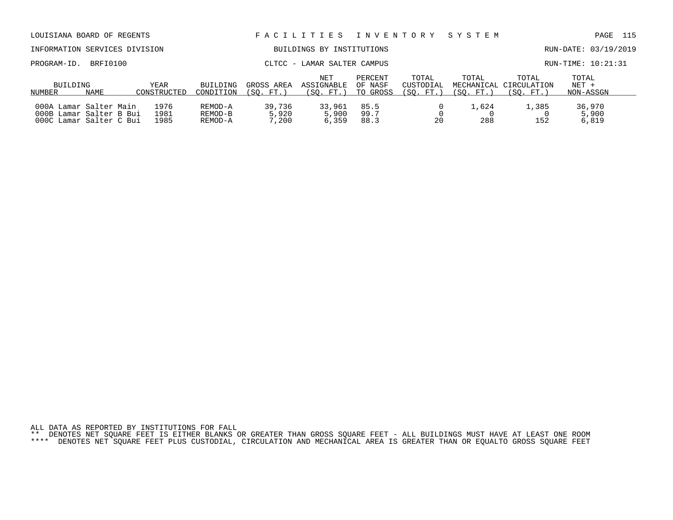| LOUISIANA BOARD OF REGENTS    |                                                                              |                      |                               |                             | FACILITIES INVENTORY           |                                |                                 | SYSTEM             |                                              | 115<br>PAGE                 |
|-------------------------------|------------------------------------------------------------------------------|----------------------|-------------------------------|-----------------------------|--------------------------------|--------------------------------|---------------------------------|--------------------|----------------------------------------------|-----------------------------|
| INFORMATION SERVICES DIVISION |                                                                              |                      |                               |                             | BUILDINGS BY INSTITUTIONS      |                                |                                 |                    |                                              | RUN-DATE: 03/19/2019        |
| PROGRAM-ID.                   | BRFI0100                                                                     |                      |                               | CLTCC - LAMAR SALTER CAMPUS |                                |                                |                                 |                    |                                              | $RUN-TIME: 10:21:31$        |
| BUILDING<br>NUMBER            | NAME                                                                         | YEAR<br>CONSTRUCTED  | BUILDING<br>CONDITION         | GROSS AREA<br>(SO. FT.)     | NET<br>ASSIGNABLE<br>(SO. FT.) | PERCENT<br>OF NASF<br>TO GROSS | TOTAL<br>CUSTODIAL<br>(SO. FT.) | TOTAL<br>(SO. FT.) | TOTAL<br>MECHANICAL CIRCULATION<br>(SO. FT.) | TOTAL<br>NET +<br>NON-ASSGN |
|                               | 000A Lamar Salter Main<br>000B Lamar Salter B Bui<br>000C Lamar Salter C Bui | 1976<br>1981<br>1985 | REMOD-A<br>REMOD-B<br>REMOD-A | 39,736<br>5,920<br>7,200    | 33,961<br>5,900<br>6,359       | 85.5<br>99.7<br>88.3           | 20                              | 1,624<br>288       | 1,385<br>152                                 | 36,970<br>5,900<br>6,819    |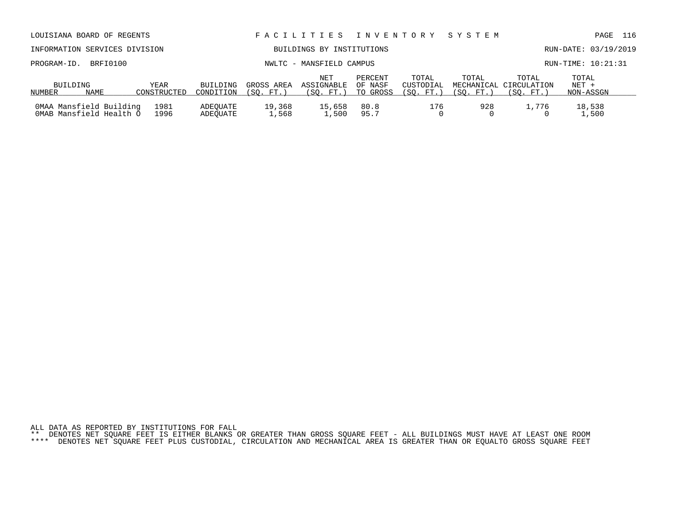| LOUISIANA BOARD OF REGENTS                         |                     |                       |                        | FACILITIES INVENTORY SYSTEM           |                                |                                  |                    |                                              | PAGE                          | 116 |
|----------------------------------------------------|---------------------|-----------------------|------------------------|---------------------------------------|--------------------------------|----------------------------------|--------------------|----------------------------------------------|-------------------------------|-----|
| INFORMATION SERVICES DIVISION                      |                     |                       |                        | BUILDINGS BY INSTITUTIONS             |                                |                                  |                    |                                              | RUN-DATE: 03/19/2019          |     |
| BRFI0100<br>PROGRAM-ID.                            |                     |                       |                        | NWLTC - MANSFIELD CAMPUS              |                                |                                  |                    |                                              | RUN-TIME: 10:21:31            |     |
| BUILDING<br>NAME<br>NUMBER                         | YEAR<br>CONSTRUCTED | BUILDING<br>CONDITION | GROSS AREA<br>(SO. FT. | <b>NET</b><br>ASSIGNABLE<br>(SO. FT.) | PERCENT<br>OF NASF<br>TO GROSS | TOTAL<br>CUSTODIAL<br>(SO. FT. ) | TOTAL<br>(SO. FT.) | TOTAL<br>MECHANICAL CIRCULATION<br>(SO. FT.) | TOTAL<br>$NET +$<br>NON-ASSGN |     |
| OMAA Mansfield Building<br>OMAB Mansfield Health O | 1981<br>1996        | ADEOUATE<br>ADEOUATE  | 19,368<br>1,568        | 15,658<br>1,500                       | 80.8<br>95.7                   | 176                              | 928                | 1,776                                        | 18,538<br>1,500               |     |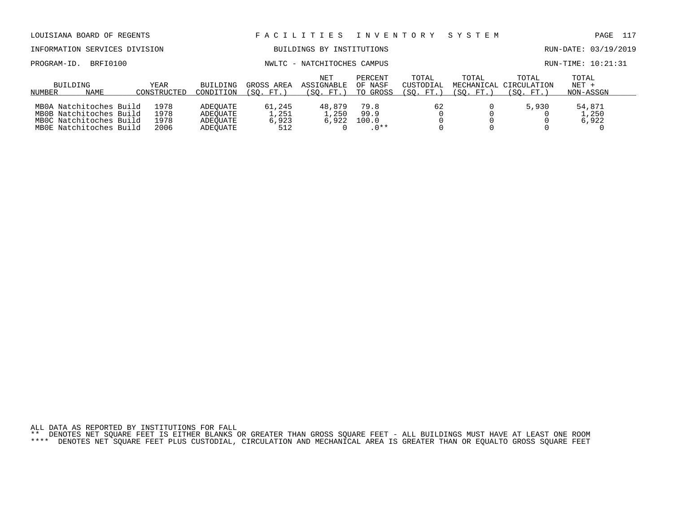| LOUISIANA BOARD OF REGENTS                                                                               |                              |                                              |                                 | FACILITIES                            | I N V E N T O R Y               |                                 | SYSTEM                           |                                   | 117<br>PAGE                   |
|----------------------------------------------------------------------------------------------------------|------------------------------|----------------------------------------------|---------------------------------|---------------------------------------|---------------------------------|---------------------------------|----------------------------------|-----------------------------------|-------------------------------|
| INFORMATION SERVICES DIVISION                                                                            |                              |                                              |                                 | BUILDINGS BY INSTITUTIONS             |                                 |                                 |                                  |                                   | RUN-DATE: 03/19/2019          |
| BRFI0100<br>PROGRAM-ID.                                                                                  |                              |                                              |                                 | NWLTC - NATCHITOCHES CAMPUS           |                                 |                                 |                                  |                                   | RUN-TIME: 10:21:31            |
| <b>BUILDING</b><br>NAME<br>NUMBER                                                                        | YEAR<br>CONSTRUCTED          | <b>BUILDING</b><br>CONDITION                 | GROSS AREA<br>(SO.<br>. FT.)    | <b>NET</b><br>ASSIGNABLE<br>(SO. FT.) | PERCENT<br>OF NASF<br>TO GROSS  | TOTAL<br>CUSTODIAL<br>(SO. FT.) | TOTAL<br>MECHANICAL<br>(SO. FT.) | TOTAL<br>CIRCULATION<br>(SO. FT.) | TOTAL<br>$NET +$<br>NON-ASSGN |
| MB0A Natchitoches Build<br>MB0B Natchitoches Build<br>MBOC Natchitoches Build<br>MBOE Natchitoches Build | 1978<br>1978<br>1978<br>2006 | ADEOUATE<br>ADEOUATE<br>ADEOUATE<br>ADEOUATE | 61,245<br>1,251<br>6,923<br>512 | 48,879<br>1,250<br>6,922              | 79.8<br>99.9<br>100.0<br>$.0**$ | 62                              |                                  | 5,930                             | 54,871<br>1,250<br>6,922      |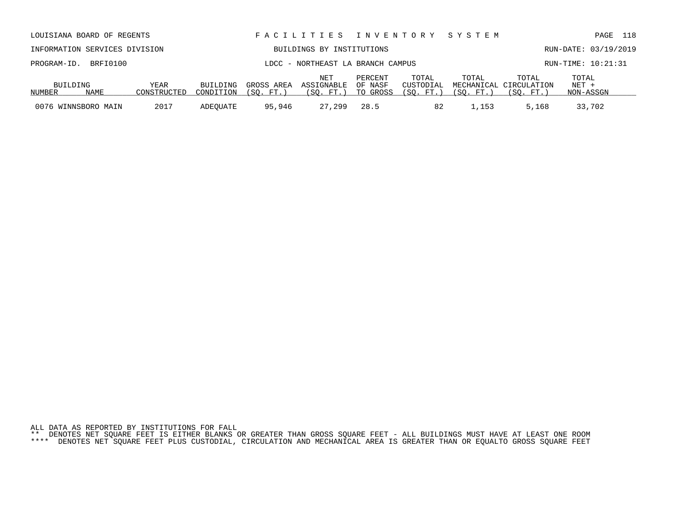| PROGRAM-ID. BRFI0100 |      |             |           |            | LDCC - NORTHEAST LA BRANCH CAMPUS |         | RUN-TIME: 10:21:31 |           |                                 |                  |  |
|----------------------|------|-------------|-----------|------------|-----------------------------------|---------|--------------------|-----------|---------------------------------|------------------|--|
| BUILDING             |      | YEAR        | BUILDING  | GROSS AREA | NET<br>ASSIGNABLE OF NASF         | PERCENT | TOTAL<br>CUSTODIAL | TOTAL     | TOTAL<br>MECHANICAL CIRCULATION | TOTAL<br>$NET +$ |  |
| NUMBER               | NAME | CONSTRUCTED | CONDITION | (SO. FT.)  | (SO. FT.) TO GROSS                |         | (SO. FT.)          | (SO. FT.) | (SO. FT. )                      | NON-ASSGN        |  |
| 0076 WINNSBORO MAIN  |      | 2017        | ADEOUATE  | 95,946     | 27.299                            | 28.5    | 82                 | ⊥,153     | 5,168                           | 33,702           |  |

LOUISIANA BOARD OF REGENTS F A C I L I T I E S I N V E N T O R Y S Y S T E M PAGE 118 INFORMATION SERVICES DIVISION BUILDINGS BY INSTITUTIONS RUN-DATE: 03/19/2019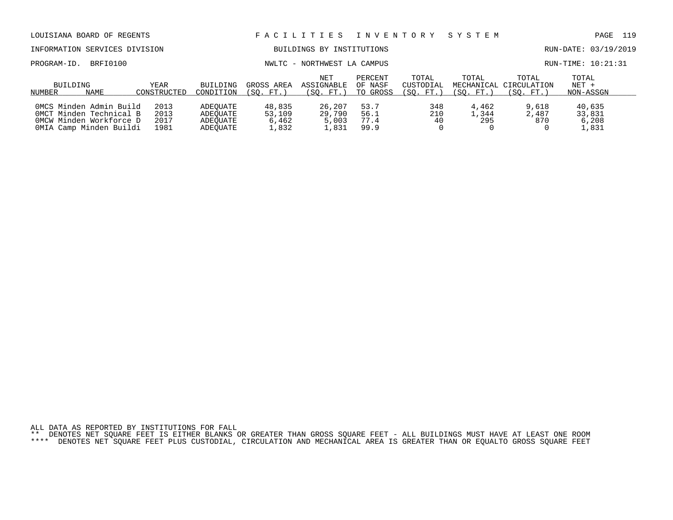| LOUISIANA BOARD OF REGENTS                                                                               |                              |                                              | FACILITIES                         | I N V E N T O R Y                     |                                | S Y S T E M                     |                                  | 119<br>PAGE                       |                                    |
|----------------------------------------------------------------------------------------------------------|------------------------------|----------------------------------------------|------------------------------------|---------------------------------------|--------------------------------|---------------------------------|----------------------------------|-----------------------------------|------------------------------------|
| INFORMATION SERVICES DIVISION                                                                            |                              |                                              |                                    | BUILDINGS BY INSTITUTIONS             |                                |                                 |                                  |                                   | RUN-DATE: 03/19/2019               |
| BRFI0100<br>PROGRAM-ID.                                                                                  |                              |                                              |                                    | NWLTC - NORTHWEST LA CAMPUS           |                                |                                 | RUN-TIME: 10:21:31               |                                   |                                    |
| BUILDING<br>NAME<br>NUMBER                                                                               | <b>YEAR</b><br>CONSTRUCTED   | <b>BUILDING</b><br>CONDITION                 | GROSS AREA<br>(SO. FT.)            | NET<br><b>ASSIGNABLE</b><br>(SO. FT.) | PERCENT<br>OF NASF<br>TO GROSS | TOTAL<br>CUSTODIAL<br>(SO. FT.) | TOTAL<br>MECHANICAL<br>(SO. FT.) | TOTAL<br>CIRCULATION<br>(SO. FT.) | TOTAL<br>$NET +$<br>NON-ASSGN      |
| OMCS Minden Admin Build<br>OMCT Minden Technical B<br>OMCW Minden Workforce D<br>OMIA Camp Minden Buildi | 2013<br>2013<br>2017<br>1981 | ADEOUATE<br>ADEOUATE<br>ADEOUATE<br>ADEOUATE | 48,835<br>53,109<br>6,462<br>1,832 | 26,207<br>29,790<br>5,003<br>1,831    | 53.7<br>56.1<br>77.4<br>99.9   | 348<br>210<br>40                | 4,462<br>1,344<br>295            | 9,618<br>2,487<br>870             | 40,635<br>33,831<br>6,208<br>1,831 |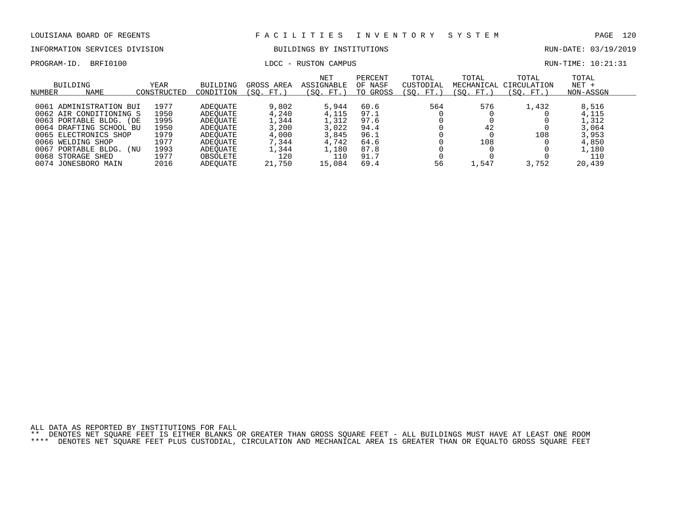### INFORMATION SERVICES DIVISION BUILDINGS BY INSTITUTIONS RUN-DATE: 03/19/2019

# PROGRAM-ID. BRFI0100 LDCC - RUSTON CAMPUS LOCC - RUSTON CAMPUS

| RUN-TIME: 10:21:31 |  |  |  |
|--------------------|--|--|--|
|--------------------|--|--|--|

| BUILDING<br>NUMBER<br>NAME | YEAR<br>CONSTRUCTED | BUILDING<br>CONDITION | GROSS AREA<br>(SO. FT.) | NET<br>ASSIGNABLE<br>(SO. FT.) | PERCENT<br>OF NASF<br>TO GROSS | TOTAL<br>CUSTODIAL<br>(SO. FT.) | TOTAL<br>MECHANICAL<br>(SO. FT.) | TOTAL<br>CIRCULATION<br>(SO. FT.) | TOTAL<br>$NET +$<br>NON-ASSGN |  |
|----------------------------|---------------------|-----------------------|-------------------------|--------------------------------|--------------------------------|---------------------------------|----------------------------------|-----------------------------------|-------------------------------|--|
|                            |                     |                       |                         |                                |                                |                                 |                                  |                                   |                               |  |
| 0061 ADMINISTRATION BUI    | 1977                | ADEOUATE              | 9,802                   | 5,944                          | 60.6                           | 564                             | 576                              | 1,432                             | 8,516                         |  |
| 0062 AIR CONDITIONING S    | 1950                | ADEOUATE              | 4,240                   | 4,115                          | 97.1                           |                                 |                                  |                                   | 4,115                         |  |
| 0063 PORTABLE BLDG. (DE    | 1995                | ADEOUATE              | ,344                    | 1,312                          | 97.6                           |                                 |                                  |                                   | 1,312                         |  |
| 0064 DRAFTING SCHOOL BU    | 1950                | ADEOUATE              | 3,200                   | 3.022                          | 94.4                           |                                 | 42                               |                                   | 3,064                         |  |
| 0065 ELECTRONICS SHOP      | 1979                | ADEOUATE              | 4,000                   | 3,845                          | 96.1                           |                                 |                                  | 108                               | 3,953                         |  |
| 0066 WELDING SHOP          | 1977                | ADEOUATE              | 7,344                   | 4,742                          | 64.6                           |                                 | 108                              |                                   | 4,850                         |  |
| 0067<br>PORTABLE BLDG. (NU | 1993                | ADEOUATE              | .344                    | 1,180                          | 87.8                           |                                 |                                  |                                   | 1,180                         |  |
| 0068 STORAGE SHED          | 1977                | OBSOLETE              | 120                     | 110                            | 91.7                           |                                 |                                  |                                   | 110                           |  |
| 0074 JONESBORO MAIN        | 2016                | <b>ADEOUATE</b>       | 21,750                  | 15,084                         | 69.4                           | 56                              | .,547                            | 3,752                             | 20,439                        |  |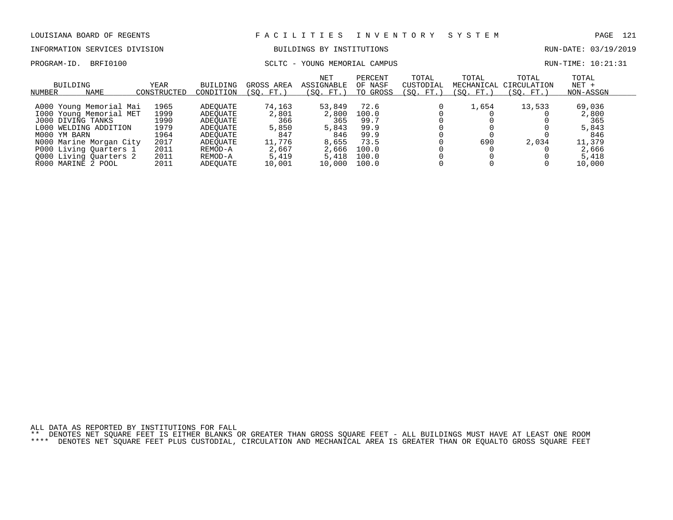# INFORMATION SERVICES DIVISION BUILDINGS BY INSTITUTIONS AND RUN-DATE: 03/19/2019

### PROGRAM-ID. BRFI0100 SCLTC - YOUNG MEMORIAL CAMPUS SCLTC - YOUNG MEMORIAL CAMPUS

| BUILDING<br>NAME<br>NUMBER | YEAR<br>CONSTRUCTED | <b>BUILDING</b><br>CONDITION | GROSS AREA<br>FT.<br>(SO. | <b>NET</b><br>ASSIGNABLE<br>(SO. FT.) | PERCENT<br>OF NASF<br>TO GROSS | TOTAL<br>CUSTODIAL<br>(SO. FT.) | TOTAL<br>MECHANICAL<br>(SO. FT.) | TOTAL<br>CIRCULATION<br>(SO. FT.) | TOTAL<br>$NET +$<br>NON-ASSGN |  |
|----------------------------|---------------------|------------------------------|---------------------------|---------------------------------------|--------------------------------|---------------------------------|----------------------------------|-----------------------------------|-------------------------------|--|
|                            |                     |                              |                           |                                       |                                |                                 |                                  |                                   |                               |  |
| A000 Young Memorial Mai    | 1965                | ADEOUATE                     | 74,163                    | 53,849                                | 72.6                           |                                 | 1,654                            | 13,533                            | 69,036                        |  |
| 1000 Young Memorial MET    | 1999                | ADEOUATE                     | 2,801                     | 2,800                                 | 100.0                          |                                 |                                  |                                   | 2,800                         |  |
| J000 DIVING TANKS          | 1990                | ADEOUATE                     | 366                       | 365                                   | 99.7                           |                                 |                                  |                                   | 365                           |  |
| L000<br>WELDING ADDITION   | 1979                | ADEOUATE                     | 5,850                     | 5,843                                 | 99.9                           |                                 |                                  |                                   | 5,843                         |  |
| M000 YM BARN               | 1964                | ADEOUATE                     | 847                       | 846                                   | 99.9                           |                                 |                                  |                                   | 846                           |  |
| N000 Marine Morgan City    | 2017                | ADEOUATE                     | 11,776                    | 8,655                                 | 73.5                           |                                 | 690                              | 2,034                             | 11,379                        |  |
| P000 Living Quarters 1     | 2011                | REMOD-A                      | 2,667                     | 2,666                                 | 100.0                          |                                 |                                  |                                   | 2,666                         |  |
| 0000 Living Quarters 2     | 2011                | REMOD-A                      | 5,419                     | 5,418                                 | 100.0                          |                                 |                                  |                                   | 5,418                         |  |
| R000 MARINE 2 POOL         | 2011                | ADEOUATE                     | 10,001                    | 10,000                                | 100.0                          |                                 |                                  |                                   | 10,000                        |  |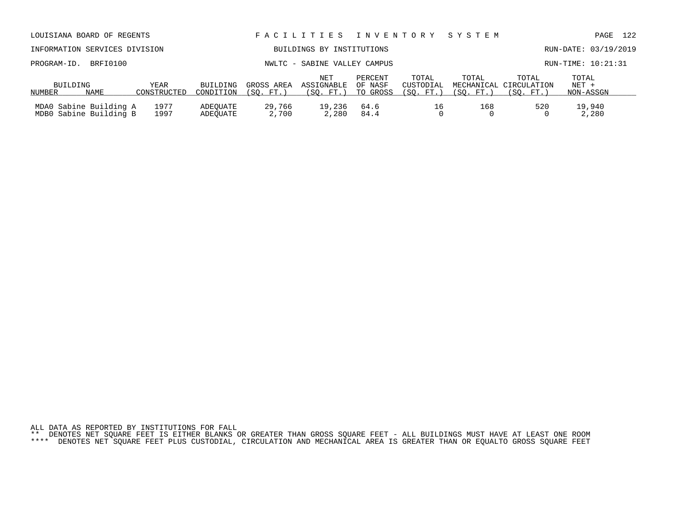|  | ALL DATA AS REPORTED BY INSTITUTIONS FOR FALL |  |  |  |                                                                                                                           |  |  |  |  |  |  |  |
|--|-----------------------------------------------|--|--|--|---------------------------------------------------------------------------------------------------------------------------|--|--|--|--|--|--|--|
|  |                                               |  |  |  | ** DENOTES NET SOUARE FEET IS EITHER BLANKS OR GREATER THAN GROSS SOUARE FEET - ALL BUILDINGS MUST HAVE AT LEAST ONE ROOM |  |  |  |  |  |  |  |
|  |                                               |  |  |  | **** DENOTES NET SOUARE FEET PLUS CUSTODIAL, CIRCULATION AND MECHANICAL AREA IS GREATER THAN OR EOUALTO GROSS SOUARE FEET |  |  |  |  |  |  |  |

| BUILDING |                                                  | YEAR         | BUILDING             | GROSS AREA      | ASSIGNABLE      | OF NASF      |           | CUSTODIAL MECHANICAL CIRCULATION |           | $NET +$         |
|----------|--------------------------------------------------|--------------|----------------------|-----------------|-----------------|--------------|-----------|----------------------------------|-----------|-----------------|
| NUMBER   | NAME                                             | CONSTRUCTED  | CONDITION            | (SO. FT.)       | (SO. FT.)       | TO GROSS     | (SO, FT.) | (SO, FT.)                        | (SO. FT.) | NON-ASSGN       |
|          | MDAO Sabine Building A<br>MDB0 Sabine Building B | 1977<br>1997 | ADEOUATE<br>ADEOUATE | 29,766<br>2,700 | 19,236<br>2,280 | 64.6<br>84.4 | TР        | 168                              | 520       | 19,940<br>2,280 |

| NUMBER<br>NAME                | CONSTRUCTED | CONDITION | (SO. FT.)                   | (SO. FT.)                    | TO GROSS | (SO. FT. ) | (SO. FT. ) | (SO. FT.)              | NON-ASSGN            |  |
|-------------------------------|-------------|-----------|-----------------------------|------------------------------|----------|------------|------------|------------------------|----------------------|--|
| BUILDING                      | YEAR        | BUILDING  | GROSS AREA                  | ASSIGNABLE                   | OF NASF  | CUSTODIAL  |            | MECHANICAL CIRCULATION | NET +                |  |
|                               |             |           |                             | NET                          | PERCENT  | TOTAL      | TOTAL      | TOTAL                  | TOTAL                |  |
| PROGRAM-ID. BRFI0100          |             |           |                             | NWLTC - SABINE VALLEY CAMPUS |          |            |            |                        | RUN-TIME: 10:21:31   |  |
| INFORMATION SERVICES DIVISION |             |           |                             | BUILDINGS BY INSTITUTIONS    |          |            |            |                        | RUN-DATE: 03/19/2019 |  |
| LOUISIANA BOARD OF REGENTS    |             |           | FACILITIES INVENTORY SYSTEM |                              |          |            |            | PAGE                   | 122                  |  |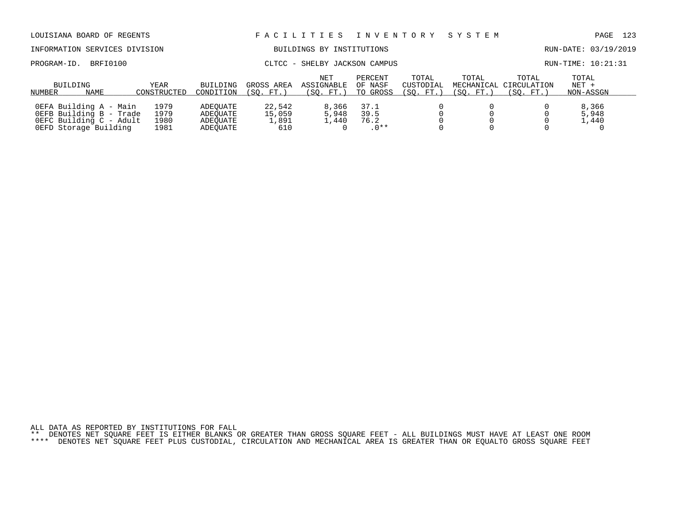| LOUISIANA BOARD OF REGENTS                                                                            |                              |                                              | FACILITIES                       | I N V E N T O R Y                            |                                | SYSTEM                          |                                   | PAGE                              | 123                           |  |
|-------------------------------------------------------------------------------------------------------|------------------------------|----------------------------------------------|----------------------------------|----------------------------------------------|--------------------------------|---------------------------------|-----------------------------------|-----------------------------------|-------------------------------|--|
| INFORMATION SERVICES DIVISION                                                                         |                              |                                              |                                  | BUILDINGS BY INSTITUTIONS                    |                                |                                 |                                   |                                   | RUN-DATE: 03/19/2019          |  |
| BRFI0100<br>PROGRAM-ID.                                                                               |                              |                                              | CLTCC                            | - SHELBY JACKSON CAMPUS                      |                                |                                 |                                   |                                   | RUN-TIME: 10:21:31            |  |
| BUILDING<br><b>NAME</b><br>NUMBER                                                                     | <b>YEAR</b><br>CONSTRUCTED   | <b>BUILDING</b><br>CONDITION                 | GROSS AREA<br>(SO. FT.)          | <b>NET</b><br><b>ASSIGNABLE</b><br>(SO. FT.) | PERCENT<br>OF NASF<br>TO GROSS | TOTAL<br>CUSTODIAL<br>(SO. FT.) | TOTAL<br>MECHANICAL<br>(SO. FT. ) | TOTAL<br>CIRCULATION<br>(SO. FT.) | TOTAL<br>$NET +$<br>NON-ASSGN |  |
| OEFA Building A - Main<br>OEFB Building B - Trade<br>OEFC Building C - Adult<br>OEFD Storage Building | 1979<br>1979<br>1980<br>1981 | ADEOUATE<br>ADEOUATE<br>ADEOUATE<br>ADEOUATE | 22,542<br>15,059<br>1,891<br>610 | 8,366<br>5,948<br>1,440                      | 37.1<br>39.5<br>76.2<br>$.0**$ |                                 |                                   |                                   | 8,366<br>5,948<br>1,440       |  |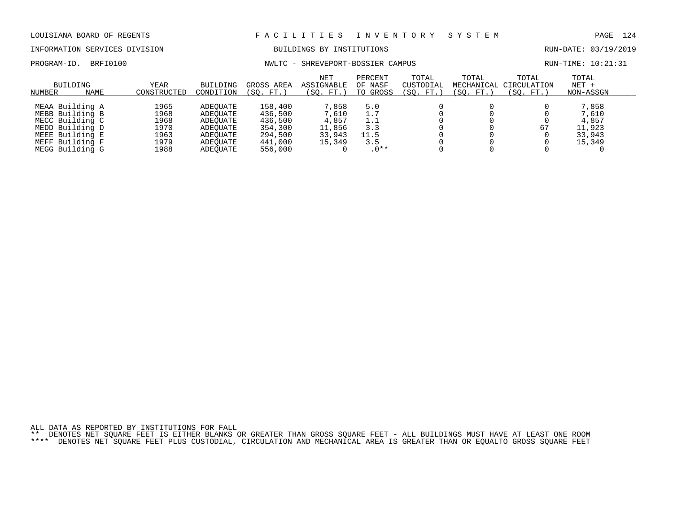INFORMATION SERVICES DIVISION BUILDINGS BY INSTITUTIONS RUN-DATE: 03/19/2019

PROGRAM-ID. BRFI0100 NWLTC - SHREVEPORT-BOSSIER CAMPUS RUN-TIME: 10:21:31

| NUMBER | BUILDING<br><b>NAME</b> | YEAR<br>CONSTRUCTED | BUILDING<br>CONDITION | GROSS AREA<br>'SO.<br>FT. | <b>NET</b><br>ASSIGNABLE<br>(SO. FT.) | PERCENT<br>OF NASF<br>TO GROSS | TOTAL<br>CUSTODIAL<br>$^{\prime}$ SO .<br>FT. | TOTAL<br>MECHANICAL<br>(SO. FT.) | TOTAL<br>CIRCULATION<br>(SO. FT.) | TOTAL<br>$NET +$<br>NON-ASSGN |  |
|--------|-------------------------|---------------------|-----------------------|---------------------------|---------------------------------------|--------------------------------|-----------------------------------------------|----------------------------------|-----------------------------------|-------------------------------|--|
|        |                         |                     |                       |                           |                                       |                                |                                               |                                  |                                   |                               |  |
|        | MEAA Building A         | 1965                | ADEOUATE              | 158,400                   | 7,858                                 | 5.0                            |                                               |                                  |                                   | 7,858                         |  |
|        | MEBB Building B         | 1968                | ADEOUATE              | 436,500                   | 7,610                                 | 1.7                            |                                               |                                  |                                   | 7,610                         |  |
|        | MECC Building C         | 1968                | ADEOUATE              | 436,500                   | 4,857                                 | 1.1                            |                                               |                                  |                                   | 4,857                         |  |
|        | MEDD Building D         | 1970                | ADEOUATE              | 354,300                   | 11,856                                | 3.3                            |                                               |                                  | 67                                | 11,923                        |  |
|        | MEEE Building E         | 1963                | ADEOUATE              | 294,500                   | 33,943                                | 11.5                           |                                               |                                  |                                   | 33,943                        |  |
|        | MEFF Building F         | 1979                | ADEOUATE              | 441,000                   | 15,349                                | 3.5                            |                                               |                                  |                                   | 15,349                        |  |
|        | MEGG Building G         | 1988                | ADEOUATE              | 556,000                   |                                       | $.0**$                         |                                               |                                  |                                   |                               |  |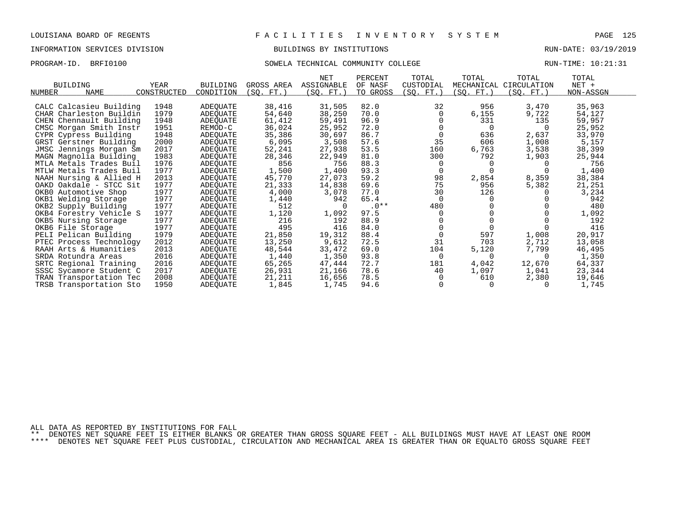### INFORMATION SERVICES DIVISION BUILDINGS BY INSTITUTIONS RUN-DATE: 03/19/2019

### PROGRAM-ID. BRFI0100 SOWELA TECHNICAL COMMUNITY COLLEGE RUN-TIME: 10:21:31

| <b>BUILDING</b><br><b>NAME</b><br>NUMBER | YEAR<br>CONSTRUCTED | <b>BUILDING</b><br>CONDITION | GROSS AREA<br>(SQ. FT.) | <b>NET</b><br>ASSIGNABLE<br>(SQ. FT.) | PERCENT<br>OF NASF<br>TO GROSS | TOTAL<br>CUSTODIAL<br>(SQ. FT.) | TOTAL<br>MECHANICAL<br>(SQ. FT. ) | TOTAL<br>CIRCULATION<br>(SQ. FT.) | TOTAL<br>NET +<br>NON-ASSGN |
|------------------------------------------|---------------------|------------------------------|-------------------------|---------------------------------------|--------------------------------|---------------------------------|-----------------------------------|-----------------------------------|-----------------------------|
| CALC Calcasieu Building                  | 1948                | ADEQUATE                     | 38,416                  | 31,505                                | 82.0                           | 32                              | 956                               | 3,470                             | 35,963                      |
| CHAR Charleston Buildin                  | 1979                | ADEQUATE                     | 54,640                  | 38,250                                | 70.0                           | 0                               | 6,155                             | 9,722                             | 54,127                      |
| CHEN Chennault Building                  | 1948                | ADEQUATE                     | 61,412                  | 59,491                                | 96.9                           |                                 | 331                               | 135                               | 59,957                      |
| CMSC Morgan Smith Instr                  | 1951                | REMOD-C                      | 36,024                  | 25,952                                | 72.0                           |                                 | $\Omega$                          |                                   | 25,952                      |
| CYPR Cypress Building                    | 1948                | ADEQUATE                     | 35,386                  | 30,697                                | 86.7                           | $\Omega$                        | 636                               | 2,637                             | 33,970                      |
| GRST Gerstner Building                   | 2000                | ADEQUATE                     | 6,095                   | 3,508                                 | 57.6                           | 35                              | 606                               | 1,008                             | 5,157                       |
| JMSC Jennings Morgan Sm                  | 2017                | ADEQUATE                     | 52,241                  | 27,938                                | 53.5                           | 160                             | 6,763                             | 3,538                             | 38,399                      |
| MAGN Magnolia Building                   | 1983                | ADEQUATE                     | 28,346                  | 22,949                                | 81.0                           | 300                             | 792                               | 1,903                             | 25,944                      |
| MTLA Metals Trades Buil                  | 1976                | ADEQUATE                     | 856                     | 756                                   | 88.3                           | 0                               |                                   |                                   | 756                         |
| MTLW Metals Trades Buil                  | 1977                | ADEQUATE                     | 1,500                   | 1,400                                 | 93.3                           | $\Omega$                        |                                   |                                   | 1,400                       |
| NAAH Nursing & Allied H                  | 2013                | ADEQUATE                     | 45,770                  | 27,073                                | 59.2                           | 98                              | 2,854                             | 8,359                             | 38,384                      |
| OAKD Oakdale - STCC Sit                  | 1977                | ADEQUATE                     | 21,333                  | 14,838                                | 69.6                           | 75                              | 956                               | 5,382                             | 21,251                      |
| OKB0 Automotive Shop                     | 1977                | ADEQUATE                     | 4,000                   | 3,078                                 | 77.0                           | 30                              | 126                               |                                   | 3,234                       |
| OKB1 Welding Storage                     | 1977                | ADEQUATE                     | 1,440                   | 942                                   | 65.4                           | $\Omega$                        | $\Omega$                          |                                   | 942                         |
| OKB2 Supply Building                     | 1977                | ADEQUATE                     | 512                     | $\Omega$                              | $.0**$                         | 480                             |                                   |                                   | 480                         |
| OKB4 Forestry Vehicle S                  | 1977                | ADEQUATE                     | 1,120                   | 1,092                                 | 97.5                           | $\Omega$                        |                                   |                                   | 1,092                       |
| OKB5 Nursing Storage                     | 1977                | ADEQUATE                     | 216                     | 192                                   | 88.9                           |                                 |                                   |                                   | 192                         |
| OKB6 File Storage                        | 1977                | ADEQUATE                     | 495                     | 416                                   | 84.0                           |                                 |                                   |                                   | 416                         |
| PELI Pelican Building                    | 1979                | ADEQUATE                     | 21,850                  | 19,312                                | 88.4                           | $\Omega$                        | 597                               | 1,008                             | 20,917                      |
| PTEC Process Technology                  | 2012                | ADEQUATE                     | 13,250                  | 9,612                                 | 72.5                           | 31                              | 703                               | 2,712                             | 13,058                      |
| RAAH Arts & Humanities                   | 2013                | ADEQUATE                     | 48,544                  | 33,472                                | 69.0                           | 104                             | 5,120                             | 7,799                             | 46,495                      |
| SRDA Rotundra Areas                      | 2016                | ADEQUATE                     | 1,440                   | 1,350                                 | 93.8                           | 0                               | $\Omega$                          | $\Omega$                          | 1,350                       |
| SRTC Regional Training                   | 2016                | ADEQUATE                     | 65,265                  | 47,444                                | 72.7                           | 181                             | 4,042                             | 12,670                            | 64,337                      |
| SSSC Sycamore Student C                  | 2017                | ADEQUATE                     | 26,931                  | 21,166                                | 78.6                           | 40                              | 1,097                             | 1,041                             | 23,344                      |
| TRAN Transportation Tec                  | 2008                | ADEQUATE                     | 21,211                  | 16,656                                | 78.5                           | $\Omega$                        | 610                               | 2,380                             | 19,646                      |
| TRSB Transportation Sto                  | 1950                | ADEQUATE                     | 1,845                   | 1,745                                 | 94.6                           | $\Omega$                        | $\Omega$                          |                                   | 1,745                       |

ALL DATA AS REPORTED BY INSTITUTIONS FOR FALL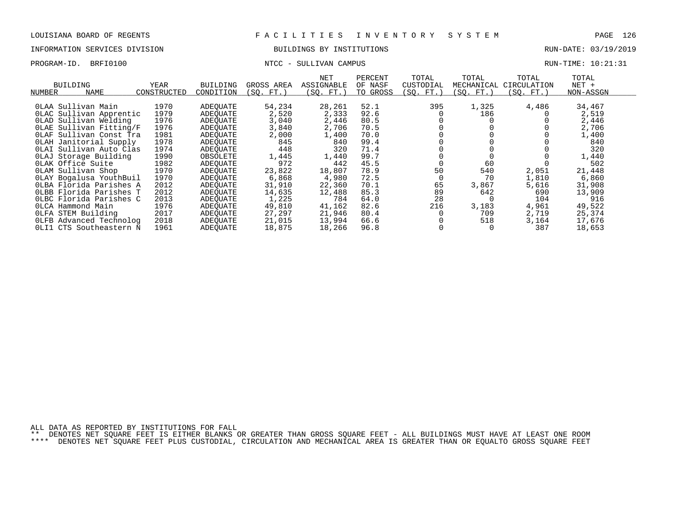### INFORMATION SERVICES DIVISION BUILDINGS BY INSTITUTIONS RUN-DATE: 03/19/2019

## PROGRAM-ID. BRFI0100 NTCC - SULLIVAN CAMPUS RUN-TIME: 10:21:31

| NUMBER           | <b>BUILDING</b><br>NAME                                                                                                                                                                                                                                                                                                                                                                                                                 | <b>YEAR</b><br>CONSTRUCTED                                                                                                           | <b>BUILDING</b><br>CONDITION                                                                                                                                                                             | GROSS AREA<br>(SO. FT.)                                                                                                                                | NET<br>ASSIGNABLE<br>(SO. FT. )                                                                                                                      | PERCENT<br>OF NASF<br>TO GROSS                                                                                                       | TOTAL<br>CUSTODIAL<br>(SO. FT.)    | TOTAL<br>MECHANICAL<br>(SO. FT.)                                                   | TOTAL<br>CIRCULATION<br>(SO. FT.)                                         | TOTAL<br>$NET +$<br>NON-ASSGN                                                                                                                        |  |
|------------------|-----------------------------------------------------------------------------------------------------------------------------------------------------------------------------------------------------------------------------------------------------------------------------------------------------------------------------------------------------------------------------------------------------------------------------------------|--------------------------------------------------------------------------------------------------------------------------------------|----------------------------------------------------------------------------------------------------------------------------------------------------------------------------------------------------------|--------------------------------------------------------------------------------------------------------------------------------------------------------|------------------------------------------------------------------------------------------------------------------------------------------------------|--------------------------------------------------------------------------------------------------------------------------------------|------------------------------------|------------------------------------------------------------------------------------|---------------------------------------------------------------------------|------------------------------------------------------------------------------------------------------------------------------------------------------|--|
|                  | OLAA Sullivan Main<br>OLAC Sullivan Apprentic<br>OLAD Sullivan Welding<br>OLAE Sullivan Fitting/F<br>OLAF Sullivan Const Tra<br>OLAH Janitorial Supply<br>OLAI Sullivan Auto Clas<br>OLAJ Storage Building<br>OLAK Office Suite<br>OLAM Sullivan Shop<br>OLAY Bogalusa YouthBuil<br>OLBA Florida Parishes A<br>OLBB Florida Parishes T<br>OLBC Florida Parishes C<br>OLCA Hammond Main<br>OLFA STEM Building<br>OLFB Advanced Technolog | 1970<br>1979<br>1976<br>1976<br>1981<br>1978<br>1974<br>1990<br>1982<br>1970<br>1970<br>2012<br>2012<br>2013<br>1976<br>2017<br>2018 | ADEOUATE<br>ADEOUATE<br>ADEQUATE<br>ADEOUATE<br>ADEOUATE<br>ADEOUATE<br>ADEOUATE<br>OBSOLETE<br>ADEOUATE<br>ADEOUATE<br>ADEQUATE<br>ADEOUATE<br>ADEOUATE<br>ADEOUATE<br>ADEOUATE<br>ADEOUATE<br>ADEOUATE | 54,234<br>2,520<br>3,040<br>3,840<br>2,000<br>845<br>448<br>1,445<br>972<br>23,822<br>6,868<br>31,910<br>14,635<br>1,225<br>49,810<br>27,297<br>21,015 | 28,261<br>2,333<br>2,446<br>2,706<br>1,400<br>840<br>320<br>1,440<br>442<br>18,807<br>4,980<br>22,360<br>12,488<br>784<br>41,162<br>21,946<br>13,994 | 52.1<br>92.6<br>80.5<br>70.5<br>70.0<br>99.4<br>71.4<br>99.7<br>45.5<br>78.9<br>72.5<br>70.1<br>85.3<br>64.0<br>82.6<br>80.4<br>66.6 | 395<br>50<br>65<br>89<br>28<br>216 | 1,325<br>186<br>60<br>540<br>70<br>3,867<br>642<br>$\Omega$<br>3,183<br>709<br>518 | 4,486<br>2,051<br>1,810<br>5,616<br>690<br>104<br>4,961<br>2,719<br>3,164 | 34,467<br>2,519<br>2,446<br>2,706<br>1,400<br>840<br>320<br>1,440<br>502<br>21,448<br>6,860<br>31,908<br>13,909<br>916<br>49,522<br>25,374<br>17,676 |  |
| 0L <sub>II</sub> | CTS Southeastern N                                                                                                                                                                                                                                                                                                                                                                                                                      | 1961                                                                                                                                 | ADEOUATE                                                                                                                                                                                                 | 18,875                                                                                                                                                 | 18,266                                                                                                                                               | 96.8                                                                                                                                 |                                    |                                                                                    | 387                                                                       | 18,653                                                                                                                                               |  |

ALL DATA AS REPORTED BY INSTITUTIONS FOR FALL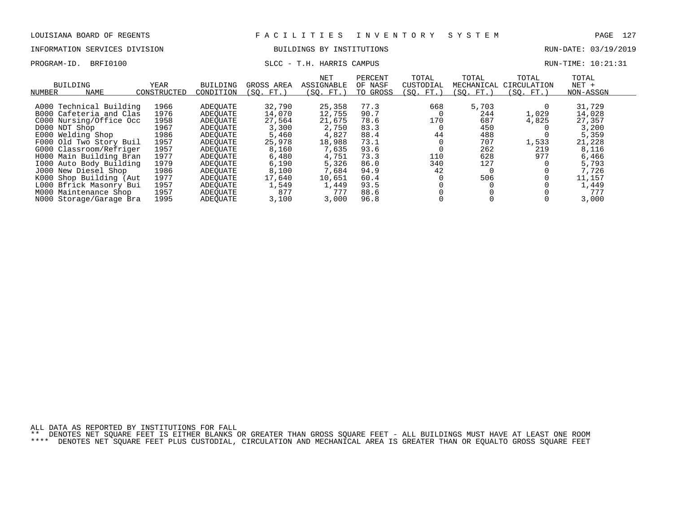# INFORMATION SERVICES DIVISION BUILDINGS BY INSTITUTIONS AND RUN-DATE: 03/19/2019

# PROGRAM-ID. BRFI0100 SLCC - T.H. HARRIS CAMPUS SLCC - T.H. HARRIS CAMPUS

| NUMBER        | BUILDING<br><b>NAME</b> | YEAR<br>CONSTRUCTED | <b>BUILDING</b><br>CONDITION | GROSS AREA<br>(SO. FT.) | NET<br>ASSIGNABLE<br>(SO. FT.) | PERCENT<br>OF NASF<br>TO GROSS | TOTAL<br>CUSTODIAL<br>(SO. FT.) | TOTAL<br>MECHANICAL<br>(SO. FT.) | TOTAL<br>CIRCULATION<br>(SO. FT. ) | TOTAL<br>$NET +$<br>NON-ASSGN |  |
|---------------|-------------------------|---------------------|------------------------------|-------------------------|--------------------------------|--------------------------------|---------------------------------|----------------------------------|------------------------------------|-------------------------------|--|
|               |                         |                     |                              |                         |                                |                                |                                 |                                  |                                    |                               |  |
|               | A000 Technical Building | 1966                | ADEOUATE                     | 32,790                  | 25,358                         | 77.3                           | 668                             | 5,703                            |                                    | 31,729                        |  |
|               | B000 Cafeteria and Clas | 1976                | ADEOUATE                     | 14,070                  | 12,755                         | 90.7                           |                                 | 244                              | 1,029                              | 14,028                        |  |
|               | C000 Nursing/Office Occ | 1958                | ADEOUATE                     | 27,564                  | 21,675                         | 78.6                           | 170                             | 687                              | 4,825                              | 27,357                        |  |
| D000 NDT Shop |                         | 1967                | ADEOUATE                     | 3,300                   | 2,750                          | 83.3                           |                                 | 450                              |                                    | 3,200                         |  |
|               | E000 Welding Shop       | 1986                | ADEOUATE                     | 5,460                   | 4,827                          | 88.4                           | 44                              | 488                              |                                    | 5,359                         |  |
|               | F000 Old Two Story Buil | 1957                | ADEOUATE                     | 25,978                  | 18,988                         | 73.1                           |                                 | 707                              | 1,533                              | 21,228                        |  |
|               | G000 Classroom/Refriger | 1957                | ADEOUATE                     | 8,160                   | 7,635                          | 93.6                           |                                 | 262                              | 219                                | 8,116                         |  |
|               | H000 Main Building Bran | 1977                | ADEOUATE                     | 6,480                   | 4,751                          | 73.3                           | 110                             | 628                              | 977                                | 6,466                         |  |
|               | 1000 Auto Body Building | 1979                | ADEOUATE                     | 6,190                   | 5,326                          | 86.0                           | 340                             | 127                              |                                    | 5,793                         |  |
|               | J000 New Diesel Shop    | 1986                | ADEOUATE                     | 8,100                   | 7,684                          | 94.9                           | 42                              |                                  |                                    | 7,726                         |  |
|               | K000 Shop Building (Aut | 1977                | ADEOUATE                     | 17,640                  | 10,651                         | 60.4                           |                                 | 506                              |                                    | 11,157                        |  |
|               | L000 Bfrick Masonry Bui | 1957                | ADEOUATE                     | 1,549                   | 1,449                          | 93.5                           |                                 |                                  |                                    | 1,449                         |  |
|               | M000 Maintenance Shop   | 1957                | ADEOUATE                     | 877                     | 777                            | 88.6                           |                                 |                                  |                                    | 777                           |  |
|               | N000 Storage/Garage Bra | 1995                | ADEOUATE                     | 3,100                   | 3,000                          | 96.8                           |                                 |                                  |                                    | 3,000                         |  |

ALL DATA AS REPORTED BY INSTITUTIONS FOR FALL